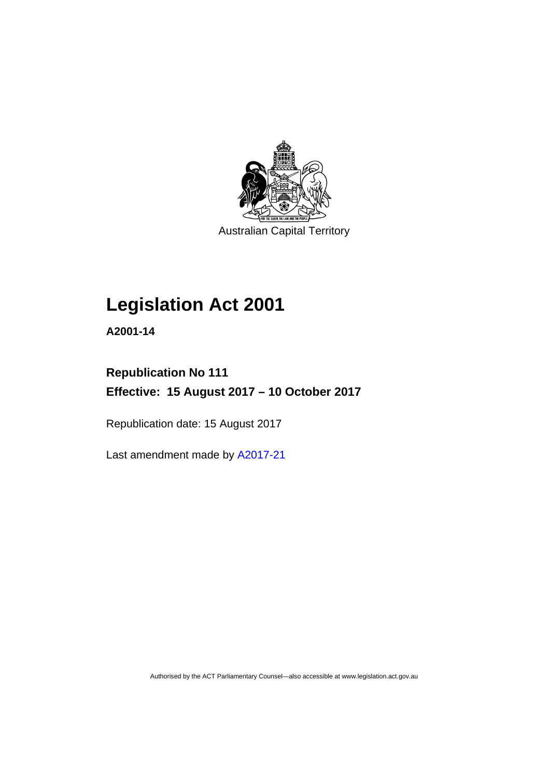

Australian Capital Territory

## **Legislation Act 2001**

**A2001-14** 

## **Republication No 111 Effective: 15 August 2017 – 10 October 2017**

Republication date: 15 August 2017

Last amendment made by [A2017-21](http://www.legislation.act.gov.au/a/2017-21/default.asp)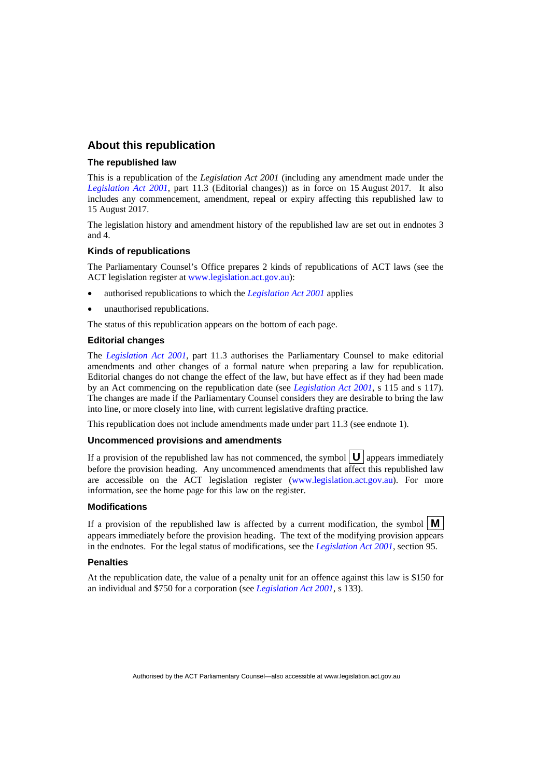## **About this republication**

#### **The republished law**

This is a republication of the *Legislation Act 2001* (including any amendment made under the *[Legislation Act 2001](http://www.legislation.act.gov.au/a/2001-14)*, part 11.3 (Editorial changes)) as in force on 15 August 2017*.* It also includes any commencement, amendment, repeal or expiry affecting this republished law to 15 August 2017.

The legislation history and amendment history of the republished law are set out in endnotes 3 and 4.

#### **Kinds of republications**

The Parliamentary Counsel's Office prepares 2 kinds of republications of ACT laws (see the ACT legislation register at [www.legislation.act.gov.au](http://www.legislation.act.gov.au/)):

- authorised republications to which the *[Legislation Act 2001](http://www.legislation.act.gov.au/a/2001-14)* applies
- unauthorised republications.

The status of this republication appears on the bottom of each page.

#### **Editorial changes**

The *[Legislation Act 2001](http://www.legislation.act.gov.au/a/2001-14)*, part 11.3 authorises the Parliamentary Counsel to make editorial amendments and other changes of a formal nature when preparing a law for republication. Editorial changes do not change the effect of the law, but have effect as if they had been made by an Act commencing on the republication date (see *[Legislation Act 2001](http://www.legislation.act.gov.au/a/2001-14)*, s 115 and s 117). The changes are made if the Parliamentary Counsel considers they are desirable to bring the law into line, or more closely into line, with current legislative drafting practice.

This republication does not include amendments made under part 11.3 (see endnote 1).

#### **Uncommenced provisions and amendments**

If a provision of the republished law has not commenced, the symbol  $\mathbf{U}$  appears immediately before the provision heading. Any uncommenced amendments that affect this republished law are accessible on the ACT legislation register [\(www.legislation.act.gov.au](http://www.legislation.act.gov.au/)). For more information, see the home page for this law on the register.

#### **Modifications**

If a provision of the republished law is affected by a current modification, the symbol  $\mathbf{M}$ appears immediately before the provision heading. The text of the modifying provision appears in the endnotes. For the legal status of modifications, see the *[Legislation Act 2001](http://www.legislation.act.gov.au/a/2001-14)*, section 95.

#### **Penalties**

At the republication date, the value of a penalty unit for an offence against this law is \$150 for an individual and \$750 for a corporation (see *[Legislation Act 2001](http://www.legislation.act.gov.au/a/2001-14)*, s 133).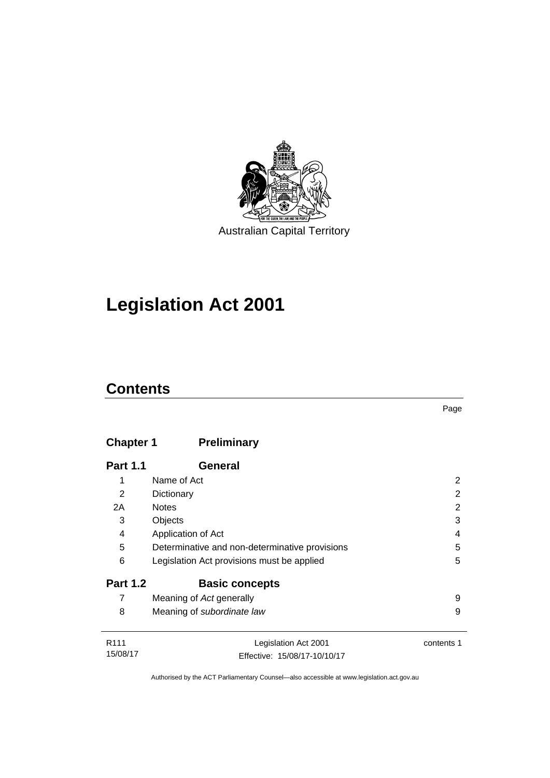

## **Legislation Act 2001**

## **Contents**

## **Chapter 1 [Preliminary](#page-17-0)**

| <b>Part 1.1</b>  | General                                        |            |
|------------------|------------------------------------------------|------------|
| 1                | Name of Act                                    | 2          |
| 2                | Dictionary                                     | 2          |
| 2A               | <b>Notes</b>                                   | 2          |
| 3                | Objects                                        | 3          |
| 4                | Application of Act                             | 4          |
| 5                | Determinative and non-determinative provisions | 5          |
| 6                | Legislation Act provisions must be applied     | 5          |
| <b>Part 1.2</b>  | <b>Basic concepts</b>                          |            |
| 7                | Meaning of Act generally                       | 9          |
| 8                | Meaning of subordinate law                     | 9          |
| R <sub>111</sub> | eqislation Act 2001                            | contante 1 |

| R <sub>111</sub> | Legislation Act 2001         | contents 1 |
|------------------|------------------------------|------------|
| 15/08/17         | Effective: 15/08/17-10/10/17 |            |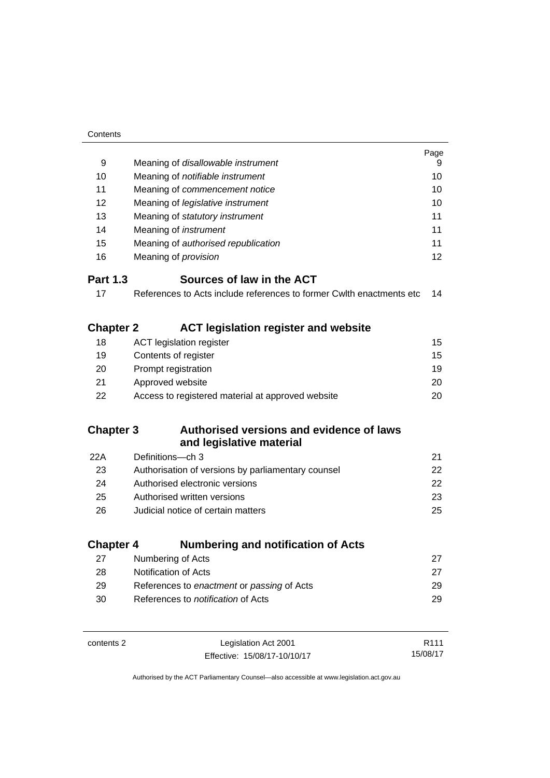| Contents         |                                                                      |                  |
|------------------|----------------------------------------------------------------------|------------------|
|                  |                                                                      | Page             |
| 9                | Meaning of disallowable instrument                                   | 9                |
| 10               | Meaning of notifiable instrument                                     | 10               |
| 11               | Meaning of commencement notice                                       | 10               |
| 12               | Meaning of legislative instrument                                    | 10               |
| 13               | Meaning of statutory instrument                                      | 11               |
| 14               | Meaning of <i>instrument</i>                                         | 11               |
| 15               | Meaning of authorised republication                                  | 11               |
| 16               | Meaning of <i>provision</i>                                          | 12               |
| <b>Part 1.3</b>  | Sources of law in the ACT                                            |                  |
| 17               | References to Acts include references to former Cwith enactments etc | 14               |
|                  |                                                                      |                  |
| <b>Chapter 2</b> | <b>ACT legislation register and website</b>                          |                  |
| 18               | <b>ACT legislation register</b>                                      | 15               |
| 19               | Contents of register                                                 | 15               |
| 20               | Prompt registration                                                  | 19               |
| 21               | Approved website                                                     | 20               |
| 22               | Access to registered material at approved website                    | 20               |
| <b>Chapter 3</b> | Authorised versions and evidence of laws                             |                  |
|                  | and legislative material                                             |                  |
| 22A              | Definitions-ch 3                                                     | 21               |
| 23               | Authorisation of versions by parliamentary counsel                   | 22               |
| 24               | Authorised electronic versions                                       | 22               |
| 25               | Authorised written versions                                          | 23               |
| 26               | Judicial notice of certain matters                                   | 25               |
|                  |                                                                      |                  |
| <b>Chapter 4</b> | <b>Numbering and notification of Acts</b>                            |                  |
| 27               | Numbering of Acts                                                    | 27               |
| 28               | Notification of Acts                                                 | 27               |
| 29               | References to enactment or passing of Acts                           | 29               |
| 30               | References to <i>notification</i> of Acts                            | 29               |
|                  |                                                                      |                  |
| contents 2       | Legislation Act 2001                                                 | R <sub>111</sub> |

15/08/17

Effective: 15/08/17-10/10/17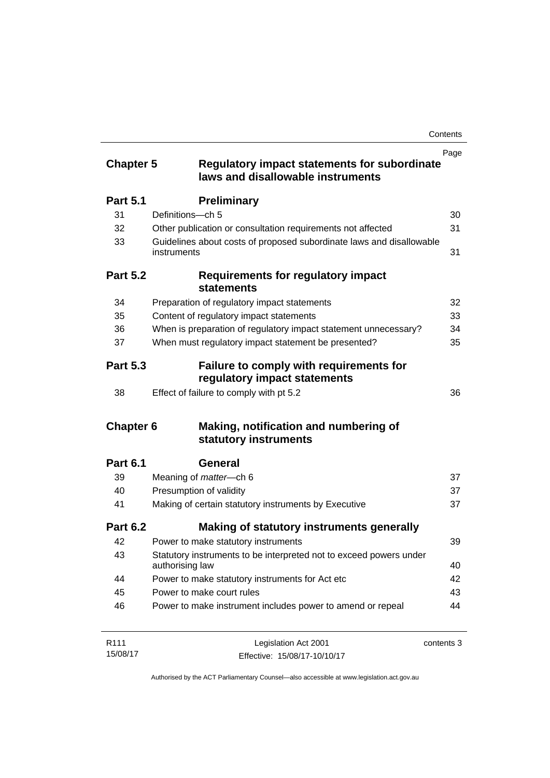| <b>Chapter 5</b>      | <b>Regulatory impact statements for subordinate</b><br>laws and disallowable instruments                           | Page       |
|-----------------------|--------------------------------------------------------------------------------------------------------------------|------------|
| <b>Part 5.1</b>       | <b>Preliminary</b>                                                                                                 |            |
| 31                    | Definitions-ch 5                                                                                                   | 30         |
| 32                    | Other publication or consultation requirements not affected                                                        | 31         |
| 33                    | Guidelines about costs of proposed subordinate laws and disallowable<br>instruments                                | 31         |
| <b>Part 5.2</b>       | Requirements for regulatory impact<br><b>statements</b>                                                            |            |
| 34                    | Preparation of regulatory impact statements                                                                        | 32         |
| 35                    | Content of regulatory impact statements                                                                            | 33         |
| 36                    | When is preparation of regulatory impact statement unnecessary?                                                    | 34         |
| 37                    | When must regulatory impact statement be presented?                                                                | 35         |
| <b>Part 5.3</b><br>38 | Failure to comply with requirements for<br>regulatory impact statements<br>Effect of failure to comply with pt 5.2 | 36         |
| <b>Chapter 6</b>      | Making, notification and numbering of<br>statutory instruments                                                     |            |
| <b>Part 6.1</b>       | General                                                                                                            |            |
| 39                    | Meaning of <i>matter</i> -ch 6                                                                                     | 37         |
| 40                    | Presumption of validity                                                                                            | 37         |
| 41                    | Making of certain statutory instruments by Executive                                                               | 37         |
| <b>Part 6.2</b>       | Making of statutory instruments generally                                                                          |            |
| 42                    | Power to make statutory instruments                                                                                | 39         |
| 43                    | Statutory instruments to be interpreted not to exceed powers under<br>authorising law                              | 40         |
| 44                    | Power to make statutory instruments for Act etc                                                                    | 42         |
| 45                    | Power to make court rules                                                                                          | 43         |
| 46                    | Power to make instrument includes power to amend or repeal                                                         | 44         |
| R <sub>111</sub>      | Legislation Act 2001                                                                                               | contents 3 |

Effective: 15/08/17-10/10/17

15/08/17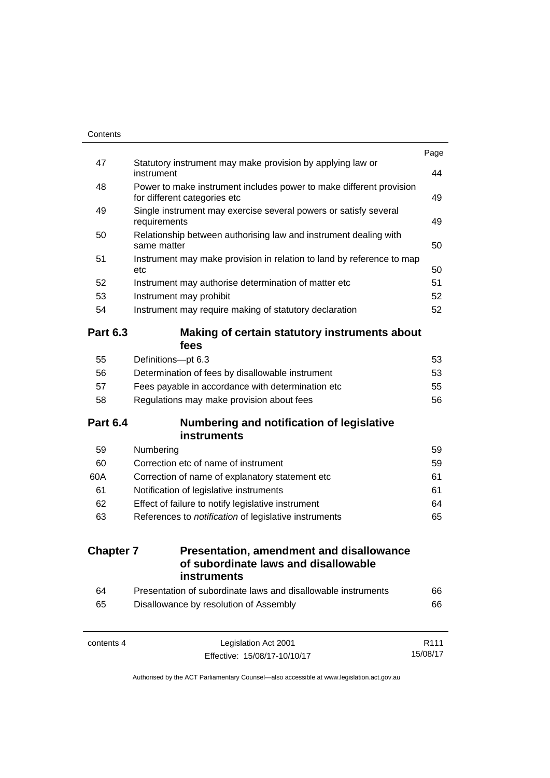| 64<br>65         | Presentation of subordinate laws and disallowable instruments<br>Disallowance by resolution of Assembly | 66<br>66 |
|------------------|---------------------------------------------------------------------------------------------------------|----------|
|                  | <b>instruments</b>                                                                                      |          |
| <b>Chapter 7</b> | <b>Presentation, amendment and disallowance</b><br>of subordinate laws and disallowable                 |          |
| 63               | References to notification of legislative instruments                                                   | 65       |
| 62               | Effect of failure to notify legislative instrument                                                      | 64       |
| 61               | Notification of legislative instruments                                                                 | 61       |
| 60A              | Correction of name of explanatory statement etc                                                         | 61       |
| 60               | Correction etc of name of instrument                                                                    | 59       |
| 59               | Numbering                                                                                               | 59       |
| <b>Part 6.4</b>  | <b>Numbering and notification of legislative</b><br><b>instruments</b>                                  |          |
|                  |                                                                                                         |          |
| 58               | Regulations may make provision about fees                                                               | 56       |
| 57               | Determination of fees by disallowable instrument<br>Fees payable in accordance with determination etc   | 55       |
| 55<br>56         | Definitions-pt 6.3                                                                                      | 53<br>53 |
|                  | fees                                                                                                    |          |
| <b>Part 6.3</b>  | Making of certain statutory instruments about                                                           |          |
| 54               | Instrument may require making of statutory declaration                                                  | 52       |
| 53               | Instrument may prohibit                                                                                 | 52       |
| 52               | etc<br>Instrument may authorise determination of matter etc                                             | 50<br>51 |
| 51               | same matter<br>Instrument may make provision in relation to land by reference to map                    | 50       |
| 50               | requirements<br>Relationship between authorising law and instrument dealing with                        | 49       |
| 49               | for different categories etc<br>Single instrument may exercise several powers or satisfy several        | 49       |
| 48               | Power to make instrument includes power to make different provision                                     |          |
| 47               | Statutory instrument may make provision by applying law or<br>instrument                                | 44       |
|                  |                                                                                                         | Page     |

15/08/17

Effective: 15/08/17-10/10/17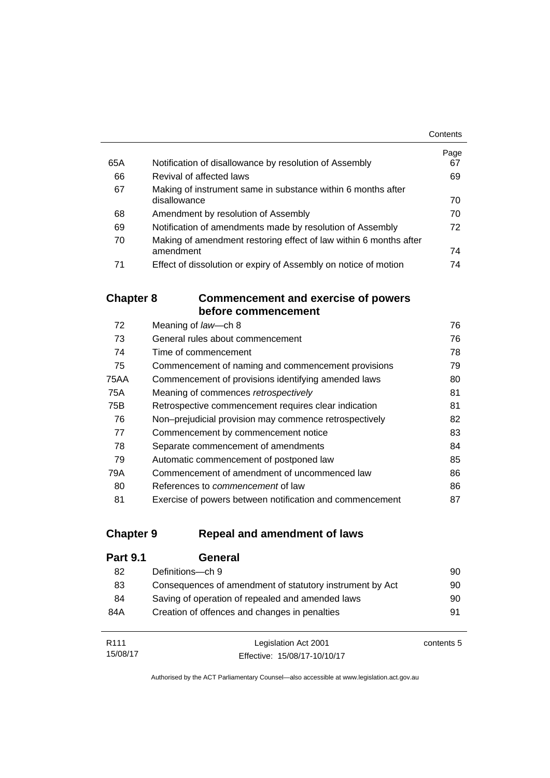|     |                                                                   | Contents   |
|-----|-------------------------------------------------------------------|------------|
| 65A | Notification of disallowance by resolution of Assembly            | Page<br>67 |
|     |                                                                   |            |
| 66  | Revival of affected laws                                          | 69         |
| 67  | Making of instrument same in substance within 6 months after      |            |
|     | disallowance                                                      | 70         |
| 68  | Amendment by resolution of Assembly                               | 70         |
| 69  | Notification of amendments made by resolution of Assembly         | 72         |
| 70  | Making of amendment restoring effect of law within 6 months after |            |
|     | amendment                                                         | 74         |
| 71  | Effect of dissolution or expiry of Assembly on notice of motion   | 74         |

## **Chapter 8 [Commencement and exercise of powers](#page-91-0)  [before commencement](#page-91-0)**

| 72   | Meaning of law-ch 8                                      | 76 |
|------|----------------------------------------------------------|----|
| 73   | General rules about commencement                         | 76 |
| 74   | Time of commencement                                     | 78 |
| 75   | Commencement of naming and commencement provisions       | 79 |
| 75AA | Commencement of provisions identifying amended laws      | 80 |
| 75A  | Meaning of commences retrospectively                     | 81 |
| 75B  | Retrospective commencement requires clear indication     | 81 |
| 76   | Non-prejudicial provision may commence retrospectively   | 82 |
| 77   | Commencement by commencement notice                      | 83 |
| 78   | Separate commencement of amendments                      | 84 |
| 79   | Automatic commencement of postponed law                  | 85 |
| 79A  | Commencement of amendment of uncommenced law             | 86 |
| 80   | References to <i>commencement</i> of law                 | 86 |
| 81   | Exercise of powers between notification and commencement | 87 |

## **Chapter 9 [Repeal and amendment of laws](#page-105-0)**

15/08/17

| <b>Part 9.1</b>  | General                                                  |            |
|------------------|----------------------------------------------------------|------------|
| 82               | Definitions-ch 9                                         | 90         |
| 83               | Consequences of amendment of statutory instrument by Act | 90         |
| 84               | Saving of operation of repealed and amended laws         | 90         |
| 84A              | Creation of offences and changes in penalties            | 91         |
|                  |                                                          |            |
| R <sub>111</sub> | Legislation Act 2001                                     | contents 5 |

Authorised by the ACT Parliamentary Counsel—also accessible at www.legislation.act.gov.au

Effective: 15/08/17-10/10/17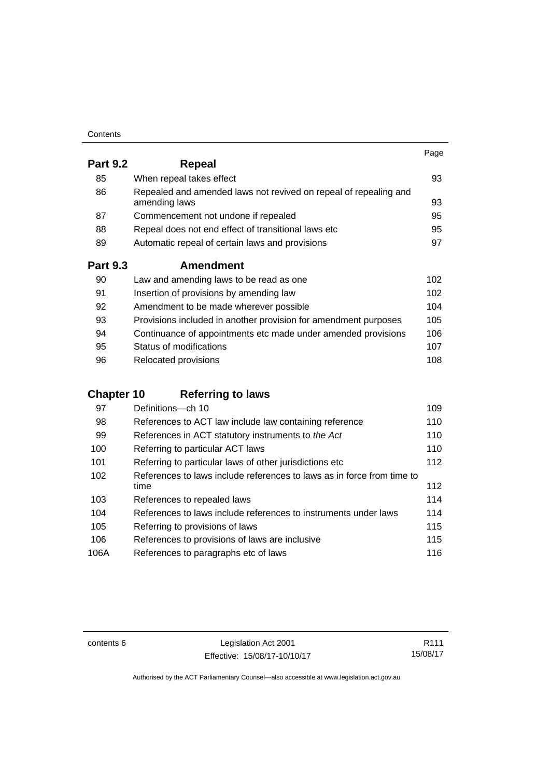| Contents |
|----------|
|----------|

|                 |                                                                                   | Page |
|-----------------|-----------------------------------------------------------------------------------|------|
| <b>Part 9.2</b> | Repeal                                                                            |      |
| 85              | When repeal takes effect                                                          | 93   |
| 86              | Repealed and amended laws not revived on repeal of repealing and<br>amending laws | 93   |
| 87              | Commencement not undone if repealed                                               | 95   |
| 88              | Repeal does not end effect of transitional laws etc                               | 95   |
| 89              | Automatic repeal of certain laws and provisions                                   | 97   |
| <b>Part 9.3</b> | <b>Amendment</b>                                                                  |      |
| 90              | Law and amending laws to be read as one                                           | 102  |
| 91              | Insertion of provisions by amending law                                           | 102  |
| 92              | Amendment to be made wherever possible                                            | 104  |
| 93              | Provisions included in another provision for amendment purposes                   | 105  |
| 94              | Continuance of appointments etc made under amended provisions                     | 106  |
| 95              | Status of modifications                                                           | 107  |

| 96 | Relocated provisions | 108 |
|----|----------------------|-----|

## **Chapter 10 [Referring to laws](#page-124-0)**

| 97   | Definitions-ch 10                                                      | 109 |
|------|------------------------------------------------------------------------|-----|
| 98   | References to ACT law include law containing reference                 | 110 |
| 99   | References in ACT statutory instruments to the Act                     | 110 |
| 100  | Referring to particular ACT laws                                       | 110 |
| 101  | Referring to particular laws of other jurisdictions etc                | 112 |
| 102  | References to laws include references to laws as in force from time to |     |
|      | time                                                                   | 112 |
| 103  | References to repealed laws                                            | 114 |
| 104  | References to laws include references to instruments under laws        | 114 |
| 105  | Referring to provisions of laws                                        | 115 |
| 106  | References to provisions of laws are inclusive                         | 115 |
| 106A | References to paragraphs etc of laws                                   | 116 |

contents 6 Legislation Act 2001 Effective: 15/08/17-10/10/17

R111 15/08/17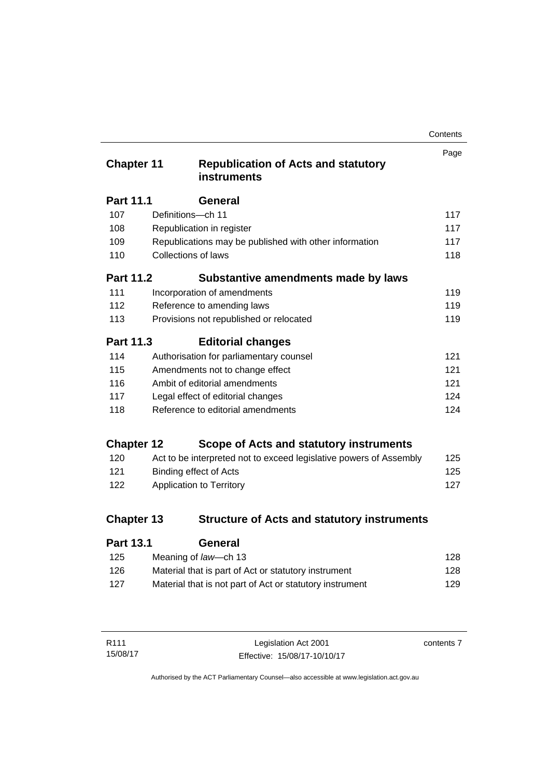| Contents |
|----------|
|----------|

| <b>Chapter 11</b> |                            | <b>Republication of Acts and statutory</b><br><b>instruments</b>   | Page |
|-------------------|----------------------------|--------------------------------------------------------------------|------|
| <b>Part 11.1</b>  |                            | <b>General</b>                                                     |      |
| 107               | Definitions-ch 11          |                                                                    | 117  |
| 108               |                            | Republication in register                                          | 117  |
| 109               |                            | Republications may be published with other information             | 117  |
| 110               | <b>Collections of laws</b> |                                                                    | 118  |
| <b>Part 11.2</b>  |                            | Substantive amendments made by laws                                |      |
| 111               |                            | Incorporation of amendments                                        | 119  |
| 112               |                            | Reference to amending laws                                         | 119  |
| 113               |                            | Provisions not republished or relocated                            | 119  |
| <b>Part 11.3</b>  |                            | <b>Editorial changes</b>                                           |      |
| 114               |                            | Authorisation for parliamentary counsel                            | 121  |
| 115               |                            | Amendments not to change effect                                    | 121  |
| 116               |                            | Ambit of editorial amendments                                      | 121  |
| 117               |                            | Legal effect of editorial changes                                  | 124  |
| 118               |                            | Reference to editorial amendments                                  | 124  |
| <b>Chapter 12</b> |                            | Scope of Acts and statutory instruments                            |      |
| 120               |                            | Act to be interpreted not to exceed legislative powers of Assembly | 125  |
| 121               |                            | <b>Binding effect of Acts</b>                                      | 125  |
| 122               |                            | Application to Territory                                           | 127  |
| <b>Chapter 13</b> |                            | <b>Structure of Acts and statutory instruments</b>                 |      |
| <b>Part 13.1</b>  |                            | General                                                            |      |

| .<br>-------                                             |     |
|----------------------------------------------------------|-----|
| Meaning of law—ch 13                                     | 128 |
| Material that is part of Act or statutory instrument     | 128 |
| Material that is not part of Act or statutory instrument | 129 |
|                                                          |     |

| R <sub>111</sub> | Legislation Act 2001         | contents 7 |
|------------------|------------------------------|------------|
| 15/08/17         | Effective: 15/08/17-10/10/17 |            |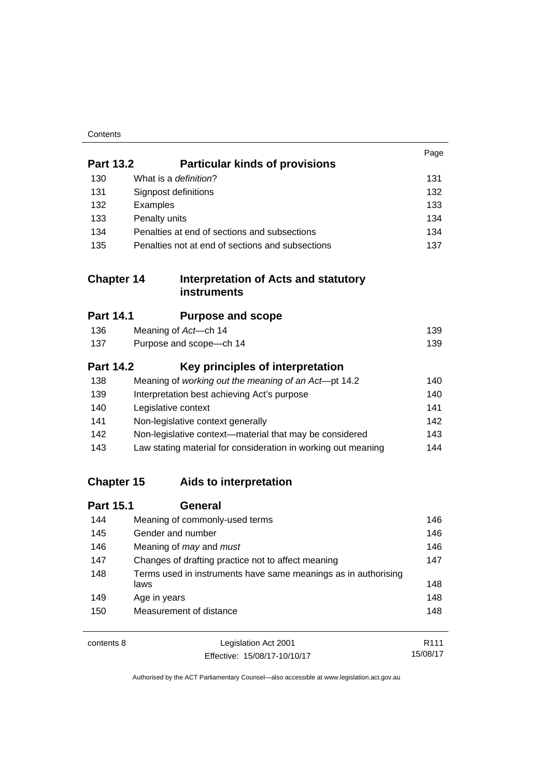| Contents |
|----------|
|----------|

|                   |                                                                        | Page |
|-------------------|------------------------------------------------------------------------|------|
| <b>Part 13.2</b>  | <b>Particular kinds of provisions</b>                                  |      |
| 130               | What is a definition?                                                  | 131  |
| 131               | Signpost definitions                                                   | 132  |
| 132               | Examples                                                               | 133  |
| 133               | Penalty units                                                          | 134  |
| 134               | Penalties at end of sections and subsections                           | 134  |
| 135               | Penalties not at end of sections and subsections                       | 137  |
| <b>Chapter 14</b> | Interpretation of Acts and statutory<br><b>instruments</b>             |      |
| <b>Part 14.1</b>  | <b>Purpose and scope</b>                                               |      |
| 136               | Meaning of Act-ch 14                                                   | 139  |
| 137               | Purpose and scope-ch 14                                                | 139  |
| <b>Part 14.2</b>  | Key principles of interpretation                                       |      |
| 138               | Meaning of working out the meaning of an Act-pt 14.2                   | 140  |
| 139               | Interpretation best achieving Act's purpose                            | 140  |
| 140               | Legislative context                                                    | 141  |
| 141               | Non-legislative context generally                                      | 142  |
| 142               | Non-legislative context-material that may be considered                | 143  |
| 143               | Law stating material for consideration in working out meaning          | 144  |
| <b>Chapter 15</b> | Aids to interpretation                                                 |      |
| <b>Part 15.1</b>  | <b>General</b>                                                         |      |
| 144               | Meaning of commonly-used terms                                         | 146  |
| 145               | Gender and number                                                      | 146  |
| 146               | Meaning of may and must                                                | 146  |
| 147               | Changes of drafting practice not to affect meaning                     | 147  |
| 148               | Terms used in instruments have same meanings as in authorising<br>laws | 148  |
| 149               | Age in years                                                           | 148  |
| 150               | Measurement of distance                                                | 148  |
| contents 8        | Legislation Act 2001                                                   | R111 |

Effective: 15/08/17-10/10/17 15/08/17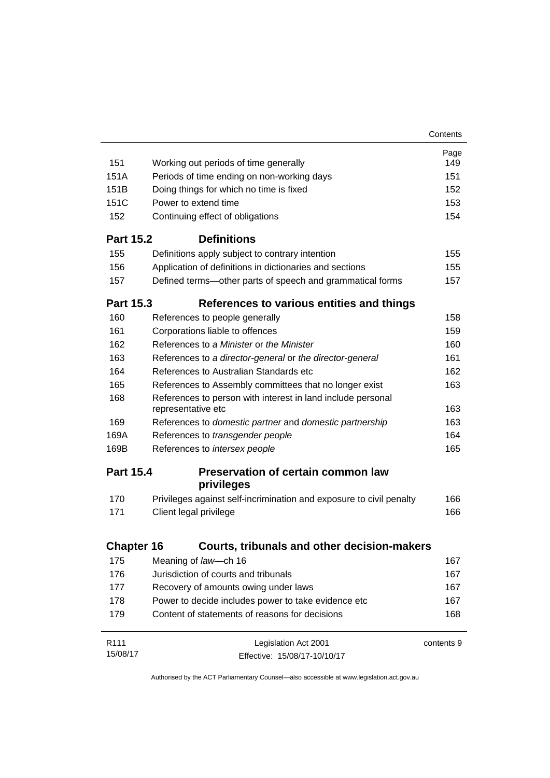|                   |                                                                                   | Contents   |
|-------------------|-----------------------------------------------------------------------------------|------------|
|                   |                                                                                   | Page       |
| 151               | Working out periods of time generally                                             | 149        |
| 151A              | Periods of time ending on non-working days                                        | 151        |
| 151B              | Doing things for which no time is fixed                                           | 152        |
| 151C              | Power to extend time                                                              | 153        |
| 152               | Continuing effect of obligations                                                  | 154        |
| <b>Part 15.2</b>  | <b>Definitions</b>                                                                |            |
| 155               | Definitions apply subject to contrary intention                                   | 155        |
| 156               | Application of definitions in dictionaries and sections                           | 155        |
| 157               | Defined terms—other parts of speech and grammatical forms                         | 157        |
| <b>Part 15.3</b>  | References to various entities and things                                         |            |
| 160               | References to people generally                                                    | 158        |
| 161               | Corporations liable to offences                                                   | 159        |
| 162               | References to a Minister or the Minister                                          | 160        |
| 163               | References to a director-general or the director-general                          | 161        |
| 164               | References to Australian Standards etc.                                           | 162        |
| 165               | References to Assembly committees that no longer exist                            | 163        |
| 168               | References to person with interest in land include personal<br>representative etc | 163        |
| 169               | References to domestic partner and domestic partnership                           | 163        |
| 169A              | References to transgender people                                                  | 164        |
| 169B              | References to intersex people                                                     | 165        |
| <b>Part 15.4</b>  | Preservation of certain common law                                                |            |
|                   | privileges                                                                        |            |
| 170               | Privileges against self-incrimination and exposure to civil penalty               | 166        |
| 171               | Client legal privilege                                                            | 166        |
|                   | Courts, tribunals and other decision-makers                                       |            |
| <b>Chapter 16</b> |                                                                                   |            |
| 175               | Meaning of law-ch 16                                                              | 167        |
| 176               | Jurisdiction of courts and tribunals                                              | 167        |
| 177               | Recovery of amounts owing under laws                                              | 167        |
| 178               | Power to decide includes power to take evidence etc                               | 167        |
| 179               | Content of statements of reasons for decisions                                    | 168        |
| R <sub>111</sub>  | Legislation Act 2001                                                              | contents 9 |
| 15/08/17          | Effective: 15/08/17-10/10/17                                                      |            |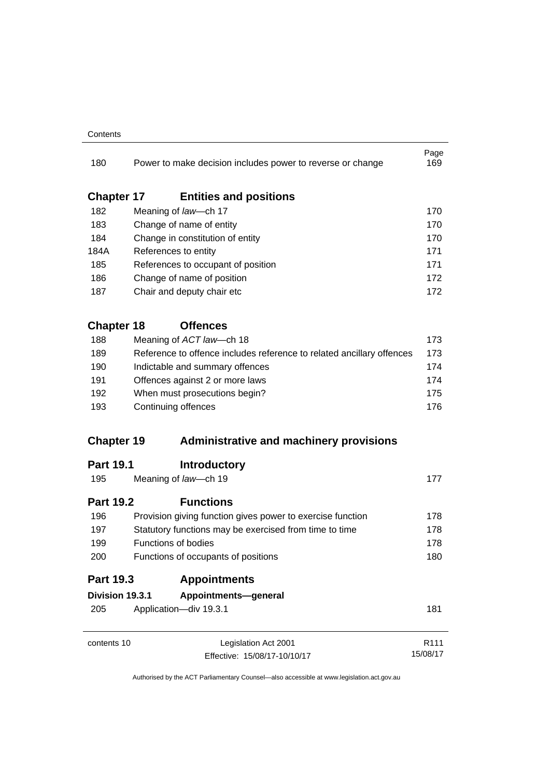#### **Contents**

| 180               | Power to make decision includes power to reverse or change            | Page<br>169                  |
|-------------------|-----------------------------------------------------------------------|------------------------------|
| <b>Chapter 17</b> | <b>Entities and positions</b>                                         |                              |
| 182               | Meaning of law-ch 17                                                  | 170                          |
| 183               | Change of name of entity                                              | 170                          |
| 184               | Change in constitution of entity                                      | 170                          |
| 184A              | References to entity                                                  | 171                          |
| 185               | References to occupant of position                                    | 171                          |
| 186               | Change of name of position                                            | 172                          |
| 187               | Chair and deputy chair etc                                            | 172                          |
| <b>Chapter 18</b> | <b>Offences</b>                                                       |                              |
| 188               | Meaning of ACT law-ch 18                                              | 173                          |
| 189               | Reference to offence includes reference to related ancillary offences | 173                          |
| 190               | Indictable and summary offences                                       | 174                          |
| 191               | Offences against 2 or more laws                                       | 174                          |
| 192               | When must prosecutions begin?                                         | 175                          |
| 193               | Continuing offences                                                   | 176                          |
| <b>Chapter 19</b> | <b>Administrative and machinery provisions</b>                        |                              |
| <b>Part 19.1</b>  | <b>Introductory</b>                                                   |                              |
| 195               | Meaning of law-ch 19                                                  | 177                          |
| <b>Part 19.2</b>  | <b>Functions</b>                                                      |                              |
| 196               | Provision giving function gives power to exercise function            | 178                          |
| 197               | Statutory functions may be exercised from time to time                | 178                          |
| 199               | <b>Functions of bodies</b>                                            | 178                          |
| 200               | Functions of occupants of positions                                   | 180                          |
| <b>Part 19.3</b>  | <b>Appointments</b>                                                   |                              |
| Division 19.3.1   | Appointments-general                                                  |                              |
| 205               | Application-div 19.3.1                                                | 181                          |
| contents 10       | Legislation Act 2001                                                  | R <sub>111</sub><br>15/08/17 |
|                   | Effective: 15/08/17-10/10/17                                          |                              |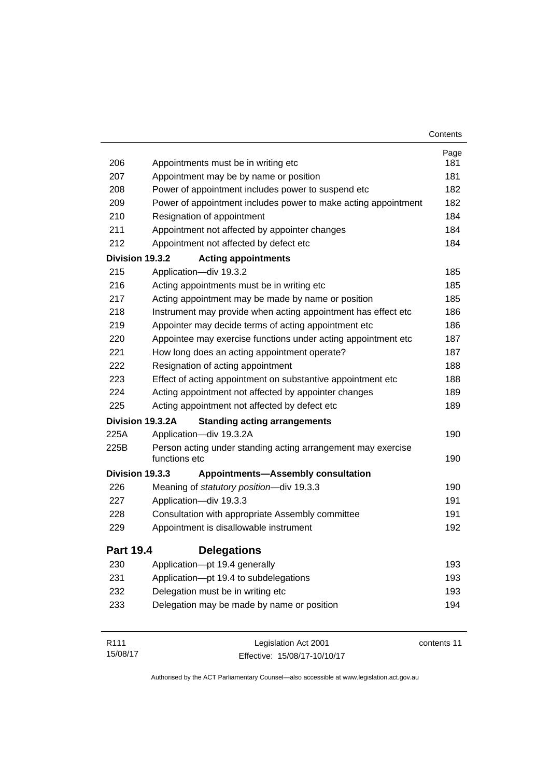|                  |                                                                               | Contents    |
|------------------|-------------------------------------------------------------------------------|-------------|
|                  |                                                                               | Page        |
| 206              | Appointments must be in writing etc                                           | 181         |
| 207              | Appointment may be by name or position                                        | 181         |
| 208              | Power of appointment includes power to suspend etc                            | 182         |
| 209              | Power of appointment includes power to make acting appointment                | 182         |
| 210              | Resignation of appointment                                                    | 184         |
| 211              | Appointment not affected by appointer changes                                 | 184         |
| 212              | Appointment not affected by defect etc                                        | 184         |
| Division 19.3.2  | <b>Acting appointments</b>                                                    |             |
| 215              | Application-div 19.3.2                                                        | 185         |
| 216              | Acting appointments must be in writing etc                                    | 185         |
| 217              | Acting appointment may be made by name or position                            | 185         |
| 218              | Instrument may provide when acting appointment has effect etc                 | 186         |
| 219              | Appointer may decide terms of acting appointment etc                          | 186         |
| 220              | Appointee may exercise functions under acting appointment etc                 | 187         |
| 221              | How long does an acting appointment operate?                                  | 187         |
| 222              | Resignation of acting appointment                                             | 188         |
| 223              | Effect of acting appointment on substantive appointment etc                   | 188         |
| 224              | Acting appointment not affected by appointer changes                          | 189         |
| 225              | Acting appointment not affected by defect etc                                 | 189         |
|                  | Division 19.3.2A<br><b>Standing acting arrangements</b>                       |             |
| 225A             | Application-div 19.3.2A                                                       | 190         |
| 225B             | Person acting under standing acting arrangement may exercise<br>functions etc | 190         |
| Division 19.3.3  | <b>Appointments-Assembly consultation</b>                                     |             |
| 226              | Meaning of statutory position-div 19.3.3                                      | 190         |
| 227              | Application-div 19.3.3                                                        | 191         |
| 228              | Consultation with appropriate Assembly committee                              | 191         |
| 229              | Appointment is disallowable instrument                                        | 192         |
| <b>Part 19.4</b> | <b>Delegations</b>                                                            |             |
| 230              | Application-pt 19.4 generally                                                 | 193         |
| 231              | Application-pt 19.4 to subdelegations                                         | 193         |
| 232              | Delegation must be in writing etc                                             | 193         |
| 233              | Delegation may be made by name or position                                    | 194         |
| R111             | Legislation Act 2001                                                          | contents 11 |

Effective: 15/08/17-10/10/17

15/08/17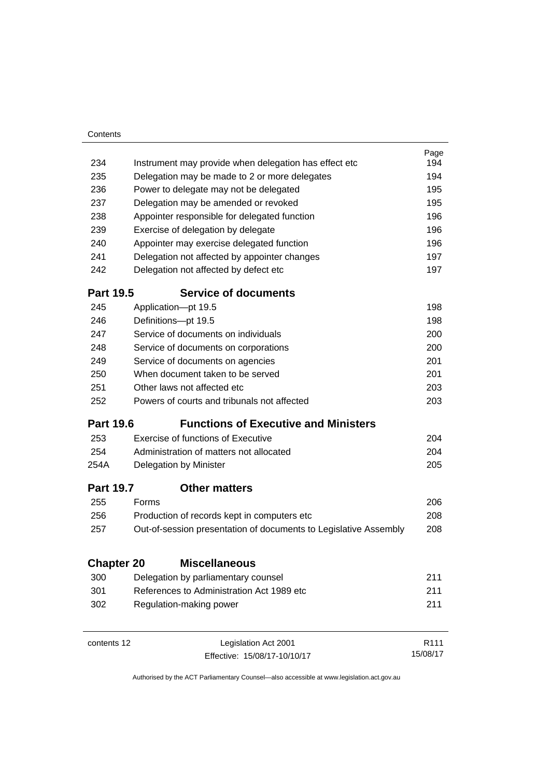| Contents          |                                                                  |                  |
|-------------------|------------------------------------------------------------------|------------------|
|                   |                                                                  | Page             |
| 234               | Instrument may provide when delegation has effect etc            | 194              |
| 235               | Delegation may be made to 2 or more delegates                    | 194              |
| 236               | Power to delegate may not be delegated                           | 195              |
| 237               | Delegation may be amended or revoked                             | 195              |
| 238               | Appointer responsible for delegated function                     | 196              |
| 239               | Exercise of delegation by delegate                               | 196              |
| 240               | Appointer may exercise delegated function                        | 196              |
| 241               | Delegation not affected by appointer changes                     | 197              |
| 242               | Delegation not affected by defect etc                            | 197              |
| <b>Part 19.5</b>  | <b>Service of documents</b>                                      |                  |
| 245               | Application-pt 19.5                                              | 198              |
| 246               | Definitions-pt 19.5                                              | 198              |
| 247               | Service of documents on individuals                              | 200              |
| 248               | Service of documents on corporations                             | 200              |
| 249               | Service of documents on agencies                                 | 201              |
| 250               | When document taken to be served                                 | 201              |
| 251               | Other laws not affected etc                                      | 203              |
| 252               | Powers of courts and tribunals not affected                      | 203              |
| <b>Part 19.6</b>  | <b>Functions of Executive and Ministers</b>                      |                  |
| 253               | Exercise of functions of Executive                               | 204              |
| 254               | Administration of matters not allocated                          | 204              |
| 254A              | Delegation by Minister                                           | 205              |
| <b>Part 19.7</b>  | <b>Other matters</b>                                             |                  |
| 255               | Forms                                                            | 206              |
| 256               | Production of records kept in computers etc                      | 208              |
| 257               | Out-of-session presentation of documents to Legislative Assembly | 208              |
| <b>Chapter 20</b> | <b>Miscellaneous</b>                                             |                  |
| 300               | Delegation by parliamentary counsel                              | 211              |
| 301               | References to Administration Act 1989 etc                        | 211              |
| 302               | Regulation-making power                                          | 211              |
|                   |                                                                  |                  |
| contents 12       | Legislation Act 2001                                             | R <sub>111</sub> |

15/08/17

Effective: 15/08/17-10/10/17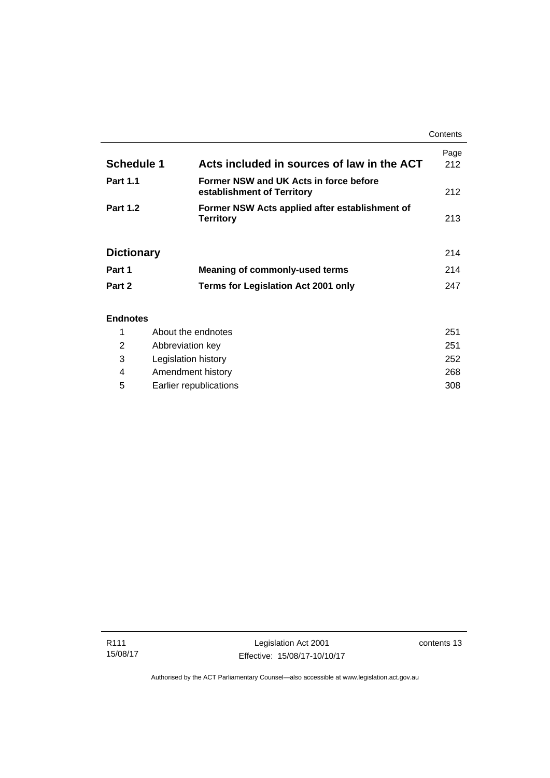|                                                      |                                                                      | Contents    |
|------------------------------------------------------|----------------------------------------------------------------------|-------------|
| <b>Schedule 1</b>                                    | Acts included in sources of law in the ACT                           | Page<br>212 |
| <b>Part 1.1</b>                                      | Former NSW and UK Acts in force before<br>establishment of Territory | 212         |
| <b>Part 1.2</b>                                      | Former NSW Acts applied after establishment of<br><b>Territory</b>   | 213         |
| <b>Dictionary</b>                                    |                                                                      | 214         |
| Part 1                                               | <b>Meaning of commonly-used terms</b>                                | 214         |
| Part 2                                               | Terms for Legislation Act 2001 only                                  | 247         |
| <b>Endnotes</b><br>$\overline{a}$ and $\overline{a}$ | والمنابذ والمساوية والتنابية والترامي                                | <b>OF</b> 4 |

|   | About the endnotes     | 251 |
|---|------------------------|-----|
| 2 | Abbreviation key       | 251 |
| 3 | Legislation history    | 252 |
| 4 | Amendment history      | 268 |
| 5 | Earlier republications | 308 |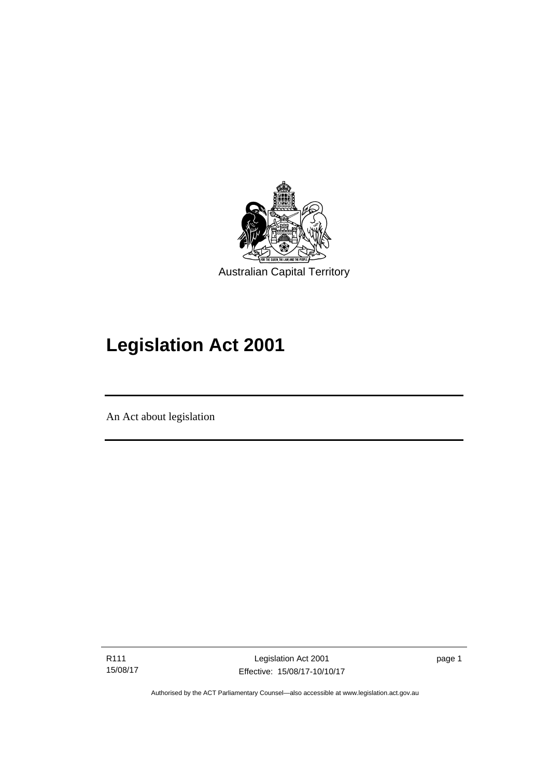

# **Legislation Act 2001**

An Act about legislation

l

R111 15/08/17

Legislation Act 2001 Effective: 15/08/17-10/10/17 page 1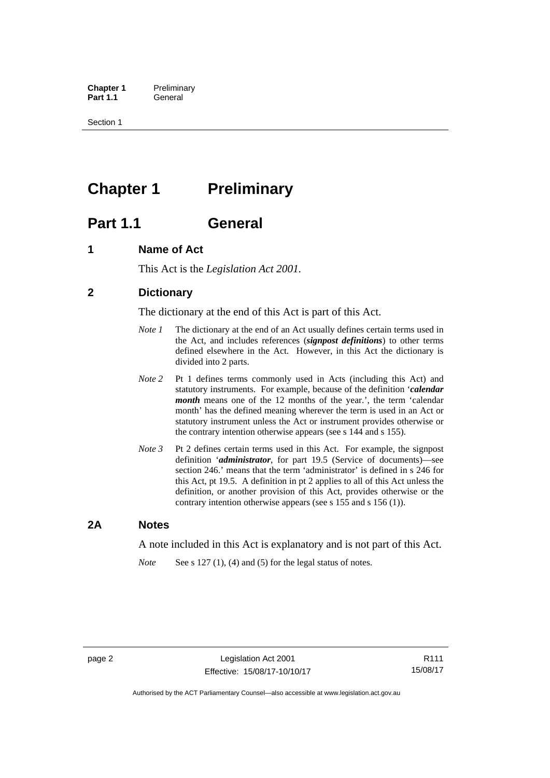**Chapter 1** Preliminary<br>**Part 1.1** General General

Section 1

## <span id="page-17-0"></span>**Chapter 1** Preliminary

## <span id="page-17-1"></span>**Part 1.1 General**

## <span id="page-17-2"></span>**1 Name of Act**

This Act is the *Legislation Act 2001.* 

## <span id="page-17-3"></span>**2 Dictionary**

The dictionary at the end of this Act is part of this Act.

- *Note 1* The dictionary at the end of an Act usually defines certain terms used in the Act, and includes references (*signpost definitions*) to other terms defined elsewhere in the Act. However, in this Act the dictionary is divided into 2 parts.
- *Note 2* Pt 1 defines terms commonly used in Acts (including this Act) and statutory instruments. For example, because of the definition '*calendar month* means one of the 12 months of the year.', the term 'calendar month' has the defined meaning wherever the term is used in an Act or statutory instrument unless the Act or instrument provides otherwise or the contrary intention otherwise appears (see s 144 and s 155).
- *Note 3* Pt 2 defines certain terms used in this Act. For example, the signpost definition '*administrator*, for part 19.5 (Service of documents)—see section 246.' means that the term 'administrator' is defined in s 246 for this Act, pt 19.5. A definition in pt 2 applies to all of this Act unless the definition, or another provision of this Act, provides otherwise or the contrary intention otherwise appears (see s 155 and s 156 (1)).

## <span id="page-17-4"></span>**2A Notes**

A note included in this Act is explanatory and is not part of this Act.

*Note* See s 127 (1), (4) and (5) for the legal status of notes.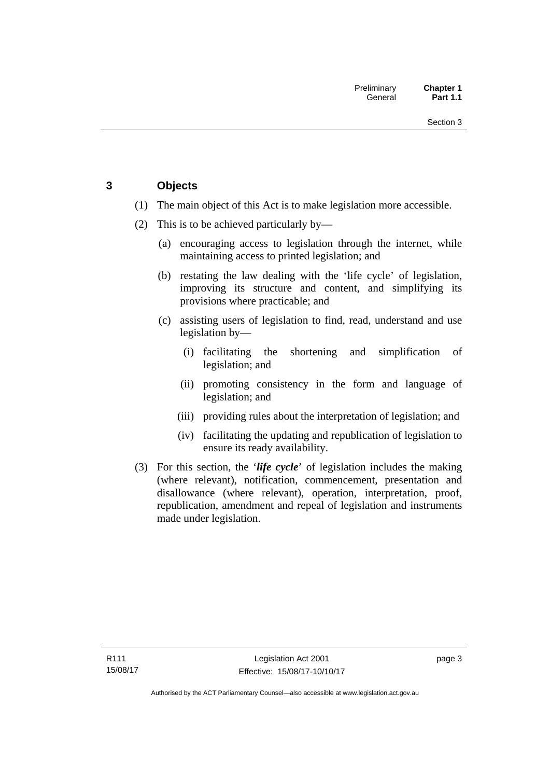## <span id="page-18-0"></span>**3 Objects**

- (1) The main object of this Act is to make legislation more accessible.
- (2) This is to be achieved particularly by—
	- (a) encouraging access to legislation through the internet, while maintaining access to printed legislation; and
	- (b) restating the law dealing with the 'life cycle' of legislation, improving its structure and content, and simplifying its provisions where practicable; and
	- (c) assisting users of legislation to find, read, understand and use legislation by—
		- (i) facilitating the shortening and simplification of legislation; and
		- (ii) promoting consistency in the form and language of legislation; and
		- (iii) providing rules about the interpretation of legislation; and
		- (iv) facilitating the updating and republication of legislation to ensure its ready availability.
- (3) For this section, the '*life cycle*' of legislation includes the making (where relevant), notification, commencement, presentation and disallowance (where relevant), operation, interpretation, proof, republication, amendment and repeal of legislation and instruments made under legislation.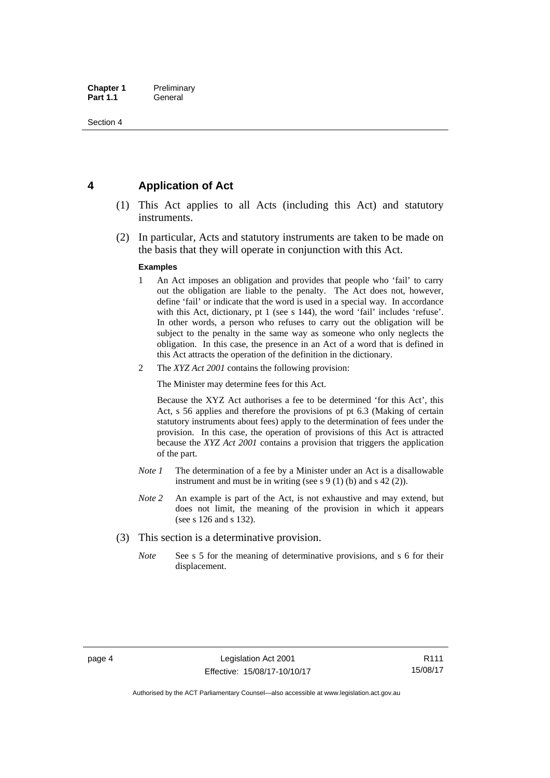## <span id="page-19-0"></span>**4 Application of Act**

- (1) This Act applies to all Acts (including this Act) and statutory instruments.
- (2) In particular, Acts and statutory instruments are taken to be made on the basis that they will operate in conjunction with this Act.

#### **Examples**

- 1 An Act imposes an obligation and provides that people who 'fail' to carry out the obligation are liable to the penalty. The Act does not, however, define 'fail' or indicate that the word is used in a special way. In accordance with this Act, dictionary, pt 1 (see s 144), the word 'fail' includes 'refuse'. In other words, a person who refuses to carry out the obligation will be subject to the penalty in the same way as someone who only neglects the obligation. In this case, the presence in an Act of a word that is defined in this Act attracts the operation of the definition in the dictionary.
- 2 The *XYZ Act 2001* contains the following provision:

The Minister may determine fees for this Act.

Because the XYZ Act authorises a fee to be determined 'for this Act', this Act, s 56 applies and therefore the provisions of pt 6.3 (Making of certain statutory instruments about fees) apply to the determination of fees under the provision. In this case, the operation of provisions of this Act is attracted because the *XYZ Act 2001* contains a provision that triggers the application of the part.

- *Note 1* The determination of a fee by a Minister under an Act is a disallowable instrument and must be in writing (see s 9 (1) (b) and s 42 (2)).
- *Note 2* An example is part of the Act, is not exhaustive and may extend, but does not limit, the meaning of the provision in which it appears (see s 126 and s 132).
- (3) This section is a determinative provision.
	- *Note* See s 5 for the meaning of determinative provisions, and s 6 for their displacement.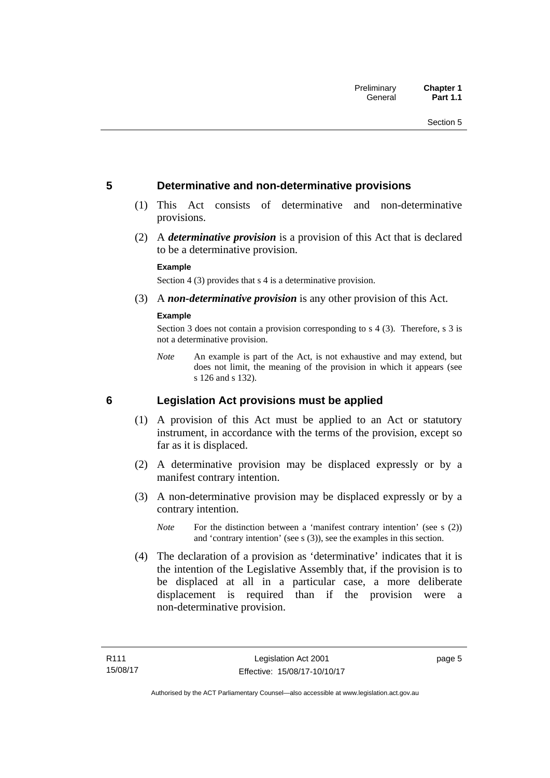## <span id="page-20-0"></span>**5 Determinative and non-determinative provisions**

- (1) This Act consists of determinative and non-determinative provisions.
- (2) A *determinative provision* is a provision of this Act that is declared to be a determinative provision.

#### **Example**

Section 4 (3) provides that s 4 is a determinative provision.

(3) A *non-determinative provision* is any other provision of this Act.

#### **Example**

Section 3 does not contain a provision corresponding to s 4 (3). Therefore, s 3 is not a determinative provision.

*Note* An example is part of the Act, is not exhaustive and may extend, but does not limit, the meaning of the provision in which it appears (see s 126 and s 132).

### <span id="page-20-1"></span>**6 Legislation Act provisions must be applied**

- (1) A provision of this Act must be applied to an Act or statutory instrument, in accordance with the terms of the provision, except so far as it is displaced.
- (2) A determinative provision may be displaced expressly or by a manifest contrary intention.
- (3) A non-determinative provision may be displaced expressly or by a contrary intention.
	- *Note* For the distinction between a 'manifest contrary intention' (see s (2)) and 'contrary intention' (see s (3)), see the examples in this section.
- (4) The declaration of a provision as 'determinative' indicates that it is the intention of the Legislative Assembly that, if the provision is to be displaced at all in a particular case, a more deliberate displacement is required than if the provision were a non-determinative provision.

page 5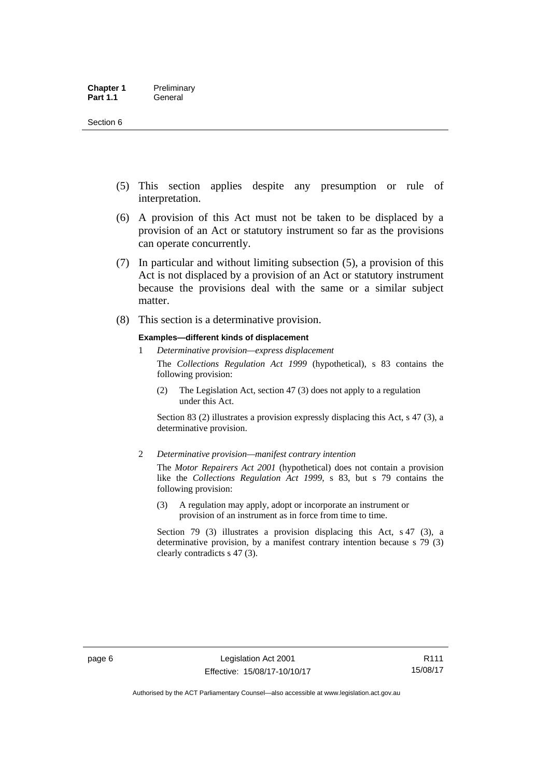- (5) This section applies despite any presumption or rule of interpretation.
- (6) A provision of this Act must not be taken to be displaced by a provision of an Act or statutory instrument so far as the provisions can operate concurrently.
- (7) In particular and without limiting subsection (5), a provision of this Act is not displaced by a provision of an Act or statutory instrument because the provisions deal with the same or a similar subject matter.
- (8) This section is a determinative provision.

#### **Examples—different kinds of displacement**

1 *Determinative provision—express displacement*

The *Collections Regulation Act 1999* (hypothetical), s 83 contains the following provision:

(2) The Legislation Act, section 47 (3) does not apply to a regulation under this Act.

Section 83 (2) illustrates a provision expressly displacing this Act, s 47 (3), a determinative provision.

2 *Determinative provision—manifest contrary intention*

The *Motor Repairers Act 2001* (hypothetical) does not contain a provision like the *Collections Regulation Act 1999*, s 83, but s 79 contains the following provision:

(3) A regulation may apply, adopt or incorporate an instrument or provision of an instrument as in force from time to time.

Section 79 (3) illustrates a provision displacing this Act, s 47 (3), a determinative provision, by a manifest contrary intention because s 79 (3) clearly contradicts s 47 (3).

R111 15/08/17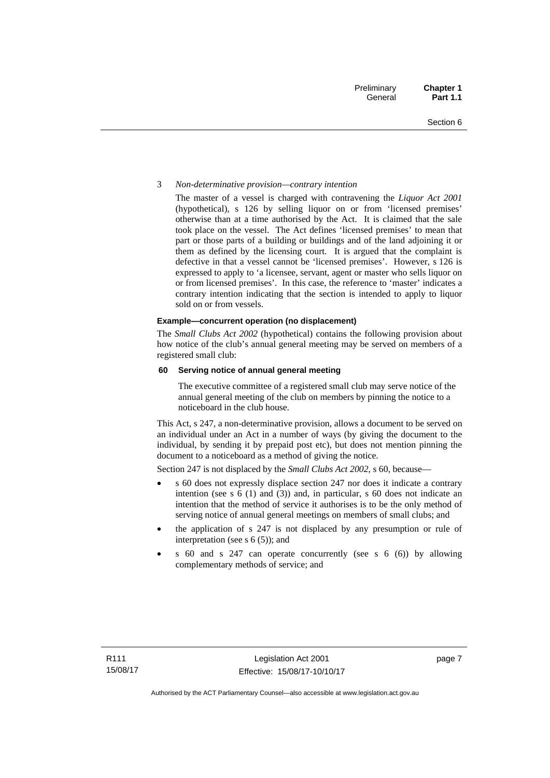#### 3 *Non-determinative provision—contrary intention*

The master of a vessel is charged with contravening the *Liquor Act 2001* (hypothetical), s 126 by selling liquor on or from 'licensed premises' otherwise than at a time authorised by the Act. It is claimed that the sale took place on the vessel. The Act defines 'licensed premises' to mean that part or those parts of a building or buildings and of the land adjoining it or them as defined by the licensing court. It is argued that the complaint is defective in that a vessel cannot be 'licensed premises'. However, s 126 is expressed to apply to 'a licensee, servant, agent or master who sells liquor on or from licensed premises'. In this case, the reference to 'master' indicates a contrary intention indicating that the section is intended to apply to liquor sold on or from vessels.

#### **Example—concurrent operation (no displacement)**

The *Small Clubs Act 2002* (hypothetical) contains the following provision about how notice of the club's annual general meeting may be served on members of a registered small club:

#### **60 Serving notice of annual general meeting**

The executive committee of a registered small club may serve notice of the annual general meeting of the club on members by pinning the notice to a noticeboard in the club house.

This Act, s 247, a non-determinative provision, allows a document to be served on an individual under an Act in a number of ways (by giving the document to the individual, by sending it by prepaid post etc), but does not mention pinning the document to a noticeboard as a method of giving the notice.

Section 247 is not displaced by the *Small Clubs Act 2002*, s 60, because—

- s 60 does not expressly displace section 247 nor does it indicate a contrary intention (see s 6 (1) and (3)) and, in particular, s 60 does not indicate an intention that the method of service it authorises is to be the only method of serving notice of annual general meetings on members of small clubs; and
- the application of s 247 is not displaced by any presumption or rule of interpretation (see s 6 (5)); and
- s 60 and s 247 can operate concurrently (see s 6 (6)) by allowing complementary methods of service; and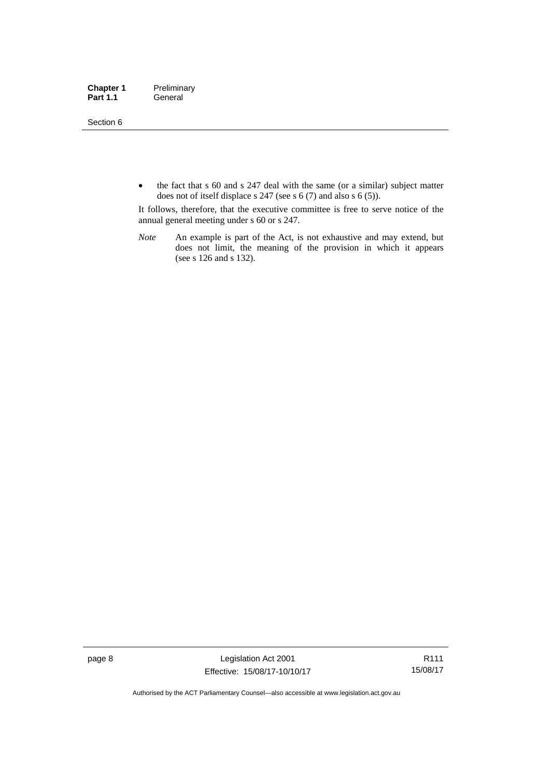Section 6

• the fact that s 60 and s 247 deal with the same (or a similar) subject matter does not of itself displace s 247 (see s 6 (7) and also s 6 (5)).

It follows, therefore, that the executive committee is free to serve notice of the annual general meeting under s 60 or s 247.

*Note* An example is part of the Act, is not exhaustive and may extend, but does not limit, the meaning of the provision in which it appears (see s 126 and s 132).

page 8 Legislation Act 2001 Effective: 15/08/17-10/10/17

R111 15/08/17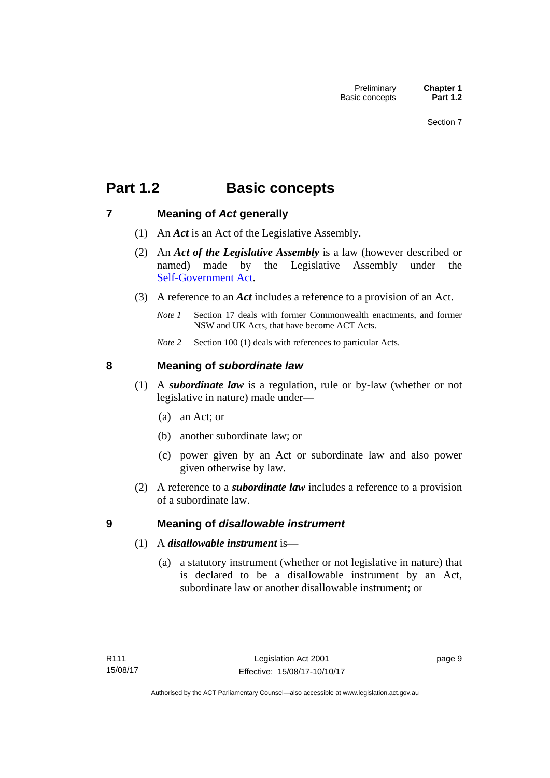## <span id="page-24-0"></span>**Part 1.2 Basic concepts**

## <span id="page-24-1"></span>**7 Meaning of** *Act* **generally**

- (1) An *Act* is an Act of the Legislative Assembly.
- (2) An *Act of the Legislative Assembly* is a law (however described or named) made by the Legislative Assembly under the [Self-Government Act.](http://www.comlaw.gov.au/Series/C2004A03699)
- (3) A reference to an *Act* includes a reference to a provision of an Act.
	- *Note 1* Section 17 deals with former Commonwealth enactments, and former NSW and UK Acts, that have become ACT Acts.
	- *Note 2* Section 100 (1) deals with references to particular Acts.

## <span id="page-24-2"></span>**8 Meaning of** *subordinate law*

- (1) A *subordinate law* is a regulation, rule or by-law (whether or not legislative in nature) made under—
	- (a) an Act; or
	- (b) another subordinate law; or
	- (c) power given by an Act or subordinate law and also power given otherwise by law.
- (2) A reference to a *subordinate law* includes a reference to a provision of a subordinate law.

## <span id="page-24-3"></span>**9 Meaning of** *disallowable instrument*

- (1) A *disallowable instrument* is—
	- (a) a statutory instrument (whether or not legislative in nature) that is declared to be a disallowable instrument by an Act, subordinate law or another disallowable instrument; or

page 9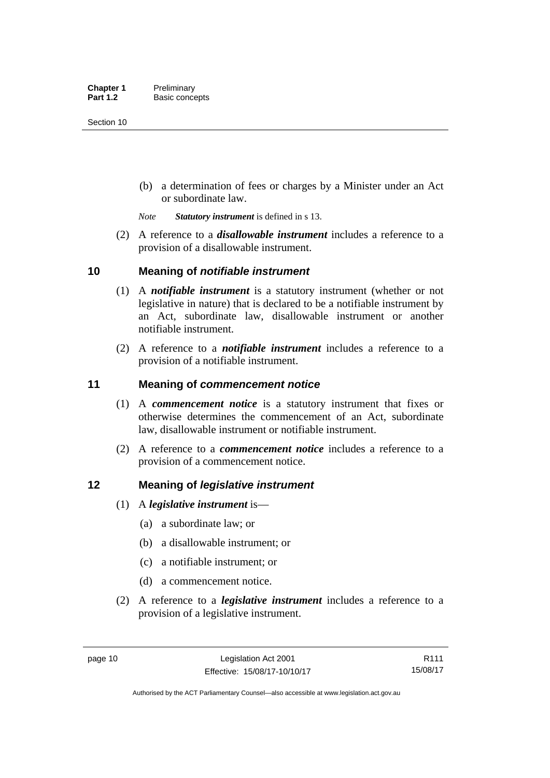(b) a determination of fees or charges by a Minister under an Act or subordinate law.

*Note Statutory instrument* is defined in s 13.

 (2) A reference to a *disallowable instrument* includes a reference to a provision of a disallowable instrument.

## <span id="page-25-0"></span>**10 Meaning of** *notifiable instrument*

- (1) A *notifiable instrument* is a statutory instrument (whether or not legislative in nature) that is declared to be a notifiable instrument by an Act, subordinate law, disallowable instrument or another notifiable instrument.
- (2) A reference to a *notifiable instrument* includes a reference to a provision of a notifiable instrument.

## <span id="page-25-1"></span>**11 Meaning of** *commencement notice*

- (1) A *commencement notice* is a statutory instrument that fixes or otherwise determines the commencement of an Act, subordinate law, disallowable instrument or notifiable instrument.
- (2) A reference to a *commencement notice* includes a reference to a provision of a commencement notice.

## <span id="page-25-2"></span>**12 Meaning of** *legislative instrument*

- (1) A *legislative instrument* is—
	- (a) a subordinate law; or
	- (b) a disallowable instrument; or
	- (c) a notifiable instrument; or
	- (d) a commencement notice.
- (2) A reference to a *legislative instrument* includes a reference to a provision of a legislative instrument.

R111 15/08/17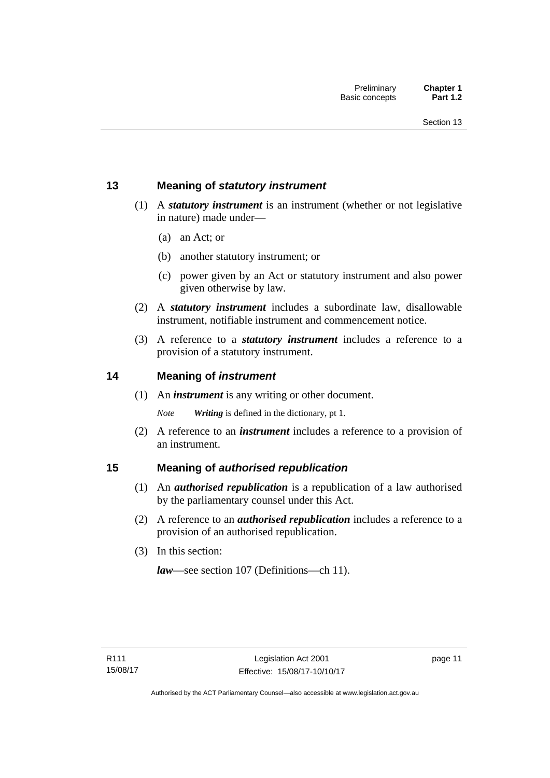## <span id="page-26-0"></span>**13 Meaning of** *statutory instrument*

- (1) A *statutory instrument* is an instrument (whether or not legislative in nature) made under—
	- (a) an Act; or
	- (b) another statutory instrument; or
	- (c) power given by an Act or statutory instrument and also power given otherwise by law.
- (2) A *statutory instrument* includes a subordinate law, disallowable instrument, notifiable instrument and commencement notice.
- (3) A reference to a *statutory instrument* includes a reference to a provision of a statutory instrument.

## <span id="page-26-1"></span>**14 Meaning of** *instrument*

(1) An *instrument* is any writing or other document.

*Note Writing* is defined in the dictionary, pt 1.

 (2) A reference to an *instrument* includes a reference to a provision of an instrument.

## <span id="page-26-2"></span>**15 Meaning of** *authorised republication*

- (1) An *authorised republication* is a republication of a law authorised by the parliamentary counsel under this Act.
- (2) A reference to an *authorised republication* includes a reference to a provision of an authorised republication.
- (3) In this section:

*law*—see section 107 (Definitions—ch 11).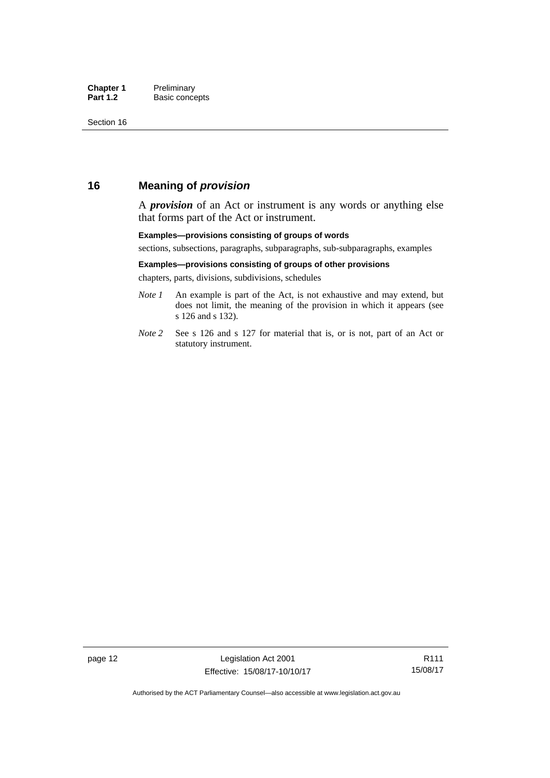## <span id="page-27-0"></span>**16 Meaning of** *provision*

A *provision* of an Act or instrument is any words or anything else that forms part of the Act or instrument.

#### **Examples—provisions consisting of groups of words**

sections, subsections, paragraphs, subparagraphs, sub-subparagraphs, examples

#### **Examples—provisions consisting of groups of other provisions**

chapters, parts, divisions, subdivisions, schedules

- *Note 1* An example is part of the Act, is not exhaustive and may extend, but does not limit, the meaning of the provision in which it appears (see s 126 and s 132).
- *Note 2* See s 126 and s 127 for material that is, or is not, part of an Act or statutory instrument.

R111 15/08/17

Authorised by the ACT Parliamentary Counsel—also accessible at www.legislation.act.gov.au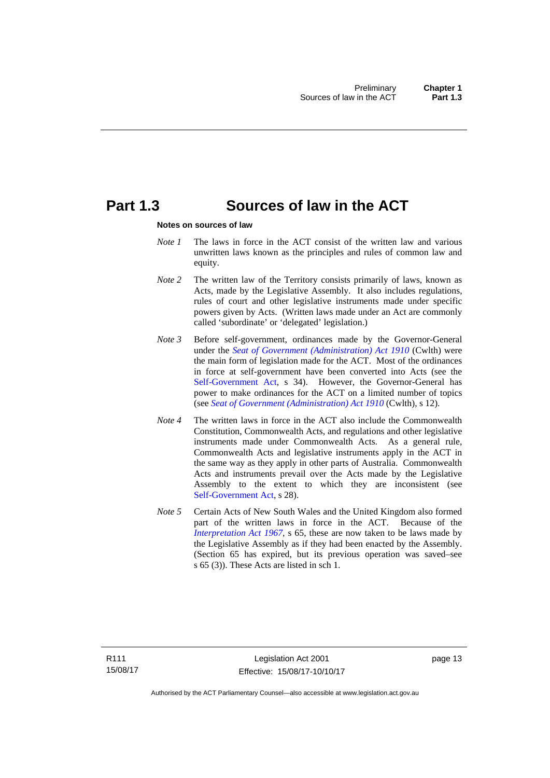## <span id="page-28-0"></span>**Part 1.3 Sources of law in the ACT**

#### **Notes on sources of law**

- *Note 1* The laws in force in the ACT consist of the written law and various unwritten laws known as the principles and rules of common law and equity.
- *Note* 2 The written law of the Territory consists primarily of laws, known as Acts, made by the Legislative Assembly. It also includes regulations, rules of court and other legislative instruments made under specific powers given by Acts. (Written laws made under an Act are commonly called 'subordinate' or 'delegated' legislation.)
- *Note 3* Before self-government, ordinances made by the Governor-General under the *[Seat of Government \(Administration\) Act 1910](http://www.comlaw.gov.au/Series/C2004A07446)* (Cwlth) were the main form of legislation made for the ACT. Most of the ordinances in force at self-government have been converted into Acts (see the [Self-Government Act,](http://www.comlaw.gov.au/Series/C2004A03699) s 34). However, the Governor-General has power to make ordinances for the ACT on a limited number of topics (see *[Seat of Government \(Administration\) Act 1910](http://www.comlaw.gov.au/Series/C2004A07446)* (Cwlth), s 12).
- *Note 4* The written laws in force in the ACT also include the Commonwealth Constitution, Commonwealth Acts, and regulations and other legislative instruments made under Commonwealth Acts. As a general rule, Commonwealth Acts and legislative instruments apply in the ACT in the same way as they apply in other parts of Australia. Commonwealth Acts and instruments prevail over the Acts made by the Legislative Assembly to the extent to which they are inconsistent (see [Self-Government Act](http://www.comlaw.gov.au/Series/C2004A03699), s 28).
- *Note 5* Certain Acts of New South Wales and the United Kingdom also formed part of the written laws in force in the ACT. Because of the *[Interpretation Act 1967](http://www.legislation.act.gov.au/a/1967-48)*, s 65, these are now taken to be laws made by the Legislative Assembly as if they had been enacted by the Assembly. (Section 65 has expired, but its previous operation was saved–see s 65 (3)). These Acts are listed in sch 1.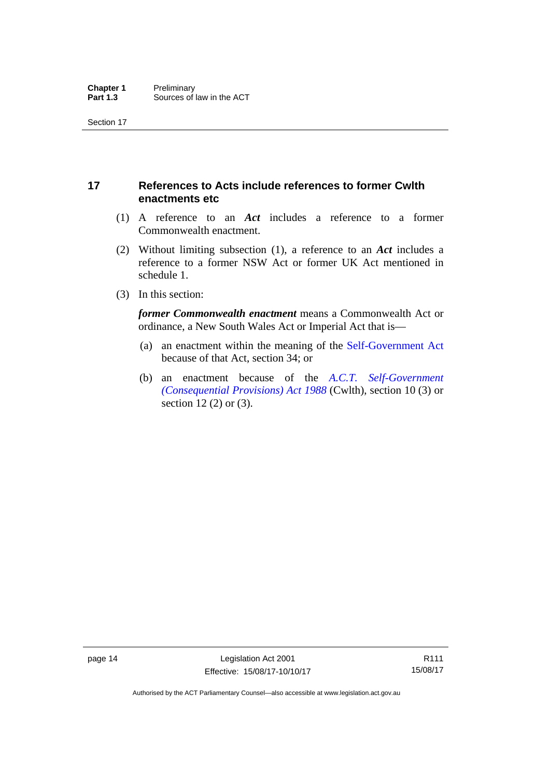## <span id="page-29-0"></span>**17 References to Acts include references to former Cwlth enactments etc**

- (1) A reference to an *Act* includes a reference to a former Commonwealth enactment.
- (2) Without limiting subsection (1), a reference to an *Act* includes a reference to a former NSW Act or former UK Act mentioned in schedule 1.
- (3) In this section:

*former Commonwealth enactment* means a Commonwealth Act or ordinance, a New South Wales Act or Imperial Act that is—

- (a) an enactment within the meaning of the [Self-Government Act](http://www.comlaw.gov.au/Series/C2004A03699) because of that Act, section 34; or
- (b) an enactment because of the *[A.C.T. Self-Government](http://www.comlaw.gov.au/Series/C2004A03702)  [\(Consequential Provisions\) Act 1988](http://www.comlaw.gov.au/Series/C2004A03702)* (Cwlth), section 10 (3) or section 12 (2) or (3).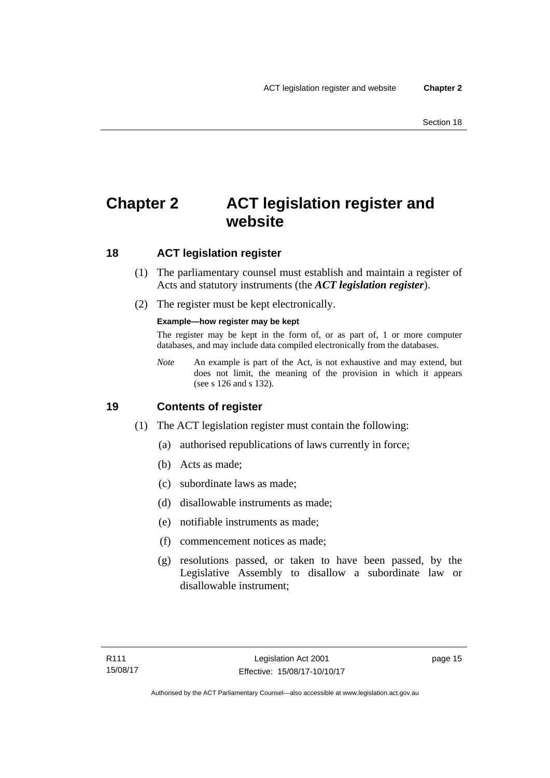## <span id="page-30-0"></span>**Chapter 2 ACT legislation register and website**

## <span id="page-30-1"></span>**18 ACT legislation register**

- (1) The parliamentary counsel must establish and maintain a register of Acts and statutory instruments (the *ACT legislation register*).
- (2) The register must be kept electronically.

### **Example—how register may be kept**

The register may be kept in the form of, or as part of, 1 or more computer databases, and may include data compiled electronically from the databases.

*Note* An example is part of the Act, is not exhaustive and may extend, but does not limit, the meaning of the provision in which it appears (see s 126 and s 132).

## <span id="page-30-2"></span>**19 Contents of register**

- (1) The ACT legislation register must contain the following:
	- (a) authorised republications of laws currently in force;
	- (b) Acts as made;
	- (c) subordinate laws as made;
	- (d) disallowable instruments as made;
	- (e) notifiable instruments as made;
	- (f) commencement notices as made;
	- (g) resolutions passed, or taken to have been passed, by the Legislative Assembly to disallow a subordinate law or disallowable instrument;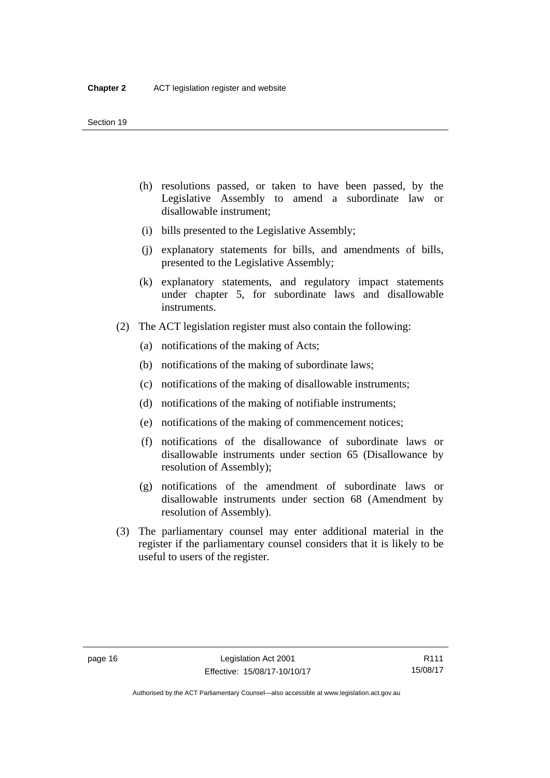- (h) resolutions passed, or taken to have been passed, by the Legislative Assembly to amend a subordinate law or disallowable instrument;
- (i) bills presented to the Legislative Assembly;
- (j) explanatory statements for bills, and amendments of bills, presented to the Legislative Assembly;
- (k) explanatory statements, and regulatory impact statements under chapter 5, for subordinate laws and disallowable instruments.
- (2) The ACT legislation register must also contain the following:
	- (a) notifications of the making of Acts;
	- (b) notifications of the making of subordinate laws;
	- (c) notifications of the making of disallowable instruments;
	- (d) notifications of the making of notifiable instruments;
	- (e) notifications of the making of commencement notices;
	- (f) notifications of the disallowance of subordinate laws or disallowable instruments under section 65 (Disallowance by resolution of Assembly);
	- (g) notifications of the amendment of subordinate laws or disallowable instruments under section 68 (Amendment by resolution of Assembly).
- (3) The parliamentary counsel may enter additional material in the register if the parliamentary counsel considers that it is likely to be useful to users of the register.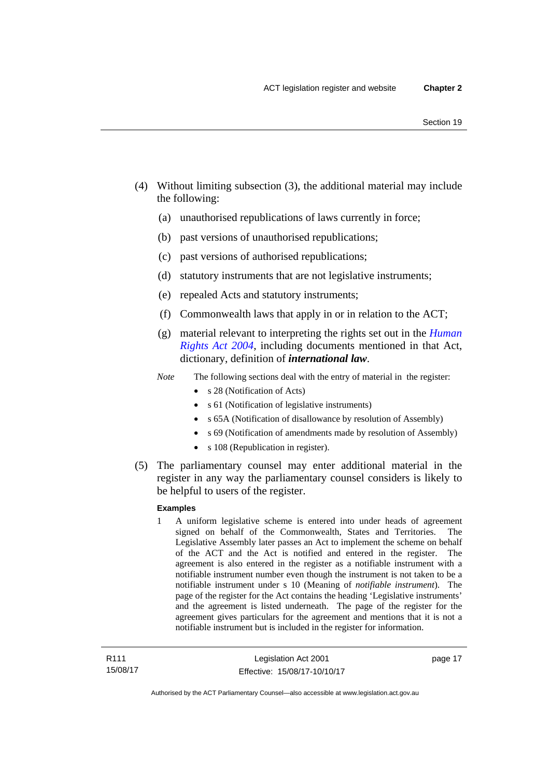- (4) Without limiting subsection (3), the additional material may include the following:
	- (a) unauthorised republications of laws currently in force;
	- (b) past versions of unauthorised republications;
	- (c) past versions of authorised republications;
	- (d) statutory instruments that are not legislative instruments;
	- (e) repealed Acts and statutory instruments;
	- (f) Commonwealth laws that apply in or in relation to the ACT;
	- (g) material relevant to interpreting the rights set out in the *[Human](http://www.legislation.act.gov.au/a/2004-5)  [Rights Act 2004](http://www.legislation.act.gov.au/a/2004-5)*, including documents mentioned in that Act, dictionary, definition of *international law*.
	- *Note* The following sections deal with the entry of material in the register:
		- s 28 (Notification of Acts)
		- s 61 (Notification of legislative instruments)
		- s 65A (Notification of disallowance by resolution of Assembly)
		- s 69 (Notification of amendments made by resolution of Assembly)
		- s 108 (Republication in register).
- (5) The parliamentary counsel may enter additional material in the register in any way the parliamentary counsel considers is likely to be helpful to users of the register.

#### **Examples**

1 A uniform legislative scheme is entered into under heads of agreement signed on behalf of the Commonwealth, States and Territories. The Legislative Assembly later passes an Act to implement the scheme on behalf of the ACT and the Act is notified and entered in the register. The agreement is also entered in the register as a notifiable instrument with a notifiable instrument number even though the instrument is not taken to be a notifiable instrument under s 10 (Meaning of *notifiable instrument*). The page of the register for the Act contains the heading 'Legislative instruments' and the agreement is listed underneath. The page of the register for the agreement gives particulars for the agreement and mentions that it is not a notifiable instrument but is included in the register for information.

page 17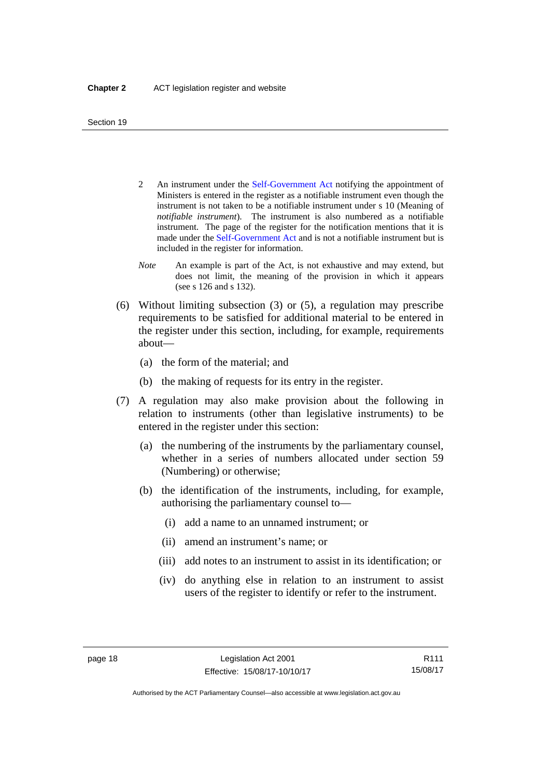- 2 An instrument under the [Self-Government Act](http://www.comlaw.gov.au/Series/C2004A03699) notifying the appointment of Ministers is entered in the register as a notifiable instrument even though the instrument is not taken to be a notifiable instrument under s 10 (Meaning of *notifiable instrument*). The instrument is also numbered as a notifiable instrument. The page of the register for the notification mentions that it is made under the [Self-Government Act](http://www.comlaw.gov.au/Series/C2004A03699) and is not a notifiable instrument but is included in the register for information.
- *Note* An example is part of the Act, is not exhaustive and may extend, but does not limit, the meaning of the provision in which it appears (see s 126 and s 132).
- (6) Without limiting subsection (3) or (5), a regulation may prescribe requirements to be satisfied for additional material to be entered in the register under this section, including, for example, requirements about—
	- (a) the form of the material; and
	- (b) the making of requests for its entry in the register.
- (7) A regulation may also make provision about the following in relation to instruments (other than legislative instruments) to be entered in the register under this section:
	- (a) the numbering of the instruments by the parliamentary counsel, whether in a series of numbers allocated under section 59 (Numbering) or otherwise;
	- (b) the identification of the instruments, including, for example, authorising the parliamentary counsel to—
		- (i) add a name to an unnamed instrument; or
		- (ii) amend an instrument's name; or
		- (iii) add notes to an instrument to assist in its identification; or
		- (iv) do anything else in relation to an instrument to assist users of the register to identify or refer to the instrument.

R111 15/08/17

Authorised by the ACT Parliamentary Counsel—also accessible at www.legislation.act.gov.au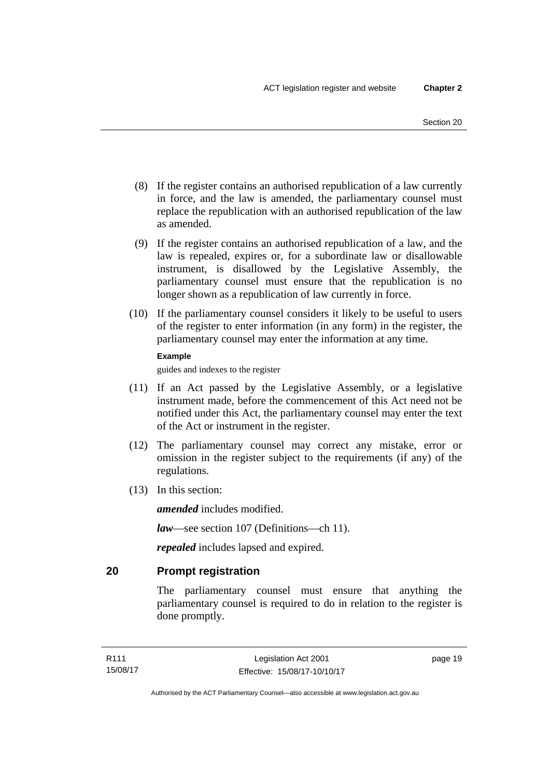- (8) If the register contains an authorised republication of a law currently in force, and the law is amended, the parliamentary counsel must replace the republication with an authorised republication of the law as amended.
- (9) If the register contains an authorised republication of a law, and the law is repealed, expires or, for a subordinate law or disallowable instrument, is disallowed by the Legislative Assembly, the parliamentary counsel must ensure that the republication is no longer shown as a republication of law currently in force.
- (10) If the parliamentary counsel considers it likely to be useful to users of the register to enter information (in any form) in the register, the parliamentary counsel may enter the information at any time.

#### **Example**

guides and indexes to the register

- (11) If an Act passed by the Legislative Assembly, or a legislative instrument made, before the commencement of this Act need not be notified under this Act, the parliamentary counsel may enter the text of the Act or instrument in the register.
- (12) The parliamentary counsel may correct any mistake, error or omission in the register subject to the requirements (if any) of the regulations.
- (13) In this section:

*amended* includes modified.

*law*—see section 107 (Definitions—ch 11).

*repealed* includes lapsed and expired.

## <span id="page-34-0"></span>**20 Prompt registration**

The parliamentary counsel must ensure that anything the parliamentary counsel is required to do in relation to the register is done promptly.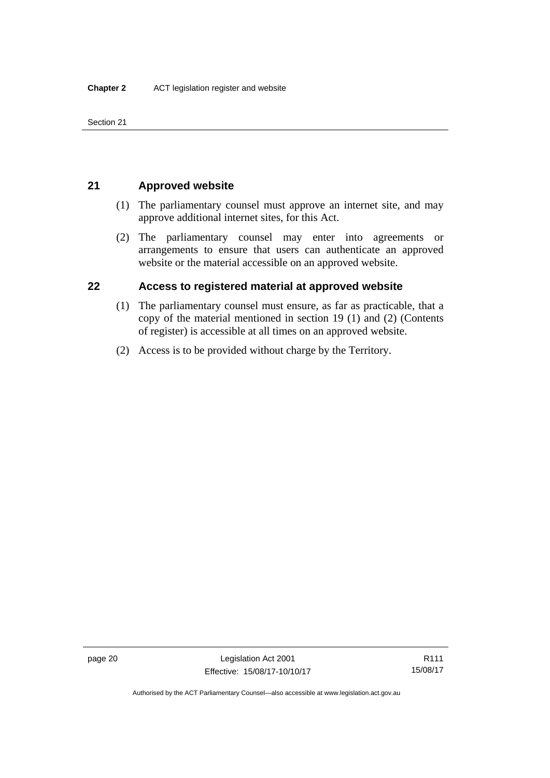Section 21

## <span id="page-35-0"></span>**21 Approved website**

- (1) The parliamentary counsel must approve an internet site, and may approve additional internet sites, for this Act.
- (2) The parliamentary counsel may enter into agreements or arrangements to ensure that users can authenticate an approved website or the material accessible on an approved website.

## <span id="page-35-1"></span>**22 Access to registered material at approved website**

- (1) The parliamentary counsel must ensure, as far as practicable, that a copy of the material mentioned in section 19 (1) and (2) (Contents of register) is accessible at all times on an approved website.
- (2) Access is to be provided without charge by the Territory.

R111 15/08/17

Authorised by the ACT Parliamentary Counsel—also accessible at www.legislation.act.gov.au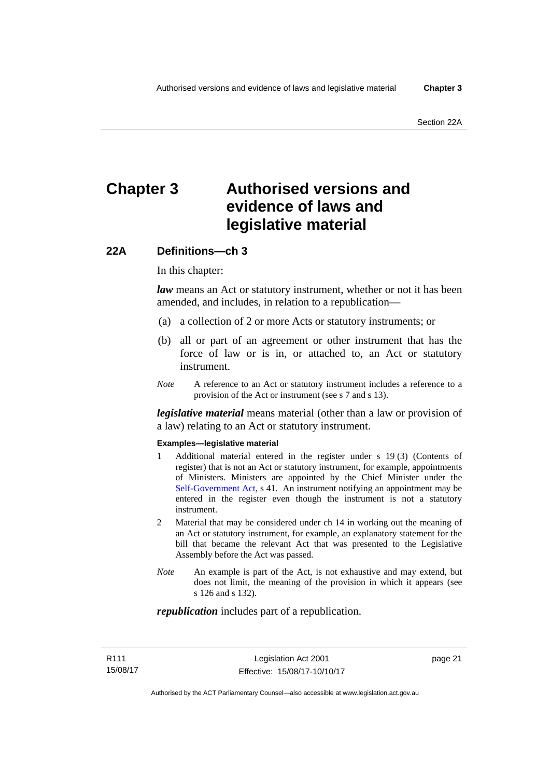# **Chapter 3 Authorised versions and evidence of laws and legislative material**

### **22A Definitions—ch 3**

In this chapter:

*law* means an Act or statutory instrument, whether or not it has been amended, and includes, in relation to a republication—

- (a) a collection of 2 or more Acts or statutory instruments; or
- (b) all or part of an agreement or other instrument that has the force of law or is in, or attached to, an Act or statutory instrument.
- *Note* A reference to an Act or statutory instrument includes a reference to a provision of the Act or instrument (see s 7 and s 13).

*legislative material* means material (other than a law or provision of a law) relating to an Act or statutory instrument.

#### **Examples—legislative material**

- 1 Additional material entered in the register under s 19 (3) (Contents of register) that is not an Act or statutory instrument, for example, appointments of Ministers. Ministers are appointed by the Chief Minister under the [Self-Government Act,](http://www.comlaw.gov.au/Series/C2004A03699) s 41. An instrument notifying an appointment may be entered in the register even though the instrument is not a statutory instrument.
- 2 Material that may be considered under ch 14 in working out the meaning of an Act or statutory instrument, for example, an explanatory statement for the bill that became the relevant Act that was presented to the Legislative Assembly before the Act was passed.
- *Note* An example is part of the Act, is not exhaustive and may extend, but does not limit, the meaning of the provision in which it appears (see s 126 and s 132).

#### *republication* includes part of a republication.

page 21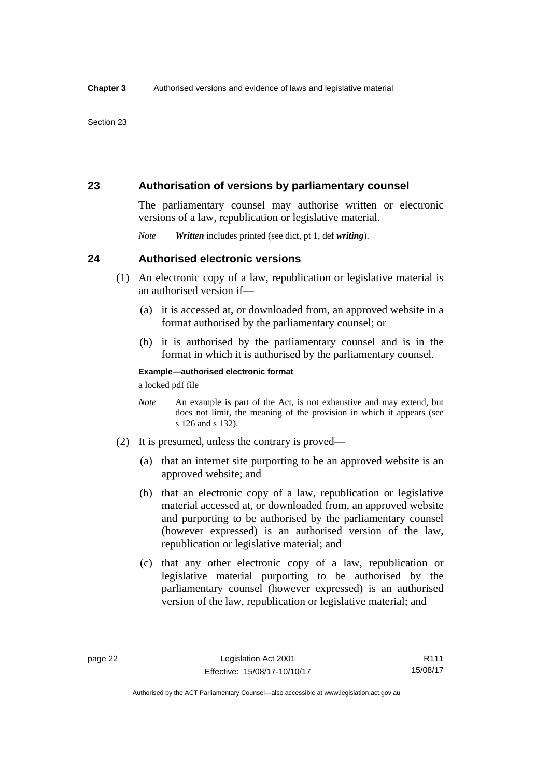### **23 Authorisation of versions by parliamentary counsel**

The parliamentary counsel may authorise written or electronic versions of a law, republication or legislative material.

*Note Written* includes printed (see dict, pt 1, def *writing*).

### **24 Authorised electronic versions**

- (1) An electronic copy of a law, republication or legislative material is an authorised version if—
	- (a) it is accessed at, or downloaded from, an approved website in a format authorised by the parliamentary counsel; or
	- (b) it is authorised by the parliamentary counsel and is in the format in which it is authorised by the parliamentary counsel.

**Example—authorised electronic format** 

a locked pdf file

- *Note* An example is part of the Act, is not exhaustive and may extend, but does not limit, the meaning of the provision in which it appears (see s 126 and s 132).
- (2) It is presumed, unless the contrary is proved—
	- (a) that an internet site purporting to be an approved website is an approved website; and
	- (b) that an electronic copy of a law, republication or legislative material accessed at, or downloaded from, an approved website and purporting to be authorised by the parliamentary counsel (however expressed) is an authorised version of the law, republication or legislative material; and
	- (c) that any other electronic copy of a law, republication or legislative material purporting to be authorised by the parliamentary counsel (however expressed) is an authorised version of the law, republication or legislative material; and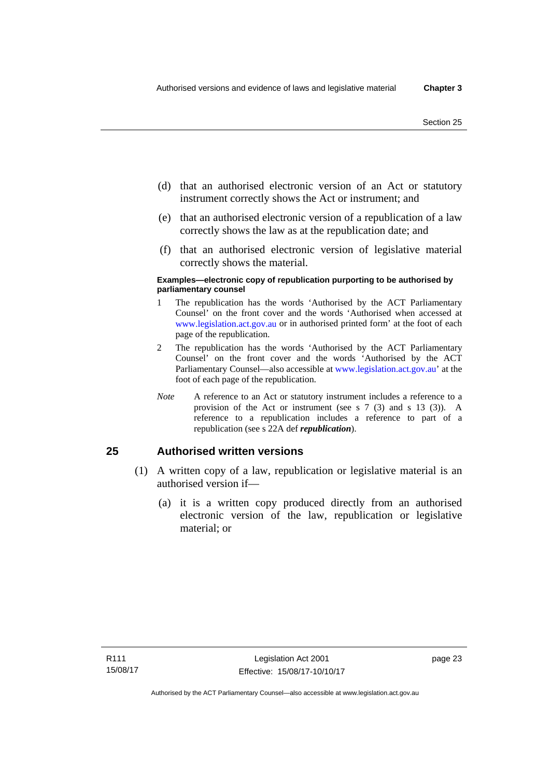- (d) that an authorised electronic version of an Act or statutory instrument correctly shows the Act or instrument; and
- (e) that an authorised electronic version of a republication of a law correctly shows the law as at the republication date; and
- (f) that an authorised electronic version of legislative material correctly shows the material.

#### **Examples—electronic copy of republication purporting to be authorised by parliamentary counsel**

- 1 The republication has the words 'Authorised by the ACT Parliamentary Counsel' on the front cover and the words 'Authorised when accessed at [www.legislation.act.gov.au](http://www.legislation.act.gov.au/) or in authorised printed form' at the foot of each page of the republication.
- 2 The republication has the words 'Authorised by the ACT Parliamentary Counsel' on the front cover and the words 'Authorised by the ACT Parliamentary Counsel—also accessible at [www.legislation.act.gov.au](http://www.legislation.act.gov.au/)' at the foot of each page of the republication.
- *Note* A reference to an Act or statutory instrument includes a reference to a provision of the Act or instrument (see s 7 (3) and s 13 (3)). A reference to a republication includes a reference to part of a republication (see s 22A def *republication*).

### **25 Authorised written versions**

- (1) A written copy of a law, republication or legislative material is an authorised version if—
	- (a) it is a written copy produced directly from an authorised electronic version of the law, republication or legislative material; or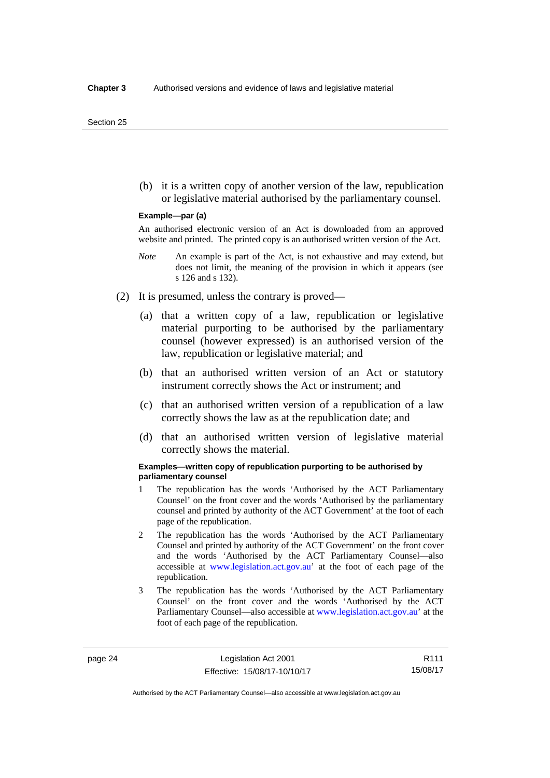(b) it is a written copy of another version of the law, republication or legislative material authorised by the parliamentary counsel.

#### **Example—par (a)**

An authorised electronic version of an Act is downloaded from an approved website and printed. The printed copy is an authorised written version of the Act.

- *Note* An example is part of the Act, is not exhaustive and may extend, but does not limit, the meaning of the provision in which it appears (see s 126 and s 132).
- (2) It is presumed, unless the contrary is proved—
	- (a) that a written copy of a law, republication or legislative material purporting to be authorised by the parliamentary counsel (however expressed) is an authorised version of the law, republication or legislative material; and
	- (b) that an authorised written version of an Act or statutory instrument correctly shows the Act or instrument; and
	- (c) that an authorised written version of a republication of a law correctly shows the law as at the republication date; and
	- (d) that an authorised written version of legislative material correctly shows the material.

#### **Examples—written copy of republication purporting to be authorised by parliamentary counsel**

- 1 The republication has the words 'Authorised by the ACT Parliamentary Counsel' on the front cover and the words 'Authorised by the parliamentary counsel and printed by authority of the ACT Government' at the foot of each page of the republication.
- 2 The republication has the words 'Authorised by the ACT Parliamentary Counsel and printed by authority of the ACT Government' on the front cover and the words 'Authorised by the ACT Parliamentary Counsel—also accessible at [www.legislation.act.gov.au'](http://www.legislation.act.gov.au/) at the foot of each page of the republication.
- 3 The republication has the words 'Authorised by the ACT Parliamentary Counsel' on the front cover and the words 'Authorised by the ACT Parliamentary Counsel—also accessible at [www.legislation.act.gov.au](http://www.legislation.act.gov.au/)' at the foot of each page of the republication.

Authorised by the ACT Parliamentary Counsel—also accessible at www.legislation.act.gov.au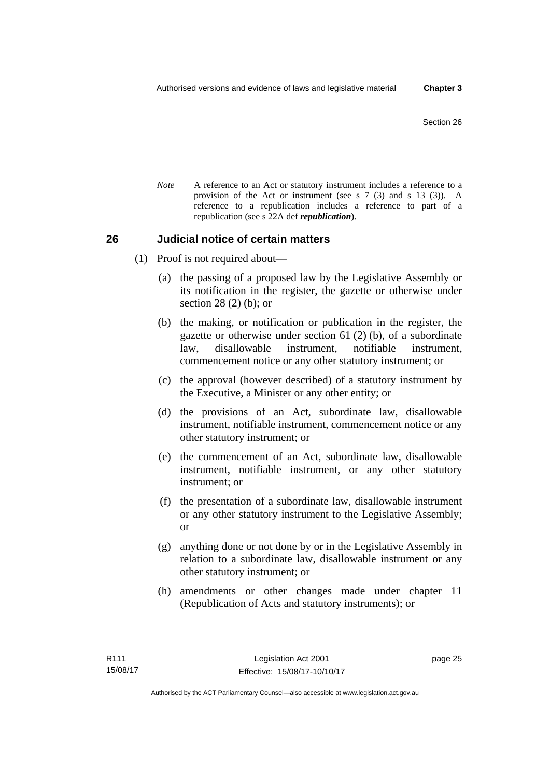*Note* A reference to an Act or statutory instrument includes a reference to a provision of the Act or instrument (see s 7 (3) and s 13 (3)). A reference to a republication includes a reference to part of a republication (see s 22A def *republication*).

### **26 Judicial notice of certain matters**

- (1) Proof is not required about—
	- (a) the passing of a proposed law by the Legislative Assembly or its notification in the register, the gazette or otherwise under section 28 (2) (b); or
	- (b) the making, or notification or publication in the register, the gazette or otherwise under section 61 (2) (b), of a subordinate law, disallowable instrument, notifiable instrument, commencement notice or any other statutory instrument; or
	- (c) the approval (however described) of a statutory instrument by the Executive, a Minister or any other entity; or
	- (d) the provisions of an Act, subordinate law, disallowable instrument, notifiable instrument, commencement notice or any other statutory instrument; or
	- (e) the commencement of an Act, subordinate law, disallowable instrument, notifiable instrument, or any other statutory instrument; or
	- (f) the presentation of a subordinate law, disallowable instrument or any other statutory instrument to the Legislative Assembly; or
	- (g) anything done or not done by or in the Legislative Assembly in relation to a subordinate law, disallowable instrument or any other statutory instrument; or
	- (h) amendments or other changes made under chapter 11 (Republication of Acts and statutory instruments); or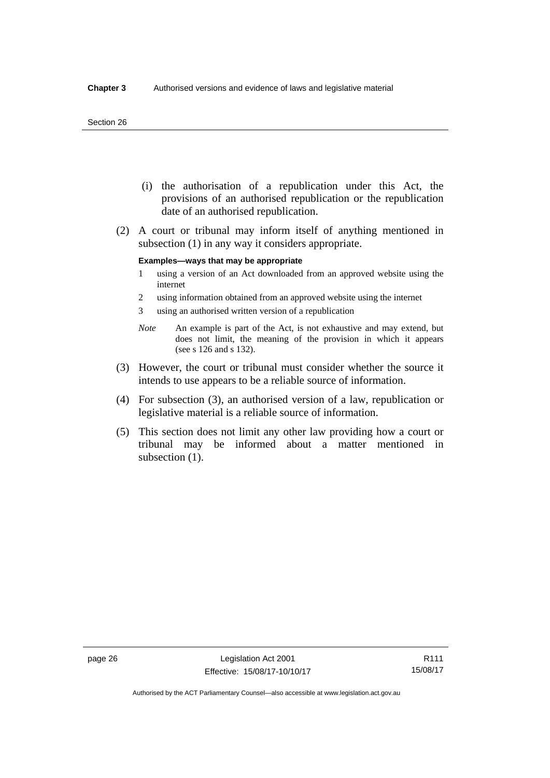#### Section 26

- (i) the authorisation of a republication under this Act, the provisions of an authorised republication or the republication date of an authorised republication.
- (2) A court or tribunal may inform itself of anything mentioned in subsection (1) in any way it considers appropriate.

#### **Examples—ways that may be appropriate**

- 1 using a version of an Act downloaded from an approved website using the internet
- 2 using information obtained from an approved website using the internet
- 3 using an authorised written version of a republication
- *Note* An example is part of the Act, is not exhaustive and may extend, but does not limit, the meaning of the provision in which it appears (see s 126 and s 132).
- (3) However, the court or tribunal must consider whether the source it intends to use appears to be a reliable source of information.
- (4) For subsection (3), an authorised version of a law, republication or legislative material is a reliable source of information.
- (5) This section does not limit any other law providing how a court or tribunal may be informed about a matter mentioned in subsection  $(1)$ .

R111 15/08/17

Authorised by the ACT Parliamentary Counsel—also accessible at www.legislation.act.gov.au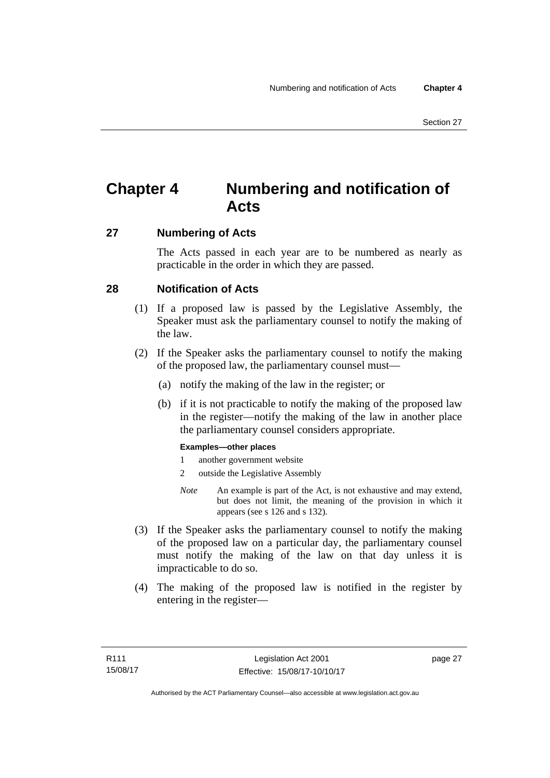# **Chapter 4 Numbering and notification of Acts**

### **27 Numbering of Acts**

The Acts passed in each year are to be numbered as nearly as practicable in the order in which they are passed.

### **28 Notification of Acts**

- (1) If a proposed law is passed by the Legislative Assembly, the Speaker must ask the parliamentary counsel to notify the making of the law.
- (2) If the Speaker asks the parliamentary counsel to notify the making of the proposed law, the parliamentary counsel must—
	- (a) notify the making of the law in the register; or
	- (b) if it is not practicable to notify the making of the proposed law in the register—notify the making of the law in another place the parliamentary counsel considers appropriate.

### **Examples—other places**

- 1 another government website
- 2 outside the Legislative Assembly
- *Note* An example is part of the Act, is not exhaustive and may extend, but does not limit, the meaning of the provision in which it appears (see s 126 and s 132).
- (3) If the Speaker asks the parliamentary counsel to notify the making of the proposed law on a particular day, the parliamentary counsel must notify the making of the law on that day unless it is impracticable to do so.
- (4) The making of the proposed law is notified in the register by entering in the register—

page 27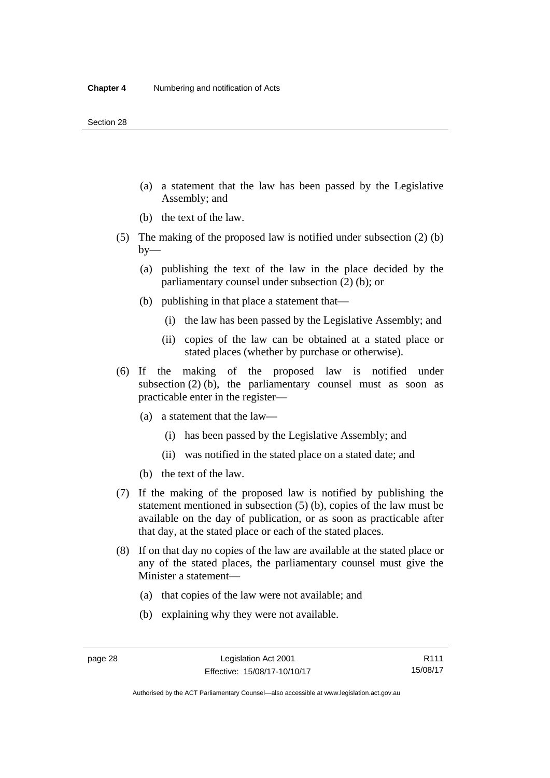- (a) a statement that the law has been passed by the Legislative Assembly; and
- (b) the text of the law.
- (5) The making of the proposed law is notified under subsection (2) (b)  $by-$ 
	- (a) publishing the text of the law in the place decided by the parliamentary counsel under subsection (2) (b); or
	- (b) publishing in that place a statement that—
		- (i) the law has been passed by the Legislative Assembly; and
		- (ii) copies of the law can be obtained at a stated place or stated places (whether by purchase or otherwise).
- (6) If the making of the proposed law is notified under subsection  $(2)$  (b), the parliamentary counsel must as soon as practicable enter in the register—
	- (a) a statement that the law—
		- (i) has been passed by the Legislative Assembly; and
		- (ii) was notified in the stated place on a stated date; and
	- (b) the text of the law.
- (7) If the making of the proposed law is notified by publishing the statement mentioned in subsection (5) (b), copies of the law must be available on the day of publication, or as soon as practicable after that day, at the stated place or each of the stated places.
- (8) If on that day no copies of the law are available at the stated place or any of the stated places, the parliamentary counsel must give the Minister a statement—
	- (a) that copies of the law were not available; and
	- (b) explaining why they were not available.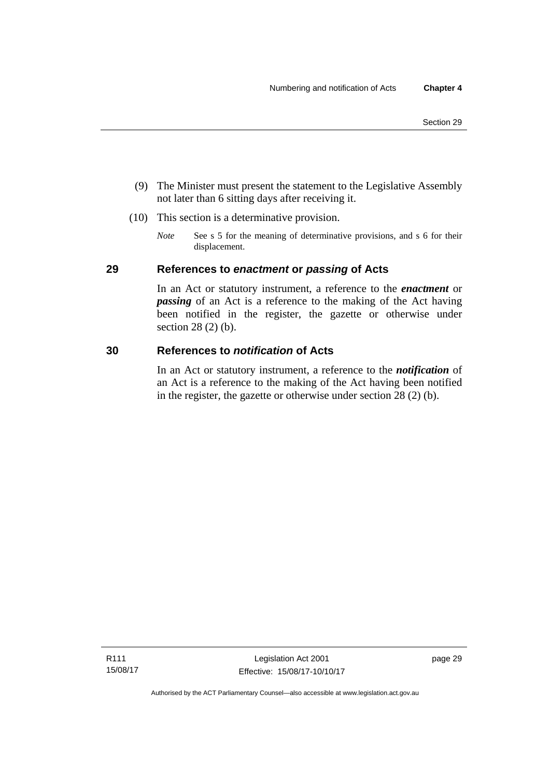- (9) The Minister must present the statement to the Legislative Assembly not later than 6 sitting days after receiving it.
- (10) This section is a determinative provision.
	- *Note* See s 5 for the meaning of determinative provisions, and s 6 for their displacement.

### **29 References to** *enactment* **or** *passing* **of Acts**

In an Act or statutory instrument, a reference to the *enactment* or *passing* of an Act is a reference to the making of the Act having been notified in the register, the gazette or otherwise under section 28 (2) (b).

### **30 References to** *notification* **of Acts**

In an Act or statutory instrument, a reference to the *notification* of an Act is a reference to the making of the Act having been notified in the register, the gazette or otherwise under section 28 (2) (b).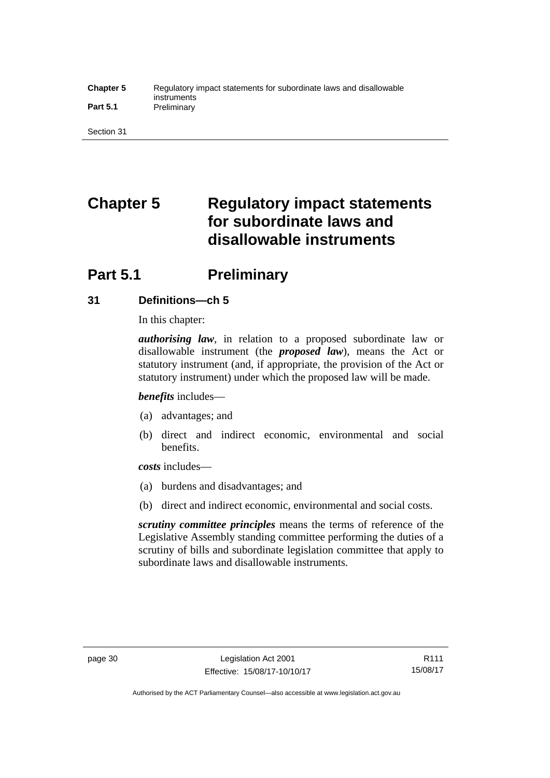#### **Chapter 5** Regulatory impact statements for subordinate laws and disallowable instruments Part 5.1 **Preliminary**

Section 31

# **Chapter 5 Regulatory impact statements for subordinate laws and disallowable instruments**

# **Part 5.1** Preliminary

### **31 Definitions—ch 5**

In this chapter:

*authorising law*, in relation to a proposed subordinate law or disallowable instrument (the *proposed law*), means the Act or statutory instrument (and, if appropriate, the provision of the Act or statutory instrument) under which the proposed law will be made.

*benefits* includes—

- (a) advantages; and
- (b) direct and indirect economic, environmental and social benefits.

*costs* includes—

- (a) burdens and disadvantages; and
- (b) direct and indirect economic, environmental and social costs.

*scrutiny committee principles* means the terms of reference of the Legislative Assembly standing committee performing the duties of a scrutiny of bills and subordinate legislation committee that apply to subordinate laws and disallowable instruments.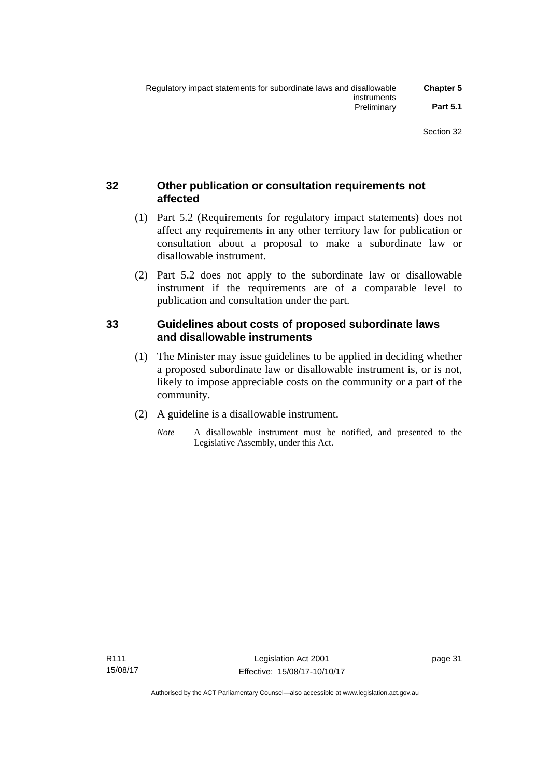### **32 Other publication or consultation requirements not affected**

- (1) Part 5.2 (Requirements for regulatory impact statements) does not affect any requirements in any other territory law for publication or consultation about a proposal to make a subordinate law or disallowable instrument.
- (2) Part 5.2 does not apply to the subordinate law or disallowable instrument if the requirements are of a comparable level to publication and consultation under the part.

### **33 Guidelines about costs of proposed subordinate laws and disallowable instruments**

- (1) The Minister may issue guidelines to be applied in deciding whether a proposed subordinate law or disallowable instrument is, or is not, likely to impose appreciable costs on the community or a part of the community.
- (2) A guideline is a disallowable instrument.
	- *Note* A disallowable instrument must be notified, and presented to the Legislative Assembly, under this Act.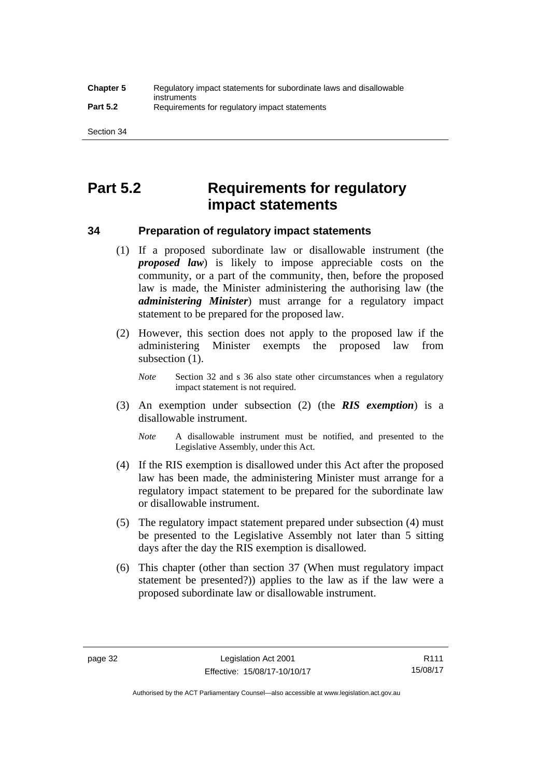# **Part 5.2 Requirements for regulatory impact statements**

### **34 Preparation of regulatory impact statements**

- (1) If a proposed subordinate law or disallowable instrument (the *proposed law*) is likely to impose appreciable costs on the community, or a part of the community, then, before the proposed law is made, the Minister administering the authorising law (the *administering Minister*) must arrange for a regulatory impact statement to be prepared for the proposed law.
- (2) However, this section does not apply to the proposed law if the administering Minister exempts the proposed law from subsection  $(1)$ .

*Note* Section 32 and s 36 also state other circumstances when a regulatory impact statement is not required.

- (3) An exemption under subsection (2) (the *RIS exemption*) is a disallowable instrument.
	- *Note* A disallowable instrument must be notified, and presented to the Legislative Assembly, under this Act.
- (4) If the RIS exemption is disallowed under this Act after the proposed law has been made, the administering Minister must arrange for a regulatory impact statement to be prepared for the subordinate law or disallowable instrument.
- (5) The regulatory impact statement prepared under subsection (4) must be presented to the Legislative Assembly not later than 5 sitting days after the day the RIS exemption is disallowed.
- (6) This chapter (other than section 37 (When must regulatory impact statement be presented?)) applies to the law as if the law were a proposed subordinate law or disallowable instrument.

Authorised by the ACT Parliamentary Counsel—also accessible at www.legislation.act.gov.au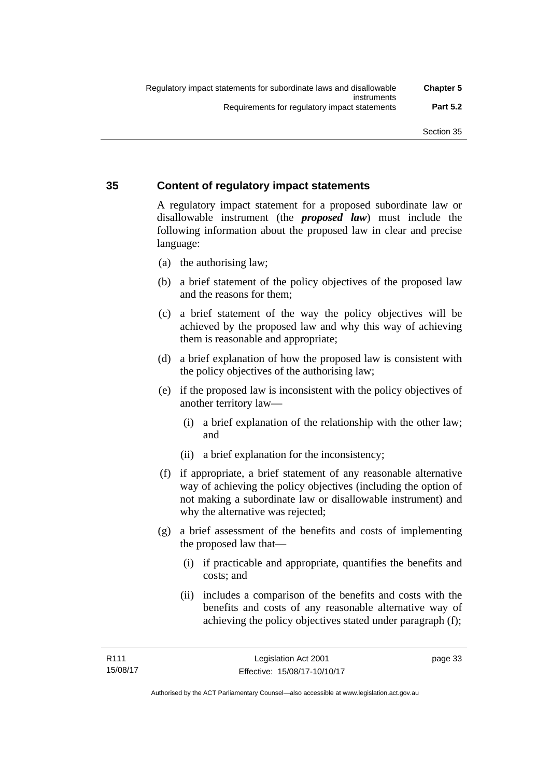### **35 Content of regulatory impact statements**

A regulatory impact statement for a proposed subordinate law or disallowable instrument (the *proposed law*) must include the following information about the proposed law in clear and precise language:

- (a) the authorising law;
- (b) a brief statement of the policy objectives of the proposed law and the reasons for them;
- (c) a brief statement of the way the policy objectives will be achieved by the proposed law and why this way of achieving them is reasonable and appropriate;
- (d) a brief explanation of how the proposed law is consistent with the policy objectives of the authorising law;
- (e) if the proposed law is inconsistent with the policy objectives of another territory law—
	- (i) a brief explanation of the relationship with the other law; and
	- (ii) a brief explanation for the inconsistency;
- (f) if appropriate, a brief statement of any reasonable alternative way of achieving the policy objectives (including the option of not making a subordinate law or disallowable instrument) and why the alternative was rejected;
- (g) a brief assessment of the benefits and costs of implementing the proposed law that—
	- (i) if practicable and appropriate, quantifies the benefits and costs; and
	- (ii) includes a comparison of the benefits and costs with the benefits and costs of any reasonable alternative way of achieving the policy objectives stated under paragraph (f);

page 33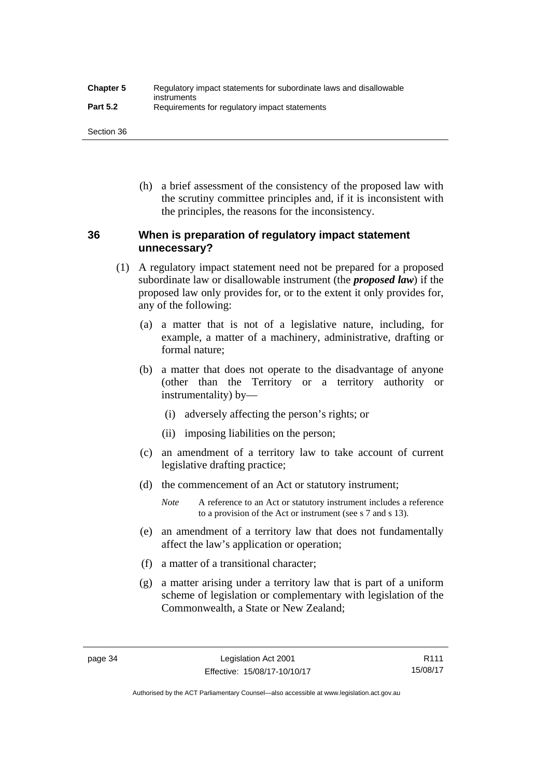| <b>Chapter 5</b> | Regulatory impact statements for subordinate laws and disallowable |
|------------------|--------------------------------------------------------------------|
| <b>Part 5.2</b>  | instruments<br>Requirements for regulatory impact statements       |

Section 36

 (h) a brief assessment of the consistency of the proposed law with the scrutiny committee principles and, if it is inconsistent with the principles, the reasons for the inconsistency.

### **36 When is preparation of regulatory impact statement unnecessary?**

- (1) A regulatory impact statement need not be prepared for a proposed subordinate law or disallowable instrument (the *proposed law*) if the proposed law only provides for, or to the extent it only provides for, any of the following:
	- (a) a matter that is not of a legislative nature, including, for example, a matter of a machinery, administrative, drafting or formal nature;
	- (b) a matter that does not operate to the disadvantage of anyone (other than the Territory or a territory authority or instrumentality) by—
		- (i) adversely affecting the person's rights; or
		- (ii) imposing liabilities on the person;
	- (c) an amendment of a territory law to take account of current legislative drafting practice;
	- (d) the commencement of an Act or statutory instrument;
		- *Note* A reference to an Act or statutory instrument includes a reference to a provision of the Act or instrument (see s 7 and s 13).
	- (e) an amendment of a territory law that does not fundamentally affect the law's application or operation;
	- (f) a matter of a transitional character;
	- (g) a matter arising under a territory law that is part of a uniform scheme of legislation or complementary with legislation of the Commonwealth, a State or New Zealand;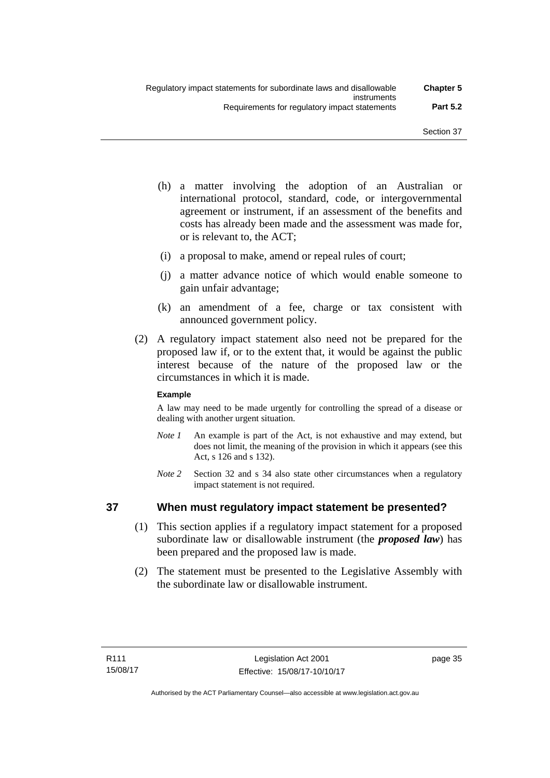- (h) a matter involving the adoption of an Australian or international protocol, standard, code, or intergovernmental agreement or instrument, if an assessment of the benefits and costs has already been made and the assessment was made for, or is relevant to, the ACT;
- (i) a proposal to make, amend or repeal rules of court;
- (j) a matter advance notice of which would enable someone to gain unfair advantage;
- (k) an amendment of a fee, charge or tax consistent with announced government policy.
- (2) A regulatory impact statement also need not be prepared for the proposed law if, or to the extent that, it would be against the public interest because of the nature of the proposed law or the circumstances in which it is made.

### **Example**

A law may need to be made urgently for controlling the spread of a disease or dealing with another urgent situation.

- *Note 1* An example is part of the Act, is not exhaustive and may extend, but does not limit, the meaning of the provision in which it appears (see this Act, s 126 and s 132).
- *Note* 2 Section 32 and s 34 also state other circumstances when a regulatory impact statement is not required.

### **37 When must regulatory impact statement be presented?**

- (1) This section applies if a regulatory impact statement for a proposed subordinate law or disallowable instrument (the *proposed law*) has been prepared and the proposed law is made.
- (2) The statement must be presented to the Legislative Assembly with the subordinate law or disallowable instrument.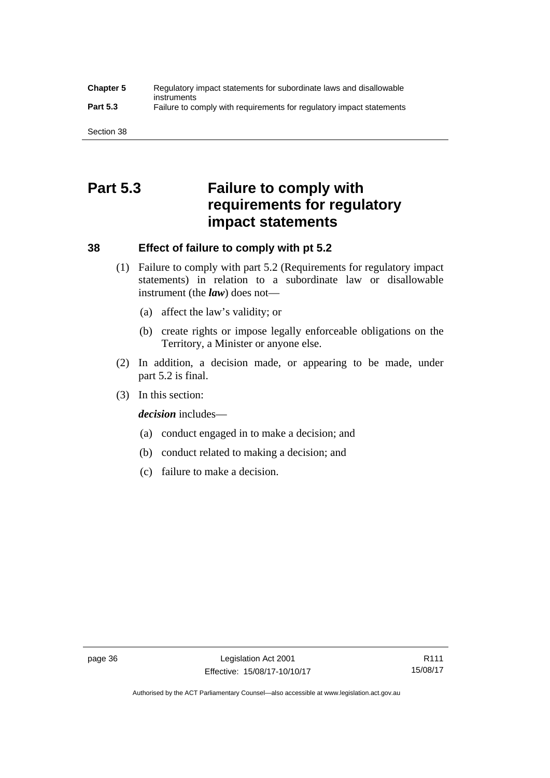### **Chapter 5** Regulatory impact statements for subordinate laws and disallowable instruments **Part 5.3** Failure to comply with requirements for regulatory impact statements

Section 38

# **Part 5.3 Failure to comply with requirements for regulatory impact statements**

### **38 Effect of failure to comply with pt 5.2**

- (1) Failure to comply with part 5.2 (Requirements for regulatory impact statements) in relation to a subordinate law or disallowable instrument (the *law*) does not—
	- (a) affect the law's validity; or
	- (b) create rights or impose legally enforceable obligations on the Territory, a Minister or anyone else.
- (2) In addition, a decision made, or appearing to be made, under part 5.2 is final.
- (3) In this section:

*decision* includes—

- (a) conduct engaged in to make a decision; and
- (b) conduct related to making a decision; and
- (c) failure to make a decision.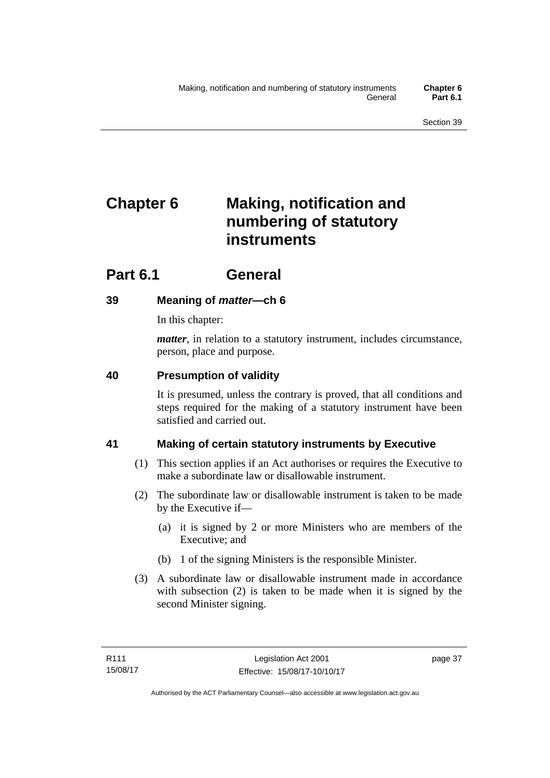# **Chapter 6 Making, notification and numbering of statutory instruments**

# **Part 6.1 General**

## **39 Meaning of** *matter***—ch 6**

In this chapter:

*matter*, in relation to a statutory instrument, includes circumstance, person, place and purpose.

## **40 Presumption of validity**

It is presumed, unless the contrary is proved, that all conditions and steps required for the making of a statutory instrument have been satisfied and carried out.

## **41 Making of certain statutory instruments by Executive**

- (1) This section applies if an Act authorises or requires the Executive to make a subordinate law or disallowable instrument.
- (2) The subordinate law or disallowable instrument is taken to be made by the Executive if—
	- (a) it is signed by 2 or more Ministers who are members of the Executive; and
	- (b) 1 of the signing Ministers is the responsible Minister.
- (3) A subordinate law or disallowable instrument made in accordance with subsection (2) is taken to be made when it is signed by the second Minister signing.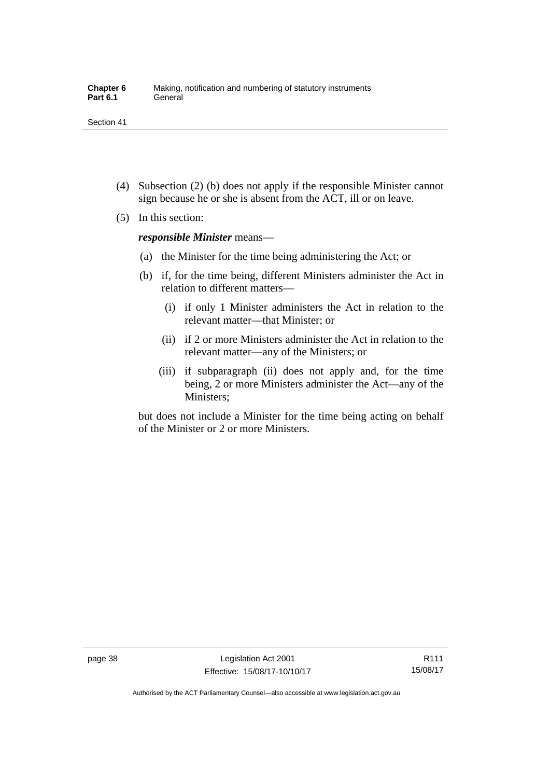- (4) Subsection (2) (b) does not apply if the responsible Minister cannot sign because he or she is absent from the ACT, ill or on leave.
- (5) In this section:

*responsible Minister* means—

- (a) the Minister for the time being administering the Act; or
- (b) if, for the time being, different Ministers administer the Act in relation to different matters—
	- (i) if only 1 Minister administers the Act in relation to the relevant matter—that Minister; or
	- (ii) if 2 or more Ministers administer the Act in relation to the relevant matter—any of the Ministers; or
	- (iii) if subparagraph (ii) does not apply and, for the time being, 2 or more Ministers administer the Act—any of the Ministers;

but does not include a Minister for the time being acting on behalf of the Minister or 2 or more Ministers.

R111 15/08/17

Authorised by the ACT Parliamentary Counsel—also accessible at www.legislation.act.gov.au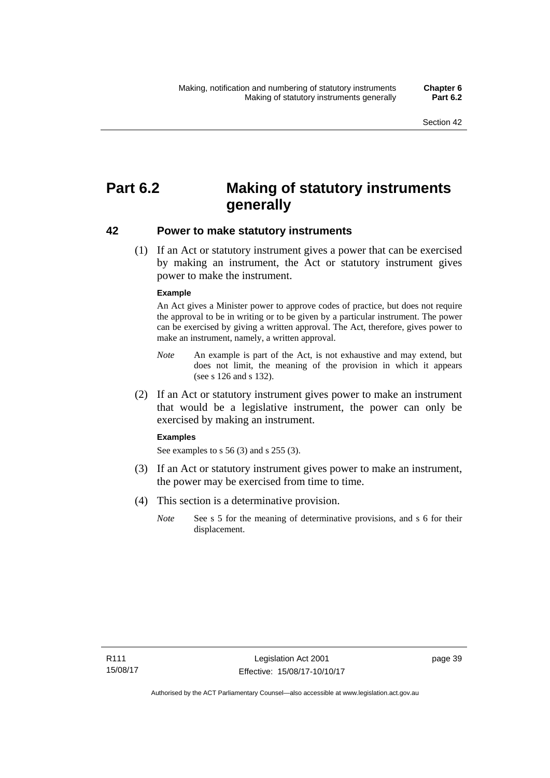# **Part 6.2 Making of statutory instruments generally**

### **42 Power to make statutory instruments**

 (1) If an Act or statutory instrument gives a power that can be exercised by making an instrument, the Act or statutory instrument gives power to make the instrument.

#### **Example**

An Act gives a Minister power to approve codes of practice, but does not require the approval to be in writing or to be given by a particular instrument. The power can be exercised by giving a written approval. The Act, therefore, gives power to make an instrument, namely, a written approval.

- *Note* An example is part of the Act, is not exhaustive and may extend, but does not limit, the meaning of the provision in which it appears (see s 126 and s 132).
- (2) If an Act or statutory instrument gives power to make an instrument that would be a legislative instrument, the power can only be exercised by making an instrument.

#### **Examples**

See examples to s 56 (3) and s 255 (3).

- (3) If an Act or statutory instrument gives power to make an instrument, the power may be exercised from time to time.
- (4) This section is a determinative provision.
	- *Note* See s 5 for the meaning of determinative provisions, and s 6 for their displacement.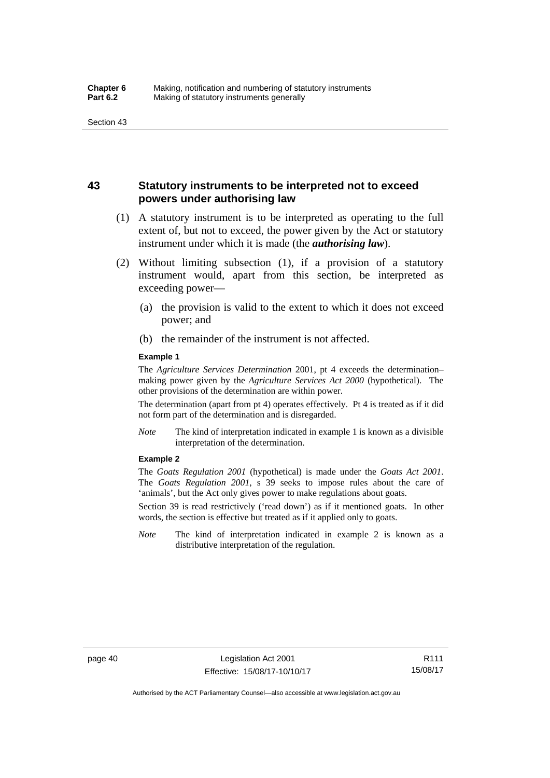### **43 Statutory instruments to be interpreted not to exceed powers under authorising law**

- (1) A statutory instrument is to be interpreted as operating to the full extent of, but not to exceed, the power given by the Act or statutory instrument under which it is made (the *authorising law*).
- (2) Without limiting subsection (1), if a provision of a statutory instrument would, apart from this section, be interpreted as exceeding power—
	- (a) the provision is valid to the extent to which it does not exceed power; and
	- (b) the remainder of the instrument is not affected.

#### **Example 1**

The *Agriculture Services Determination* 2001, pt 4 exceeds the determination– making power given by the *Agriculture Services Act 2000* (hypothetical). The other provisions of the determination are within power.

The determination (apart from pt 4) operates effectively. Pt 4 is treated as if it did not form part of the determination and is disregarded.

*Note* The kind of interpretation indicated in example 1 is known as a divisible interpretation of the determination.

#### **Example 2**

The *Goats Regulation 2001* (hypothetical) is made under the *Goats Act 2001*. The *Goats Regulation 2001*, s 39 seeks to impose rules about the care of 'animals', but the Act only gives power to make regulations about goats.

Section 39 is read restrictively ('read down') as if it mentioned goats. In other words, the section is effective but treated as if it applied only to goats.

*Note* The kind of interpretation indicated in example 2 is known as a distributive interpretation of the regulation.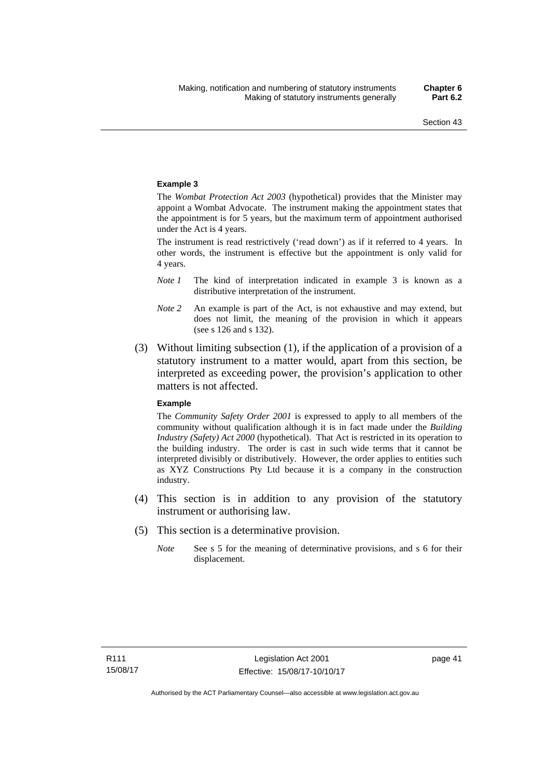#### **Example 3**

The *Wombat Protection Act 2003* (hypothetical) provides that the Minister may appoint a Wombat Advocate. The instrument making the appointment states that the appointment is for 5 years, but the maximum term of appointment authorised under the Act is 4 years.

The instrument is read restrictively ('read down') as if it referred to 4 years. In other words, the instrument is effective but the appointment is only valid for 4 years.

- *Note 1* The kind of interpretation indicated in example 3 is known as a distributive interpretation of the instrument.
- *Note 2* An example is part of the Act, is not exhaustive and may extend, but does not limit, the meaning of the provision in which it appears (see s 126 and s 132).
- (3) Without limiting subsection (1), if the application of a provision of a statutory instrument to a matter would, apart from this section, be interpreted as exceeding power, the provision's application to other matters is not affected.

#### **Example**

The *Community Safety Order 2001* is expressed to apply to all members of the community without qualification although it is in fact made under the *Building Industry (Safety) Act 2000* (hypothetical). That Act is restricted in its operation to the building industry. The order is cast in such wide terms that it cannot be interpreted divisibly or distributively. However, the order applies to entities such as XYZ Constructions Pty Ltd because it is a company in the construction industry.

- (4) This section is in addition to any provision of the statutory instrument or authorising law.
- (5) This section is a determinative provision.
	- *Note* See s 5 for the meaning of determinative provisions, and s 6 for their displacement.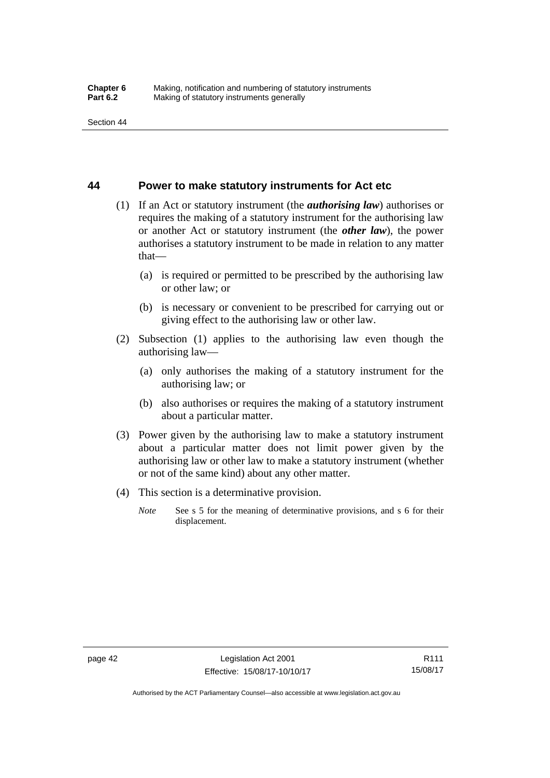### **44 Power to make statutory instruments for Act etc**

- (1) If an Act or statutory instrument (the *authorising law*) authorises or requires the making of a statutory instrument for the authorising law or another Act or statutory instrument (the *other law*), the power authorises a statutory instrument to be made in relation to any matter that—
	- (a) is required or permitted to be prescribed by the authorising law or other law; or
	- (b) is necessary or convenient to be prescribed for carrying out or giving effect to the authorising law or other law.
- (2) Subsection (1) applies to the authorising law even though the authorising law—
	- (a) only authorises the making of a statutory instrument for the authorising law; or
	- (b) also authorises or requires the making of a statutory instrument about a particular matter.
- (3) Power given by the authorising law to make a statutory instrument about a particular matter does not limit power given by the authorising law or other law to make a statutory instrument (whether or not of the same kind) about any other matter.
- (4) This section is a determinative provision.
	- *Note* See s 5 for the meaning of determinative provisions, and s 6 for their displacement.

R111 15/08/17

Authorised by the ACT Parliamentary Counsel—also accessible at www.legislation.act.gov.au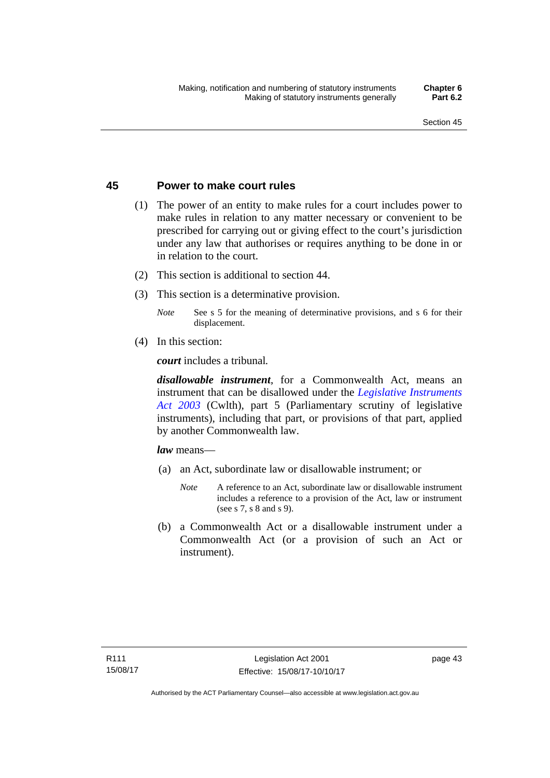### **45 Power to make court rules**

- (1) The power of an entity to make rules for a court includes power to make rules in relation to any matter necessary or convenient to be prescribed for carrying out or giving effect to the court's jurisdiction under any law that authorises or requires anything to be done in or in relation to the court.
- (2) This section is additional to section 44.
- (3) This section is a determinative provision.
	- *Note* See s 5 for the meaning of determinative provisions, and s 6 for their displacement.
- (4) In this section:

*court* includes a tribunal*.*

*disallowable instrument*, for a Commonwealth Act, means an instrument that can be disallowed under the *[Legislative Instruments](http://www.comlaw.gov.au/Series/C2004A01224)  [Act 2003](http://www.comlaw.gov.au/Series/C2004A01224)* (Cwlth), part 5 (Parliamentary scrutiny of legislative instruments), including that part, or provisions of that part, applied by another Commonwealth law.

*law* means—

- (a) an Act, subordinate law or disallowable instrument; or
	- *Note* A reference to an Act, subordinate law or disallowable instrument includes a reference to a provision of the Act, law or instrument (see s 7, s 8 and s 9).
- (b) a Commonwealth Act or a disallowable instrument under a Commonwealth Act (or a provision of such an Act or instrument).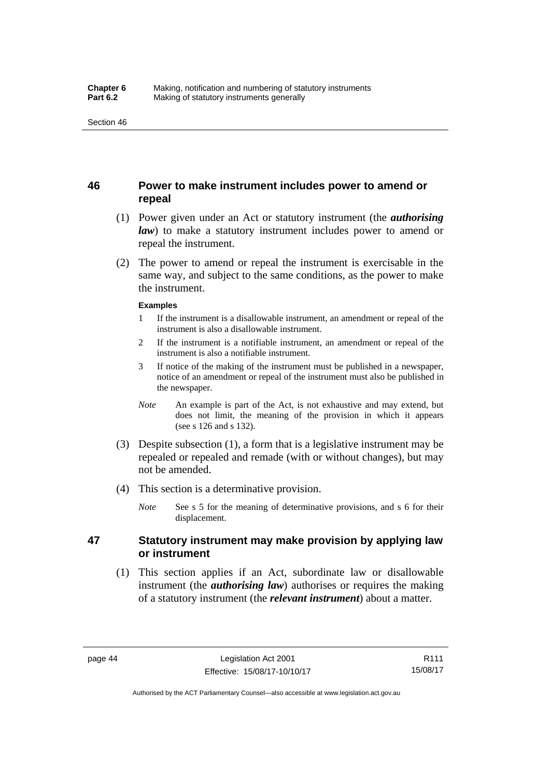### **46 Power to make instrument includes power to amend or repeal**

- (1) Power given under an Act or statutory instrument (the *authorising law*) to make a statutory instrument includes power to amend or repeal the instrument.
- (2) The power to amend or repeal the instrument is exercisable in the same way, and subject to the same conditions, as the power to make the instrument.

#### **Examples**

- 1 If the instrument is a disallowable instrument, an amendment or repeal of the instrument is also a disallowable instrument.
- 2 If the instrument is a notifiable instrument, an amendment or repeal of the instrument is also a notifiable instrument.
- 3 If notice of the making of the instrument must be published in a newspaper, notice of an amendment or repeal of the instrument must also be published in the newspaper.
- *Note* An example is part of the Act, is not exhaustive and may extend, but does not limit, the meaning of the provision in which it appears (see s 126 and s 132).
- (3) Despite subsection (1), a form that is a legislative instrument may be repealed or repealed and remade (with or without changes), but may not be amended.
- (4) This section is a determinative provision.
	- *Note* See s 5 for the meaning of determinative provisions, and s 6 for their displacement.

### **47 Statutory instrument may make provision by applying law or instrument**

 (1) This section applies if an Act, subordinate law or disallowable instrument (the *authorising law*) authorises or requires the making of a statutory instrument (the *relevant instrument*) about a matter.

Authorised by the ACT Parliamentary Counsel—also accessible at www.legislation.act.gov.au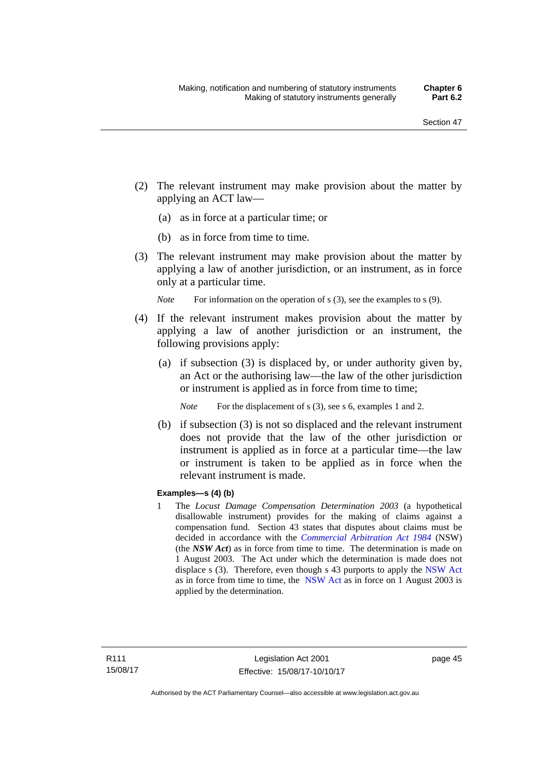- (2) The relevant instrument may make provision about the matter by applying an ACT law—
	- (a) as in force at a particular time; or
	- (b) as in force from time to time.
- (3) The relevant instrument may make provision about the matter by applying a law of another jurisdiction, or an instrument, as in force only at a particular time.

*Note* For information on the operation of s (3), see the examples to s (9).

- (4) If the relevant instrument makes provision about the matter by applying a law of another jurisdiction or an instrument, the following provisions apply:
	- (a) if subsection (3) is displaced by, or under authority given by, an Act or the authorising law—the law of the other jurisdiction or instrument is applied as in force from time to time;
		- *Note* For the displacement of s (3), see s 6, examples 1 and 2.
	- (b) if subsection (3) is not so displaced and the relevant instrument does not provide that the law of the other jurisdiction or instrument is applied as in force at a particular time—the law or instrument is taken to be applied as in force when the relevant instrument is made.

#### **Examples—s (4) (b)**

1 The *Locust Damage Compensation Determination 2003* (a hypothetical disallowable instrument) provides for the making of claims against a compensation fund. Section 43 states that disputes about claims must be decided in accordance with the *[Commercial Arbitration Act 1984](http://www.legislation.nsw.gov.au/maintop/view/repealed/act+160+1984+cd+0+Y)* (NSW) (the *NSW Act*) as in force from time to time. The determination is made on 1 August 2003. The Act under which the determination is made does not displace s (3). Therefore, even though s 43 purports to apply the [NSW Act](http://www.legislation.nsw.gov.au/maintop/view/repealed/act+160+1984+cd+0+Y) as in force from time to time, the [NSW Act](http://www.legislation.nsw.gov.au/maintop/view/repealed/act+160+1984+cd+0+Y) as in force on 1 August 2003 is applied by the determination.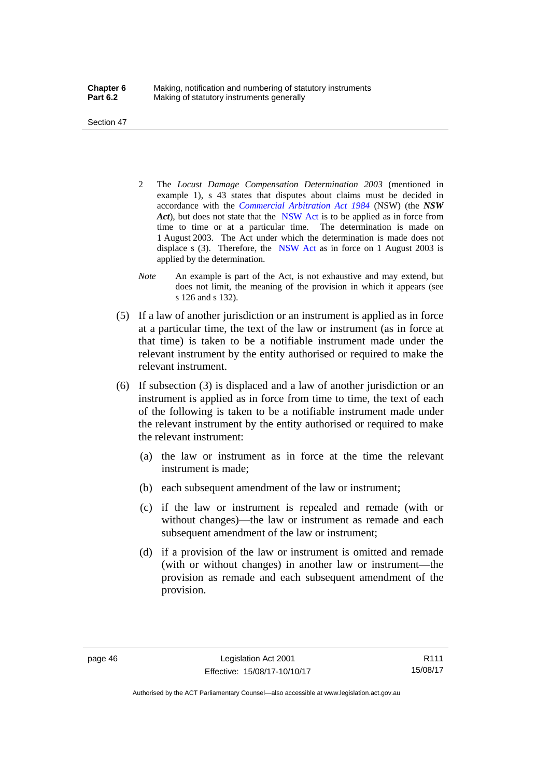Section 47

- 2 The *Locust Damage Compensation Determination 2003* (mentioned in example 1), s 43 states that disputes about claims must be decided in accordance with the *[Commercial Arbitration Act 1984](http://www.legislation.nsw.gov.au/maintop/view/repealed/act+160+1984+cd+0+Y)* (NSW) (the *NSW Act*), but does not state that the [NSW Act](http://www.legislation.nsw.gov.au/maintop/view/repealed/act+160+1984+cd+0+Y) is to be applied as in force from time to time or at a particular time. The determination is made on 1 August 2003. The Act under which the determination is made does not displace s (3). Therefore, the [NSW Act](http://www.legislation.nsw.gov.au/maintop/view/repealed/act+160+1984+cd+0+Y) as in force on 1 August 2003 is applied by the determination.
- *Note* An example is part of the Act, is not exhaustive and may extend, but does not limit, the meaning of the provision in which it appears (see s 126 and s 132).
- (5) If a law of another jurisdiction or an instrument is applied as in force at a particular time, the text of the law or instrument (as in force at that time) is taken to be a notifiable instrument made under the relevant instrument by the entity authorised or required to make the relevant instrument.
- (6) If subsection (3) is displaced and a law of another jurisdiction or an instrument is applied as in force from time to time, the text of each of the following is taken to be a notifiable instrument made under the relevant instrument by the entity authorised or required to make the relevant instrument:
	- (a) the law or instrument as in force at the time the relevant instrument is made;
	- (b) each subsequent amendment of the law or instrument;
	- (c) if the law or instrument is repealed and remade (with or without changes)—the law or instrument as remade and each subsequent amendment of the law or instrument;
	- (d) if a provision of the law or instrument is omitted and remade (with or without changes) in another law or instrument—the provision as remade and each subsequent amendment of the provision.

Authorised by the ACT Parliamentary Counsel—also accessible at www.legislation.act.gov.au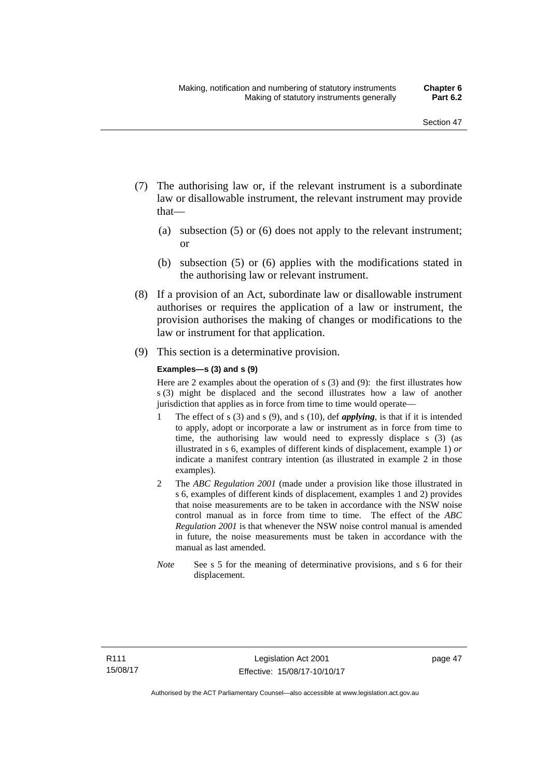- (7) The authorising law or, if the relevant instrument is a subordinate law or disallowable instrument, the relevant instrument may provide that—
	- (a) subsection (5) or (6) does not apply to the relevant instrument; or
	- (b) subsection (5) or (6) applies with the modifications stated in the authorising law or relevant instrument.
- (8) If a provision of an Act, subordinate law or disallowable instrument authorises or requires the application of a law or instrument, the provision authorises the making of changes or modifications to the law or instrument for that application.
- (9) This section is a determinative provision.

#### **Examples—s (3) and s (9)**

Here are 2 examples about the operation of s (3) and (9): the first illustrates how s (3) might be displaced and the second illustrates how a law of another jurisdiction that applies as in force from time to time would operate—

- 1 The effect of s (3) and s (9), and s (10), def *applying*, is that if it is intended to apply, adopt or incorporate a law or instrument as in force from time to time, the authorising law would need to expressly displace s (3) (as illustrated in s 6, examples of different kinds of displacement, example 1) *or* indicate a manifest contrary intention (as illustrated in example 2 in those examples).
- 2 The *ABC Regulation 2001* (made under a provision like those illustrated in s 6, examples of different kinds of displacement, examples 1 and 2) provides that noise measurements are to be taken in accordance with the NSW noise control manual as in force from time to time. The effect of the *ABC Regulation 2001* is that whenever the NSW noise control manual is amended in future, the noise measurements must be taken in accordance with the manual as last amended.
- *Note* See s 5 for the meaning of determinative provisions, and s 6 for their displacement.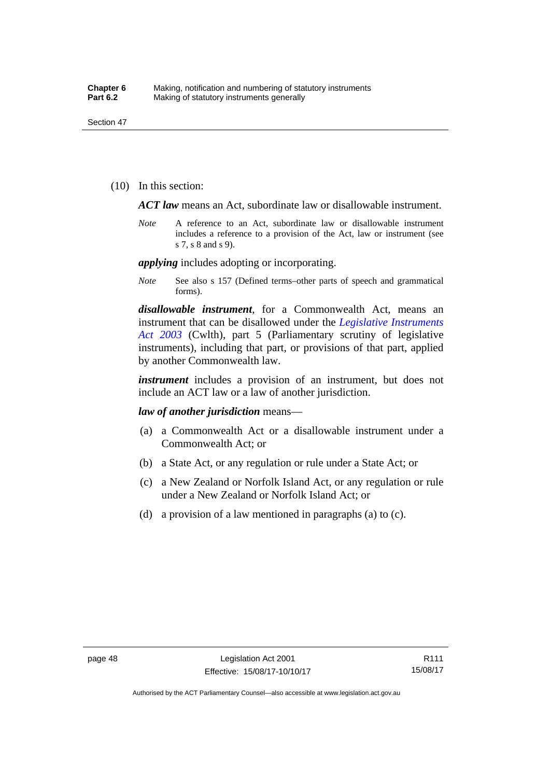(10) In this section:

*ACT law* means an Act, subordinate law or disallowable instrument.

*Note* A reference to an Act, subordinate law or disallowable instrument includes a reference to a provision of the Act, law or instrument (see s 7, s 8 and s 9).

*applying* includes adopting or incorporating.

*Note* See also s 157 (Defined terms–other parts of speech and grammatical forms).

*disallowable instrument*, for a Commonwealth Act, means an instrument that can be disallowed under the *[Legislative Instruments](http://www.comlaw.gov.au/Series/C2004A01224)  [Act 2003](http://www.comlaw.gov.au/Series/C2004A01224)* (Cwlth), part 5 (Parliamentary scrutiny of legislative instruments), including that part, or provisions of that part, applied by another Commonwealth law.

*instrument* includes a provision of an instrument, but does not include an ACT law or a law of another jurisdiction.

*law of another jurisdiction* means—

- (a) a Commonwealth Act or a disallowable instrument under a Commonwealth Act; or
- (b) a State Act, or any regulation or rule under a State Act; or
- (c) a New Zealand or Norfolk Island Act, or any regulation or rule under a New Zealand or Norfolk Island Act; or
- (d) a provision of a law mentioned in paragraphs (a) to (c).

Authorised by the ACT Parliamentary Counsel—also accessible at www.legislation.act.gov.au

R111 15/08/17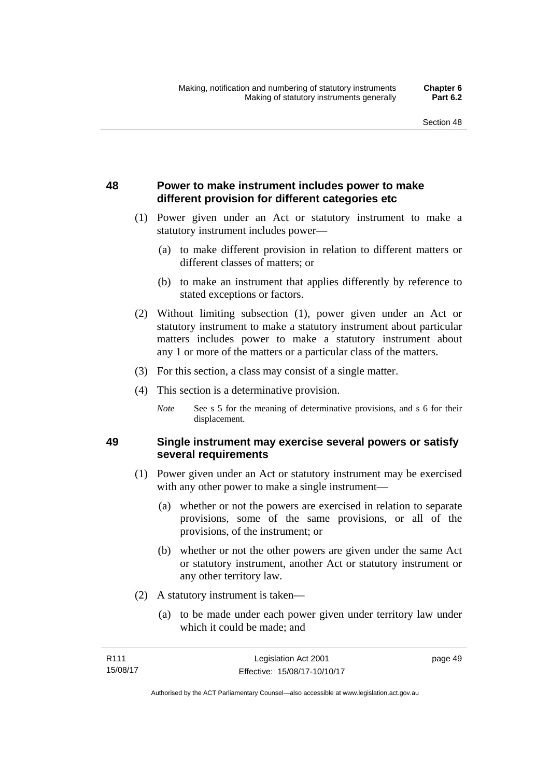## **48 Power to make instrument includes power to make different provision for different categories etc**

- (1) Power given under an Act or statutory instrument to make a statutory instrument includes power—
	- (a) to make different provision in relation to different matters or different classes of matters; or
	- (b) to make an instrument that applies differently by reference to stated exceptions or factors.
- (2) Without limiting subsection (1), power given under an Act or statutory instrument to make a statutory instrument about particular matters includes power to make a statutory instrument about any 1 or more of the matters or a particular class of the matters.
- (3) For this section, a class may consist of a single matter.
- (4) This section is a determinative provision.
	- *Note* See s 5 for the meaning of determinative provisions, and s 6 for their displacement.

### **49 Single instrument may exercise several powers or satisfy several requirements**

- (1) Power given under an Act or statutory instrument may be exercised with any other power to make a single instrument—
	- (a) whether or not the powers are exercised in relation to separate provisions, some of the same provisions, or all of the provisions, of the instrument; or
	- (b) whether or not the other powers are given under the same Act or statutory instrument, another Act or statutory instrument or any other territory law.
- (2) A statutory instrument is taken—
	- (a) to be made under each power given under territory law under which it could be made; and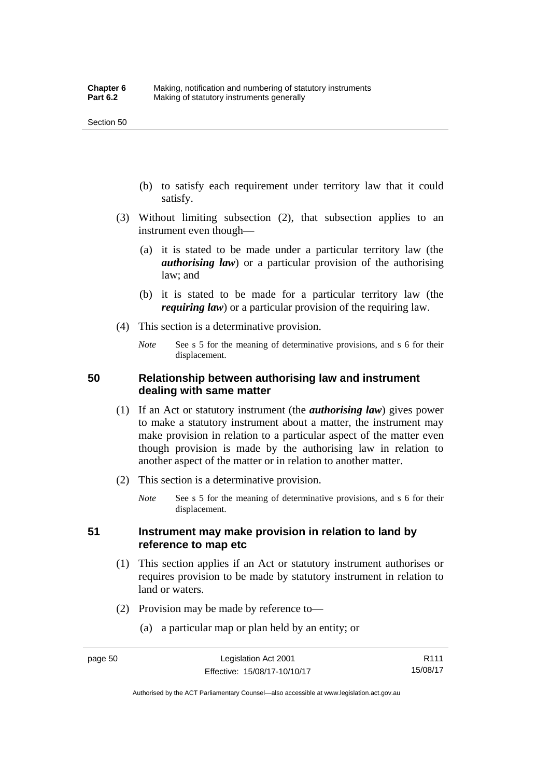- (b) to satisfy each requirement under territory law that it could satisfy.
- (3) Without limiting subsection (2), that subsection applies to an instrument even though—
	- (a) it is stated to be made under a particular territory law (the *authorising law*) or a particular provision of the authorising law; and
	- (b) it is stated to be made for a particular territory law (the *requiring law*) or a particular provision of the requiring law.
- (4) This section is a determinative provision.
	- *Note* See s 5 for the meaning of determinative provisions, and s 6 for their displacement.

### **50 Relationship between authorising law and instrument dealing with same matter**

- (1) If an Act or statutory instrument (the *authorising law*) gives power to make a statutory instrument about a matter, the instrument may make provision in relation to a particular aspect of the matter even though provision is made by the authorising law in relation to another aspect of the matter or in relation to another matter.
- (2) This section is a determinative provision.
	- *Note* See s 5 for the meaning of determinative provisions, and s 6 for their displacement.

### **51 Instrument may make provision in relation to land by reference to map etc**

- (1) This section applies if an Act or statutory instrument authorises or requires provision to be made by statutory instrument in relation to land or waters.
- (2) Provision may be made by reference to—
	- (a) a particular map or plan held by an entity; or

R111 15/08/17

Authorised by the ACT Parliamentary Counsel—also accessible at www.legislation.act.gov.au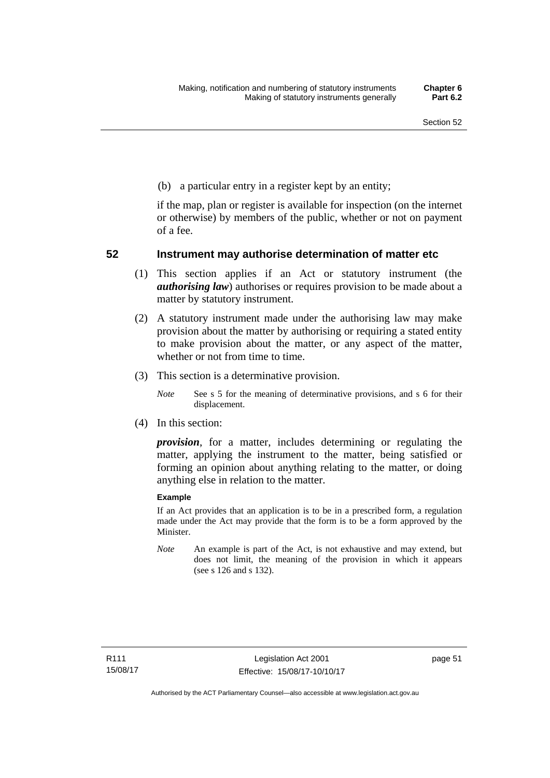(b) a particular entry in a register kept by an entity;

if the map, plan or register is available for inspection (on the internet or otherwise) by members of the public, whether or not on payment of a fee.

### **52 Instrument may authorise determination of matter etc**

- (1) This section applies if an Act or statutory instrument (the *authorising law*) authorises or requires provision to be made about a matter by statutory instrument.
- (2) A statutory instrument made under the authorising law may make provision about the matter by authorising or requiring a stated entity to make provision about the matter, or any aspect of the matter, whether or not from time to time.
- (3) This section is a determinative provision.
	- *Note* See s 5 for the meaning of determinative provisions, and s 6 for their displacement.
- (4) In this section:

*provision*, for a matter, includes determining or regulating the matter, applying the instrument to the matter, being satisfied or forming an opinion about anything relating to the matter, or doing anything else in relation to the matter.

#### **Example**

If an Act provides that an application is to be in a prescribed form, a regulation made under the Act may provide that the form is to be a form approved by the Minister.

*Note* An example is part of the Act, is not exhaustive and may extend, but does not limit, the meaning of the provision in which it appears (see s 126 and s 132).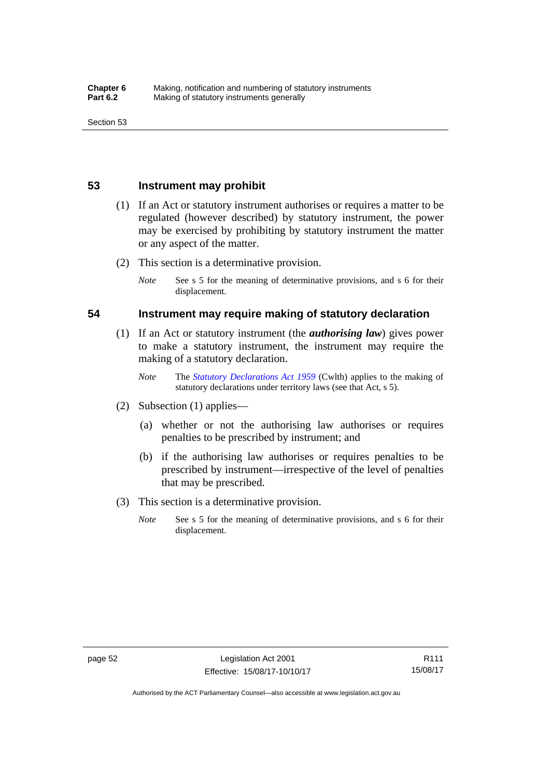### **53 Instrument may prohibit**

- (1) If an Act or statutory instrument authorises or requires a matter to be regulated (however described) by statutory instrument, the power may be exercised by prohibiting by statutory instrument the matter or any aspect of the matter.
- (2) This section is a determinative provision.
	- *Note* See s 5 for the meaning of determinative provisions, and s 6 for their displacement.

### **54 Instrument may require making of statutory declaration**

- (1) If an Act or statutory instrument (the *authorising law*) gives power to make a statutory instrument, the instrument may require the making of a statutory declaration.
	- *Note* The *[Statutory Declarations Act 1959](http://www.comlaw.gov.au/Series/C2004A07365)* (Cwlth) applies to the making of statutory declarations under territory laws (see that Act, s 5).
- (2) Subsection (1) applies—
	- (a) whether or not the authorising law authorises or requires penalties to be prescribed by instrument; and
	- (b) if the authorising law authorises or requires penalties to be prescribed by instrument—irrespective of the level of penalties that may be prescribed.
- (3) This section is a determinative provision.
	- *Note* See s 5 for the meaning of determinative provisions, and s 6 for their displacement.

R111 15/08/17

Authorised by the ACT Parliamentary Counsel—also accessible at www.legislation.act.gov.au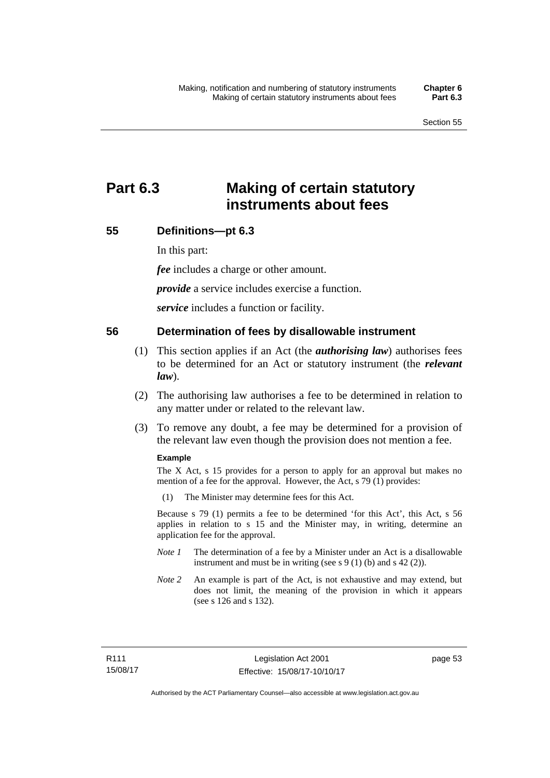# **Part 6.3 Making of certain statutory instruments about fees**

### **55 Definitions—pt 6.3**

In this part:

*fee* includes a charge or other amount.

*provide* a service includes exercise a function.

*service* includes a function or facility.

### **56 Determination of fees by disallowable instrument**

- (1) This section applies if an Act (the *authorising law*) authorises fees to be determined for an Act or statutory instrument (the *relevant law*).
- (2) The authorising law authorises a fee to be determined in relation to any matter under or related to the relevant law.
- (3) To remove any doubt, a fee may be determined for a provision of the relevant law even though the provision does not mention a fee.

#### **Example**

The X Act, s 15 provides for a person to apply for an approval but makes no mention of a fee for the approval. However, the Act, s 79 (1) provides:

(1) The Minister may determine fees for this Act.

Because s 79 (1) permits a fee to be determined 'for this Act', this Act, s 56 applies in relation to s 15 and the Minister may, in writing, determine an application fee for the approval.

- *Note 1* The determination of a fee by a Minister under an Act is a disallowable instrument and must be in writing (see s 9 (1) (b) and s 42 (2)).
- *Note 2* An example is part of the Act, is not exhaustive and may extend, but does not limit, the meaning of the provision in which it appears (see s 126 and s 132).

page 53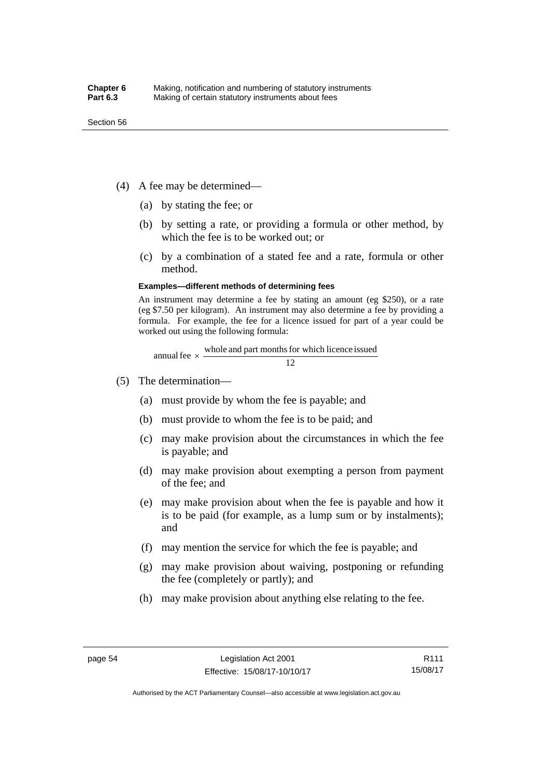- (4) A fee may be determined—
	- (a) by stating the fee; or
	- (b) by setting a rate, or providing a formula or other method, by which the fee is to be worked out; or
	- (c) by a combination of a stated fee and a rate, formula or other method.

#### **Examples—different methods of determining fees**

An instrument may determine a fee by stating an amount (eg \$250), or a rate (eg \$7.50 per kilogram). An instrument may also determine a fee by providing a formula. For example, the fee for a licence issued for part of a year could be worked out using the following formula:

annual fee  $\times$  whole and part months for which licence issued  $\frac{12}{\sqrt{12}}$ 

- (5) The determination—
	- (a) must provide by whom the fee is payable; and
	- (b) must provide to whom the fee is to be paid; and
	- (c) may make provision about the circumstances in which the fee is payable; and
	- (d) may make provision about exempting a person from payment of the fee; and
	- (e) may make provision about when the fee is payable and how it is to be paid (for example, as a lump sum or by instalments); and
	- (f) may mention the service for which the fee is payable; and
	- (g) may make provision about waiving, postponing or refunding the fee (completely or partly); and
	- (h) may make provision about anything else relating to the fee.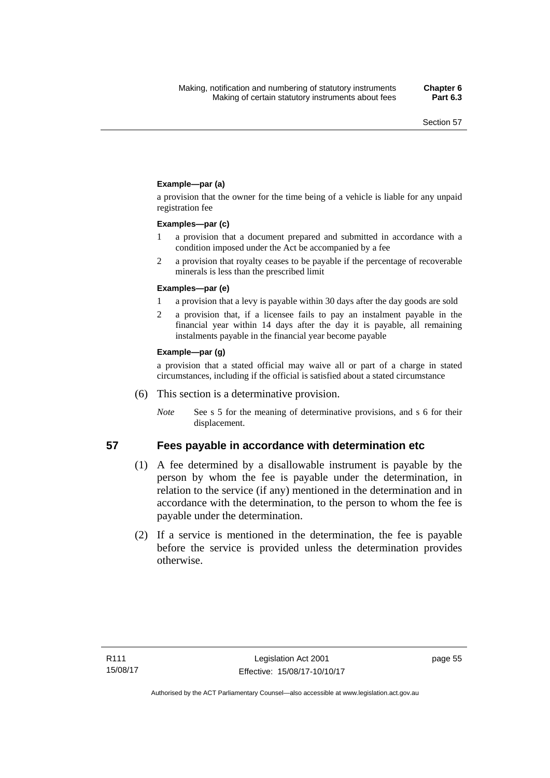### **Example—par (a)**

a provision that the owner for the time being of a vehicle is liable for any unpaid registration fee

#### **Examples—par (c)**

- 1 a provision that a document prepared and submitted in accordance with a condition imposed under the Act be accompanied by a fee
- 2 a provision that royalty ceases to be payable if the percentage of recoverable minerals is less than the prescribed limit

#### **Examples—par (e)**

- 1 a provision that a levy is payable within 30 days after the day goods are sold
- 2 a provision that, if a licensee fails to pay an instalment payable in the financial year within 14 days after the day it is payable, all remaining instalments payable in the financial year become payable

### **Example—par (g)**

a provision that a stated official may waive all or part of a charge in stated circumstances, including if the official is satisfied about a stated circumstance

- (6) This section is a determinative provision.
	- *Note* See s 5 for the meaning of determinative provisions, and s 6 for their displacement.

- **57 Fees payable in accordance with determination etc**  (1) A fee determined by a disallowable instrument is payable by the
	- person by whom the fee is payable under the determination, in relation to the service (if any) mentioned in the determination and in accordance with the determination, to the person to whom the fee is payable under the determination.
	- (2) If a service is mentioned in the determination, the fee is payable before the service is provided unless the determination provides otherwise.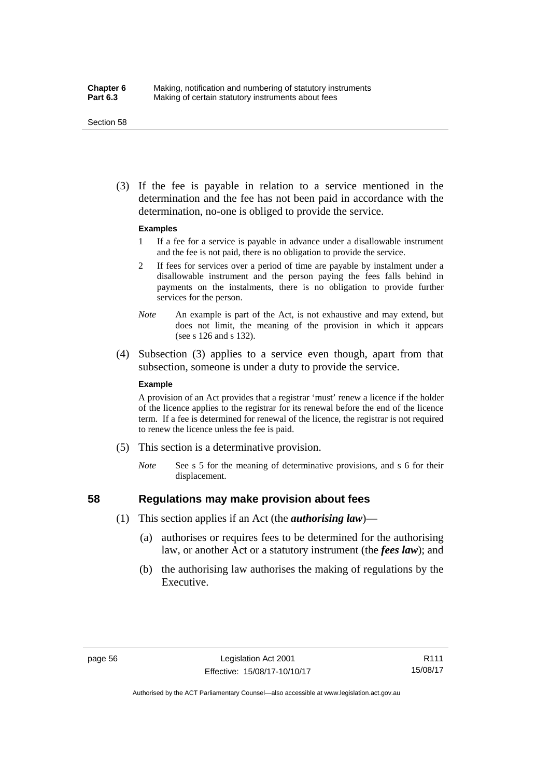#### Section 58

 (3) If the fee is payable in relation to a service mentioned in the determination and the fee has not been paid in accordance with the determination, no-one is obliged to provide the service.

#### **Examples**

- 1 If a fee for a service is payable in advance under a disallowable instrument and the fee is not paid, there is no obligation to provide the service.
- 2 If fees for services over a period of time are payable by instalment under a disallowable instrument and the person paying the fees falls behind in payments on the instalments, there is no obligation to provide further services for the person.
- *Note* An example is part of the Act, is not exhaustive and may extend, but does not limit, the meaning of the provision in which it appears (see s 126 and s 132).
- (4) Subsection (3) applies to a service even though, apart from that subsection, someone is under a duty to provide the service.

#### **Example**

A provision of an Act provides that a registrar 'must' renew a licence if the holder of the licence applies to the registrar for its renewal before the end of the licence term. If a fee is determined for renewal of the licence, the registrar is not required to renew the licence unless the fee is paid.

- (5) This section is a determinative provision.
	- *Note* See s 5 for the meaning of determinative provisions, and s 6 for their displacement.

## **58 Regulations may make provision about fees**

- (1) This section applies if an Act (the *authorising law*)—
	- (a) authorises or requires fees to be determined for the authorising law, or another Act or a statutory instrument (the *fees law*); and
	- (b) the authorising law authorises the making of regulations by the Executive.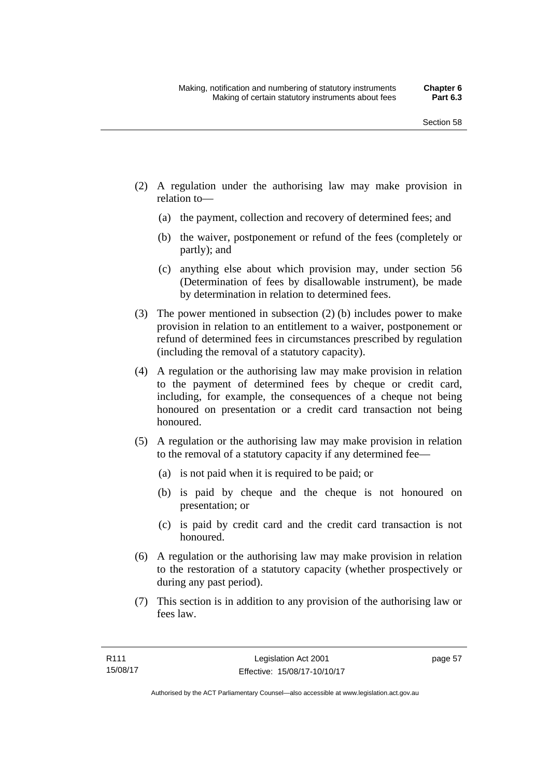- (2) A regulation under the authorising law may make provision in relation to—
	- (a) the payment, collection and recovery of determined fees; and
	- (b) the waiver, postponement or refund of the fees (completely or partly); and
	- (c) anything else about which provision may, under section 56 (Determination of fees by disallowable instrument), be made by determination in relation to determined fees.
- (3) The power mentioned in subsection (2) (b) includes power to make provision in relation to an entitlement to a waiver, postponement or refund of determined fees in circumstances prescribed by regulation (including the removal of a statutory capacity).
- (4) A regulation or the authorising law may make provision in relation to the payment of determined fees by cheque or credit card, including, for example, the consequences of a cheque not being honoured on presentation or a credit card transaction not being honoured.
- (5) A regulation or the authorising law may make provision in relation to the removal of a statutory capacity if any determined fee—
	- (a) is not paid when it is required to be paid; or
	- (b) is paid by cheque and the cheque is not honoured on presentation; or
	- (c) is paid by credit card and the credit card transaction is not honoured.
- (6) A regulation or the authorising law may make provision in relation to the restoration of a statutory capacity (whether prospectively or during any past period).
- (7) This section is in addition to any provision of the authorising law or fees law.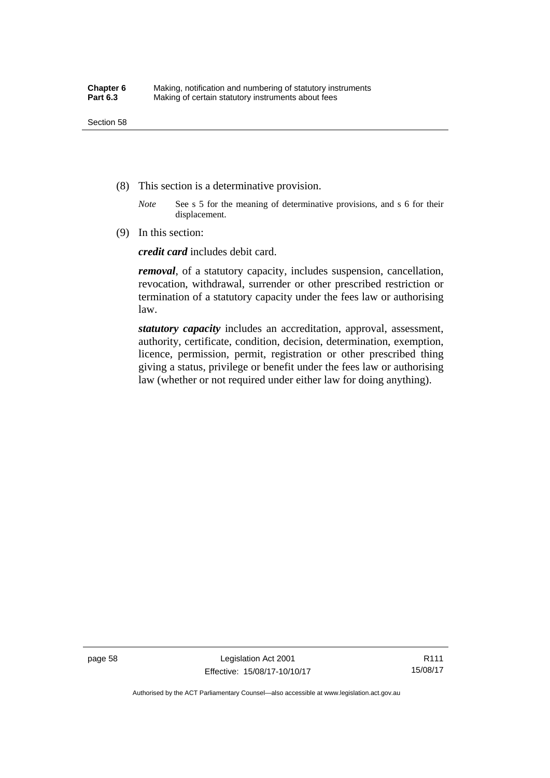- (8) This section is a determinative provision.
	- *Note* See s 5 for the meaning of determinative provisions, and s 6 for their displacement.
- (9) In this section:

*credit card* includes debit card.

*removal*, of a statutory capacity, includes suspension, cancellation, revocation, withdrawal, surrender or other prescribed restriction or termination of a statutory capacity under the fees law or authorising law.

*statutory capacity* includes an accreditation, approval, assessment, authority, certificate, condition, decision, determination, exemption, licence, permission, permit, registration or other prescribed thing giving a status, privilege or benefit under the fees law or authorising law (whether or not required under either law for doing anything).

Authorised by the ACT Parliamentary Counsel—also accessible at www.legislation.act.gov.au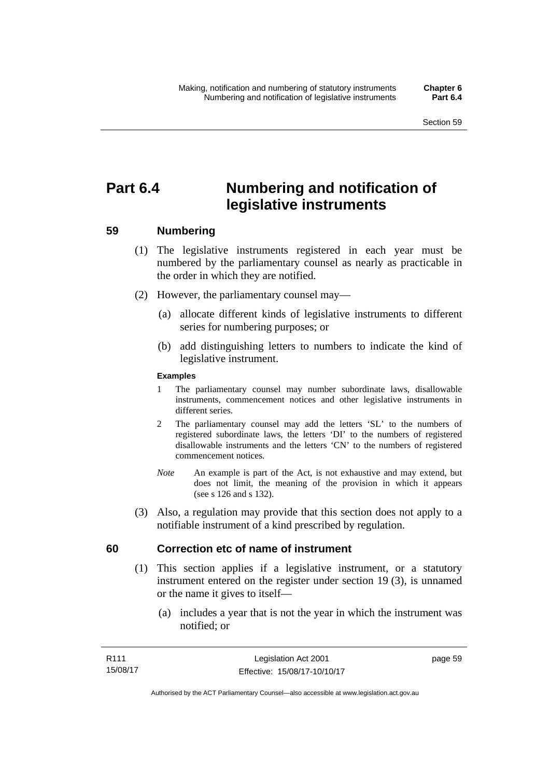# **Part 6.4 Numbering and notification of legislative instruments**

## **59 Numbering**

- (1) The legislative instruments registered in each year must be numbered by the parliamentary counsel as nearly as practicable in the order in which they are notified.
- (2) However, the parliamentary counsel may—
	- (a) allocate different kinds of legislative instruments to different series for numbering purposes; or
	- (b) add distinguishing letters to numbers to indicate the kind of legislative instrument.

## **Examples**

- 1 The parliamentary counsel may number subordinate laws, disallowable instruments, commencement notices and other legislative instruments in different series.
- 2 The parliamentary counsel may add the letters 'SL' to the numbers of registered subordinate laws, the letters 'DI' to the numbers of registered disallowable instruments and the letters 'CN' to the numbers of registered commencement notices.
- *Note* An example is part of the Act, is not exhaustive and may extend, but does not limit, the meaning of the provision in which it appears (see s 126 and s 132).
- (3) Also, a regulation may provide that this section does not apply to a notifiable instrument of a kind prescribed by regulation.

## **60 Correction etc of name of instrument**

- (1) This section applies if a legislative instrument, or a statutory instrument entered on the register under section 19 (3), is unnamed or the name it gives to itself—
	- (a) includes a year that is not the year in which the instrument was notified; or

page 59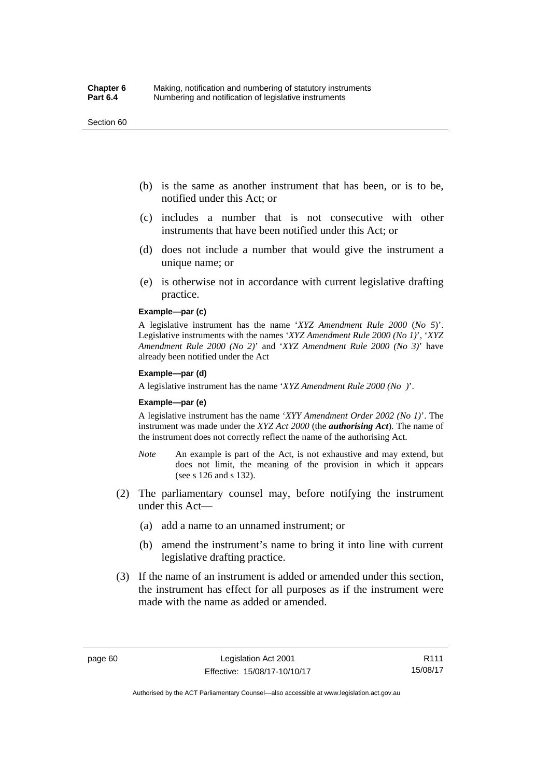#### Section 60

- (b) is the same as another instrument that has been, or is to be, notified under this Act; or
- (c) includes a number that is not consecutive with other instruments that have been notified under this Act; or
- (d) does not include a number that would give the instrument a unique name; or
- (e) is otherwise not in accordance with current legislative drafting practice.

## **Example—par (c)**

A legislative instrument has the name '*XYZ Amendment Rule 2000* (*No 5*)'. Legislative instruments with the names '*XYZ Amendment Rule 2000 (No 1)*', '*XYZ Amendment Rule 2000 (No 2)*' and '*XYZ Amendment Rule 2000 (No 3)*' have already been notified under the Act

#### **Example—par (d)**

A legislative instrument has the name '*XYZ Amendment Rule 2000 (No )*'.

#### **Example—par (e)**

A legislative instrument has the name '*XYY Amendment Order 2002 (No 1)*'. The instrument was made under the *XYZ Act 2000* (the *authorising Act*). The name of the instrument does not correctly reflect the name of the authorising Act.

- *Note* An example is part of the Act, is not exhaustive and may extend, but does not limit, the meaning of the provision in which it appears (see s 126 and s 132).
- (2) The parliamentary counsel may, before notifying the instrument under this Act—
	- (a) add a name to an unnamed instrument; or
	- (b) amend the instrument's name to bring it into line with current legislative drafting practice.
- (3) If the name of an instrument is added or amended under this section, the instrument has effect for all purposes as if the instrument were made with the name as added or amended.

R111 15/08/17

Authorised by the ACT Parliamentary Counsel—also accessible at www.legislation.act.gov.au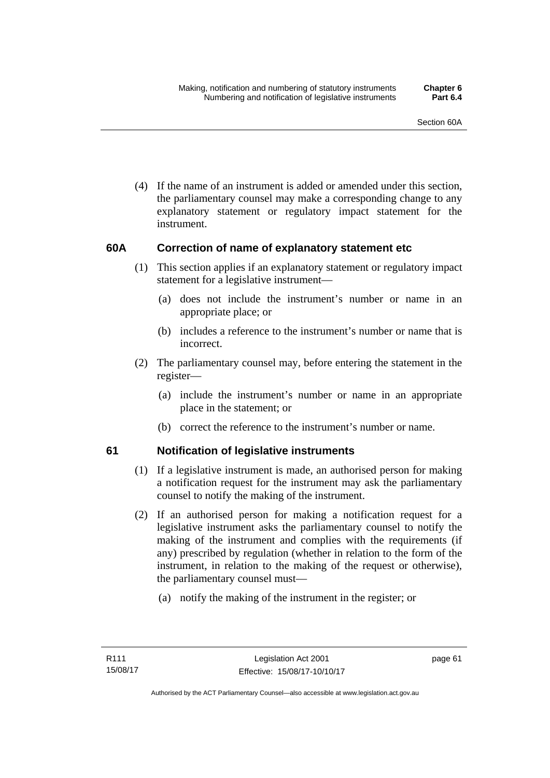(4) If the name of an instrument is added or amended under this section, the parliamentary counsel may make a corresponding change to any explanatory statement or regulatory impact statement for the instrument.

## **60A Correction of name of explanatory statement etc**

- (1) This section applies if an explanatory statement or regulatory impact statement for a legislative instrument—
	- (a) does not include the instrument's number or name in an appropriate place; or
	- (b) includes a reference to the instrument's number or name that is incorrect.
- (2) The parliamentary counsel may, before entering the statement in the register—
	- (a) include the instrument's number or name in an appropriate place in the statement; or
	- (b) correct the reference to the instrument's number or name.

## **61 Notification of legislative instruments**

- (1) If a legislative instrument is made, an authorised person for making a notification request for the instrument may ask the parliamentary counsel to notify the making of the instrument.
- (2) If an authorised person for making a notification request for a legislative instrument asks the parliamentary counsel to notify the making of the instrument and complies with the requirements (if any) prescribed by regulation (whether in relation to the form of the instrument, in relation to the making of the request or otherwise), the parliamentary counsel must—
	- (a) notify the making of the instrument in the register; or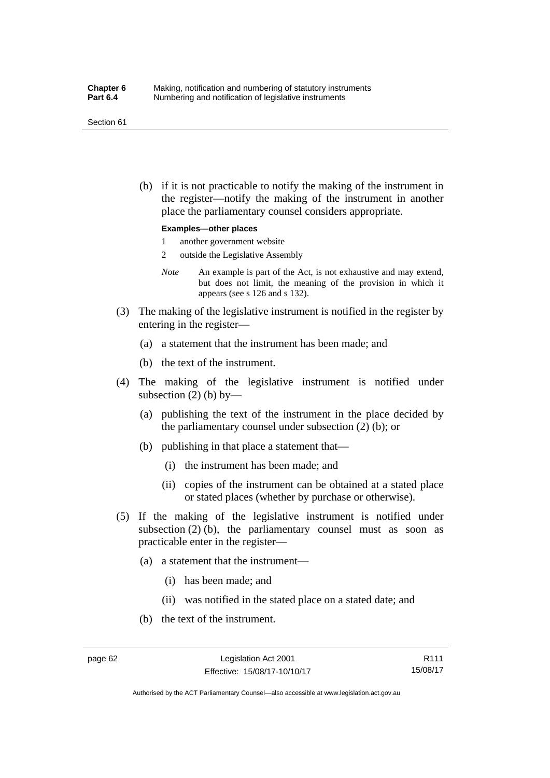#### Section 61

 (b) if it is not practicable to notify the making of the instrument in the register—notify the making of the instrument in another place the parliamentary counsel considers appropriate.

#### **Examples—other places**

- 1 another government website
- 2 outside the Legislative Assembly
- *Note* An example is part of the Act, is not exhaustive and may extend, but does not limit, the meaning of the provision in which it appears (see s 126 and s 132).
- (3) The making of the legislative instrument is notified in the register by entering in the register—
	- (a) a statement that the instrument has been made; and
	- (b) the text of the instrument.
- (4) The making of the legislative instrument is notified under subsection  $(2)$  (b) by—
	- (a) publishing the text of the instrument in the place decided by the parliamentary counsel under subsection (2) (b); or
	- (b) publishing in that place a statement that—
		- (i) the instrument has been made; and
		- (ii) copies of the instrument can be obtained at a stated place or stated places (whether by purchase or otherwise).
- (5) If the making of the legislative instrument is notified under subsection  $(2)$  (b), the parliamentary counsel must as soon as practicable enter in the register—
	- (a) a statement that the instrument—
		- (i) has been made; and
		- (ii) was notified in the stated place on a stated date; and
	- (b) the text of the instrument.

Authorised by the ACT Parliamentary Counsel—also accessible at www.legislation.act.gov.au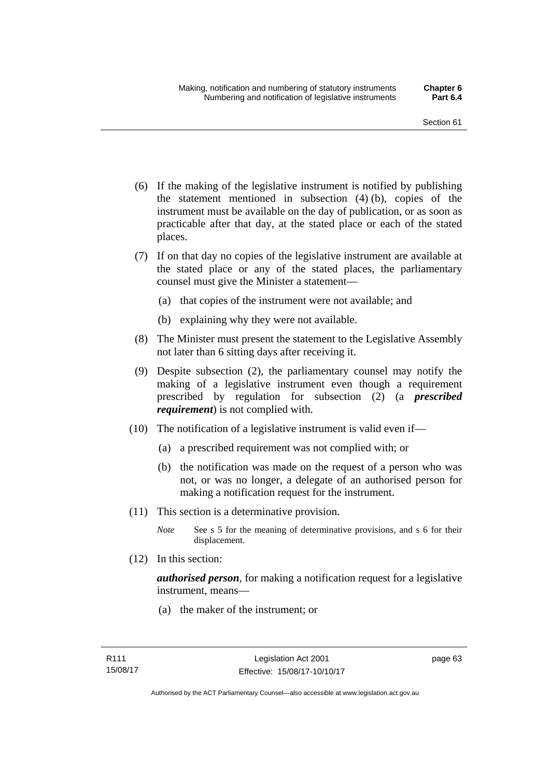- (6) If the making of the legislative instrument is notified by publishing the statement mentioned in subsection (4) (b), copies of the instrument must be available on the day of publication, or as soon as practicable after that day, at the stated place or each of the stated places.
- (7) If on that day no copies of the legislative instrument are available at the stated place or any of the stated places, the parliamentary counsel must give the Minister a statement—
	- (a) that copies of the instrument were not available; and
	- (b) explaining why they were not available.
- (8) The Minister must present the statement to the Legislative Assembly not later than 6 sitting days after receiving it.
- (9) Despite subsection (2), the parliamentary counsel may notify the making of a legislative instrument even though a requirement prescribed by regulation for subsection (2) (a *prescribed requirement*) is not complied with.
- (10) The notification of a legislative instrument is valid even if—
	- (a) a prescribed requirement was not complied with; or
	- (b) the notification was made on the request of a person who was not, or was no longer, a delegate of an authorised person for making a notification request for the instrument.
- (11) This section is a determinative provision.
	- *Note* See s 5 for the meaning of determinative provisions, and s 6 for their displacement.
- (12) In this section:

*authorised person*, for making a notification request for a legislative instrument, means—

(a) the maker of the instrument; or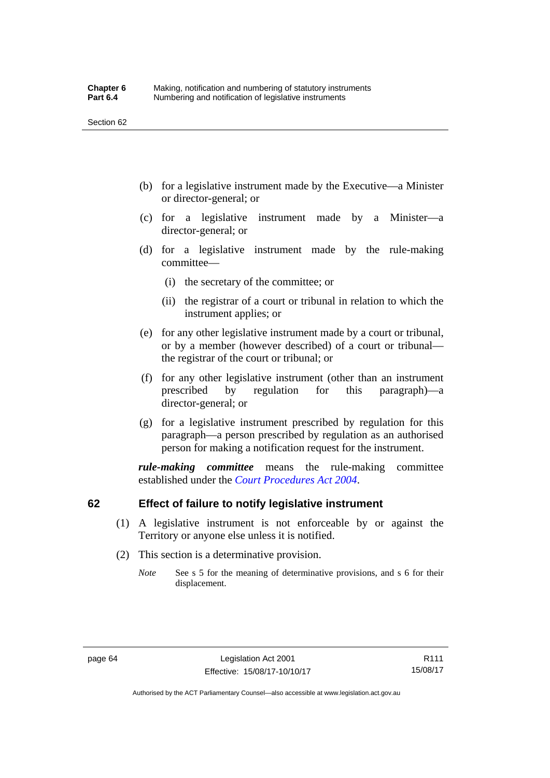- (b) for a legislative instrument made by the Executive—a Minister or director-general; or
- (c) for a legislative instrument made by a Minister—a director-general; or
- (d) for a legislative instrument made by the rule-making committee—
	- (i) the secretary of the committee; or
	- (ii) the registrar of a court or tribunal in relation to which the instrument applies; or
- (e) for any other legislative instrument made by a court or tribunal, or by a member (however described) of a court or tribunal the registrar of the court or tribunal; or
- (f) for any other legislative instrument (other than an instrument prescribed by regulation for this paragraph)—a director-general; or
- (g) for a legislative instrument prescribed by regulation for this paragraph—a person prescribed by regulation as an authorised person for making a notification request for the instrument.

*rule-making committee* means the rule-making committee established under the *[Court Procedures Act 2004](http://www.legislation.act.gov.au/a/2004-59)*.

## **62 Effect of failure to notify legislative instrument**

- (1) A legislative instrument is not enforceable by or against the Territory or anyone else unless it is notified.
- (2) This section is a determinative provision.
	- *Note* See s 5 for the meaning of determinative provisions, and s 6 for their displacement.

R111 15/08/17

Authorised by the ACT Parliamentary Counsel—also accessible at www.legislation.act.gov.au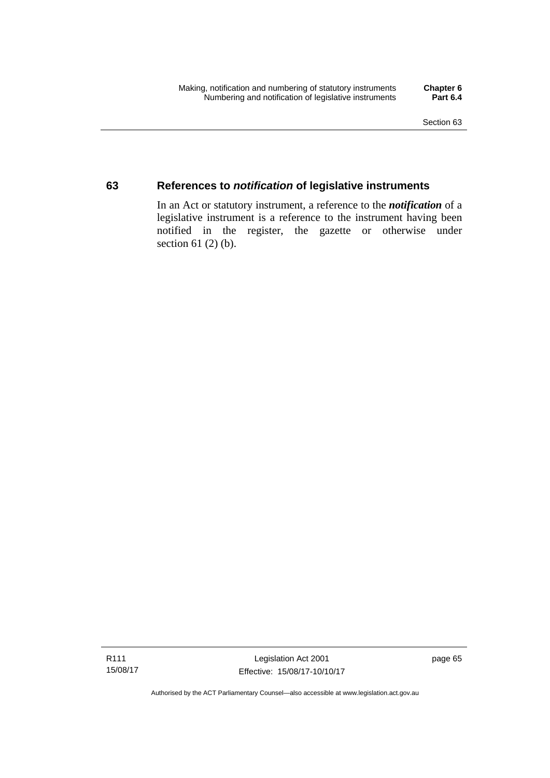## **63 References to** *notification* **of legislative instruments**

In an Act or statutory instrument, a reference to the *notification* of a legislative instrument is a reference to the instrument having been notified in the register, the gazette or otherwise under section  $61$  (2) (b).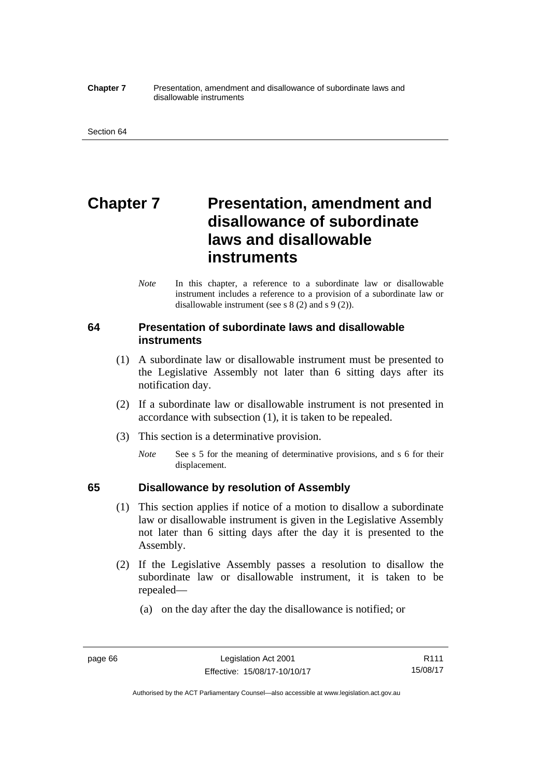#### **Chapter 7** Presentation, amendment and disallowance of subordinate laws and disallowable instruments

# **Chapter 7** Presentation, amendment and **disallowance of subordinate laws and disallowable instruments**

*Note* In this chapter, a reference to a subordinate law or disallowable instrument includes a reference to a provision of a subordinate law or disallowable instrument (see s 8 (2) and s 9 (2)).

## **64 Presentation of subordinate laws and disallowable instruments**

- (1) A subordinate law or disallowable instrument must be presented to the Legislative Assembly not later than 6 sitting days after its notification day.
- (2) If a subordinate law or disallowable instrument is not presented in accordance with subsection (1), it is taken to be repealed.
- (3) This section is a determinative provision.
	- *Note* See s 5 for the meaning of determinative provisions, and s 6 for their displacement.

## **65 Disallowance by resolution of Assembly**

- (1) This section applies if notice of a motion to disallow a subordinate law or disallowable instrument is given in the Legislative Assembly not later than 6 sitting days after the day it is presented to the Assembly.
- (2) If the Legislative Assembly passes a resolution to disallow the subordinate law or disallowable instrument, it is taken to be repealed—
	- (a) on the day after the day the disallowance is notified; or

Authorised by the ACT Parliamentary Counsel—also accessible at www.legislation.act.gov.au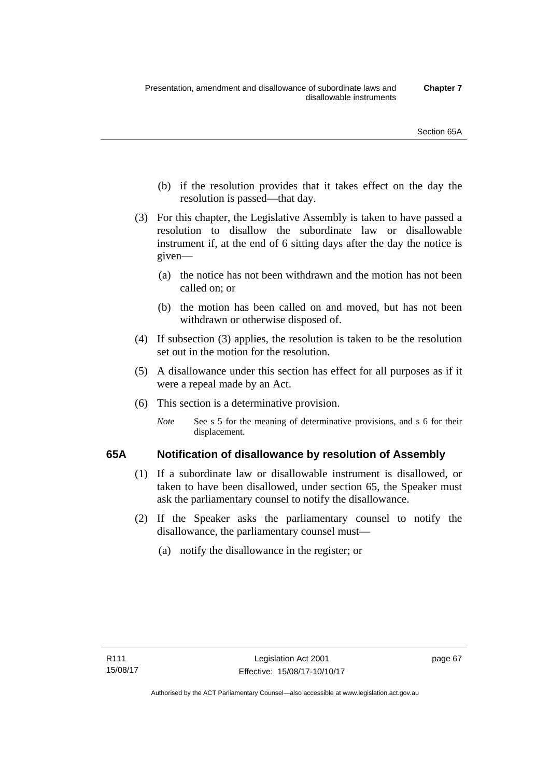- (b) if the resolution provides that it takes effect on the day the resolution is passed—that day.
- (3) For this chapter, the Legislative Assembly is taken to have passed a resolution to disallow the subordinate law or disallowable instrument if, at the end of 6 sitting days after the day the notice is given—
	- (a) the notice has not been withdrawn and the motion has not been called on; or
	- (b) the motion has been called on and moved, but has not been withdrawn or otherwise disposed of.
- (4) If subsection (3) applies, the resolution is taken to be the resolution set out in the motion for the resolution.
- (5) A disallowance under this section has effect for all purposes as if it were a repeal made by an Act.
- (6) This section is a determinative provision.
	- *Note* See s 5 for the meaning of determinative provisions, and s 6 for their displacement.

## **65A Notification of disallowance by resolution of Assembly**

- (1) If a subordinate law or disallowable instrument is disallowed, or taken to have been disallowed, under section 65, the Speaker must ask the parliamentary counsel to notify the disallowance.
- (2) If the Speaker asks the parliamentary counsel to notify the disallowance, the parliamentary counsel must—
	- (a) notify the disallowance in the register; or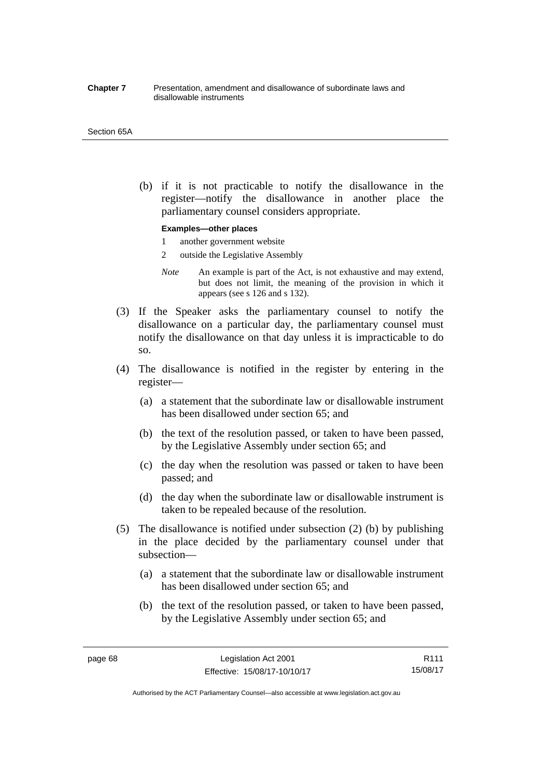#### **Chapter 7** Presentation, amendment and disallowance of subordinate laws and disallowable instruments

#### Section 65A

 (b) if it is not practicable to notify the disallowance in the register—notify the disallowance in another place the parliamentary counsel considers appropriate.

#### **Examples—other places**

- 1 another government website
- 2 outside the Legislative Assembly
- *Note* An example is part of the Act, is not exhaustive and may extend, but does not limit, the meaning of the provision in which it appears (see s 126 and s 132).
- (3) If the Speaker asks the parliamentary counsel to notify the disallowance on a particular day, the parliamentary counsel must notify the disallowance on that day unless it is impracticable to do so.
- (4) The disallowance is notified in the register by entering in the register—
	- (a) a statement that the subordinate law or disallowable instrument has been disallowed under section 65; and
	- (b) the text of the resolution passed, or taken to have been passed, by the Legislative Assembly under section 65; and
	- (c) the day when the resolution was passed or taken to have been passed; and
	- (d) the day when the subordinate law or disallowable instrument is taken to be repealed because of the resolution.
- (5) The disallowance is notified under subsection (2) (b) by publishing in the place decided by the parliamentary counsel under that subsection—
	- (a) a statement that the subordinate law or disallowable instrument has been disallowed under section 65; and
	- (b) the text of the resolution passed, or taken to have been passed, by the Legislative Assembly under section 65; and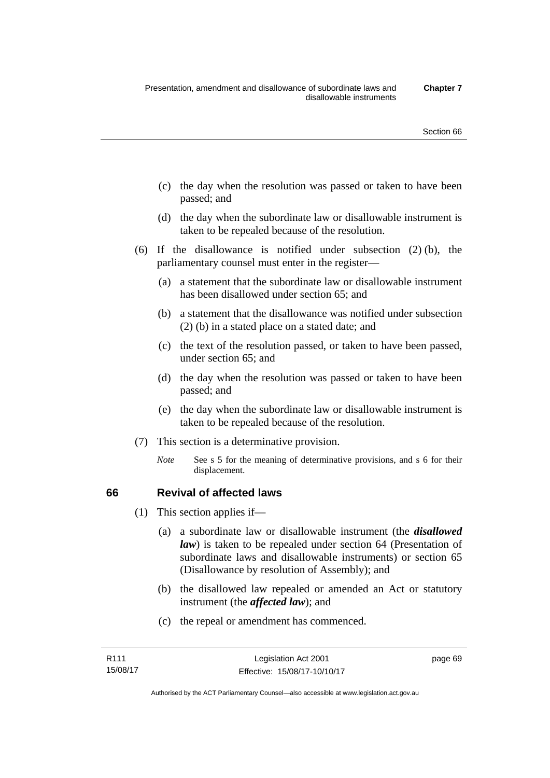- (c) the day when the resolution was passed or taken to have been passed; and
- (d) the day when the subordinate law or disallowable instrument is taken to be repealed because of the resolution.
- (6) If the disallowance is notified under subsection (2) (b), the parliamentary counsel must enter in the register—
	- (a) a statement that the subordinate law or disallowable instrument has been disallowed under section 65; and
	- (b) a statement that the disallowance was notified under subsection (2) (b) in a stated place on a stated date; and
	- (c) the text of the resolution passed, or taken to have been passed, under section 65; and
	- (d) the day when the resolution was passed or taken to have been passed; and
	- (e) the day when the subordinate law or disallowable instrument is taken to be repealed because of the resolution.
- (7) This section is a determinative provision.
	- *Note* See s 5 for the meaning of determinative provisions, and s 6 for their displacement.

## **66 Revival of affected laws**

- (1) This section applies if—
	- (a) a subordinate law or disallowable instrument (the *disallowed law*) is taken to be repealed under section 64 (Presentation of subordinate laws and disallowable instruments) or section 65 (Disallowance by resolution of Assembly); and
	- (b) the disallowed law repealed or amended an Act or statutory instrument (the *affected law*); and
	- (c) the repeal or amendment has commenced.

page 69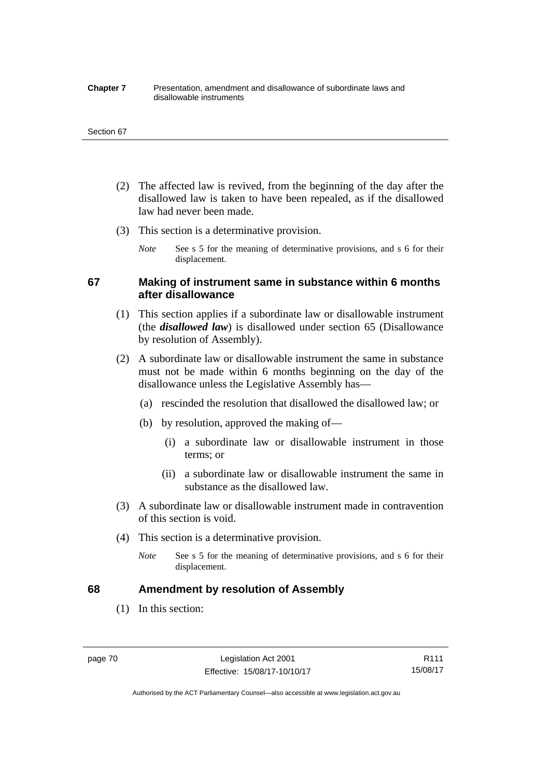#### **Chapter 7** Presentation, amendment and disallowance of subordinate laws and disallowable instruments

#### Section 67

- (2) The affected law is revived, from the beginning of the day after the disallowed law is taken to have been repealed, as if the disallowed law had never been made.
- (3) This section is a determinative provision.
	- *Note* See s 5 for the meaning of determinative provisions, and s 6 for their displacement.

## **67 Making of instrument same in substance within 6 months after disallowance**

- (1) This section applies if a subordinate law or disallowable instrument (the *disallowed law*) is disallowed under section 65 (Disallowance by resolution of Assembly).
- (2) A subordinate law or disallowable instrument the same in substance must not be made within 6 months beginning on the day of the disallowance unless the Legislative Assembly has—
	- (a) rescinded the resolution that disallowed the disallowed law; or
	- (b) by resolution, approved the making of—
		- (i) a subordinate law or disallowable instrument in those terms; or
		- (ii) a subordinate law or disallowable instrument the same in substance as the disallowed law.
- (3) A subordinate law or disallowable instrument made in contravention of this section is void.
- (4) This section is a determinative provision.
	- *Note* See s 5 for the meaning of determinative provisions, and s 6 for their displacement.

## **68 Amendment by resolution of Assembly**

(1) In this section:

R111 15/08/17

Authorised by the ACT Parliamentary Counsel—also accessible at www.legislation.act.gov.au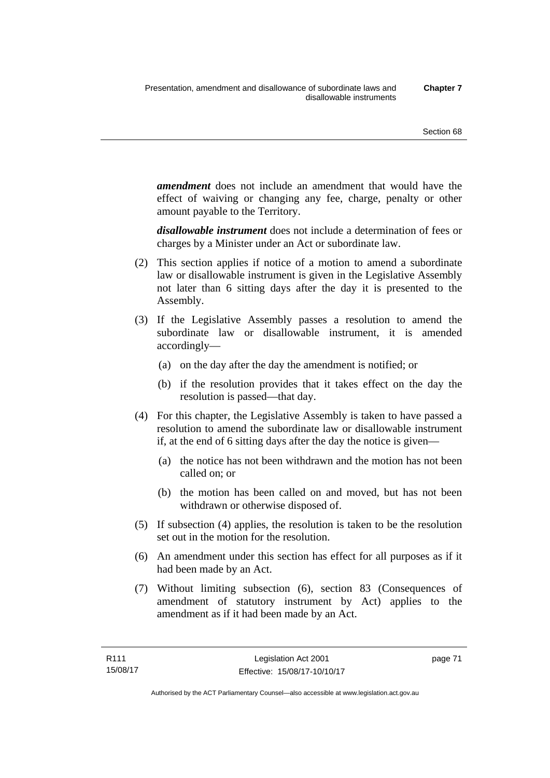*amendment* does not include an amendment that would have the effect of waiving or changing any fee, charge, penalty or other amount payable to the Territory.

*disallowable instrument* does not include a determination of fees or charges by a Minister under an Act or subordinate law.

- (2) This section applies if notice of a motion to amend a subordinate law or disallowable instrument is given in the Legislative Assembly not later than 6 sitting days after the day it is presented to the Assembly.
- (3) If the Legislative Assembly passes a resolution to amend the subordinate law or disallowable instrument, it is amended accordingly—
	- (a) on the day after the day the amendment is notified; or
	- (b) if the resolution provides that it takes effect on the day the resolution is passed—that day.
- (4) For this chapter, the Legislative Assembly is taken to have passed a resolution to amend the subordinate law or disallowable instrument if, at the end of 6 sitting days after the day the notice is given—
	- (a) the notice has not been withdrawn and the motion has not been called on; or
	- (b) the motion has been called on and moved, but has not been withdrawn or otherwise disposed of.
- (5) If subsection (4) applies, the resolution is taken to be the resolution set out in the motion for the resolution.
- (6) An amendment under this section has effect for all purposes as if it had been made by an Act.
- (7) Without limiting subsection (6), section 83 (Consequences of amendment of statutory instrument by Act) applies to the amendment as if it had been made by an Act.

page 71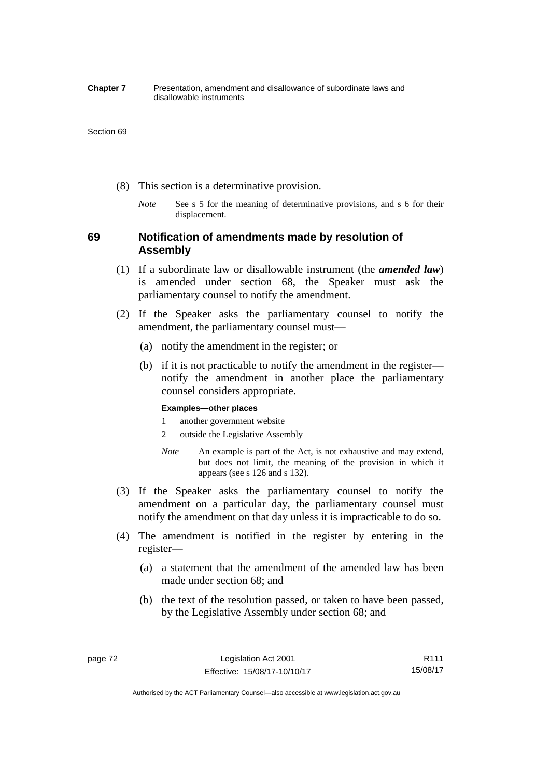#### **Chapter 7** Presentation, amendment and disallowance of subordinate laws and disallowable instruments

#### Section 69

- (8) This section is a determinative provision.
	- *Note* See s 5 for the meaning of determinative provisions, and s 6 for their displacement.

## **69 Notification of amendments made by resolution of Assembly**

- (1) If a subordinate law or disallowable instrument (the *amended law*) is amended under section 68, the Speaker must ask the parliamentary counsel to notify the amendment.
- (2) If the Speaker asks the parliamentary counsel to notify the amendment, the parliamentary counsel must—
	- (a) notify the amendment in the register; or
	- (b) if it is not practicable to notify the amendment in the register notify the amendment in another place the parliamentary counsel considers appropriate.

### **Examples—other places**

- 1 another government website
- 2 outside the Legislative Assembly
- *Note* An example is part of the Act, is not exhaustive and may extend, but does not limit, the meaning of the provision in which it appears (see s 126 and s 132).
- (3) If the Speaker asks the parliamentary counsel to notify the amendment on a particular day, the parliamentary counsel must notify the amendment on that day unless it is impracticable to do so.
- (4) The amendment is notified in the register by entering in the register—
	- (a) a statement that the amendment of the amended law has been made under section 68; and
	- (b) the text of the resolution passed, or taken to have been passed, by the Legislative Assembly under section 68; and

Authorised by the ACT Parliamentary Counsel—also accessible at www.legislation.act.gov.au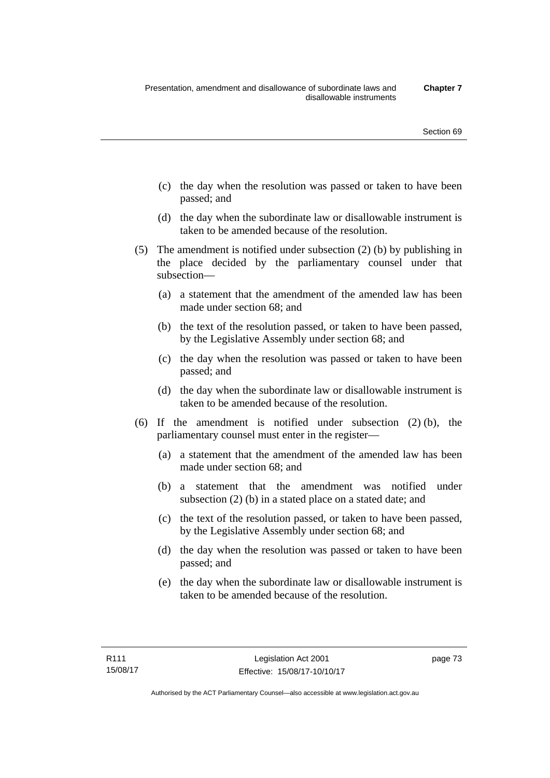- (c) the day when the resolution was passed or taken to have been passed; and
- (d) the day when the subordinate law or disallowable instrument is taken to be amended because of the resolution.
- (5) The amendment is notified under subsection (2) (b) by publishing in the place decided by the parliamentary counsel under that subsection—
	- (a) a statement that the amendment of the amended law has been made under section 68; and
	- (b) the text of the resolution passed, or taken to have been passed, by the Legislative Assembly under section 68; and
	- (c) the day when the resolution was passed or taken to have been passed; and
	- (d) the day when the subordinate law or disallowable instrument is taken to be amended because of the resolution.
- (6) If the amendment is notified under subsection (2) (b), the parliamentary counsel must enter in the register—
	- (a) a statement that the amendment of the amended law has been made under section 68; and
	- (b) a statement that the amendment was notified under subsection (2) (b) in a stated place on a stated date; and
	- (c) the text of the resolution passed, or taken to have been passed, by the Legislative Assembly under section 68; and
	- (d) the day when the resolution was passed or taken to have been passed; and
	- (e) the day when the subordinate law or disallowable instrument is taken to be amended because of the resolution.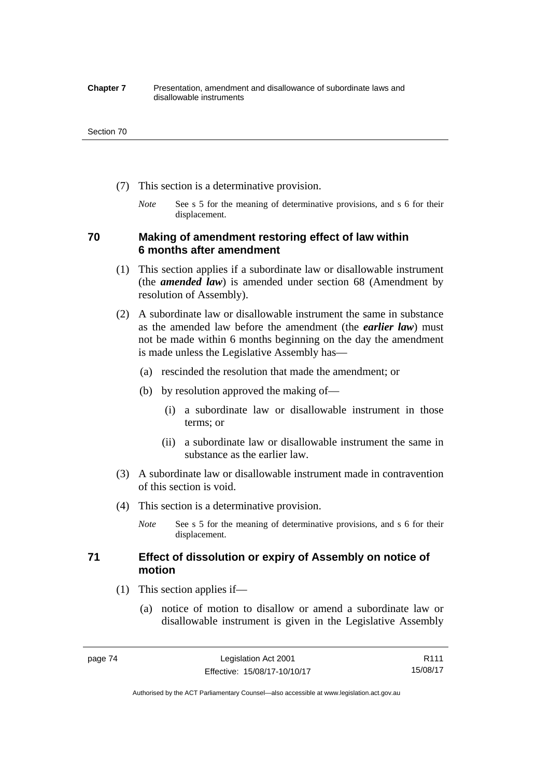#### **Chapter 7** Presentation, amendment and disallowance of subordinate laws and disallowable instruments

#### Section 70

- (7) This section is a determinative provision.
	- *Note* See s 5 for the meaning of determinative provisions, and s 6 for their displacement.

## **70 Making of amendment restoring effect of law within 6 months after amendment**

- (1) This section applies if a subordinate law or disallowable instrument (the *amended law*) is amended under section 68 (Amendment by resolution of Assembly).
- (2) A subordinate law or disallowable instrument the same in substance as the amended law before the amendment (the *earlier law*) must not be made within 6 months beginning on the day the amendment is made unless the Legislative Assembly has—
	- (a) rescinded the resolution that made the amendment; or
	- (b) by resolution approved the making of—
		- (i) a subordinate law or disallowable instrument in those terms; or
		- (ii) a subordinate law or disallowable instrument the same in substance as the earlier law.
- (3) A subordinate law or disallowable instrument made in contravention of this section is void.
- (4) This section is a determinative provision.
	- *Note* See s 5 for the meaning of determinative provisions, and s 6 for their displacement.

## **71 Effect of dissolution or expiry of Assembly on notice of motion**

- (1) This section applies if—
	- (a) notice of motion to disallow or amend a subordinate law or disallowable instrument is given in the Legislative Assembly

R111 15/08/17

Authorised by the ACT Parliamentary Counsel—also accessible at www.legislation.act.gov.au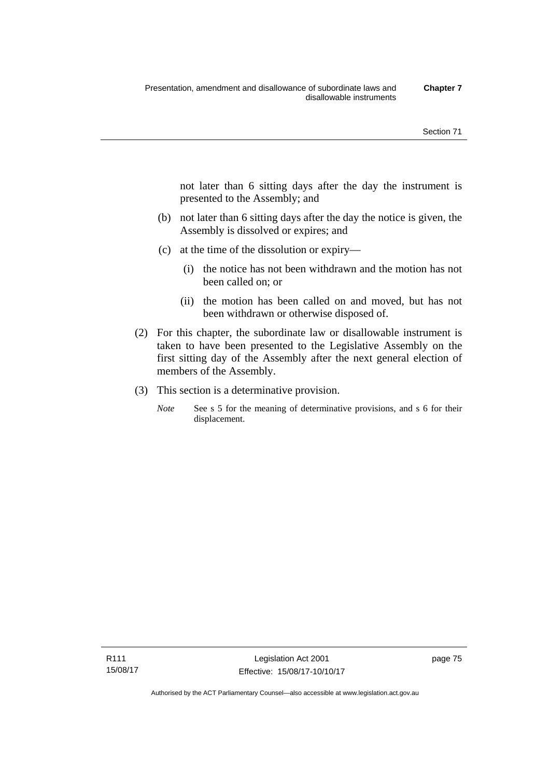not later than 6 sitting days after the day the instrument is presented to the Assembly; and

- (b) not later than 6 sitting days after the day the notice is given, the Assembly is dissolved or expires; and
- (c) at the time of the dissolution or expiry—
	- (i) the notice has not been withdrawn and the motion has not been called on; or
	- (ii) the motion has been called on and moved, but has not been withdrawn or otherwise disposed of.
- (2) For this chapter, the subordinate law or disallowable instrument is taken to have been presented to the Legislative Assembly on the first sitting day of the Assembly after the next general election of members of the Assembly.
- (3) This section is a determinative provision.
	- *Note* See s 5 for the meaning of determinative provisions, and s 6 for their displacement.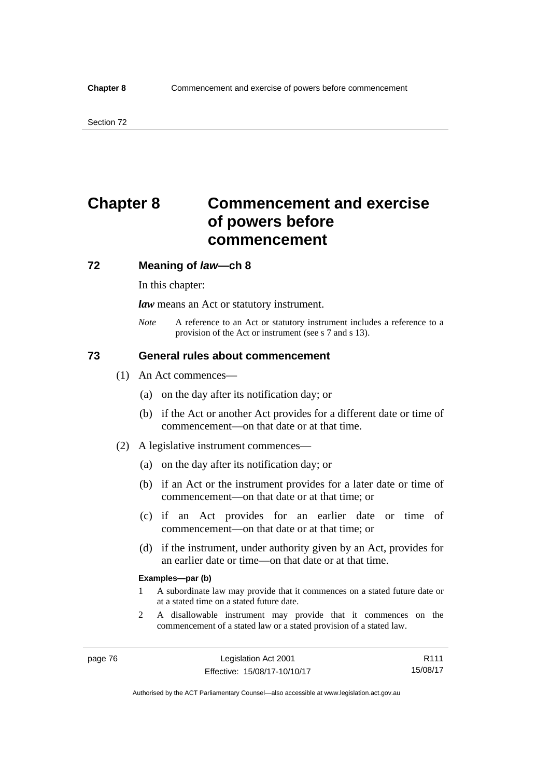# **Chapter 8 Commencement and exercise of powers before commencement**

### **72 Meaning of** *law***—ch 8**

In this chapter:

*law* means an Act or statutory instrument.

*Note* A reference to an Act or statutory instrument includes a reference to a provision of the Act or instrument (see s 7 and s 13).

## **73 General rules about commencement**

- (1) An Act commences—
	- (a) on the day after its notification day; or
	- (b) if the Act or another Act provides for a different date or time of commencement—on that date or at that time.
- (2) A legislative instrument commences—
	- (a) on the day after its notification day; or
	- (b) if an Act or the instrument provides for a later date or time of commencement—on that date or at that time; or
	- (c) if an Act provides for an earlier date or time of commencement—on that date or at that time; or
	- (d) if the instrument, under authority given by an Act, provides for an earlier date or time—on that date or at that time.

#### **Examples—par (b)**

- 1 A subordinate law may provide that it commences on a stated future date or at a stated time on a stated future date.
- 2 A disallowable instrument may provide that it commences on the commencement of a stated law or a stated provision of a stated law.

Authorised by the ACT Parliamentary Counsel—also accessible at www.legislation.act.gov.au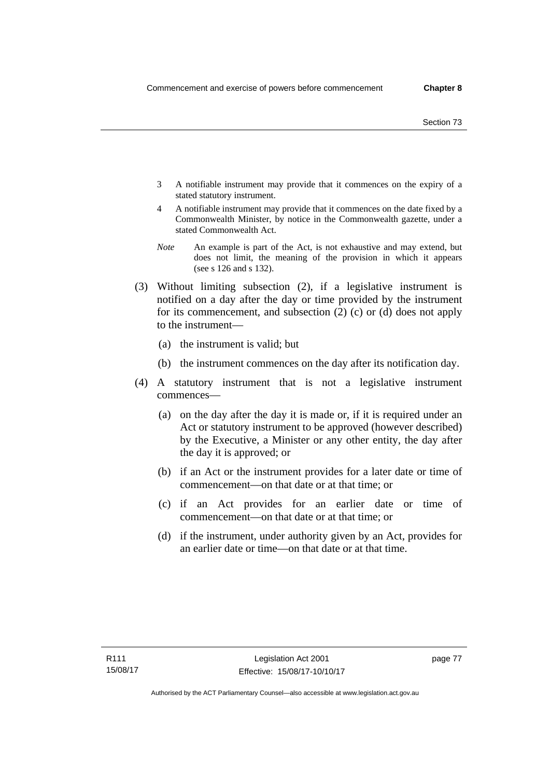- 3 A notifiable instrument may provide that it commences on the expiry of a stated statutory instrument.
- 4 A notifiable instrument may provide that it commences on the date fixed by a Commonwealth Minister, by notice in the Commonwealth gazette, under a stated Commonwealth Act.
- *Note* An example is part of the Act, is not exhaustive and may extend, but does not limit, the meaning of the provision in which it appears (see s 126 and s 132).
- (3) Without limiting subsection (2), if a legislative instrument is notified on a day after the day or time provided by the instrument for its commencement, and subsection (2) (c) or (d) does not apply to the instrument—
	- (a) the instrument is valid; but
	- (b) the instrument commences on the day after its notification day.
- (4) A statutory instrument that is not a legislative instrument commences—
	- (a) on the day after the day it is made or, if it is required under an Act or statutory instrument to be approved (however described) by the Executive, a Minister or any other entity, the day after the day it is approved; or
	- (b) if an Act or the instrument provides for a later date or time of commencement—on that date or at that time; or
	- (c) if an Act provides for an earlier date or time of commencement—on that date or at that time; or
	- (d) if the instrument, under authority given by an Act, provides for an earlier date or time—on that date or at that time.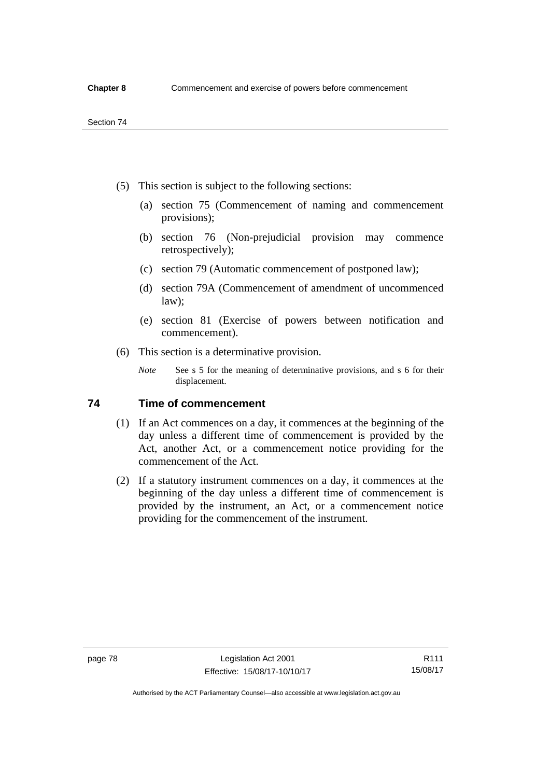- (5) This section is subject to the following sections:
	- (a) section 75 (Commencement of naming and commencement provisions);
	- (b) section 76 (Non-prejudicial provision may commence retrospectively);
	- (c) section 79 (Automatic commencement of postponed law);
	- (d) section 79A (Commencement of amendment of uncommenced law);
	- (e) section 81 (Exercise of powers between notification and commencement).
- (6) This section is a determinative provision.
	- *Note* See s 5 for the meaning of determinative provisions, and s 6 for their displacement.

## **74 Time of commencement**

- (1) If an Act commences on a day, it commences at the beginning of the day unless a different time of commencement is provided by the Act, another Act, or a commencement notice providing for the commencement of the Act.
- (2) If a statutory instrument commences on a day, it commences at the beginning of the day unless a different time of commencement is provided by the instrument, an Act, or a commencement notice providing for the commencement of the instrument.

Authorised by the ACT Parliamentary Counsel—also accessible at www.legislation.act.gov.au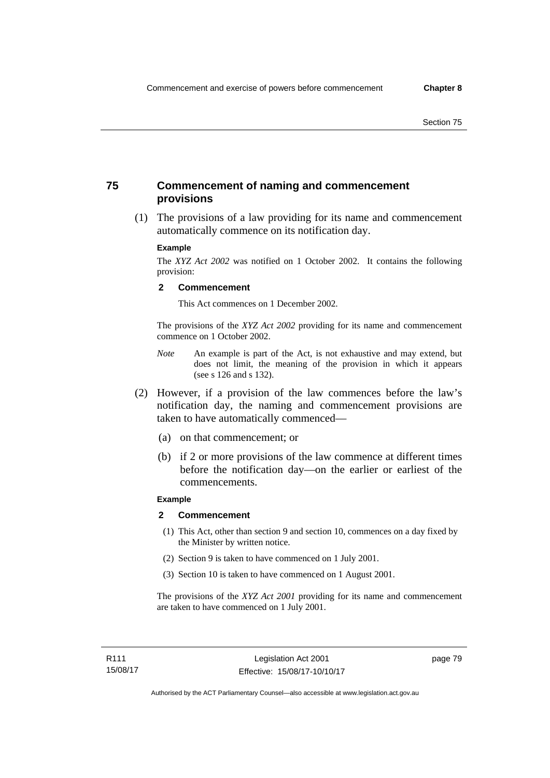## **75 Commencement of naming and commencement provisions**

 (1) The provisions of a law providing for its name and commencement automatically commence on its notification day.

### **Example**

The *XYZ Act 2002* was notified on 1 October 2002. It contains the following provision:

#### **2 Commencement**

This Act commences on 1 December 2002.

The provisions of the *XYZ Act 2002* providing for its name and commencement commence on 1 October 2002.

- *Note* An example is part of the Act, is not exhaustive and may extend, but does not limit, the meaning of the provision in which it appears (see s 126 and s 132).
- (2) However, if a provision of the law commences before the law's notification day, the naming and commencement provisions are taken to have automatically commenced—
	- (a) on that commencement; or
	- (b) if 2 or more provisions of the law commence at different times before the notification day—on the earlier or earliest of the commencements.

## **Example**

#### **2 Commencement**

- (1) This Act, other than section 9 and section 10, commences on a day fixed by the Minister by written notice.
- (2) Section 9 is taken to have commenced on 1 July 2001.
- (3) Section 10 is taken to have commenced on 1 August 2001.

The provisions of the *XYZ Act 2001* providing for its name and commencement are taken to have commenced on 1 July 2001.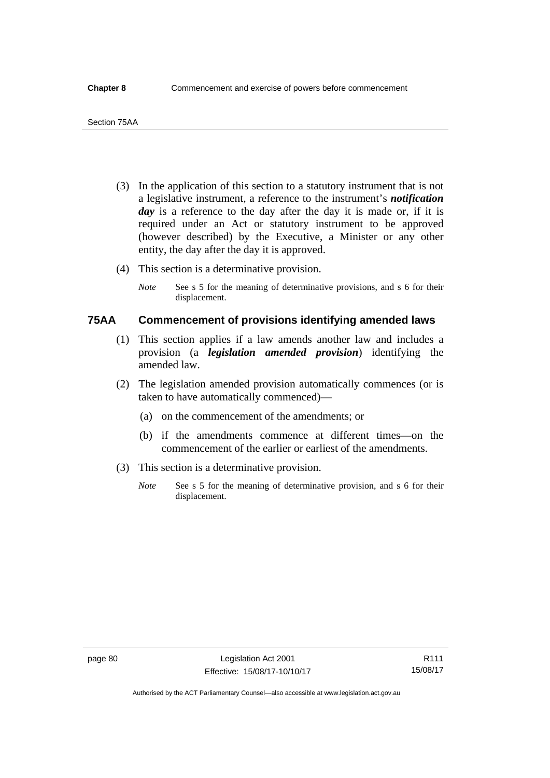- (3) In the application of this section to a statutory instrument that is not a legislative instrument, a reference to the instrument's *notification*  day is a reference to the day after the day it is made or, if it is required under an Act or statutory instrument to be approved (however described) by the Executive, a Minister or any other entity, the day after the day it is approved.
- (4) This section is a determinative provision.
	- *Note* See s 5 for the meaning of determinative provisions, and s 6 for their displacement.

## **75AA Commencement of provisions identifying amended laws**

- (1) This section applies if a law amends another law and includes a provision (a *legislation amended provision*) identifying the amended law.
- (2) The legislation amended provision automatically commences (or is taken to have automatically commenced)—
	- (a) on the commencement of the amendments; or
	- (b) if the amendments commence at different times—on the commencement of the earlier or earliest of the amendments.
- (3) This section is a determinative provision.
	- *Note* See s 5 for the meaning of determinative provision, and s 6 for their displacement.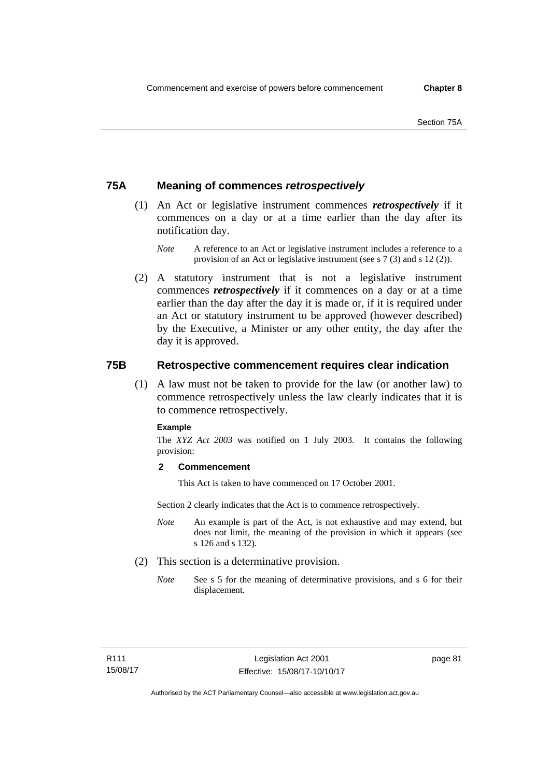## **75A Meaning of commences** *retrospectively*

- (1) An Act or legislative instrument commences *retrospectively* if it commences on a day or at a time earlier than the day after its notification day.
	- *Note* A reference to an Act or legislative instrument includes a reference to a provision of an Act or legislative instrument (see s 7 (3) and s 12 (2)).
- (2) A statutory instrument that is not a legislative instrument commences *retrospectively* if it commences on a day or at a time earlier than the day after the day it is made or, if it is required under an Act or statutory instrument to be approved (however described) by the Executive, a Minister or any other entity, the day after the day it is approved.

## **75B Retrospective commencement requires clear indication**

(1) A law must not be taken to provide for the law (or another law) to commence retrospectively unless the law clearly indicates that it is to commence retrospectively.

#### **Example**

The *XYZ Act 2003* was notified on 1 July 2003. It contains the following provision:

### **2 Commencement**

This Act is taken to have commenced on 17 October 2001.

Section 2 clearly indicates that the Act is to commence retrospectively.

- *Note* An example is part of the Act, is not exhaustive and may extend, but does not limit, the meaning of the provision in which it appears (see s 126 and s 132).
- (2) This section is a determinative provision.
	- *Note* See s 5 for the meaning of determinative provisions, and s 6 for their displacement.

page 81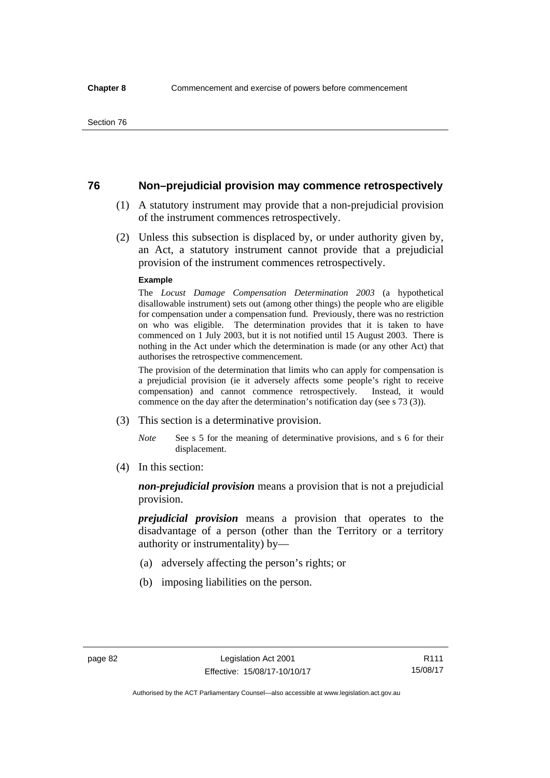## **76 Non–prejudicial provision may commence retrospectively**

- (1) A statutory instrument may provide that a non-prejudicial provision of the instrument commences retrospectively.
- (2) Unless this subsection is displaced by, or under authority given by, an Act, a statutory instrument cannot provide that a prejudicial provision of the instrument commences retrospectively.

#### **Example**

The *Locust Damage Compensation Determination 2003* (a hypothetical disallowable instrument) sets out (among other things) the people who are eligible for compensation under a compensation fund. Previously, there was no restriction on who was eligible. The determination provides that it is taken to have commenced on 1 July 2003, but it is not notified until 15 August 2003. There is nothing in the Act under which the determination is made (or any other Act) that authorises the retrospective commencement.

The provision of the determination that limits who can apply for compensation is a prejudicial provision (ie it adversely affects some people's right to receive compensation) and cannot commence retrospectively. Instead, it would commence on the day after the determination's notification day (see s 73 (3)).

- (3) This section is a determinative provision.
	- *Note* See s 5 for the meaning of determinative provisions, and s 6 for their displacement.
- (4) In this section:

*non-prejudicial provision* means a provision that is not a prejudicial provision.

*prejudicial provision* means a provision that operates to the disadvantage of a person (other than the Territory or a territory authority or instrumentality) by—

- (a) adversely affecting the person's rights; or
- (b) imposing liabilities on the person.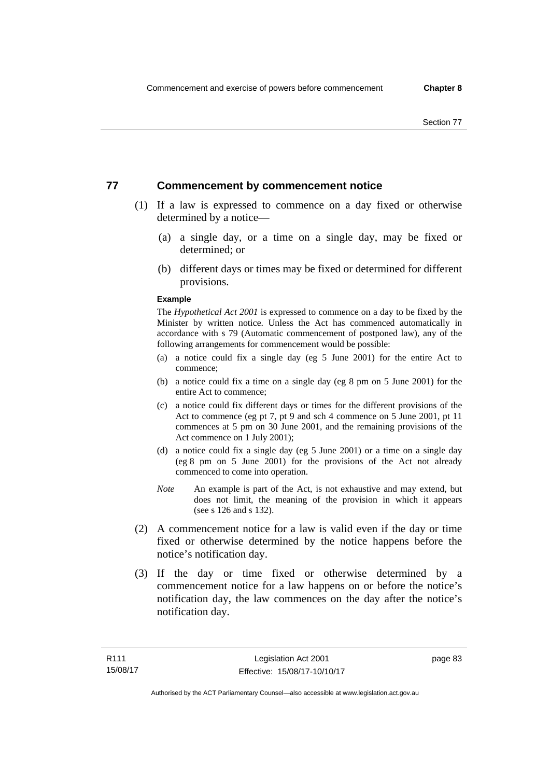## **77 Commencement by commencement notice**

- (1) If a law is expressed to commence on a day fixed or otherwise determined by a notice—
	- (a) a single day, or a time on a single day, may be fixed or determined; or
	- (b) different days or times may be fixed or determined for different provisions.

#### **Example**

The *Hypothetical Act 2001* is expressed to commence on a day to be fixed by the Minister by written notice. Unless the Act has commenced automatically in accordance with s 79 (Automatic commencement of postponed law), any of the following arrangements for commencement would be possible:

- (a) a notice could fix a single day (eg 5 June 2001) for the entire Act to commence;
- (b) a notice could fix a time on a single day (eg 8 pm on 5 June 2001) for the entire Act to commence;
- (c) a notice could fix different days or times for the different provisions of the Act to commence (eg pt 7, pt 9 and sch 4 commence on 5 June 2001, pt 11 commences at 5 pm on 30 June 2001, and the remaining provisions of the Act commence on 1 July 2001);
- (d) a notice could fix a single day (eg 5 June 2001) or a time on a single day (eg 8 pm on 5 June 2001) for the provisions of the Act not already commenced to come into operation.
- *Note* An example is part of the Act, is not exhaustive and may extend, but does not limit, the meaning of the provision in which it appears (see s 126 and s 132).
- (2) A commencement notice for a law is valid even if the day or time fixed or otherwise determined by the notice happens before the notice's notification day.
- (3) If the day or time fixed or otherwise determined by a commencement notice for a law happens on or before the notice's notification day, the law commences on the day after the notice's notification day.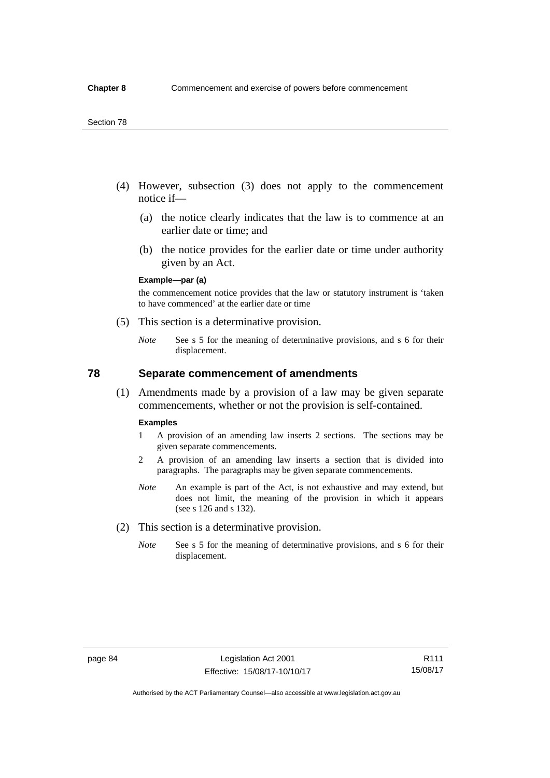- (4) However, subsection (3) does not apply to the commencement notice if—
	- (a) the notice clearly indicates that the law is to commence at an earlier date or time; and
	- (b) the notice provides for the earlier date or time under authority given by an Act.

### **Example—par (a)**

the commencement notice provides that the law or statutory instrument is 'taken to have commenced' at the earlier date or time

- (5) This section is a determinative provision.
	- *Note* See s 5 for the meaning of determinative provisions, and s 6 for their displacement.

## **78 Separate commencement of amendments**

 (1) Amendments made by a provision of a law may be given separate commencements, whether or not the provision is self-contained.

#### **Examples**

- 1 A provision of an amending law inserts 2 sections. The sections may be given separate commencements.
- 2 A provision of an amending law inserts a section that is divided into paragraphs. The paragraphs may be given separate commencements.
- *Note* An example is part of the Act, is not exhaustive and may extend, but does not limit, the meaning of the provision in which it appears (see s 126 and s 132).
- (2) This section is a determinative provision.
	- *Note* See s 5 for the meaning of determinative provisions, and s 6 for their displacement.

R111 15/08/17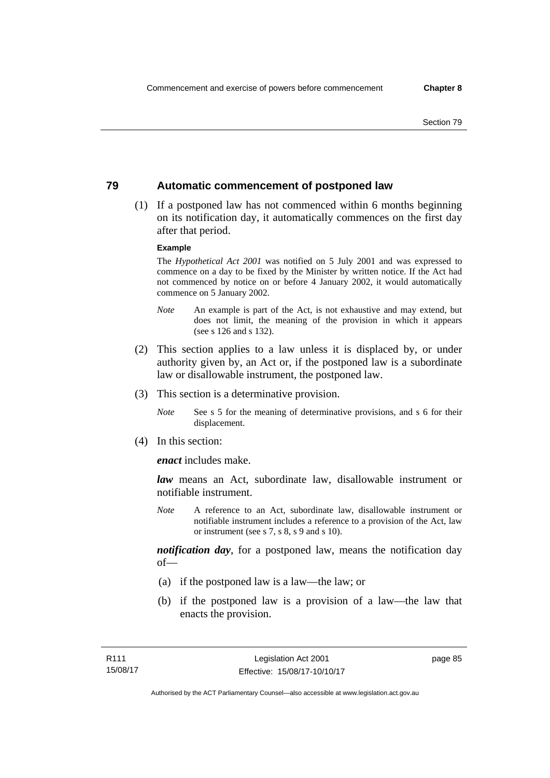## **79 Automatic commencement of postponed law**

 (1) If a postponed law has not commenced within 6 months beginning on its notification day, it automatically commences on the first day after that period.

#### **Example**

The *Hypothetical Act 2001* was notified on 5 July 2001 and was expressed to commence on a day to be fixed by the Minister by written notice. If the Act had not commenced by notice on or before 4 January 2002, it would automatically commence on 5 January 2002.

- *Note* An example is part of the Act, is not exhaustive and may extend, but does not limit, the meaning of the provision in which it appears (see s 126 and s 132).
- (2) This section applies to a law unless it is displaced by, or under authority given by, an Act or, if the postponed law is a subordinate law or disallowable instrument, the postponed law.
- (3) This section is a determinative provision.
	- *Note* See s 5 for the meaning of determinative provisions, and s 6 for their displacement.
- (4) In this section:

*enact* includes make.

*law* means an Act, subordinate law, disallowable instrument or notifiable instrument.

*Note* A reference to an Act, subordinate law, disallowable instrument or notifiable instrument includes a reference to a provision of the Act, law or instrument (see s 7, s 8, s 9 and s 10).

*notification day*, for a postponed law, means the notification day  $of$ 

- (a) if the postponed law is a law—the law; or
- (b) if the postponed law is a provision of a law—the law that enacts the provision.

page 85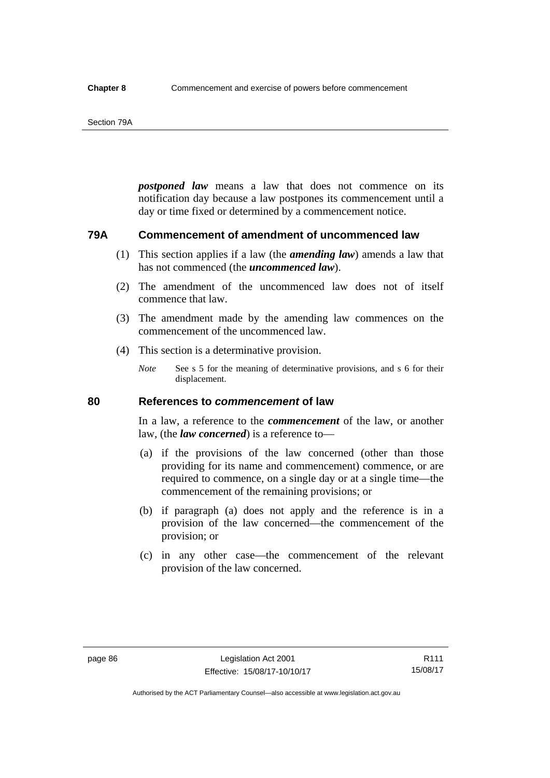#### Section 79A

*postponed law* means a law that does not commence on its notification day because a law postpones its commencement until a day or time fixed or determined by a commencement notice.

## **79A Commencement of amendment of uncommenced law**

- (1) This section applies if a law (the *amending law*) amends a law that has not commenced (the *uncommenced law*).
- (2) The amendment of the uncommenced law does not of itself commence that law.
- (3) The amendment made by the amending law commences on the commencement of the uncommenced law.
- (4) This section is a determinative provision.
	- *Note* See s 5 for the meaning of determinative provisions, and s 6 for their displacement.

## **80 References to** *commencement* **of law**

In a law, a reference to the *commencement* of the law, or another law, (the *law concerned*) is a reference to—

- (a) if the provisions of the law concerned (other than those providing for its name and commencement) commence, or are required to commence, on a single day or at a single time—the commencement of the remaining provisions; or
- (b) if paragraph (a) does not apply and the reference is in a provision of the law concerned—the commencement of the provision; or
- (c) in any other case—the commencement of the relevant provision of the law concerned.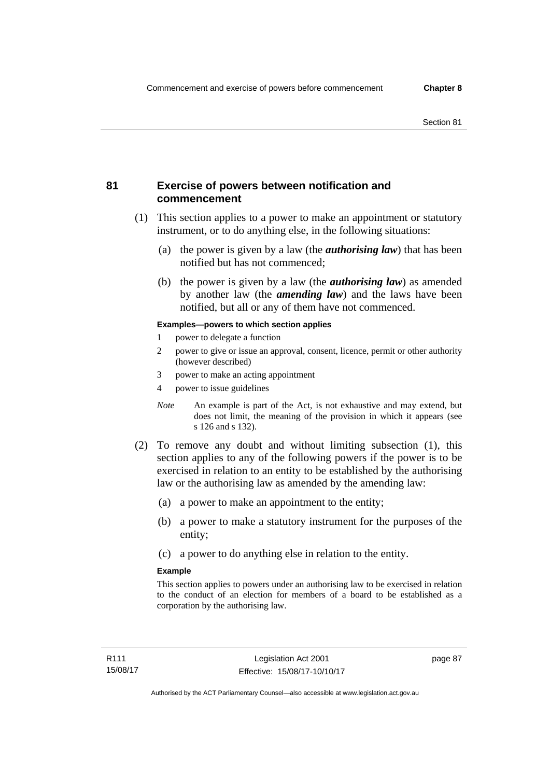## **81 Exercise of powers between notification and commencement**

- (1) This section applies to a power to make an appointment or statutory instrument, or to do anything else, in the following situations:
	- (a) the power is given by a law (the *authorising law*) that has been notified but has not commenced;
	- (b) the power is given by a law (the *authorising law*) as amended by another law (the *amending law*) and the laws have been notified, but all or any of them have not commenced.

### **Examples—powers to which section applies**

- 1 power to delegate a function
- 2 power to give or issue an approval, consent, licence, permit or other authority (however described)
- 3 power to make an acting appointment
- 4 power to issue guidelines
- *Note* An example is part of the Act, is not exhaustive and may extend, but does not limit, the meaning of the provision in which it appears (see s 126 and s 132).
- (2) To remove any doubt and without limiting subsection (1), this section applies to any of the following powers if the power is to be exercised in relation to an entity to be established by the authorising law or the authorising law as amended by the amending law:
	- (a) a power to make an appointment to the entity;
	- (b) a power to make a statutory instrument for the purposes of the entity;
	- (c) a power to do anything else in relation to the entity.

#### **Example**

This section applies to powers under an authorising law to be exercised in relation to the conduct of an election for members of a board to be established as a corporation by the authorising law.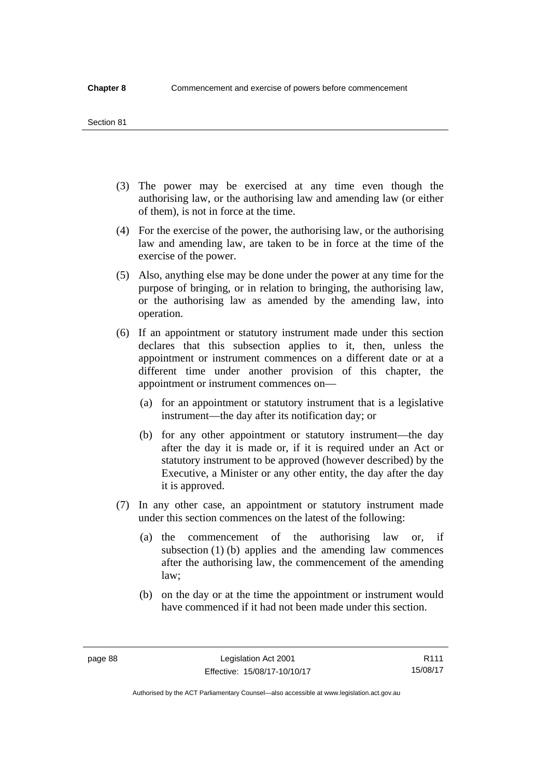#### Section 81

- (3) The power may be exercised at any time even though the authorising law, or the authorising law and amending law (or either of them), is not in force at the time.
- (4) For the exercise of the power, the authorising law, or the authorising law and amending law, are taken to be in force at the time of the exercise of the power.
- (5) Also, anything else may be done under the power at any time for the purpose of bringing, or in relation to bringing, the authorising law, or the authorising law as amended by the amending law, into operation.
- (6) If an appointment or statutory instrument made under this section declares that this subsection applies to it, then, unless the appointment or instrument commences on a different date or at a different time under another provision of this chapter, the appointment or instrument commences on—
	- (a) for an appointment or statutory instrument that is a legislative instrument—the day after its notification day; or
	- (b) for any other appointment or statutory instrument—the day after the day it is made or, if it is required under an Act or statutory instrument to be approved (however described) by the Executive, a Minister or any other entity, the day after the day it is approved.
- (7) In any other case, an appointment or statutory instrument made under this section commences on the latest of the following:
	- (a) the commencement of the authorising law or, if subsection (1) (b) applies and the amending law commences after the authorising law, the commencement of the amending law;
	- (b) on the day or at the time the appointment or instrument would have commenced if it had not been made under this section.

R111 15/08/17

Authorised by the ACT Parliamentary Counsel—also accessible at www.legislation.act.gov.au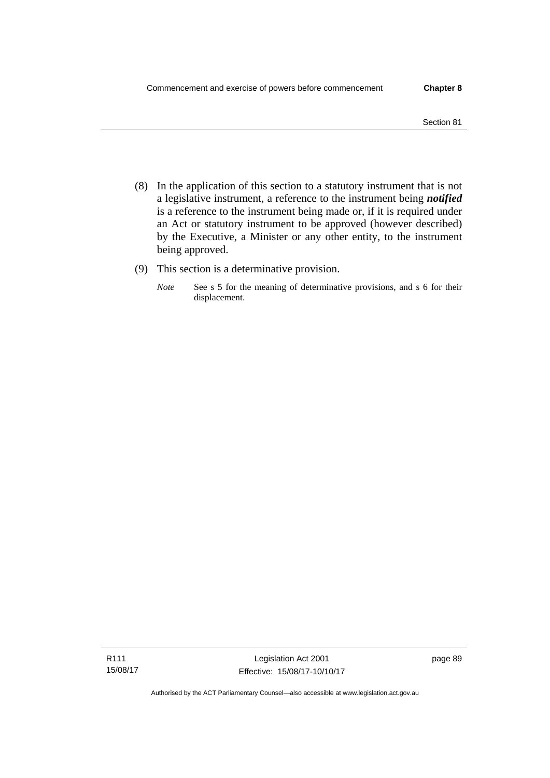- (8) In the application of this section to a statutory instrument that is not a legislative instrument, a reference to the instrument being *notified*  is a reference to the instrument being made or, if it is required under an Act or statutory instrument to be approved (however described) by the Executive, a Minister or any other entity, to the instrument
- (9) This section is a determinative provision.

being approved.

*Note* See s 5 for the meaning of determinative provisions, and s 6 for their displacement.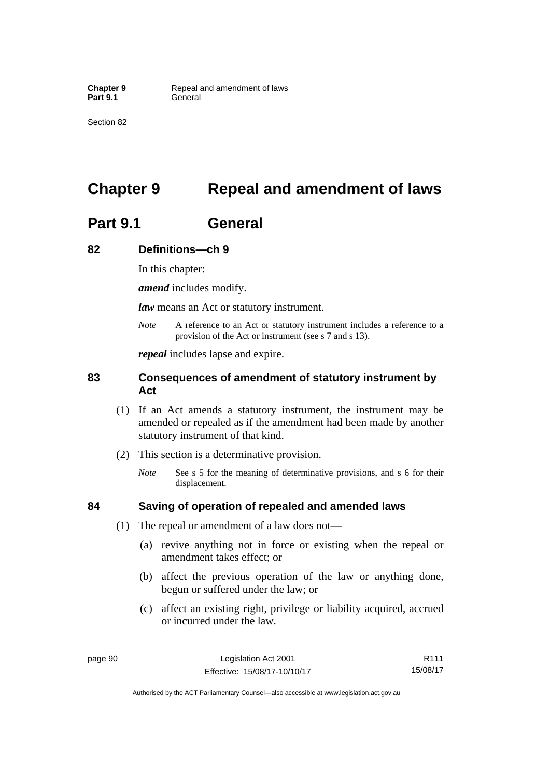Section 82

# **Chapter 9 Repeal and amendment of laws**

# **Part 9.1 General**

## **82 Definitions—ch 9**

In this chapter:

*amend* includes modify.

*law* means an Act or statutory instrument.

*Note* A reference to an Act or statutory instrument includes a reference to a provision of the Act or instrument (see s 7 and s 13).

*repeal* includes lapse and expire.

## **83 Consequences of amendment of statutory instrument by Act**

- (1) If an Act amends a statutory instrument, the instrument may be amended or repealed as if the amendment had been made by another statutory instrument of that kind.
- (2) This section is a determinative provision.
	- *Note* See s 5 for the meaning of determinative provisions, and s 6 for their displacement.

## **84 Saving of operation of repealed and amended laws**

- (1) The repeal or amendment of a law does not—
	- (a) revive anything not in force or existing when the repeal or amendment takes effect; or
	- (b) affect the previous operation of the law or anything done, begun or suffered under the law; or
	- (c) affect an existing right, privilege or liability acquired, accrued or incurred under the law.

R111 15/08/17

Authorised by the ACT Parliamentary Counsel—also accessible at www.legislation.act.gov.au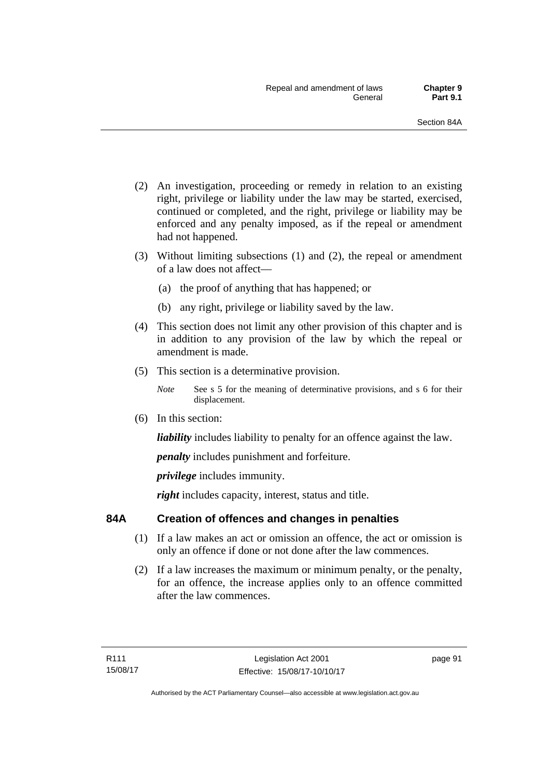- (2) An investigation, proceeding or remedy in relation to an existing right, privilege or liability under the law may be started, exercised, continued or completed, and the right, privilege or liability may be enforced and any penalty imposed, as if the repeal or amendment had not happened.
- (3) Without limiting subsections (1) and (2), the repeal or amendment of a law does not affect—
	- (a) the proof of anything that has happened; or
	- (b) any right, privilege or liability saved by the law.
- (4) This section does not limit any other provision of this chapter and is in addition to any provision of the law by which the repeal or amendment is made.
- (5) This section is a determinative provision.
	- *Note* See s 5 for the meaning of determinative provisions, and s 6 for their displacement.
- (6) In this section:

*liability* includes liability to penalty for an offence against the law.

*penalty* includes punishment and forfeiture.

*privilege* includes immunity.

right includes capacity, interest, status and title.

## **84A Creation of offences and changes in penalties**

- (1) If a law makes an act or omission an offence, the act or omission is only an offence if done or not done after the law commences.
- (2) If a law increases the maximum or minimum penalty, or the penalty, for an offence, the increase applies only to an offence committed after the law commences.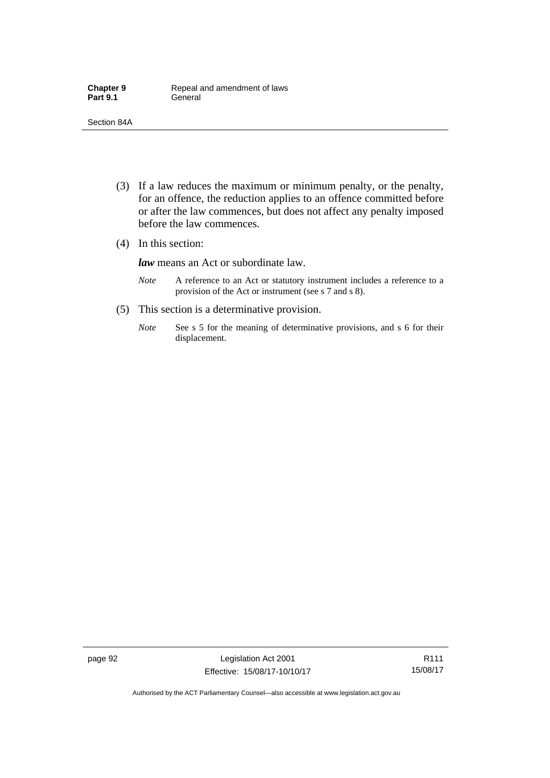- (3) If a law reduces the maximum or minimum penalty, or the penalty, for an offence, the reduction applies to an offence committed before or after the law commences, but does not affect any penalty imposed before the law commences.
- (4) In this section:

*law* means an Act or subordinate law.

- *Note* A reference to an Act or statutory instrument includes a reference to a provision of the Act or instrument (see s 7 and s 8).
- (5) This section is a determinative provision.
	- *Note* See s 5 for the meaning of determinative provisions, and s 6 for their displacement.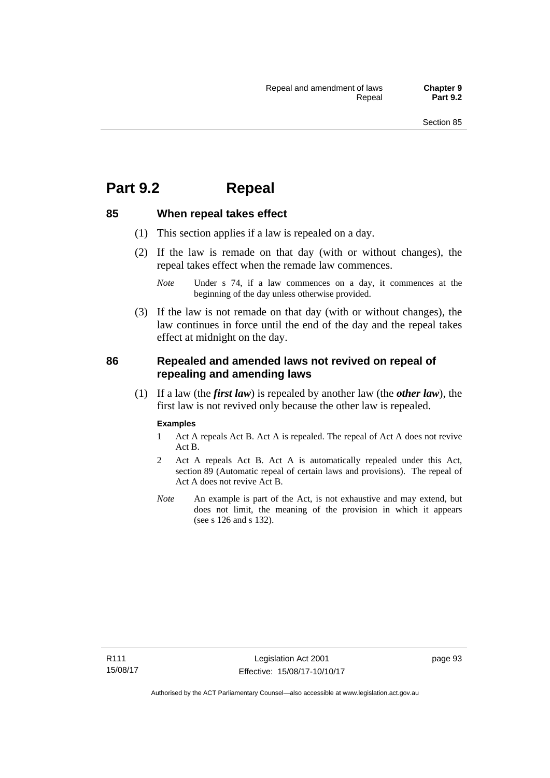## **Part 9.2 Repeal**

### **85 When repeal takes effect**

- (1) This section applies if a law is repealed on a day.
- (2) If the law is remade on that day (with or without changes), the repeal takes effect when the remade law commences.

 (3) If the law is not remade on that day (with or without changes), the law continues in force until the end of the day and the repeal takes effect at midnight on the day.

### **86 Repealed and amended laws not revived on repeal of repealing and amending laws**

 (1) If a law (the *first law*) is repealed by another law (the *other law*), the first law is not revived only because the other law is repealed.

#### **Examples**

- 1 Act A repeals Act B. Act A is repealed. The repeal of Act A does not revive Act B.
- 2 Act A repeals Act B. Act A is automatically repealed under this Act, section 89 (Automatic repeal of certain laws and provisions). The repeal of Act A does not revive Act B.
- *Note* An example is part of the Act, is not exhaustive and may extend, but does not limit, the meaning of the provision in which it appears (see s 126 and s 132).

*Note* Under s 74, if a law commences on a day, it commences at the beginning of the day unless otherwise provided.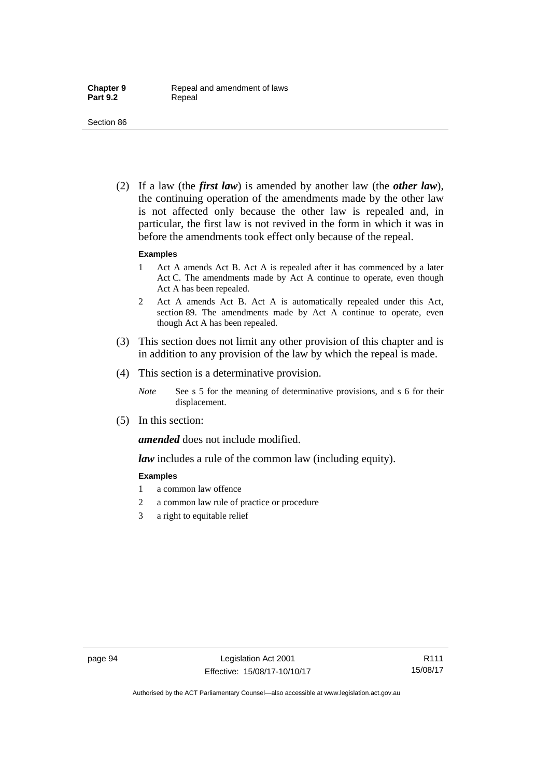(2) If a law (the *first law*) is amended by another law (the *other law*), the continuing operation of the amendments made by the other law is not affected only because the other law is repealed and, in particular, the first law is not revived in the form in which it was in before the amendments took effect only because of the repeal.

#### **Examples**

- 1 Act A amends Act B. Act A is repealed after it has commenced by a later Act C. The amendments made by Act A continue to operate, even though Act A has been repealed.
- 2 Act A amends Act B. Act A is automatically repealed under this Act, section 89. The amendments made by Act A continue to operate, even though Act A has been repealed.
- (3) This section does not limit any other provision of this chapter and is in addition to any provision of the law by which the repeal is made.
- (4) This section is a determinative provision.
	- *Note* See s 5 for the meaning of determinative provisions, and s 6 for their displacement.
- (5) In this section:

*amended* does not include modified.

*law* includes a rule of the common law (including equity).

#### **Examples**

- 1 a common law offence
- 2 a common law rule of practice or procedure
- 3 a right to equitable relief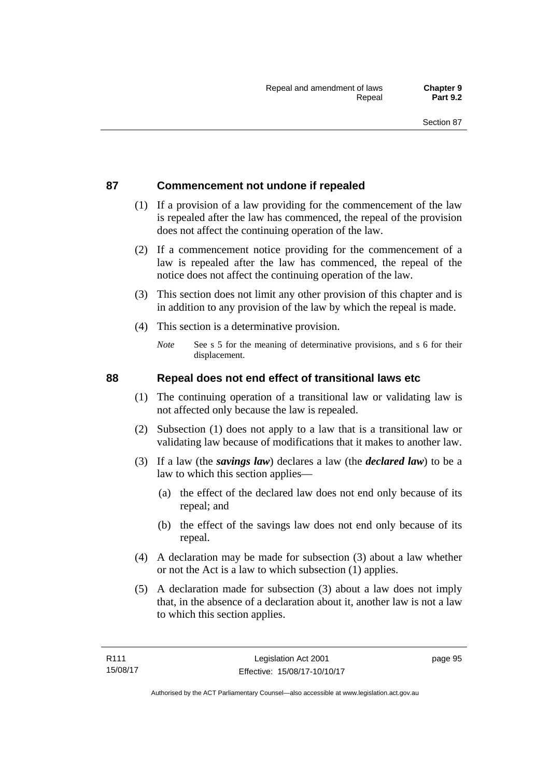### **87 Commencement not undone if repealed**

- (1) If a provision of a law providing for the commencement of the law is repealed after the law has commenced, the repeal of the provision does not affect the continuing operation of the law.
- (2) If a commencement notice providing for the commencement of a law is repealed after the law has commenced, the repeal of the notice does not affect the continuing operation of the law.
- (3) This section does not limit any other provision of this chapter and is in addition to any provision of the law by which the repeal is made.
- (4) This section is a determinative provision.
	- *Note* See s 5 for the meaning of determinative provisions, and s 6 for their displacement.

### **88 Repeal does not end effect of transitional laws etc**

- (1) The continuing operation of a transitional law or validating law is not affected only because the law is repealed.
- (2) Subsection (1) does not apply to a law that is a transitional law or validating law because of modifications that it makes to another law.
- (3) If a law (the *savings law*) declares a law (the *declared law*) to be a law to which this section applies—
	- (a) the effect of the declared law does not end only because of its repeal; and
	- (b) the effect of the savings law does not end only because of its repeal.
- (4) A declaration may be made for subsection (3) about a law whether or not the Act is a law to which subsection (1) applies.
- (5) A declaration made for subsection (3) about a law does not imply that, in the absence of a declaration about it, another law is not a law to which this section applies.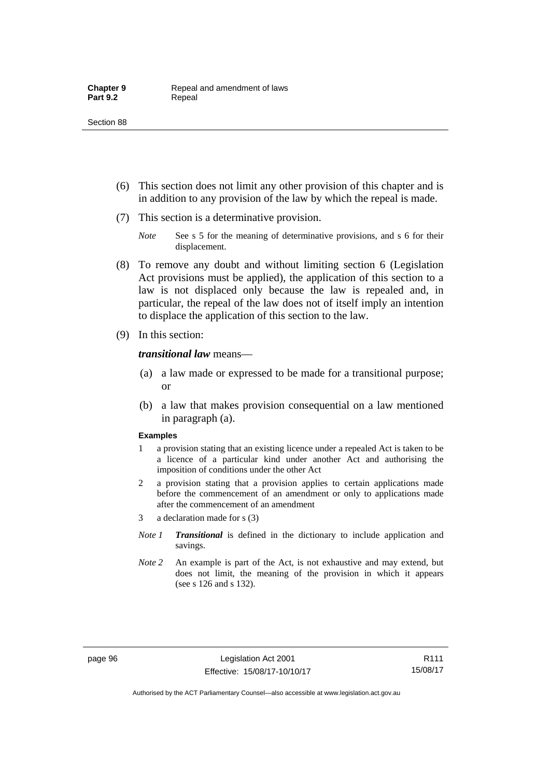- (6) This section does not limit any other provision of this chapter and is in addition to any provision of the law by which the repeal is made.
- (7) This section is a determinative provision.
	- *Note* See s 5 for the meaning of determinative provisions, and s 6 for their displacement.
- (8) To remove any doubt and without limiting section 6 (Legislation Act provisions must be applied), the application of this section to a law is not displaced only because the law is repealed and, in particular, the repeal of the law does not of itself imply an intention to displace the application of this section to the law.
- (9) In this section:

#### *transitional law* means—

- (a) a law made or expressed to be made for a transitional purpose; or
- (b) a law that makes provision consequential on a law mentioned in paragraph (a).

#### **Examples**

- 1 a provision stating that an existing licence under a repealed Act is taken to be a licence of a particular kind under another Act and authorising the imposition of conditions under the other Act
- 2 a provision stating that a provision applies to certain applications made before the commencement of an amendment or only to applications made after the commencement of an amendment
- 3 a declaration made for s (3)
- *Note 1 Transitional* is defined in the dictionary to include application and savings.
- *Note 2* An example is part of the Act, is not exhaustive and may extend, but does not limit, the meaning of the provision in which it appears (see s 126 and s 132).

R111 15/08/17

Authorised by the ACT Parliamentary Counsel—also accessible at www.legislation.act.gov.au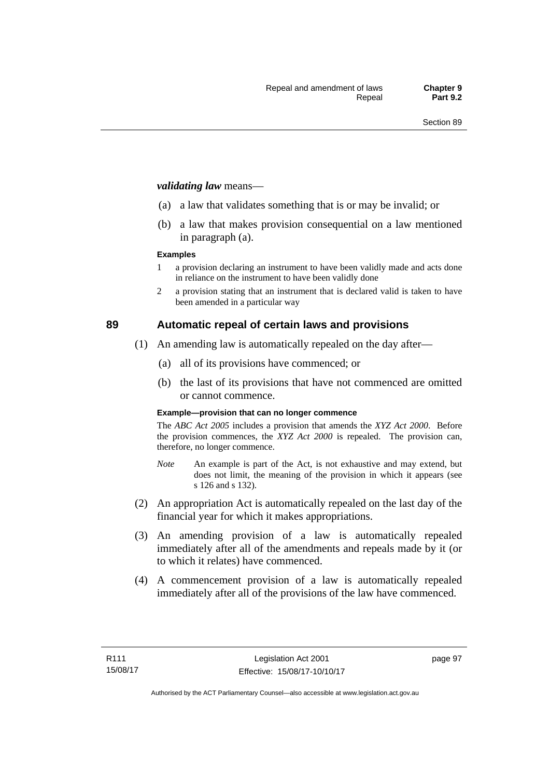#### *validating law* means—

- (a) a law that validates something that is or may be invalid; or
- (b) a law that makes provision consequential on a law mentioned in paragraph (a).

#### **Examples**

- 1 a provision declaring an instrument to have been validly made and acts done in reliance on the instrument to have been validly done
- 2 a provision stating that an instrument that is declared valid is taken to have been amended in a particular way

### **89 Automatic repeal of certain laws and provisions**

- (1) An amending law is automatically repealed on the day after—
	- (a) all of its provisions have commenced; or
	- (b) the last of its provisions that have not commenced are omitted or cannot commence.

#### **Example—provision that can no longer commence**

The *ABC Act 2005* includes a provision that amends the *XYZ Act 2000*. Before the provision commences, the *XYZ Act 2000* is repealed. The provision can, therefore, no longer commence.

- *Note* An example is part of the Act, is not exhaustive and may extend, but does not limit, the meaning of the provision in which it appears (see s 126 and s 132).
- (2) An appropriation Act is automatically repealed on the last day of the financial year for which it makes appropriations.
- (3) An amending provision of a law is automatically repealed immediately after all of the amendments and repeals made by it (or to which it relates) have commenced.
- (4) A commencement provision of a law is automatically repealed immediately after all of the provisions of the law have commenced.

page 97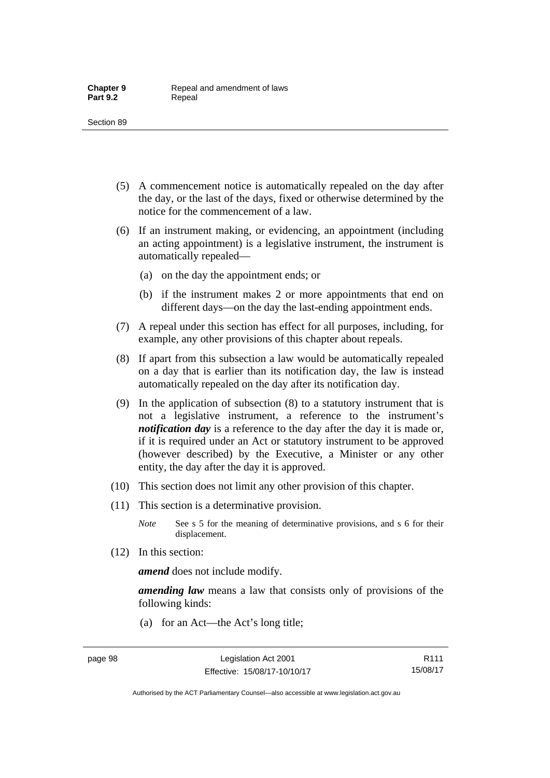- (5) A commencement notice is automatically repealed on the day after the day, or the last of the days, fixed or otherwise determined by the notice for the commencement of a law.
- (6) If an instrument making, or evidencing, an appointment (including an acting appointment) is a legislative instrument, the instrument is automatically repealed—
	- (a) on the day the appointment ends; or
	- (b) if the instrument makes 2 or more appointments that end on different days—on the day the last-ending appointment ends.
- (7) A repeal under this section has effect for all purposes, including, for example, any other provisions of this chapter about repeals.
- (8) If apart from this subsection a law would be automatically repealed on a day that is earlier than its notification day, the law is instead automatically repealed on the day after its notification day.
- (9) In the application of subsection (8) to a statutory instrument that is not a legislative instrument, a reference to the instrument's *notification day* is a reference to the day after the day it is made or, if it is required under an Act or statutory instrument to be approved (however described) by the Executive, a Minister or any other entity, the day after the day it is approved.
- (10) This section does not limit any other provision of this chapter.
- (11) This section is a determinative provision.
	- *Note* See s 5 for the meaning of determinative provisions, and s 6 for their displacement.
- (12) In this section:

*amend* does not include modify.

*amending law* means a law that consists only of provisions of the following kinds:

(a) for an Act—the Act's long title;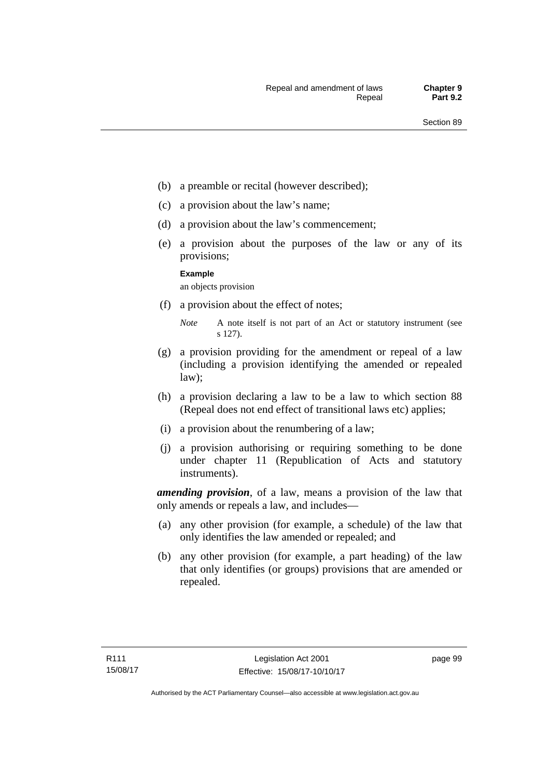- (b) a preamble or recital (however described);
- (c) a provision about the law's name;
- (d) a provision about the law's commencement;
- (e) a provision about the purposes of the law or any of its provisions;

#### **Example**

an objects provision

(f) a provision about the effect of notes;

- (g) a provision providing for the amendment or repeal of a law (including a provision identifying the amended or repealed law);
- (h) a provision declaring a law to be a law to which section 88 (Repeal does not end effect of transitional laws etc) applies;
- (i) a provision about the renumbering of a law;
- (j) a provision authorising or requiring something to be done under chapter 11 (Republication of Acts and statutory instruments).

*amending provision*, of a law, means a provision of the law that only amends or repeals a law, and includes—

- (a) any other provision (for example, a schedule) of the law that only identifies the law amended or repealed; and
- (b) any other provision (for example, a part heading) of the law that only identifies (or groups) provisions that are amended or repealed.

*Note* A note itself is not part of an Act or statutory instrument (see s 127).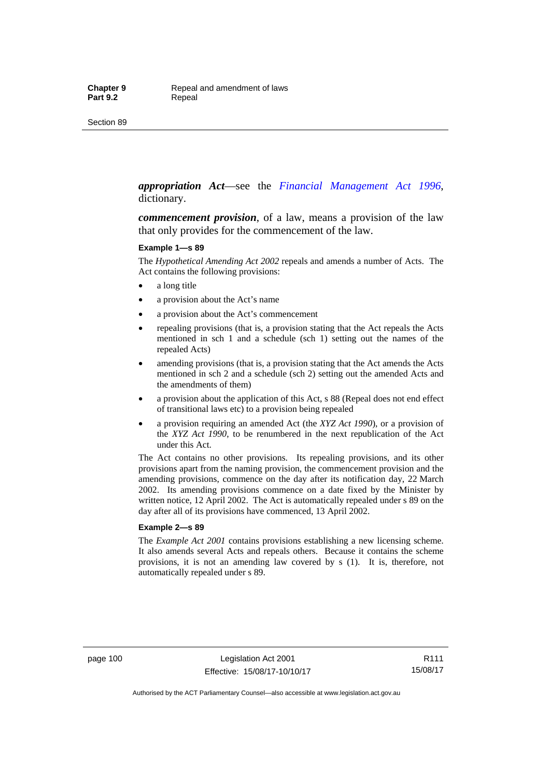#### *appropriation Act*—see the *[Financial Management Act 1996](http://www.legislation.act.gov.au/a/1996-22)*, dictionary.

*commencement provision*, of a law, means a provision of the law that only provides for the commencement of the law.

#### **Example 1—s 89**

The *Hypothetical Amending Act 2002* repeals and amends a number of Acts. The Act contains the following provisions:

- a long title
- a provision about the Act's name
- a provision about the Act's commencement
- repealing provisions (that is, a provision stating that the Act repeals the Acts mentioned in sch 1 and a schedule (sch 1) setting out the names of the repealed Acts)
- amending provisions (that is, a provision stating that the Act amends the Acts mentioned in sch 2 and a schedule (sch 2) setting out the amended Acts and the amendments of them)
- a provision about the application of this Act, s 88 (Repeal does not end effect of transitional laws etc) to a provision being repealed
- a provision requiring an amended Act (the *XYZ Act 1990*), or a provision of the *XYZ Act 1990*, to be renumbered in the next republication of the Act under this Act.

The Act contains no other provisions. Its repealing provisions, and its other provisions apart from the naming provision, the commencement provision and the amending provisions, commence on the day after its notification day, 22 March 2002. Its amending provisions commence on a date fixed by the Minister by written notice, 12 April 2002. The Act is automatically repealed under s 89 on the day after all of its provisions have commenced, 13 April 2002.

#### **Example 2—s 89**

The *Example Act 2001* contains provisions establishing a new licensing scheme. It also amends several Acts and repeals others. Because it contains the scheme provisions, it is not an amending law covered by s (1). It is, therefore, not automatically repealed under s 89.

page 100 Legislation Act 2001 Effective: 15/08/17-10/10/17

R111 15/08/17

Authorised by the ACT Parliamentary Counsel—also accessible at www.legislation.act.gov.au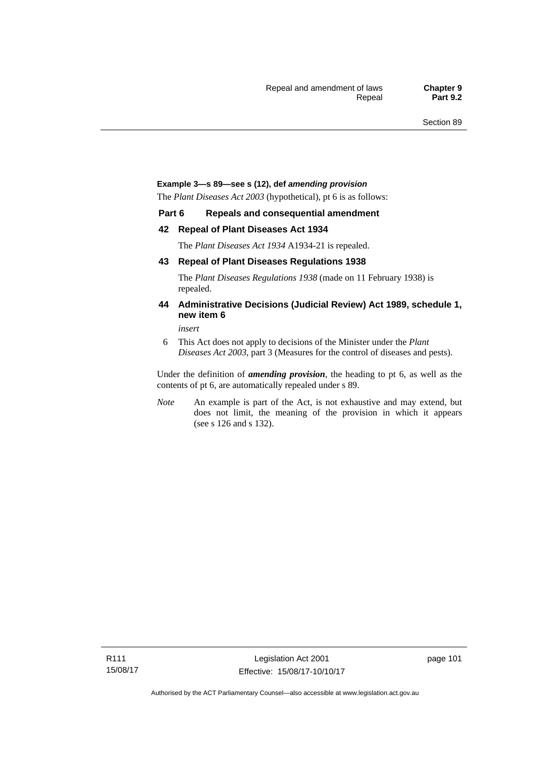#### **Example 3—s 89—see s (12), def** *amending provision*

The *Plant Diseases Act 2003* (hypothetical), pt 6 is as follows:

#### **Part 6 Repeals and consequential amendment**

#### **42 Repeal of Plant Diseases Act 1934**

The *Plant Diseases Act 1934* A1934-21 is repealed.

#### **43 Repeal of Plant Diseases Regulations 1938**

The *Plant Diseases Regulations 1938* (made on 11 February 1938) is repealed.

#### **44 Administrative Decisions (Judicial Review) Act 1989, schedule 1, new item 6**

*insert* 

6 This Act does not apply to decisions of the Minister under the *Plant Diseases Act 2003*, part 3 (Measures for the control of diseases and pests).

Under the definition of *amending provision*, the heading to pt 6, as well as the contents of pt 6, are automatically repealed under s 89.

*Note* An example is part of the Act, is not exhaustive and may extend, but does not limit, the meaning of the provision in which it appears (see s 126 and s 132).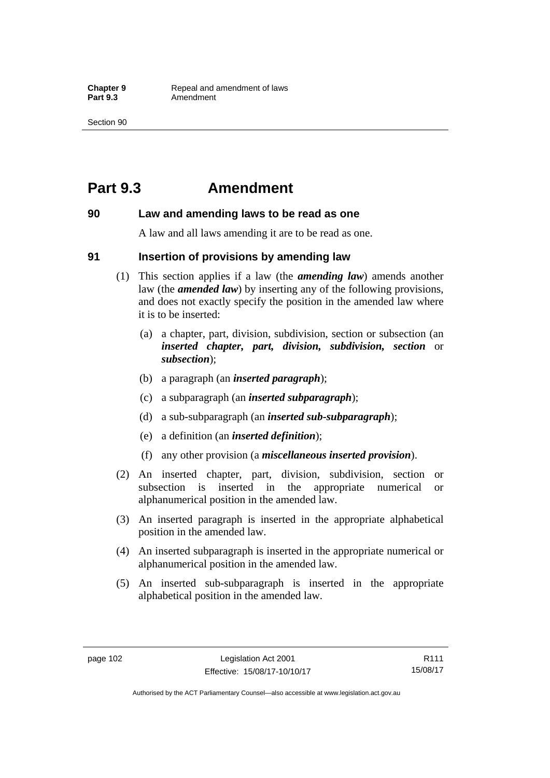## **Part 9.3 Amendment**

#### **90 Law and amending laws to be read as one**

A law and all laws amending it are to be read as one.

#### **91 Insertion of provisions by amending law**

- (1) This section applies if a law (the *amending law*) amends another law (the *amended law*) by inserting any of the following provisions, and does not exactly specify the position in the amended law where it is to be inserted:
	- (a) a chapter, part, division, subdivision, section or subsection (an *inserted chapter, part, division, subdivision, section* or *subsection*);
	- (b) a paragraph (an *inserted paragraph*);
	- (c) a subparagraph (an *inserted subparagraph*);
	- (d) a sub-subparagraph (an *inserted sub-subparagraph*);
	- (e) a definition (an *inserted definition*);
	- (f) any other provision (a *miscellaneous inserted provision*).
- (2) An inserted chapter, part, division, subdivision, section or subsection is inserted in the appropriate numerical or alphanumerical position in the amended law.
- (3) An inserted paragraph is inserted in the appropriate alphabetical position in the amended law.
- (4) An inserted subparagraph is inserted in the appropriate numerical or alphanumerical position in the amended law.
- (5) An inserted sub-subparagraph is inserted in the appropriate alphabetical position in the amended law.

R111 15/08/17

Authorised by the ACT Parliamentary Counsel—also accessible at www.legislation.act.gov.au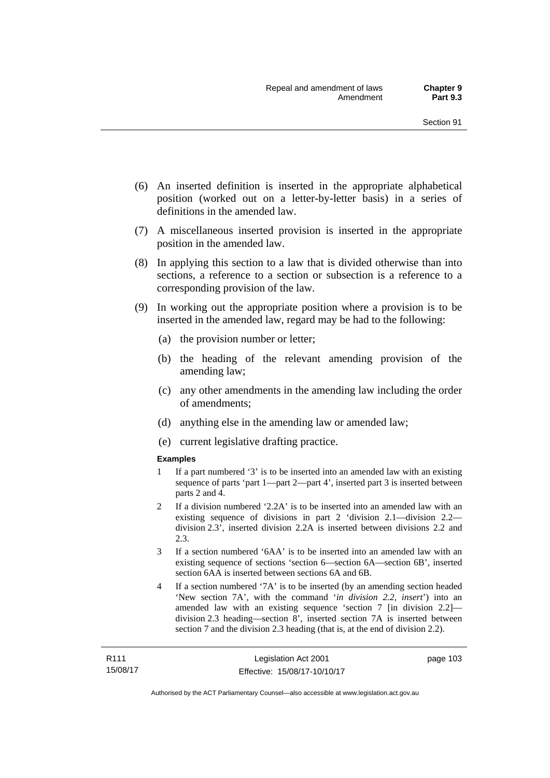- (6) An inserted definition is inserted in the appropriate alphabetical position (worked out on a letter-by-letter basis) in a series of definitions in the amended law.
- (7) A miscellaneous inserted provision is inserted in the appropriate position in the amended law.
- (8) In applying this section to a law that is divided otherwise than into sections, a reference to a section or subsection is a reference to a corresponding provision of the law.
- (9) In working out the appropriate position where a provision is to be inserted in the amended law, regard may be had to the following:
	- (a) the provision number or letter;
	- (b) the heading of the relevant amending provision of the amending law;
	- (c) any other amendments in the amending law including the order of amendments;
	- (d) anything else in the amending law or amended law;
	- (e) current legislative drafting practice.

#### **Examples**

- 1 If a part numbered '3' is to be inserted into an amended law with an existing sequence of parts 'part 1—part 2—part 4', inserted part 3 is inserted between parts 2 and 4.
- 2 If a division numbered '2.2A' is to be inserted into an amended law with an existing sequence of divisions in part 2 'division 2.1—division 2.2 division 2.3', inserted division 2.2A is inserted between divisions 2.2 and 2.3.
- 3 If a section numbered '6AA' is to be inserted into an amended law with an existing sequence of sections 'section 6—section 6A—section 6B', inserted section 6AA is inserted between sections 6A and 6B.
- 4 If a section numbered '7A' is to be inserted (by an amending section headed 'New section 7A', with the command '*in division 2.2, insert*') into an amended law with an existing sequence 'section 7 [in division 2.2] division 2.3 heading—section 8', inserted section 7A is inserted between section 7 and the division 2.3 heading (that is, at the end of division 2.2).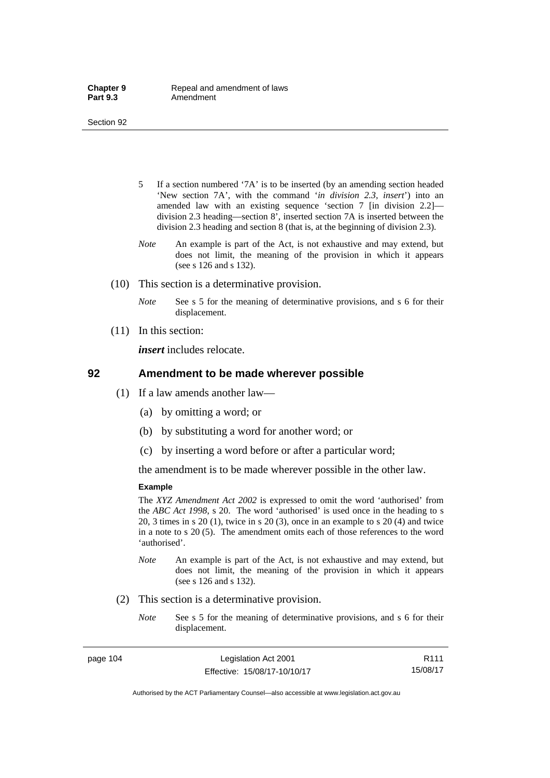- 5 If a section numbered '7A' is to be inserted (by an amending section headed 'New section 7A', with the command '*in division 2.3, insert*') into an amended law with an existing sequence 'section 7 [in division 2.2] division 2.3 heading—section 8', inserted section 7A is inserted between the division 2.3 heading and section 8 (that is, at the beginning of division 2.3).
- *Note* An example is part of the Act, is not exhaustive and may extend, but does not limit, the meaning of the provision in which it appears (see s 126 and s 132).
- (10) This section is a determinative provision.
	- *Note* See s 5 for the meaning of determinative provisions, and s 6 for their displacement.
- (11) In this section:

*insert* includes relocate.

#### **92 Amendment to be made wherever possible**

- (1) If a law amends another law—
	- (a) by omitting a word; or
	- (b) by substituting a word for another word; or
	- (c) by inserting a word before or after a particular word;

the amendment is to be made wherever possible in the other law.

#### **Example**

The *XYZ Amendment Act 2002* is expressed to omit the word 'authorised' from the *ABC Act 1998*, s 20. The word 'authorised' is used once in the heading to s 20, 3 times in s 20 (1), twice in s 20 (3), once in an example to s 20 (4) and twice in a note to s 20 (5). The amendment omits each of those references to the word 'authorised'.

- *Note* An example is part of the Act, is not exhaustive and may extend, but does not limit, the meaning of the provision in which it appears (see s 126 and s 132).
- (2) This section is a determinative provision.
	- *Note* See s 5 for the meaning of determinative provisions, and s 6 for their displacement.

R111 15/08/17

Authorised by the ACT Parliamentary Counsel—also accessible at www.legislation.act.gov.au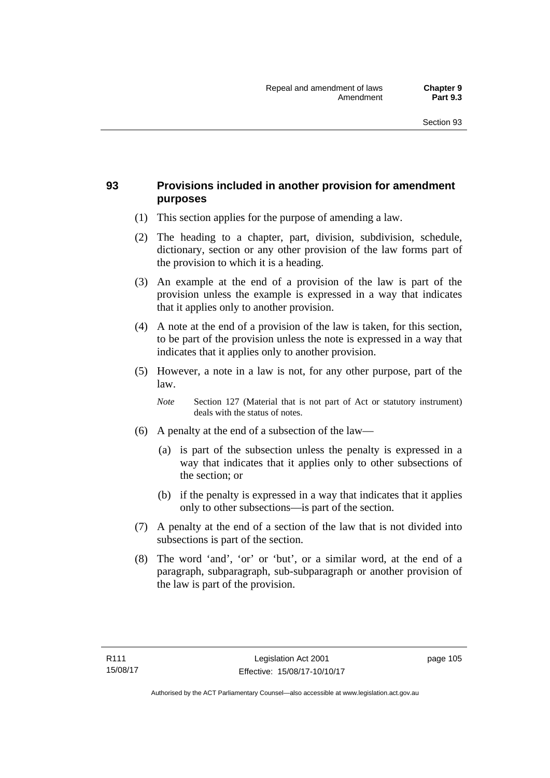### **93 Provisions included in another provision for amendment purposes**

- (1) This section applies for the purpose of amending a law.
- (2) The heading to a chapter, part, division, subdivision, schedule, dictionary, section or any other provision of the law forms part of the provision to which it is a heading.
- (3) An example at the end of a provision of the law is part of the provision unless the example is expressed in a way that indicates that it applies only to another provision.
- (4) A note at the end of a provision of the law is taken, for this section, to be part of the provision unless the note is expressed in a way that indicates that it applies only to another provision.
- (5) However, a note in a law is not, for any other purpose, part of the law.

*Note* Section 127 (Material that is not part of Act or statutory instrument) deals with the status of notes.

- (6) A penalty at the end of a subsection of the law—
	- (a) is part of the subsection unless the penalty is expressed in a way that indicates that it applies only to other subsections of the section; or
	- (b) if the penalty is expressed in a way that indicates that it applies only to other subsections—is part of the section.
- (7) A penalty at the end of a section of the law that is not divided into subsections is part of the section.
- (8) The word 'and', 'or' or 'but', or a similar word, at the end of a paragraph, subparagraph, sub-subparagraph or another provision of the law is part of the provision.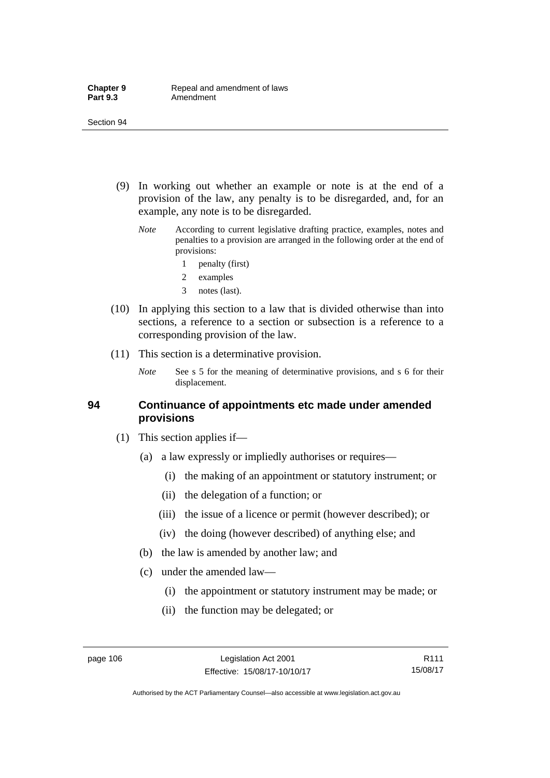- (9) In working out whether an example or note is at the end of a provision of the law, any penalty is to be disregarded, and, for an example, any note is to be disregarded.
	- *Note* According to current legislative drafting practice, examples, notes and penalties to a provision are arranged in the following order at the end of provisions:
		- 1 penalty (first)
		- 2 examples
		- 3 notes (last).
- (10) In applying this section to a law that is divided otherwise than into sections, a reference to a section or subsection is a reference to a corresponding provision of the law.
- (11) This section is a determinative provision.
	- *Note* See s 5 for the meaning of determinative provisions, and s 6 for their displacement.

#### **94 Continuance of appointments etc made under amended provisions**

- (1) This section applies if—
	- (a) a law expressly or impliedly authorises or requires—
		- (i) the making of an appointment or statutory instrument; or
		- (ii) the delegation of a function; or
		- (iii) the issue of a licence or permit (however described); or
		- (iv) the doing (however described) of anything else; and
	- (b) the law is amended by another law; and
	- (c) under the amended law—
		- (i) the appointment or statutory instrument may be made; or
		- (ii) the function may be delegated; or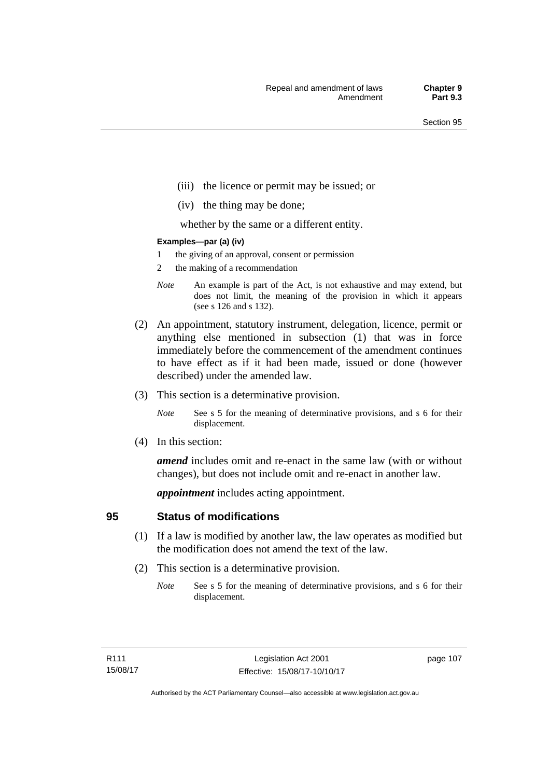- (iii) the licence or permit may be issued; or
- (iv) the thing may be done;

whether by the same or a different entity.

#### **Examples—par (a) (iv)**

- 1 the giving of an approval, consent or permission
- 2 the making of a recommendation
- *Note* An example is part of the Act, is not exhaustive and may extend, but does not limit, the meaning of the provision in which it appears (see s 126 and s 132).
- (2) An appointment, statutory instrument, delegation, licence, permit or anything else mentioned in subsection (1) that was in force immediately before the commencement of the amendment continues to have effect as if it had been made, issued or done (however described) under the amended law.
- (3) This section is a determinative provision.
	- *Note* See s 5 for the meaning of determinative provisions, and s 6 for their displacement.
- (4) In this section:

*amend* includes omit and re-enact in the same law (with or without changes), but does not include omit and re-enact in another law.

*appointment* includes acting appointment.

### **95 Status of modifications**

- (1) If a law is modified by another law, the law operates as modified but the modification does not amend the text of the law.
- (2) This section is a determinative provision.
	- *Note* See s 5 for the meaning of determinative provisions, and s 6 for their displacement.

page 107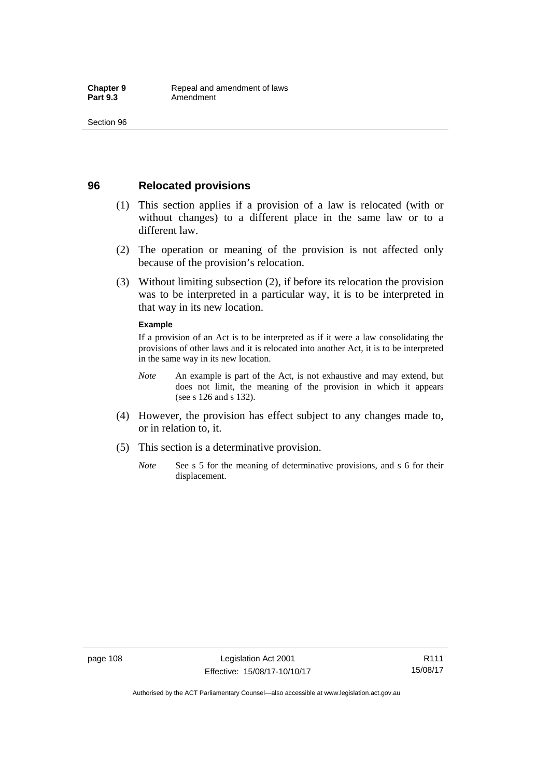### **96 Relocated provisions**

- (1) This section applies if a provision of a law is relocated (with or without changes) to a different place in the same law or to a different law.
- (2) The operation or meaning of the provision is not affected only because of the provision's relocation.
- (3) Without limiting subsection (2), if before its relocation the provision was to be interpreted in a particular way, it is to be interpreted in that way in its new location.

#### **Example**

If a provision of an Act is to be interpreted as if it were a law consolidating the provisions of other laws and it is relocated into another Act, it is to be interpreted in the same way in its new location.

- *Note* An example is part of the Act, is not exhaustive and may extend, but does not limit, the meaning of the provision in which it appears (see s 126 and s 132).
- (4) However, the provision has effect subject to any changes made to, or in relation to, it.
- (5) This section is a determinative provision.
	- *Note* See s 5 for the meaning of determinative provisions, and s 6 for their displacement.

Authorised by the ACT Parliamentary Counsel—also accessible at www.legislation.act.gov.au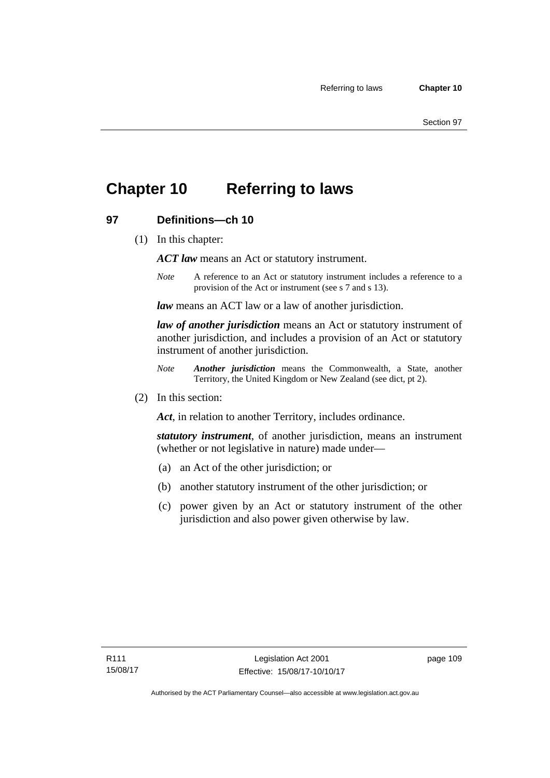## **Chapter 10 Referring to laws**

### **97 Definitions—ch 10**

(1) In this chapter:

*ACT law* means an Act or statutory instrument.

*Note* A reference to an Act or statutory instrument includes a reference to a provision of the Act or instrument (see s 7 and s 13).

*law* means an ACT law or a law of another jurisdiction.

*law of another jurisdiction* means an Act or statutory instrument of another jurisdiction, and includes a provision of an Act or statutory instrument of another jurisdiction.

- *Note Another jurisdiction* means the Commonwealth, a State, another Territory, the United Kingdom or New Zealand (see dict, pt 2).
- (2) In this section:

*Act*, in relation to another Territory, includes ordinance.

*statutory instrument*, of another jurisdiction, means an instrument (whether or not legislative in nature) made under—

- (a) an Act of the other jurisdiction; or
- (b) another statutory instrument of the other jurisdiction; or
- (c) power given by an Act or statutory instrument of the other jurisdiction and also power given otherwise by law.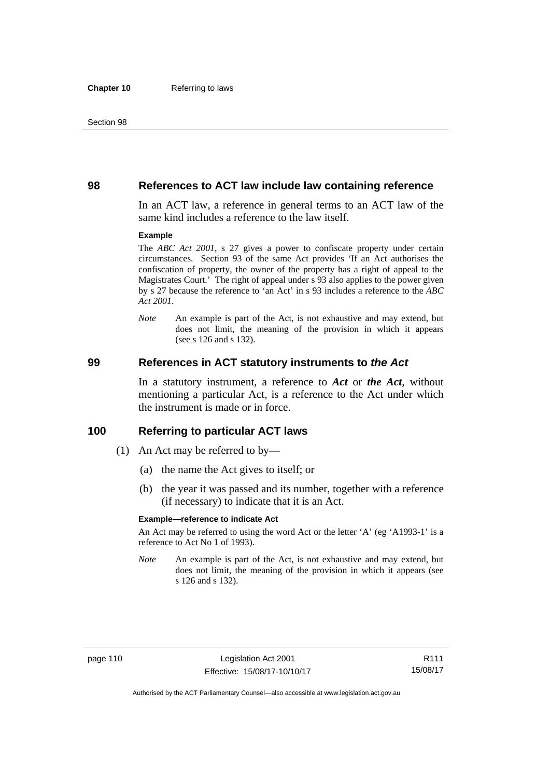#### **98 References to ACT law include law containing reference**

In an ACT law, a reference in general terms to an ACT law of the same kind includes a reference to the law itself.

#### **Example**

The *ABC Act 2001*, s 27 gives a power to confiscate property under certain circumstances. Section 93 of the same Act provides 'If an Act authorises the confiscation of property, the owner of the property has a right of appeal to the Magistrates Court.' The right of appeal under s 93 also applies to the power given by s 27 because the reference to 'an Act' in s 93 includes a reference to the *ABC Act 2001*.

*Note* An example is part of the Act, is not exhaustive and may extend, but does not limit, the meaning of the provision in which it appears (see s 126 and s 132).

#### **99 References in ACT statutory instruments to** *the Act*

In a statutory instrument, a reference to *Act* or *the Act*, without mentioning a particular Act, is a reference to the Act under which the instrument is made or in force.

#### **100 Referring to particular ACT laws**

- (1) An Act may be referred to by—
	- (a) the name the Act gives to itself; or
	- (b) the year it was passed and its number, together with a reference (if necessary) to indicate that it is an Act.

#### **Example—reference to indicate Act**

An Act may be referred to using the word Act or the letter 'A' (eg 'A1993-1' is a reference to Act No 1 of 1993).

*Note* An example is part of the Act, is not exhaustive and may extend, but does not limit, the meaning of the provision in which it appears (see s 126 and s 132).

R111 15/08/17

Authorised by the ACT Parliamentary Counsel—also accessible at www.legislation.act.gov.au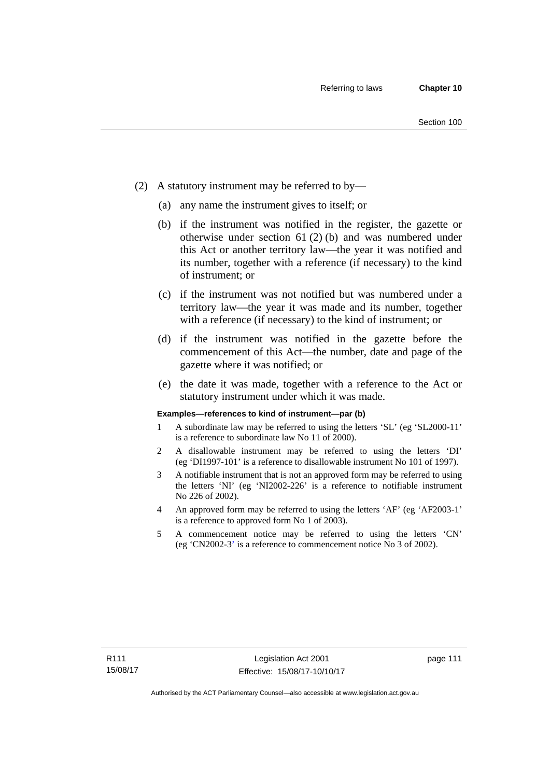- (2) A statutory instrument may be referred to by—
	- (a) any name the instrument gives to itself; or
	- (b) if the instrument was notified in the register, the gazette or otherwise under section 61 (2) (b) and was numbered under this Act or another territory law—the year it was notified and its number, together with a reference (if necessary) to the kind of instrument; or
	- (c) if the instrument was not notified but was numbered under a territory law—the year it was made and its number, together with a reference (if necessary) to the kind of instrument; or
	- (d) if the instrument was notified in the gazette before the commencement of this Act—the number, date and page of the gazette where it was notified; or
	- (e) the date it was made, together with a reference to the Act or statutory instrument under which it was made.

#### **Examples—references to kind of instrument—par (b)**

- 1 A subordinate law may be referred to using the letters 'SL' (eg 'SL2000-11' is a reference to subordinate law No 11 of 2000).
- 2 A disallowable instrument may be referred to using the letters 'DI' (eg 'DI1997-101' is a reference to disallowable instrument No 101 of 1997).
- 3 A notifiable instrument that is not an approved form may be referred to using the letters 'NI' (eg 'NI2002-226' is a reference to notifiable instrument No 226 of 2002).
- 4 An approved form may be referred to using the letters 'AF' (eg 'AF2003-1' is a reference to approved form No 1 of 2003).
- 5 A commencement notice may be referred to using the letters 'CN' (eg 'CN2002-3' is a reference to commencement notice No 3 of 2002).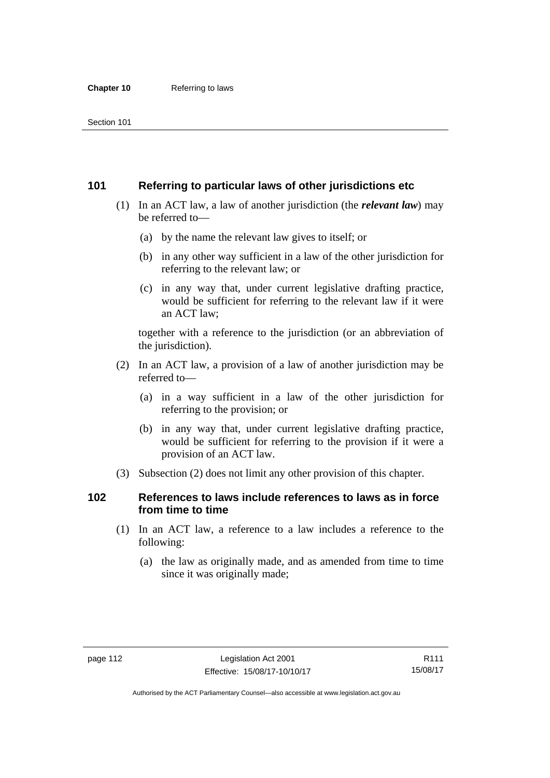### **101 Referring to particular laws of other jurisdictions etc**

- (1) In an ACT law, a law of another jurisdiction (the *relevant law*) may be referred to—
	- (a) by the name the relevant law gives to itself; or
	- (b) in any other way sufficient in a law of the other jurisdiction for referring to the relevant law; or
	- (c) in any way that, under current legislative drafting practice, would be sufficient for referring to the relevant law if it were an ACT law;

together with a reference to the jurisdiction (or an abbreviation of the jurisdiction).

- (2) In an ACT law, a provision of a law of another jurisdiction may be referred to—
	- (a) in a way sufficient in a law of the other jurisdiction for referring to the provision; or
	- (b) in any way that, under current legislative drafting practice, would be sufficient for referring to the provision if it were a provision of an ACT law.
- (3) Subsection (2) does not limit any other provision of this chapter.

### **102 References to laws include references to laws as in force from time to time**

- (1) In an ACT law, a reference to a law includes a reference to the following:
	- (a) the law as originally made, and as amended from time to time since it was originally made;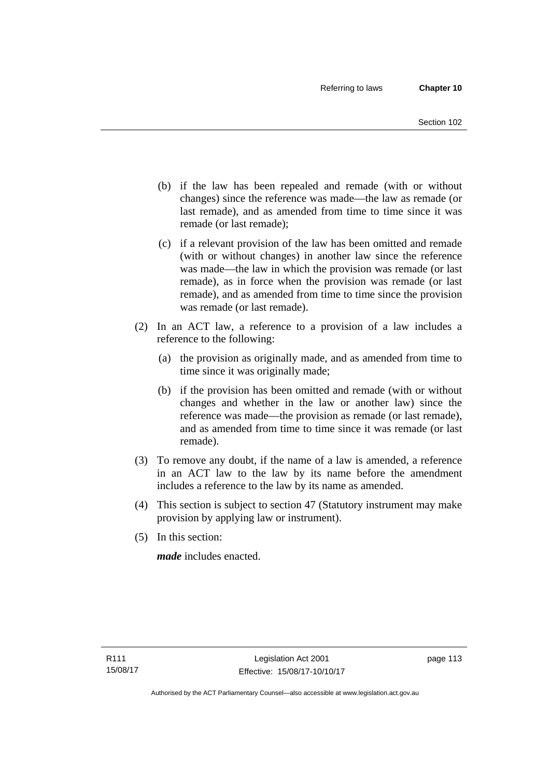- (b) if the law has been repealed and remade (with or without changes) since the reference was made—the law as remade (or last remade), and as amended from time to time since it was remade (or last remade);
- (c) if a relevant provision of the law has been omitted and remade (with or without changes) in another law since the reference was made—the law in which the provision was remade (or last remade), as in force when the provision was remade (or last remade), and as amended from time to time since the provision was remade (or last remade).
- (2) In an ACT law, a reference to a provision of a law includes a reference to the following:
	- (a) the provision as originally made, and as amended from time to time since it was originally made;
	- (b) if the provision has been omitted and remade (with or without changes and whether in the law or another law) since the reference was made—the provision as remade (or last remade), and as amended from time to time since it was remade (or last remade).
- (3) To remove any doubt, if the name of a law is amended, a reference in an ACT law to the law by its name before the amendment includes a reference to the law by its name as amended.
- (4) This section is subject to section 47 (Statutory instrument may make provision by applying law or instrument).
- (5) In this section:

*made* includes enacted.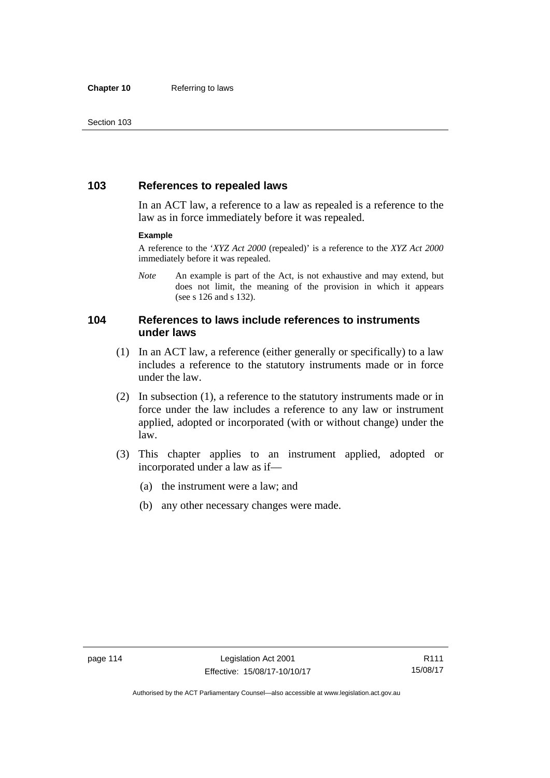### **103 References to repealed laws**

In an ACT law, a reference to a law as repealed is a reference to the law as in force immediately before it was repealed.

#### **Example**

A reference to the '*XYZ Act 2000* (repealed)' is a reference to the *XYZ Act 2000* immediately before it was repealed.

*Note* An example is part of the Act, is not exhaustive and may extend, but does not limit, the meaning of the provision in which it appears (see s 126 and s 132).

### **104 References to laws include references to instruments under laws**

- (1) In an ACT law, a reference (either generally or specifically) to a law includes a reference to the statutory instruments made or in force under the law.
- (2) In subsection (1), a reference to the statutory instruments made or in force under the law includes a reference to any law or instrument applied, adopted or incorporated (with or without change) under the law.
- (3) This chapter applies to an instrument applied, adopted or incorporated under a law as if—
	- (a) the instrument were a law; and
	- (b) any other necessary changes were made.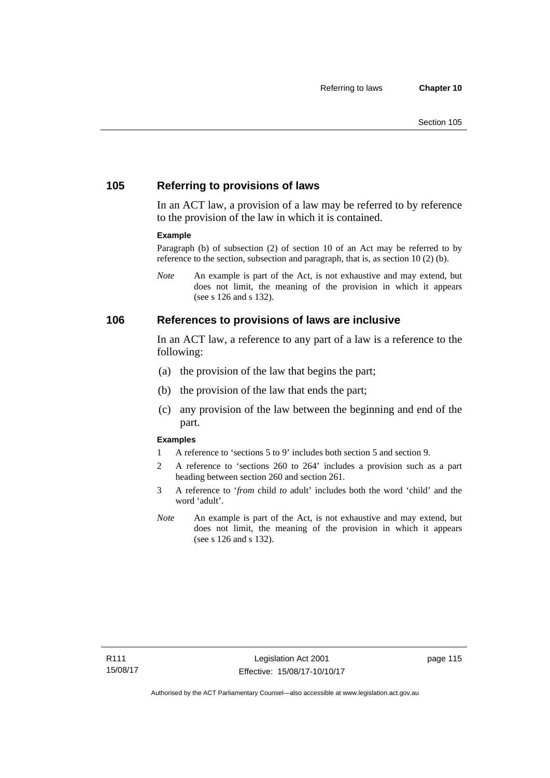### **105 Referring to provisions of laws**

In an ACT law, a provision of a law may be referred to by reference to the provision of the law in which it is contained.

#### **Example**

Paragraph (b) of subsection (2) of section 10 of an Act may be referred to by reference to the section, subsection and paragraph, that is, as section 10 (2) (b).

*Note* An example is part of the Act, is not exhaustive and may extend, but does not limit, the meaning of the provision in which it appears (see s 126 and s 132).

#### **106 References to provisions of laws are inclusive**

In an ACT law, a reference to any part of a law is a reference to the following:

- (a) the provision of the law that begins the part;
- (b) the provision of the law that ends the part;
- (c) any provision of the law between the beginning and end of the part.

#### **Examples**

- 1 A reference to 'sections 5 to 9' includes both section 5 and section 9.
- 2 A reference to 'sections 260 to 264' includes a provision such as a part heading between section 260 and section 261.
- 3 A reference to '*from* child *to* adult' includes both the word 'child' and the word 'adult'.
- *Note* An example is part of the Act, is not exhaustive and may extend, but does not limit, the meaning of the provision in which it appears (see s 126 and s 132).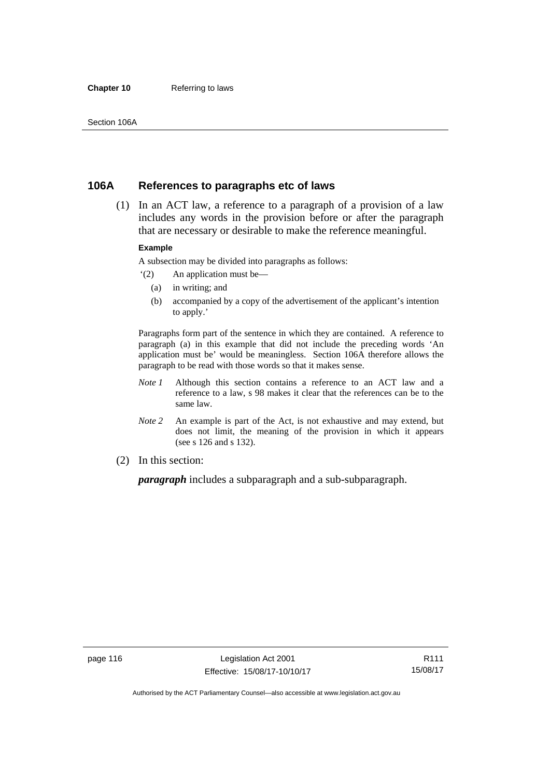#### **Chapter 10** Referring to laws

### **106A References to paragraphs etc of laws**

 (1) In an ACT law, a reference to a paragraph of a provision of a law includes any words in the provision before or after the paragraph that are necessary or desirable to make the reference meaningful.

#### **Example**

A subsection may be divided into paragraphs as follows:

- '(2) An application must be—
	- (a) in writing; and
	- (b) accompanied by a copy of the advertisement of the applicant's intention to apply.'

Paragraphs form part of the sentence in which they are contained. A reference to paragraph (a) in this example that did not include the preceding words 'An application must be' would be meaningless. Section 106A therefore allows the paragraph to be read with those words so that it makes sense.

- *Note 1* Although this section contains a reference to an ACT law and a reference to a law, s 98 makes it clear that the references can be to the same law.
- *Note 2* An example is part of the Act, is not exhaustive and may extend, but does not limit, the meaning of the provision in which it appears (see s 126 and s 132).
- (2) In this section:

*paragraph* includes a subparagraph and a sub-subparagraph.

R111 15/08/17

Authorised by the ACT Parliamentary Counsel—also accessible at www.legislation.act.gov.au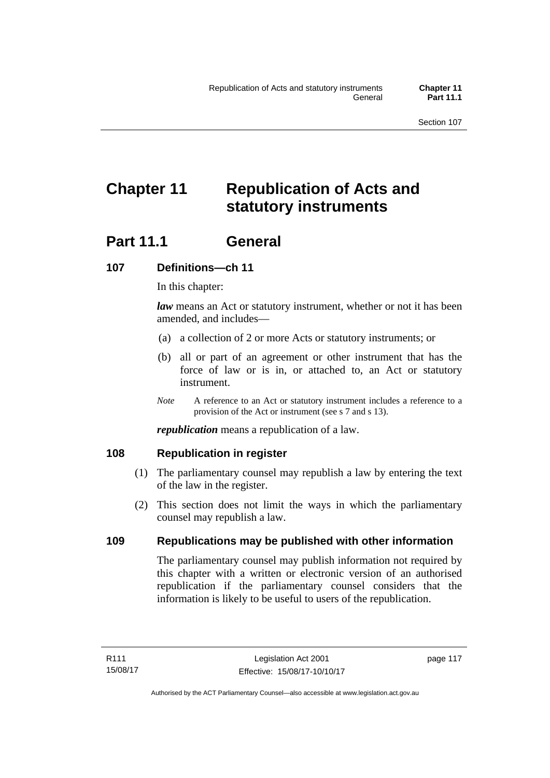# **Chapter 11 Republication of Acts and statutory instruments**

## **Part 11.1 General**

### **107 Definitions—ch 11**

In this chapter:

*law* means an Act or statutory instrument, whether or not it has been amended, and includes—

- (a) a collection of 2 or more Acts or statutory instruments; or
- (b) all or part of an agreement or other instrument that has the force of law or is in, or attached to, an Act or statutory instrument.
- *Note* A reference to an Act or statutory instrument includes a reference to a provision of the Act or instrument (see s 7 and s 13).

*republication* means a republication of a law.

### **108 Republication in register**

- (1) The parliamentary counsel may republish a law by entering the text of the law in the register.
- (2) This section does not limit the ways in which the parliamentary counsel may republish a law.

### **109 Republications may be published with other information**

The parliamentary counsel may publish information not required by this chapter with a written or electronic version of an authorised republication if the parliamentary counsel considers that the information is likely to be useful to users of the republication.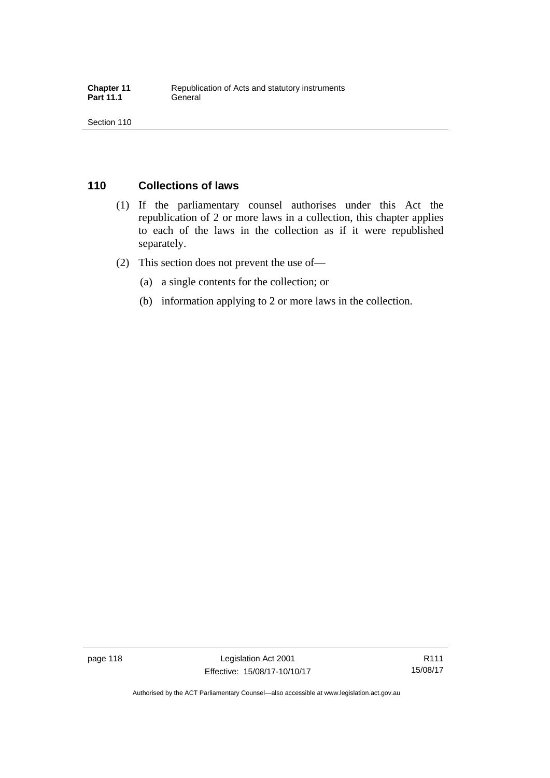## **110 Collections of laws**

- (1) If the parliamentary counsel authorises under this Act the republication of 2 or more laws in a collection, this chapter applies to each of the laws in the collection as if it were republished separately.
- (2) This section does not prevent the use of—
	- (a) a single contents for the collection; or
	- (b) information applying to 2 or more laws in the collection.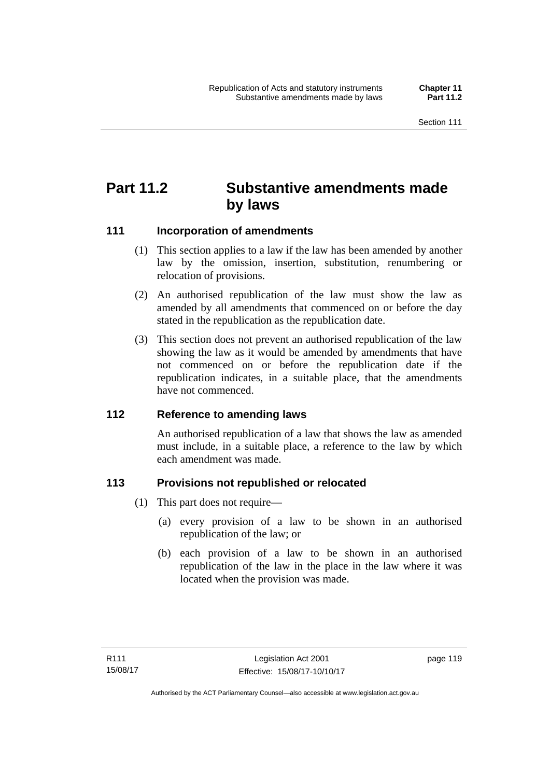## **Part 11.2 Substantive amendments made by laws**

### **111 Incorporation of amendments**

- (1) This section applies to a law if the law has been amended by another law by the omission, insertion, substitution, renumbering or relocation of provisions.
- (2) An authorised republication of the law must show the law as amended by all amendments that commenced on or before the day stated in the republication as the republication date.
- (3) This section does not prevent an authorised republication of the law showing the law as it would be amended by amendments that have not commenced on or before the republication date if the republication indicates, in a suitable place, that the amendments have not commenced.

### **112 Reference to amending laws**

An authorised republication of a law that shows the law as amended must include, in a suitable place, a reference to the law by which each amendment was made.

### **113 Provisions not republished or relocated**

- (1) This part does not require—
	- (a) every provision of a law to be shown in an authorised republication of the law; or
	- (b) each provision of a law to be shown in an authorised republication of the law in the place in the law where it was located when the provision was made.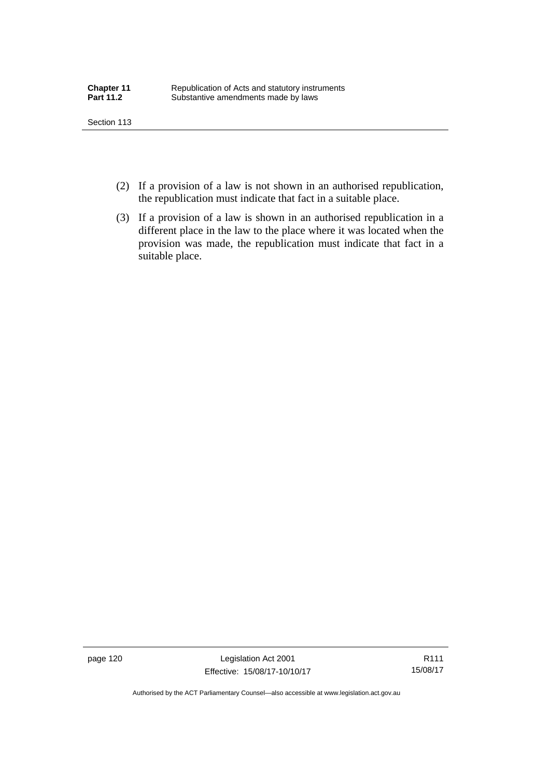- (2) If a provision of a law is not shown in an authorised republication, the republication must indicate that fact in a suitable place.
- (3) If a provision of a law is shown in an authorised republication in a different place in the law to the place where it was located when the provision was made, the republication must indicate that fact in a suitable place.

page 120 Legislation Act 2001 Effective: 15/08/17-10/10/17

R111 15/08/17

Authorised by the ACT Parliamentary Counsel—also accessible at www.legislation.act.gov.au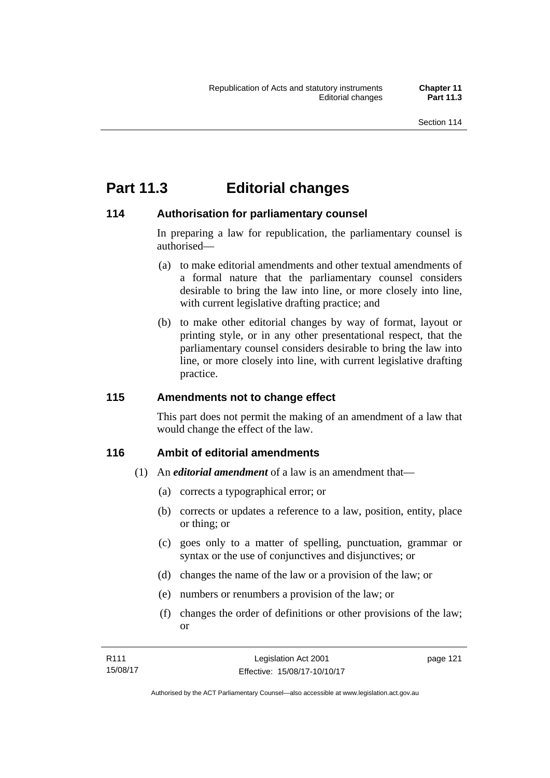## **Part 11.3 Editorial changes**

### **114 Authorisation for parliamentary counsel**

In preparing a law for republication, the parliamentary counsel is authorised—

- (a) to make editorial amendments and other textual amendments of a formal nature that the parliamentary counsel considers desirable to bring the law into line, or more closely into line, with current legislative drafting practice; and
- (b) to make other editorial changes by way of format, layout or printing style, or in any other presentational respect, that the parliamentary counsel considers desirable to bring the law into line, or more closely into line, with current legislative drafting practice.

### **115 Amendments not to change effect**

This part does not permit the making of an amendment of a law that would change the effect of the law.

### **116 Ambit of editorial amendments**

- (1) An *editorial amendment* of a law is an amendment that—
	- (a) corrects a typographical error; or
	- (b) corrects or updates a reference to a law, position, entity, place or thing; or
	- (c) goes only to a matter of spelling, punctuation, grammar or syntax or the use of conjunctives and disjunctives; or
	- (d) changes the name of the law or a provision of the law; or
	- (e) numbers or renumbers a provision of the law; or
	- (f) changes the order of definitions or other provisions of the law; or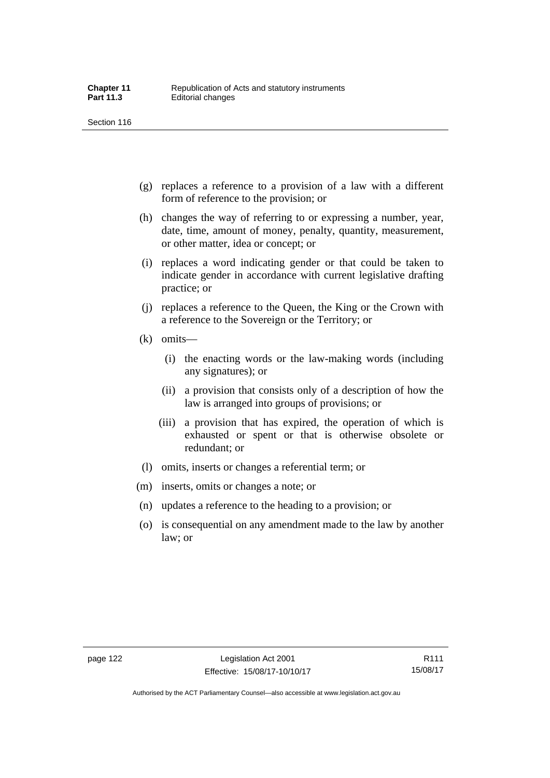- (g) replaces a reference to a provision of a law with a different form of reference to the provision; or
- (h) changes the way of referring to or expressing a number, year, date, time, amount of money, penalty, quantity, measurement, or other matter, idea or concept; or
- (i) replaces a word indicating gender or that could be taken to indicate gender in accordance with current legislative drafting practice; or
- (j) replaces a reference to the Queen, the King or the Crown with a reference to the Sovereign or the Territory; or
- (k) omits—
	- (i) the enacting words or the law-making words (including any signatures); or
	- (ii) a provision that consists only of a description of how the law is arranged into groups of provisions; or
	- (iii) a provision that has expired, the operation of which is exhausted or spent or that is otherwise obsolete or redundant; or
- (l) omits, inserts or changes a referential term; or
- (m) inserts, omits or changes a note; or
- (n) updates a reference to the heading to a provision; or
- (o) is consequential on any amendment made to the law by another law; or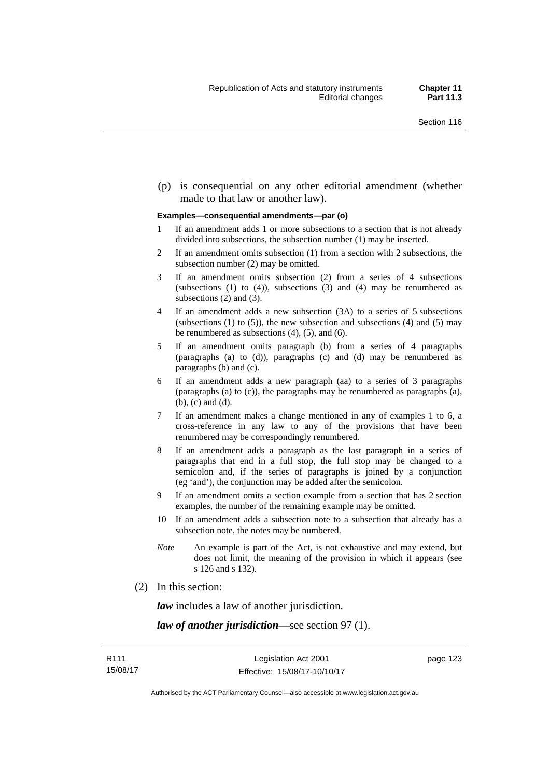(p) is consequential on any other editorial amendment (whether made to that law or another law).

#### **Examples—consequential amendments—par (o)**

- 1 If an amendment adds 1 or more subsections to a section that is not already divided into subsections, the subsection number (1) may be inserted.
- 2 If an amendment omits subsection (1) from a section with 2 subsections, the subsection number (2) may be omitted.
- 3 If an amendment omits subsection (2) from a series of 4 subsections (subsections  $(1)$  to  $(4)$ ), subsections  $(3)$  and  $(4)$  may be renumbered as subsections (2) and (3).
- 4 If an amendment adds a new subsection (3A) to a series of 5 subsections (subsections  $(1)$  to  $(5)$ ), the new subsection and subsections  $(4)$  and  $(5)$  may be renumbered as subsections (4), (5), and (6).
- 5 If an amendment omits paragraph (b) from a series of 4 paragraphs (paragraphs (a) to (d)), paragraphs (c) and (d) may be renumbered as paragraphs (b) and (c).
- 6 If an amendment adds a new paragraph (aa) to a series of 3 paragraphs (paragraphs (a) to (c)), the paragraphs may be renumbered as paragraphs (a), (b), (c) and (d).
- 7 If an amendment makes a change mentioned in any of examples 1 to 6, a cross-reference in any law to any of the provisions that have been renumbered may be correspondingly renumbered.
- 8 If an amendment adds a paragraph as the last paragraph in a series of paragraphs that end in a full stop, the full stop may be changed to a semicolon and, if the series of paragraphs is joined by a conjunction (eg 'and'), the conjunction may be added after the semicolon.
- 9 If an amendment omits a section example from a section that has 2 section examples, the number of the remaining example may be omitted.
- 10 If an amendment adds a subsection note to a subsection that already has a subsection note, the notes may be numbered.
- *Note* An example is part of the Act, is not exhaustive and may extend, but does not limit, the meaning of the provision in which it appears (see s 126 and s 132).
- (2) In this section:

*law* includes a law of another jurisdiction.

*law of another jurisdiction*—see section 97 (1).

page 123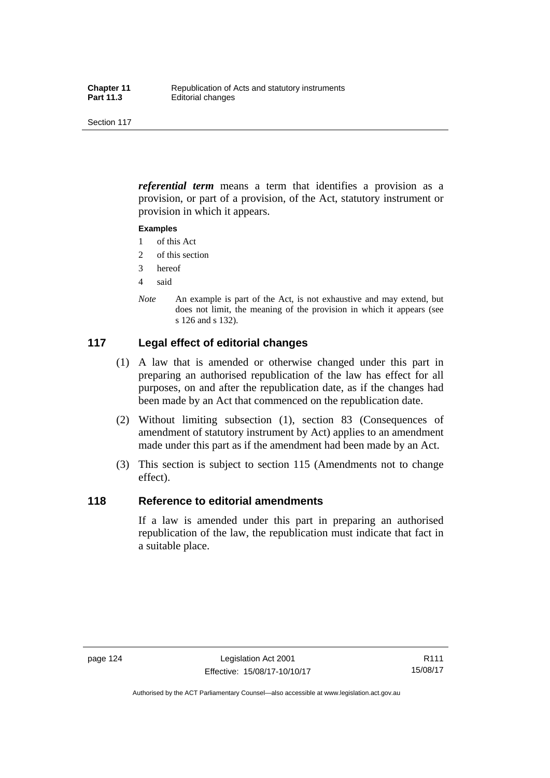*referential term* means a term that identifies a provision as a provision, or part of a provision, of the Act, statutory instrument or provision in which it appears.

#### **Examples**

- 1 of this Act
- 2 of this section
- 3 hereof
- 4 said
- *Note* An example is part of the Act, is not exhaustive and may extend, but does not limit, the meaning of the provision in which it appears (see s 126 and s 132).

### **117 Legal effect of editorial changes**

- (1) A law that is amended or otherwise changed under this part in preparing an authorised republication of the law has effect for all purposes, on and after the republication date, as if the changes had been made by an Act that commenced on the republication date.
- (2) Without limiting subsection (1), section 83 (Consequences of amendment of statutory instrument by Act) applies to an amendment made under this part as if the amendment had been made by an Act.
- (3) This section is subject to section 115 (Amendments not to change effect).

### **118 Reference to editorial amendments**

If a law is amended under this part in preparing an authorised republication of the law, the republication must indicate that fact in a suitable place.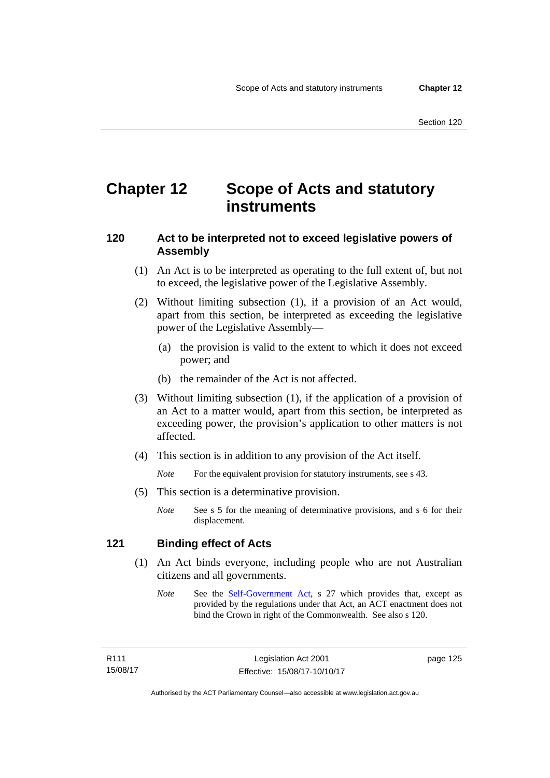## **Chapter 12 Scope of Acts and statutory instruments**

### **120 Act to be interpreted not to exceed legislative powers of Assembly**

- (1) An Act is to be interpreted as operating to the full extent of, but not to exceed, the legislative power of the Legislative Assembly.
- (2) Without limiting subsection (1), if a provision of an Act would, apart from this section, be interpreted as exceeding the legislative power of the Legislative Assembly—
	- (a) the provision is valid to the extent to which it does not exceed power; and
	- (b) the remainder of the Act is not affected.
- (3) Without limiting subsection (1), if the application of a provision of an Act to a matter would, apart from this section, be interpreted as exceeding power, the provision's application to other matters is not affected.
- (4) This section is in addition to any provision of the Act itself.

*Note* For the equivalent provision for statutory instruments, see s 43.

- (5) This section is a determinative provision.
	- *Note* See s 5 for the meaning of determinative provisions, and s 6 for their displacement.

### **121 Binding effect of Acts**

- (1) An Act binds everyone, including people who are not Australian citizens and all governments.
	- *Note* See the [Self-Government Act](http://www.comlaw.gov.au/Series/C2004A03699), s 27 which provides that, except as provided by the regulations under that Act, an ACT enactment does not bind the Crown in right of the Commonwealth. See also s 120.

page 125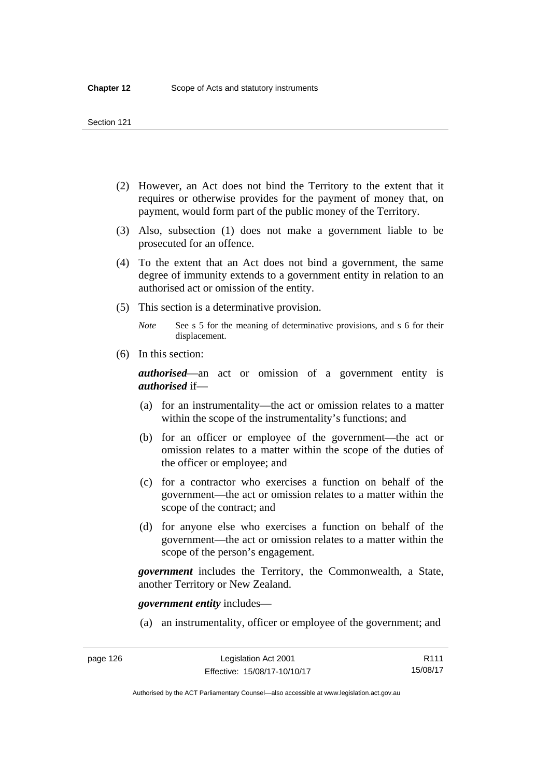- (2) However, an Act does not bind the Territory to the extent that it requires or otherwise provides for the payment of money that, on payment, would form part of the public money of the Territory.
- (3) Also, subsection (1) does not make a government liable to be prosecuted for an offence.
- (4) To the extent that an Act does not bind a government, the same degree of immunity extends to a government entity in relation to an authorised act or omission of the entity.
- (5) This section is a determinative provision.

*Note* See s 5 for the meaning of determinative provisions, and s 6 for their displacement.

(6) In this section:

*authorised*—an act or omission of a government entity is *authorised* if—

- (a) for an instrumentality—the act or omission relates to a matter within the scope of the instrumentality's functions; and
- (b) for an officer or employee of the government—the act or omission relates to a matter within the scope of the duties of the officer or employee; and
- (c) for a contractor who exercises a function on behalf of the government—the act or omission relates to a matter within the scope of the contract; and
- (d) for anyone else who exercises a function on behalf of the government—the act or omission relates to a matter within the scope of the person's engagement.

*government* includes the Territory, the Commonwealth, a State, another Territory or New Zealand.

*government entity* includes—

(a) an instrumentality, officer or employee of the government; and

Authorised by the ACT Parliamentary Counsel—also accessible at www.legislation.act.gov.au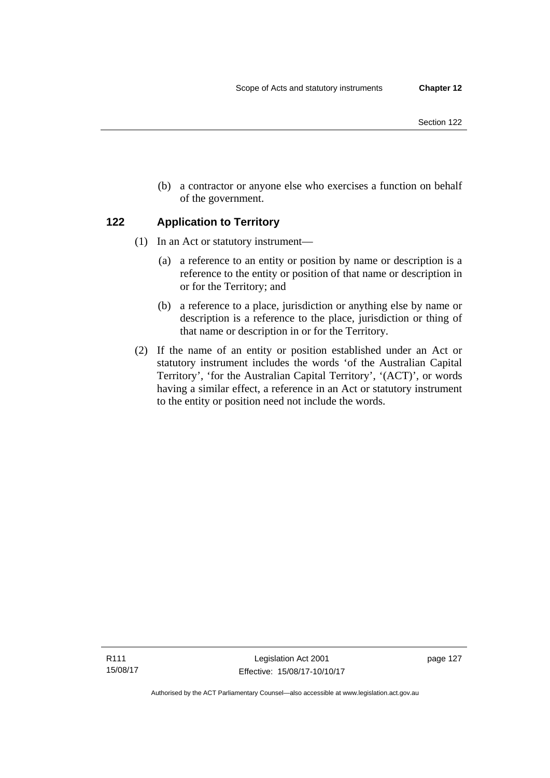- Section 122
- (b) a contractor or anyone else who exercises a function on behalf of the government.

### **122 Application to Territory**

- (1) In an Act or statutory instrument—
	- (a) a reference to an entity or position by name or description is a reference to the entity or position of that name or description in or for the Territory; and
	- (b) a reference to a place, jurisdiction or anything else by name or description is a reference to the place, jurisdiction or thing of that name or description in or for the Territory.
- (2) If the name of an entity or position established under an Act or statutory instrument includes the words 'of the Australian Capital Territory', 'for the Australian Capital Territory', '(ACT)', or words having a similar effect, a reference in an Act or statutory instrument to the entity or position need not include the words.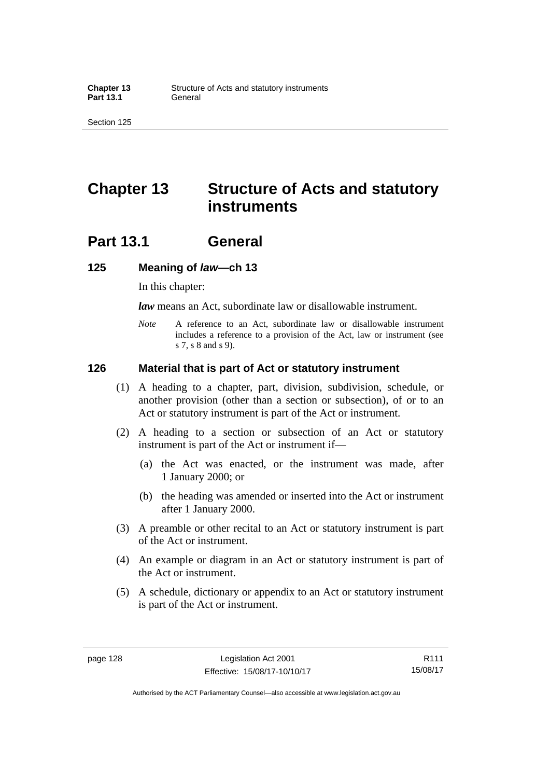## **Chapter 13 Structure of Acts and statutory instruments**

## **Part 13.1 General**

#### **125 Meaning of** *law***—ch 13**

In this chapter:

*law* means an Act, subordinate law or disallowable instrument.

*Note* A reference to an Act, subordinate law or disallowable instrument includes a reference to a provision of the Act, law or instrument (see s 7, s 8 and s 9).

#### **126 Material that is part of Act or statutory instrument**

- (1) A heading to a chapter, part, division, subdivision, schedule, or another provision (other than a section or subsection), of or to an Act or statutory instrument is part of the Act or instrument.
- (2) A heading to a section or subsection of an Act or statutory instrument is part of the Act or instrument if—
	- (a) the Act was enacted, or the instrument was made, after 1 January 2000; or
	- (b) the heading was amended or inserted into the Act or instrument after 1 January 2000.
- (3) A preamble or other recital to an Act or statutory instrument is part of the Act or instrument.
- (4) An example or diagram in an Act or statutory instrument is part of the Act or instrument.
- (5) A schedule, dictionary or appendix to an Act or statutory instrument is part of the Act or instrument.

Authorised by the ACT Parliamentary Counsel—also accessible at www.legislation.act.gov.au

R111 15/08/17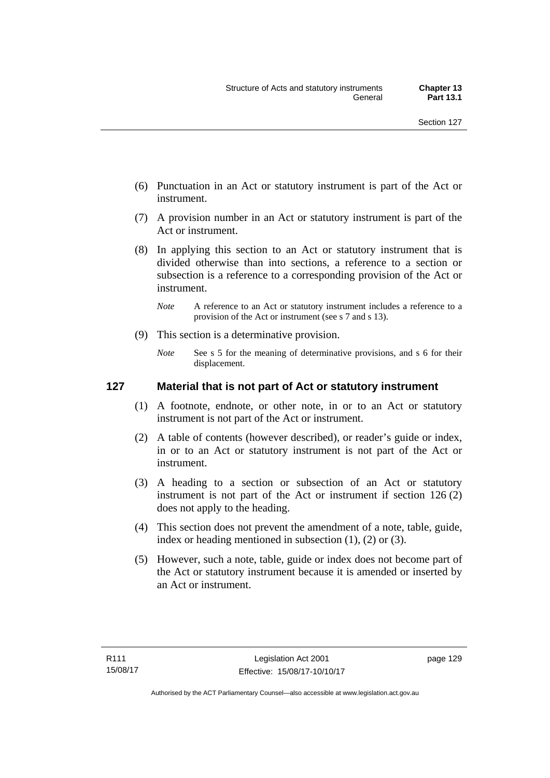- (6) Punctuation in an Act or statutory instrument is part of the Act or instrument.
- (7) A provision number in an Act or statutory instrument is part of the Act or instrument.
- (8) In applying this section to an Act or statutory instrument that is divided otherwise than into sections, a reference to a section or subsection is a reference to a corresponding provision of the Act or instrument.
	- *Note* A reference to an Act or statutory instrument includes a reference to a provision of the Act or instrument (see s 7 and s 13).
- (9) This section is a determinative provision.
	- *Note* See s 5 for the meaning of determinative provisions, and s 6 for their displacement.

### **127 Material that is not part of Act or statutory instrument**

- (1) A footnote, endnote, or other note, in or to an Act or statutory instrument is not part of the Act or instrument.
- (2) A table of contents (however described), or reader's guide or index, in or to an Act or statutory instrument is not part of the Act or instrument.
- (3) A heading to a section or subsection of an Act or statutory instrument is not part of the Act or instrument if section 126 (2) does not apply to the heading.
- (4) This section does not prevent the amendment of a note, table, guide, index or heading mentioned in subsection (1), (2) or (3).
- (5) However, such a note, table, guide or index does not become part of the Act or statutory instrument because it is amended or inserted by an Act or instrument.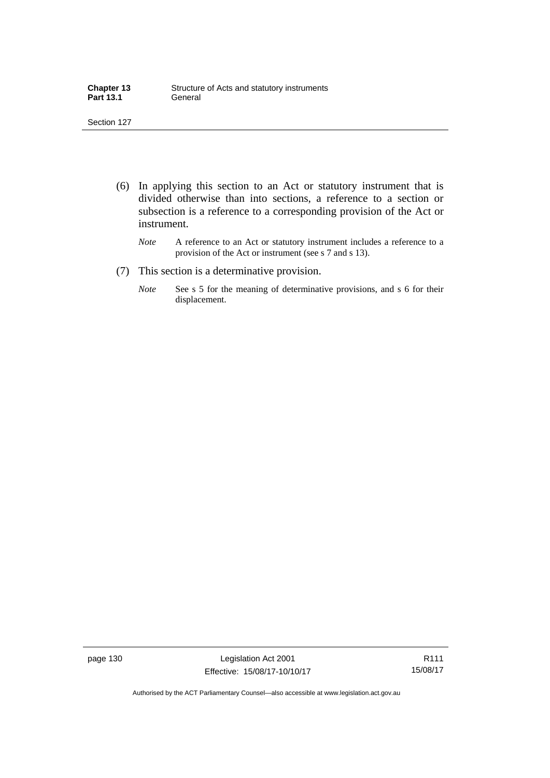| <b>Chapter 13</b> | Structure of Acts and statutory instruments |
|-------------------|---------------------------------------------|
| <b>Part 13.1</b>  | General                                     |

- (6) In applying this section to an Act or statutory instrument that is divided otherwise than into sections, a reference to a section or subsection is a reference to a corresponding provision of the Act or instrument.
	- *Note* A reference to an Act or statutory instrument includes a reference to a provision of the Act or instrument (see s 7 and s 13).
- (7) This section is a determinative provision.
	- *Note* See s 5 for the meaning of determinative provisions, and s 6 for their displacement.

page 130 Legislation Act 2001 Effective: 15/08/17-10/10/17

R111 15/08/17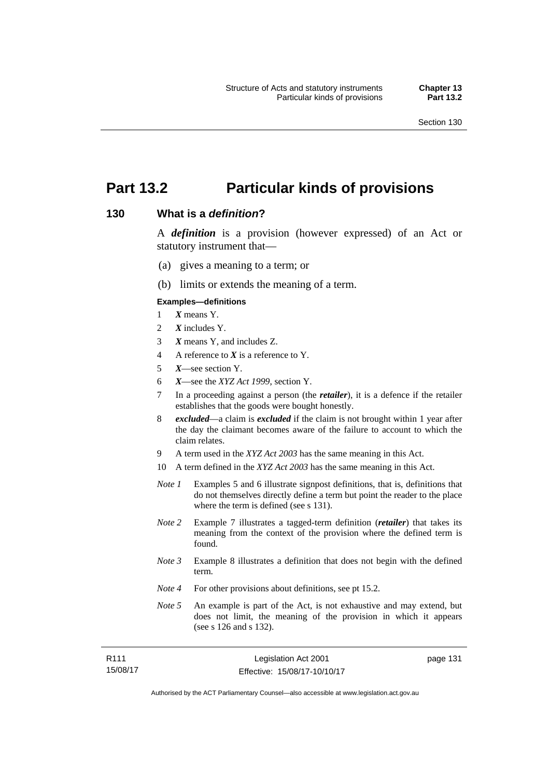page 131

# **Part 13.2 Particular kinds of provisions**

### **130 What is a** *definition***?**

A *definition* is a provision (however expressed) of an Act or statutory instrument that—

- (a) gives a meaning to a term; or
- (b) limits or extends the meaning of a term.

#### **Examples—definitions**

- 1 *X* means Y.
- 2 *X* includes Y.
- 3 *X* means Y, and includes Z.
- 4 A reference to *X* is a reference to Y.
- 5 *X*—see section Y.
- 6 *X*—see the *XYZ Act 1999*, section Y.
- 7 In a proceeding against a person (the *retailer*), it is a defence if the retailer establishes that the goods were bought honestly.
- 8 *excluded*—a claim is *excluded* if the claim is not brought within 1 year after the day the claimant becomes aware of the failure to account to which the claim relates.
- 9 A term used in the *XYZ Act 2003* has the same meaning in this Act.
- 10 A term defined in the *XYZ Act 2003* has the same meaning in this Act.
- *Note 1* Examples 5 and 6 illustrate signpost definitions, that is, definitions that do not themselves directly define a term but point the reader to the place where the term is defined (see s 131).
- *Note 2* Example 7 illustrates a tagged-term definition (*retailer*) that takes its meaning from the context of the provision where the defined term is found.
- *Note 3* Example 8 illustrates a definition that does not begin with the defined term.
- *Note 4* For other provisions about definitions, see pt 15.2.
- *Note 5* An example is part of the Act, is not exhaustive and may extend, but does not limit, the meaning of the provision in which it appears (see s 126 and s 132).

| R <sub>111</sub> | Legislation Act 2001         |  |
|------------------|------------------------------|--|
| 15/08/17         | Effective: 15/08/17-10/10/17 |  |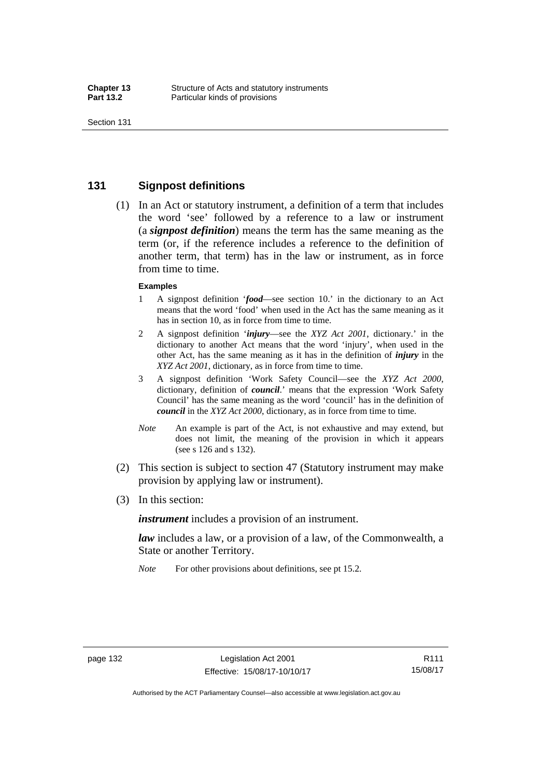### **131 Signpost definitions**

 (1) In an Act or statutory instrument, a definition of a term that includes the word 'see' followed by a reference to a law or instrument (a *signpost definition*) means the term has the same meaning as the term (or, if the reference includes a reference to the definition of another term, that term) has in the law or instrument, as in force from time to time.

#### **Examples**

- 1 A signpost definition '*food*—see section 10.' in the dictionary to an Act means that the word 'food' when used in the Act has the same meaning as it has in section 10, as in force from time to time.
- 2 A signpost definition '*injury*—see the *XYZ Act 2001*, dictionary.' in the dictionary to another Act means that the word 'injury', when used in the other Act, has the same meaning as it has in the definition of *injury* in the *XYZ Act 2001*, dictionary, as in force from time to time.
- 3 A signpost definition 'Work Safety Council—see the *XYZ Act 2000*, dictionary, definition of *council*.' means that the expression 'Work Safety Council' has the same meaning as the word 'council' has in the definition of *council* in the *XYZ Act 2000*, dictionary, as in force from time to time.
- *Note* An example is part of the Act, is not exhaustive and may extend, but does not limit, the meaning of the provision in which it appears (see s 126 and s 132).
- (2) This section is subject to section 47 (Statutory instrument may make provision by applying law or instrument).
- (3) In this section:

*instrument* includes a provision of an instrument.

*law* includes a law, or a provision of a law, of the Commonwealth, a State or another Territory.

*Note* For other provisions about definitions, see pt 15.2.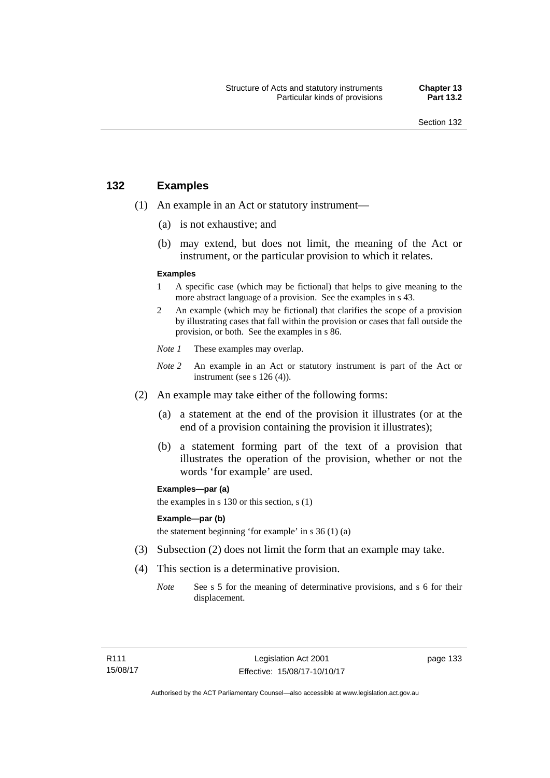### **132 Examples**

- (1) An example in an Act or statutory instrument—
	- (a) is not exhaustive; and
	- (b) may extend, but does not limit, the meaning of the Act or instrument, or the particular provision to which it relates.

#### **Examples**

- 1 A specific case (which may be fictional) that helps to give meaning to the more abstract language of a provision. See the examples in s 43.
- 2 An example (which may be fictional) that clarifies the scope of a provision by illustrating cases that fall within the provision or cases that fall outside the provision, or both. See the examples in s 86.
- *Note 1* These examples may overlap.
- *Note* 2 An example in an Act or statutory instrument is part of the Act or instrument (see s 126 (4)).
- (2) An example may take either of the following forms:
	- (a) a statement at the end of the provision it illustrates (or at the end of a provision containing the provision it illustrates);
	- (b) a statement forming part of the text of a provision that illustrates the operation of the provision, whether or not the words 'for example' are used.

**Examples—par (a)** 

the examples in s 130 or this section, s (1)

#### **Example—par (b)**

the statement beginning 'for example' in s 36 (1) (a)

- (3) Subsection (2) does not limit the form that an example may take.
- (4) This section is a determinative provision.
	- *Note* See s 5 for the meaning of determinative provisions, and s 6 for their displacement.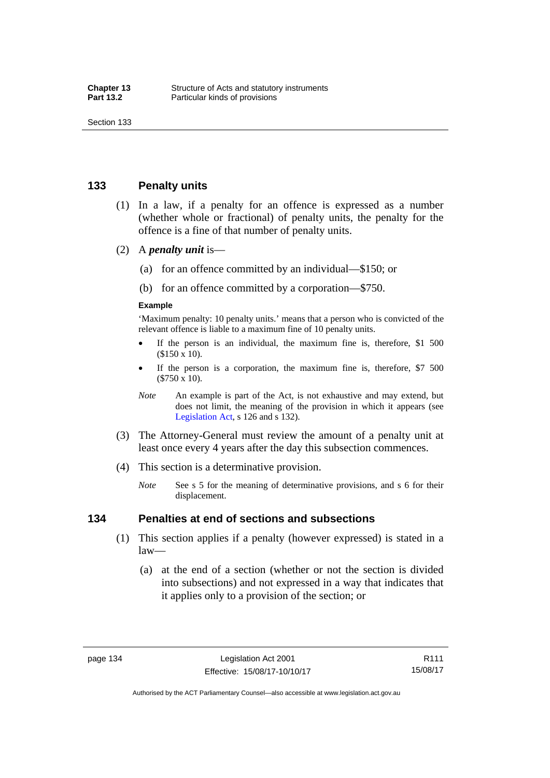### **133 Penalty units**

- (1) In a law, if a penalty for an offence is expressed as a number (whether whole or fractional) of penalty units, the penalty for the offence is a fine of that number of penalty units.
- (2) A *penalty unit* is—
	- (a) for an offence committed by an individual—\$150; or
	- (b) for an offence committed by a corporation—\$750.

#### **Example**

'Maximum penalty: 10 penalty units.' means that a person who is convicted of the relevant offence is liable to a maximum fine of 10 penalty units.

- If the person is an individual, the maximum fine is, therefore, \$1 500 (\$150 x 10).
- If the person is a corporation, the maximum fine is, therefore, \$7 500 (\$750 x 10).
- *Note* An example is part of the Act, is not exhaustive and may extend, but does not limit, the meaning of the provision in which it appears (see [Legislation Act,](http://www.legislation.act.gov.au/a/2001-14) s 126 and s 132).
- (3) The Attorney-General must review the amount of a penalty unit at least once every 4 years after the day this subsection commences.
- (4) This section is a determinative provision.
	- *Note* See s 5 for the meaning of determinative provisions, and s 6 for their displacement.

### **134 Penalties at end of sections and subsections**

- (1) This section applies if a penalty (however expressed) is stated in a law—
	- (a) at the end of a section (whether or not the section is divided into subsections) and not expressed in a way that indicates that it applies only to a provision of the section; or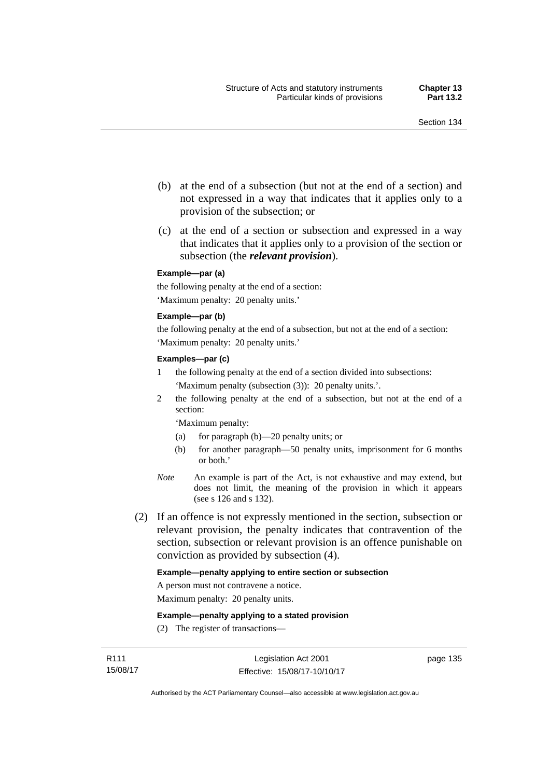- (b) at the end of a subsection (but not at the end of a section) and not expressed in a way that indicates that it applies only to a provision of the subsection; or
- (c) at the end of a section or subsection and expressed in a way that indicates that it applies only to a provision of the section or subsection (the *relevant provision*).

#### **Example—par (a)**

the following penalty at the end of a section: 'Maximum penalty: 20 penalty units.'

#### **Example—par (b)**

the following penalty at the end of a subsection, but not at the end of a section: 'Maximum penalty: 20 penalty units.'

#### **Examples—par (c)**

- 1 the following penalty at the end of a section divided into subsections: 'Maximum penalty (subsection (3)): 20 penalty units.'.
- 2 the following penalty at the end of a subsection, but not at the end of a section:

'Maximum penalty:

- (a) for paragraph (b)—20 penalty units; or
- (b) for another paragraph—50 penalty units, imprisonment for 6 months or both.'
- *Note* An example is part of the Act, is not exhaustive and may extend, but does not limit, the meaning of the provision in which it appears (see s 126 and s 132).
- (2) If an offence is not expressly mentioned in the section, subsection or relevant provision, the penalty indicates that contravention of the section, subsection or relevant provision is an offence punishable on conviction as provided by subsection (4).

#### **Example—penalty applying to entire section or subsection**

A person must not contravene a notice.

Maximum penalty: 20 penalty units.

**Example—penalty applying to a stated provision** 

(2) The register of transactions—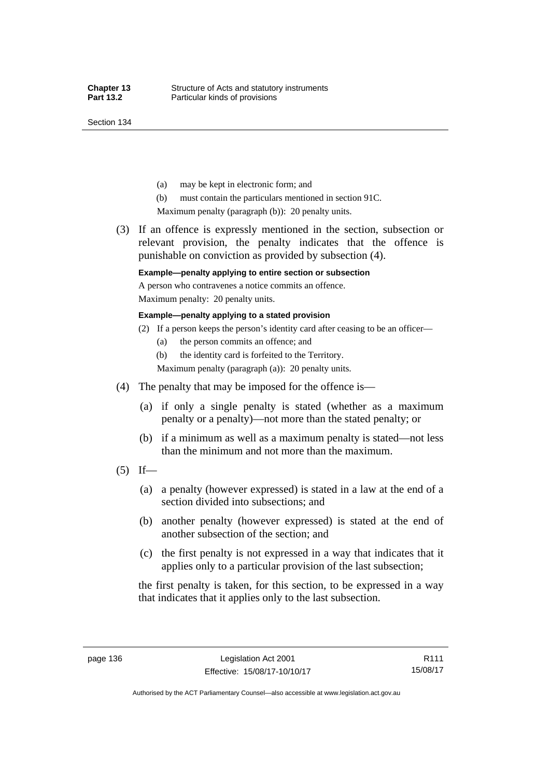Section 134

- (a) may be kept in electronic form; and
- (b) must contain the particulars mentioned in section 91C.

Maximum penalty (paragraph (b)): 20 penalty units.

 (3) If an offence is expressly mentioned in the section, subsection or relevant provision, the penalty indicates that the offence is punishable on conviction as provided by subsection (4).

### **Example—penalty applying to entire section or subsection**

A person who contravenes a notice commits an offence. Maximum penalty: 20 penalty units.

#### **Example—penalty applying to a stated provision**

- (2) If a person keeps the person's identity card after ceasing to be an officer—
	- (a) the person commits an offence; and
	- (b) the identity card is forfeited to the Territory.

Maximum penalty (paragraph (a)): 20 penalty units.

- (4) The penalty that may be imposed for the offence is—
	- (a) if only a single penalty is stated (whether as a maximum penalty or a penalty)—not more than the stated penalty; or
	- (b) if a minimum as well as a maximum penalty is stated—not less than the minimum and not more than the maximum.
- $(5)$  If—
	- (a) a penalty (however expressed) is stated in a law at the end of a section divided into subsections; and
	- (b) another penalty (however expressed) is stated at the end of another subsection of the section; and
	- (c) the first penalty is not expressed in a way that indicates that it applies only to a particular provision of the last subsection;

the first penalty is taken, for this section, to be expressed in a way that indicates that it applies only to the last subsection.

Authorised by the ACT Parliamentary Counsel—also accessible at www.legislation.act.gov.au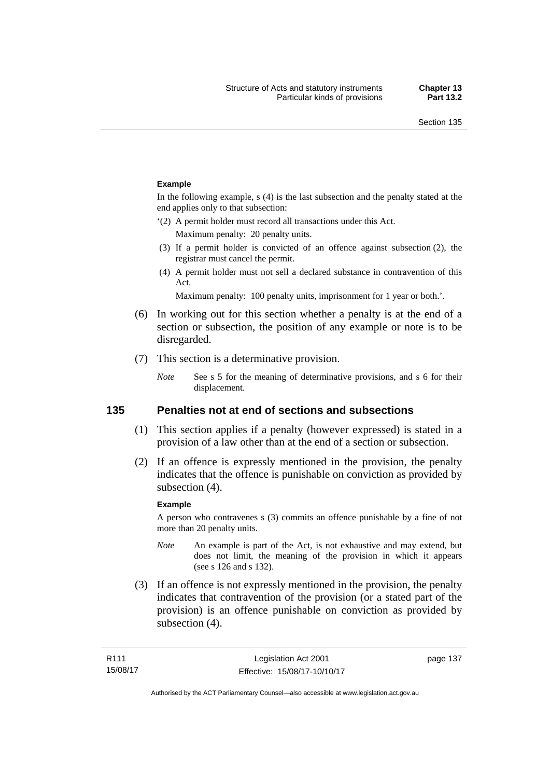#### **Example**

In the following example, s (4) is the last subsection and the penalty stated at the end applies only to that subsection:

'(2) A permit holder must record all transactions under this Act.

Maximum penalty: 20 penalty units.

- (3) If a permit holder is convicted of an offence against subsection (2), the registrar must cancel the permit.
- (4) A permit holder must not sell a declared substance in contravention of this Act.

Maximum penalty: 100 penalty units, imprisonment for 1 year or both.'.

- (6) In working out for this section whether a penalty is at the end of a section or subsection, the position of any example or note is to be disregarded.
- (7) This section is a determinative provision.
	- *Note* See s 5 for the meaning of determinative provisions, and s 6 for their displacement.

### **135 Penalties not at end of sections and subsections**

- (1) This section applies if a penalty (however expressed) is stated in a provision of a law other than at the end of a section or subsection.
- (2) If an offence is expressly mentioned in the provision, the penalty indicates that the offence is punishable on conviction as provided by subsection (4).

#### **Example**

A person who contravenes s (3) commits an offence punishable by a fine of not more than 20 penalty units.

- *Note* An example is part of the Act, is not exhaustive and may extend, but does not limit, the meaning of the provision in which it appears (see s 126 and s 132).
- (3) If an offence is not expressly mentioned in the provision, the penalty indicates that contravention of the provision (or a stated part of the provision) is an offence punishable on conviction as provided by subsection (4).

page 137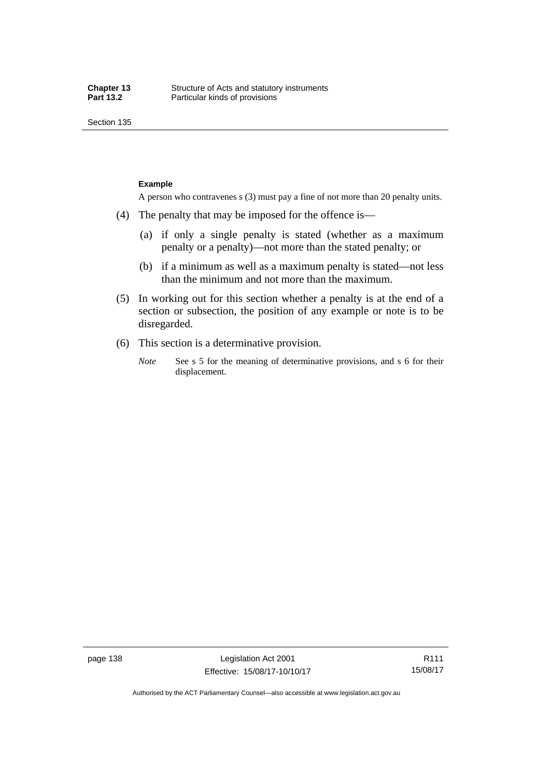Section 135

#### **Example**

A person who contravenes s (3) must pay a fine of not more than 20 penalty units.

- (4) The penalty that may be imposed for the offence is—
	- (a) if only a single penalty is stated (whether as a maximum penalty or a penalty)—not more than the stated penalty; or
	- (b) if a minimum as well as a maximum penalty is stated—not less than the minimum and not more than the maximum.
- (5) In working out for this section whether a penalty is at the end of a section or subsection, the position of any example or note is to be disregarded.
- (6) This section is a determinative provision.
	- *Note* See s 5 for the meaning of determinative provisions, and s 6 for their displacement.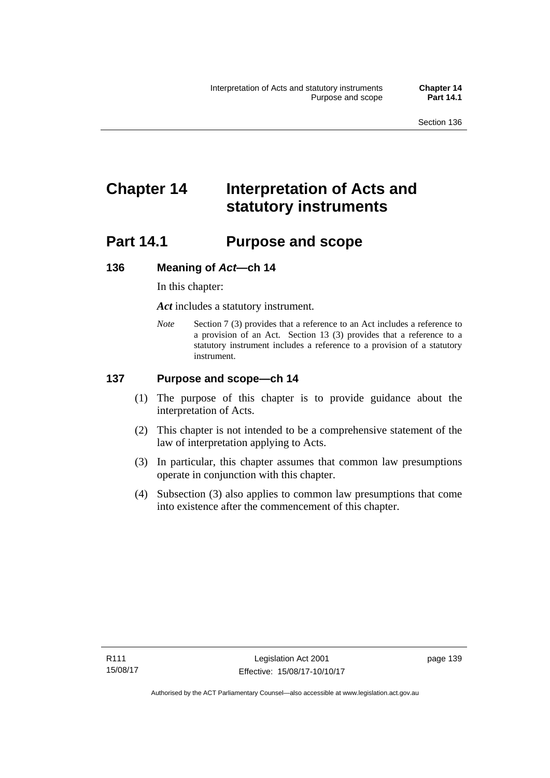# **Chapter 14 Interpretation of Acts and statutory instruments**

# **Part 14.1 Purpose and scope**

### **136 Meaning of** *Act***—ch 14**

In this chapter:

*Act* includes a statutory instrument.

*Note* Section 7 (3) provides that a reference to an Act includes a reference to a provision of an Act. Section 13 (3) provides that a reference to a statutory instrument includes a reference to a provision of a statutory instrument.

### **137 Purpose and scope—ch 14**

- (1) The purpose of this chapter is to provide guidance about the interpretation of Acts.
- (2) This chapter is not intended to be a comprehensive statement of the law of interpretation applying to Acts.
- (3) In particular, this chapter assumes that common law presumptions operate in conjunction with this chapter.
- (4) Subsection (3) also applies to common law presumptions that come into existence after the commencement of this chapter.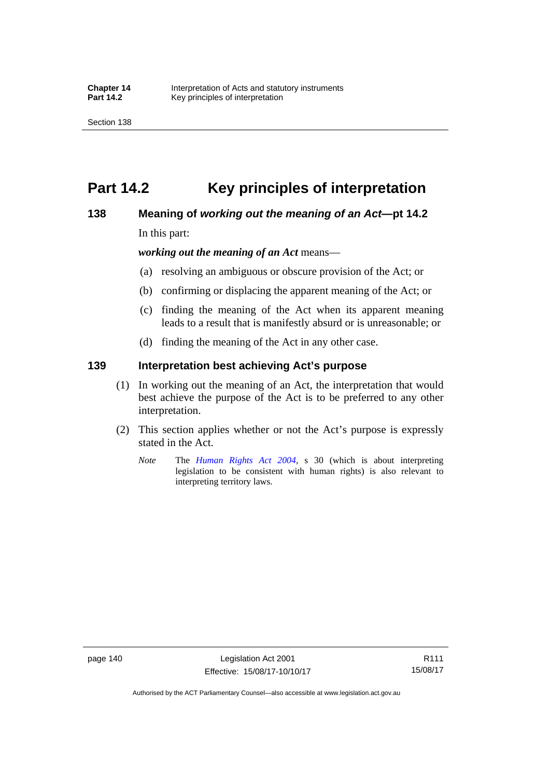# **Part 14.2 Key principles of interpretation**

### **138 Meaning of** *working out the meaning of an Act***—pt 14.2**

In this part:

*working out the meaning of an Act* means—

- (a) resolving an ambiguous or obscure provision of the Act; or
- (b) confirming or displacing the apparent meaning of the Act; or
- (c) finding the meaning of the Act when its apparent meaning leads to a result that is manifestly absurd or is unreasonable; or
- (d) finding the meaning of the Act in any other case.

### **139 Interpretation best achieving Act's purpose**

- (1) In working out the meaning of an Act, the interpretation that would best achieve the purpose of the Act is to be preferred to any other interpretation.
- (2) This section applies whether or not the Act's purpose is expressly stated in the Act.
	- *Note* The *[Human Rights Act 2004](http://www.legislation.act.gov.au/a/2004-5)*, s 30 (which is about interpreting legislation to be consistent with human rights) is also relevant to interpreting territory laws.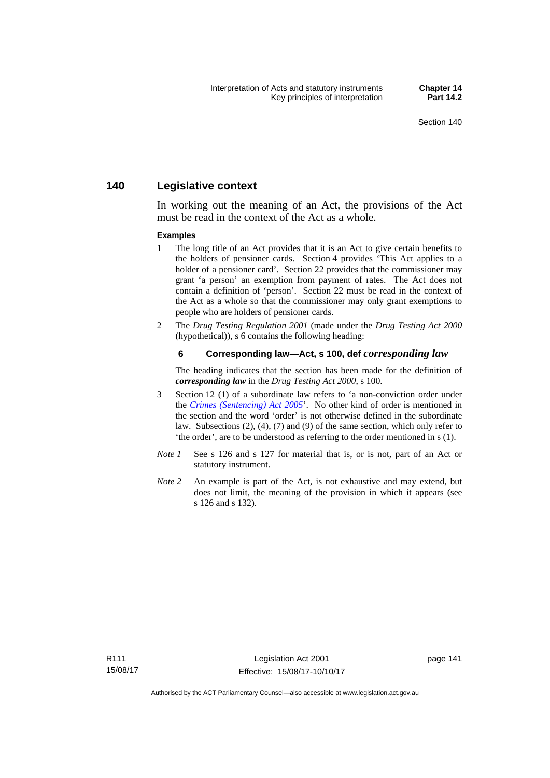### **140 Legislative context**

In working out the meaning of an Act, the provisions of the Act must be read in the context of the Act as a whole.

#### **Examples**

- 1 The long title of an Act provides that it is an Act to give certain benefits to the holders of pensioner cards. Section 4 provides 'This Act applies to a holder of a pensioner card'. Section 22 provides that the commissioner may grant 'a person' an exemption from payment of rates. The Act does not contain a definition of 'person'. Section 22 must be read in the context of the Act as a whole so that the commissioner may only grant exemptions to people who are holders of pensioner cards.
- 2 The *Drug Testing Regulation 2001* (made under the *Drug Testing Act 2000* (hypothetical)), s 6 contains the following heading:

#### **6 Corresponding law—Act, s 100, def** *corresponding law*

The heading indicates that the section has been made for the definition of *corresponding law* in the *Drug Testing Act 2000*, s 100.

- 3 Section 12 (1) of a subordinate law refers to 'a non-conviction order under the *[Crimes \(Sentencing\) Act 2005](http://www.legislation.act.gov.au/a/2005-58)*'. No other kind of order is mentioned in the section and the word 'order' is not otherwise defined in the subordinate law. Subsections (2), (4), (7) and (9) of the same section, which only refer to 'the order', are to be understood as referring to the order mentioned in s (1).
- *Note 1* See s 126 and s 127 for material that is, or is not, part of an Act or statutory instrument.
- *Note 2* An example is part of the Act, is not exhaustive and may extend, but does not limit, the meaning of the provision in which it appears (see s 126 and s 132).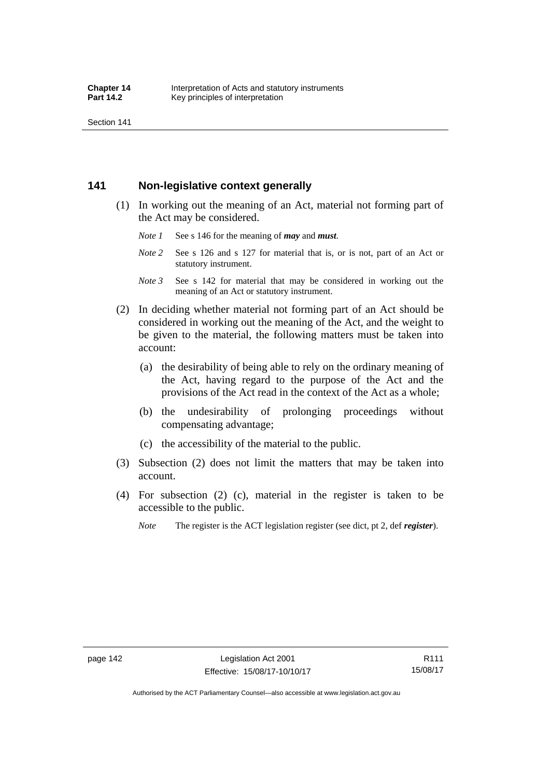Section 141

### **141 Non-legislative context generally**

- (1) In working out the meaning of an Act, material not forming part of the Act may be considered.
	- *Note 1* See s 146 for the meaning of *may* and *must*.
	- *Note* 2 See s 126 and s 127 for material that is, or is not, part of an Act or statutory instrument.
	- *Note 3* See s 142 for material that may be considered in working out the meaning of an Act or statutory instrument.
- (2) In deciding whether material not forming part of an Act should be considered in working out the meaning of the Act, and the weight to be given to the material, the following matters must be taken into account:
	- (a) the desirability of being able to rely on the ordinary meaning of the Act, having regard to the purpose of the Act and the provisions of the Act read in the context of the Act as a whole;
	- (b) the undesirability of prolonging proceedings without compensating advantage;
	- (c) the accessibility of the material to the public.
- (3) Subsection (2) does not limit the matters that may be taken into account.
- (4) For subsection (2) (c), material in the register is taken to be accessible to the public.
	- *Note* The register is the ACT legislation register (see dict, pt 2, def *register*).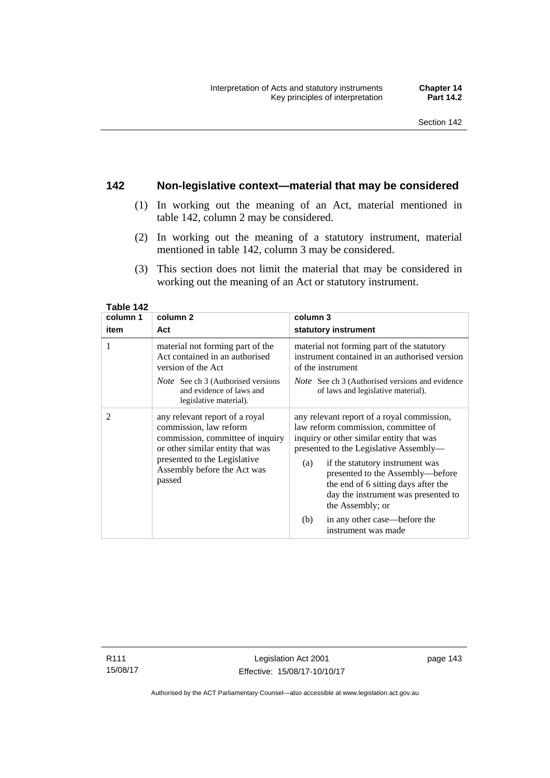### **142 Non-legislative context—material that may be considered**

- (1) In working out the meaning of an Act, material mentioned in table 142, column 2 may be considered.
- (2) In working out the meaning of a statutory instrument, material mentioned in table 142, column 3 may be considered.
- (3) This section does not limit the material that may be considered in working out the meaning of an Act or statutory instrument.

| column 1       | column <sub>2</sub>                                                                                                                                                                                       | column 3                                                                                                                                                                                                                                                                                                                                                |  |
|----------------|-----------------------------------------------------------------------------------------------------------------------------------------------------------------------------------------------------------|---------------------------------------------------------------------------------------------------------------------------------------------------------------------------------------------------------------------------------------------------------------------------------------------------------------------------------------------------------|--|
| item           | Act                                                                                                                                                                                                       | statutory instrument                                                                                                                                                                                                                                                                                                                                    |  |
| 1              | material not forming part of the<br>Act contained in an authorised<br>version of the Act                                                                                                                  | material not forming part of the statutory<br>instrument contained in an authorised version<br>of the instrument                                                                                                                                                                                                                                        |  |
|                | <i>Note</i> See ch 3 (Authorised versions<br>and evidence of laws and<br>legislative material).                                                                                                           | <i>Note</i> See ch 3 (Authorised versions and evidence<br>of laws and legislative material).                                                                                                                                                                                                                                                            |  |
| $\overline{c}$ | any relevant report of a royal<br>commission, law reform<br>commission, committee of inquiry<br>or other similar entity that was<br>presented to the Legislative<br>Assembly before the Act was<br>passed | any relevant report of a royal commission,<br>law reform commission, committee of<br>inquiry or other similar entity that was<br>presented to the Legislative Assembly—<br>if the statutory instrument was<br>(a)<br>presented to the Assembly-before<br>the end of 6 sitting days after the<br>day the instrument was presented to<br>the Assembly; or |  |
|                |                                                                                                                                                                                                           | in any other case—before the<br>(b)<br>instrument was made                                                                                                                                                                                                                                                                                              |  |

**Table 142** 

R111 15/08/17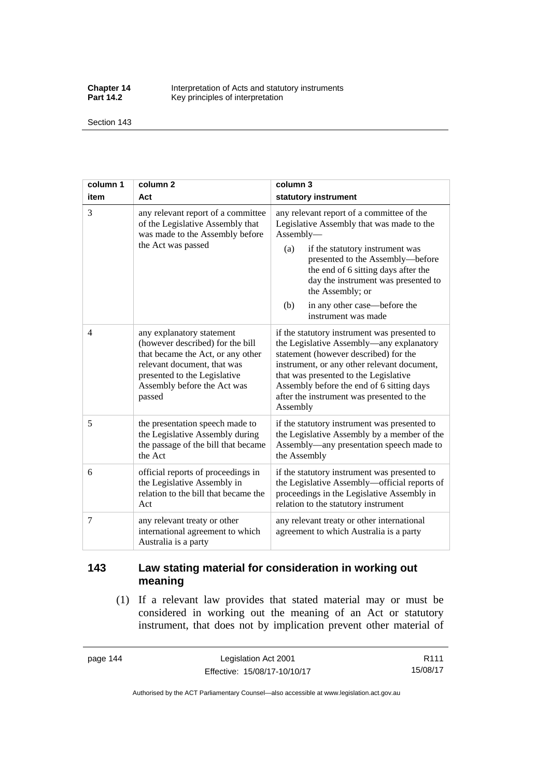**Chapter 14** Interpretation of Acts and statutory instruments<br>**Part 14.2** Key principles of interpretation Key principles of interpretation

Section 143

| column 1 | column <sub>2</sub>                                                                                                                                                                                        | column 3                                                                                                                                                                                                                                                                                                                                          |  |
|----------|------------------------------------------------------------------------------------------------------------------------------------------------------------------------------------------------------------|---------------------------------------------------------------------------------------------------------------------------------------------------------------------------------------------------------------------------------------------------------------------------------------------------------------------------------------------------|--|
| item     | Act                                                                                                                                                                                                        | statutory instrument                                                                                                                                                                                                                                                                                                                              |  |
| 3        | any relevant report of a committee<br>of the Legislative Assembly that<br>was made to the Assembly before<br>the Act was passed                                                                            | any relevant report of a committee of the<br>Legislative Assembly that was made to the<br>Assembly-<br>(a)<br>if the statutory instrument was<br>presented to the Assembly-before<br>the end of 6 sitting days after the<br>day the instrument was presented to<br>the Assembly; or<br>in any other case—before the<br>(b)<br>instrument was made |  |
| 4        | any explanatory statement<br>(however described) for the bill<br>that became the Act, or any other<br>relevant document, that was<br>presented to the Legislative<br>Assembly before the Act was<br>passed | if the statutory instrument was presented to<br>the Legislative Assembly-any explanatory<br>statement (however described) for the<br>instrument, or any other relevant document,<br>that was presented to the Legislative<br>Assembly before the end of 6 sitting days<br>after the instrument was presented to the<br>Assembly                   |  |
| 5        | the presentation speech made to<br>the Legislative Assembly during<br>the passage of the bill that became<br>the Act                                                                                       | if the statutory instrument was presented to<br>the Legislative Assembly by a member of the<br>Assembly—any presentation speech made to<br>the Assembly                                                                                                                                                                                           |  |
| 6        | official reports of proceedings in<br>the Legislative Assembly in<br>relation to the bill that became the<br>Act                                                                                           | if the statutory instrument was presented to<br>the Legislative Assembly—official reports of<br>proceedings in the Legislative Assembly in<br>relation to the statutory instrument                                                                                                                                                                |  |
| 7        | any relevant treaty or other<br>international agreement to which<br>Australia is a party                                                                                                                   | any relevant treaty or other international<br>agreement to which Australia is a party                                                                                                                                                                                                                                                             |  |

## **143 Law stating material for consideration in working out meaning**

 (1) If a relevant law provides that stated material may or must be considered in working out the meaning of an Act or statutory instrument, that does not by implication prevent other material of

page 144 Legislation Act 2001 Effective: 15/08/17-10/10/17

R111 15/08/17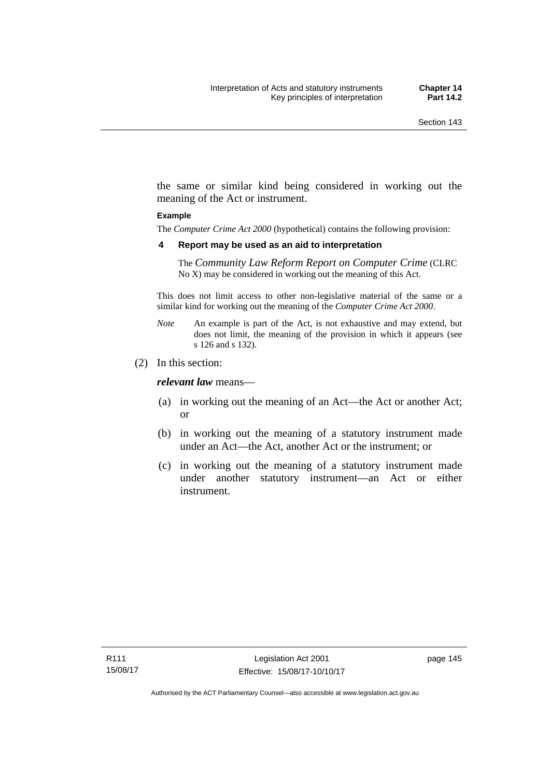the same or similar kind being considered in working out the meaning of the Act or instrument.

#### **Example**

The *Computer Crime Act 2000* (hypothetical) contains the following provision:

#### **4 Report may be used as an aid to interpretation**

The *Community Law Reform Report on Computer Crime* (CLRC No X) may be considered in working out the meaning of this Act.

This does not limit access to other non-legislative material of the same or a similar kind for working out the meaning of the *Computer Crime Act 2000*.

- *Note* An example is part of the Act, is not exhaustive and may extend, but does not limit, the meaning of the provision in which it appears (see s 126 and s 132).
- (2) In this section:

*relevant law* means—

- (a) in working out the meaning of an Act—the Act or another Act; or
- (b) in working out the meaning of a statutory instrument made under an Act—the Act, another Act or the instrument; or
- (c) in working out the meaning of a statutory instrument made under another statutory instrument—an Act or either instrument.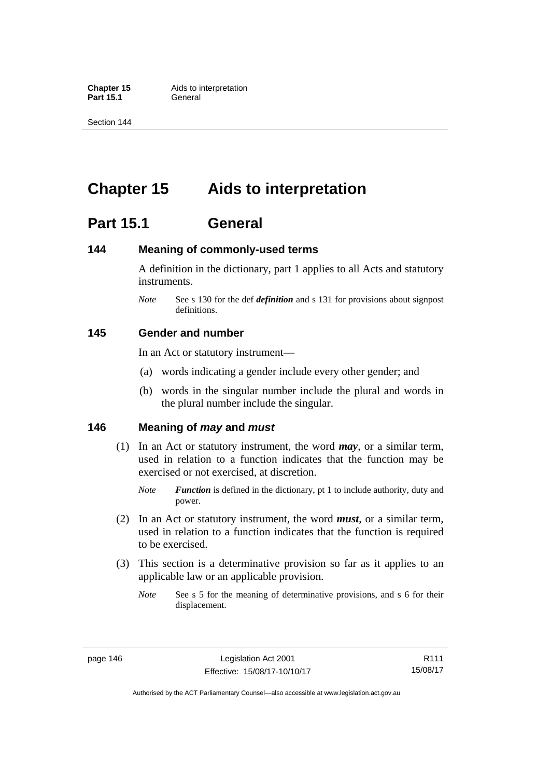**Part 15.1** 

Section 144

# **Chapter 15 Aids to interpretation**

# **Part 15.1 General**

### **144 Meaning of commonly-used terms**

A definition in the dictionary, part 1 applies to all Acts and statutory instruments.

*Note* See s 130 for the def *definition* and s 131 for provisions about signpost definitions.

### **145 Gender and number**

In an Act or statutory instrument—

- (a) words indicating a gender include every other gender; and
- (b) words in the singular number include the plural and words in the plural number include the singular.

### **146 Meaning of** *may* **and** *must*

- (1) In an Act or statutory instrument, the word *may*, or a similar term, used in relation to a function indicates that the function may be exercised or not exercised, at discretion.
	- *Note Function* is defined in the dictionary, pt 1 to include authority, duty and power.
- (2) In an Act or statutory instrument, the word *must*, or a similar term, used in relation to a function indicates that the function is required to be exercised.
- (3) This section is a determinative provision so far as it applies to an applicable law or an applicable provision.
	- *Note* See s 5 for the meaning of determinative provisions, and s 6 for their displacement.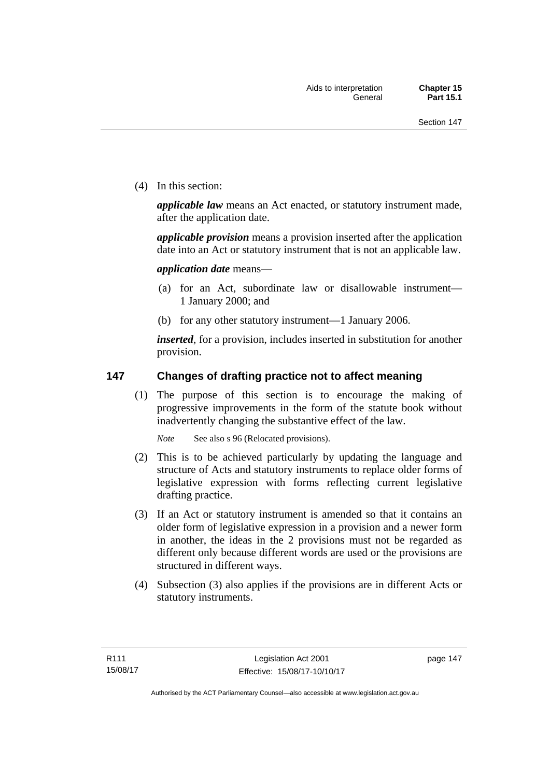(4) In this section:

*applicable law* means an Act enacted, or statutory instrument made, after the application date.

*applicable provision* means a provision inserted after the application date into an Act or statutory instrument that is not an applicable law.

*application date* means—

- (a) for an Act, subordinate law or disallowable instrument— 1 January 2000; and
- (b) for any other statutory instrument—1 January 2006.

*inserted*, for a provision, includes inserted in substitution for another provision.

### **147 Changes of drafting practice not to affect meaning**

(1) The purpose of this section is to encourage the making of progressive improvements in the form of the statute book without inadvertently changing the substantive effect of the law.

*Note* See also s 96 (Relocated provisions).

- (2) This is to be achieved particularly by updating the language and structure of Acts and statutory instruments to replace older forms of legislative expression with forms reflecting current legislative drafting practice.
- (3) If an Act or statutory instrument is amended so that it contains an older form of legislative expression in a provision and a newer form in another, the ideas in the 2 provisions must not be regarded as different only because different words are used or the provisions are structured in different ways.
- (4) Subsection (3) also applies if the provisions are in different Acts or statutory instruments.

page 147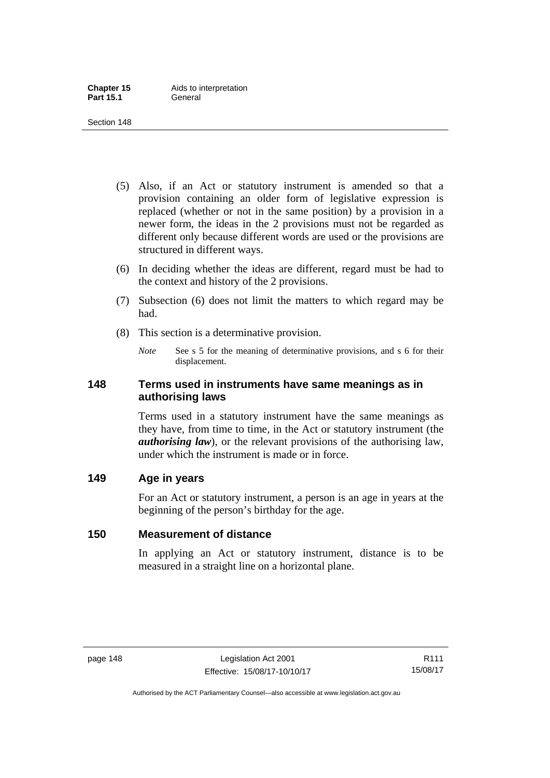- (5) Also, if an Act or statutory instrument is amended so that a provision containing an older form of legislative expression is replaced (whether or not in the same position) by a provision in a newer form, the ideas in the 2 provisions must not be regarded as different only because different words are used or the provisions are structured in different ways.
- (6) In deciding whether the ideas are different, regard must be had to the context and history of the 2 provisions.
- (7) Subsection (6) does not limit the matters to which regard may be had.
- (8) This section is a determinative provision.
	- *Note* See s 5 for the meaning of determinative provisions, and s 6 for their displacement.

### **148 Terms used in instruments have same meanings as in authorising laws**

Terms used in a statutory instrument have the same meanings as they have, from time to time, in the Act or statutory instrument (the *authorising law*), or the relevant provisions of the authorising law, under which the instrument is made or in force.

### **149 Age in years**

For an Act or statutory instrument, a person is an age in years at the beginning of the person's birthday for the age.

### **150 Measurement of distance**

In applying an Act or statutory instrument, distance is to be measured in a straight line on a horizontal plane.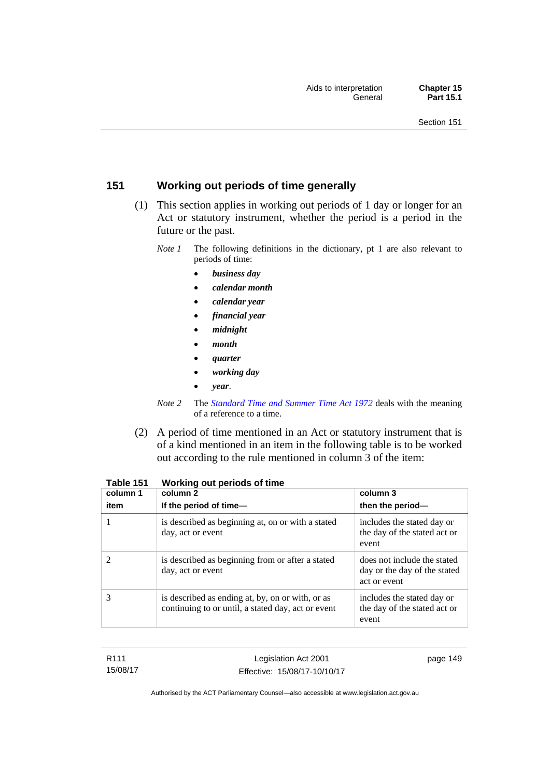## **151 Working out periods of time generally**

- (1) This section applies in working out periods of 1 day or longer for an Act or statutory instrument, whether the period is a period in the future or the past.
	- *Note 1* The following definitions in the dictionary, pt 1 are also relevant to periods of time:
		- *business day*
		- *calendar month*
		- *calendar year*
		- *financial year*
		- *midnight*
		- *month*
		- *quarter*
		- *working day*
		- *year*.
	- *Note 2* The *[Standard Time and Summer Time Act 1972](http://www.legislation.act.gov.au/a/1972-34)* deals with the meaning of a reference to a time.
- (2) A period of time mentioned in an Act or statutory instrument that is of a kind mentioned in an item in the following table is to be worked out according to the rule mentioned in column 3 of the item:

| column 1<br>item | column 2<br>If the period of time-                                                                     | column 3<br>then the period-                                                |
|------------------|--------------------------------------------------------------------------------------------------------|-----------------------------------------------------------------------------|
|                  | is described as beginning at, on or with a stated<br>day, act or event                                 | includes the stated day or<br>the day of the stated act or<br>event         |
|                  | is described as beginning from or after a stated<br>day, act or event                                  | does not include the stated<br>day or the day of the stated<br>act or event |
| 3                | is described as ending at, by, on or with, or as<br>continuing to or until, a stated day, act or event | includes the stated day or<br>the day of the stated act or<br>event         |

**Table 151 Working out periods of time** 

| R111     |
|----------|
| 15/08/17 |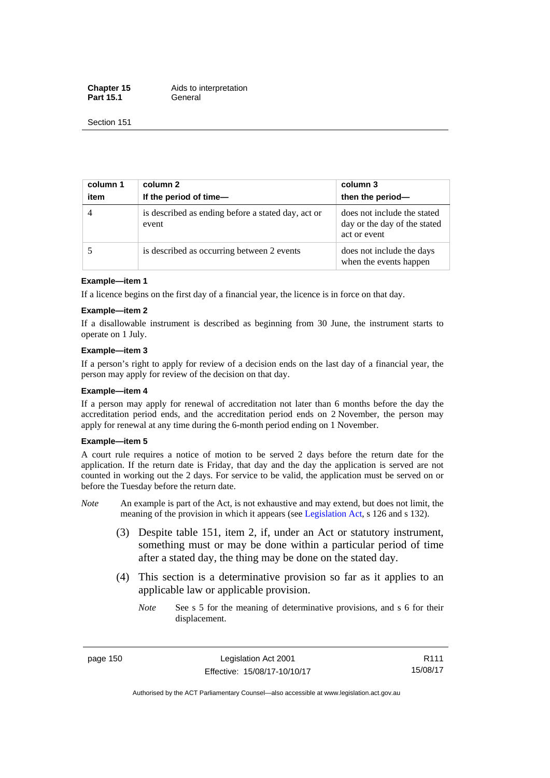**Chapter 15** Aids to interpretation Part 15.1 **General** 

Section 151

| column 1<br>item | column 2<br>If the period of time-                          | column 3<br>then the period-                                                |
|------------------|-------------------------------------------------------------|-----------------------------------------------------------------------------|
| $\overline{4}$   | is described as ending before a stated day, act or<br>event | does not include the stated<br>day or the day of the stated<br>act or event |
|                  | is described as occurring between 2 events                  | does not include the days<br>when the events happen                         |

#### **Example—item 1**

If a licence begins on the first day of a financial year, the licence is in force on that day.

#### **Example—item 2**

If a disallowable instrument is described as beginning from 30 June, the instrument starts to operate on 1 July.

#### **Example—item 3**

If a person's right to apply for review of a decision ends on the last day of a financial year, the person may apply for review of the decision on that day.

#### **Example—item 4**

If a person may apply for renewal of accreditation not later than 6 months before the day the accreditation period ends, and the accreditation period ends on 2 November, the person may apply for renewal at any time during the 6-month period ending on 1 November.

#### **Example—item 5**

A court rule requires a notice of motion to be served 2 days before the return date for the application. If the return date is Friday, that day and the day the application is served are not counted in working out the 2 days. For service to be valid, the application must be served on or before the Tuesday before the return date.

- *Note* An example is part of the Act, is not exhaustive and may extend, but does not limit, the meaning of the provision in which it appears (see [Legislation Act](http://www.legislation.act.gov.au/a/2001-14), s 126 and s 132).
	- (3) Despite table 151, item 2, if, under an Act or statutory instrument, something must or may be done within a particular period of time after a stated day, the thing may be done on the stated day.
	- (4) This section is a determinative provision so far as it applies to an applicable law or applicable provision.
		- *Note* See s 5 for the meaning of determinative provisions, and s 6 for their displacement.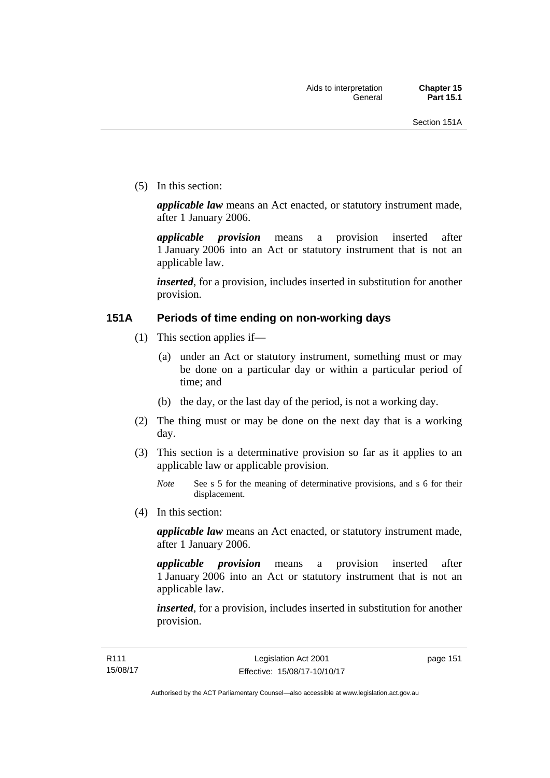(5) In this section:

*applicable law* means an Act enacted, or statutory instrument made, after 1 January 2006.

*applicable provision* means a provision inserted after 1 January 2006 into an Act or statutory instrument that is not an applicable law.

*inserted*, for a provision, includes inserted in substitution for another provision.

### **151A Periods of time ending on non-working days**

- (1) This section applies if—
	- (a) under an Act or statutory instrument, something must or may be done on a particular day or within a particular period of time; and
	- (b) the day, or the last day of the period, is not a working day.
- (2) The thing must or may be done on the next day that is a working day.
- (3) This section is a determinative provision so far as it applies to an applicable law or applicable provision.

(4) In this section:

*applicable law* means an Act enacted, or statutory instrument made, after 1 January 2006.

*applicable provision* means a provision inserted after 1 January 2006 into an Act or statutory instrument that is not an applicable law.

*inserted*, for a provision, includes inserted in substitution for another provision.

*Note* See s 5 for the meaning of determinative provisions, and s 6 for their displacement.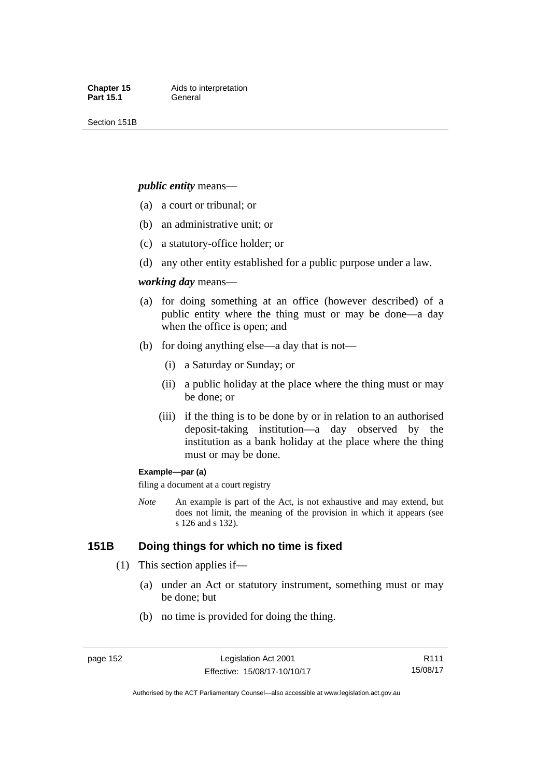Section 151B

#### *public entity* means—

- (a) a court or tribunal; or
- (b) an administrative unit; or
- (c) a statutory-office holder; or
- (d) any other entity established for a public purpose under a law.

#### *working day* means—

- (a) for doing something at an office (however described) of a public entity where the thing must or may be done—a day when the office is open; and
- (b) for doing anything else—a day that is not—
	- (i) a Saturday or Sunday; or
	- (ii) a public holiday at the place where the thing must or may be done; or
	- (iii) if the thing is to be done by or in relation to an authorised deposit-taking institution—a day observed by the institution as a bank holiday at the place where the thing must or may be done.

#### **Example—par (a)**

filing a document at a court registry

*Note* An example is part of the Act, is not exhaustive and may extend, but does not limit, the meaning of the provision in which it appears (see s 126 and s 132).

### **151B Doing things for which no time is fixed**

- (1) This section applies if—
	- (a) under an Act or statutory instrument, something must or may be done; but
	- (b) no time is provided for doing the thing.

R111 15/08/17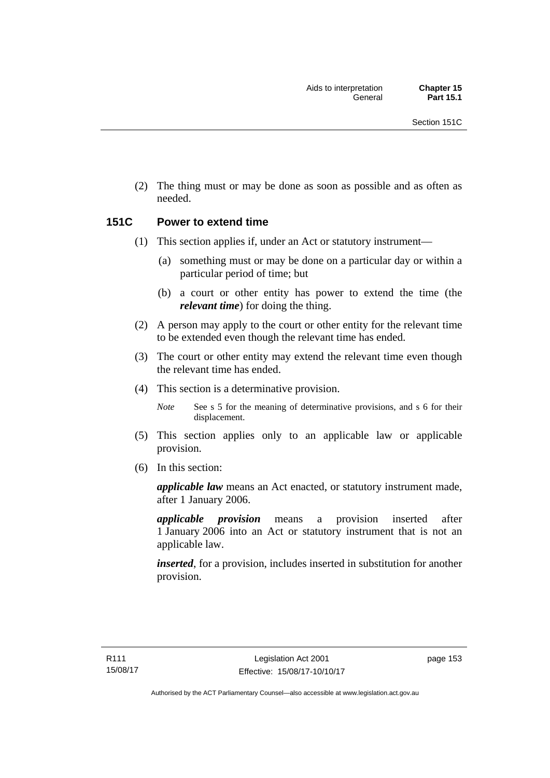(2) The thing must or may be done as soon as possible and as often as needed.

### **151C Power to extend time**

- (1) This section applies if, under an Act or statutory instrument—
	- (a) something must or may be done on a particular day or within a particular period of time; but
	- (b) a court or other entity has power to extend the time (the *relevant time*) for doing the thing.
- (2) A person may apply to the court or other entity for the relevant time to be extended even though the relevant time has ended.
- (3) The court or other entity may extend the relevant time even though the relevant time has ended.
- (4) This section is a determinative provision.

*Note* See s 5 for the meaning of determinative provisions, and s 6 for their displacement.

- (5) This section applies only to an applicable law or applicable provision.
- (6) In this section:

*applicable law* means an Act enacted, or statutory instrument made, after 1 January 2006.

*applicable provision* means a provision inserted after 1 January 2006 into an Act or statutory instrument that is not an applicable law.

*inserted*, for a provision, includes inserted in substitution for another provision.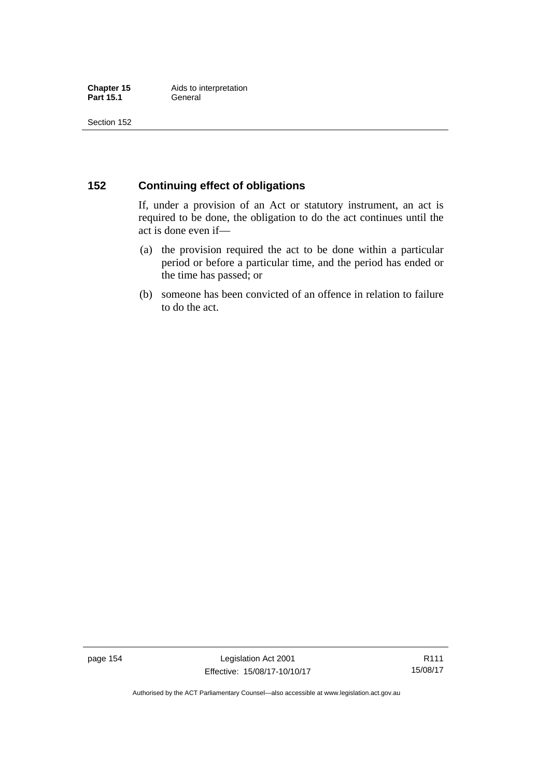### **152 Continuing effect of obligations**

If, under a provision of an Act or statutory instrument, an act is required to be done, the obligation to do the act continues until the act is done even if—

- (a) the provision required the act to be done within a particular period or before a particular time, and the period has ended or the time has passed; or
- (b) someone has been convicted of an offence in relation to failure to do the act.

page 154 Legislation Act 2001 Effective: 15/08/17-10/10/17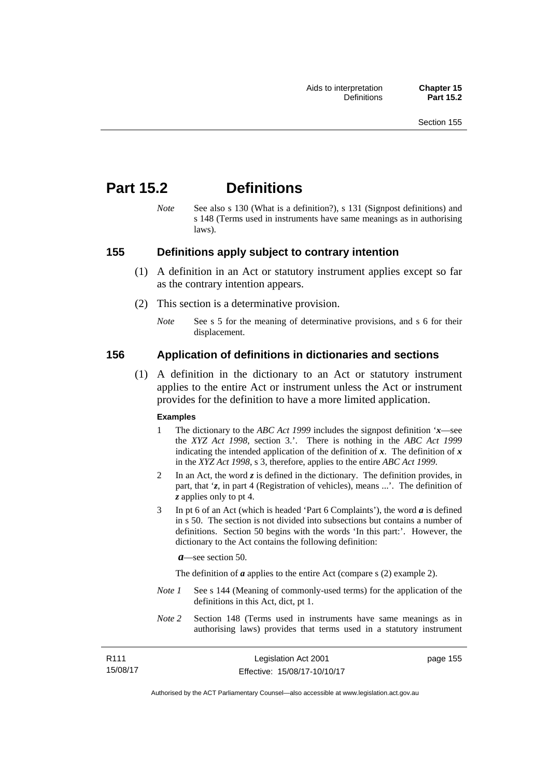# **Part 15.2 Definitions**

*Note* See also s 130 (What is a definition?), s 131 (Signpost definitions) and s 148 (Terms used in instruments have same meanings as in authorising laws).

### **155 Definitions apply subject to contrary intention**

- (1) A definition in an Act or statutory instrument applies except so far as the contrary intention appears.
- (2) This section is a determinative provision.
	- *Note* See s 5 for the meaning of determinative provisions, and s 6 for their displacement.

### **156 Application of definitions in dictionaries and sections**

 (1) A definition in the dictionary to an Act or statutory instrument applies to the entire Act or instrument unless the Act or instrument provides for the definition to have a more limited application.

#### **Examples**

- 1 The dictionary to the *ABC Act 1999* includes the signpost definition '*x*—see the *XYZ Act 1998*, section 3.'. There is nothing in the *ABC Act 1999* indicating the intended application of the definition of  $x$ . The definition of  $x$ in the *XYZ Act 1998*, s 3, therefore, applies to the entire *ABC Act 1999*.
- 2 In an Act, the word *z* is defined in the dictionary. The definition provides, in part, that '*z*, in part 4 (Registration of vehicles), means ...'. The definition of *z* applies only to pt 4.
- 3 In pt 6 of an Act (which is headed 'Part 6 Complaints'), the word *a* is defined in s 50. The section is not divided into subsections but contains a number of definitions. Section 50 begins with the words 'In this part:'. However, the dictionary to the Act contains the following definition:

*a*—see section 50.

The definition of *a* applies to the entire Act (compare s (2) example 2).

- *Note 1* See s 144 (Meaning of commonly-used terms) for the application of the definitions in this Act, dict, pt 1.
- *Note 2* Section 148 (Terms used in instruments have same meanings as in authorising laws) provides that terms used in a statutory instrument

| R111     | Legislation Act 2001         | page 155 |
|----------|------------------------------|----------|
| 15/08/17 | Effective: 15/08/17-10/10/17 |          |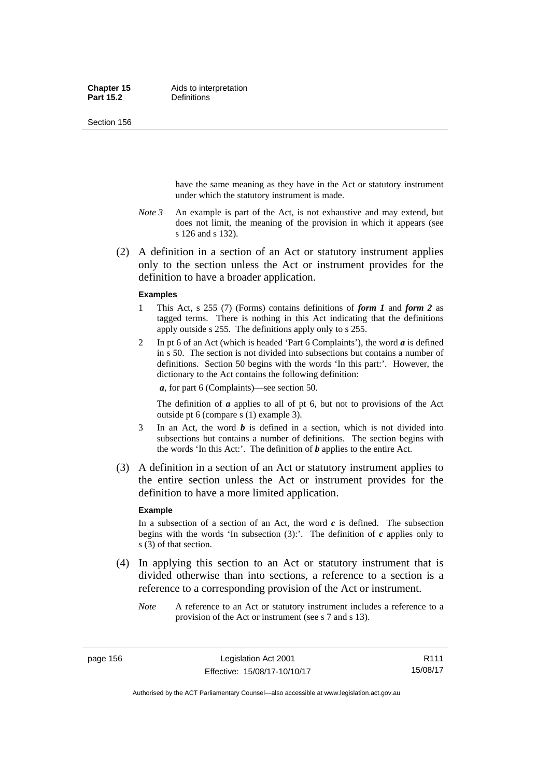Section 156

have the same meaning as they have in the Act or statutory instrument under which the statutory instrument is made.

- *Note 3* An example is part of the Act, is not exhaustive and may extend, but does not limit, the meaning of the provision in which it appears (see s 126 and s 132).
- (2) A definition in a section of an Act or statutory instrument applies only to the section unless the Act or instrument provides for the definition to have a broader application.

#### **Examples**

- 1 This Act, s 255 (7) (Forms) contains definitions of *form 1* and *form 2* as tagged terms. There is nothing in this Act indicating that the definitions apply outside s 255. The definitions apply only to s 255.
- 2 In pt 6 of an Act (which is headed 'Part 6 Complaints'), the word *a* is defined in s 50. The section is not divided into subsections but contains a number of definitions. Section 50 begins with the words 'In this part:'. However, the dictionary to the Act contains the following definition:

*a*, for part 6 (Complaints)—see section 50.

The definition of *a* applies to all of pt 6, but not to provisions of the Act outside pt 6 (compare s (1) example 3).

- 3 In an Act, the word *b* is defined in a section, which is not divided into subsections but contains a number of definitions. The section begins with the words 'In this Act:'. The definition of *b* applies to the entire Act.
- (3) A definition in a section of an Act or statutory instrument applies to the entire section unless the Act or instrument provides for the definition to have a more limited application.

#### **Example**

In a subsection of a section of an Act, the word  $c$  is defined. The subsection begins with the words 'In subsection  $(3)$ :'. The definition of  $c$  applies only to s (3) of that section.

- (4) In applying this section to an Act or statutory instrument that is divided otherwise than into sections, a reference to a section is a reference to a corresponding provision of the Act or instrument.
	- *Note* A reference to an Act or statutory instrument includes a reference to a provision of the Act or instrument (see s 7 and s 13).

page 156 Legislation Act 2001 Effective: 15/08/17-10/10/17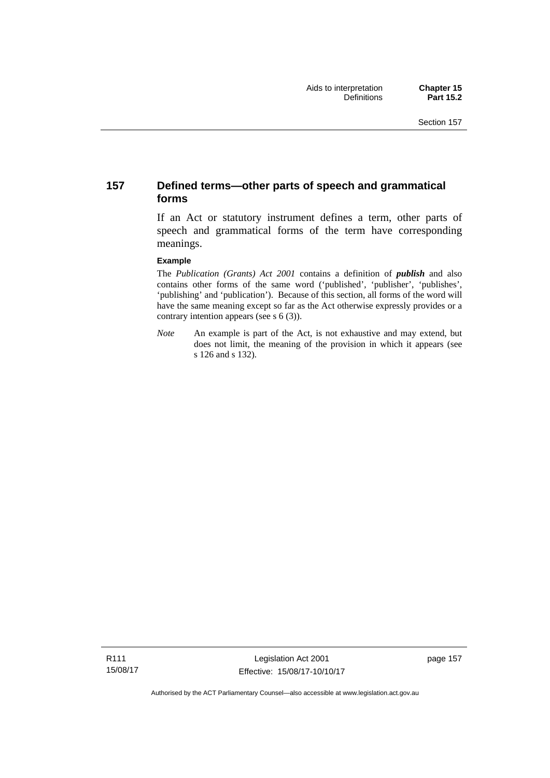### **157 Defined terms—other parts of speech and grammatical forms**

If an Act or statutory instrument defines a term, other parts of speech and grammatical forms of the term have corresponding meanings.

#### **Example**

The *Publication (Grants) Act 2001* contains a definition of *publish* and also contains other forms of the same word ('published', 'publisher', 'publishes', 'publishing' and 'publication'). Because of this section, all forms of the word will have the same meaning except so far as the Act otherwise expressly provides or a contrary intention appears (see s 6 (3)).

*Note* An example is part of the Act, is not exhaustive and may extend, but does not limit, the meaning of the provision in which it appears (see s 126 and s 132).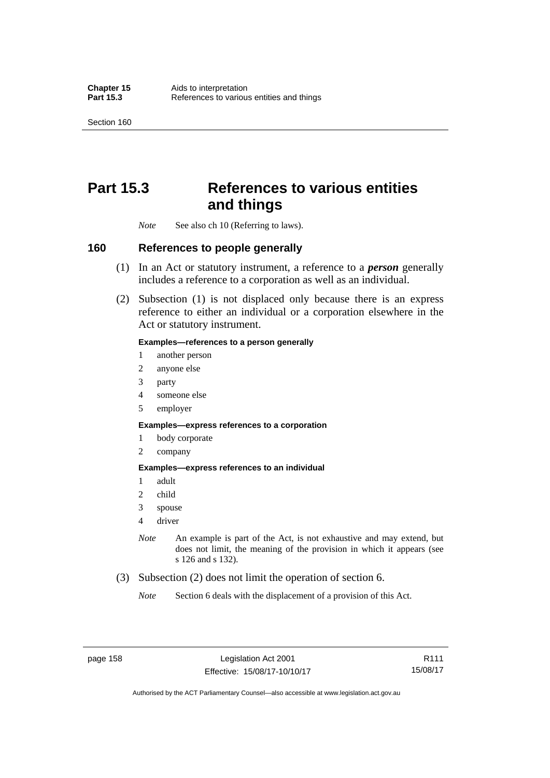Section 160

# **Part 15.3 References to various entities and things**

*Note* See also ch 10 (Referring to laws).

### **160 References to people generally**

- (1) In an Act or statutory instrument, a reference to a *person* generally includes a reference to a corporation as well as an individual.
- (2) Subsection (1) is not displaced only because there is an express reference to either an individual or a corporation elsewhere in the Act or statutory instrument.

#### **Examples—references to a person generally**

- 1 another person
- 2 anyone else
- 3 party
- 4 someone else
- 5 employer

#### **Examples—express references to a corporation**

- 1 body corporate
- 2 company

#### **Examples—express references to an individual**

- 1 adult
- 2 child
- 3 spouse
- 4 driver
- *Note* An example is part of the Act, is not exhaustive and may extend, but does not limit, the meaning of the provision in which it appears (see s 126 and s 132).
- (3) Subsection (2) does not limit the operation of section 6.
	- *Note* Section 6 deals with the displacement of a provision of this Act.

R111 15/08/17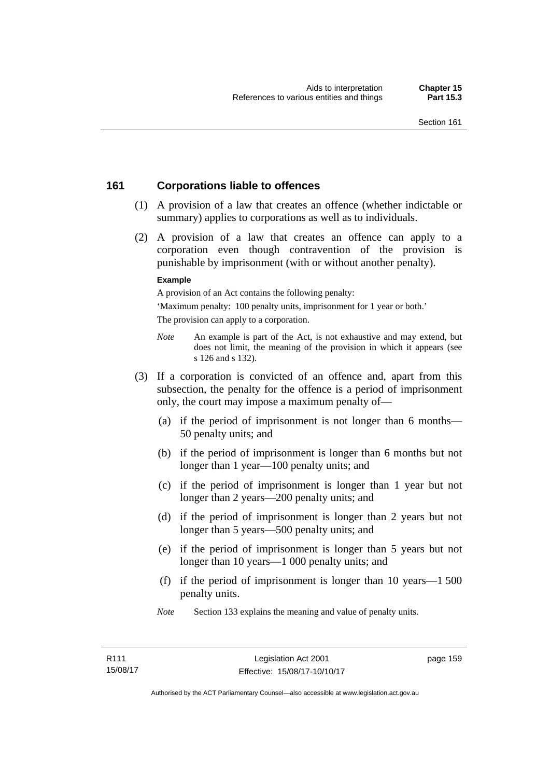### **161 Corporations liable to offences**

- (1) A provision of a law that creates an offence (whether indictable or summary) applies to corporations as well as to individuals.
- (2) A provision of a law that creates an offence can apply to a corporation even though contravention of the provision is punishable by imprisonment (with or without another penalty).

#### **Example**

A provision of an Act contains the following penalty:

'Maximum penalty: 100 penalty units, imprisonment for 1 year or both.' The provision can apply to a corporation.

- *Note* An example is part of the Act, is not exhaustive and may extend, but does not limit, the meaning of the provision in which it appears (see s 126 and s 132).
- (3) If a corporation is convicted of an offence and, apart from this subsection, the penalty for the offence is a period of imprisonment only, the court may impose a maximum penalty of—
	- (a) if the period of imprisonment is not longer than 6 months— 50 penalty units; and
	- (b) if the period of imprisonment is longer than 6 months but not longer than 1 year—100 penalty units; and
	- (c) if the period of imprisonment is longer than 1 year but not longer than 2 years—200 penalty units; and
	- (d) if the period of imprisonment is longer than 2 years but not longer than 5 years—500 penalty units; and
	- (e) if the period of imprisonment is longer than 5 years but not longer than 10 years—1 000 penalty units; and
	- (f) if the period of imprisonment is longer than 10 years—1 500 penalty units.
	- *Note* Section 133 explains the meaning and value of penalty units.

page 159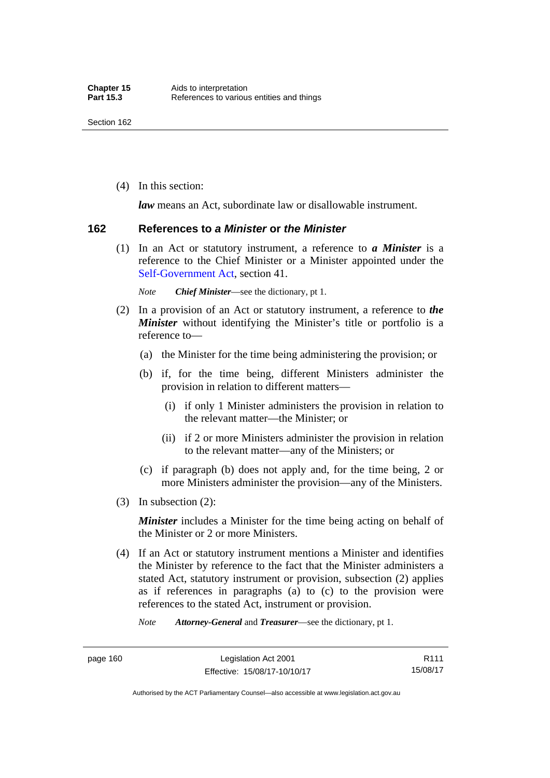(4) In this section:

*law* means an Act, subordinate law or disallowable instrument.

#### **162 References to** *a Minister* **or** *the Minister*

 (1) In an Act or statutory instrument, a reference to *a Minister* is a reference to the Chief Minister or a Minister appointed under the [Self-Government Act,](http://www.comlaw.gov.au/Series/C2004A03699) section 41.

*Note Chief Minister*—see the dictionary, pt 1.

- (2) In a provision of an Act or statutory instrument, a reference to *the Minister* without identifying the Minister's title or portfolio is a reference to—
	- (a) the Minister for the time being administering the provision; or
	- (b) if, for the time being, different Ministers administer the provision in relation to different matters—
		- (i) if only 1 Minister administers the provision in relation to the relevant matter—the Minister; or
		- (ii) if 2 or more Ministers administer the provision in relation to the relevant matter—any of the Ministers; or
	- (c) if paragraph (b) does not apply and, for the time being, 2 or more Ministers administer the provision—any of the Ministers.
- (3) In subsection (2):

*Minister* includes a Minister for the time being acting on behalf of the Minister or 2 or more Ministers.

 (4) If an Act or statutory instrument mentions a Minister and identifies the Minister by reference to the fact that the Minister administers a stated Act, statutory instrument or provision, subsection (2) applies as if references in paragraphs (a) to (c) to the provision were references to the stated Act, instrument or provision.

*Note Attorney-General* and *Treasurer*—see the dictionary, pt 1.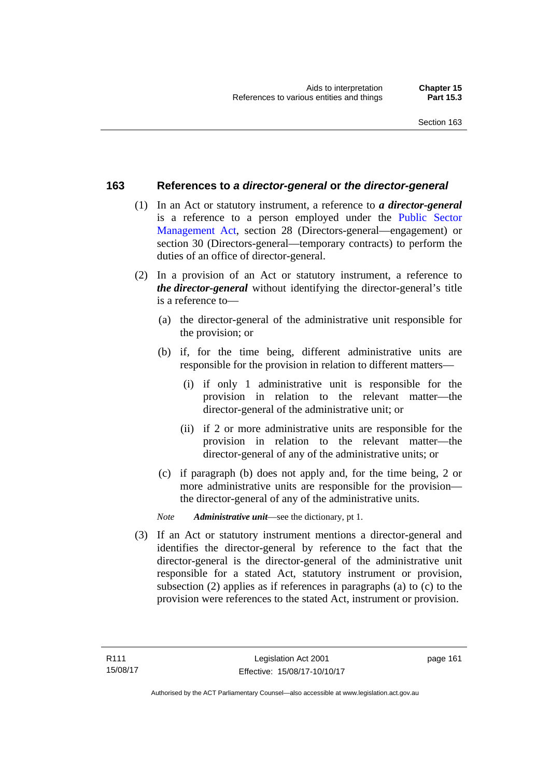### **163 References to** *a director-general* **or** *the director-general*

- (1) In an Act or statutory instrument, a reference to *a director-general* is a reference to a person employed under the [Public Sector](http://www.legislation.act.gov.au/a/1994-37)  [Management Act,](http://www.legislation.act.gov.au/a/1994-37) section 28 (Directors-general—engagement) or section 30 (Directors-general—temporary contracts) to perform the duties of an office of director-general.
- (2) In a provision of an Act or statutory instrument, a reference to *the director-general* without identifying the director-general's title is a reference to—
	- (a) the director-general of the administrative unit responsible for the provision; or
	- (b) if, for the time being, different administrative units are responsible for the provision in relation to different matters—
		- (i) if only 1 administrative unit is responsible for the provision in relation to the relevant matter—the director-general of the administrative unit; or
		- (ii) if 2 or more administrative units are responsible for the provision in relation to the relevant matter—the director-general of any of the administrative units; or
	- (c) if paragraph (b) does not apply and, for the time being, 2 or more administrative units are responsible for the provision the director-general of any of the administrative units.

*Note Administrative unit*—see the dictionary, pt 1.

 (3) If an Act or statutory instrument mentions a director-general and identifies the director-general by reference to the fact that the director-general is the director-general of the administrative unit responsible for a stated Act, statutory instrument or provision, subsection (2) applies as if references in paragraphs (a) to (c) to the provision were references to the stated Act, instrument or provision.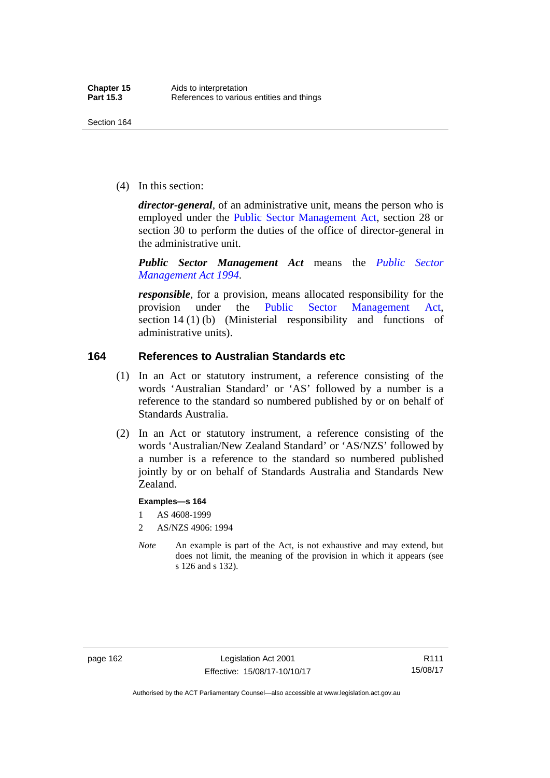(4) In this section:

*director-general*, of an administrative unit, means the person who is employed under the [Public Sector Management Act,](http://www.legislation.act.gov.au/a/1994-37) section 28 or section 30 to perform the duties of the office of director-general in the administrative unit.

*Public Sector Management Act* means the *[Public Sector](http://www.legislation.act.gov.au/a/1994-37)  [Management Act 1994](http://www.legislation.act.gov.au/a/1994-37)*.

*responsible*, for a provision, means allocated responsibility for the provision under the [Public Sector Management Act](http://www.legislation.act.gov.au/a/1994-37), section 14 (1) (b) (Ministerial responsibility and functions of administrative units).

### **164 References to Australian Standards etc**

- (1) In an Act or statutory instrument, a reference consisting of the words 'Australian Standard' or 'AS' followed by a number is a reference to the standard so numbered published by or on behalf of Standards Australia.
- (2) In an Act or statutory instrument, a reference consisting of the words 'Australian/New Zealand Standard' or 'AS/NZS' followed by a number is a reference to the standard so numbered published jointly by or on behalf of Standards Australia and Standards New Zealand.

#### **Examples—s 164**

- 1 AS 4608-1999
- 2 AS/NZS 4906: 1994
- *Note* An example is part of the Act, is not exhaustive and may extend, but does not limit, the meaning of the provision in which it appears (see s 126 and s 132).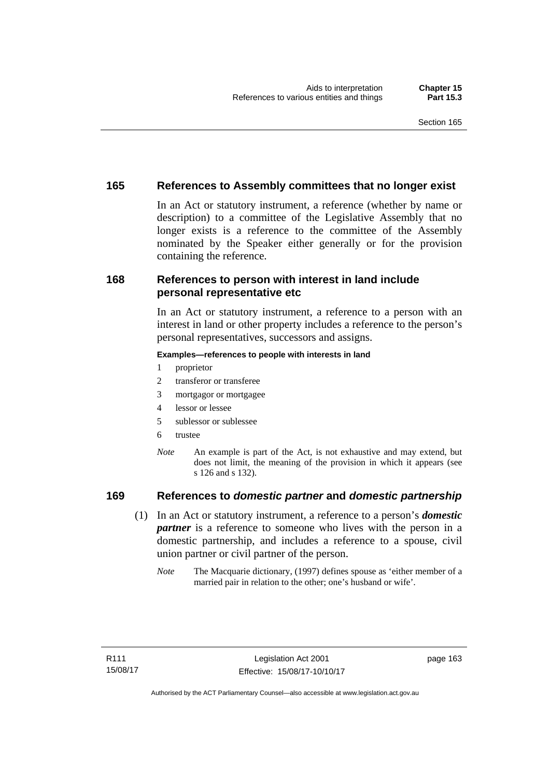### **165 References to Assembly committees that no longer exist**

In an Act or statutory instrument, a reference (whether by name or description) to a committee of the Legislative Assembly that no longer exists is a reference to the committee of the Assembly nominated by the Speaker either generally or for the provision containing the reference.

### **168 References to person with interest in land include personal representative etc**

In an Act or statutory instrument, a reference to a person with an interest in land or other property includes a reference to the person's personal representatives, successors and assigns.

#### **Examples—references to people with interests in land**

- 1 proprietor
- 2 transferor or transferee
- 3 mortgagor or mortgagee
- 4 lessor or lessee
- 5 sublessor or sublessee
- 6 trustee
- *Note* An example is part of the Act, is not exhaustive and may extend, but does not limit, the meaning of the provision in which it appears (see s 126 and s 132).

### **169 References to** *domestic partner* **and** *domestic partnership*

- (1) In an Act or statutory instrument, a reference to a person's *domestic partner* is a reference to someone who lives with the person in a domestic partnership, and includes a reference to a spouse, civil union partner or civil partner of the person.
	- *Note* The Macquarie dictionary, (1997) defines spouse as 'either member of a married pair in relation to the other; one's husband or wife'.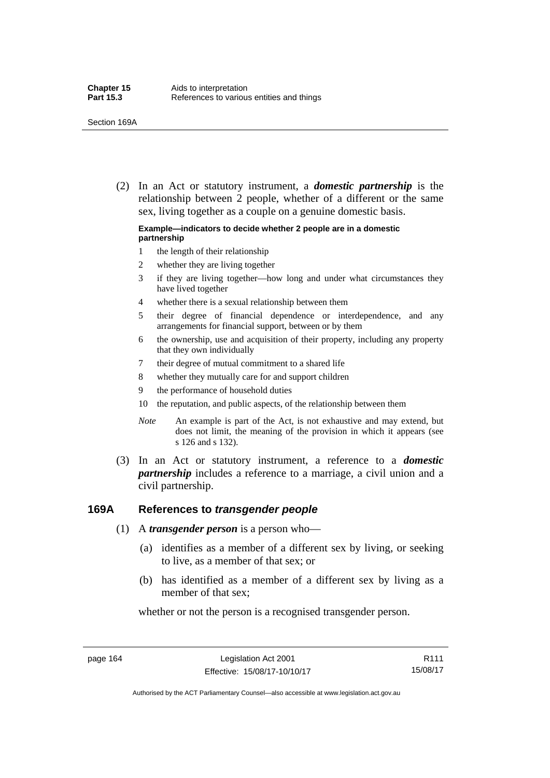(2) In an Act or statutory instrument, a *domestic partnership* is the relationship between 2 people, whether of a different or the same sex, living together as a couple on a genuine domestic basis.

#### **Example—indicators to decide whether 2 people are in a domestic partnership**

- 1 the length of their relationship
- 2 whether they are living together
- 3 if they are living together—how long and under what circumstances they have lived together
- 4 whether there is a sexual relationship between them
- 5 their degree of financial dependence or interdependence, and any arrangements for financial support, between or by them
- 6 the ownership, use and acquisition of their property, including any property that they own individually
- 7 their degree of mutual commitment to a shared life
- 8 whether they mutually care for and support children
- 9 the performance of household duties
- 10 the reputation, and public aspects, of the relationship between them
- *Note* An example is part of the Act, is not exhaustive and may extend, but does not limit, the meaning of the provision in which it appears (see s 126 and s 132).
- (3) In an Act or statutory instrument, a reference to a *domestic partnership* includes a reference to a marriage, a civil union and a civil partnership.

### **169A References to** *transgender people*

- (1) A *transgender person* is a person who—
	- (a) identifies as a member of a different sex by living, or seeking to live, as a member of that sex; or
	- (b) has identified as a member of a different sex by living as a member of that sex;

whether or not the person is a recognised transgender person.

page 164 Legislation Act 2001 Effective: 15/08/17-10/10/17

R111 15/08/17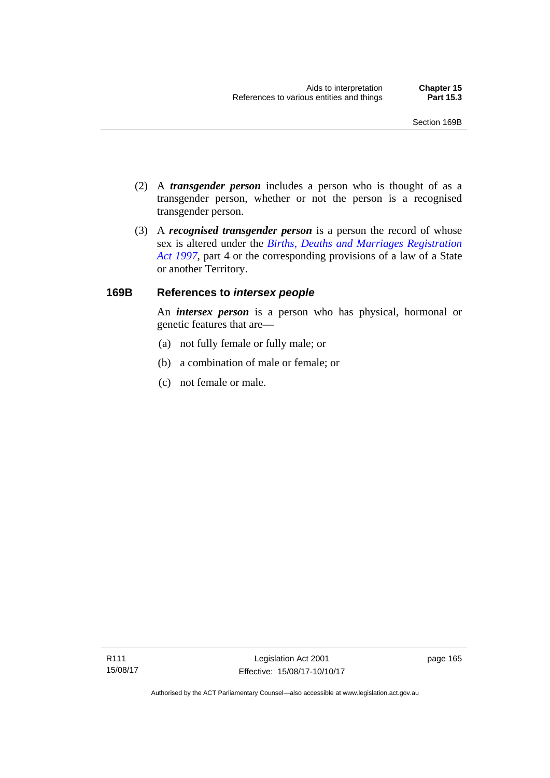- (2) A *transgender person* includes a person who is thought of as a transgender person, whether or not the person is a recognised transgender person.
- (3) A *recognised transgender person* is a person the record of whose sex is altered under the *[Births, Deaths and Marriages Registration](http://www.legislation.act.gov.au/a/1997-112)  [Act 1997](http://www.legislation.act.gov.au/a/1997-112)*, part 4 or the corresponding provisions of a law of a State or another Territory.

## **169B References to** *intersex people*

An *intersex person* is a person who has physical, hormonal or genetic features that are—

- (a) not fully female or fully male; or
- (b) a combination of male or female; or
- (c) not female or male.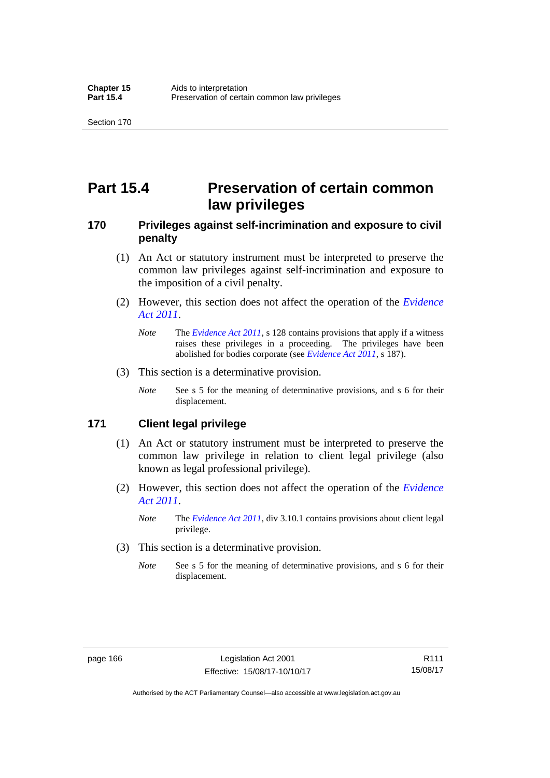# **Part 15.4 Preservation of certain common law privileges**

## **170 Privileges against self-incrimination and exposure to civil penalty**

- (1) An Act or statutory instrument must be interpreted to preserve the common law privileges against self-incrimination and exposure to the imposition of a civil penalty.
- (2) However, this section does not affect the operation of the *[Evidence](http://www.legislation.act.gov.au/a/2011-12)  [Act 2011](http://www.legislation.act.gov.au/a/2011-12)*.
	- *Note* The *[Evidence Act 2011](http://www.legislation.act.gov.au/a/2011-12)*, s 128 contains provisions that apply if a witness raises these privileges in a proceeding. The privileges have been abolished for bodies corporate (see *[Evidence Act 2011](http://www.legislation.act.gov.au/a/2011-12)*, s 187).
- (3) This section is a determinative provision.
	- *Note* See s 5 for the meaning of determinative provisions, and s 6 for their displacement.

## **171 Client legal privilege**

- (1) An Act or statutory instrument must be interpreted to preserve the common law privilege in relation to client legal privilege (also known as legal professional privilege).
- (2) However, this section does not affect the operation of the *[Evidence](http://www.legislation.act.gov.au/a/2011-12)  [Act 2011](http://www.legislation.act.gov.au/a/2011-12)*.
	- *Note* The *[Evidence Act 2011](http://www.legislation.act.gov.au/a/2011-12)*, div 3.10.1 contains provisions about client legal privilege.
- (3) This section is a determinative provision.
	- *Note* See s 5 for the meaning of determinative provisions, and s 6 for their displacement.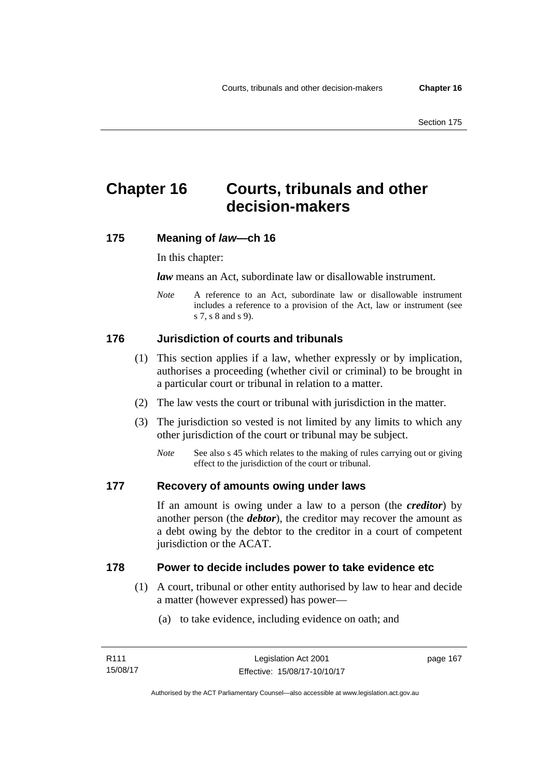# **Chapter 16 Courts, tribunals and other decision-makers**

## **175 Meaning of** *law***—ch 16**

In this chapter:

*law* means an Act, subordinate law or disallowable instrument.

*Note* A reference to an Act, subordinate law or disallowable instrument includes a reference to a provision of the Act, law or instrument (see s 7, s 8 and s 9).

# **176 Jurisdiction of courts and tribunals**

- (1) This section applies if a law, whether expressly or by implication, authorises a proceeding (whether civil or criminal) to be brought in a particular court or tribunal in relation to a matter.
- (2) The law vests the court or tribunal with jurisdiction in the matter.
- (3) The jurisdiction so vested is not limited by any limits to which any other jurisdiction of the court or tribunal may be subject.
	- *Note* See also s 45 which relates to the making of rules carrying out or giving effect to the jurisdiction of the court or tribunal.

## **177 Recovery of amounts owing under laws**

If an amount is owing under a law to a person (the *creditor*) by another person (the *debtor*), the creditor may recover the amount as a debt owing by the debtor to the creditor in a court of competent jurisdiction or the ACAT.

## **178 Power to decide includes power to take evidence etc**

- (1) A court, tribunal or other entity authorised by law to hear and decide a matter (however expressed) has power—
	- (a) to take evidence, including evidence on oath; and

page 167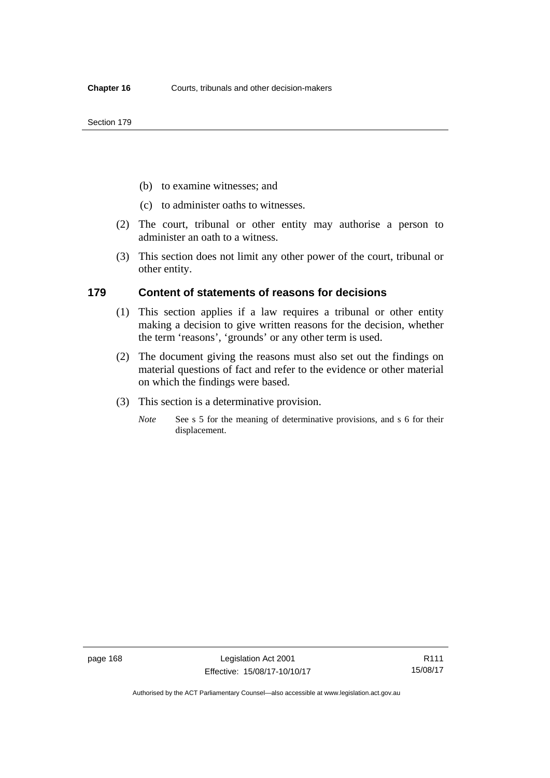- (b) to examine witnesses; and
- (c) to administer oaths to witnesses.
- (2) The court, tribunal or other entity may authorise a person to administer an oath to a witness.
- (3) This section does not limit any other power of the court, tribunal or other entity.

### **179 Content of statements of reasons for decisions**

- (1) This section applies if a law requires a tribunal or other entity making a decision to give written reasons for the decision, whether the term 'reasons', 'grounds' or any other term is used.
- (2) The document giving the reasons must also set out the findings on material questions of fact and refer to the evidence or other material on which the findings were based.
- (3) This section is a determinative provision.
	- *Note* See s 5 for the meaning of determinative provisions, and s 6 for their displacement.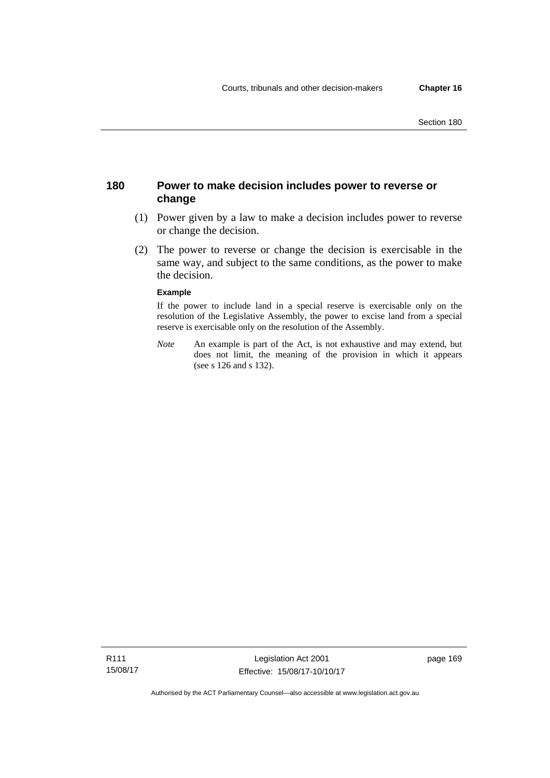## **180 Power to make decision includes power to reverse or change**

- (1) Power given by a law to make a decision includes power to reverse or change the decision.
- (2) The power to reverse or change the decision is exercisable in the same way, and subject to the same conditions, as the power to make the decision.

#### **Example**

If the power to include land in a special reserve is exercisable only on the resolution of the Legislative Assembly, the power to excise land from a special reserve is exercisable only on the resolution of the Assembly.

*Note* An example is part of the Act, is not exhaustive and may extend, but does not limit, the meaning of the provision in which it appears (see s 126 and s 132).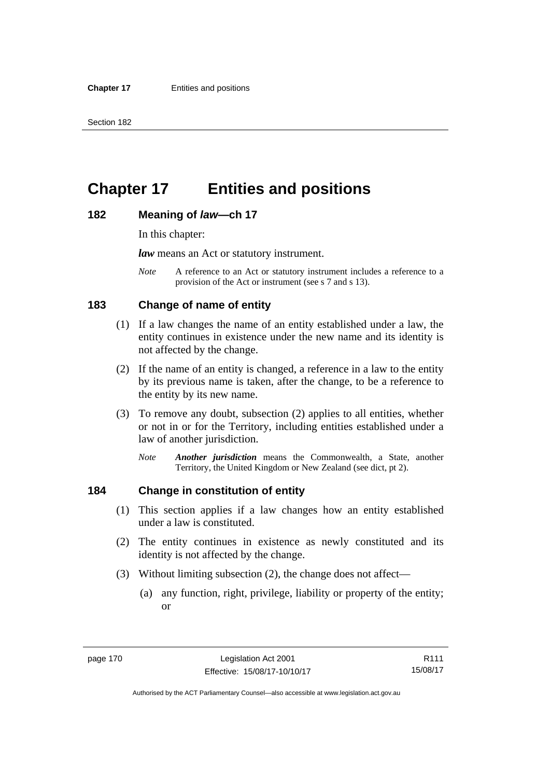# **Chapter 17 Entities and positions**

#### **182 Meaning of** *law***—ch 17**

In this chapter:

*law* means an Act or statutory instrument.

*Note* A reference to an Act or statutory instrument includes a reference to a provision of the Act or instrument (see s 7 and s 13).

## **183 Change of name of entity**

- (1) If a law changes the name of an entity established under a law, the entity continues in existence under the new name and its identity is not affected by the change.
- (2) If the name of an entity is changed, a reference in a law to the entity by its previous name is taken, after the change, to be a reference to the entity by its new name.
- (3) To remove any doubt, subsection (2) applies to all entities, whether or not in or for the Territory, including entities established under a law of another jurisdiction.
	- *Note Another jurisdiction* means the Commonwealth, a State, another Territory, the United Kingdom or New Zealand (see dict, pt 2).

## **184 Change in constitution of entity**

- (1) This section applies if a law changes how an entity established under a law is constituted.
- (2) The entity continues in existence as newly constituted and its identity is not affected by the change.
- (3) Without limiting subsection (2), the change does not affect—
	- (a) any function, right, privilege, liability or property of the entity; or

R111 15/08/17

Authorised by the ACT Parliamentary Counsel—also accessible at www.legislation.act.gov.au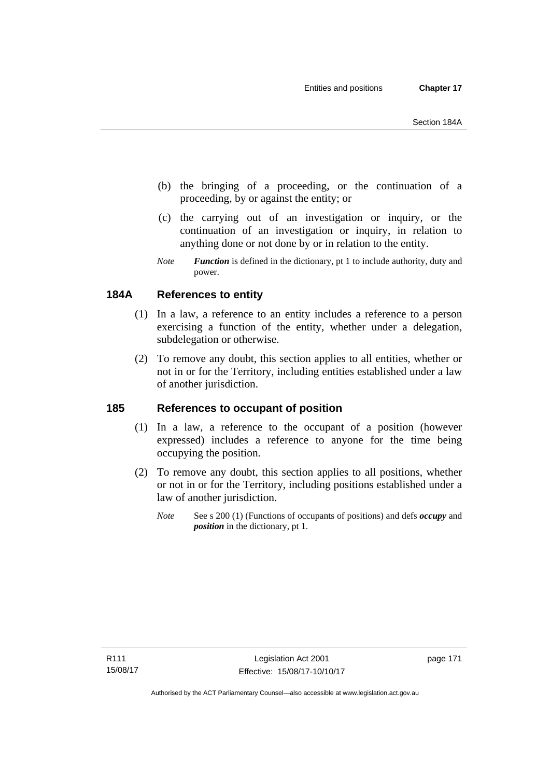- (b) the bringing of a proceeding, or the continuation of a proceeding, by or against the entity; or
- (c) the carrying out of an investigation or inquiry, or the continuation of an investigation or inquiry, in relation to anything done or not done by or in relation to the entity.
- *Note Function* is defined in the dictionary, pt 1 to include authority, duty and power.

## **184A References to entity**

- (1) In a law, a reference to an entity includes a reference to a person exercising a function of the entity, whether under a delegation, subdelegation or otherwise.
- (2) To remove any doubt, this section applies to all entities, whether or not in or for the Territory, including entities established under a law of another jurisdiction.

## **185 References to occupant of position**

- (1) In a law, a reference to the occupant of a position (however expressed) includes a reference to anyone for the time being occupying the position.
- (2) To remove any doubt, this section applies to all positions, whether or not in or for the Territory, including positions established under a law of another jurisdiction.
	- *Note* See s 200 (1) (Functions of occupants of positions) and defs *occupy* and *position* in the dictionary, pt 1.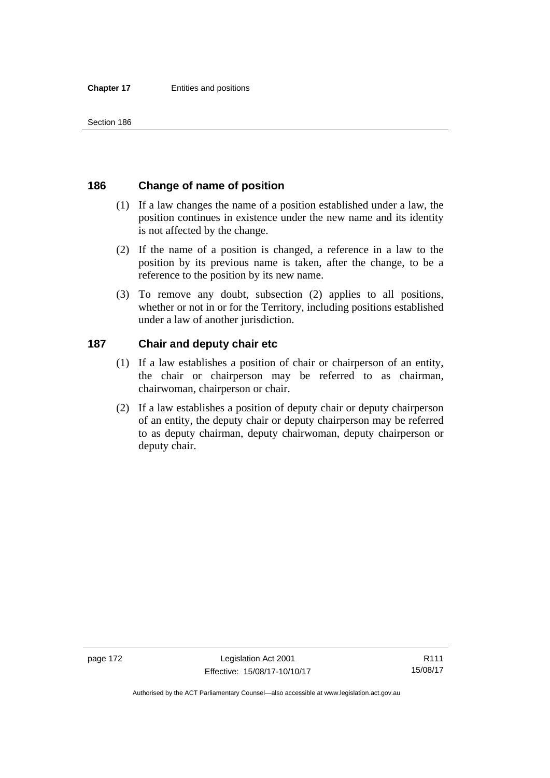## **186 Change of name of position**

- (1) If a law changes the name of a position established under a law, the position continues in existence under the new name and its identity is not affected by the change.
- (2) If the name of a position is changed, a reference in a law to the position by its previous name is taken, after the change, to be a reference to the position by its new name.
- (3) To remove any doubt, subsection (2) applies to all positions, whether or not in or for the Territory, including positions established under a law of another jurisdiction.

## **187 Chair and deputy chair etc**

- (1) If a law establishes a position of chair or chairperson of an entity, the chair or chairperson may be referred to as chairman, chairwoman, chairperson or chair.
- (2) If a law establishes a position of deputy chair or deputy chairperson of an entity, the deputy chair or deputy chairperson may be referred to as deputy chairman, deputy chairwoman, deputy chairperson or deputy chair.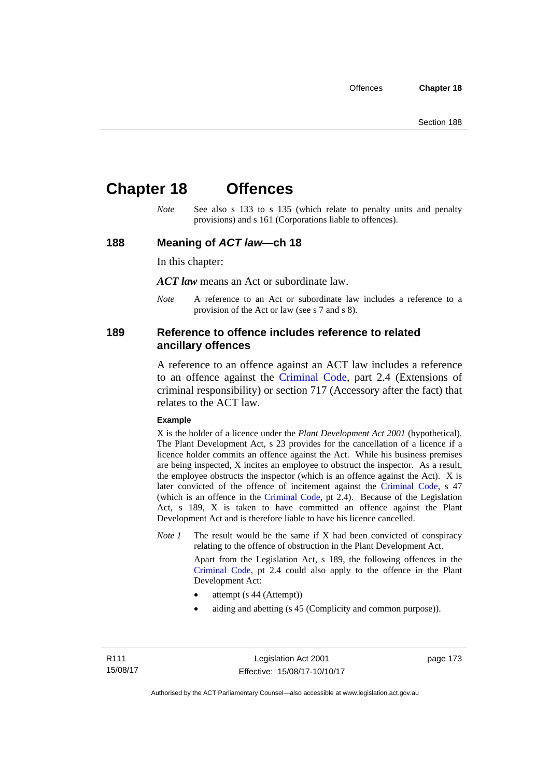# **Chapter 18 Offences**

*Note* See also s 133 to s 135 (which relate to penalty units and penalty provisions) and s 161 (Corporations liable to offences).

### **188 Meaning of** *ACT law***—ch 18**

In this chapter:

*ACT law* means an Act or subordinate law.

*Note* A reference to an Act or subordinate law includes a reference to a provision of the Act or law (see s 7 and s 8).

### **189 Reference to offence includes reference to related ancillary offences**

A reference to an offence against an ACT law includes a reference to an offence against the [Criminal Code,](http://www.legislation.act.gov.au/a/2002-51) part 2.4 (Extensions of criminal responsibility) or section 717 (Accessory after the fact) that relates to the ACT law.

#### **Example**

X is the holder of a licence under the *Plant Development Act 2001* (hypothetical). The Plant Development Act, s 23 provides for the cancellation of a licence if a licence holder commits an offence against the Act. While his business premises are being inspected, X incites an employee to obstruct the inspector. As a result, the employee obstructs the inspector (which is an offence against the Act). X is later convicted of the offence of incitement against the [Criminal Code](http://www.legislation.act.gov.au/a/2002-51), s 47 (which is an offence in the [Criminal Code,](http://www.legislation.act.gov.au/a/2002-51) pt 2.4). Because of the Legislation Act, s 189, X is taken to have committed an offence against the Plant Development Act and is therefore liable to have his licence cancelled.

*Note 1* The result would be the same if X had been convicted of conspiracy relating to the offence of obstruction in the Plant Development Act.

> Apart from the Legislation Act, s 189, the following offences in the [Criminal Code,](http://www.legislation.act.gov.au/a/2002-51) pt 2.4 could also apply to the offence in the Plant Development Act:

- attempt (s 44 (Attempt))
- aiding and abetting (s 45 (Complicity and common purpose)).

page 173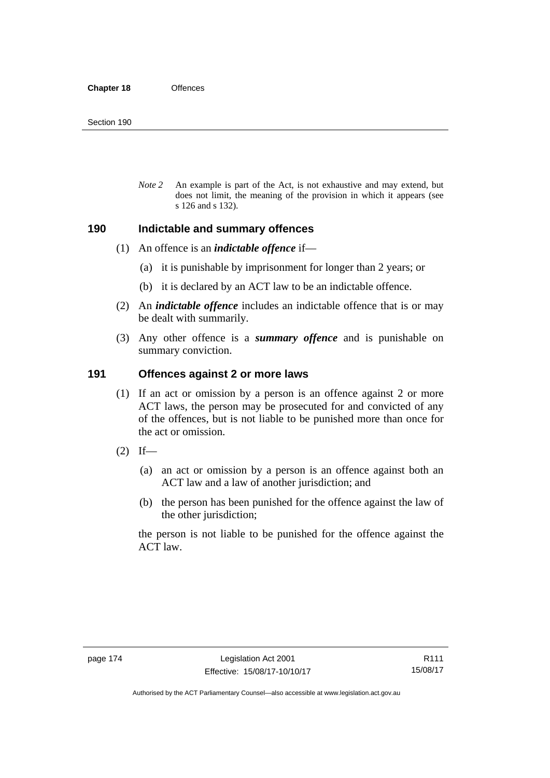*Note 2* An example is part of the Act, is not exhaustive and may extend, but does not limit, the meaning of the provision in which it appears (see s 126 and s 132).

### **190 Indictable and summary offences**

- (1) An offence is an *indictable offence* if—
	- (a) it is punishable by imprisonment for longer than 2 years; or
	- (b) it is declared by an ACT law to be an indictable offence.
- (2) An *indictable offence* includes an indictable offence that is or may be dealt with summarily.
- (3) Any other offence is a *summary offence* and is punishable on summary conviction.

### **191 Offences against 2 or more laws**

- (1) If an act or omission by a person is an offence against 2 or more ACT laws, the person may be prosecuted for and convicted of any of the offences, but is not liable to be punished more than once for the act or omission.
- $(2)$  If—
	- (a) an act or omission by a person is an offence against both an ACT law and a law of another jurisdiction; and
	- (b) the person has been punished for the offence against the law of the other jurisdiction;

the person is not liable to be punished for the offence against the ACT law.

Authorised by the ACT Parliamentary Counsel—also accessible at www.legislation.act.gov.au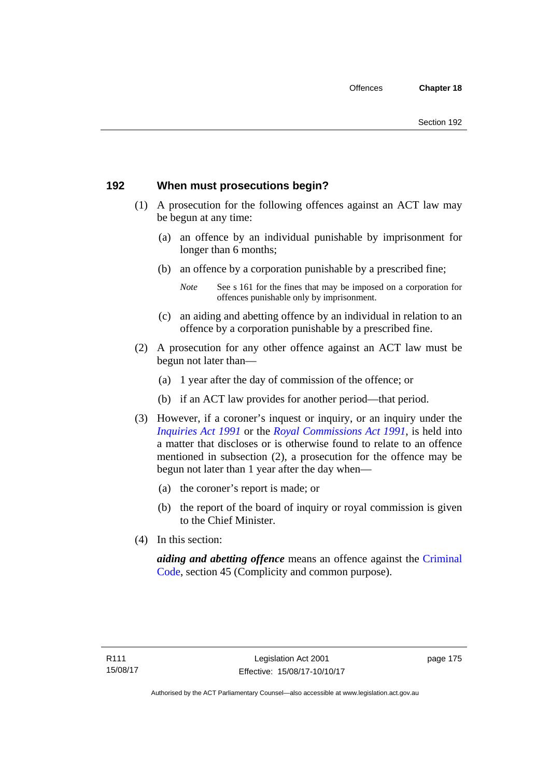## **192 When must prosecutions begin?**

- (1) A prosecution for the following offences against an ACT law may be begun at any time:
	- (a) an offence by an individual punishable by imprisonment for longer than 6 months;
	- (b) an offence by a corporation punishable by a prescribed fine;
		- *Note* See s 161 for the fines that may be imposed on a corporation for offences punishable only by imprisonment.
	- (c) an aiding and abetting offence by an individual in relation to an offence by a corporation punishable by a prescribed fine.
- (2) A prosecution for any other offence against an ACT law must be begun not later than—
	- (a) 1 year after the day of commission of the offence; or
	- (b) if an ACT law provides for another period—that period.
- (3) However, if a coroner's inquest or inquiry, or an inquiry under the *[Inquiries Act 1991](http://www.legislation.act.gov.au/a/1991-2)* or the *[Royal Commissions Act 1991](http://www.legislation.act.gov.au/a/1991-1)*, is held into a matter that discloses or is otherwise found to relate to an offence mentioned in subsection (2), a prosecution for the offence may be begun not later than 1 year after the day when—
	- (a) the coroner's report is made; or
	- (b) the report of the board of inquiry or royal commission is given to the Chief Minister.
- (4) In this section:

*aiding and abetting offence* means an offence against the [Criminal](http://www.legislation.act.gov.au/a/2002-51)  [Code](http://www.legislation.act.gov.au/a/2002-51), section 45 (Complicity and common purpose).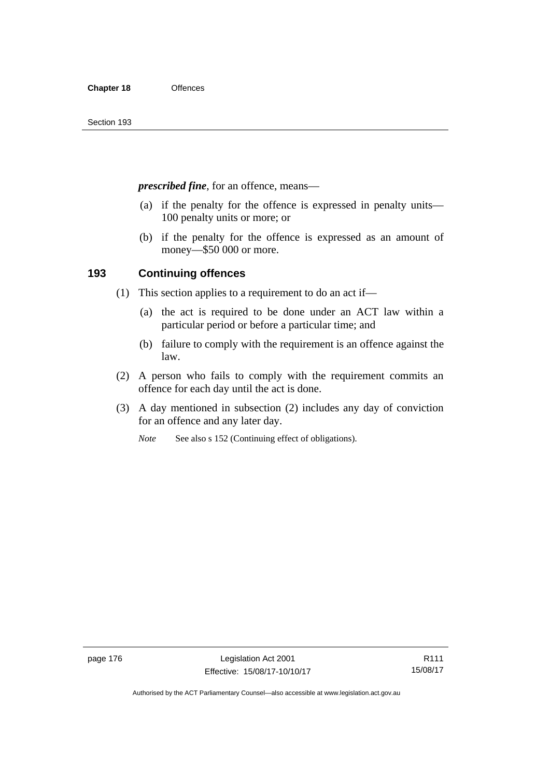*prescribed fine*, for an offence, means—

- (a) if the penalty for the offence is expressed in penalty units— 100 penalty units or more; or
- (b) if the penalty for the offence is expressed as an amount of money—\$50 000 or more.

## **193 Continuing offences**

- (1) This section applies to a requirement to do an act if—
	- (a) the act is required to be done under an ACT law within a particular period or before a particular time; and
	- (b) failure to comply with the requirement is an offence against the law.
- (2) A person who fails to comply with the requirement commits an offence for each day until the act is done.
- (3) A day mentioned in subsection (2) includes any day of conviction for an offence and any later day.

*Note* See also s 152 (Continuing effect of obligations).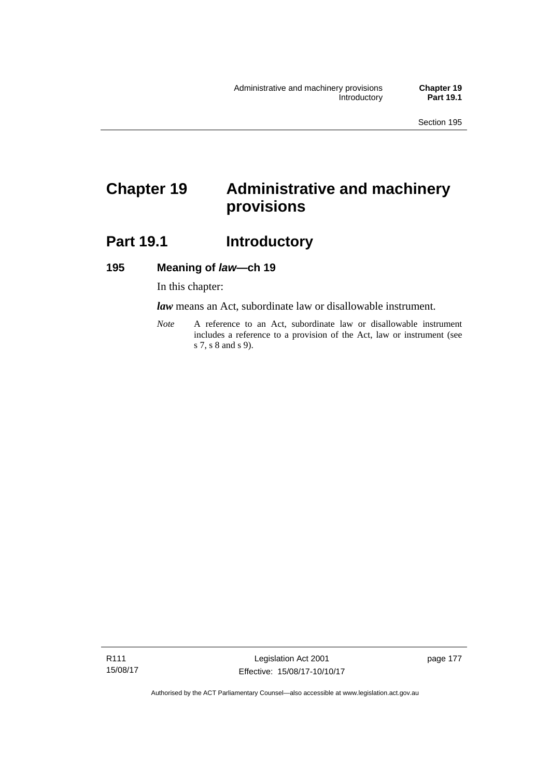# **Chapter 19 Administrative and machinery provisions**

# Part 19.1 **Introductory**

## **195 Meaning of** *law***—ch 19**

In this chapter:

*law* means an Act, subordinate law or disallowable instrument.

*Note* A reference to an Act, subordinate law or disallowable instrument includes a reference to a provision of the Act, law or instrument (see s 7, s 8 and s 9).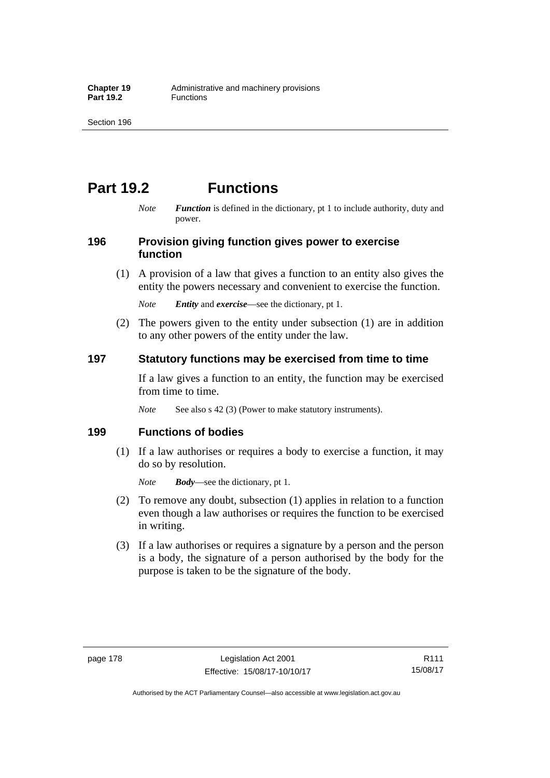# **Part 19.2 Functions**

*Note Function* is defined in the dictionary, pt 1 to include authority, duty and power.

## **196 Provision giving function gives power to exercise function**

 (1) A provision of a law that gives a function to an entity also gives the entity the powers necessary and convenient to exercise the function.

*Note Entity* and *exercise*—see the dictionary, pt 1.

 (2) The powers given to the entity under subsection (1) are in addition to any other powers of the entity under the law.

## **197 Statutory functions may be exercised from time to time**

If a law gives a function to an entity, the function may be exercised from time to time.

*Note* See also s 42 (3) (Power to make statutory instruments).

## **199 Functions of bodies**

 (1) If a law authorises or requires a body to exercise a function, it may do so by resolution.

*Note Body*—see the dictionary, pt 1.

- (2) To remove any doubt, subsection (1) applies in relation to a function even though a law authorises or requires the function to be exercised in writing.
- (3) If a law authorises or requires a signature by a person and the person is a body, the signature of a person authorised by the body for the purpose is taken to be the signature of the body.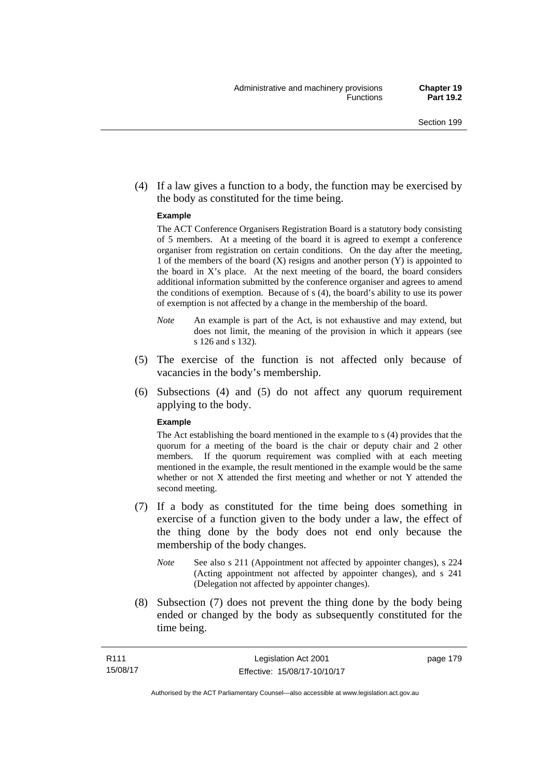(4) If a law gives a function to a body, the function may be exercised by the body as constituted for the time being.

#### **Example**

The ACT Conference Organisers Registration Board is a statutory body consisting of 5 members. At a meeting of the board it is agreed to exempt a conference organiser from registration on certain conditions. On the day after the meeting, 1 of the members of the board (X) resigns and another person (Y) is appointed to the board in  $X$ 's place. At the next meeting of the board, the board considers additional information submitted by the conference organiser and agrees to amend the conditions of exemption. Because of s (4), the board's ability to use its power of exemption is not affected by a change in the membership of the board.

- *Note* An example is part of the Act, is not exhaustive and may extend, but does not limit, the meaning of the provision in which it appears (see s 126 and s 132).
- (5) The exercise of the function is not affected only because of vacancies in the body's membership.
- (6) Subsections (4) and (5) do not affect any quorum requirement applying to the body.

#### **Example**

The Act establishing the board mentioned in the example to s (4) provides that the quorum for a meeting of the board is the chair or deputy chair and 2 other members. If the quorum requirement was complied with at each meeting mentioned in the example, the result mentioned in the example would be the same whether or not X attended the first meeting and whether or not Y attended the second meeting.

- (7) If a body as constituted for the time being does something in exercise of a function given to the body under a law, the effect of the thing done by the body does not end only because the membership of the body changes.
	- *Note* See also s 211 (Appointment not affected by appointer changes), s 224 (Acting appointment not affected by appointer changes), and s 241 (Delegation not affected by appointer changes).
- (8) Subsection (7) does not prevent the thing done by the body being ended or changed by the body as subsequently constituted for the time being.

page 179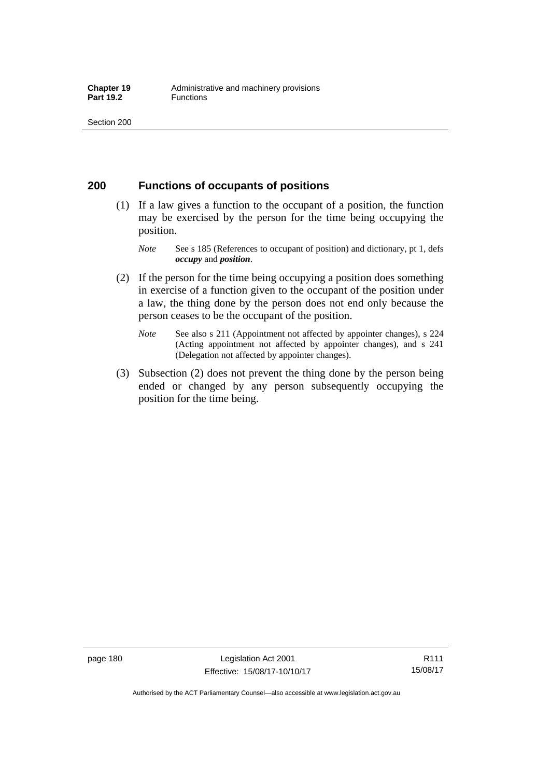## **200 Functions of occupants of positions**

- (1) If a law gives a function to the occupant of a position, the function may be exercised by the person for the time being occupying the position.
	- *Note* See s 185 (References to occupant of position) and dictionary, pt 1, defs *occupy* and *position*.
- (2) If the person for the time being occupying a position does something in exercise of a function given to the occupant of the position under a law, the thing done by the person does not end only because the person ceases to be the occupant of the position.
	- *Note* See also s 211 (Appointment not affected by appointer changes), s 224 (Acting appointment not affected by appointer changes), and s 241 (Delegation not affected by appointer changes).
- (3) Subsection (2) does not prevent the thing done by the person being ended or changed by any person subsequently occupying the position for the time being.

R111 15/08/17

Authorised by the ACT Parliamentary Counsel—also accessible at www.legislation.act.gov.au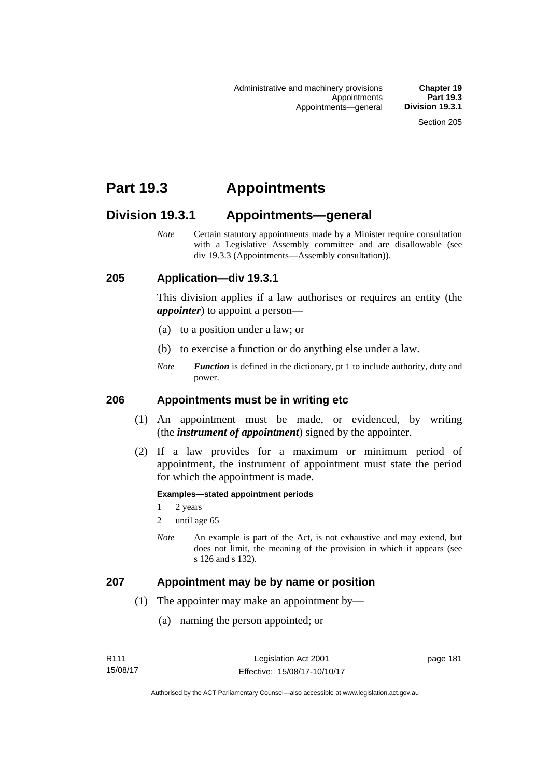# **Part 19.3 Appointments**

# **Division 19.3.1 Appointments—general**

*Note* Certain statutory appointments made by a Minister require consultation with a Legislative Assembly committee and are disallowable (see div 19.3.3 (Appointments—Assembly consultation)).

## **205 Application—div 19.3.1**

This division applies if a law authorises or requires an entity (the *appointer*) to appoint a person—

- (a) to a position under a law; or
- (b) to exercise a function or do anything else under a law.
- *Note Function* is defined in the dictionary, pt 1 to include authority, duty and power.

## **206 Appointments must be in writing etc**

- (1) An appointment must be made, or evidenced, by writing (the *instrument of appointment*) signed by the appointer.
- (2) If a law provides for a maximum or minimum period of appointment, the instrument of appointment must state the period for which the appointment is made.

#### **Examples—stated appointment periods**

- 1 2 years
- 2 until age 65
- *Note* An example is part of the Act, is not exhaustive and may extend, but does not limit, the meaning of the provision in which it appears (see s 126 and s 132).

### **207 Appointment may be by name or position**

- (1) The appointer may make an appointment by—
	- (a) naming the person appointed; or

page 181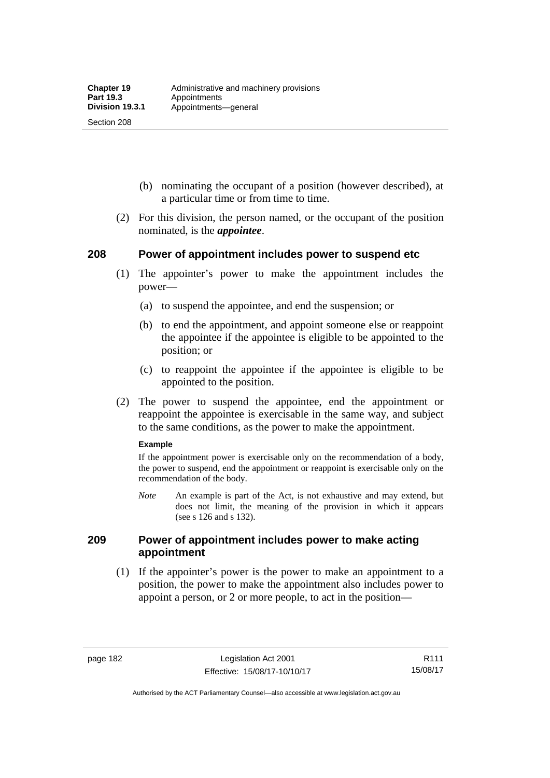Section 208

- (b) nominating the occupant of a position (however described), at a particular time or from time to time.
- (2) For this division, the person named, or the occupant of the position nominated, is the *appointee*.

## **208 Power of appointment includes power to suspend etc**

- (1) The appointer's power to make the appointment includes the power—
	- (a) to suspend the appointee, and end the suspension; or
	- (b) to end the appointment, and appoint someone else or reappoint the appointee if the appointee is eligible to be appointed to the position; or
	- (c) to reappoint the appointee if the appointee is eligible to be appointed to the position.
- (2) The power to suspend the appointee, end the appointment or reappoint the appointee is exercisable in the same way, and subject to the same conditions, as the power to make the appointment.

#### **Example**

If the appointment power is exercisable only on the recommendation of a body, the power to suspend, end the appointment or reappoint is exercisable only on the recommendation of the body.

*Note* An example is part of the Act, is not exhaustive and may extend, but does not limit, the meaning of the provision in which it appears (see s 126 and s 132).

## **209 Power of appointment includes power to make acting appointment**

 (1) If the appointer's power is the power to make an appointment to a position, the power to make the appointment also includes power to appoint a person, or 2 or more people, to act in the position—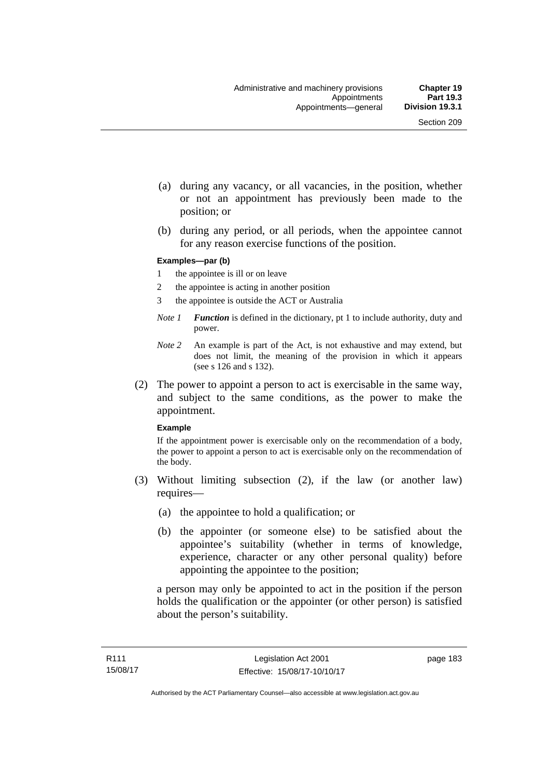- (a) during any vacancy, or all vacancies, in the position, whether or not an appointment has previously been made to the position; or
- (b) during any period, or all periods, when the appointee cannot for any reason exercise functions of the position.

#### **Examples—par (b)**

- 1 the appointee is ill or on leave
- 2 the appointee is acting in another position
- 3 the appointee is outside the ACT or Australia
- *Note 1 Function* is defined in the dictionary, pt 1 to include authority, duty and power.
- *Note 2* An example is part of the Act, is not exhaustive and may extend, but does not limit, the meaning of the provision in which it appears (see s 126 and s 132).
- (2) The power to appoint a person to act is exercisable in the same way, and subject to the same conditions, as the power to make the appointment.

#### **Example**

If the appointment power is exercisable only on the recommendation of a body, the power to appoint a person to act is exercisable only on the recommendation of the body.

- (3) Without limiting subsection (2), if the law (or another law) requires—
	- (a) the appointee to hold a qualification; or
	- (b) the appointer (or someone else) to be satisfied about the appointee's suitability (whether in terms of knowledge, experience, character or any other personal quality) before appointing the appointee to the position;

a person may only be appointed to act in the position if the person holds the qualification or the appointer (or other person) is satisfied about the person's suitability.

page 183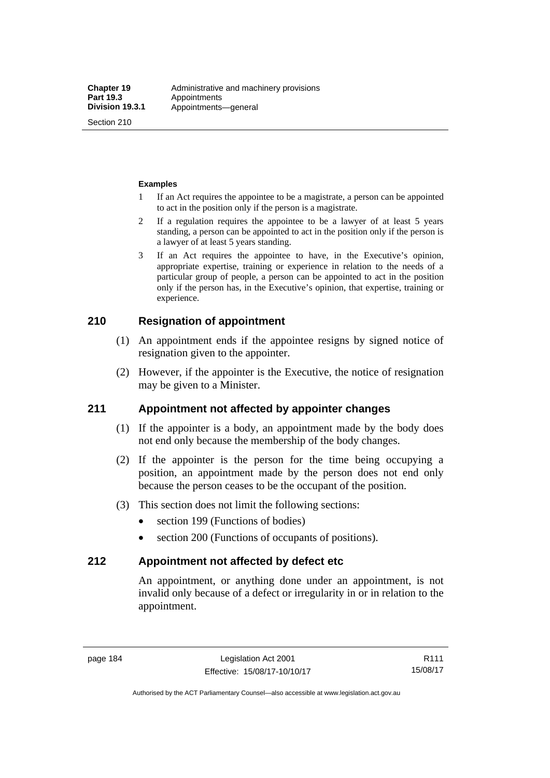Section 210

#### **Examples**

- 1 If an Act requires the appointee to be a magistrate, a person can be appointed to act in the position only if the person is a magistrate.
- 2 If a regulation requires the appointee to be a lawyer of at least 5 years standing, a person can be appointed to act in the position only if the person is a lawyer of at least 5 years standing.
- 3 If an Act requires the appointee to have, in the Executive's opinion, appropriate expertise, training or experience in relation to the needs of a particular group of people, a person can be appointed to act in the position only if the person has, in the Executive's opinion, that expertise, training or experience.

## **210 Resignation of appointment**

- (1) An appointment ends if the appointee resigns by signed notice of resignation given to the appointer.
- (2) However, if the appointer is the Executive, the notice of resignation may be given to a Minister.

## **211 Appointment not affected by appointer changes**

- (1) If the appointer is a body, an appointment made by the body does not end only because the membership of the body changes.
- (2) If the appointer is the person for the time being occupying a position, an appointment made by the person does not end only because the person ceases to be the occupant of the position.
- (3) This section does not limit the following sections:
	- section 199 (Functions of bodies)
	- section 200 (Functions of occupants of positions).

### **212 Appointment not affected by defect etc**

An appointment, or anything done under an appointment, is not invalid only because of a defect or irregularity in or in relation to the appointment.

R111 15/08/17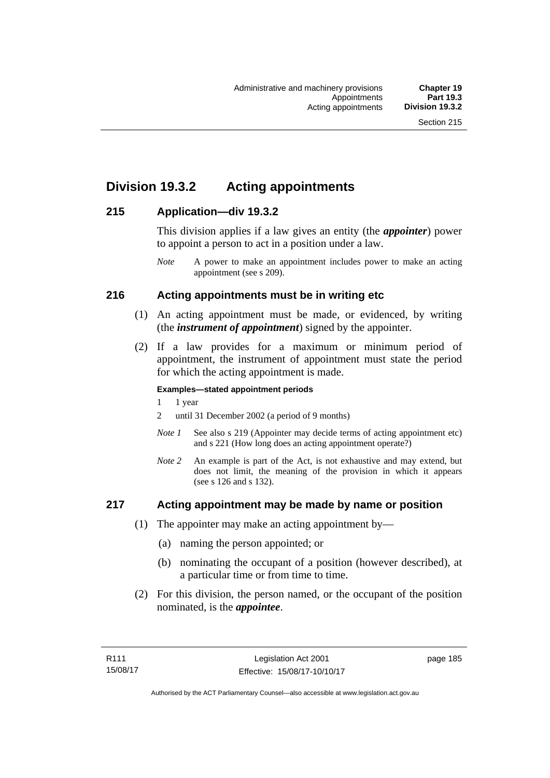# **Division 19.3.2 Acting appointments**

## **215 Application—div 19.3.2**

This division applies if a law gives an entity (the *appointer*) power to appoint a person to act in a position under a law.

## **216 Acting appointments must be in writing etc**

- (1) An acting appointment must be made, or evidenced, by writing (the *instrument of appointment*) signed by the appointer.
- (2) If a law provides for a maximum or minimum period of appointment, the instrument of appointment must state the period for which the acting appointment is made.

#### **Examples—stated appointment periods**

- 1 1 year
- 2 until 31 December 2002 (a period of 9 months)
- *Note 1* See also s 219 (Appointer may decide terms of acting appointment etc) and s 221 (How long does an acting appointment operate?)
- *Note 2* An example is part of the Act, is not exhaustive and may extend, but does not limit, the meaning of the provision in which it appears (see s 126 and s 132).

## **217 Acting appointment may be made by name or position**

- (1) The appointer may make an acting appointment by—
	- (a) naming the person appointed; or
	- (b) nominating the occupant of a position (however described), at a particular time or from time to time.
- (2) For this division, the person named, or the occupant of the position nominated, is the *appointee*.

*Note* A power to make an appointment includes power to make an acting appointment (see s 209).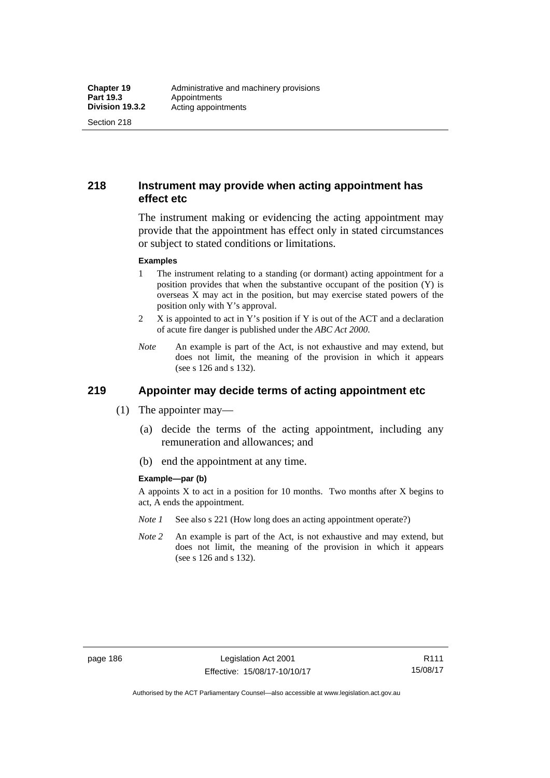Section 218

## **218 Instrument may provide when acting appointment has effect etc**

The instrument making or evidencing the acting appointment may provide that the appointment has effect only in stated circumstances or subject to stated conditions or limitations.

#### **Examples**

- 1 The instrument relating to a standing (or dormant) acting appointment for a position provides that when the substantive occupant of the position (Y) is overseas X may act in the position, but may exercise stated powers of the position only with Y's approval.
- 2 X is appointed to act in Y's position if Y is out of the ACT and a declaration of acute fire danger is published under the *ABC Act 2000*.
- *Note* An example is part of the Act, is not exhaustive and may extend, but does not limit, the meaning of the provision in which it appears (see s 126 and s 132).

# **219 Appointer may decide terms of acting appointment etc**

- (1) The appointer may—
	- (a) decide the terms of the acting appointment, including any remuneration and allowances; and
	- (b) end the appointment at any time.

#### **Example—par (b)**

A appoints  $X$  to act in a position for 10 months. Two months after  $X$  begins to act, A ends the appointment.

- *Note 1* See also s 221 (How long does an acting appointment operate?)
- *Note 2* An example is part of the Act, is not exhaustive and may extend, but does not limit, the meaning of the provision in which it appears (see s 126 and s 132).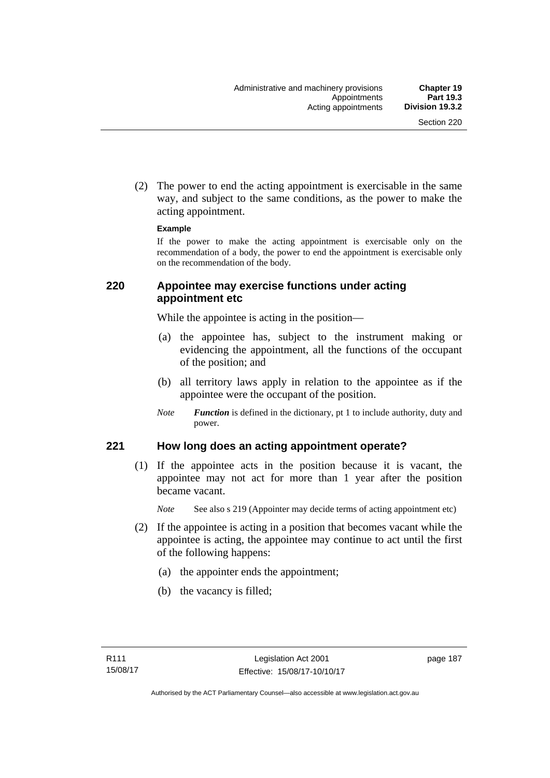(2) The power to end the acting appointment is exercisable in the same way, and subject to the same conditions, as the power to make the acting appointment.

#### **Example**

If the power to make the acting appointment is exercisable only on the recommendation of a body, the power to end the appointment is exercisable only on the recommendation of the body.

## **220 Appointee may exercise functions under acting appointment etc**

While the appointee is acting in the position—

- (a) the appointee has, subject to the instrument making or evidencing the appointment, all the functions of the occupant of the position; and
- (b) all territory laws apply in relation to the appointee as if the appointee were the occupant of the position.
- *Note Function* is defined in the dictionary, pt 1 to include authority, duty and power.

## **221 How long does an acting appointment operate?**

 (1) If the appointee acts in the position because it is vacant, the appointee may not act for more than 1 year after the position became vacant.

*Note* See also s 219 (Appointer may decide terms of acting appointment etc)

- (2) If the appointee is acting in a position that becomes vacant while the appointee is acting, the appointee may continue to act until the first of the following happens:
	- (a) the appointer ends the appointment;
	- (b) the vacancy is filled;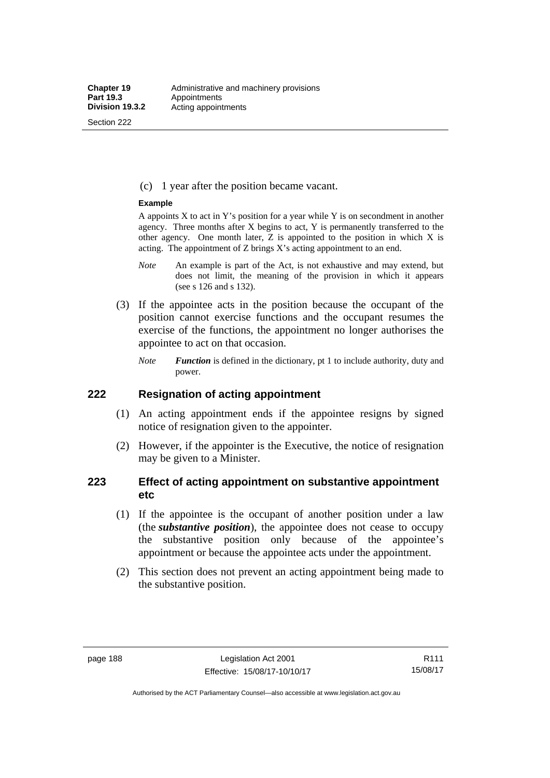Section 222

(c) 1 year after the position became vacant.

#### **Example**

A appoints  $X$  to act in Y's position for a year while Y is on secondment in another agency. Three months after X begins to act, Y is permanently transferred to the other agency. One month later,  $Z$  is appointed to the position in which  $X$  is acting. The appointment of Z brings X's acting appointment to an end.

- *Note* An example is part of the Act, is not exhaustive and may extend, but does not limit, the meaning of the provision in which it appears (see s 126 and s 132).
- (3) If the appointee acts in the position because the occupant of the position cannot exercise functions and the occupant resumes the exercise of the functions, the appointment no longer authorises the appointee to act on that occasion.
	- *Note Function* is defined in the dictionary, pt 1 to include authority, duty and power.

## **222 Resignation of acting appointment**

- (1) An acting appointment ends if the appointee resigns by signed notice of resignation given to the appointer.
- (2) However, if the appointer is the Executive, the notice of resignation may be given to a Minister.

## **223 Effect of acting appointment on substantive appointment etc**

- (1) If the appointee is the occupant of another position under a law (the *substantive position*), the appointee does not cease to occupy the substantive position only because of the appointee's appointment or because the appointee acts under the appointment.
- (2) This section does not prevent an acting appointment being made to the substantive position.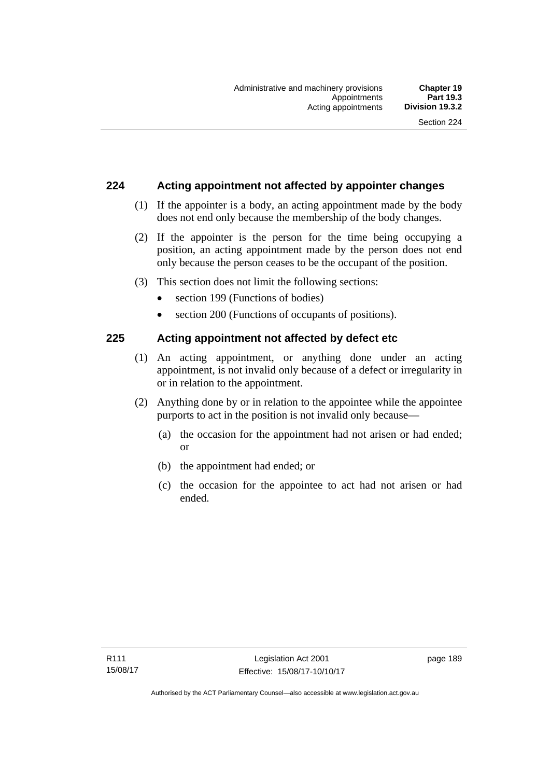## **224 Acting appointment not affected by appointer changes**

- (1) If the appointer is a body, an acting appointment made by the body does not end only because the membership of the body changes.
- (2) If the appointer is the person for the time being occupying a position, an acting appointment made by the person does not end only because the person ceases to be the occupant of the position.
- (3) This section does not limit the following sections:
	- section 199 (Functions of bodies)
	- section 200 (Functions of occupants of positions).

## **225 Acting appointment not affected by defect etc**

- (1) An acting appointment, or anything done under an acting appointment, is not invalid only because of a defect or irregularity in or in relation to the appointment.
- (2) Anything done by or in relation to the appointee while the appointee purports to act in the position is not invalid only because—
	- (a) the occasion for the appointment had not arisen or had ended; or
	- (b) the appointment had ended; or
	- (c) the occasion for the appointee to act had not arisen or had ended.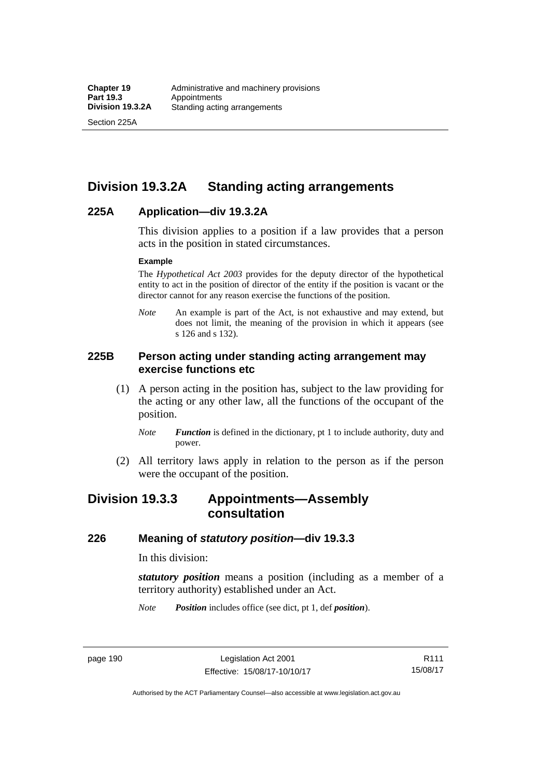Section 225A

# **Division 19.3.2A Standing acting arrangements**

## **225A Application—div 19.3.2A**

This division applies to a position if a law provides that a person acts in the position in stated circumstances.

#### **Example**

The *Hypothetical Act 2003* provides for the deputy director of the hypothetical entity to act in the position of director of the entity if the position is vacant or the director cannot for any reason exercise the functions of the position.

*Note* An example is part of the Act, is not exhaustive and may extend, but does not limit, the meaning of the provision in which it appears (see s 126 and s 132).

## **225B Person acting under standing acting arrangement may exercise functions etc**

- (1) A person acting in the position has, subject to the law providing for the acting or any other law, all the functions of the occupant of the position.
	- *Note Function* is defined in the dictionary, pt 1 to include authority, duty and power.
- (2) All territory laws apply in relation to the person as if the person were the occupant of the position.

# **Division 19.3.3 Appointments—Assembly consultation**

## **226 Meaning of** *statutory position***—div 19.3.3**

In this division:

*statutory position* means a position (including as a member of a territory authority) established under an Act.

*Note Position* includes office (see dict, pt 1, def *position*).

page 190 Legislation Act 2001 Effective: 15/08/17-10/10/17

R111 15/08/17

Authorised by the ACT Parliamentary Counsel—also accessible at www.legislation.act.gov.au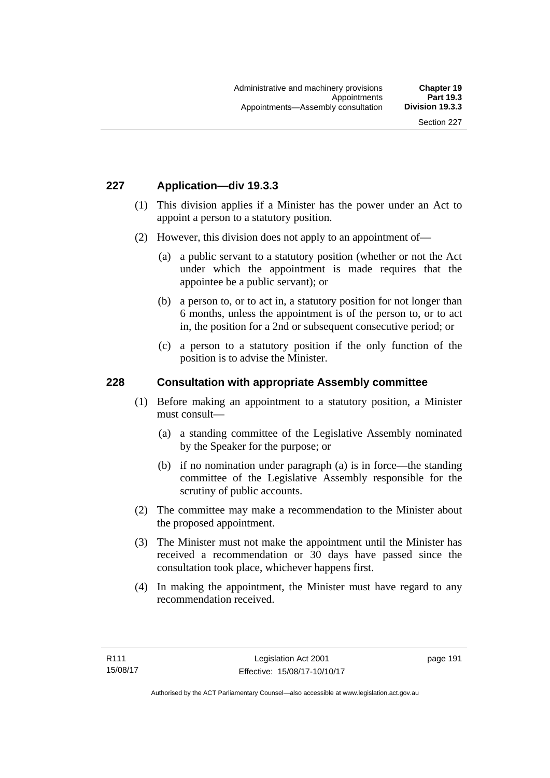## **227 Application—div 19.3.3**

- (1) This division applies if a Minister has the power under an Act to appoint a person to a statutory position.
- (2) However, this division does not apply to an appointment of—
	- (a) a public servant to a statutory position (whether or not the Act under which the appointment is made requires that the appointee be a public servant); or
	- (b) a person to, or to act in, a statutory position for not longer than 6 months, unless the appointment is of the person to, or to act in, the position for a 2nd or subsequent consecutive period; or
	- (c) a person to a statutory position if the only function of the position is to advise the Minister.

#### **228 Consultation with appropriate Assembly committee**

- (1) Before making an appointment to a statutory position, a Minister must consult—
	- (a) a standing committee of the Legislative Assembly nominated by the Speaker for the purpose; or
	- (b) if no nomination under paragraph (a) is in force—the standing committee of the Legislative Assembly responsible for the scrutiny of public accounts.
- (2) The committee may make a recommendation to the Minister about the proposed appointment.
- (3) The Minister must not make the appointment until the Minister has received a recommendation or 30 days have passed since the consultation took place, whichever happens first.
- (4) In making the appointment, the Minister must have regard to any recommendation received.

page 191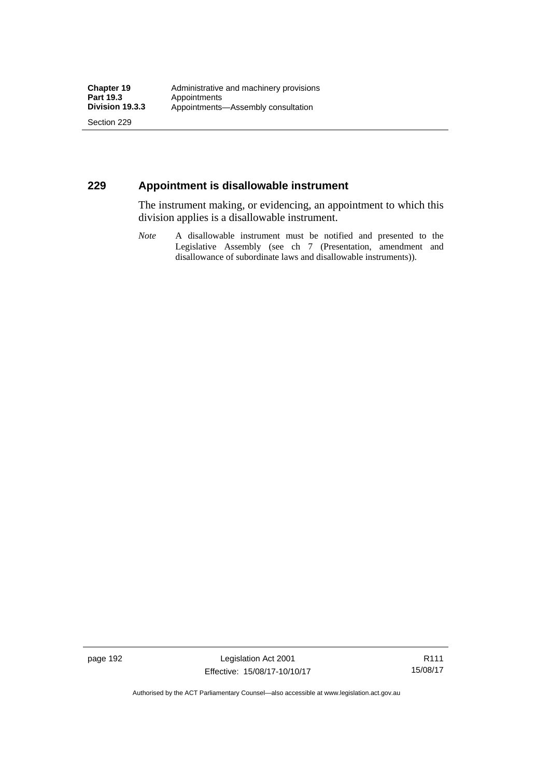Section 229

## **229 Appointment is disallowable instrument**

The instrument making, or evidencing, an appointment to which this division applies is a disallowable instrument.

*Note* A disallowable instrument must be notified and presented to the Legislative Assembly (see ch 7 (Presentation, amendment and disallowance of subordinate laws and disallowable instruments)).

page 192 Legislation Act 2001 Effective: 15/08/17-10/10/17

R111 15/08/17

Authorised by the ACT Parliamentary Counsel—also accessible at www.legislation.act.gov.au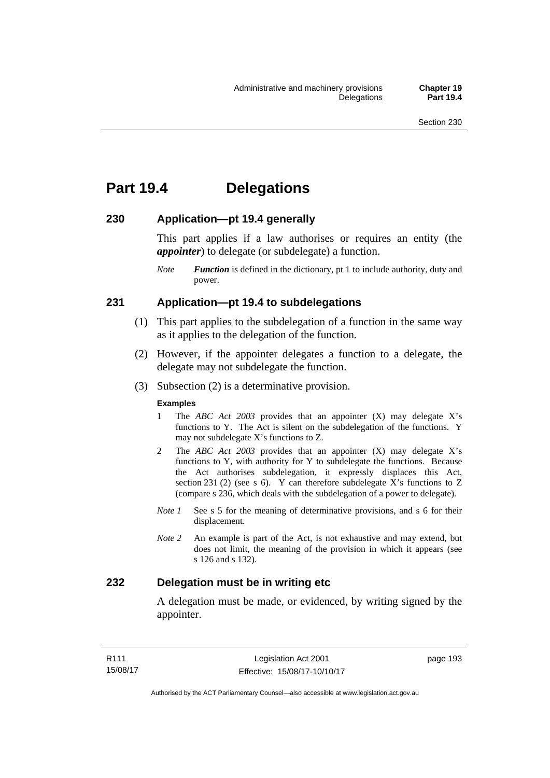# **Part 19.4 Delegations**

## **230 Application—pt 19.4 generally**

This part applies if a law authorises or requires an entity (the *appointer*) to delegate (or subdelegate) a function.

*Note Function* is defined in the dictionary, pt 1 to include authority, duty and power.

### **231 Application—pt 19.4 to subdelegations**

- (1) This part applies to the subdelegation of a function in the same way as it applies to the delegation of the function.
- (2) However, if the appointer delegates a function to a delegate, the delegate may not subdelegate the function.
- (3) Subsection (2) is a determinative provision.

#### **Examples**

- 1 The *ABC Act 2003* provides that an appointer (X) may delegate X's functions to Y. The Act is silent on the subdelegation of the functions. Y may not subdelegate X's functions to Z.
- 2 The *ABC Act 2003* provides that an appointer (X) may delegate X's functions to Y, with authority for Y to subdelegate the functions. Because the Act authorises subdelegation, it expressly displaces this Act, section 231 (2) (see s 6). Y can therefore subdelegate  $\overline{X}$ 's functions to Z (compare s 236, which deals with the subdelegation of a power to delegate)*.*
- *Note 1* See s 5 for the meaning of determinative provisions, and s 6 for their displacement.
- *Note 2* An example is part of the Act, is not exhaustive and may extend, but does not limit, the meaning of the provision in which it appears (see s 126 and s 132).

## **232 Delegation must be in writing etc**

A delegation must be made, or evidenced, by writing signed by the appointer.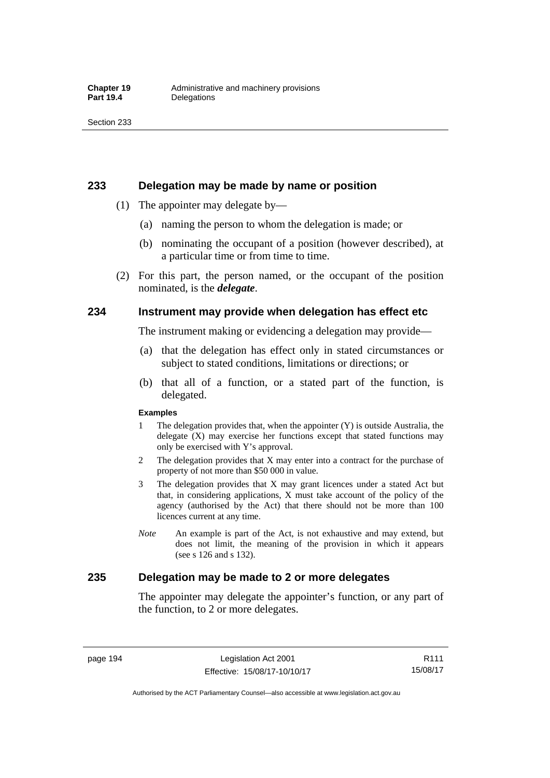### **233 Delegation may be made by name or position**

- (1) The appointer may delegate by—
	- (a) naming the person to whom the delegation is made; or
	- (b) nominating the occupant of a position (however described), at a particular time or from time to time.
- (2) For this part, the person named, or the occupant of the position nominated, is the *delegate*.

### **234 Instrument may provide when delegation has effect etc**

The instrument making or evidencing a delegation may provide—

- (a) that the delegation has effect only in stated circumstances or subject to stated conditions, limitations or directions; or
- (b) that all of a function, or a stated part of the function, is delegated.

#### **Examples**

- 1 The delegation provides that, when the appointer (Y) is outside Australia, the delegate (X) may exercise her functions except that stated functions may only be exercised with Y's approval.
- 2 The delegation provides that X may enter into a contract for the purchase of property of not more than \$50 000 in value.
- 3 The delegation provides that X may grant licences under a stated Act but that, in considering applications, X must take account of the policy of the agency (authorised by the Act) that there should not be more than 100 licences current at any time.
- *Note* An example is part of the Act, is not exhaustive and may extend, but does not limit, the meaning of the provision in which it appears (see s 126 and s 132).

## **235 Delegation may be made to 2 or more delegates**

The appointer may delegate the appointer's function, or any part of the function, to 2 or more delegates.

page 194 Legislation Act 2001 Effective: 15/08/17-10/10/17

Authorised by the ACT Parliamentary Counsel—also accessible at www.legislation.act.gov.au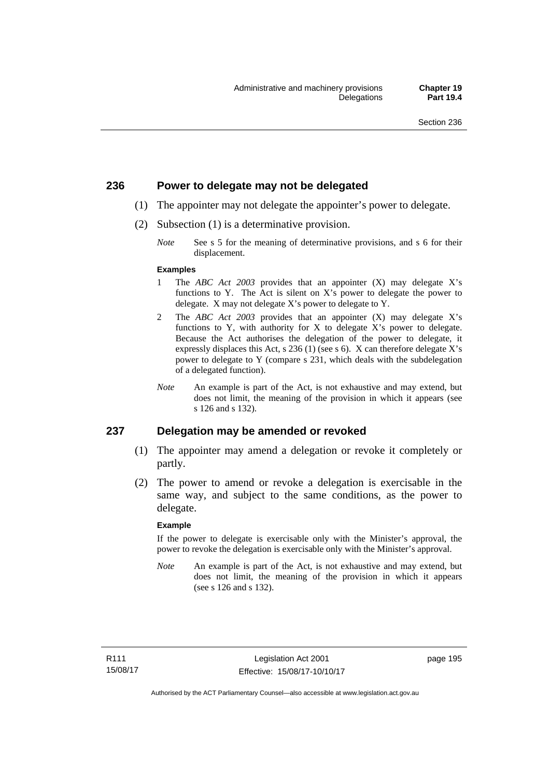## **236 Power to delegate may not be delegated**

- (1) The appointer may not delegate the appointer's power to delegate.
- (2) Subsection (1) is a determinative provision.
	- *Note* See s 5 for the meaning of determinative provisions, and s 6 for their displacement.

#### **Examples**

- 1 The *ABC Act 2003* provides that an appointer (X) may delegate X's functions to Y. The Act is silent on X's power to delegate the power to delegate. X may not delegate X's power to delegate to Y.
- 2 The *ABC Act 2003* provides that an appointer (X) may delegate X's functions to Y, with authority for X to delegate X's power to delegate. Because the Act authorises the delegation of the power to delegate, it expressly displaces this Act, s 236 (1) (see s 6). X can therefore delegate X's power to delegate to Y (compare s 231, which deals with the subdelegation of a delegated function).
- *Note* An example is part of the Act, is not exhaustive and may extend, but does not limit, the meaning of the provision in which it appears (see s 126 and s 132).

### **237 Delegation may be amended or revoked**

- (1) The appointer may amend a delegation or revoke it completely or partly.
- (2) The power to amend or revoke a delegation is exercisable in the same way, and subject to the same conditions, as the power to delegate.

#### **Example**

If the power to delegate is exercisable only with the Minister's approval, the power to revoke the delegation is exercisable only with the Minister's approval.

*Note* An example is part of the Act, is not exhaustive and may extend, but does not limit, the meaning of the provision in which it appears (see s 126 and s 132).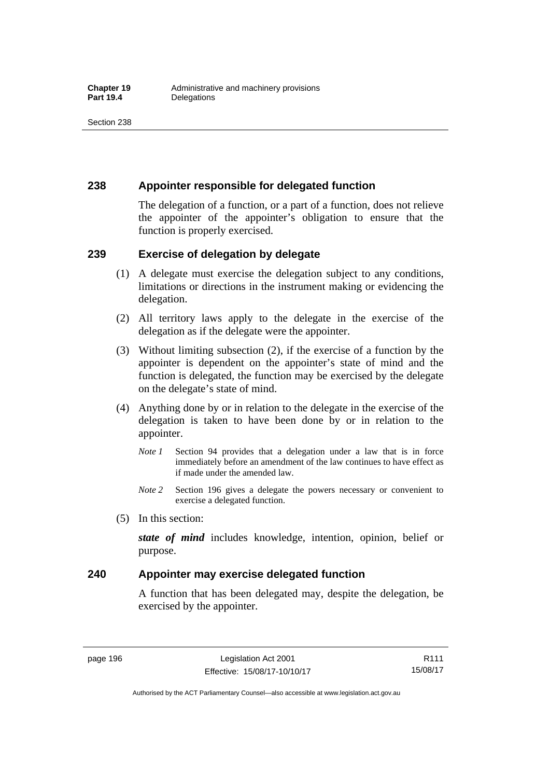## **238 Appointer responsible for delegated function**

The delegation of a function, or a part of a function, does not relieve the appointer of the appointer's obligation to ensure that the function is properly exercised.

## **239 Exercise of delegation by delegate**

- (1) A delegate must exercise the delegation subject to any conditions, limitations or directions in the instrument making or evidencing the delegation.
- (2) All territory laws apply to the delegate in the exercise of the delegation as if the delegate were the appointer.
- (3) Without limiting subsection (2), if the exercise of a function by the appointer is dependent on the appointer's state of mind and the function is delegated, the function may be exercised by the delegate on the delegate's state of mind.
- (4) Anything done by or in relation to the delegate in the exercise of the delegation is taken to have been done by or in relation to the appointer.
	- *Note 1* Section 94 provides that a delegation under a law that is in force immediately before an amendment of the law continues to have effect as if made under the amended law.
	- *Note 2* Section 196 gives a delegate the powers necessary or convenient to exercise a delegated function.
- (5) In this section:

*state of mind* includes knowledge, intention, opinion, belief or purpose.

## **240 Appointer may exercise delegated function**

A function that has been delegated may, despite the delegation, be exercised by the appointer.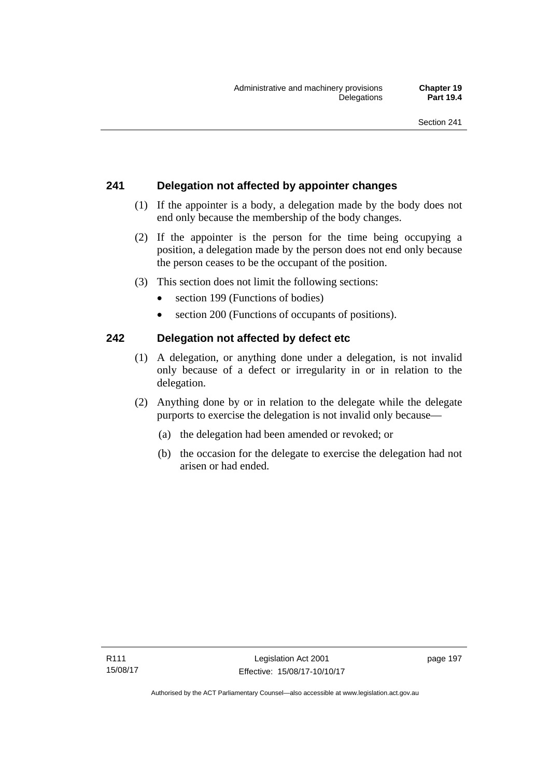# **241 Delegation not affected by appointer changes**

- (1) If the appointer is a body, a delegation made by the body does not end only because the membership of the body changes.
- (2) If the appointer is the person for the time being occupying a position, a delegation made by the person does not end only because the person ceases to be the occupant of the position.
- (3) This section does not limit the following sections:
	- section 199 (Functions of bodies)
	- section 200 (Functions of occupants of positions).

## **242 Delegation not affected by defect etc**

- (1) A delegation, or anything done under a delegation, is not invalid only because of a defect or irregularity in or in relation to the delegation.
- (2) Anything done by or in relation to the delegate while the delegate purports to exercise the delegation is not invalid only because—
	- (a) the delegation had been amended or revoked; or
	- (b) the occasion for the delegate to exercise the delegation had not arisen or had ended.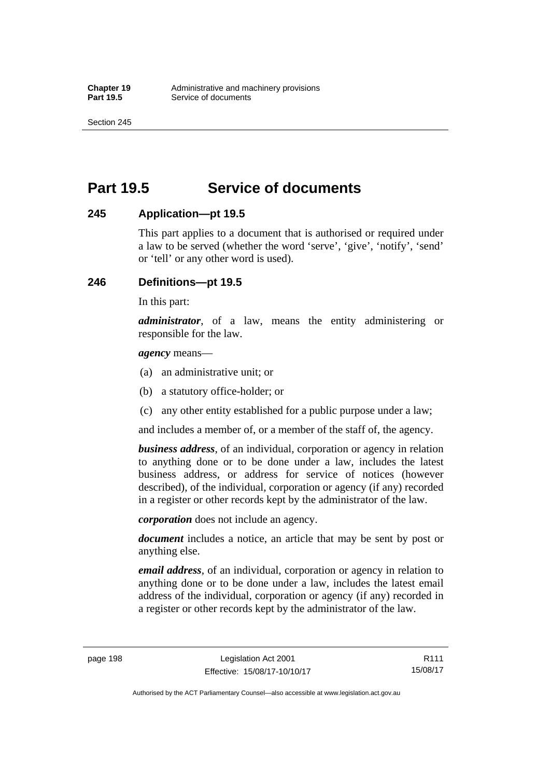Section 245

# **Part 19.5 Service of documents**

## **245 Application—pt 19.5**

This part applies to a document that is authorised or required under a law to be served (whether the word 'serve', 'give', 'notify', 'send' or 'tell' or any other word is used).

## **246 Definitions—pt 19.5**

In this part:

*administrator*, of a law, means the entity administering or responsible for the law.

*agency* means—

- (a) an administrative unit; or
- (b) a statutory office-holder; or
- (c) any other entity established for a public purpose under a law;

and includes a member of, or a member of the staff of, the agency.

*business address*, of an individual, corporation or agency in relation to anything done or to be done under a law, includes the latest business address, or address for service of notices (however described), of the individual, corporation or agency (if any) recorded in a register or other records kept by the administrator of the law.

*corporation* does not include an agency.

*document* includes a notice, an article that may be sent by post or anything else.

*email address*, of an individual, corporation or agency in relation to anything done or to be done under a law, includes the latest email address of the individual, corporation or agency (if any) recorded in a register or other records kept by the administrator of the law.

R111 15/08/17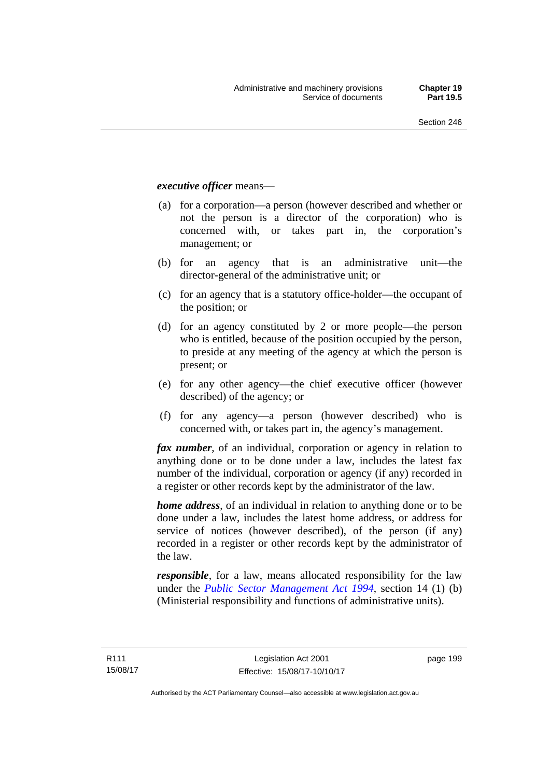### *executive officer* means—

- (a) for a corporation—a person (however described and whether or not the person is a director of the corporation) who is concerned with, or takes part in, the corporation's management; or
- (b) for an agency that is an administrative unit—the director-general of the administrative unit; or
- (c) for an agency that is a statutory office-holder—the occupant of the position; or
- (d) for an agency constituted by 2 or more people—the person who is entitled, because of the position occupied by the person, to preside at any meeting of the agency at which the person is present; or
- (e) for any other agency—the chief executive officer (however described) of the agency; or
- (f) for any agency—a person (however described) who is concerned with, or takes part in, the agency's management.

*fax number*, of an individual, corporation or agency in relation to anything done or to be done under a law, includes the latest fax number of the individual, corporation or agency (if any) recorded in a register or other records kept by the administrator of the law.

*home address*, of an individual in relation to anything done or to be done under a law, includes the latest home address, or address for service of notices (however described), of the person (if any) recorded in a register or other records kept by the administrator of the law.

*responsible*, for a law, means allocated responsibility for the law under the *[Public Sector Management Act 1994](http://www.legislation.act.gov.au/a/1994-37)*, section 14 (1) (b) (Ministerial responsibility and functions of administrative units).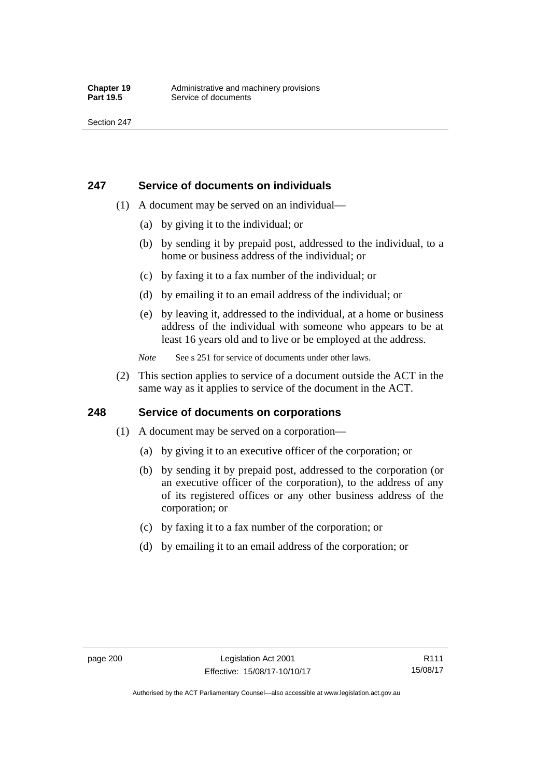## **247 Service of documents on individuals**

- (1) A document may be served on an individual—
	- (a) by giving it to the individual; or
	- (b) by sending it by prepaid post, addressed to the individual, to a home or business address of the individual; or
	- (c) by faxing it to a fax number of the individual; or
	- (d) by emailing it to an email address of the individual; or
	- (e) by leaving it, addressed to the individual, at a home or business address of the individual with someone who appears to be at least 16 years old and to live or be employed at the address.
	- *Note* See s 251 for service of documents under other laws.
- (2) This section applies to service of a document outside the ACT in the same way as it applies to service of the document in the ACT.

## **248 Service of documents on corporations**

- (1) A document may be served on a corporation—
	- (a) by giving it to an executive officer of the corporation; or
	- (b) by sending it by prepaid post, addressed to the corporation (or an executive officer of the corporation), to the address of any of its registered offices or any other business address of the corporation; or
	- (c) by faxing it to a fax number of the corporation; or
	- (d) by emailing it to an email address of the corporation; or

R111 15/08/17

Authorised by the ACT Parliamentary Counsel—also accessible at www.legislation.act.gov.au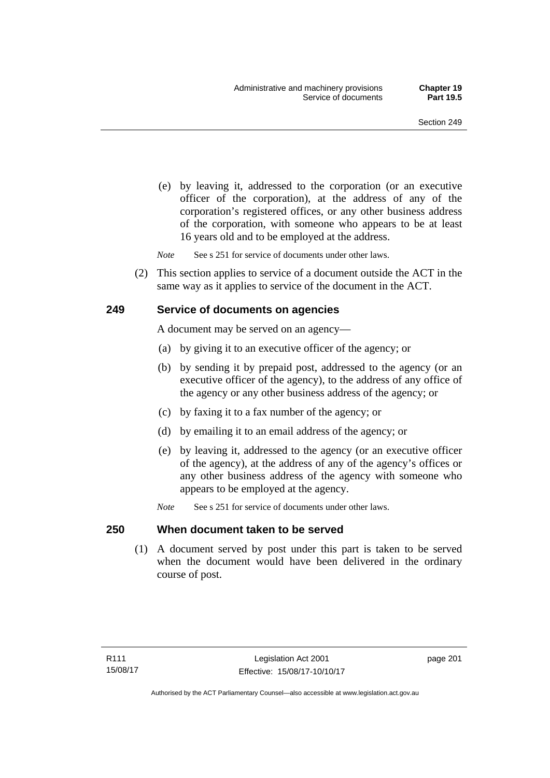(e) by leaving it, addressed to the corporation (or an executive officer of the corporation), at the address of any of the corporation's registered offices, or any other business address of the corporation, with someone who appears to be at least 16 years old and to be employed at the address.

*Note* See s 251 for service of documents under other laws.

 (2) This section applies to service of a document outside the ACT in the same way as it applies to service of the document in the ACT.

## **249 Service of documents on agencies**

A document may be served on an agency—

- (a) by giving it to an executive officer of the agency; or
- (b) by sending it by prepaid post, addressed to the agency (or an executive officer of the agency), to the address of any office of the agency or any other business address of the agency; or
- (c) by faxing it to a fax number of the agency; or
- (d) by emailing it to an email address of the agency; or
- (e) by leaving it, addressed to the agency (or an executive officer of the agency), at the address of any of the agency's offices or any other business address of the agency with someone who appears to be employed at the agency.
- *Note* See s 251 for service of documents under other laws.

## **250 When document taken to be served**

 (1) A document served by post under this part is taken to be served when the document would have been delivered in the ordinary course of post.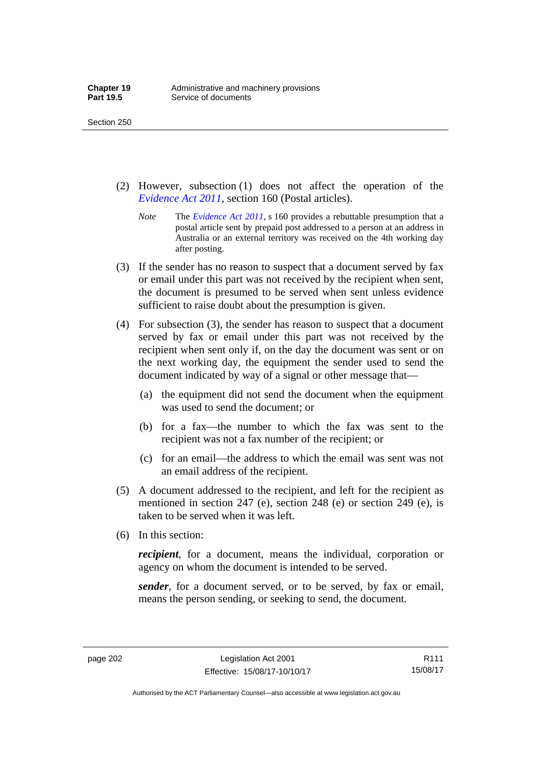- (2) However, subsection (1) does not affect the operation of the *[Evidence Act 2011](http://www.legislation.act.gov.au/a/2011-12)*, section 160 (Postal articles).
	- *Note* The *[Evidence Act 2011](http://www.legislation.act.gov.au/a/2011-12)*, s 160 provides a rebuttable presumption that a postal article sent by prepaid post addressed to a person at an address in Australia or an external territory was received on the 4th working day after posting.
- (3) If the sender has no reason to suspect that a document served by fax or email under this part was not received by the recipient when sent, the document is presumed to be served when sent unless evidence sufficient to raise doubt about the presumption is given.
- (4) For subsection (3), the sender has reason to suspect that a document served by fax or email under this part was not received by the recipient when sent only if, on the day the document was sent or on the next working day, the equipment the sender used to send the document indicated by way of a signal or other message that—
	- (a) the equipment did not send the document when the equipment was used to send the document; or
	- (b) for a fax—the number to which the fax was sent to the recipient was not a fax number of the recipient; or
	- (c) for an email—the address to which the email was sent was not an email address of the recipient.
- (5) A document addressed to the recipient, and left for the recipient as mentioned in section 247 (e), section 248 (e) or section 249 (e), is taken to be served when it was left.
- (6) In this section:

*recipient*, for a document, means the individual, corporation or agency on whom the document is intended to be served.

*sender*, for a document served, or to be served, by fax or email, means the person sending, or seeking to send, the document.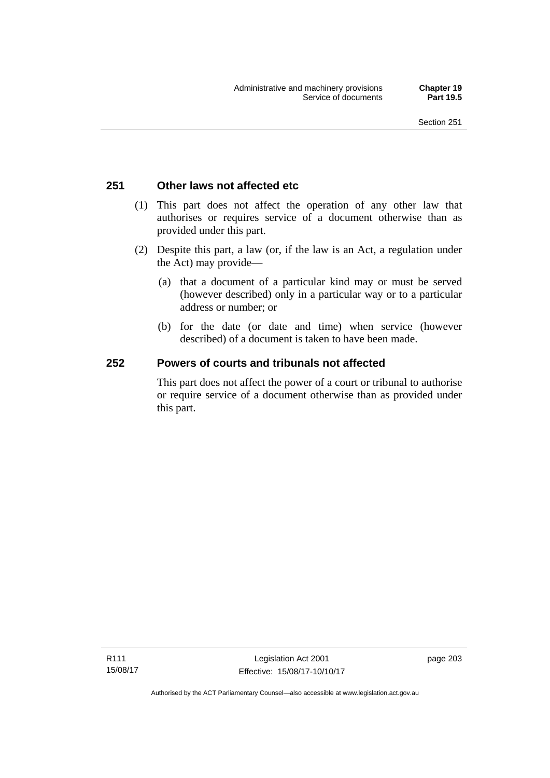# **251 Other laws not affected etc**

- (1) This part does not affect the operation of any other law that authorises or requires service of a document otherwise than as provided under this part.
- (2) Despite this part, a law (or, if the law is an Act, a regulation under the Act) may provide—
	- (a) that a document of a particular kind may or must be served (however described) only in a particular way or to a particular address or number; or
	- (b) for the date (or date and time) when service (however described) of a document is taken to have been made.

# **252 Powers of courts and tribunals not affected**

This part does not affect the power of a court or tribunal to authorise or require service of a document otherwise than as provided under this part.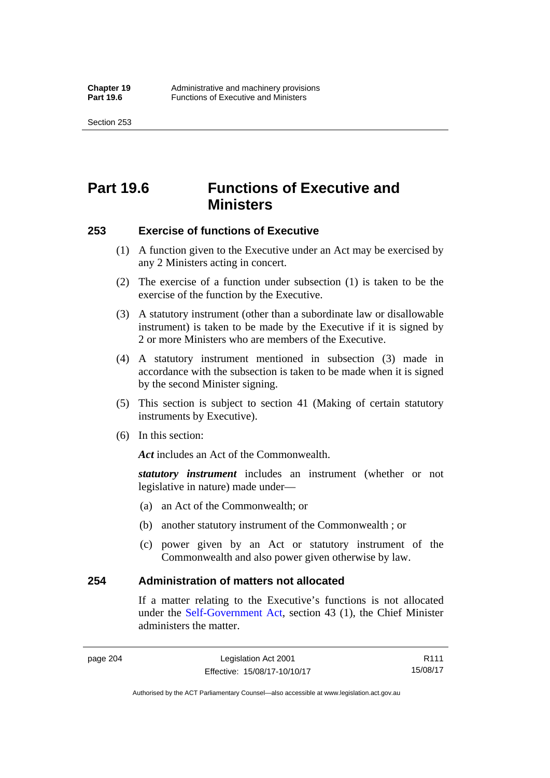Section 253

# **Part 19.6 Functions of Executive and Ministers**

## **253 Exercise of functions of Executive**

- (1) A function given to the Executive under an Act may be exercised by any 2 Ministers acting in concert.
- (2) The exercise of a function under subsection (1) is taken to be the exercise of the function by the Executive.
- (3) A statutory instrument (other than a subordinate law or disallowable instrument) is taken to be made by the Executive if it is signed by 2 or more Ministers who are members of the Executive.
- (4) A statutory instrument mentioned in subsection (3) made in accordance with the subsection is taken to be made when it is signed by the second Minister signing.
- (5) This section is subject to section 41 (Making of certain statutory instruments by Executive).
- (6) In this section:

Act includes an Act of the Commonwealth.

*statutory instrument* includes an instrument (whether or not legislative in nature) made under—

- (a) an Act of the Commonwealth; or
- (b) another statutory instrument of the Commonwealth ; or
- (c) power given by an Act or statutory instrument of the Commonwealth and also power given otherwise by law.

## **254 Administration of matters not allocated**

If a matter relating to the Executive's functions is not allocated under the [Self-Government Act,](http://www.comlaw.gov.au/Series/C2004A03699) section 43 (1), the Chief Minister administers the matter.

R111 15/08/17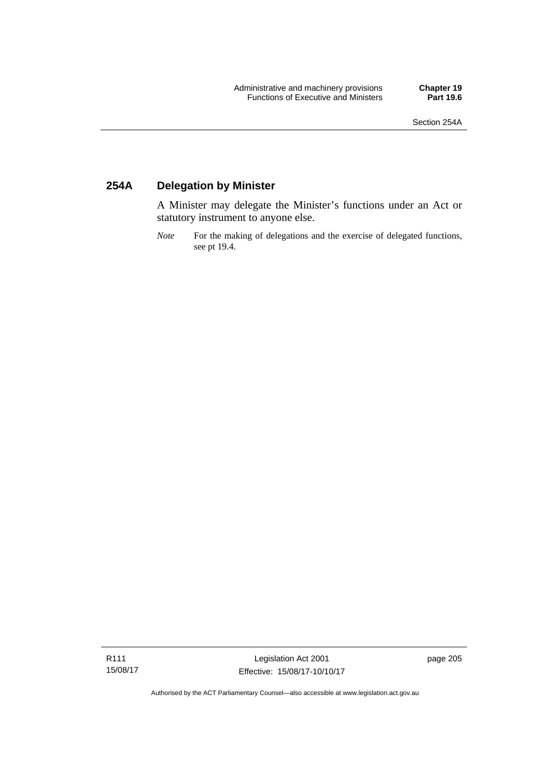# **254A Delegation by Minister**

A Minister may delegate the Minister's functions under an Act or statutory instrument to anyone else.

*Note* For the making of delegations and the exercise of delegated functions, see pt 19.4.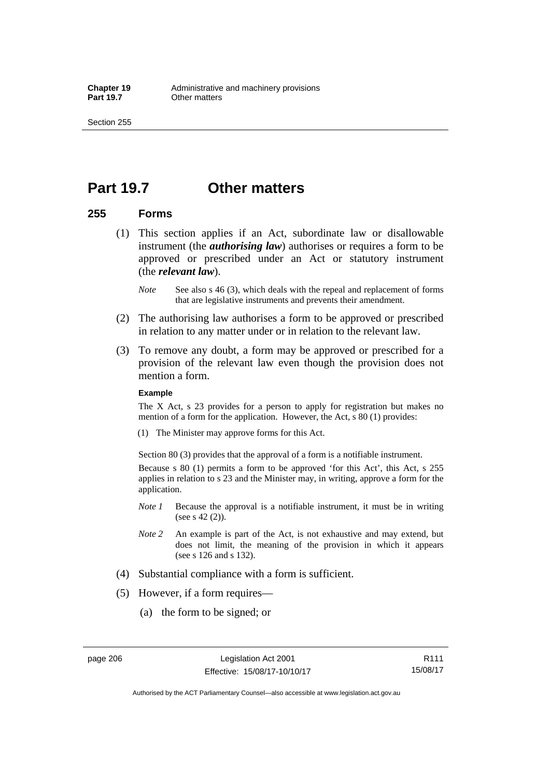Section 255

# **Part 19.7 Other matters**

## **255 Forms**

- (1) This section applies if an Act, subordinate law or disallowable instrument (the *authorising law*) authorises or requires a form to be approved or prescribed under an Act or statutory instrument (the *relevant law*).
	- *Note* See also s 46 (3), which deals with the repeal and replacement of forms that are legislative instruments and prevents their amendment.
- (2) The authorising law authorises a form to be approved or prescribed in relation to any matter under or in relation to the relevant law.
- (3) To remove any doubt, a form may be approved or prescribed for a provision of the relevant law even though the provision does not mention a form.

### **Example**

The X Act, s 23 provides for a person to apply for registration but makes no mention of a form for the application. However, the Act, s 80 (1) provides:

(1) The Minister may approve forms for this Act.

Section 80 (3) provides that the approval of a form is a notifiable instrument.

Because s 80 (1) permits a form to be approved 'for this Act', this Act, s 255 applies in relation to s 23 and the Minister may, in writing, approve a form for the application.

- *Note 1* Because the approval is a notifiable instrument, it must be in writing (see s 42 (2)).
- *Note 2* An example is part of the Act, is not exhaustive and may extend, but does not limit, the meaning of the provision in which it appears (see s 126 and s 132).
- (4) Substantial compliance with a form is sufficient.
- (5) However, if a form requires—
	- (a) the form to be signed; or

Authorised by the ACT Parliamentary Counsel—also accessible at www.legislation.act.gov.au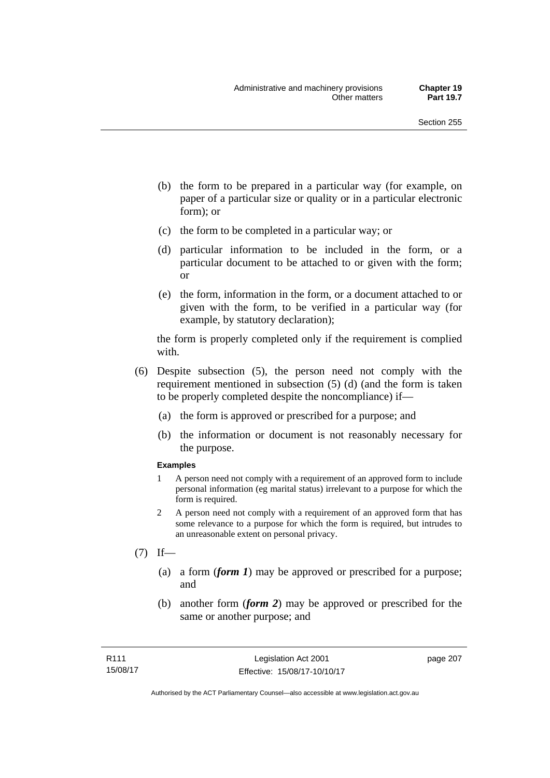- (b) the form to be prepared in a particular way (for example, on paper of a particular size or quality or in a particular electronic form); or
- (c) the form to be completed in a particular way; or
- (d) particular information to be included in the form, or a particular document to be attached to or given with the form; or
- (e) the form, information in the form, or a document attached to or given with the form, to be verified in a particular way (for example, by statutory declaration);

the form is properly completed only if the requirement is complied with.

- (6) Despite subsection (5), the person need not comply with the requirement mentioned in subsection (5) (d) (and the form is taken to be properly completed despite the noncompliance) if—
	- (a) the form is approved or prescribed for a purpose; and
	- (b) the information or document is not reasonably necessary for the purpose.

### **Examples**

- 1 A person need not comply with a requirement of an approved form to include personal information (eg marital status) irrelevant to a purpose for which the form is required.
- 2 A person need not comply with a requirement of an approved form that has some relevance to a purpose for which the form is required, but intrudes to an unreasonable extent on personal privacy.
- $(7)$  If—
	- (a) a form (*form 1*) may be approved or prescribed for a purpose; and
	- (b) another form (*form 2*) may be approved or prescribed for the same or another purpose; and

page 207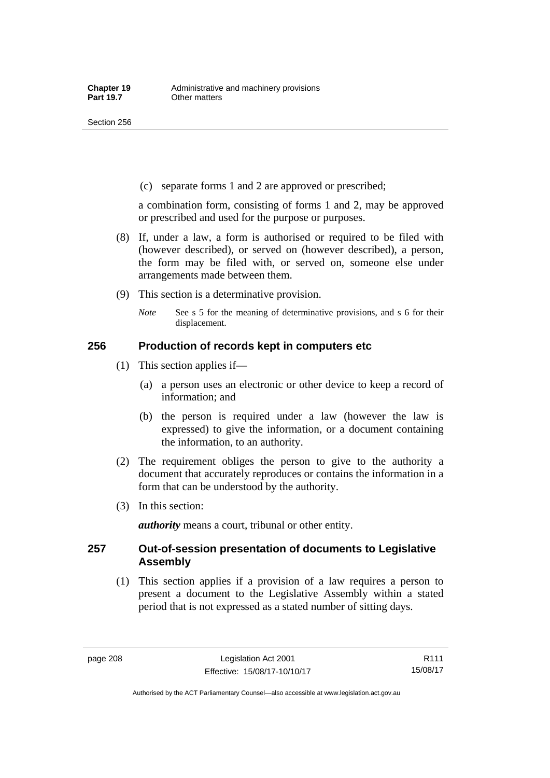(c) separate forms 1 and 2 are approved or prescribed;

a combination form, consisting of forms 1 and 2, may be approved or prescribed and used for the purpose or purposes.

- (8) If, under a law, a form is authorised or required to be filed with (however described), or served on (however described), a person, the form may be filed with, or served on, someone else under arrangements made between them.
- (9) This section is a determinative provision.
	- *Note* See s 5 for the meaning of determinative provisions, and s 6 for their displacement.

## **256 Production of records kept in computers etc**

- (1) This section applies if—
	- (a) a person uses an electronic or other device to keep a record of information; and
	- (b) the person is required under a law (however the law is expressed) to give the information, or a document containing the information, to an authority.
- (2) The requirement obliges the person to give to the authority a document that accurately reproduces or contains the information in a form that can be understood by the authority.
- (3) In this section:

*authority* means a court, tribunal or other entity.

## **257 Out-of-session presentation of documents to Legislative Assembly**

 (1) This section applies if a provision of a law requires a person to present a document to the Legislative Assembly within a stated period that is not expressed as a stated number of sitting days.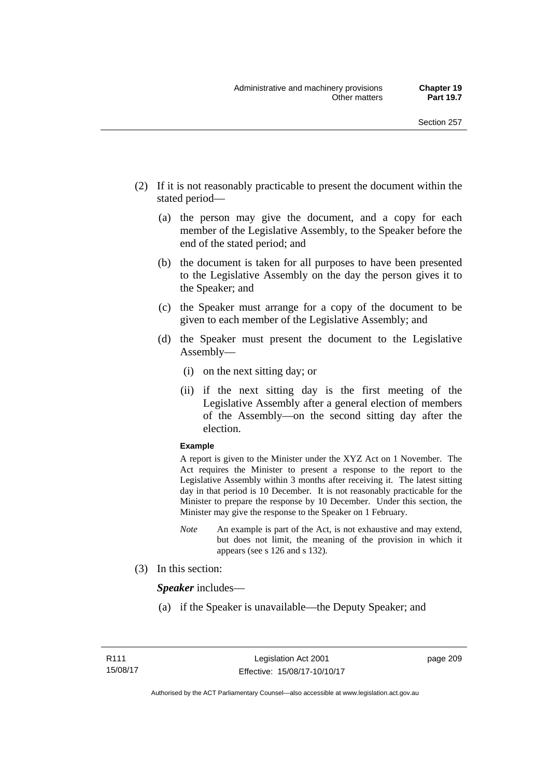- (2) If it is not reasonably practicable to present the document within the stated period—
	- (a) the person may give the document, and a copy for each member of the Legislative Assembly, to the Speaker before the end of the stated period; and
	- (b) the document is taken for all purposes to have been presented to the Legislative Assembly on the day the person gives it to the Speaker; and
	- (c) the Speaker must arrange for a copy of the document to be given to each member of the Legislative Assembly; and
	- (d) the Speaker must present the document to the Legislative Assembly—
		- (i) on the next sitting day; or
		- (ii) if the next sitting day is the first meeting of the Legislative Assembly after a general election of members of the Assembly—on the second sitting day after the election.

### **Example**

A report is given to the Minister under the XYZ Act on 1 November. The Act requires the Minister to present a response to the report to the Legislative Assembly within 3 months after receiving it. The latest sitting day in that period is 10 December. It is not reasonably practicable for the Minister to prepare the response by 10 December. Under this section, the Minister may give the response to the Speaker on 1 February.

- *Note* An example is part of the Act, is not exhaustive and may extend, but does not limit, the meaning of the provision in which it appears (see s 126 and s 132).
- (3) In this section:

*Speaker* includes—

(a) if the Speaker is unavailable—the Deputy Speaker; and

page 209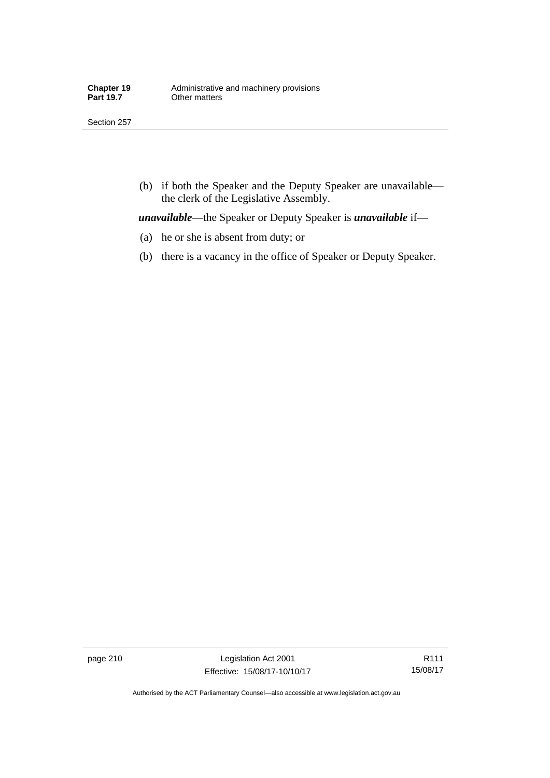Section 257

 (b) if both the Speaker and the Deputy Speaker are unavailable the clerk of the Legislative Assembly.

*unavailable*—the Speaker or Deputy Speaker is *unavailable* if—

- (a) he or she is absent from duty; or
- (b) there is a vacancy in the office of Speaker or Deputy Speaker.

page 210 Legislation Act 2001 Effective: 15/08/17-10/10/17

R111 15/08/17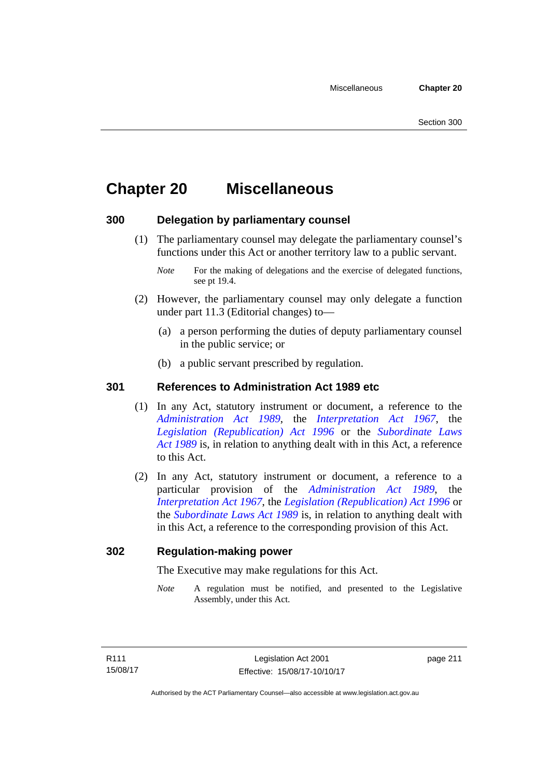# **Chapter 20 Miscellaneous**

# **300 Delegation by parliamentary counsel**

 (1) The parliamentary counsel may delegate the parliamentary counsel's functions under this Act or another territory law to a public servant.

- (2) However, the parliamentary counsel may only delegate a function under part 11.3 (Editorial changes) to—
	- (a) a person performing the duties of deputy parliamentary counsel in the public service; or
	- (b) a public servant prescribed by regulation.

# **301 References to Administration Act 1989 etc**

- (1) In any Act, statutory instrument or document, a reference to the *[Administration Act 1989](http://www.legislation.act.gov.au/a/alt_a1989-41co)*, the *[Interpretation Act 1967](http://www.legislation.act.gov.au/a/1967-48)*, the *[Legislation \(Republication\) Act 1996](http://www.legislation.act.gov.au/a/1996-51)* or the *[Subordinate Laws](http://www.legislation.act.gov.au/a/alt_a1989-24co)  [Act 1989](http://www.legislation.act.gov.au/a/alt_a1989-24co)* is, in relation to anything dealt with in this Act, a reference to this Act.
- (2) In any Act, statutory instrument or document, a reference to a particular provision of the *[Administration Act 1989](http://www.legislation.act.gov.au/a/alt_a1989-41co)*, the *[Interpretation Act 1967](http://www.legislation.act.gov.au/a/1967-48)*, the *[Legislation \(Republication\) Act 1996](http://www.legislation.act.gov.au/a/1996-51)* or the *[Subordinate Laws Act 1989](http://www.legislation.act.gov.au/a/alt_a1989-24co)* is, in relation to anything dealt with in this Act, a reference to the corresponding provision of this Act.

# **302 Regulation-making power**

The Executive may make regulations for this Act.

*Note* A regulation must be notified, and presented to the Legislative Assembly, under this Act.

page 211

*Note* For the making of delegations and the exercise of delegated functions, see pt 19.4.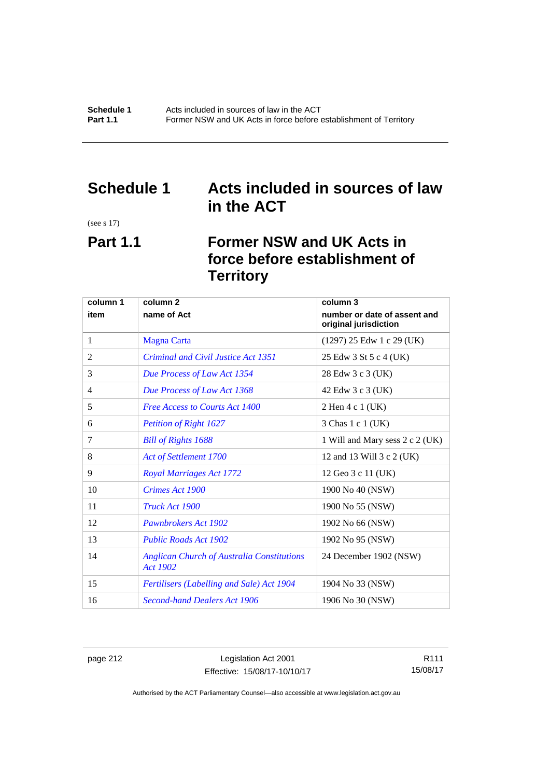# **Schedule 1 Acts included in sources of law in the ACT**

(see s 17)

# **Part 1.1 Former NSW and UK Acts in force before establishment of Territory**

| column 1 | column <sub>2</sub>                                                  | column 3                                              |
|----------|----------------------------------------------------------------------|-------------------------------------------------------|
| item     | name of Act                                                          | number or date of assent and<br>original jurisdiction |
| 1        | <b>Magna Carta</b>                                                   | $(1297)$ 25 Edw 1 c 29 (UK)                           |
| 2        | Criminal and Civil Justice Act 1351                                  | 25 Edw 3 St 5 c 4 (UK)                                |
| 3        | Due Process of Law Act 1354                                          | 28 Edw 3 c 3 (UK)                                     |
| 4        | Due Process of Law Act 1368                                          | 42 Edw 3 c 3 (UK)                                     |
| 5        | <b>Free Access to Courts Act 1400</b>                                | 2 Hen 4 c 1 (UK)                                      |
| 6        | <b>Petition of Right 1627</b>                                        | 3 Chas 1 c 1 (UK)                                     |
| 7        | <b>Bill of Rights 1688</b>                                           | 1 Will and Mary sess 2 c 2 (UK)                       |
| 8        | Act of Settlement 1700                                               | 12 and 13 Will 3 c 2 (UK)                             |
| 9        | <b>Royal Marriages Act 1772</b>                                      | 12 Geo 3 c 11 (UK)                                    |
| 10       | Crimes Act 1900                                                      | 1900 No 40 (NSW)                                      |
| 11       | Truck Act 1900                                                       | 1900 No 55 (NSW)                                      |
| 12       | <b>Pawnbrokers Act 1902</b>                                          | 1902 No 66 (NSW)                                      |
| 13       | <b>Public Roads Act 1902</b>                                         | 1902 No 95 (NSW)                                      |
| 14       | <b>Anglican Church of Australia Constitutions</b><br><b>Act 1902</b> | 24 December 1902 (NSW)                                |
| 15       | <b>Fertilisers (Labelling and Sale) Act 1904</b>                     | 1904 No 33 (NSW)                                      |
| 16       | <b>Second-hand Dealers Act 1906</b>                                  | 1906 No 30 (NSW)                                      |

page 212 Legislation Act 2001 Effective: 15/08/17-10/10/17

R111 15/08/17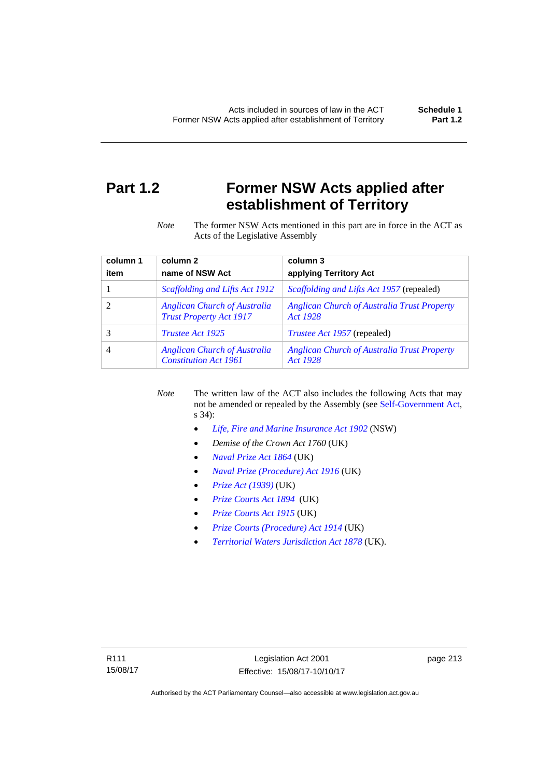# **Part 1.2 Former NSW Acts applied after establishment of Territory**

*Note* The former NSW Acts mentioned in this part are in force in the ACT as Acts of the Legislative Assembly

| column 1 | column <sub>2</sub>                                                   | column 3                                                       |
|----------|-----------------------------------------------------------------------|----------------------------------------------------------------|
| item     | name of NSW Act                                                       | applying Territory Act                                         |
|          | Scaffolding and Lifts Act 1912                                        | <i>Scaffolding and Lifts Act 1957</i> (repealed)               |
|          | <b>Anglican Church of Australia</b><br><b>Trust Property Act 1917</b> | <b>Anglican Church of Australia Trust Property</b><br>Act 1928 |
|          | <i>Trustee Act 1925</i>                                               | <i>Trustee Act 1957</i> (repealed)                             |
| 4        | <b>Anglican Church of Australia</b><br><b>Constitution Act 1961</b>   | <b>Anglican Church of Australia Trust Property</b><br>Act 1928 |

*Note* The written law of the ACT also includes the following Acts that may not be amended or repealed by the Assembly (see [Self-Government Act,](http://www.comlaw.gov.au/Series/C2004A03699) s 34):

- *[Life, Fire and Marine Insurance Act 1902](http://www.legislation.nsw.gov.au/maintop/scanact/sessional/NONE/0)* (NSW)
- *Demise of the Crown Act 1760* (UK)
- *[Naval Prize Act 1864](http://www.legislation.gov.uk/ukpga/Vict/27-28/25/contents)* (UK)
- *[Naval Prize \(Procedure\) Act 1916](http://www.legislation.gov.uk/ukpga/Geo5/6-7/2/contents)* (UK)
- *[Prize Act \(1939\)](http://www.legislation.gov.uk/ukpga/Geo6/2-3/65/contents)* (UK)
- *[Prize Courts Act 1894](http://www.legislation.gov.uk/ukpga/Vict/57-58/39/contents)* (UK)
- *[Prize Courts Act 1915](http://www.legislation.gov.uk/ukpga/Geo5/5-6/57/contents)* (UK)
- *[Prize Courts \(Procedure\) Act 1914](http://www.legislation.gov.uk/ukpga/Geo5/4-5/13/contents)* (UK)
- *[Territorial Waters Jurisdiction Act 1878](http://www.legislation.gov.uk/ukpga/Vict/41-42/73/contents)* (UK).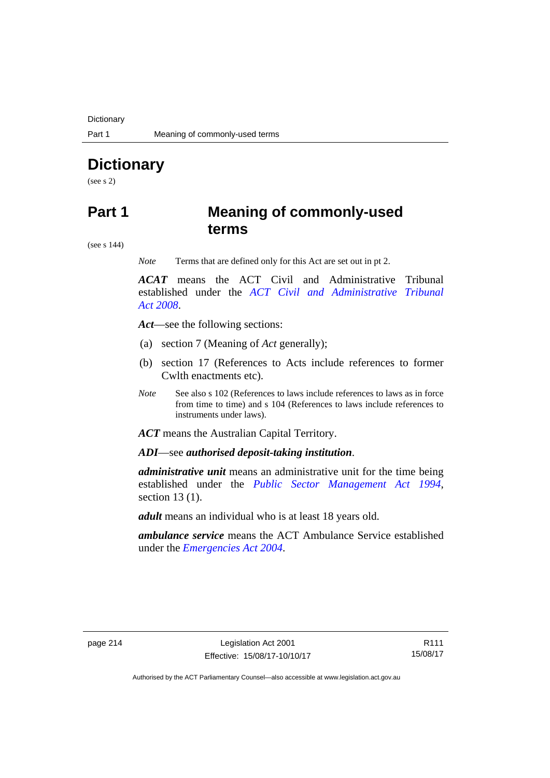**Dictionary** 

# **Dictionary**

(see s 2)

# **Part 1 Meaning of commonly-used terms**

(see s 144)

*Note* Terms that are defined only for this Act are set out in pt 2.

*ACAT* means the ACT Civil and Administrative Tribunal established under the *[ACT Civil and Administrative Tribunal](http://www.legislation.act.gov.au/a/2008-35)  [Act 2008](http://www.legislation.act.gov.au/a/2008-35)*.

*Act*—see the following sections:

- (a) section 7 (Meaning of *Act* generally);
- (b) section 17 (References to Acts include references to former Cwlth enactments etc).
- *Note* See also s 102 (References to laws include references to laws as in force from time to time) and s 104 (References to laws include references to instruments under laws).

*ACT* means the Australian Capital Territory.

*ADI*—see *authorised deposit-taking institution*.

*administrative unit* means an administrative unit for the time being established under the *[Public Sector Management Act 1994](http://www.legislation.act.gov.au/a/1994-37)*, section 13 (1).

*adult* means an individual who is at least 18 years old.

*ambulance service* means the ACT Ambulance Service established under the *[Emergencies Act 2004](http://www.legislation.act.gov.au/a/2004-28)*.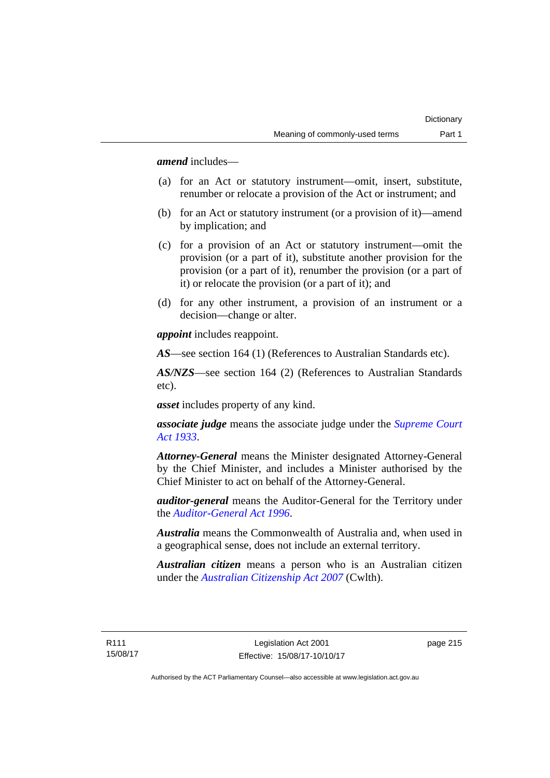*amend* includes—

- (a) for an Act or statutory instrument—omit, insert, substitute, renumber or relocate a provision of the Act or instrument; and
- (b) for an Act or statutory instrument (or a provision of it)—amend by implication; and
- (c) for a provision of an Act or statutory instrument—omit the provision (or a part of it), substitute another provision for the provision (or a part of it), renumber the provision (or a part of it) or relocate the provision (or a part of it); and
- (d) for any other instrument, a provision of an instrument or a decision—change or alter.

*appoint* includes reappoint.

*AS*—see section 164 (1) (References to Australian Standards etc).

*AS/NZS*—see section 164 (2) (References to Australian Standards etc).

*asset* includes property of any kind.

*associate judge* means the associate judge under the *[Supreme Court](http://www.legislation.act.gov.au/a/1933-34)  [Act 1933](http://www.legislation.act.gov.au/a/1933-34)*.

*Attorney-General* means the Minister designated Attorney-General by the Chief Minister, and includes a Minister authorised by the Chief Minister to act on behalf of the Attorney-General.

*auditor-general* means the Auditor-General for the Territory under the *[Auditor-General Act 1996](http://www.legislation.act.gov.au/a/1996-23)*.

*Australia* means the Commonwealth of Australia and, when used in a geographical sense, does not include an external territory.

*Australian citizen* means a person who is an Australian citizen under the *[Australian Citizenship Act 2007](http://www.comlaw.gov.au/Series/C2007A00020)* (Cwlth).

page 215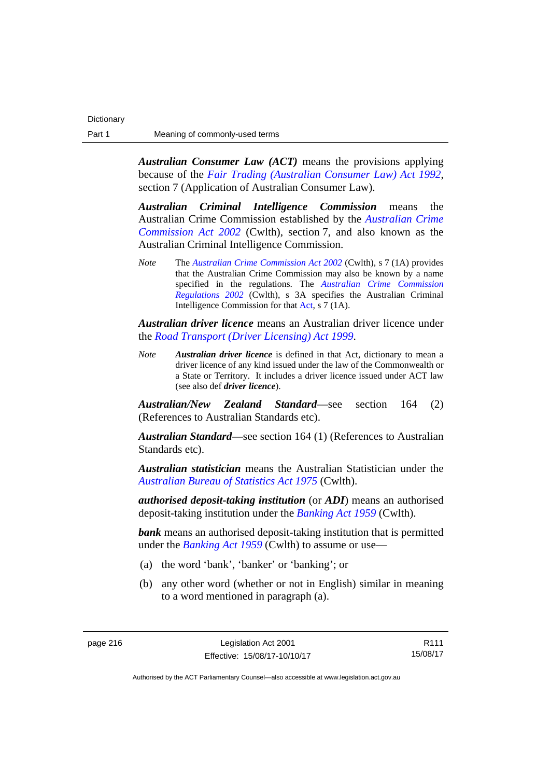*Australian Consumer Law (ACT)* means the provisions applying because of the *[Fair Trading \(Australian Consumer Law\) Act 1992](http://www.legislation.act.gov.au/a/1992-72)*, section 7 (Application of Australian Consumer Law).

*Australian Criminal Intelligence Commission* means the Australian Crime Commission established by the *[Australian Crime](https://www.legislation.gov.au/Series/C2004A02905)  [Commission Act 2002](https://www.legislation.gov.au/Series/C2004A02905)* (Cwlth), section 7, and also known as the Australian Criminal Intelligence Commission.

*Note* The *[Australian Crime Commission Act 2002](https://www.legislation.gov.au/Series/C2004A02905)* (Cwlth), s 7 (1A) provides that the Australian Crime Commission may also be known by a name specified in the regulations. The *[Australian Crime Commission](https://www.legislation.gov.au/Series/F1996B01984)  [Regulations 2002](https://www.legislation.gov.au/Series/F1996B01984)* (Cwlth), s 3A specifies the Australian Criminal Intelligence Commission for that [Act,](https://www.legislation.gov.au/Series/C2004A02905) s 7 (1A).

*Australian driver licence* means an Australian driver licence under the *[Road Transport \(Driver Licensing\) Act 1999](http://www.legislation.act.gov.au/a/1999-78)*.

*Note Australian driver licence* is defined in that Act, dictionary to mean a driver licence of any kind issued under the law of the Commonwealth or a State or Territory. It includes a driver licence issued under ACT law (see also def *driver licence*).

*Australian/New Zealand Standard*—see section 164 (2) (References to Australian Standards etc).

*Australian Standard*—see section 164 (1) (References to Australian Standards etc).

*Australian statistician* means the Australian Statistician under the *[Australian Bureau of Statistics Act 1975](http://www.comlaw.gov.au/Series/C2004A00282)* (Cwlth).

*authorised deposit-taking institution* (or *ADI*) means an authorised deposit-taking institution under the *[Banking Act 1959](http://www.comlaw.gov.au/Series/C2004A07357)* (Cwlth).

**bank** means an authorised deposit-taking institution that is permitted under the *[Banking Act 1959](http://www.comlaw.gov.au/Series/C2004A07357)* (Cwlth) to assume or use—

- (a) the word 'bank', 'banker' or 'banking'; or
- (b) any other word (whether or not in English) similar in meaning to a word mentioned in paragraph (a).

R111 15/08/17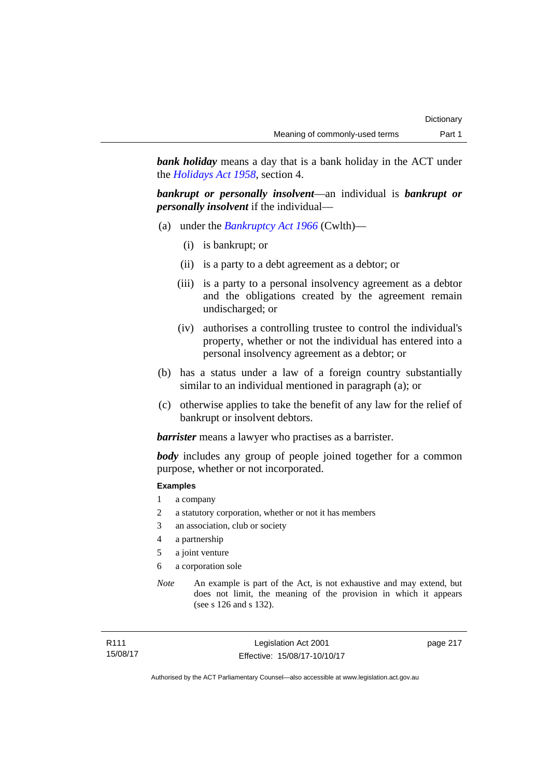*bank holiday* means a day that is a bank holiday in the ACT under the *[Holidays Act 1958](http://www.legislation.act.gov.au/a/1958-19)*, section 4.

*bankrupt or personally insolvent*—an individual is *bankrupt or personally insolvent* if the individual—

- (a) under the *[Bankruptcy Act 1966](http://www.comlaw.gov.au/Series/C2004A07422)* (Cwlth)—
	- (i) is bankrupt; or
	- (ii) is a party to a debt agreement as a debtor; or
	- (iii) is a party to a personal insolvency agreement as a debtor and the obligations created by the agreement remain undischarged; or
	- (iv) authorises a controlling trustee to control the individual's property, whether or not the individual has entered into a personal insolvency agreement as a debtor; or
- (b) has a status under a law of a foreign country substantially similar to an individual mentioned in paragraph (a); or
- (c) otherwise applies to take the benefit of any law for the relief of bankrupt or insolvent debtors.

*barrister* means a lawyer who practises as a barrister.

*body* includes any group of people joined together for a common purpose, whether or not incorporated.

### **Examples**

- 1 a company
- 2 a statutory corporation, whether or not it has members
- 3 an association, club or society
- 4 a partnership
- 5 a joint venture
- 6 a corporation sole
- *Note* An example is part of the Act, is not exhaustive and may extend, but does not limit, the meaning of the provision in which it appears (see s 126 and s 132).

page 217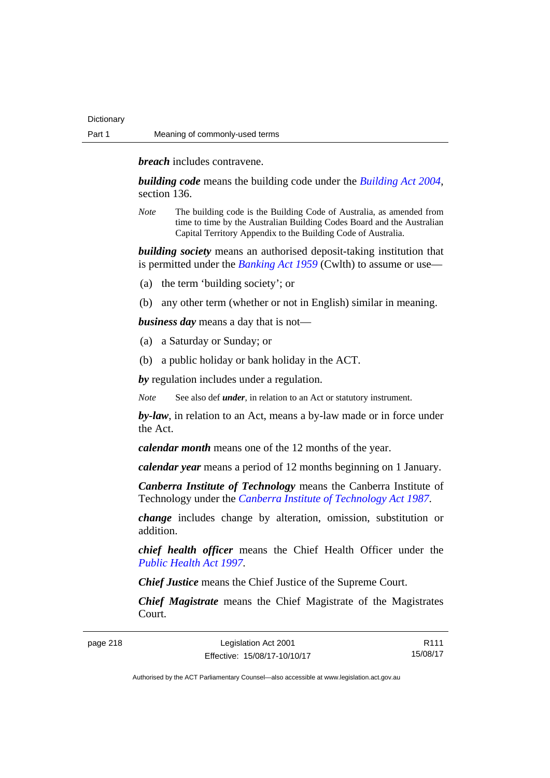*breach* includes contravene.

*building code* means the building code under the *[Building Act 2004](http://www.legislation.act.gov.au/a/2004-11)*, section 136.

*Note* The building code is the Building Code of Australia, as amended from time to time by the Australian Building Codes Board and the Australian Capital Territory Appendix to the Building Code of Australia.

*building society* means an authorised deposit-taking institution that is permitted under the *[Banking Act 1959](http://www.comlaw.gov.au/Series/C2004A07357)* (Cwlth) to assume or use—

- (a) the term 'building society'; or
- (b) any other term (whether or not in English) similar in meaning.

*business day* means a day that is not—

- (a) a Saturday or Sunday; or
- (b) a public holiday or bank holiday in the ACT.

*by* regulation includes under a regulation.

*Note* See also def *under*, in relation to an Act or statutory instrument.

*by-law*, in relation to an Act, means a by-law made or in force under the Act.

*calendar month* means one of the 12 months of the year.

*calendar year* means a period of 12 months beginning on 1 January.

*Canberra Institute of Technology* means the Canberra Institute of Technology under the *[Canberra Institute of Technology Act 1987](http://www.legislation.act.gov.au/a/1987-71)*.

*change* includes change by alteration, omission, substitution or addition.

*chief health officer* means the Chief Health Officer under the *[Public Health Act 1997](http://www.legislation.act.gov.au/a/1997-69)*.

*Chief Justice* means the Chief Justice of the Supreme Court.

*Chief Magistrate* means the Chief Magistrate of the Magistrates Court.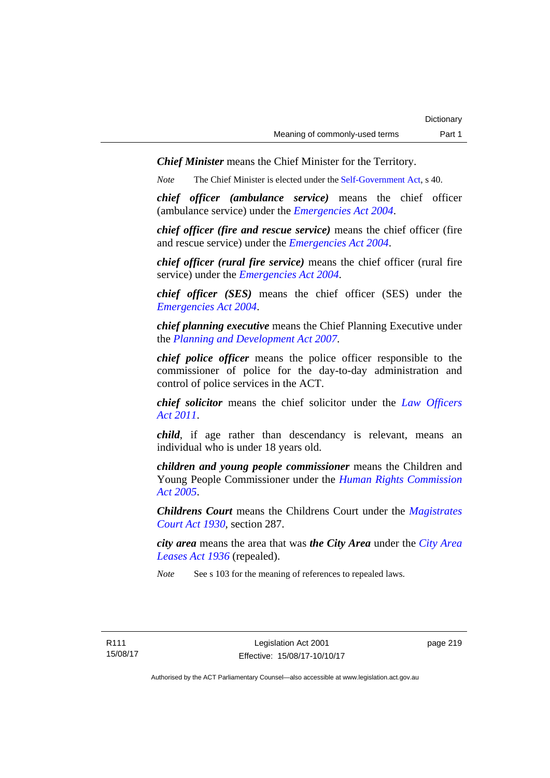*Chief Minister* means the Chief Minister for the Territory.

*Note* The Chief Minister is elected under the [Self-Government Act](http://www.comlaw.gov.au/Series/C2004A03699), s 40.

*chief officer (ambulance service)* means the chief officer (ambulance service) under the *[Emergencies Act 2004](http://www.legislation.act.gov.au/a/2004-28)*.

*chief officer (fire and rescue service)* means the chief officer (fire and rescue service) under the *[Emergencies Act 2004](http://www.legislation.act.gov.au/a/2004-28)*.

*chief officer (rural fire service)* means the chief officer (rural fire service) under the *[Emergencies Act 2004](http://www.legislation.act.gov.au/a/2004-28)*.

*chief officer (SES)* means the chief officer (SES) under the *[Emergencies Act 2004](http://www.legislation.act.gov.au/a/2004-28)*.

*chief planning executive* means the Chief Planning Executive under the *[Planning and Development Act 2007](http://www.legislation.act.gov.au/a/2007-24)*.

*chief police officer* means the police officer responsible to the commissioner of police for the day-to-day administration and control of police services in the ACT.

*chief solicitor* means the chief solicitor under the *[Law Officers](http://www.legislation.act.gov.au/a/2011-30)  [Act 2011](http://www.legislation.act.gov.au/a/2011-30)*.

*child*, if age rather than descendancy is relevant, means an individual who is under 18 years old.

*children and young people commissioner* means the Children and Young People Commissioner under the *[Human Rights Commission](http://www.legislation.act.gov.au/a/2005-40)  [Act 2005](http://www.legislation.act.gov.au/a/2005-40)*.

*Childrens Court* means the Childrens Court under the *[Magistrates](http://www.legislation.act.gov.au/a/1930-21)  [Court Act 1930](http://www.legislation.act.gov.au/a/1930-21)*, section 287.

*city area* means the area that was *the City Area* under the *[City Area](http://www.legislation.act.gov.au/a/1936-31)  [Leases Act 1936](http://www.legislation.act.gov.au/a/1936-31)* (repealed).

*Note* See s 103 for the meaning of references to repealed laws.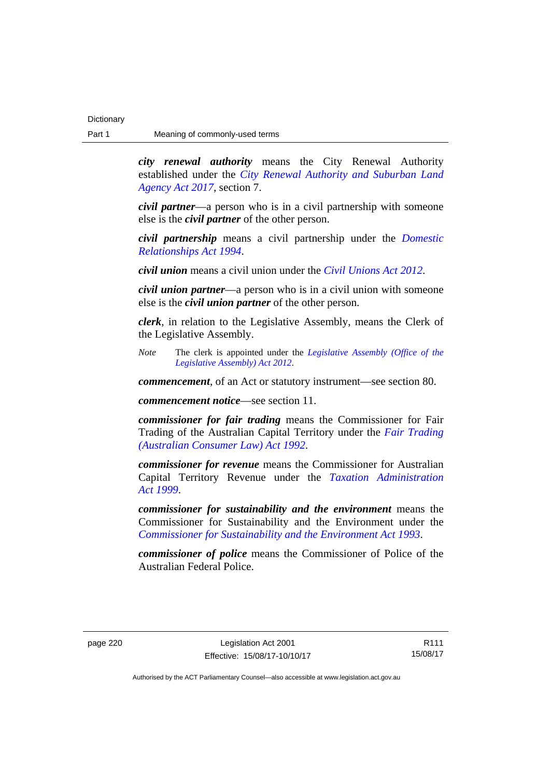*city renewal authority* means the City Renewal Authority established under the *[City Renewal Authority and Suburban Land](http://www.legislation.act.gov.au/a/2017-12/default.asp)  [Agency Act 2017](http://www.legislation.act.gov.au/a/2017-12/default.asp)*, section 7.

*civil partner*—a person who is in a civil partnership with someone else is the *civil partner* of the other person.

*civil partnership* means a civil partnership under the *[Domestic](http://www.legislation.act.gov.au/a/1994-28)  [Relationships Act 1994](http://www.legislation.act.gov.au/a/1994-28)*.

*civil union* means a civil union under the *[Civil Unions Act 2012](http://www.legislation.act.gov.au/a/2012-40)*.

*civil union partner*—a person who is in a civil union with someone else is the *civil union partner* of the other person.

*clerk*, in relation to the Legislative Assembly, means the Clerk of the Legislative Assembly.

*Note* The clerk is appointed under the *[Legislative Assembly \(Office of the](http://www.legislation.act.gov.au/a/2012-26)  [Legislative Assembly\) Act 2012](http://www.legislation.act.gov.au/a/2012-26)*.

*commencement*, of an Act or statutory instrument—see section 80.

*commencement notice*—see section 11.

*commissioner for fair trading* means the Commissioner for Fair Trading of the Australian Capital Territory under the *[Fair Trading](http://www.legislation.act.gov.au/a/1992-72)  [\(Australian Consumer Law\) Act 1992](http://www.legislation.act.gov.au/a/1992-72)*.

*commissioner for revenue* means the Commissioner for Australian Capital Territory Revenue under the *[Taxation Administration](http://www.legislation.act.gov.au/a/1999-4)  [Act 1999](http://www.legislation.act.gov.au/a/1999-4)*.

*commissioner for sustainability and the environment* means the Commissioner for Sustainability and the Environment under the *[Commissioner for Sustainability and the Environment Act 1993](http://www.legislation.act.gov.au/a/1993-37)*.

*commissioner of police* means the Commissioner of Police of the Australian Federal Police.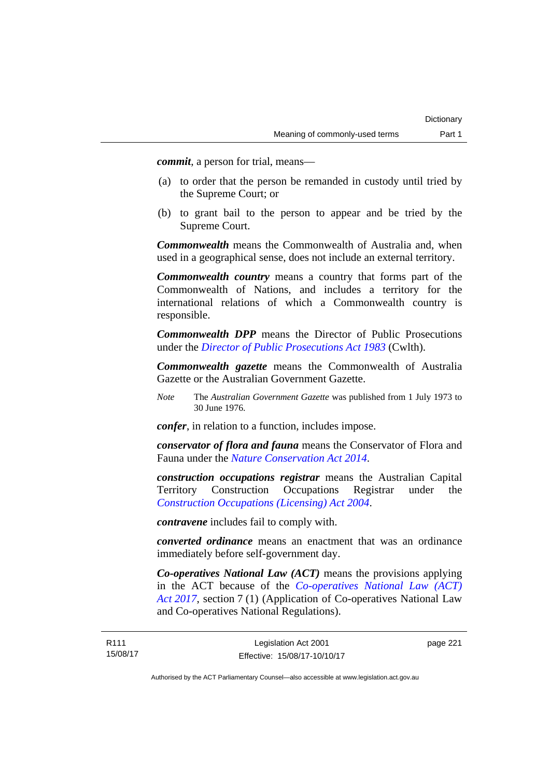*commit*, a person for trial, means—

- (a) to order that the person be remanded in custody until tried by the Supreme Court; or
- (b) to grant bail to the person to appear and be tried by the Supreme Court.

*Commonwealth* means the Commonwealth of Australia and, when used in a geographical sense, does not include an external territory.

*Commonwealth country* means a country that forms part of the Commonwealth of Nations, and includes a territory for the international relations of which a Commonwealth country is responsible.

*Commonwealth DPP* means the Director of Public Prosecutions under the *[Director of Public Prosecutions Act 1983](http://www.comlaw.gov.au/Series/C2004A02830)* (Cwlth).

*Commonwealth gazette* means the Commonwealth of Australia Gazette or the Australian Government Gazette.

*Note* The *Australian Government Gazette* was published from 1 July 1973 to 30 June 1976.

*confer*, in relation to a function, includes impose.

*conservator of flora and fauna* means the Conservator of Flora and Fauna under the *[Nature Conservation Act 2014](http://www.legislation.act.gov.au/a/2014-59)*.

*construction occupations registrar* means the Australian Capital Territory Construction Occupations Registrar under the *[Construction Occupations \(Licensing\) Act 2004](http://www.legislation.act.gov.au/a/2004-12)*.

*contravene* includes fail to comply with.

*converted ordinance* means an enactment that was an ordinance immediately before self-government day.

*Co-operatives National Law (ACT)* means the provisions applying in the ACT because of the *[Co-operatives National Law \(ACT\)](http://www.legislation.act.gov.au/a/2017-8/default.asp)  [Act 2017](http://www.legislation.act.gov.au/a/2017-8/default.asp)*, section 7 (1) (Application of Co-operatives National Law and Co-operatives National Regulations).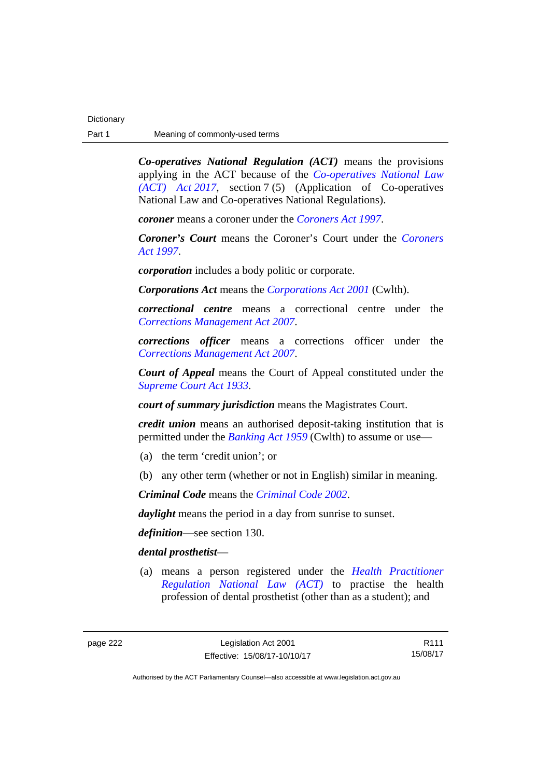*Co-operatives National Regulation (ACT)* means the provisions applying in the ACT because of the *[Co-operatives National Law](http://www.legislation.act.gov.au/a/2017-8/default.asp)  [\(ACT\) Act 2017](http://www.legislation.act.gov.au/a/2017-8/default.asp)*, section 7 (5) (Application of Co-operatives National Law and Co-operatives National Regulations).

*coroner* means a coroner under the *[Coroners Act 1997](http://www.legislation.act.gov.au/a/1997-57)*.

*Coroner's Court* means the Coroner's Court under the *[Coroners](http://www.legislation.act.gov.au/a/1997-57)  [Act 1997](http://www.legislation.act.gov.au/a/1997-57)*.

*corporation* includes a body politic or corporate.

*Corporations Act* means the *[Corporations Act 2001](http://www.comlaw.gov.au/Series/C2004A00818)* (Cwlth).

*correctional centre* means a correctional centre under the *[Corrections Management Act 2007](http://www.legislation.act.gov.au/a/2007-15)*.

*corrections officer* means a corrections officer under the *[Corrections Management Act 2007](http://www.legislation.act.gov.au/a/2007-15)*.

*Court of Appeal* means the Court of Appeal constituted under the *[Supreme Court Act 1933](http://www.legislation.act.gov.au/a/1933-34)*.

*court of summary jurisdiction* means the Magistrates Court.

*credit union* means an authorised deposit-taking institution that is permitted under the *[Banking Act 1959](http://www.comlaw.gov.au/Series/C2004A07357)* (Cwlth) to assume or use—

- (a) the term 'credit union'; or
- (b) any other term (whether or not in English) similar in meaning.

*Criminal Code* means the *[Criminal Code 2002](http://www.legislation.act.gov.au/a/2002-51)*.

*daylight* means the period in a day from sunrise to sunset.

*definition*—see section 130.

## *dental prosthetist*—

 (a) means a person registered under the *[Health Practitioner](http://www.legislation.act.gov.au/a/db_39269/default.asp)  [Regulation National Law \(ACT\)](http://www.legislation.act.gov.au/a/db_39269/default.asp)* to practise the health profession of dental prosthetist (other than as a student); and

R111 15/08/17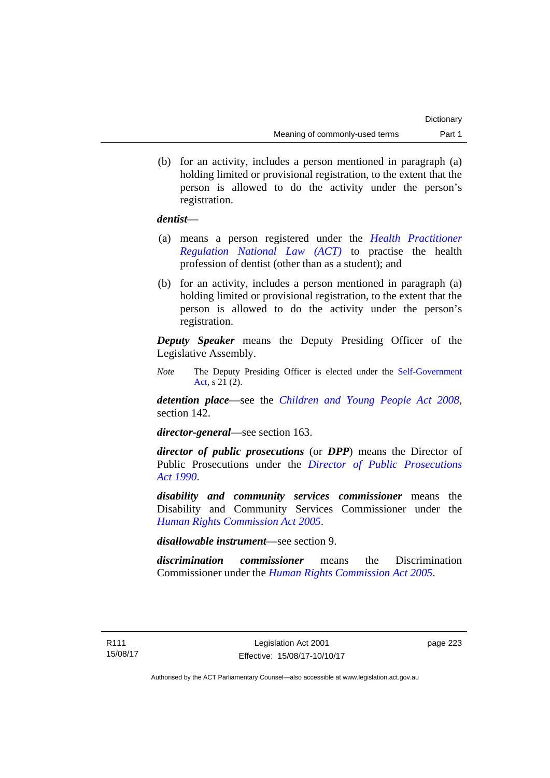(b) for an activity, includes a person mentioned in paragraph (a) holding limited or provisional registration, to the extent that the person is allowed to do the activity under the person's registration.

## *dentist*—

- (a) means a person registered under the *[Health Practitioner](http://www.legislation.act.gov.au/a/db_39269/default.asp)  [Regulation National Law \(ACT\)](http://www.legislation.act.gov.au/a/db_39269/default.asp)* to practise the health profession of dentist (other than as a student); and
- (b) for an activity, includes a person mentioned in paragraph (a) holding limited or provisional registration, to the extent that the person is allowed to do the activity under the person's registration.

*Deputy Speaker* means the Deputy Presiding Officer of the Legislative Assembly.

*Note* The Deputy Presiding Officer is elected under the [Self-Government](http://www.comlaw.gov.au/Series/C2004A03699)  [Act](http://www.comlaw.gov.au/Series/C2004A03699), s 21 (2).

*detention place*—see the *[Children and Young People Act 2008](http://www.legislation.act.gov.au/a/2008-19)*, section 142.

*director-general*—see section 163.

*director of public prosecutions* (or *DPP*) means the Director of Public Prosecutions under the *[Director of Public Prosecutions](http://www.legislation.act.gov.au/a/1990-22)  [Act 1990](http://www.legislation.act.gov.au/a/1990-22)*.

*disability and community services commissioner* means the Disability and Community Services Commissioner under the *[Human Rights Commission Act 2005](http://www.legislation.act.gov.au/a/2005-40)*.

*disallowable instrument*—see section 9.

*discrimination commissioner* means the Discrimination Commissioner under the *[Human Rights Commission Act 2005](http://www.legislation.act.gov.au/a/2005-40)*.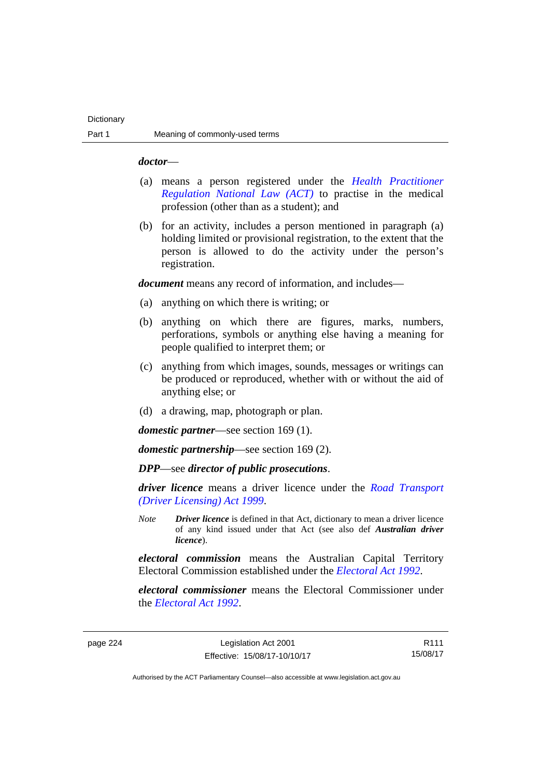### *doctor*—

- (a) means a person registered under the *[Health Practitioner](http://www.legislation.act.gov.au/a/db_39269/default.asp)  [Regulation National Law \(ACT\)](http://www.legislation.act.gov.au/a/db_39269/default.asp)* to practise in the medical profession (other than as a student); and
- (b) for an activity, includes a person mentioned in paragraph (a) holding limited or provisional registration, to the extent that the person is allowed to do the activity under the person's registration.

*document* means any record of information, and includes—

- (a) anything on which there is writing; or
- (b) anything on which there are figures, marks, numbers, perforations, symbols or anything else having a meaning for people qualified to interpret them; or
- (c) anything from which images, sounds, messages or writings can be produced or reproduced, whether with or without the aid of anything else; or
- (d) a drawing, map, photograph or plan.

*domestic partner*—see section 169 (1).

*domestic partnership*—see section 169 (2).

*DPP*—see *director of public prosecutions*.

*driver licence* means a driver licence under the *[Road Transport](http://www.legislation.act.gov.au/a/1999-78)  [\(Driver Licensing\) Act 1999](http://www.legislation.act.gov.au/a/1999-78)*.

*Note Driver licence* is defined in that Act, dictionary to mean a driver licence of any kind issued under that Act (see also def *Australian driver licence*).

*electoral commission* means the Australian Capital Territory Electoral Commission established under the *[Electoral Act 1992](http://www.legislation.act.gov.au/a/1992-71)*.

*electoral commissioner* means the Electoral Commissioner under the *[Electoral Act 1992](http://www.legislation.act.gov.au/a/1992-71)*.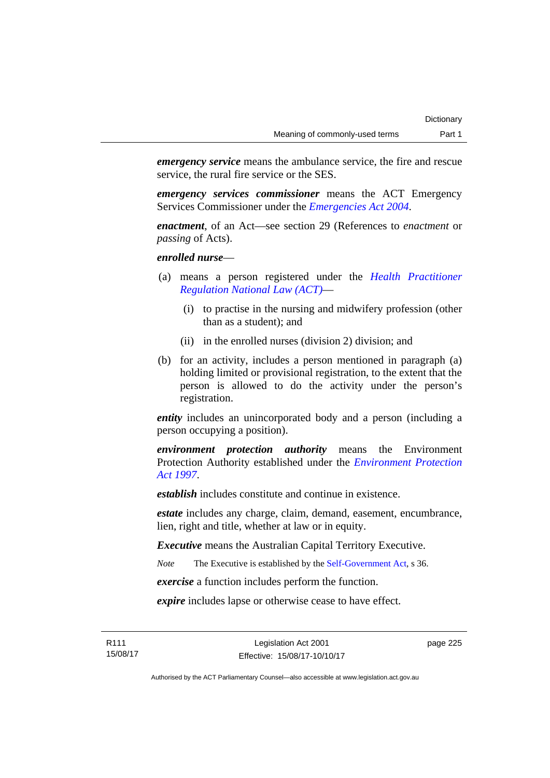*emergency service* means the ambulance service, the fire and rescue service, the rural fire service or the SES.

*emergency services commissioner* means the ACT Emergency Services Commissioner under the *[Emergencies Act 2004](http://www.legislation.act.gov.au/a/2004-28)*.

*enactment*, of an Act—see section 29 (References to *enactment* or *passing* of Acts).

*enrolled nurse*—

- (a) means a person registered under the *[Health Practitioner](http://www.legislation.act.gov.au/a/db_39269/default.asp)  [Regulation National Law \(ACT\)](http://www.legislation.act.gov.au/a/db_39269/default.asp)*—
	- (i) to practise in the nursing and midwifery profession (other than as a student); and
	- (ii) in the enrolled nurses (division 2) division; and
- (b) for an activity, includes a person mentioned in paragraph (a) holding limited or provisional registration, to the extent that the person is allowed to do the activity under the person's registration.

*entity* includes an unincorporated body and a person (including a person occupying a position).

*environment protection authority* means the Environment Protection Authority established under the *[Environment Protection](http://www.legislation.act.gov.au/a/1997-92)  [Act 1997](http://www.legislation.act.gov.au/a/1997-92)*.

*establish* includes constitute and continue in existence.

*estate* includes any charge, claim, demand, easement, encumbrance, lien, right and title, whether at law or in equity.

*Executive* means the Australian Capital Territory Executive.

*Note* The Executive is established by the [Self-Government Act](http://www.comlaw.gov.au/Series/C2004A03699), s 36.

*exercise* a function includes perform the function.

*expire* includes lapse or otherwise cease to have effect.

R111 15/08/17 page 225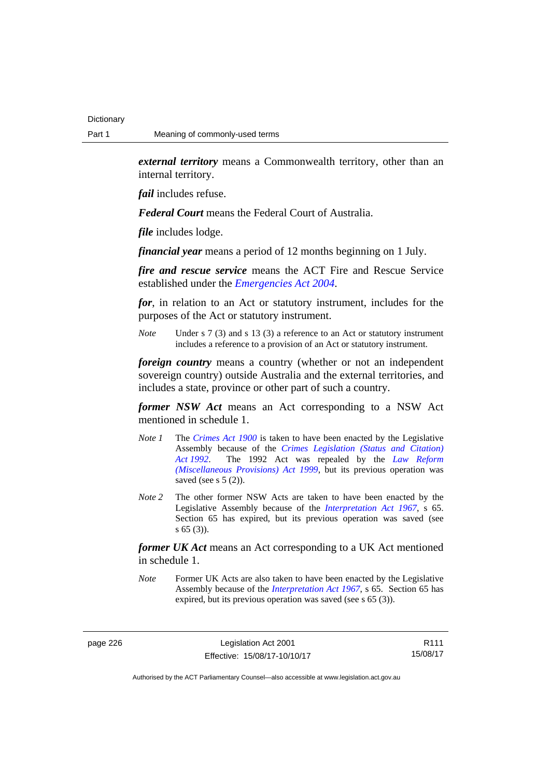*external territory* means a Commonwealth territory, other than an internal territory.

*fail* includes refuse.

*Federal Court* means the Federal Court of Australia.

*file* includes lodge.

*financial year* means a period of 12 months beginning on 1 July.

*fire and rescue service* means the ACT Fire and Rescue Service established under the *[Emergencies Act 2004](http://www.legislation.act.gov.au/a/2004-28)*.

*for*, in relation to an Act or statutory instrument, includes for the purposes of the Act or statutory instrument.

*Note* Under s 7 (3) and s 13 (3) a reference to an Act or statutory instrument includes a reference to a provision of an Act or statutory instrument.

*foreign country* means a country (whether or not an independent sovereign country) outside Australia and the external territories, and includes a state, province or other part of such a country.

*former NSW Act* means an Act corresponding to a NSW Act mentioned in schedule 1.

- *Note 1* The *[Crimes Act 1900](http://www.legislation.act.gov.au/a/1900-40)* is taken to have been enacted by the Legislative Assembly because of the *[Crimes Legislation \(Status and Citation\)](http://www.legislation.act.gov.au/a/1992-6)  [Act 1992](http://www.legislation.act.gov.au/a/1992-6)*. The 1992 Act was repealed by the *[Law Reform](http://www.legislation.act.gov.au/a/1999-66)  [\(Miscellaneous Provisions\) Act 1999](http://www.legislation.act.gov.au/a/1999-66)*, but its previous operation was saved (see s  $5(2)$ ).
- *Note 2* The other former NSW Acts are taken to have been enacted by the Legislative Assembly because of the *[Interpretation Act 1967](http://www.legislation.act.gov.au/a/1967-48)*, s 65. Section 65 has expired, but its previous operation was saved (see s 65 (3)).

*former UK Act* means an Act corresponding to a UK Act mentioned in schedule 1.

*Note* Former UK Acts are also taken to have been enacted by the Legislative Assembly because of the *[Interpretation Act 1967](http://www.legislation.act.gov.au/a/1967-48)*, s 65. Section 65 has expired, but its previous operation was saved (see s 65 (3)).

page 226 Legislation Act 2001 Effective: 15/08/17-10/10/17

R111 15/08/17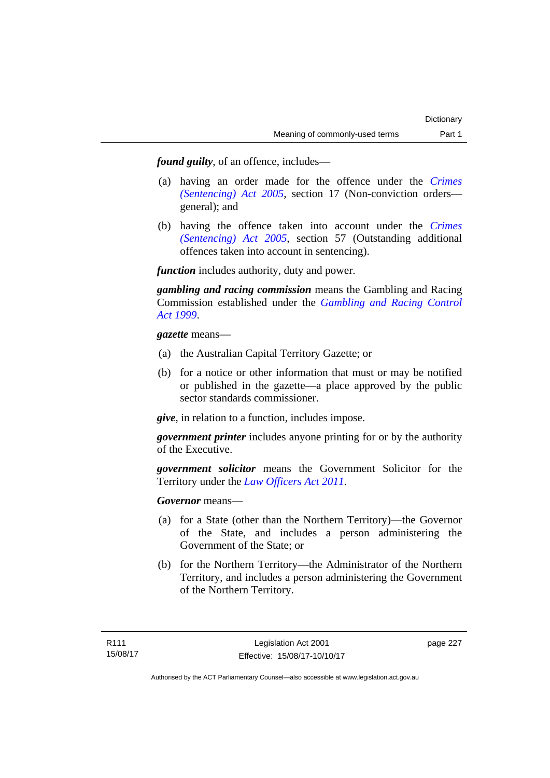*found guilty*, of an offence, includes—

- (a) having an order made for the offence under the *[Crimes](http://www.legislation.act.gov.au/a/2005-58)  [\(Sentencing\) Act 2005](http://www.legislation.act.gov.au/a/2005-58)*, section 17 (Non-conviction orders general); and
- (b) having the offence taken into account under the *[Crimes](http://www.legislation.act.gov.au/a/2005-58)  [\(Sentencing\) Act 2005](http://www.legislation.act.gov.au/a/2005-58)*, section 57 (Outstanding additional offences taken into account in sentencing).

*function* includes authority, duty and power.

*gambling and racing commission* means the Gambling and Racing Commission established under the *[Gambling and Racing Control](http://www.legislation.act.gov.au/a/1999-46)  [Act 1999](http://www.legislation.act.gov.au/a/1999-46)*.

*gazette* means—

- (a) the Australian Capital Territory Gazette; or
- (b) for a notice or other information that must or may be notified or published in the gazette—a place approved by the public sector standards commissioner.

*give*, in relation to a function, includes impose.

*government printer* includes anyone printing for or by the authority of the Executive.

*government solicitor* means the Government Solicitor for the Territory under the *[Law Officers Act 2011](http://www.legislation.act.gov.au/a/2011-30)*.

*Governor* means—

- (a) for a State (other than the Northern Territory)—the Governor of the State, and includes a person administering the Government of the State; or
- (b) for the Northern Territory—the Administrator of the Northern Territory, and includes a person administering the Government of the Northern Territory.

page 227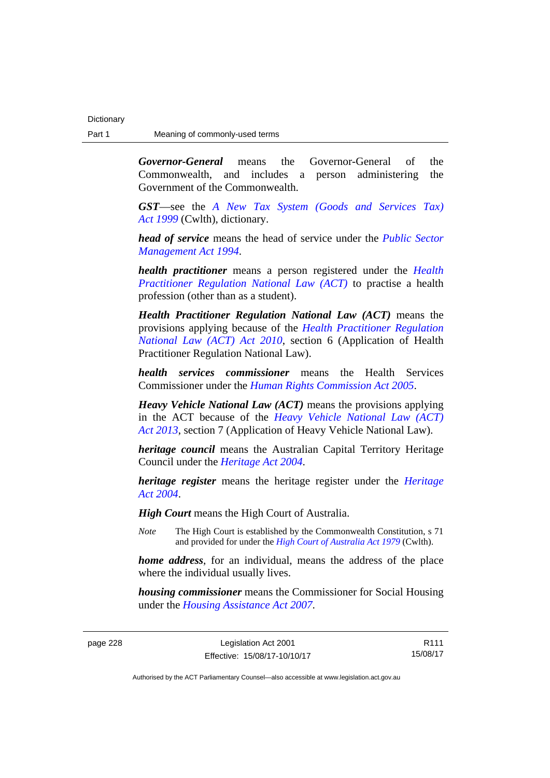*Governor-General* means the Governor-General of the Commonwealth, and includes a person administering the Government of the Commonwealth.

*GST*—see the *[A New Tax System \(Goods and Services Tax\)](http://www.comlaw.gov.au/Series/C2004A00446)  [Act 1999](http://www.comlaw.gov.au/Series/C2004A00446)* (Cwlth), dictionary.

*head of service* means the head of service under the *[Public Sector](http://www.legislation.act.gov.au/a/1994-37)  [Management Act 1994](http://www.legislation.act.gov.au/a/1994-37)*.

*health practitioner* means a person registered under the *[Health](http://www.legislation.act.gov.au/a/db_39269/default.asp)  [Practitioner Regulation National Law \(ACT\)](http://www.legislation.act.gov.au/a/db_39269/default.asp)* to practise a health profession (other than as a student).

*Health Practitioner Regulation National Law (ACT)* means the provisions applying because of the *[Health Practitioner Regulation](http://www.legislation.act.gov.au/a/2010-10)  [National Law \(ACT\) Act 2010](http://www.legislation.act.gov.au/a/2010-10)*, section 6 (Application of Health Practitioner Regulation National Law).

*health services commissioner* means the Health Services Commissioner under the *[Human Rights Commission Act 2005](http://www.legislation.act.gov.au/a/2005-40)*.

*Heavy Vehicle National Law (ACT)* means the provisions applying in the ACT because of the *[Heavy Vehicle National Law \(ACT\)](http://www.legislation.act.gov.au/a/2013-51/default.asp)  [Act 2013](http://www.legislation.act.gov.au/a/2013-51/default.asp)*, section 7 (Application of Heavy Vehicle National Law).

*heritage council* means the Australian Capital Territory Heritage Council under the *[Heritage Act 2004](http://www.legislation.act.gov.au/a/2004-57)*.

*heritage register* means the heritage register under the *[Heritage](http://www.legislation.act.gov.au/a/2004-57)  [Act 2004](http://www.legislation.act.gov.au/a/2004-57)*.

*High Court* means the High Court of Australia.

*Note* The High Court is established by the Commonwealth Constitution, s 71 and provided for under the *[High Court of Australia Act 1979](http://www.comlaw.gov.au/Series/C2004A02147)* (Cwlth).

*home address*, for an individual, means the address of the place where the individual usually lives.

*housing commissioner* means the Commissioner for Social Housing under the *[Housing Assistance Act 2007](http://www.legislation.act.gov.au/a/2007-8)*.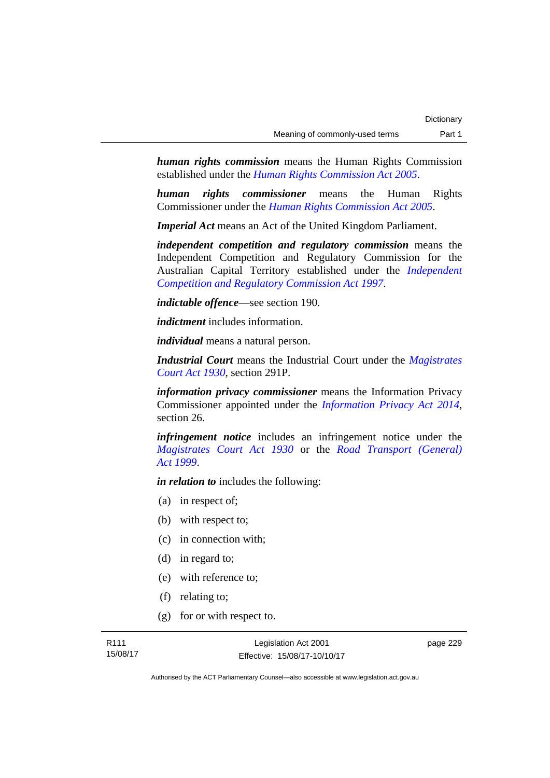*human rights commission* means the Human Rights Commission established under the *[Human Rights Commission Act 2005](http://www.legislation.act.gov.au/a/2005-40)*.

*human rights commissioner* means the Human Rights Commissioner under the *[Human Rights Commission Act 2005](http://www.legislation.act.gov.au/a/2005-40)*.

*Imperial Act* means an Act of the United Kingdom Parliament.

*independent competition and regulatory commission* means the Independent Competition and Regulatory Commission for the Australian Capital Territory established under the *[Independent](http://www.legislation.act.gov.au/a/1997-77)  [Competition and Regulatory Commission Act 1997](http://www.legislation.act.gov.au/a/1997-77)*.

*indictable offence*—see section 190.

*indictment* includes information.

*individual* means a natural person.

*Industrial Court* means the Industrial Court under the *[Magistrates](http://www.legislation.act.gov.au/a/1930-21)  [Court Act 1930](http://www.legislation.act.gov.au/a/1930-21)*, section 291P.

*information privacy commissioner* means the Information Privacy Commissioner appointed under the *[Information Privacy Act 2014](http://www.legislation.act.gov.au/a/2014-24/default.asp)*, section 26.

*infringement notice* includes an infringement notice under the *[Magistrates Court Act 1930](http://www.legislation.act.gov.au/a/1930-21)* or the *[Road Transport \(General\)](http://www.legislation.act.gov.au/a/1999-77)  [Act 1999](http://www.legislation.act.gov.au/a/1999-77)*.

*in relation to* includes the following:

- (a) in respect of;
- (b) with respect to;
- (c) in connection with;
- (d) in regard to;
- (e) with reference to;
- (f) relating to;
- (g) for or with respect to.

page 229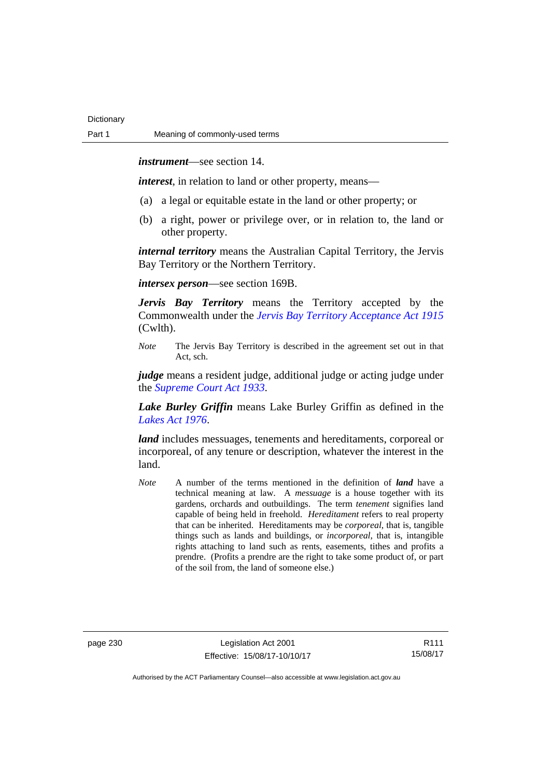*instrument*—see section 14.

*interest*, in relation to land or other property, means—

- (a) a legal or equitable estate in the land or other property; or
- (b) a right, power or privilege over, or in relation to, the land or other property.

*internal territory* means the Australian Capital Territory, the Jervis Bay Territory or the Northern Territory.

*intersex person*—see section 169B.

*Jervis Bay Territory* means the Territory accepted by the Commonwealth under the *[Jervis Bay Territory Acceptance Act 1915](http://www.comlaw.gov.au/Series/C2004A07489)* (Cwlth).

*Note* The Jervis Bay Territory is described in the agreement set out in that Act, sch.

*judge* means a resident judge, additional judge or acting judge under the *[Supreme Court Act 1933](http://www.legislation.act.gov.au/a/1933-34)*.

*Lake Burley Griffin* means Lake Burley Griffin as defined in the *[Lakes Act 1976](http://www.legislation.act.gov.au/a/1976-65)*.

*land* includes messuages, tenements and hereditaments, corporeal or incorporeal, of any tenure or description, whatever the interest in the land.

*Note* A number of the terms mentioned in the definition of *land* have a technical meaning at law. A *messuage* is a house together with its gardens, orchards and outbuildings. The term *tenement* signifies land capable of being held in freehold. *Hereditament* refers to real property that can be inherited. Hereditaments may be *corporeal*, that is, tangible things such as lands and buildings, or *incorporeal*, that is, intangible rights attaching to land such as rents, easements, tithes and profits a prendre. (Profits a prendre are the right to take some product of, or part of the soil from, the land of someone else.)

page 230 Legislation Act 2001 Effective: 15/08/17-10/10/17

R111 15/08/17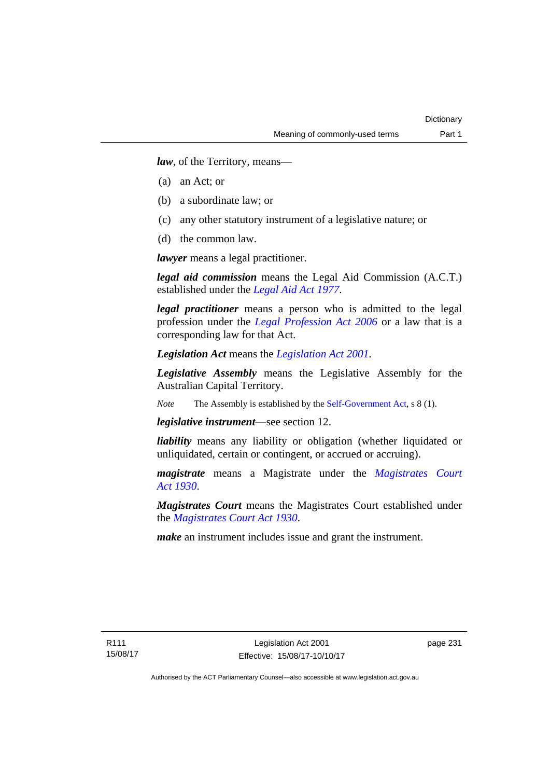*law*, of the Territory, means—

- (a) an Act; or
- (b) a subordinate law; or
- (c) any other statutory instrument of a legislative nature; or
- (d) the common law.

*lawyer* means a legal practitioner.

*legal aid commission* means the Legal Aid Commission (A.C.T.) established under the *[Legal Aid Act 1977](http://www.legislation.act.gov.au/a/1977-31)*.

*legal practitioner* means a person who is admitted to the legal profession under the *[Legal Profession Act 2006](http://www.legislation.act.gov.au/a/2006-25)* or a law that is a corresponding law for that Act.

*Legislation Act* means the *[Legislation Act 2001](http://www.legislation.act.gov.au/a/2001-14)*.

*Legislative Assembly* means the Legislative Assembly for the Australian Capital Territory.

*Note* The Assembly is established by the [Self-Government Act](http://www.comlaw.gov.au/Series/C2004A03699), s 8 (1).

*legislative instrument*—see section 12.

*liability* means any liability or obligation (whether liquidated or unliquidated, certain or contingent, or accrued or accruing).

*magistrate* means a Magistrate under the *Magistrates Court [Act 1930](http://www.legislation.act.gov.au/a/1930-21)*.

*Magistrates Court* means the Magistrates Court established under the *[Magistrates Court Act 1930](http://www.legislation.act.gov.au/a/1930-21)*.

*make* an instrument includes issue and grant the instrument.

page 231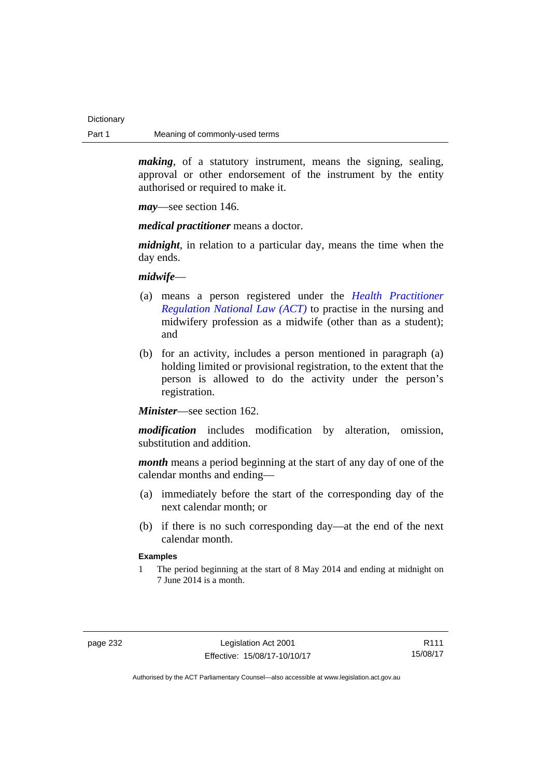*making*, of a statutory instrument, means the signing, sealing, approval or other endorsement of the instrument by the entity authorised or required to make it.

*may*—see section 146.

*medical practitioner* means a doctor.

*midnight*, in relation to a particular day, means the time when the day ends.

*midwife*—

- (a) means a person registered under the *[Health Practitioner](http://www.legislation.act.gov.au/a/db_39269/default.asp)  [Regulation National Law \(ACT\)](http://www.legislation.act.gov.au/a/db_39269/default.asp)* to practise in the nursing and midwifery profession as a midwife (other than as a student); and
- (b) for an activity, includes a person mentioned in paragraph (a) holding limited or provisional registration, to the extent that the person is allowed to do the activity under the person's registration.

*Minister*—see section 162.

*modification* includes modification by alteration, omission, substitution and addition.

*month* means a period beginning at the start of any day of one of the calendar months and ending—

- (a) immediately before the start of the corresponding day of the next calendar month; or
- (b) if there is no such corresponding day—at the end of the next calendar month.

## **Examples**

1 The period beginning at the start of 8 May 2014 and ending at midnight on 7 June 2014 is a month.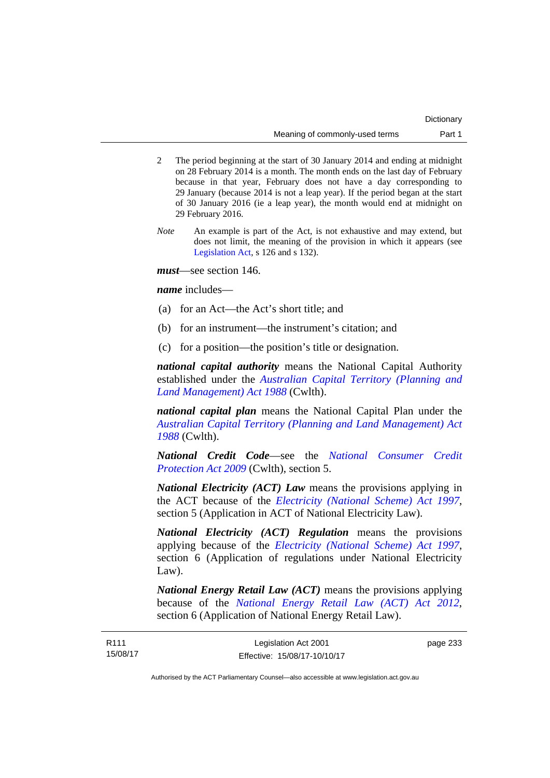- 2 The period beginning at the start of 30 January 2014 and ending at midnight on 28 February 2014 is a month. The month ends on the last day of February because in that year, February does not have a day corresponding to 29 January (because 2014 is not a leap year). If the period began at the start of 30 January 2016 (ie a leap year), the month would end at midnight on 29 February 2016.
- *Note* An example is part of the Act, is not exhaustive and may extend, but does not limit, the meaning of the provision in which it appears (see [Legislation Act,](http://www.legislation.act.gov.au/a/2001-14) s 126 and s 132).

*must*—see section 146.

*name* includes—

- (a) for an Act—the Act's short title; and
- (b) for an instrument—the instrument's citation; and
- (c) for a position—the position's title or designation.

*national capital authority* means the National Capital Authority established under the *[Australian Capital Territory \(Planning and](http://www.comlaw.gov.au/Series/C2004A03701)  [Land Management\) Act 1988](http://www.comlaw.gov.au/Series/C2004A03701)* (Cwlth).

*national capital plan* means the National Capital Plan under the *[Australian Capital Territory \(Planning and Land Management\) Act](http://www.comlaw.gov.au/Series/C2004A03701)  [1988](http://www.comlaw.gov.au/Series/C2004A03701)* (Cwlth).

*National Credit Code*—see the *[National Consumer Credit](http://www.comlaw.gov.au/Series/C2009A00134)  [Protection Act 2009](http://www.comlaw.gov.au/Series/C2009A00134)* (Cwlth), section 5.

*National Electricity (ACT) Law* means the provisions applying in the ACT because of the *[Electricity \(National Scheme\) Act 1997](http://www.legislation.act.gov.au/a/1997-79)*, section 5 (Application in ACT of National Electricity Law).

*National Electricity (ACT) Regulation* means the provisions applying because of the *[Electricity \(National Scheme\) Act 1997](http://www.legislation.act.gov.au/a/1997-79)*, section 6 (Application of regulations under National Electricity Law).

*National Energy Retail Law (ACT)* means the provisions applying because of the *[National Energy Retail Law \(ACT\) Act 2012](http://www.legislation.act.gov.au/a/2012-31)*, section 6 (Application of National Energy Retail Law).

page 233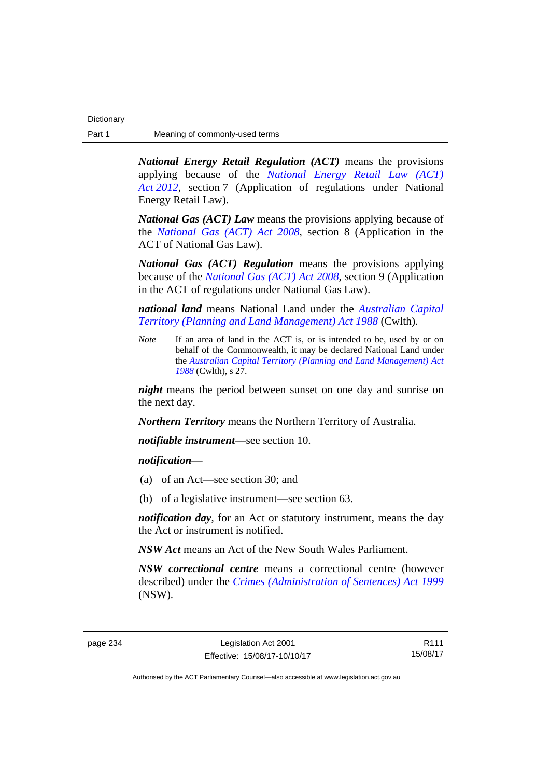*National Energy Retail Regulation (ACT)* means the provisions applying because of the *[National Energy Retail Law \(ACT\)](http://www.legislation.act.gov.au/a/2012-31)  [Act 2012](http://www.legislation.act.gov.au/a/2012-31)*, section 7 (Application of regulations under National Energy Retail Law).

*National Gas (ACT) Law* means the provisions applying because of the *[National Gas \(ACT\) Act 2008](http://www.legislation.act.gov.au/a/2008-15)*, section 8 (Application in the ACT of National Gas Law).

*National Gas (ACT) Regulation* means the provisions applying because of the *[National Gas \(ACT\) Act 2008](http://www.legislation.act.gov.au/a/2008-15)*, section 9 (Application in the ACT of regulations under National Gas Law).

*national land* means National Land under the *[Australian Capital](http://www.comlaw.gov.au/Series/C2004A03701)  [Territory \(Planning and Land Management\) Act 1988](http://www.comlaw.gov.au/Series/C2004A03701)* (Cwlth).

*Note* If an area of land in the ACT is, or is intended to be, used by or on behalf of the Commonwealth, it may be declared National Land under the *[Australian Capital Territory \(Planning and Land Management\) Act](http://www.comlaw.gov.au/Series/C2004A03701)  [1988](http://www.comlaw.gov.au/Series/C2004A03701)* (Cwlth), s 27.

*night* means the period between sunset on one day and sunrise on the next day.

*Northern Territory* means the Northern Territory of Australia.

*notifiable instrument*—see section 10.

*notification*—

- (a) of an Act—see section 30; and
- (b) of a legislative instrument—see section 63.

*notification day*, for an Act or statutory instrument, means the day the Act or instrument is notified.

*NSW Act* means an Act of the New South Wales Parliament.

*NSW correctional centre* means a correctional centre (however described) under the *[Crimes \(Administration of Sentences\) Act 1999](http://www.legislation.nsw.gov.au/maintop/view/inforce/act+93+1999+cd+0+N)* (NSW).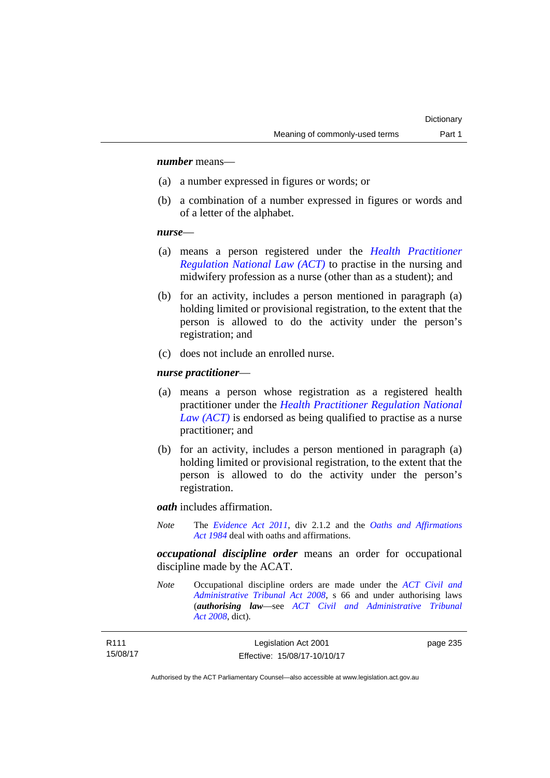## *number* means—

- (a) a number expressed in figures or words; or
- (b) a combination of a number expressed in figures or words and of a letter of the alphabet.

### *nurse*—

- (a) means a person registered under the *[Health Practitioner](http://www.legislation.act.gov.au/a/db_39269/default.asp)  [Regulation National Law \(ACT\)](http://www.legislation.act.gov.au/a/db_39269/default.asp)* to practise in the nursing and midwifery profession as a nurse (other than as a student); and
- (b) for an activity, includes a person mentioned in paragraph (a) holding limited or provisional registration, to the extent that the person is allowed to do the activity under the person's registration; and
- (c) does not include an enrolled nurse.

### *nurse practitioner*—

- (a) means a person whose registration as a registered health practitioner under the *[Health Practitioner Regulation National](http://www.legislation.act.gov.au/a/db_39269/default.asp)  [Law \(ACT\)](http://www.legislation.act.gov.au/a/db_39269/default.asp)* is endorsed as being qualified to practise as a nurse practitioner; and
- (b) for an activity, includes a person mentioned in paragraph (a) holding limited or provisional registration, to the extent that the person is allowed to do the activity under the person's registration.

*oath* includes affirmation.

*Note* The *[Evidence Act 2011](http://www.legislation.act.gov.au/a/2011-12)*, div 2.1.2 and the *[Oaths and Affirmations](http://www.legislation.act.gov.au/a/1984-79)  [Act 1984](http://www.legislation.act.gov.au/a/1984-79)* deal with oaths and affirmations.

*occupational discipline order* means an order for occupational discipline made by the ACAT.

*Note* Occupational discipline orders are made under the *[ACT Civil and](http://www.legislation.act.gov.au/a/2008-35)  [Administrative Tribunal Act 2008](http://www.legislation.act.gov.au/a/2008-35)*, s 66 and under authorising laws (*authorising law*—see *[ACT Civil and Administrative Tribunal](http://www.legislation.act.gov.au/a/2008-35)  [Act 2008](http://www.legislation.act.gov.au/a/2008-35)*, dict).

| R111     | Legislation Act 2001         | page 235 |
|----------|------------------------------|----------|
| 15/08/17 | Effective: 15/08/17-10/10/17 |          |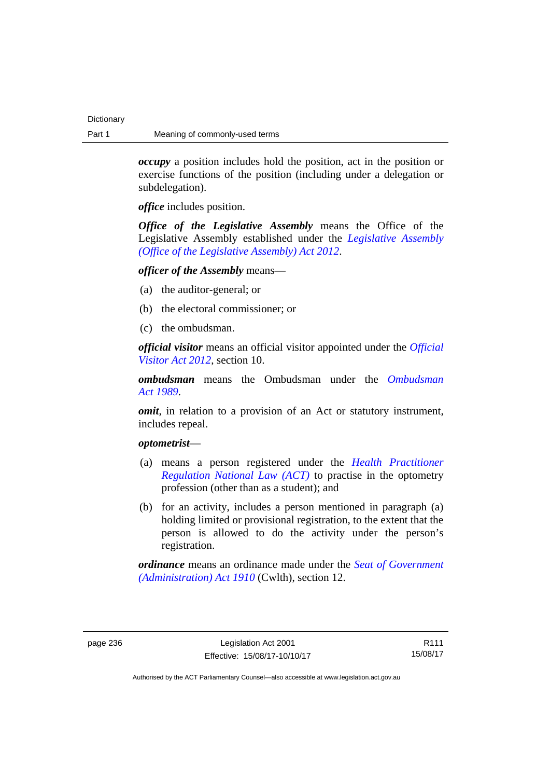*occupy* a position includes hold the position, act in the position or exercise functions of the position (including under a delegation or subdelegation).

*office* includes position.

*Office of the Legislative Assembly* means the Office of the Legislative Assembly established under the *[Legislative Assembly](http://www.legislation.act.gov.au/a/2012-26)  [\(Office of the Legislative Assembly\) Act 2012](http://www.legislation.act.gov.au/a/2012-26)*.

## *officer of the Assembly* means—

- (a) the auditor-general; or
- (b) the electoral commissioner; or
- (c) the ombudsman.

*official visitor* means an official visitor appointed under the *[Official](http://www.legislation.act.gov.au/a/2012-33)  [Visitor Act 2012](http://www.legislation.act.gov.au/a/2012-33)*, section 10.

*ombudsman* means the Ombudsman under the *[Ombudsman](http://www.legislation.act.gov.au/a/alt_a1989-45co)  [Act 1989](http://www.legislation.act.gov.au/a/alt_a1989-45co)*.

*omit*, in relation to a provision of an Act or statutory instrument, includes repeal.

## *optometrist*—

- (a) means a person registered under the *[Health Practitioner](http://www.legislation.act.gov.au/a/db_39269/default.asp)  [Regulation National Law \(ACT\)](http://www.legislation.act.gov.au/a/db_39269/default.asp)* to practise in the optometry profession (other than as a student); and
- (b) for an activity, includes a person mentioned in paragraph (a) holding limited or provisional registration, to the extent that the person is allowed to do the activity under the person's registration.

*ordinance* means an ordinance made under the *[Seat of Government](http://www.comlaw.gov.au/Series/C2004A07446)  [\(Administration\) Act 1910](http://www.comlaw.gov.au/Series/C2004A07446)* (Cwlth), section 12.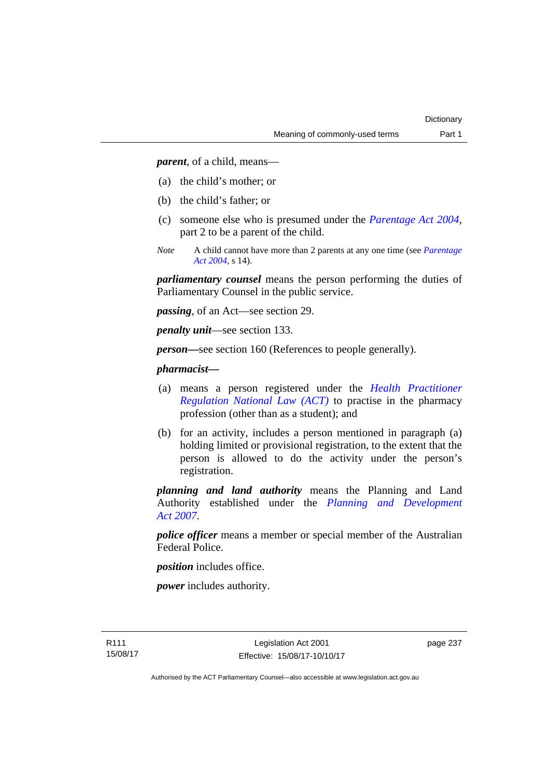*parent*, of a child, means—

- (a) the child's mother; or
- (b) the child's father; or
- (c) someone else who is presumed under the *[Parentage Act 2004](http://www.legislation.act.gov.au/a/2004-1)*, part 2 to be a parent of the child.
- *Note* A child cannot have more than 2 parents at any one time (see *[Parentage](http://www.legislation.act.gov.au/a/2004-1)  [Act 2004](http://www.legislation.act.gov.au/a/2004-1)*, s 14).

*parliamentary counsel* means the person performing the duties of Parliamentary Counsel in the public service.

*passing*, of an Act—see section 29.

*penalty unit*—see section 133.

*person—*see section 160 (References to people generally).

## *pharmacist***—**

- (a) means a person registered under the *[Health Practitioner](http://www.legislation.act.gov.au/a/db_39269/default.asp)  [Regulation National Law \(ACT\)](http://www.legislation.act.gov.au/a/db_39269/default.asp)* to practise in the pharmacy profession (other than as a student); and
- (b) for an activity, includes a person mentioned in paragraph (a) holding limited or provisional registration, to the extent that the person is allowed to do the activity under the person's registration.

*planning and land authority* means the Planning and Land Authority established under the *[Planning and Development](http://www.legislation.act.gov.au/a/2007-24)  [Act 2007](http://www.legislation.act.gov.au/a/2007-24)*.

*police officer* means a member or special member of the Australian Federal Police.

*position* includes office.

*power* includes authority.

page 237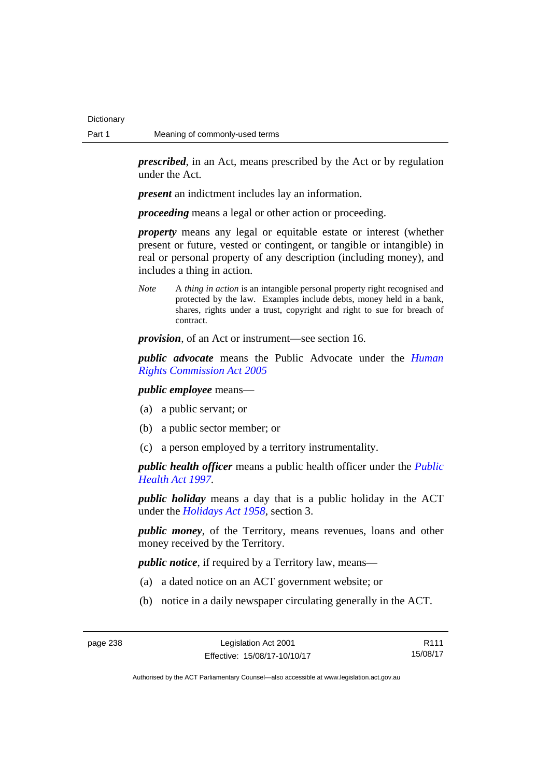*prescribed*, in an Act, means prescribed by the Act or by regulation under the Act.

*present* an indictment includes lay an information.

*proceeding* means a legal or other action or proceeding.

*property* means any legal or equitable estate or interest (whether present or future, vested or contingent, or tangible or intangible) in real or personal property of any description (including money), and includes a thing in action.

*Note* A *thing in action* is an intangible personal property right recognised and protected by the law. Examples include debts, money held in a bank, shares, rights under a trust, copyright and right to sue for breach of contract.

*provision*, of an Act or instrument—see section 16.

*public advocate* means the Public Advocate under the *[Human](http://www.legislation.act.gov.au/a/2005-40)  [Rights Commission Act 2005](http://www.legislation.act.gov.au/a/2005-40)*

*public employee* means—

- (a) a public servant; or
- (b) a public sector member; or
- (c) a person employed by a territory instrumentality.

*public health officer* means a public health officer under the *[Public](http://www.legislation.act.gov.au/a/1997-69)  [Health Act 1997.](http://www.legislation.act.gov.au/a/1997-69)*

*public holiday* means a day that is a public holiday in the ACT under the *[Holidays Act 1958](http://www.legislation.act.gov.au/a/1958-19)*, section 3.

*public money*, of the Territory, means revenues, loans and other money received by the Territory.

*public notice*, if required by a Territory law, means—

- (a) a dated notice on an ACT government website; or
- (b) notice in a daily newspaper circulating generally in the ACT.

R111 15/08/17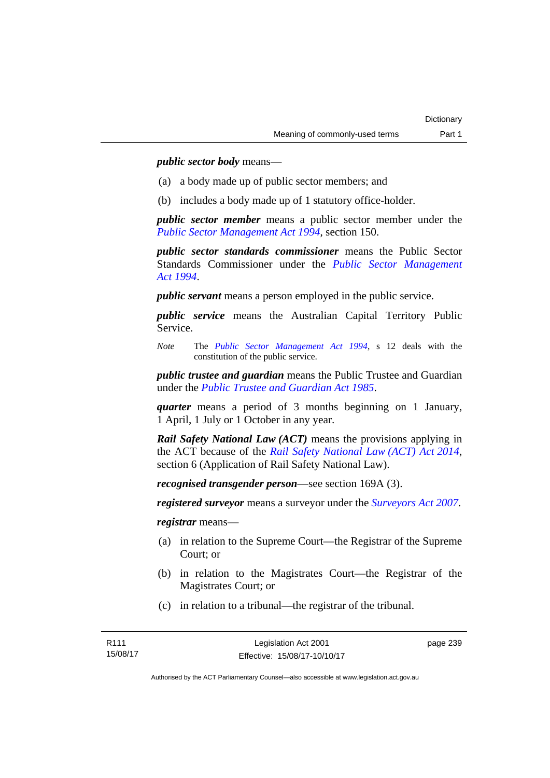*public sector body* means—

- (a) a body made up of public sector members; and
- (b) includes a body made up of 1 statutory office-holder.

*public sector member* means a public sector member under the *[Public Sector Management Act 1994](http://www.legislation.act.gov.au/a/1994-37)*, section 150.

*public sector standards commissioner* means the Public Sector Standards Commissioner under the *[Public Sector Management](http://www.legislation.act.gov.au/a/1994-37)  [Act 1994](http://www.legislation.act.gov.au/a/1994-37)*.

*public servant* means a person employed in the public service.

*public service* means the Australian Capital Territory Public Service.

*Note* The *[Public Sector Management Act 1994](http://www.legislation.act.gov.au/a/1994-37)*, s 12 deals with the constitution of the public service.

*public trustee and guardian* means the Public Trustee and Guardian under the *[Public Trustee and Guardian Act 1985](http://www.legislation.act.gov.au/a/1985-8/default.asp)*.

*quarter* means a period of 3 months beginning on 1 January, 1 April, 1 July or 1 October in any year.

*Rail Safety National Law (ACT)* means the provisions applying in the ACT because of the *[Rail Safety National Law \(ACT\) Act 2014](http://www.legislation.act.gov.au/a/2014-14)*, section 6 (Application of Rail Safety National Law).

*recognised transgender person*—see section 169A (3).

*registered surveyor* means a surveyor under the *[Surveyors Act 2007](http://www.legislation.act.gov.au/a/2007-33)*.

*registrar* means—

- (a) in relation to the Supreme Court—the Registrar of the Supreme Court; or
- (b) in relation to the Magistrates Court—the Registrar of the Magistrates Court; or
- (c) in relation to a tribunal—the registrar of the tribunal.

page 239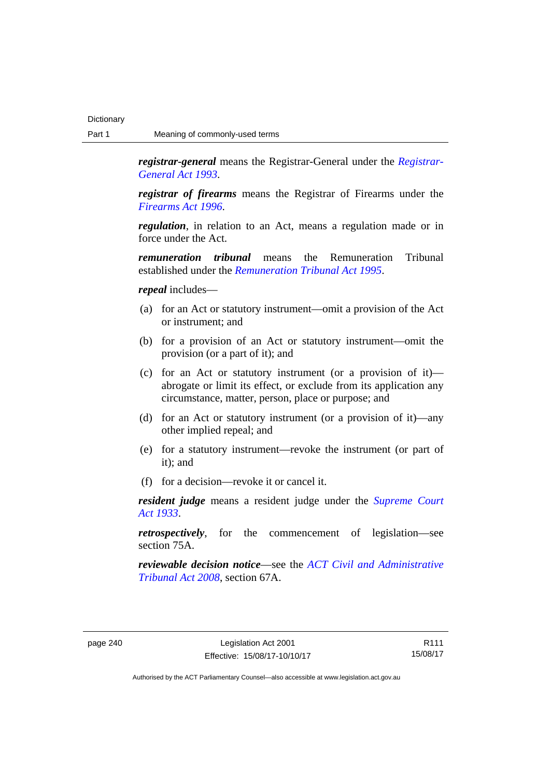*registrar-general* means the Registrar-General under the *[Registrar-](http://www.legislation.act.gov.au/a/1993-63)[General Act 1993](http://www.legislation.act.gov.au/a/1993-63)*.

*registrar of firearms* means the Registrar of Firearms under the *[Firearms Act 1996](http://www.legislation.act.gov.au/a/1996-74)*.

*regulation*, in relation to an Act, means a regulation made or in force under the Act.

*remuneration tribunal* means the Remuneration Tribunal established under the *[Remuneration Tribunal Act 1995](http://www.legislation.act.gov.au/a/1995-55)*.

### *repeal* includes—

- (a) for an Act or statutory instrument—omit a provision of the Act or instrument; and
- (b) for a provision of an Act or statutory instrument—omit the provision (or a part of it); and
- (c) for an Act or statutory instrument (or a provision of it) abrogate or limit its effect, or exclude from its application any circumstance, matter, person, place or purpose; and
- (d) for an Act or statutory instrument (or a provision of it)—any other implied repeal; and
- (e) for a statutory instrument—revoke the instrument (or part of it); and
- (f) for a decision—revoke it or cancel it.

*resident judge* means a resident judge under the *[Supreme Court](http://www.legislation.act.gov.au/a/1933-34)  [Act 1933](http://www.legislation.act.gov.au/a/1933-34)*.

*retrospectively*, for the commencement of legislation—see section 75A.

*reviewable decision notice*—see the *[ACT Civil and Administrative](http://www.legislation.act.gov.au/a/2008-35)  [Tribunal Act 2008](http://www.legislation.act.gov.au/a/2008-35)*, section 67A.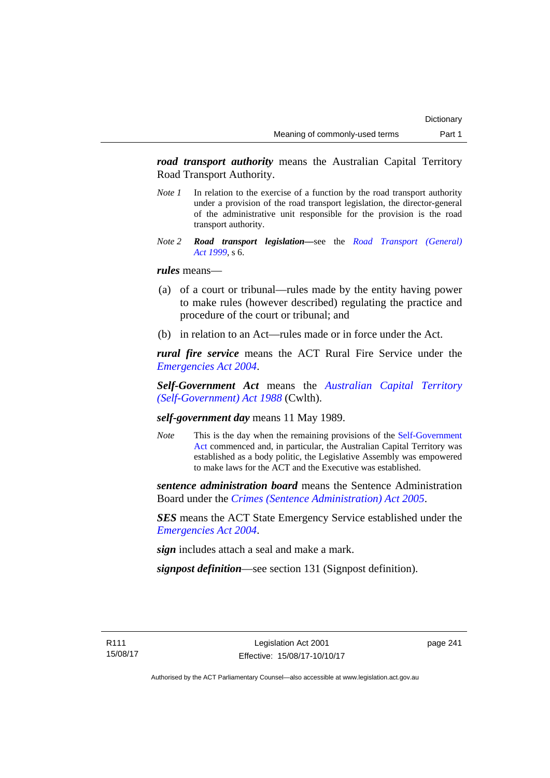*road transport authority* means the Australian Capital Territory Road Transport Authority.

- *Note 1* In relation to the exercise of a function by the road transport authority under a provision of the road transport legislation, the director-general of the administrative unit responsible for the provision is the road transport authority.
- *Note 2 Road transport legislation––*see the *[Road Transport \(General\)](http://www.legislation.act.gov.au/a/1999-77)  [Act 1999](http://www.legislation.act.gov.au/a/1999-77)*, s 6.

## *rules* means—

- (a) of a court or tribunal—rules made by the entity having power to make rules (however described) regulating the practice and procedure of the court or tribunal; and
- (b) in relation to an Act—rules made or in force under the Act.

*rural fire service* means the ACT Rural Fire Service under the *[Emergencies Act 2004](http://www.legislation.act.gov.au/a/2004-28)*.

*Self-Government Act* means the *[Australian Capital Territory](http://www.comlaw.gov.au/Series/C2004A03699)  [\(Self-Government\) Act 1988](http://www.comlaw.gov.au/Series/C2004A03699)* (Cwlth).

## *self-government day* means 11 May 1989.

*Note* This is the day when the remaining provisions of the Self-Government [Act](http://www.comlaw.gov.au/Series/C2004A03699) commenced and, in particular, the Australian Capital Territory was established as a body politic, the Legislative Assembly was empowered to make laws for the ACT and the Executive was established.

*sentence administration board* means the Sentence Administration Board under the *[Crimes \(Sentence Administration\) Act 2005](http://www.legislation.act.gov.au/a/2005-59)*.

*SES* means the ACT State Emergency Service established under the *[Emergencies Act 2004](http://www.legislation.act.gov.au/a/2004-28)*.

*sign* includes attach a seal and make a mark.

*signpost definition*—see section 131 (Signpost definition).

page 241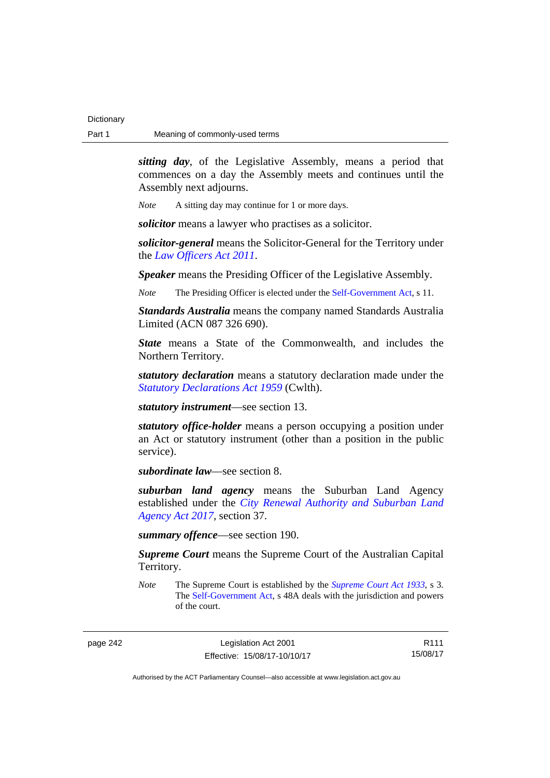*sitting day*, of the Legislative Assembly, means a period that commences on a day the Assembly meets and continues until the Assembly next adjourns.

*Note* A sitting day may continue for 1 or more days.

*solicitor* means a lawyer who practises as a solicitor.

*solicitor-general* means the Solicitor-General for the Territory under the *[Law Officers Act 2011](http://www.legislation.act.gov.au/a/2011-30)*.

*Speaker* means the Presiding Officer of the Legislative Assembly.

*Note* The Presiding Officer is elected under the [Self-Government Act,](http://www.comlaw.gov.au/Series/C2004A03699) s 11.

*Standards Australia* means the company named Standards Australia Limited (ACN 087 326 690).

*State* means a State of the Commonwealth, and includes the Northern Territory.

*statutory declaration* means a statutory declaration made under the *[Statutory Declarations Act 1959](http://www.comlaw.gov.au/Series/C2004A07365)* (Cwlth).

*statutory instrument*—see section 13.

*statutory office-holder* means a person occupying a position under an Act or statutory instrument (other than a position in the public service).

*subordinate law*—see section 8.

*suburban land agency* means the Suburban Land Agency established under the *[City Renewal Authority and Suburban Land](http://www.legislation.act.gov.au/a/2017-12/default.asp)  [Agency Act 2017](http://www.legislation.act.gov.au/a/2017-12/default.asp)*, section 37.

*summary offence*—see section 190.

*Supreme Court* means the Supreme Court of the Australian Capital Territory.

*Note* The Supreme Court is established by the *[Supreme Court Act 1933](http://www.legislation.act.gov.au/a/1933-34)*, s 3. The [Self-Government Act](http://www.comlaw.gov.au/Series/C2004A03699), s 48A deals with the jurisdiction and powers of the court.

page 242 Legislation Act 2001 Effective: 15/08/17-10/10/17

R111 15/08/17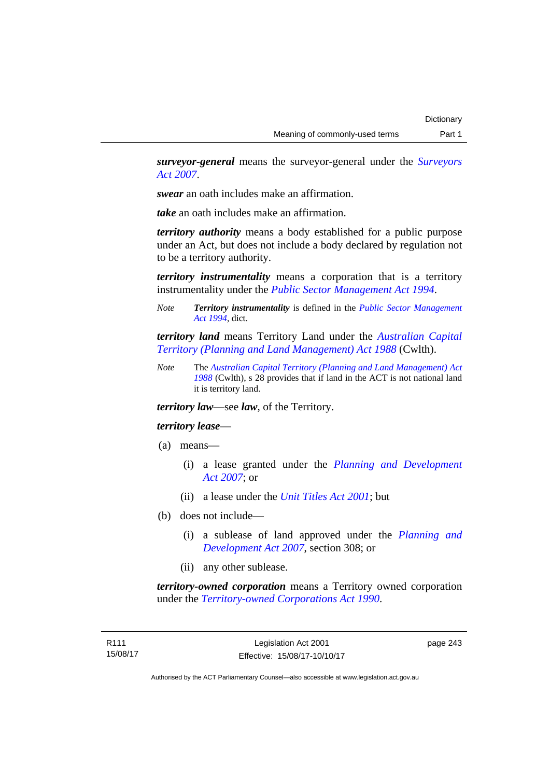*surveyor-general* means the surveyor-general under the *[Surveyors](http://www.legislation.act.gov.au/a/2007-33)  [Act 2007](http://www.legislation.act.gov.au/a/2007-33)*.

*swear* an oath includes make an affirmation.

*take* an oath includes make an affirmation.

*territory authority* means a body established for a public purpose under an Act, but does not include a body declared by regulation not to be a territory authority.

*territory instrumentality* means a corporation that is a territory instrumentality under the *[Public Sector Management Act 1994](http://www.legislation.act.gov.au/a/1994-37)*.

*Note Territory instrumentality* is defined in the *[Public Sector Management](http://www.legislation.act.gov.au/a/1994-37)  [Act 1994](http://www.legislation.act.gov.au/a/1994-37)*, dict.

*territory land* means Territory Land under the *[Australian Capital](http://www.comlaw.gov.au/Series/C2004A03701)  [Territory \(Planning and Land Management\) Act 1988](http://www.comlaw.gov.au/Series/C2004A03701)* (Cwlth).

*Note* The *[Australian Capital Territory \(Planning and Land Management\) Act](http://www.comlaw.gov.au/Series/C2004A03701)  [1988](http://www.comlaw.gov.au/Series/C2004A03701)* (Cwlth), s 28 provides that if land in the ACT is not national land it is territory land.

*territory law*—see *law*, of the Territory.

## *territory lease*—

- (a) means—
	- (i) a lease granted under the *[Planning and Development](http://www.legislation.act.gov.au/a/2007-24)  [Act 2007](http://www.legislation.act.gov.au/a/2007-24)*; or
	- (ii) a lease under the *[Unit Titles Act 2001](http://www.legislation.act.gov.au/a/2001-16)*; but
- (b) does not include—
	- (i) a sublease of land approved under the *[Planning and](http://www.legislation.act.gov.au/a/2007-24)  [Development Act 2007](http://www.legislation.act.gov.au/a/2007-24)*, section 308; or
	- (ii) any other sublease.

*territory-owned corporation* means a Territory owned corporation under the *[Territory-owned Corporations Act 1990](http://www.legislation.act.gov.au/a/1990-53)*.

page 243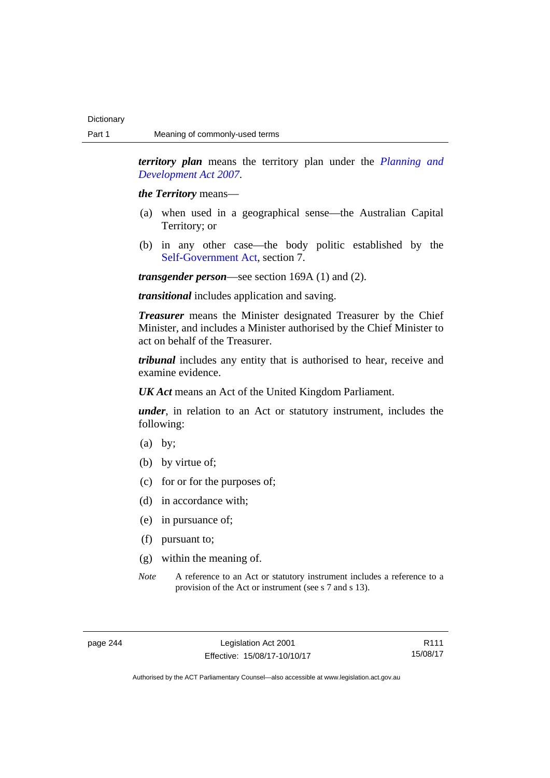*territory plan* means the territory plan under the *[Planning and](http://www.legislation.act.gov.au/a/2007-24)  [Development Act 2007](http://www.legislation.act.gov.au/a/2007-24)*.

*the Territory* means—

- (a) when used in a geographical sense—the Australian Capital Territory; or
- (b) in any other case—the body politic established by the [Self-Government Act,](http://www.comlaw.gov.au/Series/C2004A03699) section 7.

*transgender person*—see section 169A (1) and (2).

*transitional* includes application and saving.

*Treasurer* means the Minister designated Treasurer by the Chief Minister, and includes a Minister authorised by the Chief Minister to act on behalf of the Treasurer.

*tribunal* includes any entity that is authorised to hear, receive and examine evidence.

*UK Act* means an Act of the United Kingdom Parliament.

*under*, in relation to an Act or statutory instrument, includes the following:

- (a) by;
- (b) by virtue of;
- (c) for or for the purposes of;
- (d) in accordance with;
- (e) in pursuance of;
- (f) pursuant to;
- (g) within the meaning of.
- *Note* A reference to an Act or statutory instrument includes a reference to a provision of the Act or instrument (see s 7 and s 13).

R111 15/08/17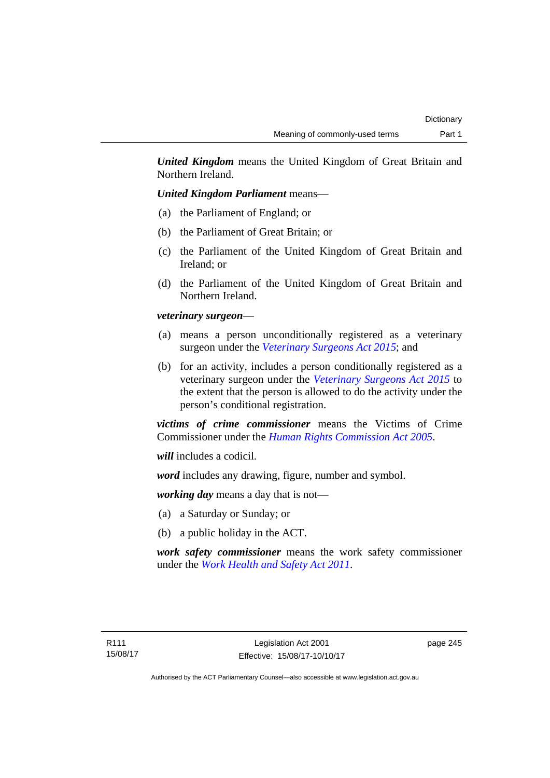*United Kingdom* means the United Kingdom of Great Britain and Northern Ireland.

## *United Kingdom Parliament* means—

- (a) the Parliament of England; or
- (b) the Parliament of Great Britain; or
- (c) the Parliament of the United Kingdom of Great Britain and Ireland; or
- (d) the Parliament of the United Kingdom of Great Britain and Northern Ireland.

## *veterinary surgeon*—

- (a) means a person unconditionally registered as a veterinary surgeon under the *[Veterinary Surgeons Act 2015](http://www.legislation.act.gov.au/a/2015-29)*; and
- (b) for an activity, includes a person conditionally registered as a veterinary surgeon under the *[Veterinary Surgeons Act 2015](http://www.legislation.act.gov.au/a/2015-29)* to the extent that the person is allowed to do the activity under the person's conditional registration.

*victims of crime commissioner* means the Victims of Crime Commissioner under the *[Human Rights Commission Act 2005](http://www.legislation.act.gov.au/a/2005-40)*.

*will* includes a codicil.

*word* includes any drawing, figure, number and symbol.

*working day* means a day that is not—

- (a) a Saturday or Sunday; or
- (b) a public holiday in the ACT.

*work safety commissioner* means the work safety commissioner under the *[Work Health and Safety Act 2011](http://www.legislation.act.gov.au/a/2011-35)*.

page 245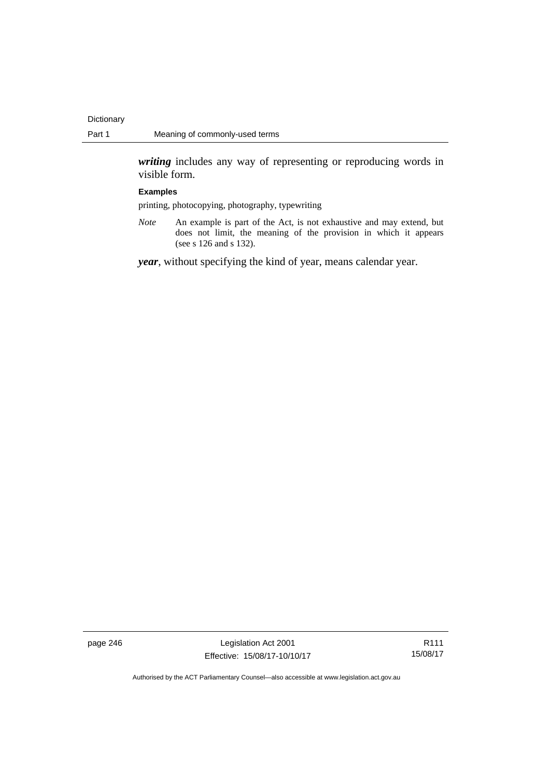*writing* includes any way of representing or reproducing words in visible form.

### **Examples**

printing, photocopying, photography, typewriting

*Note* An example is part of the Act, is not exhaustive and may extend, but does not limit, the meaning of the provision in which it appears (see s 126 and s 132).

*year*, without specifying the kind of year, means calendar year.

page 246 Legislation Act 2001 Effective: 15/08/17-10/10/17

R111 15/08/17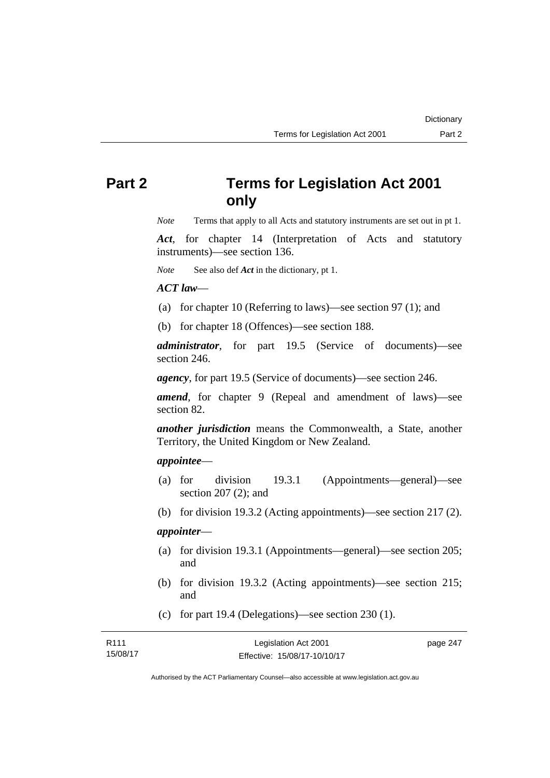# **Part 2 Terms for Legislation Act 2001 only**

*Note* Terms that apply to all Acts and statutory instruments are set out in pt 1.

*Act*, for chapter 14 (Interpretation of Acts and statutory instruments)—see section 136.

*Note* See also def *Act* in the dictionary, pt 1.

## *ACT law*—

- (a) for chapter 10 (Referring to laws)—see section 97 (1); and
- (b) for chapter 18 (Offences)—see section 188.

*administrator*, for part 19.5 (Service of documents)—see section 246.

*agency*, for part 19.5 (Service of documents)—see section 246.

*amend*, for chapter 9 (Repeal and amendment of laws)—see section 82.

*another jurisdiction* means the Commonwealth, a State, another Territory, the United Kingdom or New Zealand.

## *appointee*—

- (a) for division 19.3.1 (Appointments—general)—see section 207 (2); and
- (b) for division 19.3.2 (Acting appointments)—see section 217 (2).

## *appointer*—

- (a) for division 19.3.1 (Appointments—general)—see section 205; and
- (b) for division 19.3.2 (Acting appointments)—see section 215; and
- (c) for part 19.4 (Delegations)—see section 230 (1).

| R111     | Legislation Act 2001         | page 247 |
|----------|------------------------------|----------|
| 15/08/17 | Effective: 15/08/17-10/10/17 |          |

Authorised by the ACT Parliamentary Counsel—also accessible at www.legislation.act.gov.au

**Dictionary**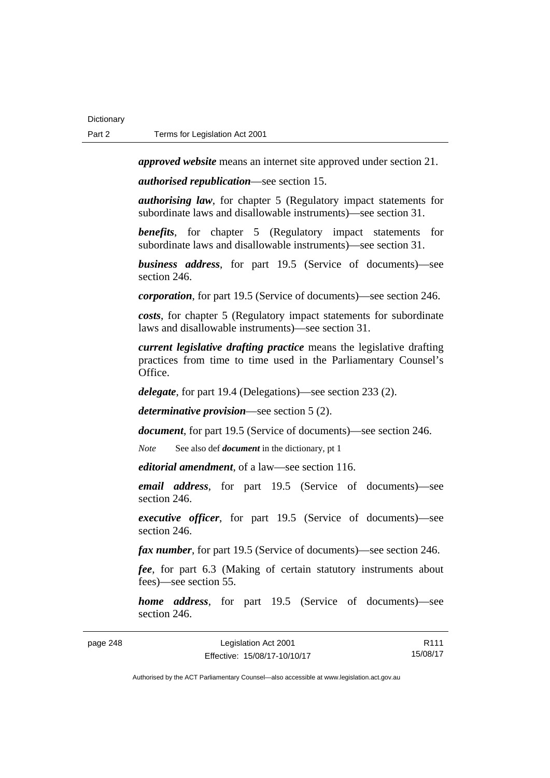page 248

*approved website* means an internet site approved under section 21.

*authorised republication*—see section 15.

*authorising law*, for chapter 5 (Regulatory impact statements for subordinate laws and disallowable instruments)—see section 31.

*benefits*, for chapter 5 (Regulatory impact statements for subordinate laws and disallowable instruments)—see section 31.

*business address*, for part 19.5 (Service of documents)—see section 246.

*corporation*, for part 19.5 (Service of documents)—see section 246.

*costs*, for chapter 5 (Regulatory impact statements for subordinate laws and disallowable instruments)—see section 31.

*current legislative drafting practice* means the legislative drafting practices from time to time used in the Parliamentary Counsel's Office.

*delegate*, for part 19.4 (Delegations)—see section 233 (2).

*determinative provision*—see section 5 (2).

*document*, for part 19.5 (Service of documents)—see section 246.

*Note* See also def *document* in the dictionary, pt 1

*editorial amendment*, of a law—see section 116.

*email address*, for part 19.5 (Service of documents)—see section 246.

*executive officer*, for part 19.5 (Service of documents)—see section 246.

*fax number*, for part 19.5 (Service of documents)—see section 246.

*fee*, for part 6.3 (Making of certain statutory instruments about fees)—see section 55.

*home address*, for part 19.5 (Service of documents)—see section 246.

| Legislation Act 2001         | R <sub>111</sub> |
|------------------------------|------------------|
| Effective: 15/08/17-10/10/17 | 15/08/17         |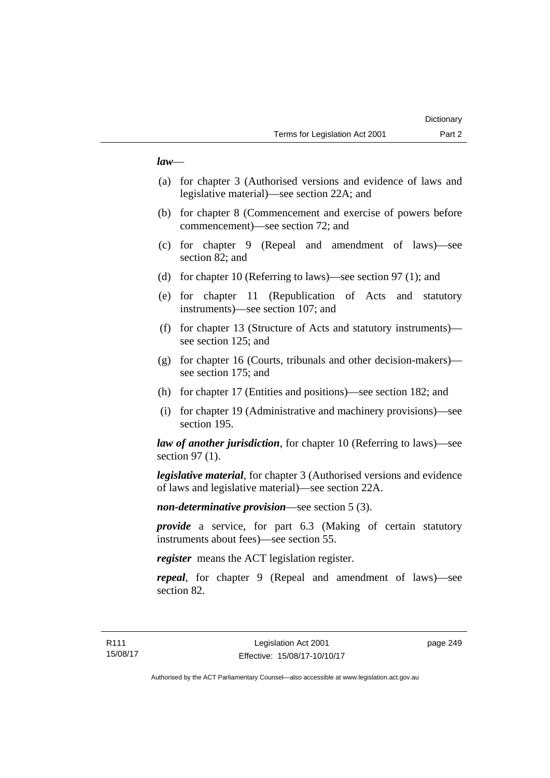## *law*—

- (a) for chapter 3 (Authorised versions and evidence of laws and legislative material)—see section 22A; and
- (b) for chapter 8 (Commencement and exercise of powers before commencement)—see section 72; and
- (c) for chapter 9 (Repeal and amendment of laws)—see section 82; and
- (d) for chapter 10 (Referring to laws)—see section 97 (1); and
- (e) for chapter 11 (Republication of Acts and statutory instruments)—see section 107; and
- (f) for chapter 13 (Structure of Acts and statutory instruments) see section 125; and
- (g) for chapter 16 (Courts, tribunals and other decision-makers) see section 175; and
- (h) for chapter 17 (Entities and positions)—see section 182; and
- (i) for chapter 19 (Administrative and machinery provisions)—see section 195.

*law of another jurisdiction*, for chapter 10 (Referring to laws)—see section 97 (1).

*legislative material*, for chapter 3 (Authorised versions and evidence of laws and legislative material)—see section 22A.

*non-determinative provision*—see section 5 (3).

*provide* a service, for part 6.3 (Making of certain statutory instruments about fees)—see section 55.

*register* means the ACT legislation register.

*repeal*, for chapter 9 (Repeal and amendment of laws)—see section 82.

page 249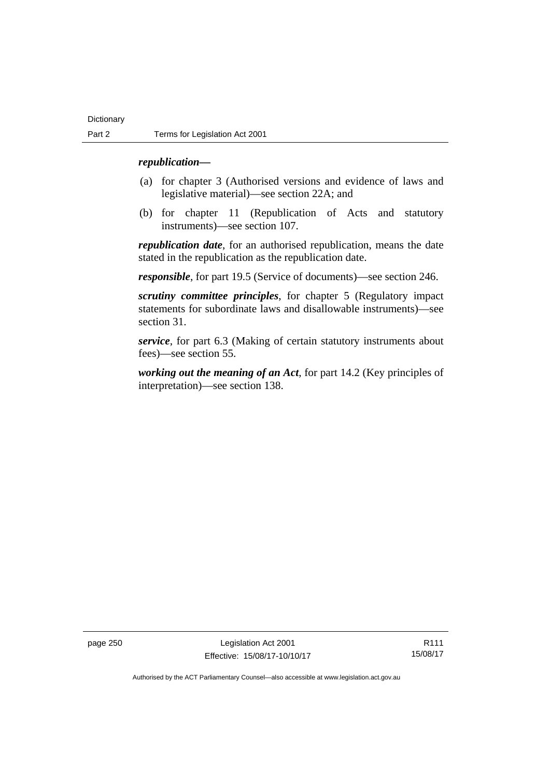## *republication—*

- (a) for chapter 3 (Authorised versions and evidence of laws and legislative material)—see section 22A; and
- (b) for chapter 11 (Republication of Acts and statutory instruments)—see section 107.

*republication date*, for an authorised republication, means the date stated in the republication as the republication date.

*responsible*, for part 19.5 (Service of documents)—see section 246.

*scrutiny committee principles*, for chapter 5 (Regulatory impact statements for subordinate laws and disallowable instruments)—see section 31.

*service*, for part 6.3 (Making of certain statutory instruments about fees)—see section 55.

*working out the meaning of an Act*, for part 14.2 (Key principles of interpretation)—see section 138.

page 250 Legislation Act 2001 Effective: 15/08/17-10/10/17

R111 15/08/17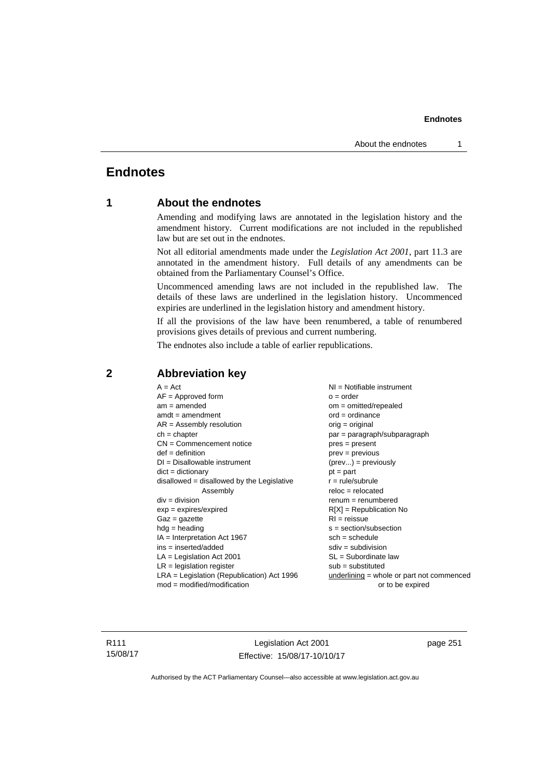## **Endnotes**

## **1 About the endnotes**

Amending and modifying laws are annotated in the legislation history and the amendment history. Current modifications are not included in the republished law but are set out in the endnotes.

Not all editorial amendments made under the *Legislation Act 2001*, part 11.3 are annotated in the amendment history. Full details of any amendments can be obtained from the Parliamentary Counsel's Office.

Uncommenced amending laws are not included in the republished law. The details of these laws are underlined in the legislation history. Uncommenced expiries are underlined in the legislation history and amendment history.

If all the provisions of the law have been renumbered, a table of renumbered provisions gives details of previous and current numbering.

The endnotes also include a table of earlier republications.

| $A = Act$                                    | $NI = Notifiable$ instrument                |
|----------------------------------------------|---------------------------------------------|
| $AF =$ Approved form                         | $o = order$                                 |
| $am = amended$                               | $om = omitted/repealed$                     |
| $amdt = amendment$                           | $ord = ordinance$                           |
| $AR = Assembly resolution$                   | $orig = original$                           |
| $ch = chapter$                               | par = paragraph/subparagraph                |
| $CN =$ Commencement notice                   | $pres = present$                            |
| $def = definition$                           | $prev = previous$                           |
| $DI = Disallowable instrument$               | $(\text{prev}) = \text{previously}$         |
| $dict = dictionary$                          | $pt = part$                                 |
| $disallowed = disallowed by the Legislative$ | $r = rule/subrule$                          |
| Assembly                                     | $reloc = relocated$                         |
| $div = division$                             | $remum = renumbered$                        |
| $exp = expires/expired$                      | $R[X]$ = Republication No                   |
| $Gaz = gazette$                              | $RI = reissue$                              |
| $hdg =$ heading                              | $s = section/subsection$                    |
| $IA = Interpretation Act 1967$               | $sch = schedule$                            |
| $ins = inserted/added$                       | $sdiv = subdivision$                        |
| $LA =$ Legislation Act 2001                  | $SL = Subordinate$ law                      |
| $LR =$ legislation register                  | $sub =$ substituted                         |
| $LRA =$ Legislation (Republication) Act 1996 | $underlining = whole or part not commenced$ |
| $mod = modified/modification$                | or to be expired                            |
|                                              |                                             |

## **2 Abbreviation key**

R111 15/08/17

Legislation Act 2001 Effective: 15/08/17-10/10/17 page 251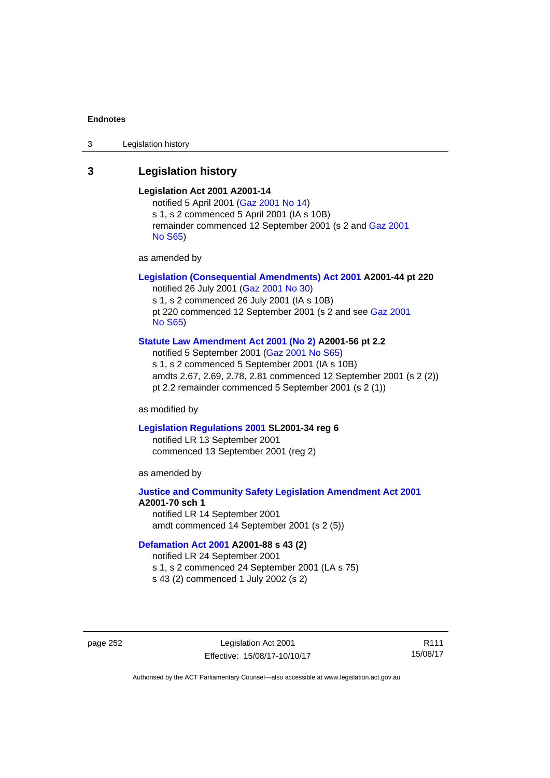3 Legislation history

## **3 Legislation history**

## **Legislation Act 2001 A2001-14**

notified 5 April 2001 ([Gaz 2001 No 14](http://www.legislation.act.gov.au/gaz/2001-14/default.asp)) s 1, s 2 commenced 5 April 2001 (IA s 10B) remainder commenced 12 September 2001 (s 2 and [Gaz 2001](http://www.legislation.act.gov.au/gaz/2001-S65/default.asp)  [No S65](http://www.legislation.act.gov.au/gaz/2001-S65/default.asp))

as amended by

## **[Legislation \(Consequential Amendments\) Act 2001](http://www.legislation.act.gov.au/a/2001-44) A2001-44 pt 220**

notified 26 July 2001 ([Gaz 2001 No 30\)](http://www.legislation.act.gov.au/gaz/2001-30/default.asp) s 1, s 2 commenced 26 July 2001 (IA s 10B) pt 220 commenced 12 September 2001 (s 2 and see [Gaz 2001](http://www.legislation.act.gov.au/gaz/2001-S65/default.asp)  [No S65](http://www.legislation.act.gov.au/gaz/2001-S65/default.asp))

### **[Statute Law Amendment Act 2001 \(No 2\)](http://www.legislation.act.gov.au/a/2001-56) A2001-56 pt 2.2**

notified 5 September 2001 [\(Gaz 2001 No S65\)](http://www.legislation.act.gov.au/gaz/2001-S65/default.asp) s 1, s 2 commenced 5 September 2001 (IA s 10B) amdts 2.67, 2.69, 2.78, 2.81 commenced 12 September 2001 (s 2 (2)) pt 2.2 remainder commenced 5 September 2001 (s 2 (1))

as modified by

### **[Legislation Regulations 2001](http://www.legislation.act.gov.au/sl/2001-34) SL2001-34 reg 6**

notified LR 13 September 2001 commenced 13 September 2001 (reg 2)

as amended by

## **[Justice and Community Safety Legislation Amendment Act 2001](http://www.legislation.act.gov.au/a/2001-70) A2001-70 sch 1**  notified LR 14 September 2001

amdt commenced 14 September 2001 (s 2 (5))

## **[Defamation Act 2001](http://www.legislation.act.gov.au/a/2001-88) A2001-88 s 43 (2)**

notified LR 24 September 2001

- s 1, s 2 commenced 24 September 2001 (LA s 75)
- s 43 (2) commenced 1 July 2002 (s 2)

page 252 Legislation Act 2001 Effective: 15/08/17-10/10/17

R111 15/08/17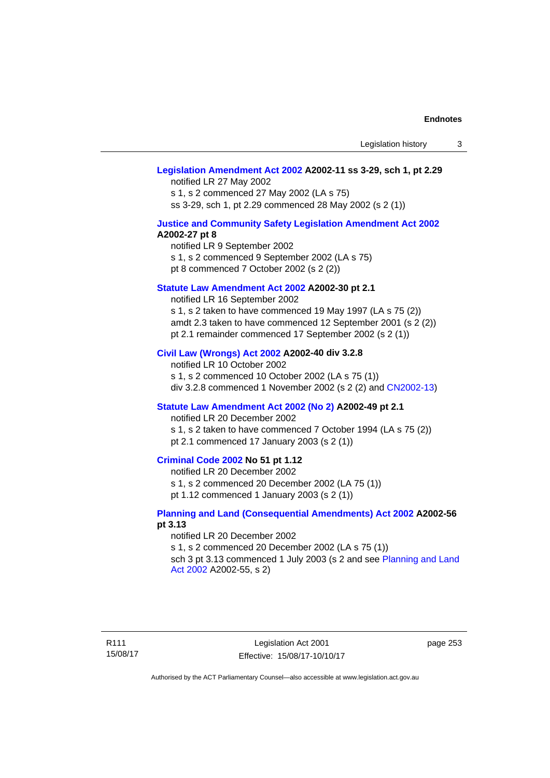## **[Legislation Amendment Act 2002](http://www.legislation.act.gov.au/a/2002-11) A2002-11 ss 3-29, sch 1, pt 2.29**

notified LR 27 May 2002 s 1, s 2 commenced 27 May 2002 (LA s 75) ss 3-29, sch 1, pt 2.29 commenced 28 May 2002 (s 2 (1))

### **[Justice and Community Safety Legislation Amendment Act 2002](http://www.legislation.act.gov.au/a/2002-27) A2002-27 pt 8**

notified LR 9 September 2002 s 1, s 2 commenced 9 September 2002 (LA s 75) pt 8 commenced 7 October 2002 (s 2 (2))

### **[Statute Law Amendment Act 2002](http://www.legislation.act.gov.au/a/2002-30) A2002-30 pt 2.1**

notified LR 16 September 2002 s 1, s 2 taken to have commenced 19 May 1997 (LA s 75 (2)) amdt 2.3 taken to have commenced 12 September 2001 (s 2 (2)) pt 2.1 remainder commenced 17 September 2002 (s 2 (1))

## **[Civil Law \(Wrongs\) Act 2002](http://www.legislation.act.gov.au/a/2002-40) A2002-40 div 3.2.8**

notified LR 10 October 2002 s 1, s 2 commenced 10 October 2002 (LA s 75 (1)) div 3.2.8 commenced 1 November 2002 (s 2 (2) and [CN2002-13](http://www.legislation.act.gov.au/cn/2002-13/default.asp))

### **[Statute Law Amendment Act 2002 \(No 2\)](http://www.legislation.act.gov.au/a/2002-49) A2002-49 pt 2.1**

notified LR 20 December 2002

s 1, s 2 taken to have commenced 7 October 1994 (LA s 75 (2)) pt 2.1 commenced 17 January 2003 (s 2 (1))

## **[Criminal Code 2002](http://www.legislation.act.gov.au/a/2002-51) No 51 pt 1.12**

notified LR 20 December 2002

s 1, s 2 commenced 20 December 2002 (LA 75 (1))

pt 1.12 commenced 1 January 2003 (s 2 (1))

## **[Planning and Land \(Consequential Amendments\) Act 2002](http://www.legislation.act.gov.au/a/2002-56) A2002-56 pt 3.13**

#### notified LR 20 December 2002

s 1, s 2 commenced 20 December 2002 (LA s 75 (1)) sch 3 pt 3.13 commenced 1 July 2003 (s 2 and see Planning and Land [Act 2002](http://www.legislation.act.gov.au/a/2002-55) A2002-55, s 2)

page 253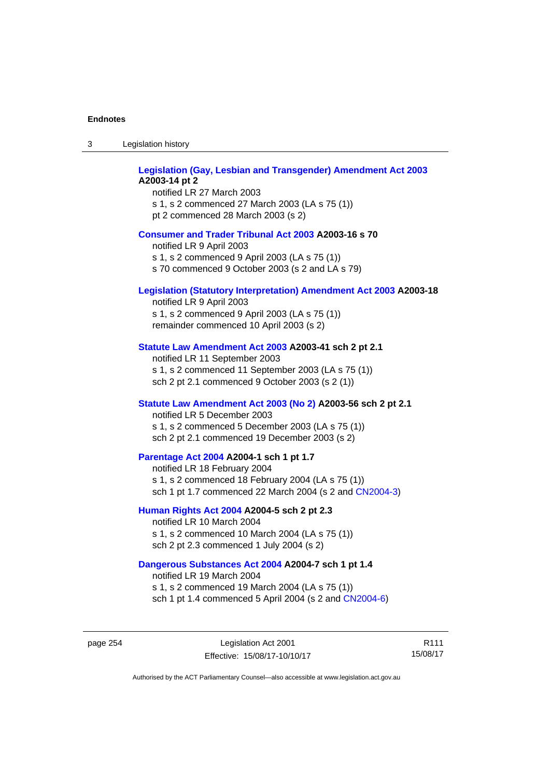| 3 | Legislation history |  |
|---|---------------------|--|
|   |                     |  |

| <b>Legislation (Gay, Lesbian and Transgender) Amendment Act 2003</b><br>A2003-14 pt 2<br>notified LR 27 March 2003<br>s 1, s 2 commenced 27 March 2003 (LA s 75 (1))<br>pt 2 commenced 28 March 2003 (s 2) |
|------------------------------------------------------------------------------------------------------------------------------------------------------------------------------------------------------------|
| <b>Consumer and Trader Tribunal Act 2003 A2003-16 s 70</b><br>notified LR 9 April 2003<br>s 1, s 2 commenced 9 April 2003 (LA s 75 (1))<br>s 70 commenced 9 October 2003 (s 2 and LA s 79)                 |
| <b>Legislation (Statutory Interpretation) Amendment Act 2003 A2003-18</b><br>notified LR 9 April 2003<br>s 1, s 2 commenced 9 April 2003 (LA s 75 (1))<br>remainder commenced 10 April 2003 (s 2)          |
| Statute Law Amendment Act 2003 A2003-41 sch 2 pt 2.1<br>notified LR 11 September 2003<br>s 1, s 2 commenced 11 September 2003 (LA s 75 (1))<br>sch 2 pt 2.1 commenced 9 October 2003 (s 2 (1))             |
| Statute Law Amendment Act 2003 (No 2) A2003-56 sch 2 pt 2.1<br>notified LR 5 December 2003<br>s 1, s 2 commenced 5 December 2003 (LA s 75 (1))<br>sch 2 pt 2.1 commenced 19 December 2003 (s 2)            |
| Parentage Act 2004 A2004-1 sch 1 pt 1.7<br>notified LR 18 February 2004<br>s 1, s 2 commenced 18 February 2004 (LA s 75 (1))<br>sch 1 pt 1.7 commenced 22 March 2004 (s 2 and CN2004-3)                    |
| Human Rights Act 2004 A2004-5 sch 2 pt 2.3<br>notified LR 10 March 2004<br>s 1, s 2 commenced 10 March 2004 (LA s 75 (1))<br>sch 2 pt 2.3 commenced 1 July 2004 (s 2)                                      |
| Dangerous Substances Act 2004 A2004-7 sch 1 pt 1.4<br>notified LR 19 March 2004<br>s 1, s 2 commenced 19 March 2004 (LA s 75 (1))                                                                          |

page 254 Legislation Act 2001 Effective: 15/08/17-10/10/17

R111 15/08/17

Authorised by the ACT Parliamentary Counsel—also accessible at www.legislation.act.gov.au

sch 1 pt 1.4 commenced 5 April 2004 (s 2 and [CN2004-6](http://www.legislation.act.gov.au/cn/2004-6/default.asp))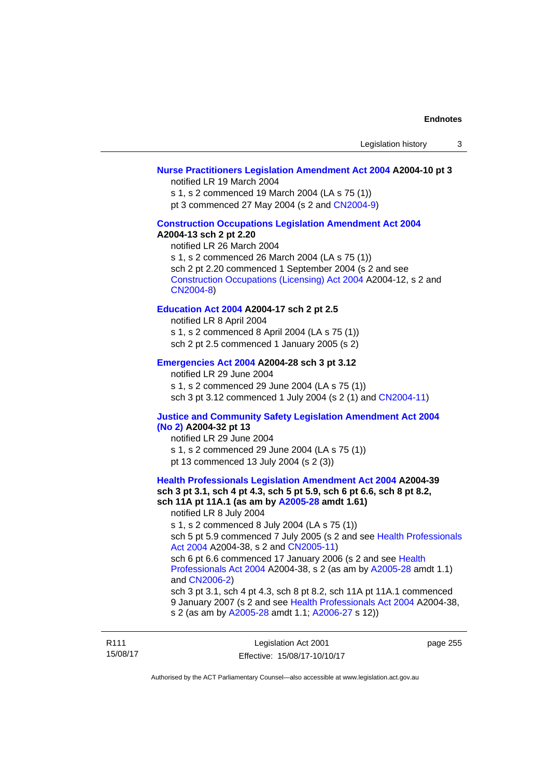## **[Nurse Practitioners Legislation Amendment Act 2004](http://www.legislation.act.gov.au/a/2004-10) A2004-10 pt 3**

notified LR 19 March 2004

s 1, s 2 commenced 19 March 2004 (LA s 75 (1))

pt 3 commenced 27 May 2004 (s 2 and [CN2004-9\)](http://www.legislation.act.gov.au/cn/2004-9/default.asp)

### **[Construction Occupations Legislation Amendment Act 2004](http://www.legislation.act.gov.au/a/2004-13)  A2004-13 sch 2 pt 2.20**

notified LR 26 March 2004 s 1, s 2 commenced 26 March 2004 (LA s 75 (1)) sch 2 pt 2.20 commenced 1 September 2004 (s 2 and see [Construction Occupations \(Licensing\) Act 2004](http://www.legislation.act.gov.au/a/2004-12) A2004-12, s 2 and [CN2004-8\)](http://www.legislation.act.gov.au/cn/2004-8/default.asp)

## **[Education Act 2004](http://www.legislation.act.gov.au/a/2004-17) A2004-17 sch 2 pt 2.5**

notified LR 8 April 2004 s 1, s 2 commenced 8 April 2004 (LA s 75 (1)) sch 2 pt 2.5 commenced 1 January 2005 (s 2)

## **[Emergencies Act 2004](http://www.legislation.act.gov.au/a/2004-28) A2004-28 sch 3 pt 3.12**

notified LR 29 June 2004 s 1, s 2 commenced 29 June 2004 (LA s 75 (1)) sch 3 pt 3.12 commenced 1 July 2004 (s 2 (1) and [CN2004-11](http://www.legislation.act.gov.au/cn/2004-11/default.asp))

## **[Justice and Community Safety Legislation Amendment Act 2004](http://www.legislation.act.gov.au/a/2004-32)  [\(No 2\)](http://www.legislation.act.gov.au/a/2004-32) A2004-32 pt 13**

notified LR 29 June 2004 s 1, s 2 commenced 29 June 2004 (LA s 75 (1)) pt 13 commenced 13 July 2004 (s 2 (3))

**[Health Professionals Legislation Amendment Act 2004](http://www.legislation.act.gov.au/a/2004-39) A2004-39 sch 3 pt 3.1, sch 4 pt 4.3, sch 5 pt 5.9, sch 6 pt 6.6, sch 8 pt 8.2, sch 11A pt 11A.1 (as am by [A2005-28](http://www.legislation.act.gov.au/a/2005-28) amdt 1.61)**  notified LR 8 July 2004 s 1, s 2 commenced 8 July 2004 (LA s 75 (1)) sch 5 pt 5.9 commenced 7 July 2005 (s 2 and see [Health Professionals](http://www.legislation.act.gov.au/a/2004-38)  [Act 2004](http://www.legislation.act.gov.au/a/2004-38) A2004-38, s 2 and [CN2005-11\)](http://www.legislation.act.gov.au/cn/2005-11/default.asp) sch 6 pt 6.6 commenced 17 January 2006 (s 2 and see [Health](http://www.legislation.act.gov.au/a/2004-38)  [Professionals Act 2004](http://www.legislation.act.gov.au/a/2004-38) A2004-38, s 2 (as am by [A2005-28](http://www.legislation.act.gov.au/a/2005-28) amdt 1.1) and [CN2006-2](http://www.legislation.act.gov.au/cn/2006-2/default.asp)) sch 3 pt 3.1, sch 4 pt 4.3, sch 8 pt 8.2, sch 11A pt 11A.1 commenced 9 January 2007 (s 2 and see [Health Professionals Act 2004](http://www.legislation.act.gov.au/a/2004-38) A2004-38, s 2 (as am by [A2005-28](http://www.legislation.act.gov.au/a/2005-28) amdt 1.1; [A2006-27](http://www.legislation.act.gov.au/a/2006-27) s 12))

| R <sub>111</sub> | Legislation Act 2001         | page 255 |
|------------------|------------------------------|----------|
| 15/08/17         | Effective: 15/08/17-10/10/17 |          |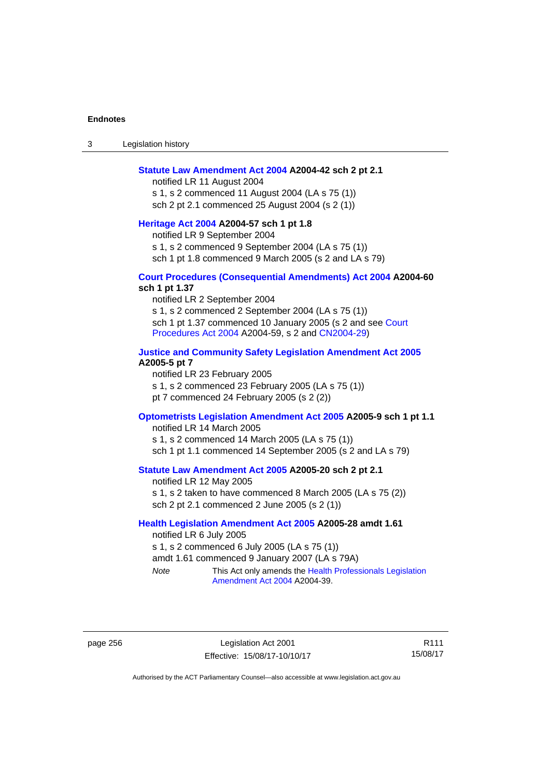3 Legislation history

### **[Statute Law Amendment Act 2004](http://www.legislation.act.gov.au/a/2004-42) A2004-42 sch 2 pt 2.1**

notified LR 11 August 2004 s 1, s 2 commenced 11 August 2004 (LA s 75 (1)) sch 2 pt 2.1 commenced 25 August 2004 (s 2 (1))

## **[Heritage Act 2004](http://www.legislation.act.gov.au/a/2004-57) A2004-57 sch 1 pt 1.8**

notified LR 9 September 2004

s 1, s 2 commenced 9 September 2004 (LA s 75 (1))

sch 1 pt 1.8 commenced 9 March 2005 (s 2 and LA s 79)

## **[Court Procedures \(Consequential Amendments\) Act 2004](http://www.legislation.act.gov.au/a/2004-60) A2004-60 sch 1 pt 1.37**

notified LR 2 September 2004 s 1, s 2 commenced 2 September 2004 (LA s 75 (1)) sch 1 pt 1.37 commenced 10 January 2005 (s 2 and see Court [Procedures Act 2004](http://www.legislation.act.gov.au/a/2004-59) A2004-59, s 2 and [CN2004-29\)](http://www.legislation.act.gov.au/cn/2004-29/default.asp)

### **[Justice and Community Safety Legislation Amendment Act 2005](http://www.legislation.act.gov.au/a/2005-5) A2005-5 pt 7**

notified LR 23 February 2005 s 1, s 2 commenced 23 February 2005 (LA s 75 (1)) pt 7 commenced 24 February 2005 (s 2 (2))

## **[Optometrists Legislation Amendment Act 2005](http://www.legislation.act.gov.au/a/2005-9) A2005-9 sch 1 pt 1.1**

notified LR 14 March 2005 s 1, s 2 commenced 14 March 2005 (LA s 75 (1)) sch 1 pt 1.1 commenced 14 September 2005 (s 2 and LA s 79)

## **[Statute Law Amendment Act 2005](http://www.legislation.act.gov.au/a/2005-20) A2005-20 sch 2 pt 2.1**

notified LR 12 May 2005 s 1, s 2 taken to have commenced 8 March 2005 (LA s 75 (2)) sch 2 pt 2.1 commenced 2 June 2005 (s 2 (1))

## **[Health Legislation Amendment Act 2005](http://www.legislation.act.gov.au/a/2005-28) A2005-28 amdt 1.61**

notified LR 6 July 2005 s 1, s 2 commenced 6 July 2005 (LA s 75 (1)) amdt 1.61 commenced 9 January 2007 (LA s 79A) *Note* This Act only amends the [Health Professionals Legislation](http://www.legislation.act.gov.au/a/2004-39) 

[Amendment Act 2004](http://www.legislation.act.gov.au/a/2004-39) A2004-39.

page 256 Legislation Act 2001 Effective: 15/08/17-10/10/17

R111 15/08/17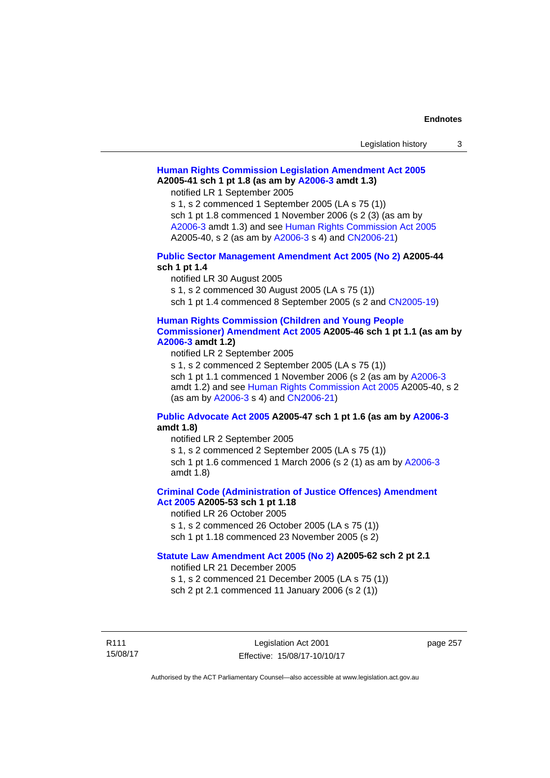| Legislation history |  |
|---------------------|--|
|---------------------|--|

## **[Human Rights Commission Legislation Amendment Act 2005](http://www.legislation.act.gov.au/a/2005-41) A2005-41 sch 1 pt 1.8 (as am by [A2006-3](http://www.legislation.act.gov.au/a/2006-3) amdt 1.3)**

notified LR 1 September 2005

s 1, s 2 commenced 1 September 2005 (LA s 75 (1)) sch 1 pt 1.8 commenced 1 November 2006 (s 2 (3) (as am by [A2006-3](http://www.legislation.act.gov.au/a/2006-3) amdt 1.3) and see [Human Rights Commission Act 2005](http://www.legislation.act.gov.au/a/2005-40) A2005-40, s 2 (as am by [A2006-3](http://www.legislation.act.gov.au/a/2006-3) s 4) and [CN2006-21](http://www.legislation.act.gov.au/cn/2006-21/default.asp))

## **[Public Sector Management Amendment Act 2005 \(No 2\)](http://www.legislation.act.gov.au/a/2005-44) A2005-44 sch 1 pt 1.4**

notified LR 30 August 2005

s 1, s 2 commenced 30 August 2005 (LA s 75 (1))

sch 1 pt 1.4 commenced 8 September 2005 (s 2 and [CN2005-19\)](http://www.legislation.act.gov.au/cn/2005-19/default.asp)

## **[Human Rights Commission \(Children and Young People](http://www.legislation.act.gov.au/a/2005-46)  [Commissioner\) Amendment Act 2005](http://www.legislation.act.gov.au/a/2005-46) A2005-46 sch 1 pt 1.1 (as am by**

**[A2006-3](http://www.legislation.act.gov.au/a/2006-3) amdt 1.2)** 

notified LR 2 September 2005

s 1, s 2 commenced 2 September 2005 (LA s 75 (1)) sch 1 pt 1.1 commenced 1 November 2006 (s 2 (as am by [A2006-3](http://www.legislation.act.gov.au/a/2006-3) amdt 1.2) and see [Human Rights Commission Act 2005](http://www.legislation.act.gov.au/a/2005-40) A2005-40, s 2 (as am by [A2006-3](http://www.legislation.act.gov.au/a/2006-3) s 4) and [CN2006-21](http://www.legislation.act.gov.au/cn/2006-21/default.asp))

## **[Public Advocate Act 2005](http://www.legislation.act.gov.au/a/2005-47) A2005-47 sch 1 pt 1.6 (as am by [A2006-3](http://www.legislation.act.gov.au/a/2006-3) amdt 1.8)**

notified LR 2 September 2005

s 1, s 2 commenced 2 September 2005 (LA s 75 (1)) sch 1 pt 1.6 commenced 1 March 2006 (s 2 (1) as am by [A2006-3](http://www.legislation.act.gov.au/a/2006-3)

amdt 1.8)

## **[Criminal Code \(Administration of Justice Offences\) Amendment](http://www.legislation.act.gov.au/a/2005-53)**

**[Act 2005](http://www.legislation.act.gov.au/a/2005-53) A2005-53 sch 1 pt 1.18** 

notified LR 26 October 2005

s 1, s 2 commenced 26 October 2005 (LA s 75 (1)) sch 1 pt 1.18 commenced 23 November 2005 (s 2)

## **[Statute Law Amendment Act 2005 \(No 2\)](http://www.legislation.act.gov.au/a/2005-62) A2005-62 sch 2 pt 2.1**

notified LR 21 December 2005

s 1, s 2 commenced 21 December 2005 (LA s 75 (1)) sch 2 pt 2.1 commenced 11 January 2006 (s 2 (1))

R111 15/08/17 page 257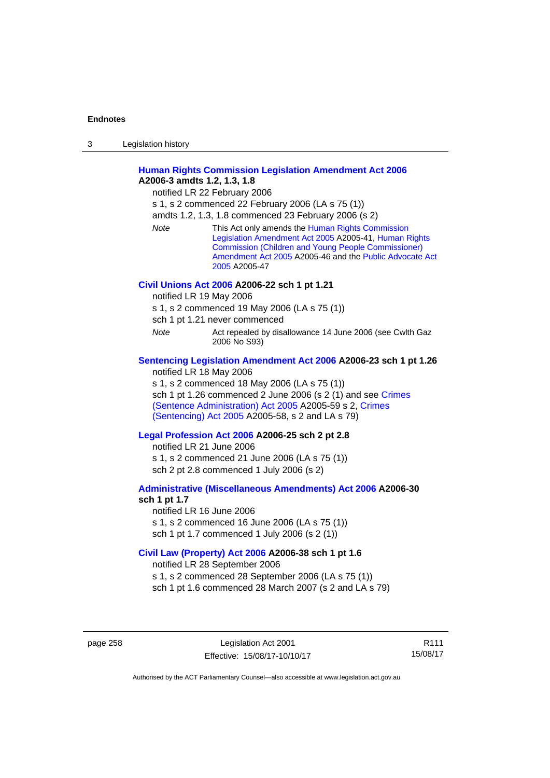| 3 | Legislation history |  |
|---|---------------------|--|
|   |                     |  |

## **[Human Rights Commission Legislation Amendment Act 2006](http://www.legislation.act.gov.au/a/2006-3) A2006-3 amdts 1.2, 1.3, 1.8**

notified LR 22 February 2006

s 1, s 2 commenced 22 February 2006 (LA s 75 (1))

amdts 1.2, 1.3, 1.8 commenced 23 February 2006 (s 2)

*Note* This Act only amends the [Human Rights Commission](http://www.legislation.act.gov.au/a/2005-41)  [Legislation Amendment Act 2005](http://www.legislation.act.gov.au/a/2005-41) A2005-41, [Human Rights](http://www.legislation.act.gov.au/a/2005-46)  [Commission \(Children and Young People Commissioner\)](http://www.legislation.act.gov.au/a/2005-46)  [Amendment Act 2005](http://www.legislation.act.gov.au/a/2005-46) A2005-46 and the [Public Advocate Act](http://www.legislation.act.gov.au/a/2005-47)  [2005](http://www.legislation.act.gov.au/a/2005-47) A2005-47

### **[Civil Unions Act 2006](http://www.legislation.act.gov.au/a/2006-22) A2006-22 sch 1 pt 1.21**

notified LR 19 May 2006

s 1, s 2 commenced 19 May 2006 (LA s 75 (1))

sch 1 pt 1.21 never commenced

*Note* **Act repealed by disallowance 14 June 2006 (see Cwlth Gaz** 2006 No S93)

### **[Sentencing Legislation Amendment Act 2006](http://www.legislation.act.gov.au/a/2006-23) A2006-23 sch 1 pt 1.26**

notified LR 18 May 2006

s 1, s 2 commenced 18 May 2006 (LA s 75 (1)) sch 1 pt 1.26 commenced 2 June 2006 (s 2 (1) and see [Crimes](http://www.legislation.act.gov.au/a/2005-59)  [\(Sentence Administration\) Act 2005](http://www.legislation.act.gov.au/a/2005-59) A2005-59 s 2, [Crimes](http://www.legislation.act.gov.au/a/2005-58)  [\(Sentencing\) Act 2005](http://www.legislation.act.gov.au/a/2005-58) A2005-58, s 2 and LA s 79)

## **[Legal Profession Act 2006](http://www.legislation.act.gov.au/a/2006-25) A2006-25 sch 2 pt 2.8**

notified LR 21 June 2006 s 1, s 2 commenced 21 June 2006 (LA s 75 (1)) sch 2 pt 2.8 commenced 1 July 2006 (s 2)

### **[Administrative \(Miscellaneous Amendments\) Act 2006](http://www.legislation.act.gov.au/a/2006-30) A2006-30 sch 1 pt 1.7**

notified LR 16 June 2006 s 1, s 2 commenced 16 June 2006 (LA s 75 (1)) sch 1 pt 1.7 commenced 1 July 2006 (s 2 (1))

### **[Civil Law \(Property\) Act 2006](http://www.legislation.act.gov.au/a/2006-38) A2006-38 sch 1 pt 1.6**

notified LR 28 September 2006

s 1, s 2 commenced 28 September 2006 (LA s 75 (1))

sch 1 pt 1.6 commenced 28 March 2007 (s 2 and LA s 79)

page 258 Legislation Act 2001 Effective: 15/08/17-10/10/17

R111 15/08/17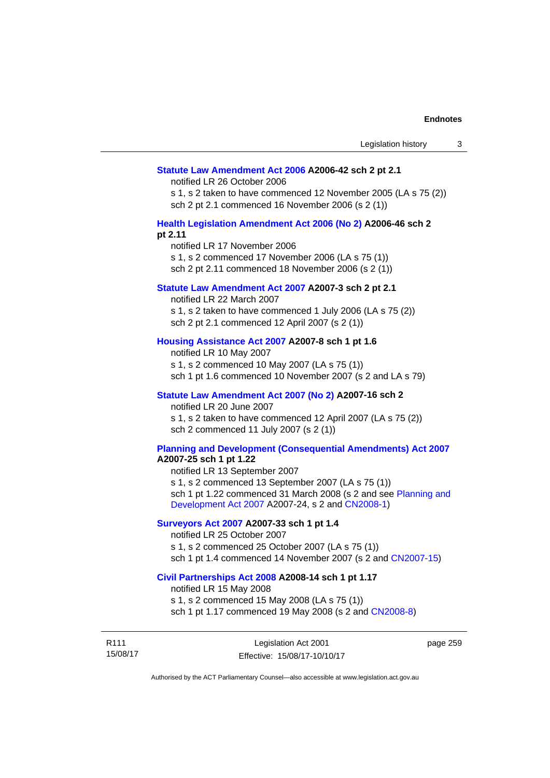### **[Statute Law Amendment Act 2006](http://www.legislation.act.gov.au/a/2006-42) A2006-42 sch 2 pt 2.1**

notified LR 26 October 2006

s 1, s 2 taken to have commenced 12 November 2005 (LA s 75 (2)) sch 2 pt 2.1 commenced 16 November 2006 (s 2 (1))

### **[Health Legislation Amendment Act 2006 \(No 2\)](http://www.legislation.act.gov.au/a/2006-46) A2006-46 sch 2 pt 2.11**

notified LR 17 November 2006 s 1, s 2 commenced 17 November 2006 (LA s 75 (1)) sch 2 pt 2.11 commenced 18 November 2006 (s 2 (1))

## **[Statute Law Amendment Act 2007](http://www.legislation.act.gov.au/a/2007-3) A2007-3 sch 2 pt 2.1**

notified LR 22 March 2007 s 1, s 2 taken to have commenced 1 July 2006 (LA s 75 (2)) sch 2 pt 2.1 commenced 12 April 2007 (s 2 (1))

## **[Housing Assistance Act 2007](http://www.legislation.act.gov.au/a/2007-8) A2007-8 sch 1 pt 1.6**

notified LR 10 May 2007 s 1, s 2 commenced 10 May 2007 (LA s 75 (1)) sch 1 pt 1.6 commenced 10 November 2007 (s 2 and LA s 79)

## **[Statute Law Amendment Act 2007 \(No 2\)](http://www.legislation.act.gov.au/a/2007-16) A2007-16 sch 2**

notified LR 20 June 2007 s 1, s 2 taken to have commenced 12 April 2007 (LA s 75 (2)) sch 2 commenced 11 July 2007 (s 2 (1))

## **[Planning and Development \(Consequential Amendments\) Act 2007](http://www.legislation.act.gov.au/a/2007-25)**

**A2007-25 sch 1 pt 1.22** 

notified LR 13 September 2007 s 1, s 2 commenced 13 September 2007 (LA s 75 (1)) sch 1 pt 1.22 commenced 31 March 2008 (s 2 and see [Planning and](http://www.legislation.act.gov.au/a/2007-24)  [Development Act 2007](http://www.legislation.act.gov.au/a/2007-24) A2007-24, s 2 and [CN2008-1](http://www.legislation.act.gov.au/cn/2008-1/default.asp))

## **[Surveyors Act 2007](http://www.legislation.act.gov.au/a/2007-33) A2007-33 sch 1 pt 1.4**

notified LR 25 October 2007 s 1, s 2 commenced 25 October 2007 (LA s 75 (1)) sch 1 pt 1.4 commenced 14 November 2007 (s 2 and [CN2007-15\)](http://www.legislation.act.gov.au/cn/2007-15/default.asp)

### **[Civil Partnerships Act 2008](http://www.legislation.act.gov.au/a/2008-14) A2008-14 sch 1 pt 1.17**

notified LR 15 May 2008

s 1, s 2 commenced 15 May 2008 (LA s 75 (1)) sch 1 pt 1.17 commenced 19 May 2008 (s 2 and [CN2008-8](http://www.legislation.act.gov.au/cn/2008-8/default.asp))

R111 15/08/17 page 259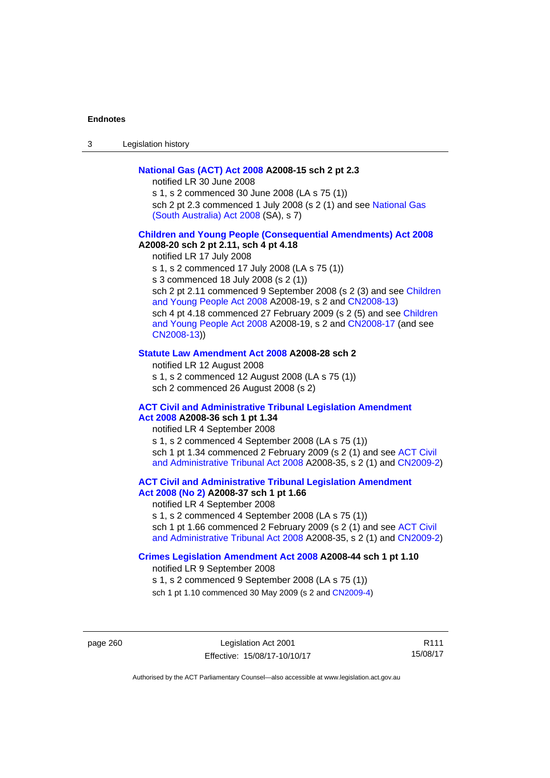3 Legislation history

## **[National Gas \(ACT\) Act 2008](http://www.legislation.act.gov.au/a/2008-15) A2008-15 sch 2 pt 2.3**

notified LR 30 June 2008

s 1, s 2 commenced 30 June 2008 (LA s 75 (1)) sch 2 pt 2.3 commenced 1 July 2008 (s 2 (1) and see National Gas [\(South Australia\) Act 2008](http://www.legislation.sa.gov.au/LZ/C/A/NATIONAL GAS (SOUTH AUSTRALIA) ACT 2008.aspx) (SA), s 7)

## **[Children and Young People \(Consequential Amendments\) Act 2008](http://www.legislation.act.gov.au/a/2008-20) A2008-20 sch 2 pt 2.11, sch 4 pt 4.18**

notified LR 17 July 2008 s 1, s 2 commenced 17 July 2008 (LA s 75 (1)) s 3 commenced 18 July 2008 (s 2 (1)) sch 2 pt 2.11 commenced 9 September 2008 (s 2 (3) and see Children [and Young People Act 2008](http://www.legislation.act.gov.au/a/2008-19) A2008-19, s 2 and [CN2008-13\)](http://www.legislation.act.gov.au/cn/2008-13/default.asp) sch 4 pt 4.18 commenced 27 February 2009 (s 2 (5) and see [Children](http://www.legislation.act.gov.au/a/2008-19)  [and Young People Act 2008](http://www.legislation.act.gov.au/a/2008-19) A2008-19, s 2 and [CN2008-17 \(](http://www.legislation.act.gov.au/cn/2008-17/default.asp)and see [CN2008-13](http://www.legislation.act.gov.au/cn/2008-13/default.asp)))

### **[Statute Law Amendment Act 2008](http://www.legislation.act.gov.au/a/2008-28) A2008-28 sch 2**

notified LR 12 August 2008 s 1, s 2 commenced 12 August 2008 (LA s 75 (1)) sch 2 commenced 26 August 2008 (s 2)

### **[ACT Civil and Administrative Tribunal Legislation Amendment](http://www.legislation.act.gov.au/a/2008-36)**

## **[Act 2008](http://www.legislation.act.gov.au/a/2008-36) A2008-36 sch 1 pt 1.34**

notified LR 4 September 2008 s 1, s 2 commenced 4 September 2008 (LA s 75 (1)) sch 1 pt 1.34 commenced 2 February 2009 (s 2 (1) and see [ACT Civil](http://www.legislation.act.gov.au/a/2008-35)  [and Administrative Tribunal Act 2008](http://www.legislation.act.gov.au/a/2008-35) A2008-35, s 2 (1) and [CN2009-2](http://www.legislation.act.gov.au/cn/2009-2/default.asp))

## **[ACT Civil and Administrative Tribunal Legislation Amendment](http://www.legislation.act.gov.au/a/2008-37)**

## **[Act 2008 \(No 2\)](http://www.legislation.act.gov.au/a/2008-37) A2008-37 sch 1 pt 1.66**

notified LR 4 September 2008

s 1, s 2 commenced 4 September 2008 (LA s 75 (1))

sch 1 pt 1.66 commenced 2 February 2009 (s 2 (1) and see [ACT Civil](http://www.legislation.act.gov.au/a/2008-35)  [and Administrative Tribunal Act 2008](http://www.legislation.act.gov.au/a/2008-35) A2008-35, s 2 (1) and [CN2009-2](http://www.legislation.act.gov.au/cn/2009-2/default.asp))

### **[Crimes Legislation Amendment Act 2008](http://www.legislation.act.gov.au/a/2008-44) A2008-44 sch 1 pt 1.10**

notified LR 9 September 2008

s 1, s 2 commenced 9 September 2008 (LA s 75 (1))

sch 1 pt 1.10 commenced 30 May 2009 (s 2 and [CN2009-4](http://www.legislation.act.gov.au/cn/2009-4/default.asp))

page 260 Legislation Act 2001 Effective: 15/08/17-10/10/17

R111 15/08/17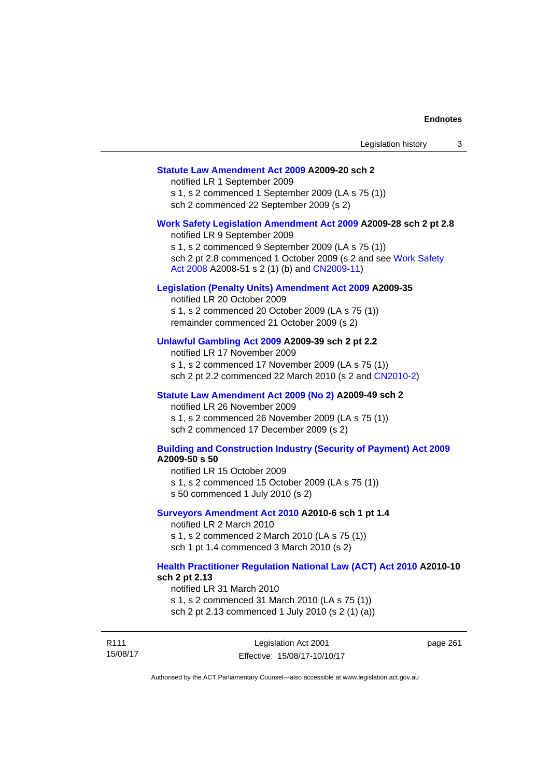## **[Statute Law Amendment Act 2009](http://www.legislation.act.gov.au/a/2009-20) A2009-20 sch 2**

notified LR 1 September 2009 s 1, s 2 commenced 1 September 2009 (LA s 75 (1)) sch 2 commenced 22 September 2009 (s 2)

#### **[Work Safety Legislation Amendment Act 2009](http://www.legislation.act.gov.au/a/2009-28) A2009-28 sch 2 pt 2.8**

notified LR 9 September 2009 s 1, s 2 commenced 9 September 2009 (LA s 75 (1)) sch 2 pt 2.8 commenced 1 October 2009 (s 2 and see [Work Safety](http://www.legislation.act.gov.au/a/2008-51)  [Act 2008](http://www.legislation.act.gov.au/a/2008-51) A2008-51 s 2 (1) (b) and [CN2009-11](http://www.legislation.act.gov.au/cn/2009-11/default.asp))

### **[Legislation \(Penalty Units\) Amendment Act 2009](http://www.legislation.act.gov.au/a/2009-35) A2009-35**

notified LR 20 October 2009 s 1, s 2 commenced 20 October 2009 (LA s 75 (1)) remainder commenced 21 October 2009 (s 2)

## **[Unlawful Gambling Act 2009](http://www.legislation.act.gov.au/a/2009-39) A2009-39 sch 2 pt 2.2**

notified LR 17 November 2009 s 1, s 2 commenced 17 November 2009 (LA s 75 (1)) sch 2 pt 2.2 commenced 22 March 2010 (s 2 and [CN2010-2\)](http://www.legislation.act.gov.au/cn/2010-2/default.asp)

#### **[Statute Law Amendment Act 2009 \(No 2\)](http://www.legislation.act.gov.au/a/2009-49) A2009-49 sch 2**

notified LR 26 November 2009 s 1, s 2 commenced 26 November 2009 (LA s 75 (1)) sch 2 commenced 17 December 2009 (s 2)

### **[Building and Construction Industry \(Security of Payment\) Act 2009](http://www.legislation.act.gov.au/a/2009-50) A2009-50 s 50**

notified LR 15 October 2009

- s 1, s 2 commenced 15 October 2009 (LA s 75 (1))
- s 50 commenced 1 July 2010 (s 2)

### **[Surveyors Amendment Act 2010](http://www.legislation.act.gov.au/a/2010-6) A2010-6 sch 1 pt 1.4**

notified LR 2 March 2010 s 1, s 2 commenced 2 March 2010 (LA s 75 (1)) sch 1 pt 1.4 commenced 3 March 2010 (s 2)

### **[Health Practitioner Regulation National Law \(ACT\) Act 2010](http://www.legislation.act.gov.au/a/2010-10) A2010-10 sch 2 pt 2.13**

notified LR 31 March 2010

s 1, s 2 commenced 31 March 2010 (LA s 75 (1)) sch 2 pt 2.13 commenced 1 July 2010 (s 2 (1) (a))

R111 15/08/17 Legislation Act 2001 Effective: 15/08/17-10/10/17 page 261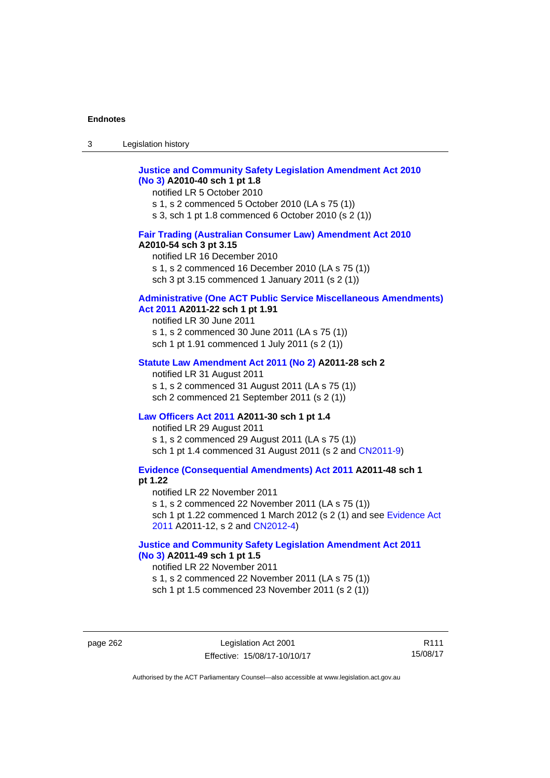| $\sqrt{2}$<br>ు | Legislation history |
|-----------------|---------------------|
|-----------------|---------------------|

## **[Justice and Community Safety Legislation Amendment Act 2010](http://www.legislation.act.gov.au/a/2010-40)  [\(No 3\)](http://www.legislation.act.gov.au/a/2010-40) A2010-40 sch 1 pt 1.8**

notified LR 5 October 2010 s 1, s 2 commenced 5 October 2010 (LA s 75 (1)) s 3, sch 1 pt 1.8 commenced 6 October 2010 (s 2 (1))

## **[Fair Trading \(Australian Consumer Law\) Amendment Act 2010](http://www.legislation.act.gov.au/a/2010-54) A2010-54 sch 3 pt 3.15**

notified LR 16 December 2010 s 1, s 2 commenced 16 December 2010 (LA s 75 (1)) sch 3 pt 3.15 commenced 1 January 2011 (s 2 (1))

## **[Administrative \(One ACT Public Service Miscellaneous Amendments\)](http://www.legislation.act.gov.au/a/2011-22)**

## **[Act 2011](http://www.legislation.act.gov.au/a/2011-22) A2011-22 sch 1 pt 1.91**

notified LR 30 June 2011 s 1, s 2 commenced 30 June 2011 (LA s 75 (1)) sch 1 pt 1.91 commenced 1 July 2011 (s 2 (1))

### **[Statute Law Amendment Act 2011 \(No 2\)](http://www.legislation.act.gov.au/a/2011-28) A2011-28 sch 2**

notified LR 31 August 2011 s 1, s 2 commenced 31 August 2011 (LA s 75 (1)) sch 2 commenced 21 September 2011 (s 2 (1))

## **[Law Officers Act 2011](http://www.legislation.act.gov.au/a/2011-30) A2011-30 sch 1 pt 1.4**

notified LR 29 August 2011 s 1, s 2 commenced 29 August 2011 (LA s 75 (1)) sch 1 pt 1.4 commenced 31 August 2011 (s 2 and [CN2011-9](http://www.legislation.act.gov.au/cn/2011-9/default.asp))

**[Evidence \(Consequential Amendments\) Act 2011](http://www.legislation.act.gov.au/a/2011-48) A2011-48 sch 1 pt 1.22** 

notified LR 22 November 2011 s 1, s 2 commenced 22 November 2011 (LA s 75 (1)) sch 1 pt 1.22 commenced 1 March 2012 (s 2 (1) and see [Evidence Act](http://www.legislation.act.gov.au/a/2011-12)  [2011](http://www.legislation.act.gov.au/a/2011-12) A2011-12, s 2 and [CN2012-4](http://www.legislation.act.gov.au/cn/2012-4/default.asp))

## **[Justice and Community Safety Legislation Amendment Act 2011](http://www.legislation.act.gov.au/a/2011-49)  [\(No 3\)](http://www.legislation.act.gov.au/a/2011-49) A2011-49 sch 1 pt 1.5**

notified LR 22 November 2011 s 1, s 2 commenced 22 November 2011 (LA s 75 (1)) sch 1 pt 1.5 commenced 23 November 2011 (s 2 (1))

page 262 Legislation Act 2001 Effective: 15/08/17-10/10/17

R111 15/08/17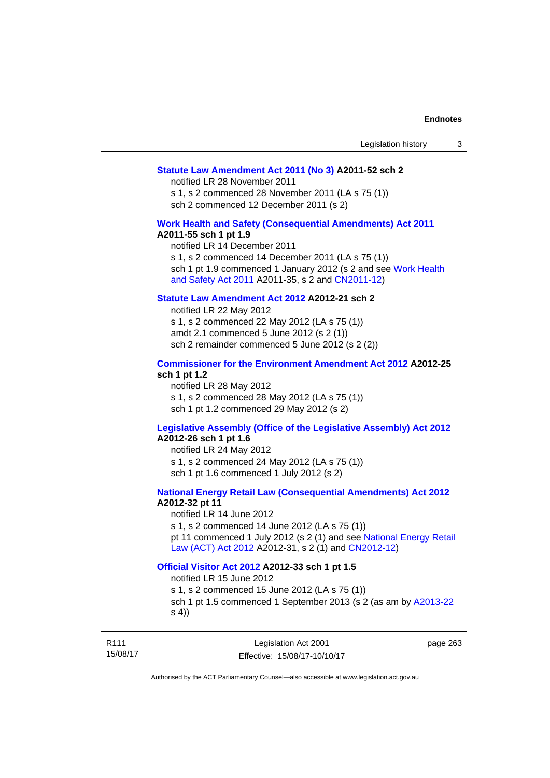### **[Statute Law Amendment Act 2011 \(No 3\)](http://www.legislation.act.gov.au/a/2011-52) A2011-52 sch 2**

notified LR 28 November 2011

s 1, s 2 commenced 28 November 2011 (LA s 75 (1)) sch 2 commenced 12 December 2011 (s 2)

## **[Work Health and Safety \(Consequential Amendments\) Act 2011](http://www.legislation.act.gov.au/a/2011-55)**

### **A2011-55 sch 1 pt 1.9**

notified LR 14 December 2011 s 1, s 2 commenced 14 December 2011 (LA s 75 (1)) sch 1 pt 1.9 commenced 1 January 2012 (s 2 and see Work Health [and Safety Act 2011](http://www.legislation.act.gov.au/a/2011-35) A2011-35, s 2 and [CN2011-12\)](http://www.legislation.act.gov.au/cn/2011-12/default.asp)

## **[Statute Law Amendment Act 2012](http://www.legislation.act.gov.au/a/2012-21) A2012-21 sch 2**

notified LR 22 May 2012 s 1, s 2 commenced 22 May 2012 (LA s 75 (1)) amdt 2.1 commenced 5 June 2012 (s 2 (1)) sch 2 remainder commenced 5 June 2012 (s 2 (2))

### **[Commissioner for the Environment Amendment Act 2012](http://www.legislation.act.gov.au/a/2012-25) A2012-25 sch 1 pt 1.2**

notified LR 28 May 2012 s 1, s 2 commenced 28 May 2012 (LA s 75 (1)) sch 1 pt 1.2 commenced 29 May 2012 (s 2)

## **[Legislative Assembly \(Office of the Legislative Assembly\) Act 2012](http://www.legislation.act.gov.au/a/2012-26)**

## **A2012-26 sch 1 pt 1.6**

notified LR 24 May 2012 s 1, s 2 commenced 24 May 2012 (LA s 75 (1)) sch 1 pt 1.6 commenced 1 July 2012 (s 2)

## **[National Energy Retail Law \(Consequential Amendments\) Act 2012](http://www.legislation.act.gov.au/a/2012-32) A2012-32 pt 11**

notified LR 14 June 2012 s 1, s 2 commenced 14 June 2012 (LA s 75 (1)) pt 11 commenced 1 July 2012 (s 2 (1) and see [National Energy Retail](http://www.legislation.act.gov.au/a/2012-31)  [Law \(ACT\) Act 2012](http://www.legislation.act.gov.au/a/2012-31) A2012-31, s 2 (1) and [CN2012-12\)](http://www.legislation.act.gov.au/cn/2012-12/default.asp)

### **[Official Visitor Act 2012](http://www.legislation.act.gov.au/a/2012-33) A2012-33 sch 1 pt 1.5**

notified LR 15 June 2012

s 1, s 2 commenced 15 June 2012 (LA s 75 (1)) sch 1 pt 1.5 commenced 1 September 2013 (s 2 (as am by [A2013-22](http://www.legislation.act.gov.au/a/2013-22) s 4))

R111 15/08/17 page 263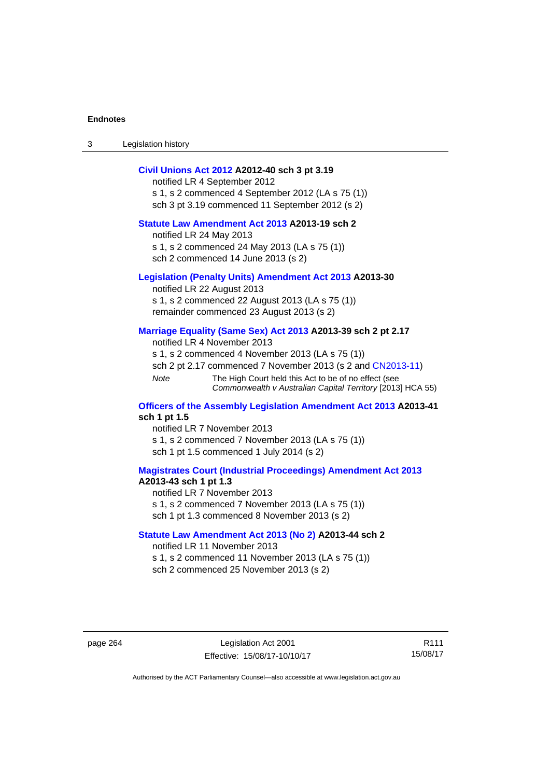3 Legislation history

### **[Civil Unions Act 2012](http://www.legislation.act.gov.au/a/2012-40) A2012-40 sch 3 pt 3.19**

notified LR 4 September 2012 s 1, s 2 commenced 4 September 2012 (LA s 75 (1)) sch 3 pt 3.19 commenced 11 September 2012 (s 2)

## **[Statute Law Amendment Act 2013](http://www.legislation.act.gov.au/a/2013-19) A2013-19 sch 2**

notified LR 24 May 2013 s 1, s 2 commenced 24 May 2013 (LA s 75 (1)) sch 2 commenced 14 June 2013 (s 2)

### **[Legislation \(Penalty Units\) Amendment Act 2013](http://www.legislation.act.gov.au/a/2013-30) A2013-30**

notified LR 22 August 2013 s 1, s 2 commenced 22 August 2013 (LA s 75 (1)) remainder commenced 23 August 2013 (s 2)

### **[Marriage Equality \(Same Sex\) Act 2013](http://www.legislation.act.gov.au/a/2013-39) A2013-39 sch 2 pt 2.17**

notified LR 4 November 2013 s 1, s 2 commenced 4 November 2013 (LA s 75 (1)) sch 2 pt 2.17 commenced 7 November 2013 (s 2 and [CN2013-11\)](http://www.legislation.act.gov.au/cn/2013-11) *Note* The High Court held this Act to be of no effect (see *Commonwealth v Australian Capital Territory* [2013] HCA 55)

### **[Officers of the Assembly Legislation Amendment Act 2013](http://www.legislation.act.gov.au/a/2013-41) A2013-41 sch 1 pt 1.5**

notified LR 7 November 2013 s 1, s 2 commenced 7 November 2013 (LA s 75 (1)) sch 1 pt 1.5 commenced 1 July 2014 (s 2)

## **[Magistrates Court \(Industrial Proceedings\) Amendment Act 2013](http://www.legislation.act.gov.au/a/2013-43) A2013-43 sch 1 pt 1.3**

notified LR 7 November 2013 s 1, s 2 commenced 7 November 2013 (LA s 75 (1)) sch 1 pt 1.3 commenced 8 November 2013 (s 2)

### **[Statute Law Amendment Act 2013 \(No 2\)](http://www.legislation.act.gov.au/a/2013-44) A2013-44 sch 2**  notified LR 11 November 2013

s 1, s 2 commenced 11 November 2013 (LA s 75 (1)) sch 2 commenced 25 November 2013 (s 2)

page 264 Legislation Act 2001 Effective: 15/08/17-10/10/17

R111 15/08/17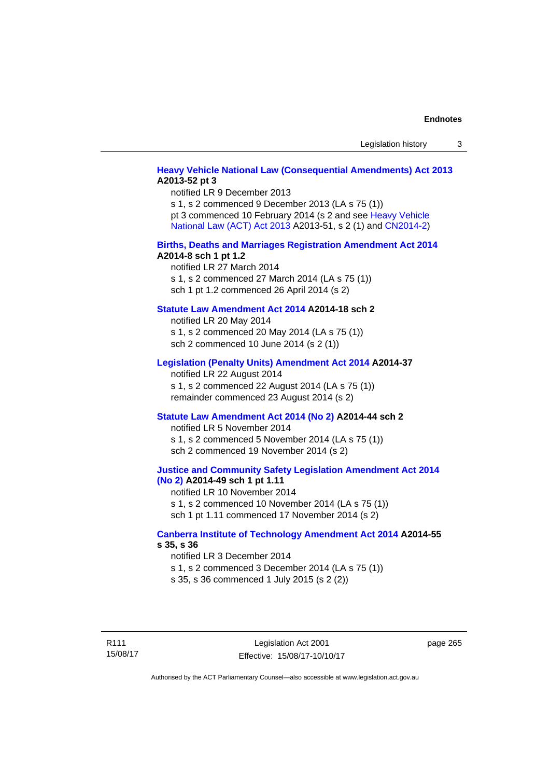## **[Heavy Vehicle National Law \(Consequential Amendments\) Act 2013](http://www.legislation.act.gov.au/a/2013-52) A2013-52 pt 3**

notified LR 9 December 2013 s 1, s 2 commenced 9 December 2013 (LA s 75 (1)) pt 3 commenced 10 February 2014 (s 2 and see [Heavy Vehicle](http://www.legislation.act.gov.au/a/2013-51/default.asp)  [National Law \(ACT\) Act 2013](http://www.legislation.act.gov.au/a/2013-51/default.asp) A2013-51, s 2 (1) and [CN2014-2](http://www.legislation.act.gov.au/cn/2014-2/default.asp))

### **[Births, Deaths and Marriages Registration Amendment Act 2014](http://www.legislation.act.gov.au/a/2014-8) A2014-8 sch 1 pt 1.2**

notified LR 27 March 2014 s 1, s 2 commenced 27 March 2014 (LA s 75 (1)) sch 1 pt 1.2 commenced 26 April 2014 (s 2)

## **[Statute Law Amendment Act 2014](http://www.legislation.act.gov.au/a/2014-18) A2014-18 sch 2**

notified LR 20 May 2014 s 1, s 2 commenced 20 May 2014 (LA s 75 (1)) sch 2 commenced 10 June 2014 (s 2 (1))

### **[Legislation \(Penalty Units\) Amendment Act 2014](http://www.legislation.act.gov.au/a/2014-37) A2014-37**

notified LR 22 August 2014 s 1, s 2 commenced 22 August 2014 (LA s 75 (1)) remainder commenced 23 August 2014 (s 2)

### **[Statute Law Amendment Act 2014 \(No 2\)](http://www.legislation.act.gov.au/a/2014-44) A2014-44 sch 2**

notified LR 5 November 2014 s 1, s 2 commenced 5 November 2014 (LA s 75 (1)) sch 2 commenced 19 November 2014 (s 2)

### **[Justice and Community Safety Legislation Amendment Act 2014](http://www.legislation.act.gov.au/a/2014-49)  [\(No 2\)](http://www.legislation.act.gov.au/a/2014-49) A2014-49 sch 1 pt 1.11**

notified LR 10 November 2014 s 1, s 2 commenced 10 November 2014 (LA s 75 (1)) sch 1 pt 1.11 commenced 17 November 2014 (s 2)

### **[Canberra Institute of Technology Amendment Act 2014](http://www.legislation.act.gov.au/a/2014-55/default.asp) A2014-55 s 35, s 36**

notified LR 3 December 2014 s 1, s 2 commenced 3 December 2014 (LA s 75 (1)) s 35, s 36 commenced 1 July 2015 (s 2 (2))

R111 15/08/17 page 265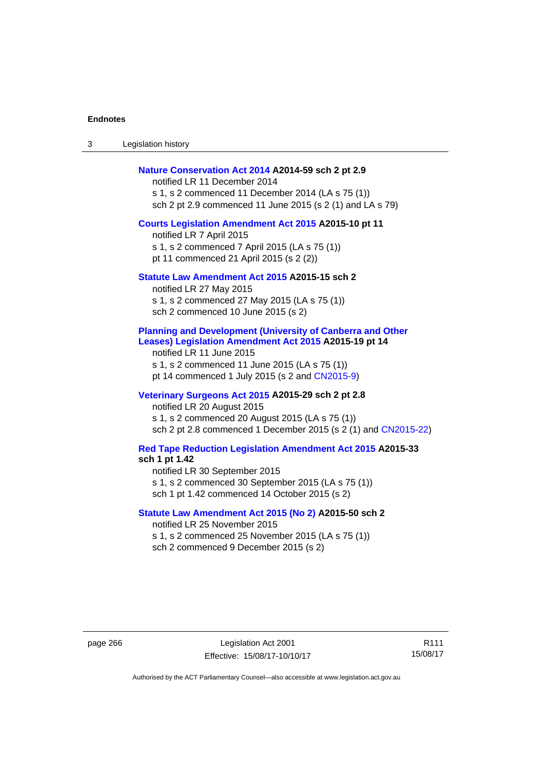3 Legislation history

### **[Nature Conservation Act 2014](http://www.legislation.act.gov.au/a/2014-59) A2014-59 sch 2 pt 2.9**

notified LR 11 December 2014 s 1, s 2 commenced 11 December 2014 (LA s 75 (1)) sch 2 pt 2.9 commenced 11 June 2015 (s 2 (1) and LA s 79)

### **[Courts Legislation Amendment Act 2015](http://www.legislation.act.gov.au/a/2015-10) A2015-10 pt 11**

notified LR 7 April 2015 s 1, s 2 commenced 7 April 2015 (LA s 75 (1)) pt 11 commenced 21 April 2015 (s 2 (2))

### **[Statute Law Amendment Act 2015](http://www.legislation.act.gov.au/a/2015-15) A2015-15 sch 2**

notified LR 27 May 2015 s 1, s 2 commenced 27 May 2015 (LA s 75 (1)) sch 2 commenced 10 June 2015 (s 2)

## **[Planning and Development \(University of Canberra and Other](http://www.legislation.act.gov.au/a/2015-19)  [Leases\) Legislation Amendment Act 2015](http://www.legislation.act.gov.au/a/2015-19) A2015-19 pt 14**

notified LR 11 June 2015 s 1, s 2 commenced 11 June 2015 (LA s 75 (1)) pt 14 commenced 1 July 2015 (s 2 and [CN2015-9\)](http://www.legislation.act.gov.au/cn/2015-9/default.asp)

## **[Veterinary Surgeons Act 2015](http://www.legislation.act.gov.au/a/2015-29/default.asp) A2015-29 sch 2 pt 2.8**

notified LR 20 August 2015 s 1, s 2 commenced 20 August 2015 (LA s 75 (1)) sch 2 pt 2.8 commenced 1 December 2015 (s 2 (1) and [CN2015-22\)](http://www.legislation.act.gov.au/cn/2015-22/default.asp)

## **[Red Tape Reduction Legislation Amendment Act 2015](http://www.legislation.act.gov.au/a/2015-33/default.asp) A2015-33**

**sch 1 pt 1.42** 

notified LR 30 September 2015

s 1, s 2 commenced 30 September 2015 (LA s 75 (1))

sch 1 pt 1.42 commenced 14 October 2015 (s 2)

## **[Statute Law Amendment Act 2015 \(No 2\)](http://www.legislation.act.gov.au/a/2015-50) A2015-50 sch 2**

notified LR 25 November 2015 s 1, s 2 commenced 25 November 2015 (LA s 75 (1)) sch 2 commenced 9 December 2015 (s 2)

page 266 Legislation Act 2001 Effective: 15/08/17-10/10/17

R111 15/08/17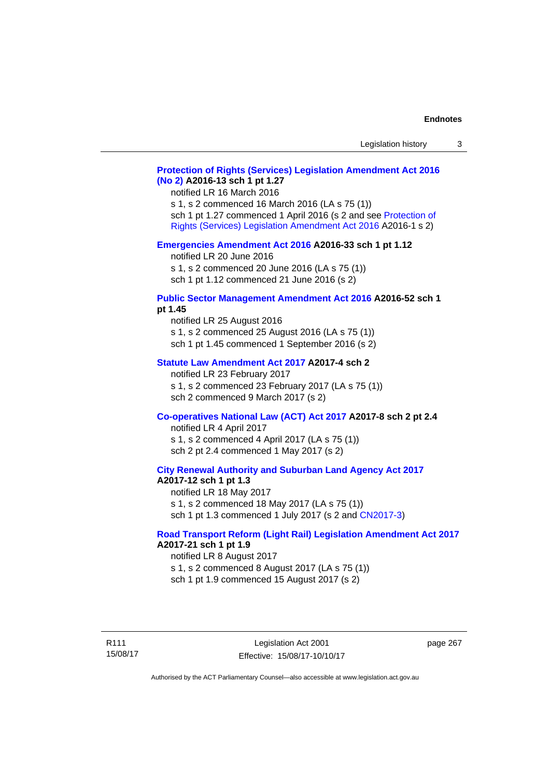## **[Protection of Rights \(Services\) Legislation Amendment Act 2016](http://www.legislation.act.gov.au/a/2016-13)  [\(No 2\)](http://www.legislation.act.gov.au/a/2016-13) A2016-13 sch 1 pt 1.27**

notified LR 16 March 2016 s 1, s 2 commenced 16 March 2016 (LA s 75 (1)) sch 1 pt 1.27 commenced 1 April 2016 (s 2 and see [Protection of](http://www.legislation.act.gov.au/a/2016-1/default.asp)  [Rights \(Services\) Legislation Amendment Act 2016](http://www.legislation.act.gov.au/a/2016-1/default.asp) A2016-1 s 2)

#### **[Emergencies Amendment Act 2016](http://www.legislation.act.gov.au/a/2016-33) A2016-33 sch 1 pt 1.12**

notified LR 20 June 2016 s 1, s 2 commenced 20 June 2016 (LA s 75 (1)) sch 1 pt 1.12 commenced 21 June 2016 (s 2)

### **[Public Sector Management Amendment Act 2016](http://www.legislation.act.gov.au/a/2016-52/default.asp) A2016-52 sch 1 pt 1.45**

notified LR 25 August 2016 s 1, s 2 commenced 25 August 2016 (LA s 75 (1)) sch 1 pt 1.45 commenced 1 September 2016 (s 2)

### **[Statute Law Amendment Act 2017](http://www.legislation.act.gov.au/a/2017-4/default.asp) A2017-4 sch 2**

notified LR 23 February 2017 s 1, s 2 commenced 23 February 2017 (LA s 75 (1)) sch 2 commenced 9 March 2017 (s 2)

### **[Co-operatives National Law \(ACT\) Act 2017](http://www.legislation.act.gov.au/a/2017-8/default.asp) A2017-8 sch 2 pt 2.4**

notified LR 4 April 2017 s 1, s 2 commenced 4 April 2017 (LA s 75 (1)) sch 2 pt 2.4 commenced 1 May 2017 (s 2)

### **[City Renewal Authority and Suburban Land Agency Act 2017](http://www.legislation.act.gov.au/a/2017-12/default.asp) A2017-12 sch 1 pt 1.3**

notified LR 18 May 2017 s 1, s 2 commenced 18 May 2017 (LA s 75 (1)) sch 1 pt 1.3 commenced 1 July 2017 (s 2 and [CN2017-3](http://www.legislation.act.gov.au/cn/2017-3/default.asp))

## **[Road Transport Reform \(Light Rail\) Legislation Amendment Act 2017](http://www.legislation.act.gov.au/a/2017-21/default.asp) A2017-21 sch 1 pt 1.9**

notified LR 8 August 2017 s 1, s 2 commenced 8 August 2017 (LA s 75 (1)) sch 1 pt 1.9 commenced 15 August 2017 (s 2)

R111 15/08/17 page 267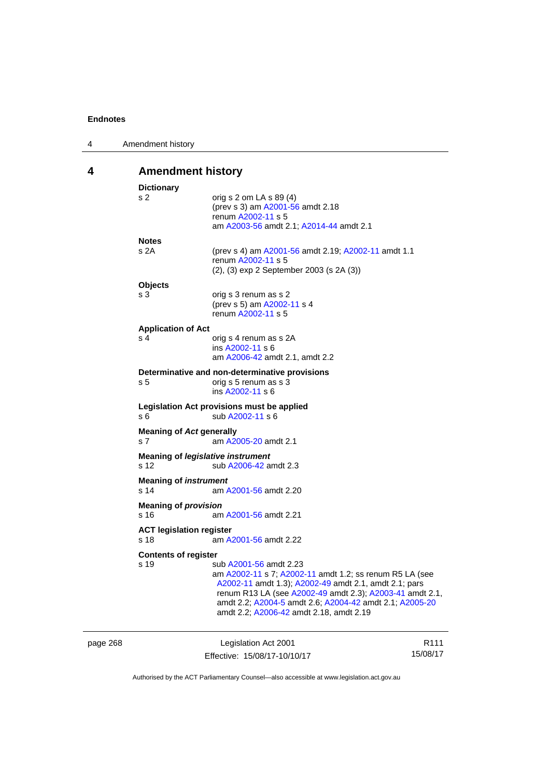| 4 | Amendment history                        |                                                                |  |  |
|---|------------------------------------------|----------------------------------------------------------------|--|--|
| 4 |                                          | <b>Amendment history</b>                                       |  |  |
|   | <b>Dictionary</b>                        |                                                                |  |  |
|   | s 2                                      | orig s 2 om LA s 89 (4)                                        |  |  |
|   |                                          | (prev s 3) am A2001-56 amdt 2.18                               |  |  |
|   |                                          | renum A2002-11 s 5                                             |  |  |
|   |                                          | am A2003-56 amdt 2.1; A2014-44 amdt 2.1                        |  |  |
|   | <b>Notes</b>                             |                                                                |  |  |
|   | s 2A                                     | (prev s 4) am A2001-56 amdt 2.19; A2002-11 amdt 1.1            |  |  |
|   |                                          | renum A2002-11 s 5                                             |  |  |
|   |                                          | $(2)$ , $(3)$ exp 2 September 2003 (s 2A $(3)$ )               |  |  |
|   | <b>Objects</b>                           |                                                                |  |  |
|   | s 3                                      | orig s 3 renum as s 2                                          |  |  |
|   |                                          | (prev s 5) am A2002-11 s 4                                     |  |  |
|   |                                          | renum A2002-11 s 5                                             |  |  |
|   | <b>Application of Act</b>                |                                                                |  |  |
|   | s 4                                      | orig s 4 renum as s 2A                                         |  |  |
|   |                                          | ins A2002-11 s 6<br>am A2006-42 amdt 2.1, amdt 2.2             |  |  |
|   |                                          |                                                                |  |  |
|   |                                          | Determinative and non-determinative provisions                 |  |  |
|   | s 5                                      | orig s 5 renum as s 3<br>ins A2002-11 s 6                      |  |  |
|   |                                          |                                                                |  |  |
|   | s 6                                      | Legislation Act provisions must be applied<br>sub A2002-11 s 6 |  |  |
|   |                                          |                                                                |  |  |
|   | <b>Meaning of Act generally</b>          |                                                                |  |  |
|   | s 7                                      | am A2005-20 amdt 2.1                                           |  |  |
|   | <b>Meaning of legislative instrument</b> |                                                                |  |  |
|   | s 12                                     | sub A2006-42 amdt 2.3                                          |  |  |
|   | <b>Meaning of instrument</b>             |                                                                |  |  |
|   | s 14                                     | am A2001-56 amdt 2.20                                          |  |  |
|   | <b>Meaning of provision</b>              |                                                                |  |  |
|   | s 16                                     | am A2001-56 amdt 2.21                                          |  |  |
|   | <b>ACT legislation register</b>          |                                                                |  |  |
|   | s 18                                     | am A2001-56 amdt 2.22                                          |  |  |
|   |                                          |                                                                |  |  |
|   | <b>Contents of register</b><br>s 19      | sub A2001-56 amdt 2.23                                         |  |  |
|   |                                          | am A2002-11 s 7; A2002-11 amdt 1.2; ss renum R5 LA (see        |  |  |
|   |                                          | A2002-11 amdt 1.3); A2002-49 amdt 2.1, amdt 2.1; pars          |  |  |
|   |                                          | renum R13 LA (see A2002-49 amdt 2.3); A2003-41 amdt 2.1,       |  |  |
|   |                                          | amdt 2.2; A2004-5 amdt 2.6; A2004-42 amdt 2.1; A2005-20        |  |  |
|   |                                          | amdt 2.2; A2006-42 amdt 2.18, amdt 2.19                        |  |  |
|   |                                          |                                                                |  |  |
|   |                                          |                                                                |  |  |

page 268 Legislation Act 2001 Effective: 15/08/17-10/10/17 R111 15/08/17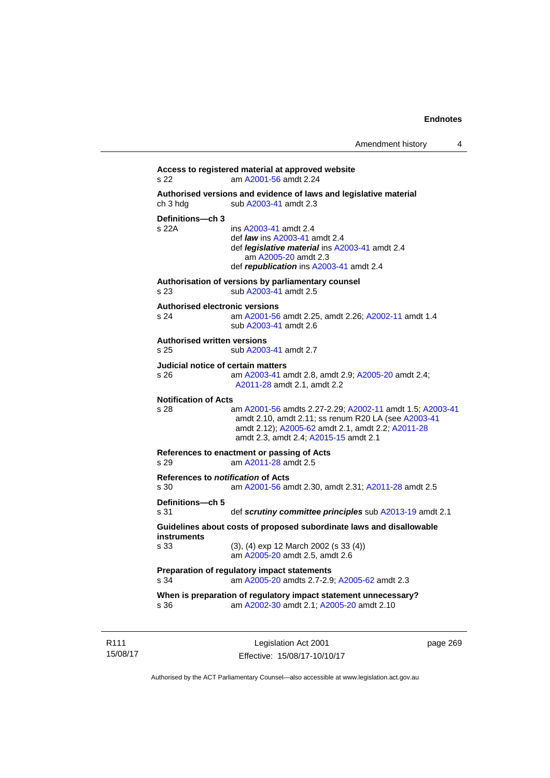```
Access to registered material at approved website 
s 22 am A2001-56 amdt 2.24
Authorised versions and evidence of laws and legislative material 
A2003-41 amdt 2.3
Definitions—ch 3 
                 A2003-41 amdt 2.4
                  def law ins A2003-41 amdt 2.4 
                  def legislative material ins A2003-41 amdt 2.4 
                     am A2005-20 amdt 2.3
                  def republication ins A2003-41 amdt 2.4
Authorisation of versions by parliamentary counsel 
s 23 sub A2003-41 amdt 2.5 
Authorised electronic versions 
s 24 am A2001-56 amdt 2.25, amdt 2.26; A2002-11 amdt 1.4
                 sub A2003-41 amdt 2.6 
Authorised written versions 
s 25 sub A2003-41 amdt 2.7 
Judicial notice of certain matters 
s 26 am A2003-41 amdt 2.8, amdt 2.9; A2005-20 amdt 2.4; 
                 A2011-28 amdt 2.1, amdt 2.2 
Notification of Acts 
s 28 am A2001-56 amdts 2.27-2.29; A2002-11 amdt 1.5; A2003-41
                 amdt 2.10, amdt 2.11; ss renum R20 LA (see A2003-41
                 amdt 2.12); A2005-62 amdt 2.1, amdt 2.2; A2011-28
                 amdt 2.3, amdt 2.4; A2015-15 amdt 2.1 
References to enactment or passing of Acts 
s 29 am A2011-28 amdt 2.5
References to notification of Acts 
s 30 am A2001-56 amdt 2.30, amdt 2.31; A2011-28 amdt 2.5
Definitions—ch 5 
s 31 def scrutiny committee principles sub A2013-19 amdt 2.1
Guidelines about costs of proposed subordinate laws and disallowable 
instruments 
s 33 (3), (4) exp 12 March 2002 (s 33 (4)) 
                  am A2005-20 amdt 2.5, amdt 2.6 
Preparation of regulatory impact statements 
s 34 am A2005-20 amdts 2.7-2.9; A2005-62 amdt 2.3 
When is preparation of regulatory impact statement unnecessary? 
s 36 am A2002-30 amdt 2.1; A2005-20 amdt 2.10
```
R111 15/08/17

Legislation Act 2001 Effective: 15/08/17-10/10/17 page 269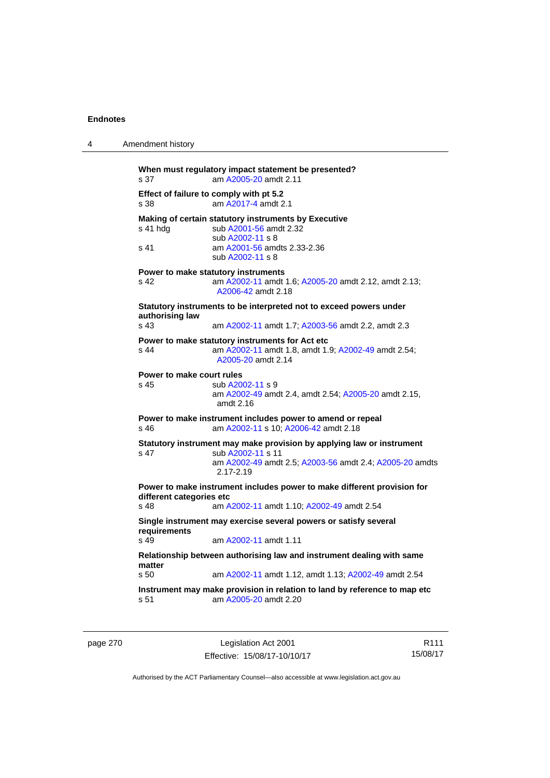| 4 | Amendment history                  |                                                                                                                                                                        |
|---|------------------------------------|------------------------------------------------------------------------------------------------------------------------------------------------------------------------|
|   | s 37                               | When must regulatory impact statement be presented?<br>am A2005-20 amdt 2.11                                                                                           |
|   | s 38                               | Effect of failure to comply with pt 5.2<br>am A2017-4 amdt 2.1                                                                                                         |
|   | s 41 hdg                           | Making of certain statutory instruments by Executive<br>sub A2001-56 amdt 2.32<br>sub A2002-11 s 8                                                                     |
|   | s 41                               | am A2001-56 amdts 2.33-2.36<br>sub A2002-11 s 8                                                                                                                        |
|   | s 42                               | Power to make statutory instruments<br>am A2002-11 amdt 1.6; A2005-20 amdt 2.12, amdt 2.13;<br>A2006-42 amdt 2.18                                                      |
|   |                                    | Statutory instruments to be interpreted not to exceed powers under                                                                                                     |
|   | authorising law<br>s <sub>43</sub> | am A2002-11 amdt 1.7; A2003-56 amdt 2.2, amdt 2.3                                                                                                                      |
|   | s 44                               | Power to make statutory instruments for Act etc<br>am A2002-11 amdt 1.8, amdt 1.9; A2002-49 amdt 2.54;<br>A2005-20 amdt 2.14                                           |
|   | Power to make court rules<br>s 45  | sub A2002-11 s 9<br>am A2002-49 amdt 2.4, amdt 2.54; A2005-20 amdt 2.15,<br>amdt $2.16$                                                                                |
|   | s 46                               | Power to make instrument includes power to amend or repeal<br>am A2002-11 s 10; A2006-42 amdt 2.18                                                                     |
|   | s 47                               | Statutory instrument may make provision by applying law or instrument<br>sub A2002-11 s 11<br>am A2002-49 amdt 2.5; A2003-56 amdt 2.4; A2005-20 amdts<br>$2.17 - 2.19$ |
|   | different categories etc<br>s 48   | Power to make instrument includes power to make different provision for<br>am A2002-11 amdt 1.10; A2002-49 amdt 2.54                                                   |
|   | requirements<br>s <sub>49</sub>    | Single instrument may exercise several powers or satisfy several<br>am A2002-11 amdt 1.11                                                                              |
|   | matter                             | Relationship between authorising law and instrument dealing with same                                                                                                  |
|   | s 50                               | am A2002-11 amdt 1.12, amdt 1.13; A2002-49 amdt 2.54                                                                                                                   |
|   | s 51                               | Instrument may make provision in relation to land by reference to map etc<br>am A2005-20 amdt 2.20                                                                     |

page 270 Legislation Act 2001 Effective: 15/08/17-10/10/17

R111 15/08/17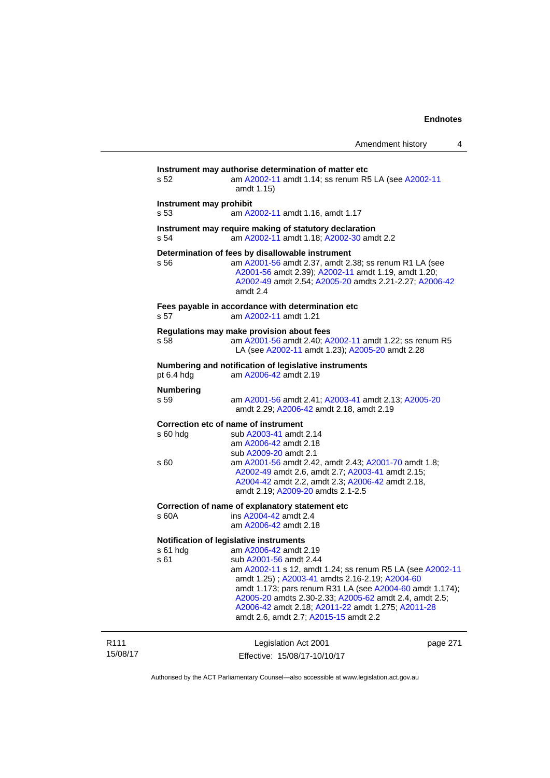| Amendment history |  |
|-------------------|--|
|-------------------|--|

|                              | s 52                                                                                                                                                                              | Instrument may authorise determination of matter etc<br>am A2002-11 amdt 1.14; ss renum R5 LA (see A2002-11<br>amdt 1.15)                                                                                                                                                                                                                                                          |          |  |  |
|------------------------------|-----------------------------------------------------------------------------------------------------------------------------------------------------------------------------------|------------------------------------------------------------------------------------------------------------------------------------------------------------------------------------------------------------------------------------------------------------------------------------------------------------------------------------------------------------------------------------|----------|--|--|
|                              | Instrument may prohibit<br>am A2002-11 amdt 1.16, amdt 1.17<br>s 53<br>Instrument may require making of statutory declaration<br>s 54<br>am A2002-11 amdt 1.18; A2002-30 amdt 2.2 |                                                                                                                                                                                                                                                                                                                                                                                    |          |  |  |
|                              |                                                                                                                                                                                   |                                                                                                                                                                                                                                                                                                                                                                                    |          |  |  |
|                              | Fees payable in accordance with determination etc<br>am A2002-11 amdt 1.21<br>s 57                                                                                                |                                                                                                                                                                                                                                                                                                                                                                                    |          |  |  |
|                              | s 58                                                                                                                                                                              | Regulations may make provision about fees<br>am A2001-56 amdt 2.40; A2002-11 amdt 1.22; ss renum R5<br>LA (see A2002-11 amdt 1.23); A2005-20 amdt 2.28                                                                                                                                                                                                                             |          |  |  |
|                              | Numbering and notification of legislative instruments<br>pt 6.4 hdg<br>am A2006-42 amdt 2.19                                                                                      |                                                                                                                                                                                                                                                                                                                                                                                    |          |  |  |
|                              | <b>Numbering</b><br>s 59                                                                                                                                                          | am A2001-56 amdt 2.41; A2003-41 amdt 2.13; A2005-20<br>amdt 2.29; A2006-42 amdt 2.18, amdt 2.19                                                                                                                                                                                                                                                                                    |          |  |  |
|                              | $s60h$ dg                                                                                                                                                                         | Correction etc of name of instrument<br>sub A2003-41 amdt 2.14<br>am A2006-42 amdt 2.18<br>sub A2009-20 amdt 2.1                                                                                                                                                                                                                                                                   |          |  |  |
|                              | s 60                                                                                                                                                                              | am A2001-56 amdt 2.42, amdt 2.43; A2001-70 amdt 1.8;<br>A2002-49 amdt 2.6, amdt 2.7; A2003-41 amdt 2.15;<br>A2004-42 amdt 2.2, amdt 2.3; A2006-42 amdt 2.18,<br>amdt 2.19; A2009-20 amdts 2.1-2.5                                                                                                                                                                                  |          |  |  |
|                              | s 60A                                                                                                                                                                             | Correction of name of explanatory statement etc<br>ins A2004-42 amdt 2.4<br>am A2006-42 amdt 2.18                                                                                                                                                                                                                                                                                  |          |  |  |
|                              | Notification of legislative instruments                                                                                                                                           |                                                                                                                                                                                                                                                                                                                                                                                    |          |  |  |
|                              | $s61$ hdg<br>s 61                                                                                                                                                                 | am A2006-42 amdt 2.19<br>sub A2001-56 amdt 2.44<br>am A2002-11 s 12, amdt 1.24; ss renum R5 LA (see A2002-11<br>amdt 1.25); A2003-41 amdts 2.16-2.19; A2004-60<br>amdt 1.173; pars renum R31 LA (see A2004-60 amdt 1.174);<br>A2005-20 amdts 2.30-2.33; A2005-62 amdt 2.4, amdt 2.5;<br>A2006-42 amdt 2.18; A2011-22 amdt 1.275; A2011-28<br>amdt 2.6, amdt 2.7; A2015-15 amdt 2.2 |          |  |  |
| R <sub>111</sub><br>15/08/17 |                                                                                                                                                                                   | Legislation Act 2001<br>Effective: 15/08/17-10/10/17                                                                                                                                                                                                                                                                                                                               | page 271 |  |  |

Authorised by the ACT Parliamentary Counsel—also accessible at www.legislation.act.gov.au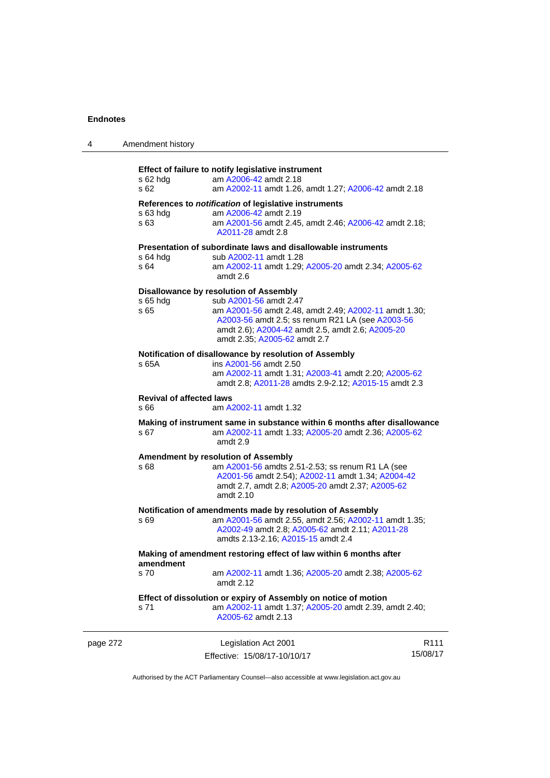| 4        | Amendment history                                                              |                                                                                                                                                                                                                                                                   |                              |  |  |
|----------|--------------------------------------------------------------------------------|-------------------------------------------------------------------------------------------------------------------------------------------------------------------------------------------------------------------------------------------------------------------|------------------------------|--|--|
|          | $s$ 62 hdg<br>s 62                                                             | Effect of failure to notify legislative instrument<br>am A2006-42 amdt 2.18<br>am A2002-11 amdt 1.26, amdt 1.27; A2006-42 amdt 2.18                                                                                                                               |                              |  |  |
|          | $s$ 63 hdg<br>s 63                                                             | References to notification of legislative instruments<br>am A2006-42 amdt 2.19<br>am A2001-56 amdt 2.45, amdt 2.46; A2006-42 amdt 2.18;<br>A2011-28 amdt 2.8                                                                                                      |                              |  |  |
|          | $s$ 64 hdg<br>s 64                                                             | Presentation of subordinate laws and disallowable instruments<br>sub A2002-11 amdt 1.28<br>am A2002-11 amdt 1.29; A2005-20 amdt 2.34; A2005-62<br>amdt 2.6                                                                                                        |                              |  |  |
|          | s 65 hdg<br>s 65                                                               | Disallowance by resolution of Assembly<br>sub A2001-56 amdt 2.47<br>am A2001-56 amdt 2.48, amdt 2.49; A2002-11 amdt 1.30;<br>A2003-56 amdt 2.5; ss renum R21 LA (see A2003-56<br>amdt 2.6); A2004-42 amdt 2.5, amdt 2.6; A2005-20<br>amdt 2.35; A2005-62 amdt 2.7 |                              |  |  |
|          | s 65A                                                                          | Notification of disallowance by resolution of Assembly<br>ins A2001-56 amdt 2.50<br>am A2002-11 amdt 1.31; A2003-41 amdt 2.20; A2005-62<br>amdt 2.8; A2011-28 amdts 2.9-2.12; A2015-15 amdt 2.3                                                                   |                              |  |  |
|          | <b>Revival of affected laws</b><br>s 66<br>am A2002-11 amdt 1.32               |                                                                                                                                                                                                                                                                   |                              |  |  |
|          | s 67                                                                           | Making of instrument same in substance within 6 months after disallowance<br>am A2002-11 amdt 1.33; A2005-20 amdt 2.36; A2005-62<br>amdt 2.9                                                                                                                      |                              |  |  |
|          | s 68                                                                           | Amendment by resolution of Assembly<br>am A2001-56 amdts 2.51-2.53; ss renum R1 LA (see<br>A2001-56 amdt 2.54); A2002-11 amdt 1.34; A2004-42<br>amdt 2.7, amdt 2.8; A2005-20 amdt 2.37; A2005-62<br>amdt 2.10                                                     |                              |  |  |
|          | s 69                                                                           | Notification of amendments made by resolution of Assembly<br>am A2001-56 amdt 2.55, amdt 2.56; A2002-11 amdt 1.35;<br>A2002-49 amdt 2.8; A2005-62 amdt 2.11; A2011-28<br>amdts 2.13-2.16; A2015-15 amdt 2.4                                                       |                              |  |  |
|          | Making of amendment restoring effect of law within 6 months after<br>amendment |                                                                                                                                                                                                                                                                   |                              |  |  |
|          | s 70                                                                           | am A2002-11 amdt 1.36; A2005-20 amdt 2.38; A2005-62<br>amdt 2.12                                                                                                                                                                                                  |                              |  |  |
|          | s 71                                                                           | Effect of dissolution or expiry of Assembly on notice of motion<br>am A2002-11 amdt 1.37; A2005-20 amdt 2.39, amdt 2.40;<br>A2005-62 amdt 2.13                                                                                                                    |                              |  |  |
| page 272 |                                                                                | Legislation Act 2001<br>Effective: 15/08/17-10/10/17                                                                                                                                                                                                              | R <sub>111</sub><br>15/08/17 |  |  |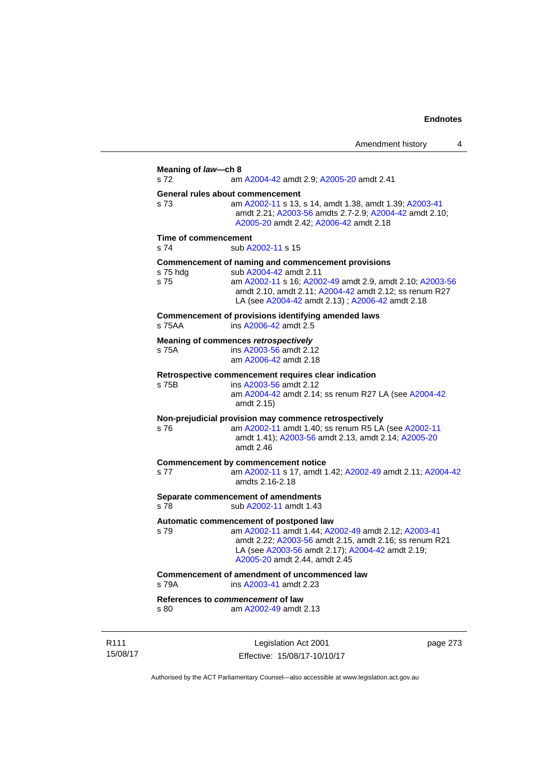Amendment history 4 **Meaning of** *law***—ch 8**  s 72 am [A2004-42](http://www.legislation.act.gov.au/a/2004-42) amdt 2.9; [A2005-20](http://www.legislation.act.gov.au/a/2005-20) amdt 2.41 **General rules about commencement**  s 73 am [A2002-11](http://www.legislation.act.gov.au/a/2002-11) s 13, s 14, amdt 1.38, amdt 1.39; [A2003-41](http://www.legislation.act.gov.au/a/2003-41) amdt 2.21; [A2003-56](http://www.legislation.act.gov.au/a/2003-56) amdts 2.7-2.9; [A2004-42](http://www.legislation.act.gov.au/a/2004-42) amdt 2.10; [A2005-20](http://www.legislation.act.gov.au/a/2005-20) amdt 2.42; [A2006-42](http://www.legislation.act.gov.au/a/2006-42) amdt 2.18 **Time of commencement**  s 74 sub [A2002-11](http://www.legislation.act.gov.au/a/2002-11) s 15 **Commencement of naming and commencement provisions**  s 75 hdg sub [A2004-42](http://www.legislation.act.gov.au/a/2004-42) amdt 2.11 s 75 am [A2002-11](http://www.legislation.act.gov.au/a/2002-11) s 16; [A2002-49](http://www.legislation.act.gov.au/a/2002-49) amdt 2.9, amdt 2.10; [A2003-56](http://www.legislation.act.gov.au/a/2003-56) amdt 2.10, amdt 2.11; [A2004-42](http://www.legislation.act.gov.au/a/2004-42) amdt 2.12; ss renum R27 LA (see [A2004-42](http://www.legislation.act.gov.au/a/2004-42) amdt 2.13) ; [A2006-42](http://www.legislation.act.gov.au/a/2006-42) amdt 2.18 **Commencement of provisions identifying amended laws**  s 75AA ins [A2006-42](http://www.legislation.act.gov.au/a/2006-42) amdt 2.5 **Meaning of commences** *retrospectively*  s 75A ins [A2003-56](http://www.legislation.act.gov.au/a/2003-56) amdt 2.12 am [A2006-42](http://www.legislation.act.gov.au/a/2006-42) amdt 2.18 **Retrospective commencement requires clear indication**  s 75B ins [A2003-56](http://www.legislation.act.gov.au/a/2003-56) amdt 2.12 am [A2004-42](http://www.legislation.act.gov.au/a/2004-42) amdt 2.14; ss renum R27 LA (see [A2004-42](http://www.legislation.act.gov.au/a/2004-42) amdt 2.15) **Non-prejudicial provision may commence retrospectively**  s 76 am [A2002-11](http://www.legislation.act.gov.au/a/2002-11) amdt 1.40; ss renum R5 LA (see [A2002-11](http://www.legislation.act.gov.au/a/2002-11) amdt 1.41); [A2003-56](http://www.legislation.act.gov.au/a/2003-56) amdt 2.13, amdt 2.14; [A2005-20](http://www.legislation.act.gov.au/a/2005-20) amdt 2.46 **Commencement by commencement notice**  s 77 am [A2002-11](http://www.legislation.act.gov.au/a/2002-11) s 17, amdt 1.42; [A2002-49](http://www.legislation.act.gov.au/a/2002-49) amdt 2.11; [A2004-42](http://www.legislation.act.gov.au/a/2004-42) amdts 2.16-2.18 **Separate commencement of amendments**  s 78 sub [A2002-11](http://www.legislation.act.gov.au/a/2002-11) amdt 1.43 **Automatic commencement of postponed law**  s 79 am [A2002-11](http://www.legislation.act.gov.au/a/2002-11) amdt 1.44; [A2002-49](http://www.legislation.act.gov.au/a/2002-49) amdt 2.12; [A2003-41](http://www.legislation.act.gov.au/a/2003-41) amdt 2.22; [A2003-56](http://www.legislation.act.gov.au/a/2003-56) amdt 2.15, amdt 2.16; ss renum R21 LA (see [A2003-56](http://www.legislation.act.gov.au/a/2003-56) amdt 2.17); [A2004-42](http://www.legislation.act.gov.au/a/2004-42) amdt 2.19; [A2005-20](http://www.legislation.act.gov.au/a/2005-20) amdt 2.44, amdt 2.45 **Commencement of amendment of uncommenced law**<br>s 79A **ins A2003-41** amdt 2.23 ins [A2003-41](http://www.legislation.act.gov.au/a/2003-41) amdt 2.23 **References to** *commencement* **of law**  s 80 am [A2002-49](http://www.legislation.act.gov.au/a/2002-49) amdt 2.13

R111 15/08/17

Legislation Act 2001 Effective: 15/08/17-10/10/17 page 273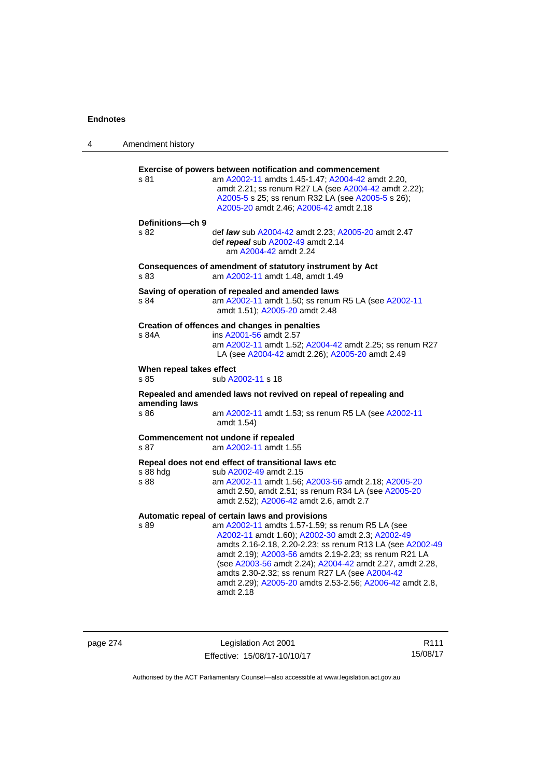| 4 | Amendment history                |                                                                                                                                                                                                                                                                                                                                                                                                                                                                      |
|---|----------------------------------|----------------------------------------------------------------------------------------------------------------------------------------------------------------------------------------------------------------------------------------------------------------------------------------------------------------------------------------------------------------------------------------------------------------------------------------------------------------------|
|   | s 81                             | Exercise of powers between notification and commencement<br>am A2002-11 amdts 1.45-1.47; A2004-42 amdt 2.20,<br>amdt 2.21; ss renum R27 LA (see A2004-42 amdt 2.22);<br>A2005-5 s 25; ss renum R32 LA (see A2005-5 s 26);<br>A2005-20 amdt 2.46; A2006-42 amdt 2.18                                                                                                                                                                                                  |
|   | Definitions-ch 9<br>s 82         | def law sub A2004-42 amdt 2.23; A2005-20 amdt 2.47<br>def repeal sub A2002-49 amdt 2.14<br>am A2004-42 amdt 2.24                                                                                                                                                                                                                                                                                                                                                     |
|   | s 83                             | Consequences of amendment of statutory instrument by Act<br>am A2002-11 amdt 1.48, amdt 1.49                                                                                                                                                                                                                                                                                                                                                                         |
|   | s 84                             | Saving of operation of repealed and amended laws<br>am A2002-11 amdt 1.50; ss renum R5 LA (see A2002-11<br>amdt 1.51); A2005-20 amdt 2.48                                                                                                                                                                                                                                                                                                                            |
|   | s 84A                            | Creation of offences and changes in penalties<br>ins A2001-56 amdt 2.57<br>am A2002-11 amdt 1.52; A2004-42 amdt 2.25; ss renum R27<br>LA (see A2004-42 amdt 2.26); A2005-20 amdt 2.49                                                                                                                                                                                                                                                                                |
|   | When repeal takes effect<br>s 85 | sub A2002-11 s 18                                                                                                                                                                                                                                                                                                                                                                                                                                                    |
|   |                                  | Repealed and amended laws not revived on repeal of repealing and                                                                                                                                                                                                                                                                                                                                                                                                     |
|   | amending laws<br>s 86            | am A2002-11 amdt 1.53; ss renum R5 LA (see A2002-11<br>amdt 1.54)                                                                                                                                                                                                                                                                                                                                                                                                    |
|   | s 87                             | Commencement not undone if repealed<br>am A2002-11 amdt 1.55                                                                                                                                                                                                                                                                                                                                                                                                         |
|   | s 88 hdg<br>s 88                 | Repeal does not end effect of transitional laws etc<br>sub A2002-49 amdt 2.15<br>am A2002-11 amdt 1.56; A2003-56 amdt 2.18; A2005-20<br>amdt 2.50, amdt 2.51; ss renum R34 LA (see A2005-20<br>amdt 2.52); A2006-42 amdt 2.6, amdt 2.7                                                                                                                                                                                                                               |
|   | s 89                             | Automatic repeal of certain laws and provisions<br>am A2002-11 amdts 1.57-1.59; ss renum R5 LA (see<br>A2002-11 amdt 1.60); A2002-30 amdt 2.3; A2002-49<br>amdts 2.16-2.18, 2.20-2.23; ss renum R13 LA (see A2002-49<br>amdt 2.19); A2003-56 amdts 2.19-2.23; ss renum R21 LA<br>(see A2003-56 amdt 2.24); A2004-42 amdt 2.27, amdt 2.28,<br>amdts 2.30-2.32; ss renum R27 LA (see A2004-42<br>amdt 2.29); A2005-20 amdts 2.53-2.56; A2006-42 amdt 2.8,<br>amdt 2.18 |

| page 274 |  |
|----------|--|
|----------|--|

page 274 Legislation Act 2001 Effective: 15/08/17-10/10/17

R111 15/08/17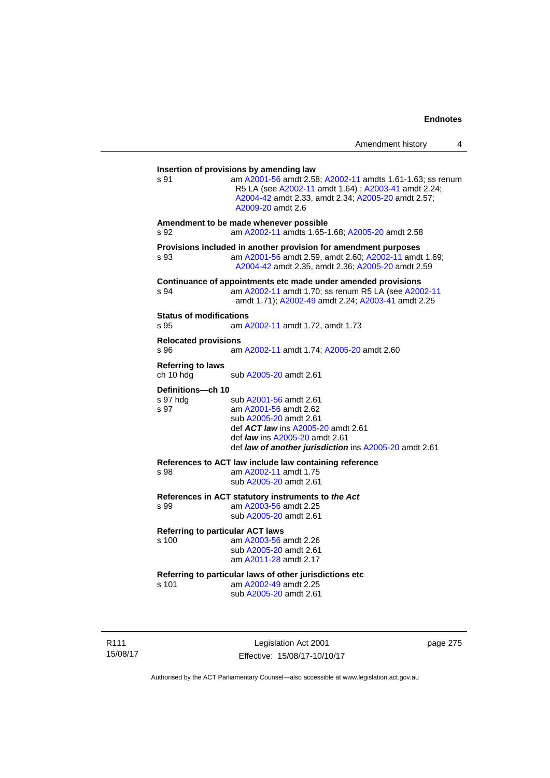| s.91                                   | am A2001-56 amdt 2.58; A2002-11 amdts 1.61-1.63; ss renum<br>R5 LA (see A2002-11 amdt 1.64) ; A2003-41 amdt 2.24;<br>A2004-42 amdt 2.33, amdt 2.34; A2005-20 amdt 2.57;<br>A2009-20 amdt 2.6                       |
|----------------------------------------|--------------------------------------------------------------------------------------------------------------------------------------------------------------------------------------------------------------------|
| s 92                                   | Amendment to be made whenever possible<br>am A2002-11 amdts 1.65-1.68; A2005-20 amdt 2.58                                                                                                                          |
| s 93                                   | Provisions included in another provision for amendment purposes<br>am A2001-56 amdt 2.59, amdt 2.60; A2002-11 amdt 1.69;<br>A2004-42 amdt 2.35, amdt 2.36; A2005-20 amdt 2.59                                      |
| s 94                                   | Continuance of appointments etc made under amended provisions<br>am A2002-11 amdt 1.70; ss renum R5 LA (see A2002-11<br>amdt 1.71); A2002-49 amdt 2.24; A2003-41 amdt 2.25                                         |
| <b>Status of modifications</b><br>s 95 | am A2002-11 amdt 1.72, amdt 1.73                                                                                                                                                                                   |
| <b>Relocated provisions</b><br>s 96    | am A2002-11 amdt 1.74; A2005-20 amdt 2.60                                                                                                                                                                          |
| <b>Referring to laws</b><br>ch 10 hdg  | sub A2005-20 amdt 2.61                                                                                                                                                                                             |
| Definitions-ch 10<br>s 97 hda<br>s 97  | sub A2001-56 amdt 2.61<br>am A2001-56 amdt 2.62<br>sub A2005-20 amdt 2.61<br>def ACT law ins A2005-20 amdt 2.61<br>def <i>law</i> ins A2005-20 amdt 2.61<br>def law of another jurisdiction ins A2005-20 amdt 2.61 |
| s 98                                   | References to ACT law include law containing reference<br>am A2002-11 amdt 1.75<br>sub A2005-20 amdt 2.61                                                                                                          |
| S.99                                   | References in ACT statutory instruments to the Act<br>am A2003-56 amdt 2.25<br>sub A2005-20 amdt 2.61                                                                                                              |
| s 100                                  | <b>Referring to particular ACT laws</b><br>am A2003-56 amdt 2.26<br>sub A2005-20 amdt 2.61<br>am A2011-28 amdt 2.17                                                                                                |
| s 101                                  | Referring to particular laws of other jurisdictions etc<br>am A2002-49 amdt 2.25<br>sub A2005-20 amdt 2.61                                                                                                         |

R111 15/08/17

Legislation Act 2001 Effective: 15/08/17-10/10/17 page 275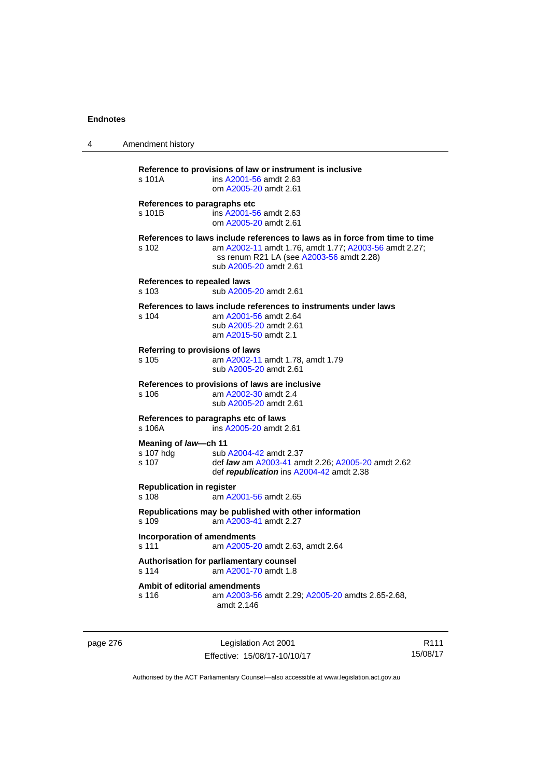| 4 | Amendment history                                                                                                                                                                                                   |
|---|---------------------------------------------------------------------------------------------------------------------------------------------------------------------------------------------------------------------|
|   | Reference to provisions of law or instrument is inclusive<br>s 101A<br>ins A2001-56 amdt 2.63<br>om A2005-20 amdt 2.61                                                                                              |
|   | References to paragraphs etc<br>s 101B<br>ins A2001-56 amdt 2.63<br>om A2005-20 amdt 2.61                                                                                                                           |
|   | References to laws include references to laws as in force from time to time<br>s 102<br>am A2002-11 amdt 1.76, amdt 1.77; A2003-56 amdt 2.27;<br>ss renum R21 LA (see A2003-56 amdt 2.28)<br>sub A2005-20 amdt 2.61 |
|   | References to repealed laws<br>s 103<br>sub A2005-20 amdt 2.61                                                                                                                                                      |
|   | References to laws include references to instruments under laws<br>$s$ 104<br>am A2001-56 amdt 2.64<br>sub A2005-20 amdt 2.61<br>am A2015-50 amdt 2.1                                                               |
|   | Referring to provisions of laws<br>s 105<br>am A2002-11 amdt 1.78, amdt 1.79<br>sub A2005-20 amdt 2.61                                                                                                              |
|   | References to provisions of laws are inclusive<br>s 106<br>am A2002-30 amdt 2.4<br>sub A2005-20 amdt 2.61                                                                                                           |
|   | References to paragraphs etc of laws<br>s 106A<br>ins A2005-20 amdt 2.61                                                                                                                                            |
|   | Meaning of law-ch 11<br>s 107 hdg<br>sub A2004-42 amdt 2.37<br>s 107<br>def <i>law</i> am A2003-41 amdt 2.26; A2005-20 amdt 2.62<br>def republication ins A2004-42 amdt 2.38                                        |
|   | <b>Republication in register</b><br>s 108<br>am A2001-56 amdt 2.65                                                                                                                                                  |
|   | Republications may be published with other information<br>s 109<br>am A2003-41 amdt 2.27                                                                                                                            |
|   | Incorporation of amendments<br>s 111<br>am A2005-20 amdt 2.63, amdt 2.64                                                                                                                                            |
|   | Authorisation for parliamentary counsel<br>am A2001-70 amdt 1.8<br>s 114                                                                                                                                            |
|   | Ambit of editorial amendments<br>s 116<br>am A2003-56 amdt 2.29; A2005-20 amdts 2.65-2.68,<br>amdt 2.146                                                                                                            |

page 276 **Legislation Act 2001** Effective: 15/08/17-10/10/17

R111 15/08/17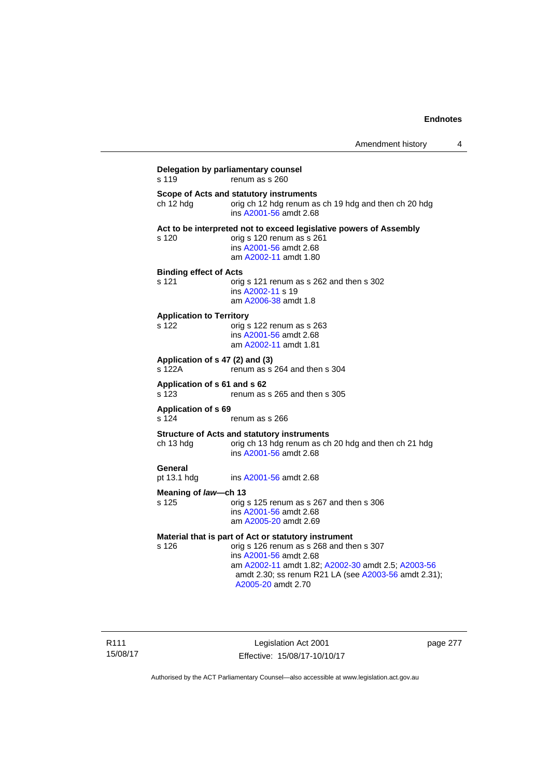| s 119                                     | Delegation by parliamentary counsel<br>renum as s 260                                                                                                                                                  |
|-------------------------------------------|--------------------------------------------------------------------------------------------------------------------------------------------------------------------------------------------------------|
| ch 12 hdg                                 | Scope of Acts and statutory instruments<br>orig ch 12 hdg renum as ch 19 hdg and then ch 20 hdg<br>ins A2001-56 amdt 2.68                                                                              |
| s 120                                     | Act to be interpreted not to exceed legislative powers of Assembly<br>orig s 120 renum as s 261<br>ins A2001-56 amdt 2.68<br>am A2002-11 amdt 1.80                                                     |
| <b>Binding effect of Acts</b><br>s 121    | orig s 121 renum as s 262 and then s 302<br>ins A2002-11 s 19<br>am A2006-38 amdt 1.8                                                                                                                  |
| <b>Application to Territory</b><br>s 122  | orig s 122 renum as s 263<br>ins A2001-56 amdt 2.68<br>am A2002-11 amdt 1.81                                                                                                                           |
| Application of s 47 (2) and (3)<br>s 122A | renum as s 264 and then s 304                                                                                                                                                                          |
| Application of s 61 and s 62<br>s 123     | renum as s 265 and then s 305                                                                                                                                                                          |
| <b>Application of s 69</b><br>s 124       | renum as s 266                                                                                                                                                                                         |
| ch 13 hdg                                 | <b>Structure of Acts and statutory instruments</b><br>orig ch 13 hdg renum as ch 20 hdg and then ch 21 hdg<br>ins A2001-56 amdt 2.68                                                                   |
| General<br>pt 13.1 hdg                    | ins A2001-56 amdt 2.68                                                                                                                                                                                 |
| Meaning of law—ch 13                      |                                                                                                                                                                                                        |
| s 125                                     | orig s 125 renum as s 267 and then s 306<br>ins A2001-56 amdt 2.68<br>am A2005-20 amdt 2.69                                                                                                            |
|                                           | Material that is part of Act or statutory instrument                                                                                                                                                   |
| s 126                                     | orig s 126 renum as s 268 and then s 307<br>ins A2001-56 amdt 2.68<br>am A2002-11 amdt 1.82; A2002-30 amdt 2.5; A2003-56<br>amdt 2.30; ss renum R21 LA (see A2003-56 amdt 2.31);<br>A2005-20 amdt 2.70 |

Legislation Act 2001 Effective: 15/08/17-10/10/17 page 277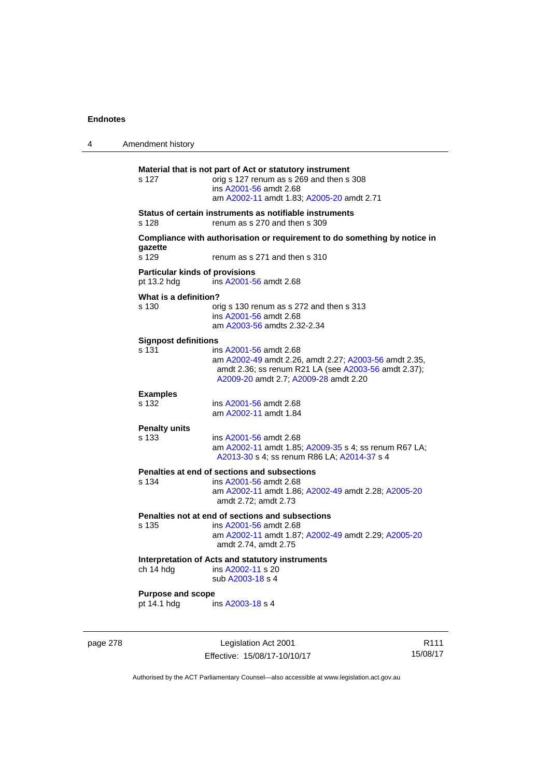| 4 | Amendment history                                    |                                                                                                                                                                                  |
|---|------------------------------------------------------|----------------------------------------------------------------------------------------------------------------------------------------------------------------------------------|
|   | s 127                                                | Material that is not part of Act or statutory instrument<br>orig s 127 renum as s 269 and then s 308<br>ins A2001-56 amdt 2.68<br>am A2002-11 amdt 1.83; A2005-20 amdt 2.71      |
|   | s 128                                                | Status of certain instruments as notifiable instruments<br>renum as s 270 and then s 309                                                                                         |
|   | gazette<br>s 129                                     | Compliance with authorisation or requirement to do something by notice in<br>renum as s 271 and then s 310                                                                       |
|   | <b>Particular kinds of provisions</b><br>pt 13.2 hdg | ins A2001-56 amdt 2.68                                                                                                                                                           |
|   | What is a definition?<br>s 130                       | orig s 130 renum as s 272 and then s 313<br>ins A2001-56 amdt 2.68<br>am A2003-56 amdts 2.32-2.34                                                                                |
|   | <b>Signpost definitions</b><br>s 131                 | ins A2001-56 amdt 2.68<br>am A2002-49 amdt 2.26, amdt 2.27; A2003-56 amdt 2.35,<br>amdt 2.36; ss renum R21 LA (see A2003-56 amdt 2.37);<br>A2009-20 amdt 2.7; A2009-28 amdt 2.20 |
|   | <b>Examples</b><br>s 132                             | ins A2001-56 amdt 2.68<br>am A2002-11 amdt 1.84                                                                                                                                  |
|   | <b>Penalty units</b><br>s 133                        | ins A2001-56 amdt 2.68<br>am A2002-11 amdt 1.85; A2009-35 s 4; ss renum R67 LA;<br>A2013-30 s 4; ss renum R86 LA; A2014-37 s 4                                                   |
|   | s 134                                                | Penalties at end of sections and subsections<br>ins A2001-56 amdt 2.68<br>am A2002-11 amdt 1.86; A2002-49 amdt 2.28; A2005-20<br>amdt 2.72; amdt 2.73                            |
|   | s 135                                                | Penalties not at end of sections and subsections<br>ins A2001-56 amdt 2.68<br>am A2002-11 amdt 1.87; A2002-49 amdt 2.29; A2005-20<br>amdt 2.74, amdt 2.75                        |
|   | ch 14 hdg                                            | Interpretation of Acts and statutory instruments<br>ins A2002-11 s 20<br>sub A2003-18 s 4                                                                                        |
|   | <b>Purpose and scope</b><br>pt 14.1 hdg              | ins A2003-18 s 4                                                                                                                                                                 |
|   |                                                      |                                                                                                                                                                                  |

page 278 Legislation Act 2001 Effective: 15/08/17-10/10/17

R111 15/08/17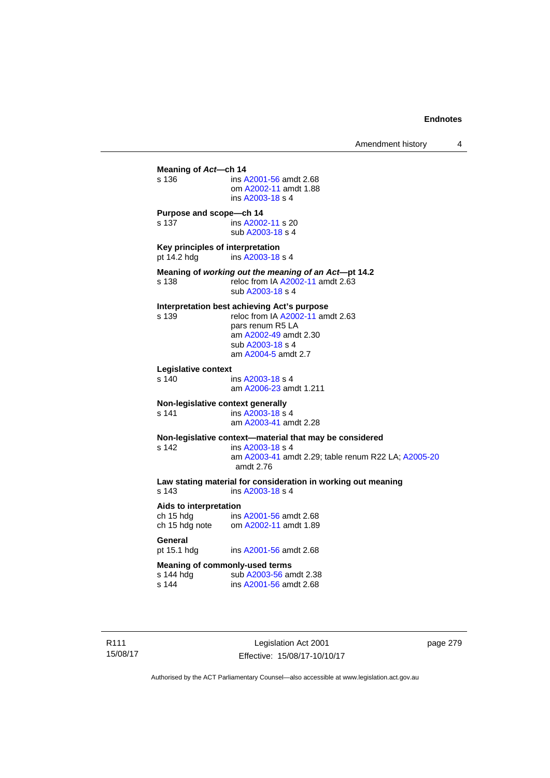**Meaning of** *Act***—ch 14**  s 136 ins [A2001-56](http://www.legislation.act.gov.au/a/2001-56) amdt 2.68 om [A2002-11](http://www.legislation.act.gov.au/a/2002-11) amdt 1.88 ins [A2003-18](http://www.legislation.act.gov.au/a/2003-18) s 4 **Purpose and scope—ch 14**  s 137 ins [A2002-11](http://www.legislation.act.gov.au/a/2002-11) s 20 sub [A2003-18](http://www.legislation.act.gov.au/a/2003-18) s 4 **Key principles of interpretation**<br>pt 14.2 hdg ins A2003-18 ins [A2003-18](http://www.legislation.act.gov.au/a/2003-18) s 4 **Meaning of** *working out the meaning of an Act***—pt 14.2**  s 138 reloc from IA [A2002-11](http://www.legislation.act.gov.au/a/2002-11) amdt 2.63 sub [A2003-18](http://www.legislation.act.gov.au/a/2003-18) s 4 **Interpretation best achieving Act's purpose**  s 139 reloc from IA [A2002-11](http://www.legislation.act.gov.au/a/2002-11) amdt 2.63 pars renum R5 LA am [A2002-49](http://www.legislation.act.gov.au/a/2002-49) amdt 2.30 sub [A2003-18](http://www.legislation.act.gov.au/a/2003-18) s 4 am [A2004-5](http://www.legislation.act.gov.au/a/2004-5) amdt 2.7 **Legislative context**  ins [A2003-18](http://www.legislation.act.gov.au/a/2003-18) s 4 am [A2006-23](http://www.legislation.act.gov.au/a/2006-23) amdt 1.211 **Non-legislative context generally**<br>s 141 **ins A2003-18 s** s 141 **ins [A2003-18](http://www.legislation.act.gov.au/a/2003-18) s** 4 am [A2003-41](http://www.legislation.act.gov.au/a/2003-41) amdt 2.28 **Non-legislative context—material that may be considered**  s 142 ins [A2003-18](http://www.legislation.act.gov.au/a/2003-18) s 4 am [A2003-41](http://www.legislation.act.gov.au/a/2003-41) amdt 2.29; table renum R22 LA; [A2005-20](http://www.legislation.act.gov.au/a/2005-20) amdt 2.76 **Law stating material for consideration in working out meaning**  ins [A2003-18](http://www.legislation.act.gov.au/a/2003-18) s 4 **Aids to interpretation**  ch 15 hdg ins [A2001-56](http://www.legislation.act.gov.au/a/2001-56) amdt 2.68 ch 15 hdg note om [A2002-11](http://www.legislation.act.gov.au/a/2002-11) amdt 1.89 General<br>pt 15.1 hdg ins [A2001-56](http://www.legislation.act.gov.au/a/2001-56) amdt 2.68 **Meaning of commonly-used terms**  s 144 hdg sub [A2003-56](http://www.legislation.act.gov.au/a/2003-56) amdt 2.38<br>s 144 ins A2001-56 amdt 2.68 ins [A2001-56](http://www.legislation.act.gov.au/a/2001-56) amdt 2.68

R111 15/08/17

Legislation Act 2001 Effective: 15/08/17-10/10/17 page 279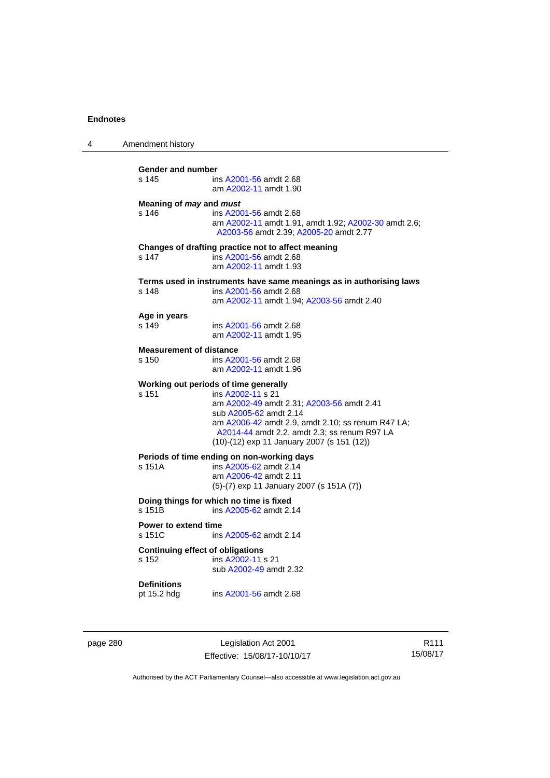| 4 | Amendment history                                |                                                                                                                                                                                                                                                                                      |
|---|--------------------------------------------------|--------------------------------------------------------------------------------------------------------------------------------------------------------------------------------------------------------------------------------------------------------------------------------------|
|   | Gender and number<br>s 145                       | ins A2001-56 amdt 2.68<br>am A2002-11 amdt 1.90                                                                                                                                                                                                                                      |
|   | Meaning of may and must<br>s 146                 | ins A2001-56 amdt 2.68<br>am A2002-11 amdt 1.91, amdt 1.92; A2002-30 amdt 2.6;<br>A2003-56 amdt 2.39; A2005-20 amdt 2.77                                                                                                                                                             |
|   | s 147                                            | Changes of drafting practice not to affect meaning<br>ins A2001-56 amdt 2.68<br>am A2002-11 amdt 1.93                                                                                                                                                                                |
|   | s 148                                            | Terms used in instruments have same meanings as in authorising laws<br>ins A2001-56 amdt 2.68<br>am A2002-11 amdt 1.94; A2003-56 amdt 2.40                                                                                                                                           |
|   | Age in years<br>s 149                            | ins A2001-56 amdt 2.68<br>am A2002-11 amdt 1.95                                                                                                                                                                                                                                      |
|   | <b>Measurement of distance</b><br>s 150          | ins A2001-56 amdt 2.68<br>am A2002-11 amdt 1.96                                                                                                                                                                                                                                      |
|   | s 151                                            | Working out periods of time generally<br>ins A2002-11 s 21<br>am A2002-49 amdt 2.31; A2003-56 amdt 2.41<br>sub A2005-62 amdt 2.14<br>am A2006-42 amdt 2.9, amdt 2.10; ss renum R47 LA;<br>A2014-44 amdt 2.2, amdt 2.3; ss renum R97 LA<br>(10)-(12) exp 11 January 2007 (s 151 (12)) |
|   | s 151A                                           | Periods of time ending on non-working days<br>ins A2005-62 amdt 2.14<br>am A2006-42 amdt 2.11<br>(5)-(7) exp 11 January 2007 (s 151A (7))                                                                                                                                            |
|   | s 151B                                           | Doing things for which no time is fixed<br>ins A2005-62 amdt 2.14                                                                                                                                                                                                                    |
|   | <b>Power to extend time</b><br>s 151C            | ins A2005-62 amdt 2.14                                                                                                                                                                                                                                                               |
|   | <b>Continuing effect of obligations</b><br>s 152 | ins A2002-11 s 21<br>sub A2002-49 amdt 2.32                                                                                                                                                                                                                                          |
|   | <b>Definitions</b><br>pt 15.2 hdg                | ins A2001-56 amdt 2.68                                                                                                                                                                                                                                                               |
|   |                                                  |                                                                                                                                                                                                                                                                                      |

page 280 Legislation Act 2001 Effective: 15/08/17-10/10/17

R111 15/08/17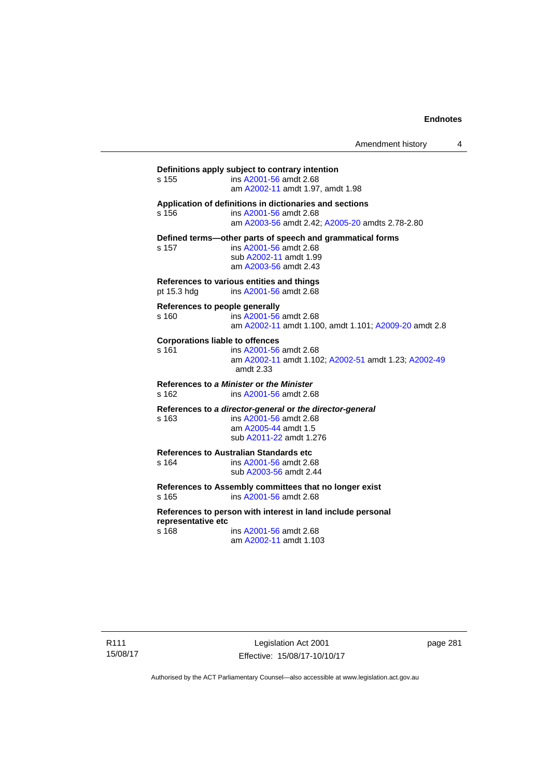Amendment history 4

**Definitions apply subject to contrary intention**  s 155 ins [A2001-56](http://www.legislation.act.gov.au/a/2001-56) amdt 2.68 am [A2002-11](http://www.legislation.act.gov.au/a/2002-11) amdt 1.97, amdt 1.98 **Application of definitions in dictionaries and sections**  s 156 ins [A2001-56](http://www.legislation.act.gov.au/a/2001-56) amdt 2.68 am [A2003-56](http://www.legislation.act.gov.au/a/2003-56) amdt 2.42; [A2005-20](http://www.legislation.act.gov.au/a/2005-20) amdts 2.78-2.80 **Defined terms—other parts of speech and grammatical forms**  s 157 ins [A2001-56](http://www.legislation.act.gov.au/a/2001-56) amdt 2.68 sub [A2002-11](http://www.legislation.act.gov.au/a/2002-11) amdt 1.99 am [A2003-56](http://www.legislation.act.gov.au/a/2003-56) amdt 2.43 **References to various entities and things**  pt 15.3 hdg ins [A2001-56](http://www.legislation.act.gov.au/a/2001-56) amdt 2.68 **References to people generally**  s 160 ins [A2001-56](http://www.legislation.act.gov.au/a/2001-56) amdt 2.68 am [A2002-11](http://www.legislation.act.gov.au/a/2002-11) amdt 1.100, amdt 1.101; [A2009-20](http://www.legislation.act.gov.au/a/2009-20) amdt 2.8 **Corporations liable to offences**  s 161 ins [A2001-56](http://www.legislation.act.gov.au/a/2001-56) amdt 2.68 am [A2002-11](http://www.legislation.act.gov.au/a/2002-11) amdt 1.102; [A2002-51](http://www.legislation.act.gov.au/a/2002-51) amdt 1.23; [A2002-49](http://www.legislation.act.gov.au/a/2002-49) amdt 2.33 **References to** *a Minister* **or** *the Minister* s 162 ins [A2001-56](http://www.legislation.act.gov.au/a/2001-56) amdt 2.68 **References to** *a director-general* **or** *the director-general* s 163 ins [A2001-56](http://www.legislation.act.gov.au/a/2001-56) amdt 2.68 am [A2005-44](http://www.legislation.act.gov.au/a/2005-44) amdt 1.5 sub [A2011-22](http://www.legislation.act.gov.au/a/2011-22) amdt 1.276 **References to Australian Standards etc**  ins [A2001-56](http://www.legislation.act.gov.au/a/2001-56) amdt 2.68 sub [A2003-56](http://www.legislation.act.gov.au/a/2003-56) amdt 2.44 **References to Assembly committees that no longer exist**  s 165 ins [A2001-56](http://www.legislation.act.gov.au/a/2001-56) amdt 2.68 **References to person with interest in land include personal representative etc**  s 168 ins [A2001-56](http://www.legislation.act.gov.au/a/2001-56) amdt 2.68 am [A2002-11](http://www.legislation.act.gov.au/a/2002-11) amdt 1.103

page 281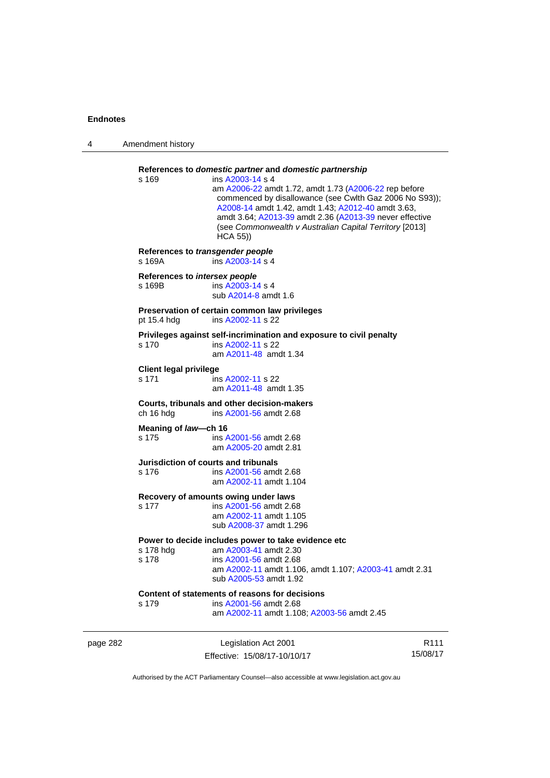| 4        | Amendment history                          |                                                                                                                                                                                                                                                                                                                                                                                        |                  |
|----------|--------------------------------------------|----------------------------------------------------------------------------------------------------------------------------------------------------------------------------------------------------------------------------------------------------------------------------------------------------------------------------------------------------------------------------------------|------------------|
|          | s 169                                      | References to domestic partner and domestic partnership<br>ins A2003-14 s 4<br>am A2006-22 amdt 1.72, amdt 1.73 (A2006-22 rep before<br>commenced by disallowance (see Cwlth Gaz 2006 No S93));<br>A2008-14 amdt 1.42, amdt 1.43; A2012-40 amdt 3.63,<br>amdt 3.64; A2013-39 amdt 2.36 (A2013-39 never effective<br>(see Commonwealth v Australian Capital Territory [2013]<br>HCA 55) |                  |
|          | References to transgender people<br>s 169A | ins A2003-14 s 4                                                                                                                                                                                                                                                                                                                                                                       |                  |
|          | References to intersex people<br>s 169B    | ins A2003-14 s 4<br>sub A2014-8 amdt 1.6                                                                                                                                                                                                                                                                                                                                               |                  |
|          | pt 15.4 hdg                                | Preservation of certain common law privileges<br>ins A2002-11 s 22                                                                                                                                                                                                                                                                                                                     |                  |
|          | s 170                                      | Privileges against self-incrimination and exposure to civil penalty<br>ins A2002-11 s 22<br>am A2011-48 amdt 1.34                                                                                                                                                                                                                                                                      |                  |
|          | <b>Client legal privilege</b><br>s 171     | ins A2002-11 s 22<br>am A2011-48 amdt 1.35                                                                                                                                                                                                                                                                                                                                             |                  |
|          | ch 16 hdg                                  | Courts, tribunals and other decision-makers<br>ins A2001-56 amdt 2.68                                                                                                                                                                                                                                                                                                                  |                  |
|          | Meaning of law-ch 16<br>s 175              | ins A2001-56 amdt 2.68<br>am A2005-20 amdt 2.81                                                                                                                                                                                                                                                                                                                                        |                  |
|          | s 176                                      | Jurisdiction of courts and tribunals<br>ins A2001-56 amdt 2.68<br>am A2002-11 amdt 1.104                                                                                                                                                                                                                                                                                               |                  |
|          | s 177                                      | Recovery of amounts owing under laws<br>ins A2001-56 amdt 2.68<br>am A2002-11 amdt 1.105<br>sub A2008-37 amdt 1.296                                                                                                                                                                                                                                                                    |                  |
|          | s 178 hdg<br>s 178                         | Power to decide includes power to take evidence etc<br>am A2003-41 amdt 2.30<br>ins A2001-56 amdt 2.68<br>am A2002-11 amdt 1.106, amdt 1.107; A2003-41 amdt 2.31<br>sub A2005-53 amdt 1.92                                                                                                                                                                                             |                  |
|          | s 179                                      | Content of statements of reasons for decisions<br>ins A2001-56 amdt 2.68<br>am A2002-11 amdt 1.108; A2003-56 amdt 2.45                                                                                                                                                                                                                                                                 |                  |
| page 282 |                                            | Legislation Act 2001                                                                                                                                                                                                                                                                                                                                                                   | R <sub>111</sub> |

Authorised by the ACT Parliamentary Counsel—also accessible at www.legislation.act.gov.au

15/08/17

Effective: 15/08/17-10/10/17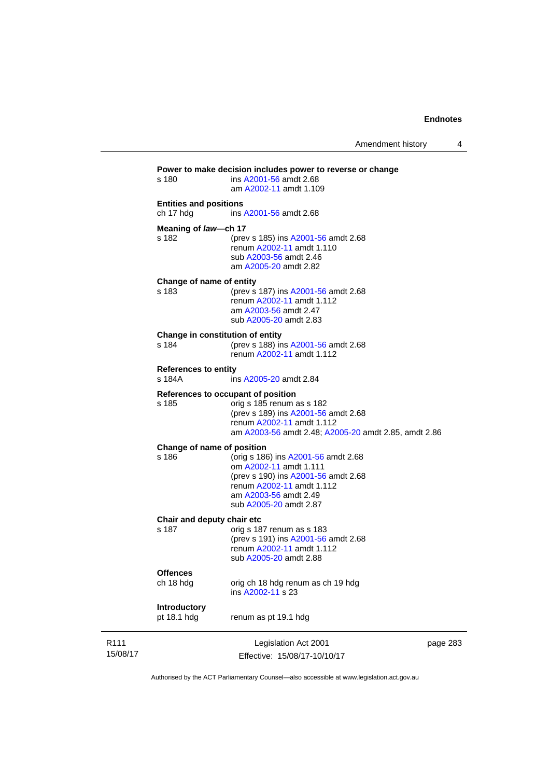|                                            | Legislation Act 2001<br>Effective: 15/08/17-10/10/17                                                                                                                                        | page 283 |
|--------------------------------------------|---------------------------------------------------------------------------------------------------------------------------------------------------------------------------------------------|----------|
| Introductory<br>pt 18.1 hdg                | renum as pt 19.1 hdg                                                                                                                                                                        |          |
| <b>Offences</b><br>ch 18 hdg               | orig ch 18 hdg renum as ch 19 hdg<br>ins A2002-11 s 23                                                                                                                                      |          |
| Chair and deputy chair etc<br>s 187        | orig s 187 renum as s 183<br>(prev s 191) ins A2001-56 amdt 2.68<br>renum A2002-11 amdt 1.112<br>sub A2005-20 amdt 2.88                                                                     |          |
| Change of name of position<br>s 186        | (orig s 186) ins A2001-56 amdt 2.68<br>om A2002-11 amdt 1.111<br>(prev s 190) ins A2001-56 amdt 2.68<br>renum A2002-11 amdt 1.112<br>am A2003-56 amdt 2.49<br>sub A2005-20 amdt 2.87        |          |
| s 185                                      | References to occupant of position<br>orig s 185 renum as s 182<br>(prev s 189) ins A2001-56 amdt 2.68<br>renum A2002-11 amdt 1.112<br>am A2003-56 amdt 2.48; A2005-20 amdt 2.85, amdt 2.86 |          |
| <b>References to entity</b><br>s 184A      | ins A2005-20 amdt 2.84                                                                                                                                                                      |          |
| s 184                                      | Change in constitution of entity<br>(prev s 188) ins A2001-56 amdt 2.68<br>renum A2002-11 amdt 1.112                                                                                        |          |
| Change of name of entity<br>s 183          | (prev s 187) ins A2001-56 amdt 2.68<br>renum A2002-11 amdt 1.112<br>am A2003-56 amdt 2.47<br>sub A2005-20 amdt 2.83                                                                         |          |
| Meaning of law-ch 17<br>s 182              | (prev s 185) ins A2001-56 amdt 2.68<br>renum A2002-11 amdt 1.110<br>sub A2003-56 amdt 2.46<br>am A2005-20 amdt 2.82                                                                         |          |
| <b>Entities and positions</b><br>ch 17 hdg | ins A2001-56 amdt 2.68                                                                                                                                                                      |          |
|                                            |                                                                                                                                                                                             |          |

Authorised by the ACT Parliamentary Counsel—also accessible at www.legislation.act.gov.au

R111 15/08/17

L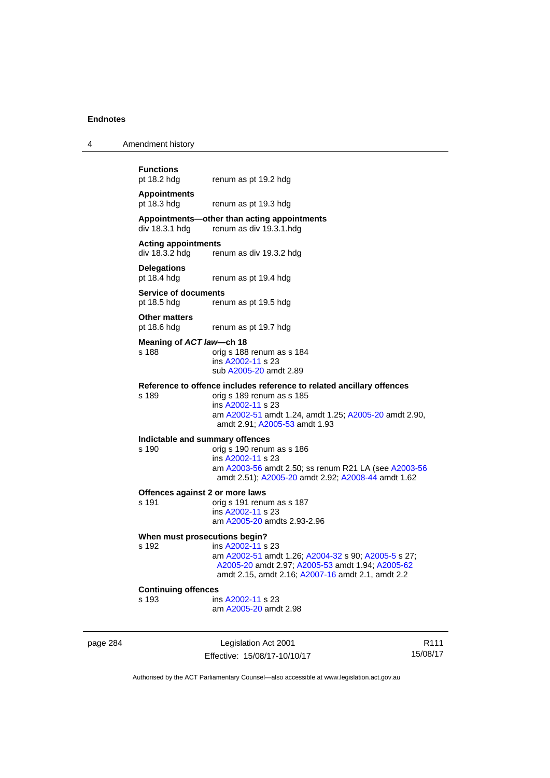4 Amendment history

| <b>Functions</b><br>pt 18.2 hdg    | renum as pt 19.2 hdg                                                   |
|------------------------------------|------------------------------------------------------------------------|
| <b>Appointments</b><br>pt 18.3 hdg | renum as pt 19.3 hdg                                                   |
| div 18.3.1 hdg                     | Appointments—other than acting appointments<br>renum as div 19.3.1.hdg |
| <b>Acting appointments</b>         | $div$ 18.3.2 hdg renum as div 19.3.2 hdg                               |
| <b>Delegations</b><br>pt 18.4 hdg  | renum as pt 19.4 hdg                                                   |
| <b>Service of documents</b>        |                                                                        |

pt 18.5 hdg renum as pt 19.5 hdg

**Other matters** 

pt 18.6 hdg renum as pt 19.7 hdg

#### **Meaning of** *ACT law***—ch 18**

s 188 orig s 188 renum as s 184 ins [A2002-11](http://www.legislation.act.gov.au/a/2002-11) s 23 sub [A2005-20](http://www.legislation.act.gov.au/a/2005-20) amdt 2.89

#### **Reference to offence includes reference to related ancillary offences**

s 189 orig s 189 renum as s 185 ins [A2002-11](http://www.legislation.act.gov.au/a/2002-11) s 23 am [A2002-51](http://www.legislation.act.gov.au/a/2002-51) amdt 1.24, amdt 1.25; [A2005-20](http://www.legislation.act.gov.au/a/2005-20) amdt 2.90, amdt 2.91; [A2005-53](http://www.legislation.act.gov.au/a/2005-53) amdt 1.93

# **Indictable and summary offences**

#### $\overline{\text{oria}}$  s 190 renum as s 186 ins [A2002-11](http://www.legislation.act.gov.au/a/2002-11) s 23 am [A2003-56](http://www.legislation.act.gov.au/a/2003-56) amdt 2.50; ss renum R21 LA (see [A2003-56](http://www.legislation.act.gov.au/a/2003-56) amdt 2.51); [A2005-20](http://www.legislation.act.gov.au/a/2005-20) amdt 2.92; [A2008-44](http://www.legislation.act.gov.au/a/2008-44) amdt 1.62

#### **Offences against 2 or more laws**

s 191 orig s 191 renum as s 187 ins [A2002-11](http://www.legislation.act.gov.au/a/2002-11) s 23 am [A2005-20](http://www.legislation.act.gov.au/a/2005-20) amdts 2.93-2.96

#### **When must prosecutions begin?**

s 192 ins [A2002-11](http://www.legislation.act.gov.au/a/2002-11) s 23 am [A2002-51](http://www.legislation.act.gov.au/a/2002-51) amdt 1.26; [A2004-32](http://www.legislation.act.gov.au/a/2004-32) s 90; [A2005-5](http://www.legislation.act.gov.au/a/2005-5) s 27; [A2005-20](http://www.legislation.act.gov.au/a/2005-20) amdt 2.97; [A2005-53](http://www.legislation.act.gov.au/a/2005-53) amdt 1.94; [A2005-62](http://www.legislation.act.gov.au/a/2005-62) amdt 2.15, amdt 2.16; [A2007-16](http://www.legislation.act.gov.au/a/2007-16) amdt 2.1, amdt 2.2

#### **Continuing offences**

s 193 ins [A2002-11](http://www.legislation.act.gov.au/a/2002-11) s 23 am [A2005-20](http://www.legislation.act.gov.au/a/2005-20) amdt 2.98

page 284 Legislation Act 2001 Effective: 15/08/17-10/10/17

R111 15/08/17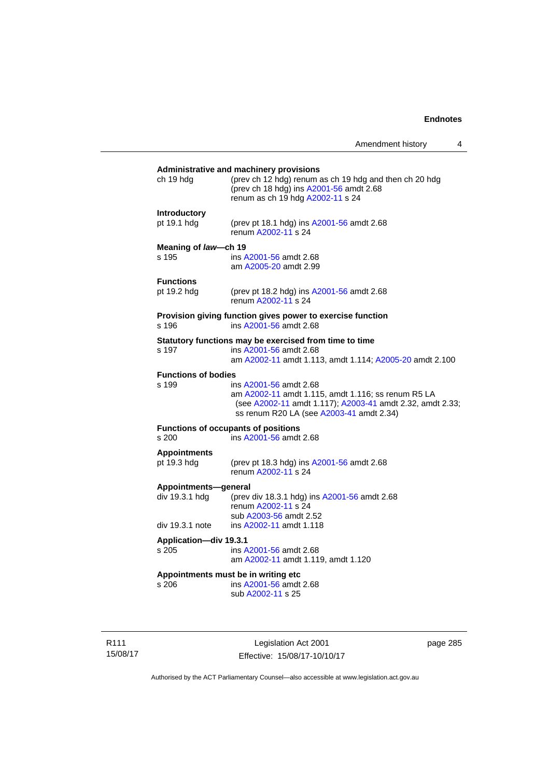## **Administrative and machinery provisions**  ch 19 hdg (prev ch 12 hdg) renum as ch 19 hdg and then ch 20 hdg (prev ch 18 hdg) ins [A2001-56](http://www.legislation.act.gov.au/a/2001-56) amdt 2.68 renum as ch 19 hdg [A2002-11](http://www.legislation.act.gov.au/a/2002-11) s 24 **Introductory**  pt 19.1 hdg (prev pt 18.1 hdg) ins [A2001-56](http://www.legislation.act.gov.au/a/2001-56) amdt 2.68 renum [A2002-11](http://www.legislation.act.gov.au/a/2002-11) s 24 **Meaning of** *law***—ch 19**  s 195 ins [A2001-56](http://www.legislation.act.gov.au/a/2001-56) amdt 2.68 am [A2005-20](http://www.legislation.act.gov.au/a/2005-20) amdt 2.99 **Functions**<br>pt 19.2 hdg (prev pt 18.2 hdg) ins [A2001-56](http://www.legislation.act.gov.au/a/2001-56) amdt 2.68 renum [A2002-11](http://www.legislation.act.gov.au/a/2002-11) s 24 **Provision giving function gives power to exercise function**  s 196 ins [A2001-56](http://www.legislation.act.gov.au/a/2001-56) amdt 2.68 **Statutory functions may be exercised from time to time**<br>s 197 ins A2001-56 amdt 2.68 ins [A2001-56](http://www.legislation.act.gov.au/a/2001-56) amdt 2.68 am [A2002-11](http://www.legislation.act.gov.au/a/2002-11) amdt 1.113, amdt 1.114; [A2005-20](http://www.legislation.act.gov.au/a/2005-20) amdt 2.100 **Functions of bodies**  s 199 ins [A2001-56](http://www.legislation.act.gov.au/a/2001-56) amdt 2.68 am [A2002-11](http://www.legislation.act.gov.au/a/2002-11) amdt 1.115, amdt 1.116; ss renum R5 LA (see [A2002-11](http://www.legislation.act.gov.au/a/2002-11) amdt 1.117); [A2003-41](http://www.legislation.act.gov.au/a/2003-41) amdt 2.32, amdt 2.33; ss renum R20 LA (see [A2003-41](http://www.legislation.act.gov.au/a/2003-41) amdt 2.34) **Functions of occupants of positions**  s 200 ins [A2001-56](http://www.legislation.act.gov.au/a/2001-56) amdt 2.68 **Appointments**  (prev pt 18.3 hdg) ins [A2001-56](http://www.legislation.act.gov.au/a/2001-56) amdt 2.68 renum [A2002-11](http://www.legislation.act.gov.au/a/2002-11) s 24 **Appointments—general**  div 19.3.1 hdg (prev div 18.3.1 hdg) ins [A2001-56](http://www.legislation.act.gov.au/a/2001-56) amdt 2.68 renum [A2002-11](http://www.legislation.act.gov.au/a/2002-11) s 24 sub [A2003-56](http://www.legislation.act.gov.au/a/2003-56) amdt 2.52 div 19.3.1 note ins [A2002-11](http://www.legislation.act.gov.au/a/2002-11) amdt 1.118 **Application—div 19.3.1**  s 205 ins [A2001-56](http://www.legislation.act.gov.au/a/2001-56) amdt 2.68 am [A2002-11](http://www.legislation.act.gov.au/a/2002-11) amdt 1.119, amdt 1.120 **Appointments must be in writing etc**  s 206 ins [A2001-56](http://www.legislation.act.gov.au/a/2001-56) amdt 2.68 sub [A2002-11](http://www.legislation.act.gov.au/a/2002-11) s 25

R111 15/08/17

Legislation Act 2001 Effective: 15/08/17-10/10/17 page 285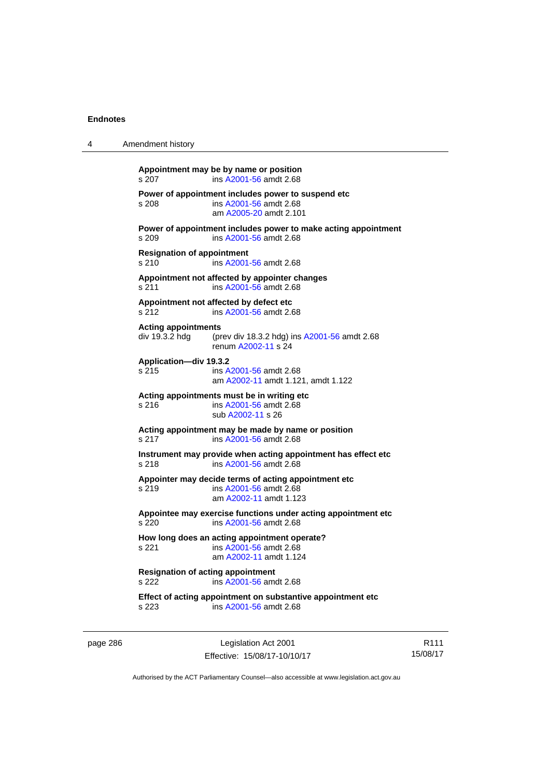| 4 | Amendment history                                                                                                                                        |                                                                                                          |
|---|----------------------------------------------------------------------------------------------------------------------------------------------------------|----------------------------------------------------------------------------------------------------------|
|   | s 207                                                                                                                                                    | Appointment may be by name or position<br>ins A2001-56 amdt 2.68                                         |
|   | Power of appointment includes power to suspend etc<br>s 208<br>ins A2001-56 amdt 2.68<br>am A2005-20 amdt 2.101                                          |                                                                                                          |
|   | s 209                                                                                                                                                    | Power of appointment includes power to make acting appointment<br>ins A2001-56 amdt 2.68                 |
|   | <b>Resignation of appointment</b><br>s 210<br>ins A2001-56 amdt 2.68<br>Appointment not affected by appointer changes<br>s 211<br>ins A2001-56 amdt 2.68 |                                                                                                          |
|   |                                                                                                                                                          |                                                                                                          |
|   | s 212                                                                                                                                                    | Appointment not affected by defect etc<br>ins A2001-56 amdt 2.68                                         |
|   | <b>Acting appointments</b><br>div 19.3.2 hdg                                                                                                             | (prev div 18.3.2 hdg) ins A2001-56 amdt 2.68<br>renum A2002-11 s 24                                      |
|   | Application-div 19.3.2<br>s 215                                                                                                                          | ins A2001-56 amdt 2.68<br>am A2002-11 amdt 1.121, amdt 1.122                                             |
|   | s 216                                                                                                                                                    | Acting appointments must be in writing etc<br>ins A2001-56 amdt 2.68<br>sub A2002-11 s 26                |
|   | s 217                                                                                                                                                    | Acting appointment may be made by name or position<br>ins A2001-56 amdt 2.68                             |
|   | s 218                                                                                                                                                    | Instrument may provide when acting appointment has effect etc<br>ins A2001-56 amdt 2.68                  |
|   | s 219                                                                                                                                                    | Appointer may decide terms of acting appointment etc<br>ins A2001-56 amdt 2.68<br>am A2002-11 amdt 1.123 |
|   | s 220                                                                                                                                                    | Appointee may exercise functions under acting appointment etc<br>ins A2001-56 amdt 2.68                  |
|   | s 221                                                                                                                                                    | How long does an acting appointment operate?<br>ins A2001-56 amdt 2.68<br>am A2002-11 amdt 1.124         |
|   | <b>Resignation of acting appointment</b><br>s 222                                                                                                        | ins A2001-56 amdt 2.68                                                                                   |
|   | s 223                                                                                                                                                    | Effect of acting appointment on substantive appointment etc<br>ins A2001-56 amdt 2.68                    |

page 286 **Legislation Act 2001** Effective: 15/08/17-10/10/17

R111 15/08/17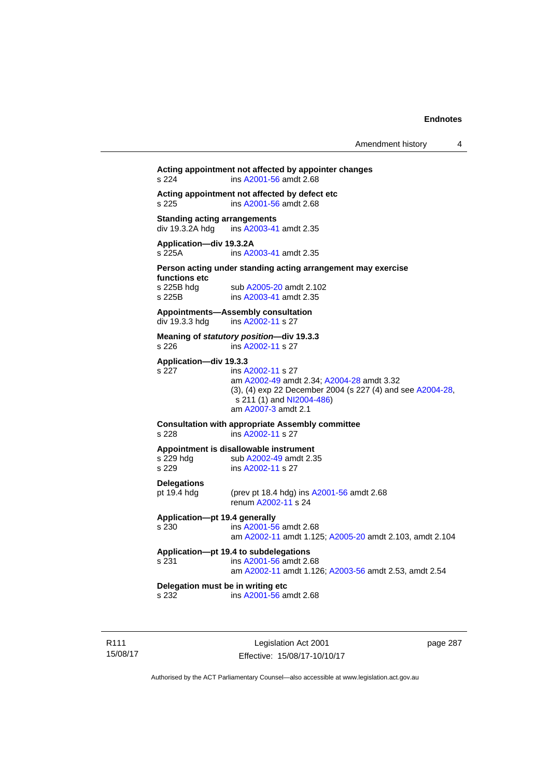## **Acting appointment not affected by appointer changes**  s 224 ins [A2001-56](http://www.legislation.act.gov.au/a/2001-56) amdt 2.68 **Acting appointment not affected by defect etc**  s 225 ins [A2001-56](http://www.legislation.act.gov.au/a/2001-56) amdt 2.68 **Standing acting arrangements**<br>div 19.3.2A hdg ins A2003-41 ins [A2003-41](http://www.legislation.act.gov.au/a/2003-41) amdt 2.35 **Application—div 19.3.2A**  s 225A ins [A2003-41](http://www.legislation.act.gov.au/a/2003-41) amdt 2.35 **Person acting under standing acting arrangement may exercise functions etc**  s 225B hdg sub [A2005-20](http://www.legislation.act.gov.au/a/2005-20) amdt 2.102<br>s 225B ins A2003-41 amdt 2.35 ins [A2003-41](http://www.legislation.act.gov.au/a/2003-41) amdt 2.35 **Appointments—Assembly consultation**  div 19.3.3 hdg ins [A2002-11](http://www.legislation.act.gov.au/a/2002-11) s 27 **Meaning of** *statutory position***—div 19.3.3**  s 226 ins [A2002-11](http://www.legislation.act.gov.au/a/2002-11) s 27 **Application—div 19.3.3**  s 227 ins [A2002-11](http://www.legislation.act.gov.au/a/2002-11) s 27 am [A2002-49](http://www.legislation.act.gov.au/a/2002-49) amdt 2.34; [A2004-28](http://www.legislation.act.gov.au/a/2004-28) amdt 3.32 (3), (4) exp 22 December 2004 (s 227 (4) and see [A2004-28](http://www.legislation.act.gov.au/a/2004-28),  $s$  211 (1) and [NI2004-486\)](http://www.legislation.act.gov.au/ni/2004-486/default.asp) am [A2007-3](http://www.legislation.act.gov.au/a/2007-3) amdt 2.1 **Consultation with appropriate Assembly committee**  s 228 ins [A2002-11](http://www.legislation.act.gov.au/a/2002-11) s 27 **Appointment is disallowable instrument**  s 229 hdg sub [A2002-49](http://www.legislation.act.gov.au/a/2002-49) amdt 2.35 s 229 ins [A2002-11](http://www.legislation.act.gov.au/a/2002-11) s 27 **Delegations**  pt 19.4 hdg (prev pt 18.4 hdg) ins [A2001-56](http://www.legislation.act.gov.au/a/2001-56) amdt 2.68 renum [A2002-11](http://www.legislation.act.gov.au/a/2002-11) s 24 **Application—pt 19.4 generally**  s 230 ins [A2001-56](http://www.legislation.act.gov.au/a/2001-56) amdt 2.68 am [A2002-11](http://www.legislation.act.gov.au/a/2002-11) amdt 1.125; [A2005-20](http://www.legislation.act.gov.au/a/2005-20) amdt 2.103, amdt 2.104 **Application—pt 19.4 to subdelegations**  s 231 ins [A2001-56](http://www.legislation.act.gov.au/a/2001-56) amdt 2.68 am [A2002-11](http://www.legislation.act.gov.au/a/2002-11) amdt 1.126; [A2003-56](http://www.legislation.act.gov.au/a/2003-56) amdt 2.53, amdt 2.54 **Delegation must be in writing etc**  s 232 ins [A2001-56](http://www.legislation.act.gov.au/a/2001-56) amdt 2.68

R111 15/08/17

Legislation Act 2001 Effective: 15/08/17-10/10/17 page 287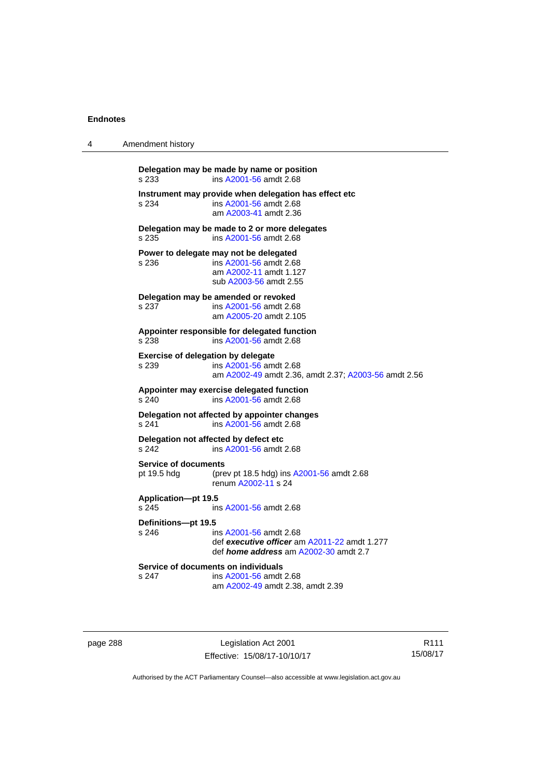| 4 | Amendment history                                      |                                                                                                                        |
|---|--------------------------------------------------------|------------------------------------------------------------------------------------------------------------------------|
|   | Delegation may be made by name or position<br>s 233    | ins A2001-56 amdt 2.68                                                                                                 |
|   | s 234                                                  | Instrument may provide when delegation has effect etc<br>ins A2001-56 amdt 2.68<br>am A2003-41 amdt 2.36               |
|   | Delegation may be made to 2 or more delegates<br>s 235 | ins A2001-56 amdt 2.68                                                                                                 |
|   | Power to delegate may not be delegated<br>s 236        | ins A2001-56 amdt 2.68<br>am A2002-11 amdt 1.127<br>sub A2003-56 amdt 2.55                                             |
|   | Delegation may be amended or revoked<br>s 237          | ins A2001-56 amdt 2.68<br>am A2005-20 amdt 2.105                                                                       |
|   | Appointer responsible for delegated function<br>s 238  | ins A2001-56 amdt 2.68                                                                                                 |
|   | <b>Exercise of delegation by delegate</b><br>s 239     | ins A2001-56 amdt 2.68<br>am A2002-49 amdt 2.36, amdt 2.37; A2003-56 amdt 2.56                                         |
|   | Appointer may exercise delegated function<br>s 240     | ins A2001-56 amdt 2.68                                                                                                 |
|   | Delegation not affected by appointer changes<br>s 241  | ins A2001-56 amdt 2.68                                                                                                 |
|   | Delegation not affected by defect etc<br>s 242         | ins A2001-56 amdt 2.68                                                                                                 |
|   | <b>Service of documents</b><br>pt 19.5 hdg             | (prev pt 18.5 hdg) ins A2001-56 amdt 2.68<br>renum A2002-11 s 24                                                       |
|   | Application-pt 19.5<br>s 245                           | ins A2001-56 amdt 2.68                                                                                                 |
|   | Definitions-pt 19.5<br>s 246                           | ins A2001-56 amdt 2.68<br>def executive officer am A2011-22 amdt 1.277<br>def <i>home address</i> am A2002-30 amdt 2.7 |
|   | Service of documents on individuals<br>s 247           | ins A2001-56 amdt 2.68<br>am A2002-49 amdt 2.38, amdt 2.39                                                             |

page 288 Legislation Act 2001 Effective: 15/08/17-10/10/17

R111 15/08/17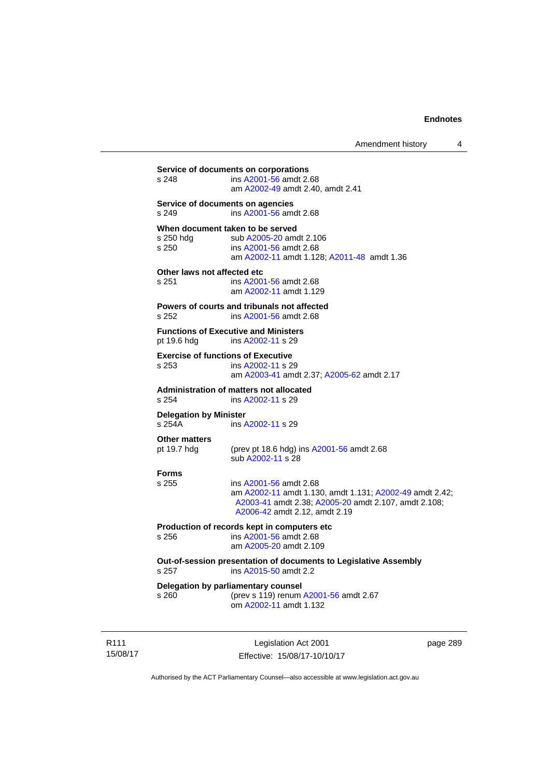**Service of documents on corporations**  s 248 ins [A2001-56](http://www.legislation.act.gov.au/a/2001-56) amdt 2.68 am [A2002-49](http://www.legislation.act.gov.au/a/2002-49) amdt 2.40, amdt 2.41 **Service of documents on agencies**  s 249 ins [A2001-56](http://www.legislation.act.gov.au/a/2001-56) amdt 2.68 **When document taken to be served**  s 250 hdg sub [A2005-20](http://www.legislation.act.gov.au/a/2005-20) amdt 2.106<br>s 250 s ins A2001-56 amdt 2.68 s 250 ins [A2001-56](http://www.legislation.act.gov.au/a/2001-56) amdt 2.68 am [A2002-11](http://www.legislation.act.gov.au/a/2002-11) amdt 1.128; [A2011-48](http://www.legislation.act.gov.au/a/2011-48) amdt 1.36 **Other laws not affected etc**  s 251 ins [A2001-56](http://www.legislation.act.gov.au/a/2001-56) amdt 2.68 am [A2002-11](http://www.legislation.act.gov.au/a/2002-11) amdt 1.129 **Powers of courts and tribunals not affected**  s 252 ins [A2001-56](http://www.legislation.act.gov.au/a/2001-56) amdt 2.68 **Functions of Executive and Ministers**  pt 19.6 hdg ins [A2002-11](http://www.legislation.act.gov.au/a/2002-11) s 29 **Exercise of functions of Executive**  s 253 ins [A2002-11](http://www.legislation.act.gov.au/a/2002-11) s 29 am [A2003-41](http://www.legislation.act.gov.au/a/2003-41) amdt 2.37; [A2005-62](http://www.legislation.act.gov.au/a/2005-62) amdt 2.17 **Administration of matters not allocated**  ins [A2002-11](http://www.legislation.act.gov.au/a/2002-11) s 29 **Delegation by Minister**  s 254A ins [A2002-11](http://www.legislation.act.gov.au/a/2002-11) s 29 **Other matters**<br>pt 19.7 hdg (prev pt 18.6 hdg) ins  $A2001-56$  amdt 2.68 sub [A2002-11](http://www.legislation.act.gov.au/a/2002-11) s 28 **Forms**  s 255 ins [A2001-56](http://www.legislation.act.gov.au/a/2001-56) amdt 2.68 am [A2002-11](http://www.legislation.act.gov.au/a/2002-11) amdt 1.130, amdt 1.131; [A2002-49](http://www.legislation.act.gov.au/a/2002-49) amdt 2.42; [A2003-41](http://www.legislation.act.gov.au/a/2003-41) amdt 2.38; [A2005-20](http://www.legislation.act.gov.au/a/2005-20) amdt 2.107, amdt 2.108; [A2006-42](http://www.legislation.act.gov.au/a/2006-42) amdt 2.12, amdt 2.19 **Production of records kept in computers etc**  s 256 ins [A2001-56](http://www.legislation.act.gov.au/a/2001-56) amdt 2.68 am [A2005-20](http://www.legislation.act.gov.au/a/2005-20) amdt 2.109 **Out-of-session presentation of documents to Legislative Assembly**  s 257 ins [A2015-50](http://www.legislation.act.gov.au/a/2015-50) amdt 2.2 **Delegation by parliamentary counsel**  s 260 (prev s 119) renum [A2001-56](http://www.legislation.act.gov.au/a/2001-56) amdt 2.67 om [A2002-11](http://www.legislation.act.gov.au/a/2002-11) amdt 1.132

R111 15/08/17

Legislation Act 2001 Effective: 15/08/17-10/10/17 page 289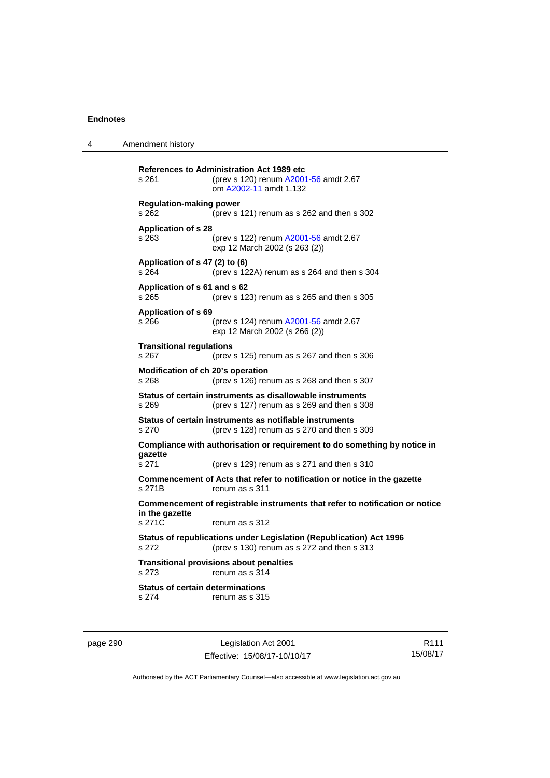4 Amendment history

**References to Administration Act 1989 etc**  s 261 (prev s 120) renum [A2001-56](http://www.legislation.act.gov.au/a/2001-56) amdt 2.67 om [A2002-11](http://www.legislation.act.gov.au/a/2002-11) amdt 1.132 **Regulation-making power**  s 262 (prev s 121) renum as s 262 and then s 302 **Application of s 28**  s 263 (prev s 122) renum [A2001-56](http://www.legislation.act.gov.au/a/2001-56) amdt 2.67 exp 12 March 2002 (s 263 (2)) **Application of s 47 (2) to (6)**  s 264 (prev s 122A) renum as s 264 and then s 304 **Application of s 61 and s 62**  s 265 (prev s 123) renum as s 265 and then s 305 **Application of s 69**  s 266 (prev s 124) renum [A2001-56](http://www.legislation.act.gov.au/a/2001-56) amdt 2.67 exp 12 March 2002 (s 266 (2)) **Transitional regulations**  s 267 (prev s 125) renum as s 267 and then s 306 **Modification of ch 20's operation**  s 268 (prev s 126) renum as s 268 and then s 307 **Status of certain instruments as disallowable instruments**  s 269 (prev s 127) renum as s 269 and then s 308 **Status of certain instruments as notifiable instruments**  s 270 (prev s 128) renum as s 270 and then s 309 **Compliance with authorisation or requirement to do something by notice in gazette**  s 271 (prev s 129) renum as s 271 and then s 310 **Commencement of Acts that refer to notification or notice in the gazette**  s 271B renum as s 311 **Commencement of registrable instruments that refer to notification or notice in the gazette**  renum as s 312 **Status of republications under Legislation (Republication) Act 1996**  s 272 (prev s 130) renum as s 272 and then s 313 **Transitional provisions about penalties** s 273 renum as s 314 **Status of certain determinations**  s 274 renum as s 315

page 290 Legislation Act 2001 Effective: 15/08/17-10/10/17

R111 15/08/17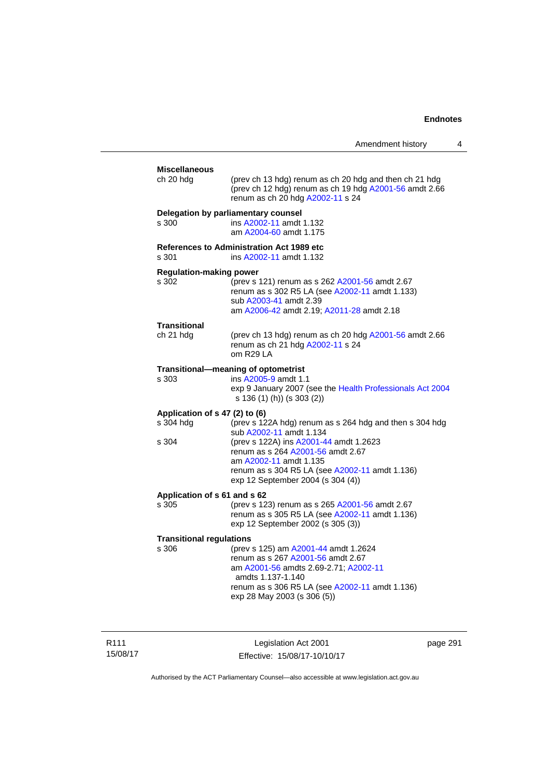| Amendment history |  |
|-------------------|--|
|-------------------|--|

| <b>Miscellaneous</b><br>ch 20 hdg | (prev ch 13 hdg) renum as ch 20 hdg and then ch 21 hdg<br>(prev ch 12 hdg) renum as ch 19 hdg A2001-56 amdt 2.66                                                        |
|-----------------------------------|-------------------------------------------------------------------------------------------------------------------------------------------------------------------------|
|                                   | renum as ch 20 hdg A2002-11 s 24                                                                                                                                        |
| s 300                             | Delegation by parliamentary counsel<br>ins A2002-11 amdt 1.132<br>am A2004-60 amdt 1.175                                                                                |
| s 301                             | <b>References to Administration Act 1989 etc</b><br>ins A2002-11 amdt 1.132                                                                                             |
| <b>Regulation-making power</b>    |                                                                                                                                                                         |
| s 302                             | (prev s 121) renum as s 262 A2001-56 amdt 2.67<br>renum as s 302 R5 LA (see A2002-11 amdt 1.133)<br>sub A2003-41 amdt 2.39<br>am A2006-42 amdt 2.19; A2011-28 amdt 2.18 |
|                                   |                                                                                                                                                                         |
| <b>Transitional</b><br>ch 21 hdg  | (prev ch 13 hdg) renum as ch 20 hdg A2001-56 amdt 2.66<br>renum as ch 21 hdg A2002-11 s 24<br>om R29 LA                                                                 |
|                                   | Transitional-meaning of optometrist                                                                                                                                     |
| s 303                             | ins A2005-9 amdt 1.1                                                                                                                                                    |
|                                   | exp 9 January 2007 (see the Health Professionals Act 2004<br>s 136 (1) (h)) (s 303 (2))                                                                                 |
| Application of s 47 (2) to (6)    |                                                                                                                                                                         |
| s 304 hdg                         | (prev s 122A hdg) renum as s 264 hdg and then s 304 hdg<br>sub A2002-11 amdt 1.134                                                                                      |
| s 304                             | (prev s 122A) ins A2001-44 amdt 1.2623<br>renum as s 264 A2001-56 amdt 2.67                                                                                             |
|                                   | am A2002-11 amdt 1.135                                                                                                                                                  |
|                                   | renum as s 304 R5 LA (see A2002-11 amdt 1.136)<br>exp 12 September 2004 (s 304 (4))                                                                                     |
| Application of s 61 and s 62      |                                                                                                                                                                         |
| s 305                             | (prev s 123) renum as s 265 A2001-56 amdt 2.67<br>renum as s 305 R5 LA (see A2002-11 amdt 1.136)<br>exp 12 September 2002 (s 305 (3))                                   |
| <b>Transitional regulations</b>   |                                                                                                                                                                         |
| s 306                             | (prev s 125) am A2001-44 amdt 1.2624<br>renum as s 267 A2001-56 amdt 2.67<br>am A2001-56 amdts 2.69-2.71; A2002-11                                                      |
|                                   | amdts 1.137-1.140                                                                                                                                                       |
|                                   | renum as s 306 R5 LA (see A2002-11 amdt 1.136)<br>exp 28 May 2003 (s 306 (5))                                                                                           |
|                                   |                                                                                                                                                                         |

R111 15/08/17

Legislation Act 2001 Effective: 15/08/17-10/10/17 page 291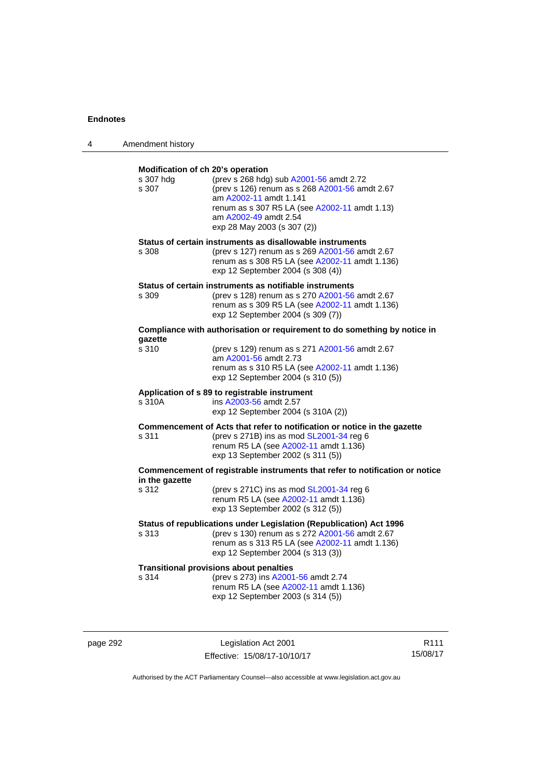| 4 | Amendment history                                       |                                                                                                                                                                                                                              |
|---|---------------------------------------------------------|------------------------------------------------------------------------------------------------------------------------------------------------------------------------------------------------------------------------------|
|   | Modification of ch 20's operation<br>s 307 hdg<br>s 307 | (prev s 268 hdg) sub A2001-56 amdt 2.72<br>(prev s 126) renum as s 268 A2001-56 amdt 2.67<br>am A2002-11 amdt 1.141<br>renum as s 307 R5 LA (see A2002-11 amdt 1.13)<br>am A2002-49 amdt 2.54<br>exp 28 May 2003 (s 307 (2)) |
|   | s 308                                                   | Status of certain instruments as disallowable instruments<br>(prev s 127) renum as s 269 A2001-56 amdt 2.67<br>renum as s 308 R5 LA (see A2002-11 amdt 1.136)<br>exp 12 September 2004 (s 308 (4))                           |
|   | s 309                                                   | Status of certain instruments as notifiable instruments<br>(prev s 128) renum as s 270 A2001-56 amdt 2.67<br>renum as s 309 R5 LA (see A2002-11 amdt 1.136)<br>exp 12 September 2004 (s 309 (7))                             |
|   |                                                         | Compliance with authorisation or requirement to do something by notice in                                                                                                                                                    |
|   | qazette<br>s 310                                        | (prev s 129) renum as s 271 A2001-56 amdt 2.67<br>am A2001-56 amdt 2.73<br>renum as s 310 R5 LA (see A2002-11 amdt 1.136)<br>exp 12 September 2004 (s 310 (5))                                                               |
|   | s 310A                                                  | Application of s 89 to registrable instrument<br>ins A2003-56 amdt 2.57<br>exp 12 September 2004 (s 310A (2))                                                                                                                |
|   | s 311                                                   | Commencement of Acts that refer to notification or notice in the gazette<br>(prev s 271B) ins as mod SL2001-34 reg 6<br>renum R5 LA (see A2002-11 amdt 1.136)<br>exp 13 September 2002 (s 311 (5))                           |
|   | in the gazette                                          | Commencement of registrable instruments that refer to notification or notice                                                                                                                                                 |
|   | s 312                                                   | (prev s 271C) ins as mod $SL2001-34$ reg 6<br>renum R5 LA (see A2002-11 amdt 1.136)<br>exp 13 September 2002 (s 312 (5))                                                                                                     |
|   | s 313                                                   | Status of republications under Legislation (Republication) Act 1996<br>(prev s 130) renum as s 272 A2001-56 amdt 2.67<br>renum as s 313 R5 LA (see A2002-11 amdt 1.136)<br>exp 12 September 2004 (s 313 (3))                 |
|   | s 314                                                   | <b>Transitional provisions about penalties</b><br>(prev s 273) ins A2001-56 amdt 2.74<br>renum R5 LA (see A2002-11 amdt 1.136)<br>exp 12 September 2003 (s 314 (5))                                                          |

page 292 **Legislation Act 2001** Effective: 15/08/17-10/10/17

R111 15/08/17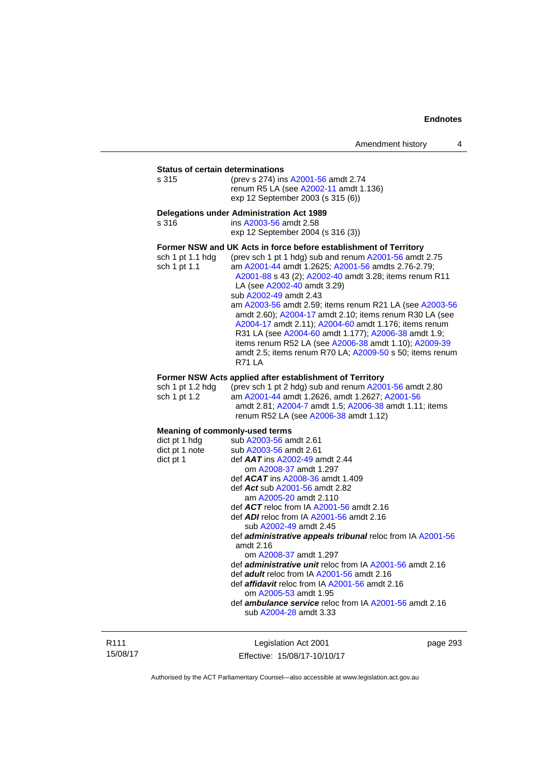**Status of certain determinations**<br>s 315 (prev s 274) in: (prev s 274) ins [A2001-56](http://www.legislation.act.gov.au/a/2001-56) amdt 2.74 renum R5 LA (see [A2002-11](http://www.legislation.act.gov.au/a/2002-11) amdt 1.136) exp 12 September 2003 (s 315 (6))

#### **Delegations under Administration Act 1989**

s 316 ins [A2003-56](http://www.legislation.act.gov.au/a/2003-56) amdt 2.58 exp 12 September 2004 (s 316 (3)) **Former NSW and UK Acts in force before establishment of Territory**  sch 1 pt 1.1 hdg (prev sch 1 pt 1 hdg) sub and renum [A2001-56](http://www.legislation.act.gov.au/a/2001-56) amdt 2.75 sch 1 pt 1.1 am [A2001-44](http://www.legislation.act.gov.au/a/2001-44) amdt 1.2625; [A2001-56](http://www.legislation.act.gov.au/a/2001-56) amdts 2.76-2.79;

[A2001-88](http://www.legislation.act.gov.au/a/2001-88) s 43 (2); [A2002-40](http://www.legislation.act.gov.au/a/2002-40) amdt 3.28; items renum R11 LA (see [A2002-40](http://www.legislation.act.gov.au/a/2002-40) amdt 3.29) sub [A2002-49](http://www.legislation.act.gov.au/a/2002-49) amdt 2.43 am [A2003-56](http://www.legislation.act.gov.au/a/2003-56) amdt 2.59; items renum R21 LA (see [A2003-56](http://www.legislation.act.gov.au/a/2003-56) amdt 2.60); [A2004-17](http://www.legislation.act.gov.au/a/2004-17) amdt 2.10; items renum R30 LA (see [A2004-17](http://www.legislation.act.gov.au/a/2004-17) amdt 2.11); [A2004-60](http://www.legislation.act.gov.au/a/2004-60) amdt 1.176; items renum R31 LA (see [A2004-60](http://www.legislation.act.gov.au/a/2004-60) amdt 1.177); [A2006-38](http://www.legislation.act.gov.au/a/2006-38) amdt 1.9; items renum R52 LA (see [A2006-38](http://www.legislation.act.gov.au/a/2006-38) amdt 1.10); [A2009-39](http://www.legislation.act.gov.au/a/2009-39) amdt 2.5; items renum R70 LA; [A2009-50](http://www.legislation.act.gov.au/a/2009-50) s 50; items renum R71 LA

#### **Former NSW Acts applied after establishment of Territory**

| sch 1 pt 1.2 hda | (prev sch 1 pt 2 hdg) sub and renum $A2001-56$ amdt 2.80 |
|------------------|----------------------------------------------------------|
| sch 1 pt 1.2     | am A2001-44 amdt 1.2626. amdt 1.2627: A2001-56           |
|                  | amdt 2.81; A2004-7 amdt 1.5; A2006-38 amdt 1.11; items   |
|                  | renum R52 LA (see A2006-38 amdt 1.12)                    |

### **Meaning of commonly-used terms**

| dict pt 1 hdg  | sub A2003-56 amdt 2.61                                            |
|----------------|-------------------------------------------------------------------|
| dict pt 1 note | sub A2003-56 amdt 2.61                                            |
| dict pt 1      | def $AAT$ ins $A2002-49$ amdt 2.44                                |
|                | om A2008-37 amdt 1.297                                            |
|                | def $ACAT$ ins $A2008-36$ amdt 1.409                              |
|                | def Act sub A2001-56 amdt 2.82                                    |
|                | am A2005-20 amdt 2.110                                            |
|                | def $ACT$ reloc from IA $A2001-56$ amdt 2.16                      |
|                | def $ADI$ reloc from IA $A2001-56$ amdt 2.16                      |
|                | sub A2002-49 amdt 2.45                                            |
|                | def <b>administrative appeals tribunal</b> reloc from IA A2001-56 |
|                | amdt $2.16$                                                       |
|                | om A2008-37 amdt 1.297                                            |
|                | def <i>administrative unit</i> reloc from IA A2001-56 amdt 2.16   |
|                | def <b>adult</b> reloc from IA A2001-56 amdt 2.16                 |
|                | def <i>affidavit</i> reloc from IA A2001-56 amdt 2.16             |
|                | om A2005-53 amdt 1.95                                             |
|                | def <i>ambulance service</i> reloc from IA A2001-56 amdt 2.16     |
|                | sub A2004-28 amdt 3.33                                            |
|                |                                                                   |

R111 15/08/17

Legislation Act 2001 Effective: 15/08/17-10/10/17 page 293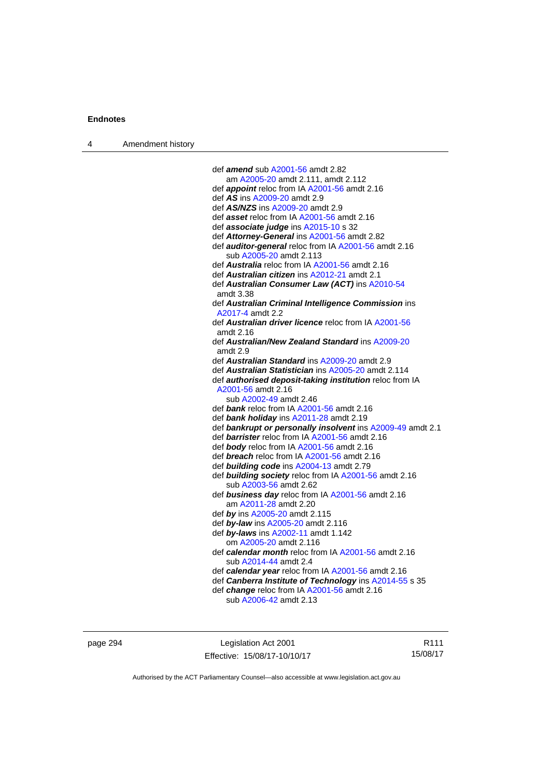| Amendment history<br>$\overline{4}$ |  |
|-------------------------------------|--|
|-------------------------------------|--|

| def <b>amend</b> sub A2001-56 amdt 2.82                      |
|--------------------------------------------------------------|
| am A2005-20 amdt 2.111, amdt 2.112                           |
| def appoint reloc from IA A2001-56 amdt 2.16                 |
| def AS ins A2009-20 amdt 2.9                                 |
| def AS/NZS ins A2009-20 amdt 2.9                             |
| def asset reloc from IA A2001-56 amdt 2.16                   |
| def associate judge ins A2015-10 s 32                        |
| def Attorney-General ins A2001-56 amdt 2.82                  |
| def auditor-general reloc from IA A2001-56 amdt 2.16         |
| sub A2005-20 amdt 2.113                                      |
| def Australia reloc from IA A2001-56 amdt 2.16               |
| def Australian citizen ins A2012-21 amdt 2.1                 |
| def Australian Consumer Law (ACT) ins A2010-54               |
| amdt 3.38                                                    |
| def Australian Criminal Intelligence Commission ins          |
| A2017-4 amdt 2.2                                             |
| def <b>Australian driver licence</b> reloc from IA A2001-56  |
| amdt 2.16                                                    |
| def Australian/New Zealand Standard ins A2009-20             |
| amdt 2.9                                                     |
| def Australian Standard ins A2009-20 amdt 2.9                |
| def Australian Statistician ins A2005-20 amdt 2.114          |
| def authorised deposit-taking institution reloc from IA      |
| A2001-56 amdt 2.16                                           |
| sub A2002-49 amdt 2.46                                       |
| def bank reloc from IA A2001-56 amdt 2.16                    |
| def bank holiday ins A2011-28 amdt 2.19                      |
| def bankrupt or personally insolvent ins A2009-49 amdt 2.1   |
| def barrister reloc from IA A2001-56 amdt 2.16               |
| def body reloc from IA A2001-56 amdt 2.16                    |
| def breach reloc from IA A2001-56 amdt 2.16                  |
| def building code ins A2004-13 amdt 2.79                     |
| def <b>building society</b> reloc from IA A2001-56 amdt 2.16 |
| sub A2003-56 amdt 2.62                                       |
| def business day reloc from IA A2001-56 amdt 2.16            |
| am A2011-28 amdt 2.20                                        |
| def by ins A2005-20 amdt 2.115                               |
| def by-law ins A2005-20 amdt 2.116                           |
| def by-laws ins A2002-11 amdt 1.142                          |
| om A2005-20 amdt 2.116                                       |
| def calendar month reloc from IA A2001-56 amdt 2.16          |
| sub A2014-44 amdt 2.4                                        |
| def calendar year reloc from IA A2001-56 amdt 2.16           |
| def Canberra Institute of Technology ins A2014-55 s 35       |
| def change reloc from IA A2001-56 amdt 2.16                  |
| sub A2006-42 amdt 2.13                                       |
|                                                              |

page 294 **Legislation Act 2001** Effective: 15/08/17-10/10/17

R111 15/08/17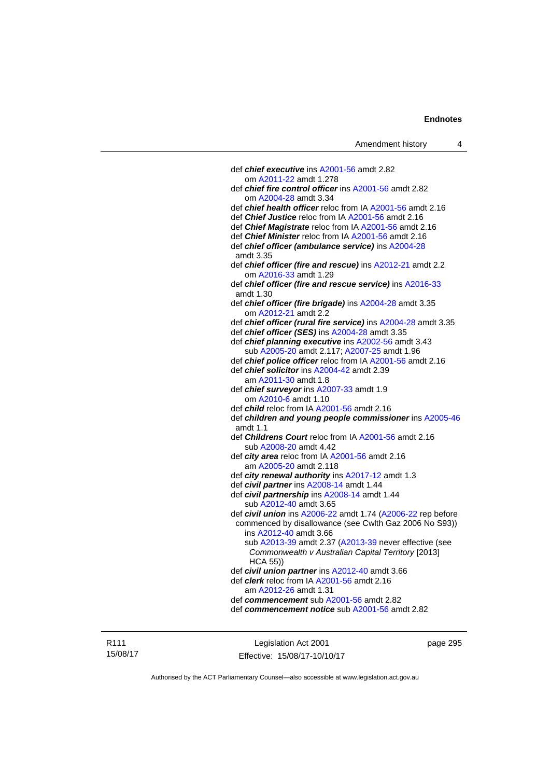| Amendment history                                                | 4 |
|------------------------------------------------------------------|---|
|                                                                  |   |
| def <i>chief executive</i> ins A2001-56 amdt 2.82                |   |
| om A2011-22 amdt 1.278                                           |   |
| def chief fire control officer ins A2001-56 amdt 2.82            |   |
| om A2004-28 amdt 3.34                                            |   |
| def <i>chief health officer</i> reloc from IA A2001-56 amdt 2.16 |   |
| def Chief Justice reloc from IA A2001-56 amdt 2.16               |   |
| def Chief Magistrate reloc from IA A2001-56 amdt 2.16            |   |
| def Chief Minister reloc from IA A2001-56 amdt 2.16              |   |
| def chief officer (ambulance service) ins A2004-28               |   |
| amdt 3.35                                                        |   |
| def chief officer (fire and rescue) ins A2012-21 amdt 2.2        |   |
| om A2016-33 amdt 1.29                                            |   |
| def chief officer (fire and rescue service) ins A2016-33         |   |
| amdt 1.30                                                        |   |
| def chief officer (fire brigade) ins A2004-28 amdt 3.35          |   |
| om A2012-21 amdt 2.2                                             |   |
| def chief officer (rural fire service) ins A2004-28 amdt 3.35    |   |
| def chief officer (SES) ins A2004-28 amdt 3.35                   |   |
| def chief planning executive ins A2002-56 amdt 3.43              |   |
| sub A2005-20 amdt 2.117; A2007-25 amdt 1.96                      |   |
| def chief police officer reloc from IA A2001-56 amdt 2.16        |   |
| def chief solicitor ins A2004-42 amdt 2.39                       |   |
| am A2011-30 amdt 1.8                                             |   |
| def chief surveyor ins A2007-33 amdt 1.9                         |   |
| om A2010-6 amdt 1.10                                             |   |
| def <i>child</i> reloc from IA A2001-56 amdt 2.16                |   |
| def children and young people commissioner ins A2005-46          |   |
| amdt $1.1$                                                       |   |
| def Childrens Court reloc from IA A2001-56 amdt 2.16             |   |
| sub A2008-20 amdt 4.42                                           |   |
| def <i>city area</i> reloc from IA A2001-56 amdt 2.16            |   |
| am A2005-20 amdt 2.118                                           |   |
| def city renewal authority ins A2017-12 amdt 1.3                 |   |
| def civil partner ins A2008-14 amdt 1.44                         |   |
| def civil partnership ins A2008-14 amdt 1.44                     |   |
| sub A2012-40 amdt 3.65                                           |   |
| def civil union ins A2006-22 amdt 1.74 (A2006-22 rep before      |   |
| commenced by disallowance (see Cwlth Gaz 2006 No S93))           |   |
| ins A2012-40 amdt 3.66                                           |   |
| sub A2013-39 amdt 2.37 (A2013-39 never effective (see            |   |
| Commonwealth v Australian Capital Territory [2013]               |   |
| $HCA$ 55)                                                        |   |
| def civil union partner ins A2012-40 amdt 3.66                   |   |
| def <i>clerk</i> reloc from IA A2001-56 amdt 2.16                |   |
| am A2012-26 amdt 1.31                                            |   |
| def commencement sub A2001-56 amdt 2.82                          |   |
| def commencement notice sub A2001-56 amdt 2.82                   |   |

R111 15/08/17

Legislation Act 2001 Effective: 15/08/17-10/10/17 page 295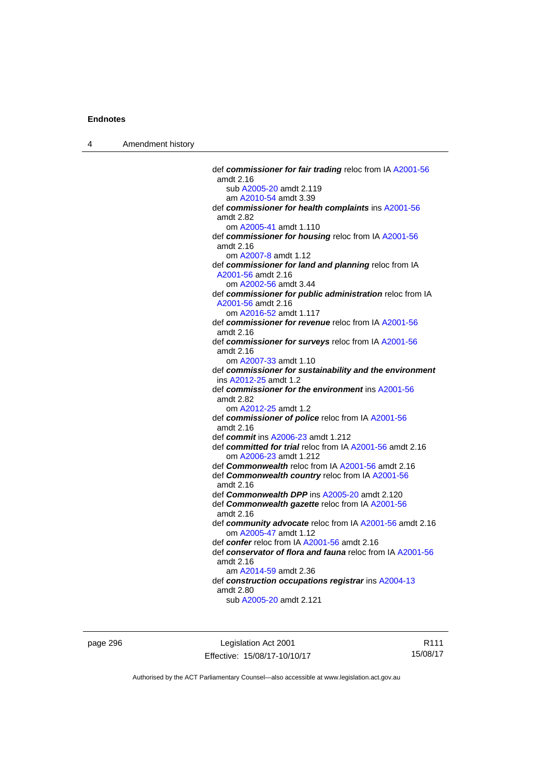4 Amendment history

 def *commissioner for fair trading* reloc from IA [A2001-56](http://www.legislation.act.gov.au/a/2001-56) amdt 2.16 sub [A2005-20](http://www.legislation.act.gov.au/a/2005-20) amdt 2.119 am [A2010-54](http://www.legislation.act.gov.au/a/2010-54) amdt 3.39 def *commissioner for health complaints* ins [A2001-56](http://www.legislation.act.gov.au/a/2001-56) amdt 2.82 om [A2005-41](http://www.legislation.act.gov.au/a/2005-41) amdt 1.110 def *commissioner for housing* reloc from IA [A2001-56](http://www.legislation.act.gov.au/a/2001-56) amdt 2.16 om [A2007-8](http://www.legislation.act.gov.au/a/2007-8) amdt 1.12 def *commissioner for land and planning* reloc from IA [A2001-56](http://www.legislation.act.gov.au/a/2001-56) amdt 2.16 om [A2002-56](http://www.legislation.act.gov.au/a/2002-56) amdt 3.44 def *commissioner for public administration* reloc from IA [A2001-56](http://www.legislation.act.gov.au/a/2001-56) amdt 2.16 om [A2016-52](http://www.legislation.act.gov.au/a/2016-52/default.asp) amdt 1.117 def *commissioner for revenue* reloc from IA [A2001-56](http://www.legislation.act.gov.au/a/2001-56) amdt 2.16 def *commissioner for surveys* reloc from IA [A2001-56](http://www.legislation.act.gov.au/a/2001-56) amdt 2.16 om [A2007-33](http://www.legislation.act.gov.au/a/2007-33) amdt 1.10 def *commissioner for sustainability and the environment* ins [A2012-25](http://www.legislation.act.gov.au/a/2012-25) amdt 1.2 def *commissioner for the environment* ins [A2001-56](http://www.legislation.act.gov.au/a/2001-56) amdt 2.82 om [A2012-25](http://www.legislation.act.gov.au/a/2012-25) amdt 1.2 def *commissioner of police* reloc from IA [A2001-56](http://www.legislation.act.gov.au/a/2001-56) amdt 2.16 def *commit* ins [A2006-23](http://www.legislation.act.gov.au/a/2006-23) amdt 1.212 def *committed for trial* reloc from IA [A2001-56](http://www.legislation.act.gov.au/a/2001-56) amdt 2.16 om [A2006-23](http://www.legislation.act.gov.au/a/2006-23) amdt 1.212 def *Commonwealth* reloc from IA [A2001-56](http://www.legislation.act.gov.au/a/2001-56) amdt 2.16 def *Commonwealth country* reloc from IA [A2001-56](http://www.legislation.act.gov.au/a/2001-56) amdt 2.16 def *Commonwealth DPP* ins [A2005-20](http://www.legislation.act.gov.au/a/2005-20) amdt 2.120 def *Commonwealth gazette* reloc from IA [A2001-56](http://www.legislation.act.gov.au/a/2001-56) amdt 2.16 def *community advocate* reloc from IA [A2001-56](http://www.legislation.act.gov.au/a/2001-56) amdt 2.16 om [A2005-47](http://www.legislation.act.gov.au/a/2005-47) amdt 1.12 def *confer* reloc from IA [A2001-56](http://www.legislation.act.gov.au/a/2001-56) amdt 2.16 def *conservator of flora and fauna* reloc from IA [A2001-56](http://www.legislation.act.gov.au/a/2001-56) amdt 2.16 am [A2014-59](http://www.legislation.act.gov.au/a/2014-59) amdt 2.36 def *construction occupations registrar* ins [A2004-13](http://www.legislation.act.gov.au/a/2004-13) amdt 2.80 sub [A2005-20](http://www.legislation.act.gov.au/a/2005-20) amdt 2.121

page 296 Legislation Act 2001 Effective: 15/08/17-10/10/17

R111 15/08/17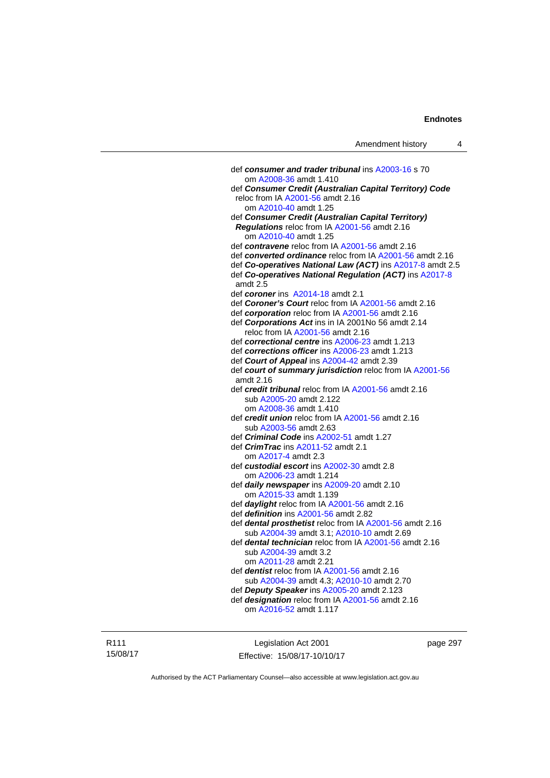def *consumer and trader tribunal* ins [A2003-16](http://www.legislation.act.gov.au/a/2003-16) s 70 om [A2008-36](http://www.legislation.act.gov.au/a/2008-36) amdt 1.410 def *Consumer Credit (Australian Capital Territory) Code* reloc from IA [A2001-56](http://www.legislation.act.gov.au/a/2001-56) amdt 2.16 om [A2010-40](http://www.legislation.act.gov.au/a/2010-40) amdt 1.25 def *Consumer Credit (Australian Capital Territory) Regulations* reloc from IA [A2001-56](http://www.legislation.act.gov.au/a/2001-56) amdt 2.16 om [A2010-40](http://www.legislation.act.gov.au/a/2010-40) amdt 1.25 def *contravene* reloc from IA [A2001-56](http://www.legislation.act.gov.au/a/2001-56) amdt 2.16 def *converted ordinance* reloc from IA [A2001-56](http://www.legislation.act.gov.au/a/2001-56) amdt 2.16 def *Co-operatives National Law (ACT)* ins [A2017-8](http://www.legislation.act.gov.au/a/2017-8/default.asp) amdt 2.5 def *Co-operatives National Regulation (ACT)* ins [A2017-8](http://www.legislation.act.gov.au/a/2017-8/default.asp) amdt 2.5 def *coroner* ins [A2014-18](http://www.legislation.act.gov.au/a/2014-18) amdt 2.1 def *Coroner's Court* reloc from IA [A2001-56](http://www.legislation.act.gov.au/a/2001-56) amdt 2.16 def *corporation* reloc from IA [A2001-56](http://www.legislation.act.gov.au/a/2001-56) amdt 2.16 def *Corporations Act* ins in IA 2001No 56 amdt 2.14 reloc from IA [A2001-56](http://www.legislation.act.gov.au/a/2001-56) amdt 2.16 def *correctional centre* ins [A2006-23](http://www.legislation.act.gov.au/a/2006-23) amdt 1.213 def *corrections officer* ins [A2006-23](http://www.legislation.act.gov.au/a/2006-23) amdt 1.213 def *Court of Appeal* ins [A2004-42](http://www.legislation.act.gov.au/a/2004-42) amdt 2.39 def *court of summary jurisdiction* reloc from IA [A2001-56](http://www.legislation.act.gov.au/a/2001-56) amdt 2.16 def *credit tribunal* reloc from IA [A2001-56](http://www.legislation.act.gov.au/a/2001-56) amdt 2.16 sub [A2005-20](http://www.legislation.act.gov.au/a/2005-20) amdt 2.122 om [A2008-36](http://www.legislation.act.gov.au/a/2008-36) amdt 1.410 def *credit union* reloc from IA [A2001-56](http://www.legislation.act.gov.au/a/2001-56) amdt 2.16 sub [A2003-56](http://www.legislation.act.gov.au/a/2003-56) amdt 2.63 def *Criminal Code* ins [A2002-51](http://www.legislation.act.gov.au/a/2002-51) amdt 1.27 def *CrimTrac* ins [A2011-52](http://www.legislation.act.gov.au/a/2011-52) amdt 2.1 om [A2017-4](http://www.legislation.act.gov.au/a/2017-4/default.asp) amdt 2.3 def *custodial escort* ins [A2002-30](http://www.legislation.act.gov.au/a/2002-30) amdt 2.8 om [A2006-23](http://www.legislation.act.gov.au/a/2006-23) amdt 1.214 def *daily newspaper* ins [A2009-20](http://www.legislation.act.gov.au/a/2009-20) amdt 2.10 om [A2015-33](http://www.legislation.act.gov.au/a/2015-33) amdt 1.139 def *daylight* reloc from IA [A2001-56](http://www.legislation.act.gov.au/a/2001-56) amdt 2.16 def *definition* ins [A2001-56](http://www.legislation.act.gov.au/a/2001-56) amdt 2.82 def *dental prosthetist* reloc from IA [A2001-56](http://www.legislation.act.gov.au/a/2001-56) amdt 2.16 sub [A2004-39](http://www.legislation.act.gov.au/a/2004-39) amdt 3.1; [A2010-10](http://www.legislation.act.gov.au/a/2010-10) amdt 2.69 def *dental technician* reloc from IA [A2001-56](http://www.legislation.act.gov.au/a/2001-56) amdt 2.16 sub [A2004-39](http://www.legislation.act.gov.au/a/2004-39) amdt 3.2 om [A2011-28](http://www.legislation.act.gov.au/a/2011-28) amdt 2.21 def *dentist* reloc from IA [A2001-56](http://www.legislation.act.gov.au/a/2001-56) amdt 2.16 sub [A2004-39](http://www.legislation.act.gov.au/a/2004-39) amdt 4.3; [A2010-10](http://www.legislation.act.gov.au/a/2010-10) amdt 2.70 def *Deputy Speaker* ins [A2005-20](http://www.legislation.act.gov.au/a/2005-20) amdt 2.123 def *designation* reloc from IA [A2001-56](http://www.legislation.act.gov.au/a/2001-56) amdt 2.16 om [A2016-52](http://www.legislation.act.gov.au/a/2016-52/default.asp) amdt 1.117

R111 15/08/17

Legislation Act 2001 Effective: 15/08/17-10/10/17 page 297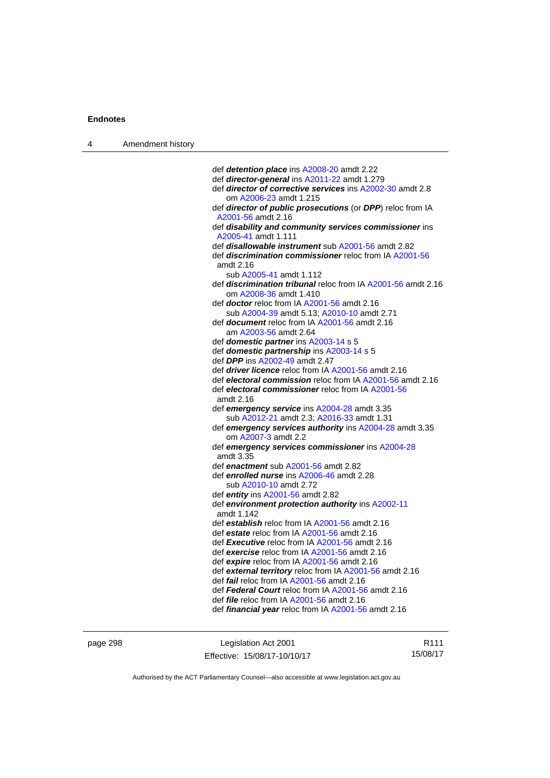| Amendment history<br>4 |  |
|------------------------|--|
|------------------------|--|

| def detention place ins A2008-20 amdt 2.22                          |
|---------------------------------------------------------------------|
| def director-general ins A2011-22 amdt 1.279                        |
| def <i>director of corrective services</i> ins A2002-30 amdt 2.8    |
| om A2006-23 amdt 1.215                                              |
| def director of public prosecutions (or DPP) reloc from IA          |
| A2001-56 amdt 2.16                                                  |
| def disability and community services commissioner ins              |
| A2005-41 amdt 1.111                                                 |
| def <b>disallowable instrument</b> sub A2001-56 amdt 2.82           |
| def discrimination commissioner reloc from IA A2001-56              |
| amdt 2.16<br>sub A2005-41 amdt 1.112                                |
| def <b>discrimination tribunal</b> reloc from IA A2001-56 amdt 2.16 |
| om A2008-36 amdt 1.410                                              |
| def <b>doctor</b> reloc from IA A2001-56 amdt 2.16                  |
| sub A2004-39 amdt 5.13; A2010-10 amdt 2.71                          |
| def <b>document</b> reloc from IA A2001-56 amdt 2.16                |
| am A2003-56 amdt 2.64                                               |
| def domestic partner ins A2003-14 s 5                               |
| def domestic partnership ins A2003-14 s 5                           |
| def DPP ins A2002-49 amdt 2.47                                      |
| def <i>driver licence</i> reloc from IA A2001-56 amdt 2.16          |
| def electoral commission reloc from IA A2001-56 amdt 2.16           |
| def electoral commissioner reloc from IA A2001-56                   |
| amdt 2.16                                                           |
| def emergency service ins A2004-28 amdt 3.35                        |
| sub A2012-21 amdt 2.3; A2016-33 amdt 1.31                           |
| def emergency services authority ins A2004-28 amdt 3.35             |
| om A2007-3 amdt 2.2                                                 |
| def emergency services commissioner ins A2004-28                    |
| amdt 3.35                                                           |
| def enactment sub A2001-56 amdt 2.82                                |
| def enrolled nurse ins A2006-46 amdt 2.28<br>sub A2010-10 amdt 2.72 |
| def entity ins $A2001-56$ amdt 2.82                                 |
| def environment protection authority ins A2002-11                   |
| amdt 1.142                                                          |
| def establish reloc from IA A2001-56 amdt 2.16                      |
| def estate reloc from IA A2001-56 amdt 2.16                         |
| def Executive reloc from IA A2001-56 amdt 2.16                      |
| def exercise reloc from IA A2001-56 amdt 2.16                       |
| def expire reloc from IA A2001-56 amdt 2.16                         |
| def external territory reloc from IA A2001-56 amdt 2.16             |
| def <i>fail</i> reloc from IA A2001-56 amdt 2.16                    |
| def Federal Court reloc from IA A2001-56 amdt 2.16                  |
| def <i>file</i> reloc from IA A2001-56 amdt 2.16                    |
| def financial year reloc from IA A2001-56 amdt 2.16                 |

| page 298 |  |  |
|----------|--|--|
|----------|--|--|

page 298 Legislation Act 2001 Effective: 15/08/17-10/10/17

R111 15/08/17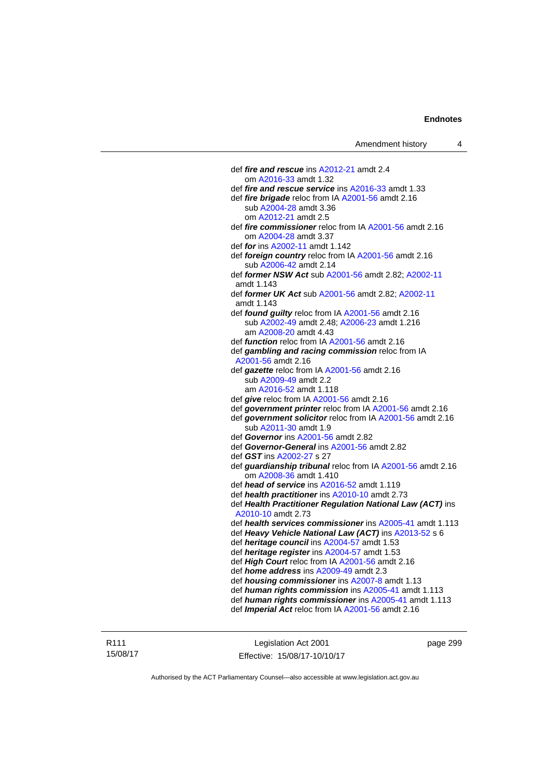def *fire and rescue* ins [A2012-21](http://www.legislation.act.gov.au/a/2012-21) amdt 2.4 om [A2016-33](http://www.legislation.act.gov.au/a/2016-33) amdt 1.32 def *fire and rescue service* ins [A2016-33](http://www.legislation.act.gov.au/a/2016-33) amdt 1.33 def *fire brigade* reloc from IA [A2001-56](http://www.legislation.act.gov.au/a/2001-56) amdt 2.16 sub [A2004-28](http://www.legislation.act.gov.au/a/2004-28) amdt 3.36 om [A2012-21](http://www.legislation.act.gov.au/a/2012-21) amdt 2.5 def *fire commissioner* reloc from IA [A2001-56](http://www.legislation.act.gov.au/a/2001-56) amdt 2.16 om [A2004-28](http://www.legislation.act.gov.au/a/2004-28) amdt 3.37 def *for* ins [A2002-11](http://www.legislation.act.gov.au/a/2002-11) amdt 1.142 def *foreign country* reloc from IA [A2001-56](http://www.legislation.act.gov.au/a/2001-56) amdt 2.16 sub [A2006-42](http://www.legislation.act.gov.au/a/2006-42) amdt 2.14 def *former NSW Act* sub [A2001-56](http://www.legislation.act.gov.au/a/2001-56) amdt 2.82; [A2002-11](http://www.legislation.act.gov.au/a/2002-11) amdt 1.143 def *former UK Act* sub [A2001-56](http://www.legislation.act.gov.au/a/2001-56) amdt 2.82; [A2002-11](http://www.legislation.act.gov.au/a/2002-11) amdt 1.143 def *found guilty* reloc from IA [A2001-56](http://www.legislation.act.gov.au/a/2001-56) amdt 2.16 sub [A2002-49](http://www.legislation.act.gov.au/a/2002-49) amdt 2.48; [A2006-23](http://www.legislation.act.gov.au/a/2006-23) amdt 1.216 am [A2008-20](http://www.legislation.act.gov.au/a/2008-20) amdt 4.43 def *function* reloc from IA [A2001-56](http://www.legislation.act.gov.au/a/2001-56) amdt 2.16 def *gambling and racing commission* reloc from IA [A2001-56](http://www.legislation.act.gov.au/a/2001-56) amdt 2.16 def *gazette* reloc from IA [A2001-56](http://www.legislation.act.gov.au/a/2001-56) amdt 2.16 sub [A2009-49](http://www.legislation.act.gov.au/a/2009-49) amdt 2.2 am [A2016-52](http://www.legislation.act.gov.au/a/2016-52/default.asp) amdt 1.118 def *give* reloc from IA [A2001-56](http://www.legislation.act.gov.au/a/2001-56) amdt 2.16 def *government printer* reloc from IA [A2001-56](http://www.legislation.act.gov.au/a/2001-56) amdt 2.16 def *government solicitor* reloc from IA [A2001-56](http://www.legislation.act.gov.au/a/2001-56) amdt 2.16 sub [A2011-30](http://www.legislation.act.gov.au/a/2011-30) amdt 1.9 def *Governor* ins [A2001-56](http://www.legislation.act.gov.au/a/2001-56) amdt 2.82 def *Governor-General* ins [A2001-56](http://www.legislation.act.gov.au/a/2001-56) amdt 2.82 def *GST* ins [A2002-27](http://www.legislation.act.gov.au/a/2002-27) s 27 def *guardianship tribunal* reloc from IA [A2001-56](http://www.legislation.act.gov.au/a/2001-56) amdt 2.16 om [A2008-36](http://www.legislation.act.gov.au/a/2008-36) amdt 1.410 def *head of service* ins [A2016-52](http://www.legislation.act.gov.au/a/2016-52/default.asp) amdt 1.119 def *health practitioner* ins [A2010-10](http://www.legislation.act.gov.au/a/2010-10) amdt 2.73 def *Health Practitioner Regulation National Law (ACT)* ins [A2010-10](http://www.legislation.act.gov.au/a/2010-10) amdt 2.73 def *health services commissioner* ins [A2005-41](http://www.legislation.act.gov.au/a/2005-41) amdt 1.113 def *Heavy Vehicle National Law (ACT)* ins [A2013-52](http://www.legislation.act.gov.au/a/2013-52) s 6 def *heritage council* ins [A2004-57](http://www.legislation.act.gov.au/a/2004-57) amdt 1.53 def *heritage register* ins [A2004-57](http://www.legislation.act.gov.au/a/2004-57) amdt 1.53 def *High Court* reloc from IA [A2001-56](http://www.legislation.act.gov.au/a/2001-56) amdt 2.16 def *home address* ins [A2009-49](http://www.legislation.act.gov.au/a/2009-49) amdt 2.3 def *housing commissioner* ins [A2007-8](http://www.legislation.act.gov.au/a/2007-8) amdt 1.13 def *human rights commission* ins [A2005-41](http://www.legislation.act.gov.au/a/2005-41) amdt 1.113 def *human rights commissioner* ins [A2005-41](http://www.legislation.act.gov.au/a/2005-41) amdt 1.113 def *Imperial Act* reloc from IA [A2001-56](http://www.legislation.act.gov.au/a/2001-56) amdt 2.16

R111 15/08/17

Legislation Act 2001 Effective: 15/08/17-10/10/17 page 299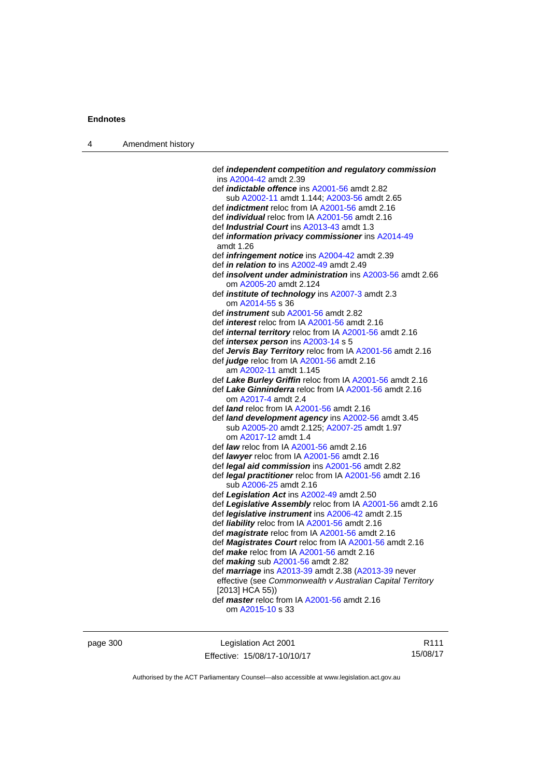| Amendment history<br>$\overline{4}$ |  |
|-------------------------------------|--|
|-------------------------------------|--|

| def independent competition and regulatory commission<br>ins A2004-42 amdt 2.39 |
|---------------------------------------------------------------------------------|
| def <i>indictable offence</i> ins A2001-56 amdt 2.82                            |
| sub A2002-11 amdt 1.144; A2003-56 amdt 2.65                                     |
| def <i>indictment</i> reloc from IA A2001-56 amdt 2.16                          |
| def <i>individual</i> reloc from IA A2001-56 amdt 2.16                          |
| def Industrial Court ins A2013-43 amdt 1.3                                      |
| def information privacy commissioner ins A2014-49                               |
| amdt 1.26                                                                       |
| def <i>infringement notice</i> ins A2004-42 amdt 2.39                           |
| def in relation to ins A2002-49 amdt 2.49                                       |
| def insolvent under administration ins A2003-56 amdt 2.66                       |
| om A2005-20 amdt 2.124                                                          |
| def <i>institute</i> of <i>technology</i> ins A2007-3 amdt 2.3                  |
| om A2014-55 s 36                                                                |
| def <i>instrument</i> sub A2001-56 amdt 2.82                                    |
| def <i>interest</i> reloc from IA A2001-56 amdt 2.16                            |
| def <i>internal territory</i> reloc from IA A2001-56 amdt 2.16                  |
| def <i>intersex person</i> ins A2003-14 s 5                                     |
| def Jervis Bay Territory reloc from IA A2001-56 amdt 2.16                       |
| def judge reloc from IA A2001-56 amdt 2.16                                      |
| am A2002-11 amdt 1.145                                                          |
| def Lake Burley Griffin reloc from IA A2001-56 amdt 2.16                        |
| def Lake Ginninderra reloc from IA A2001-56 amdt 2.16                           |
| om A2017-4 amdt 2.4                                                             |
| def <i>land</i> reloc from IA A2001-56 amdt 2.16                                |
| def land development agency ins A2002-56 amdt 3.45                              |
| sub A2005-20 amdt 2.125; A2007-25 amdt 1.97                                     |
| om A2017-12 amdt 1.4                                                            |
| def law reloc from IA A2001-56 amdt 2.16                                        |
| def lawyer reloc from IA A2001-56 amdt 2.16                                     |
| def <i>legal aid commission</i> ins A2001-56 amdt 2.82                          |
| def legal practitioner reloc from IA A2001-56 amdt 2.16                         |
| sub A2006-25 amdt 2.16                                                          |
| def Legislation Act ins A2002-49 amdt 2.50                                      |
| def Legislative Assembly reloc from IA A2001-56 amdt 2.16                       |
| def legislative instrument ins A2006-42 amdt 2.15                               |
| def liability reloc from IA A2001-56 amdt 2.16                                  |
| def magistrate reloc from IA A2001-56 amdt 2.16                                 |
| def Magistrates Court reloc from IA A2001-56 amdt 2.16                          |
| def make reloc from IA A2001-56 amdt 2.16                                       |
| def making sub A2001-56 amdt 2.82                                               |
| def marriage ins A2013-39 amdt 2.38 (A2013-39 never                             |
| effective (see Commonwealth v Australian Capital Territory                      |
| [2013] HCA 55))                                                                 |
| def <i>master</i> reloc from IA A2001-56 amdt 2.16                              |
| om A2015-10 s 33                                                                |
|                                                                                 |

page 300 **Legislation Act 2001** Effective: 15/08/17-10/10/17

R111 15/08/17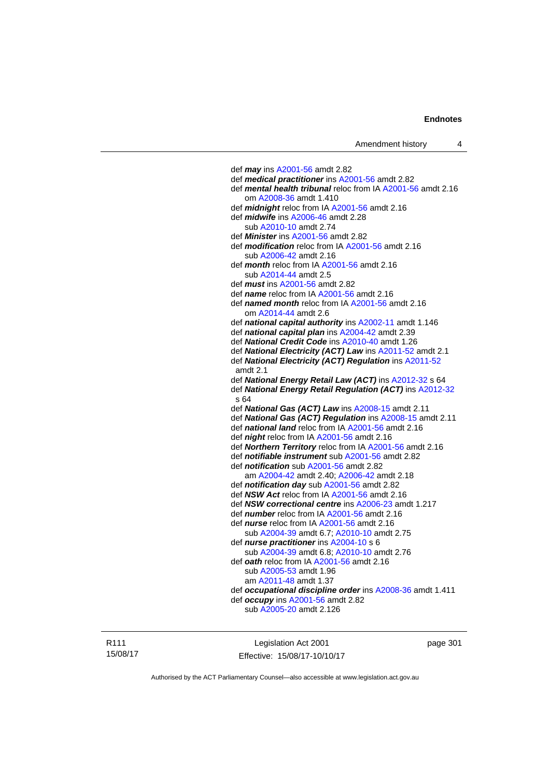def *may* ins [A2001-56](http://www.legislation.act.gov.au/a/2001-56) amdt 2.82 def *medical practitioner* ins [A2001-56](http://www.legislation.act.gov.au/a/2001-56) amdt 2.82 def *mental health tribunal* reloc from IA [A2001-56](http://www.legislation.act.gov.au/a/2001-56) amdt 2.16 om [A2008-36](http://www.legislation.act.gov.au/a/2008-36) amdt 1.410 def *midnight* reloc from IA [A2001-56](http://www.legislation.act.gov.au/a/2001-56) amdt 2.16 def *midwife* ins [A2006-46](http://www.legislation.act.gov.au/a/2006-46) amdt 2.28 sub [A2010-10](http://www.legislation.act.gov.au/a/2010-10) amdt 2.74 def *Minister* ins [A2001-56](http://www.legislation.act.gov.au/a/2001-56) amdt 2.82 def *modification* reloc from IA [A2001-56](http://www.legislation.act.gov.au/a/2001-56) amdt 2.16 sub [A2006-42](http://www.legislation.act.gov.au/a/2006-42) amdt 2.16 def *month* reloc from IA [A2001-56](http://www.legislation.act.gov.au/a/2001-56) amdt 2.16 sub [A2014-44](http://www.legislation.act.gov.au/a/2014-44) amdt 2.5 def *must* ins [A2001-56](http://www.legislation.act.gov.au/a/2001-56) amdt 2.82 def *name* reloc from IA [A2001-56](http://www.legislation.act.gov.au/a/2001-56) amdt 2.16 def *named month* reloc from IA [A2001-56](http://www.legislation.act.gov.au/a/2001-56) amdt 2.16 om [A2014-44](http://www.legislation.act.gov.au/a/2014-44) amdt 2.6 def *national capital authority* ins [A2002-11](http://www.legislation.act.gov.au/a/2002-11) amdt 1.146 def *national capital plan* ins [A2004-42](http://www.legislation.act.gov.au/a/2004-42) amdt 2.39 def *National Credit Code* ins [A2010-40](http://www.legislation.act.gov.au/a/2010-40) amdt 1.26 def *National Electricity (ACT) Law* ins [A2011-52](http://www.legislation.act.gov.au/a/2011-52) amdt 2.1 def *National Electricity (ACT) Regulation* ins [A2011-52](http://www.legislation.act.gov.au/a/2011-52) amdt 2.1 def *National Energy Retail Law (ACT)* ins [A2012-32](http://www.legislation.act.gov.au/a/2012-32) s 64 def *National Energy Retail Regulation (ACT)* ins [A2012-32](http://www.legislation.act.gov.au/a/2012-32) s 64 def *National Gas (ACT) Law* ins [A2008-15](http://www.legislation.act.gov.au/a/2008-15) amdt 2.11 def *National Gas (ACT) Regulation* ins [A2008-15](http://www.legislation.act.gov.au/a/2008-15) amdt 2.11 def *national land* reloc from IA [A2001-56](http://www.legislation.act.gov.au/a/2001-56) amdt 2.16 def *night* reloc from IA [A2001-56](http://www.legislation.act.gov.au/a/2001-56) amdt 2.16 def *Northern Territory* reloc from IA [A2001-56](http://www.legislation.act.gov.au/a/2001-56) amdt 2.16 def *notifiable instrument* sub [A2001-56](http://www.legislation.act.gov.au/a/2001-56) amdt 2.82 def *notification* sub [A2001-56](http://www.legislation.act.gov.au/a/2001-56) amdt 2.82 am [A2004-42](http://www.legislation.act.gov.au/a/2004-42) amdt 2.40; [A2006-42](http://www.legislation.act.gov.au/a/2006-42) amdt 2.18 def *notification day* sub [A2001-56](http://www.legislation.act.gov.au/a/2001-56) amdt 2.82 def *NSW Act* reloc from IA [A2001-56](http://www.legislation.act.gov.au/a/2001-56) amdt 2.16 def *NSW correctional centre* ins [A2006-23](http://www.legislation.act.gov.au/a/2006-23) amdt 1.217 def *number* reloc from IA [A2001-56](http://www.legislation.act.gov.au/a/2001-56) amdt 2.16 def *nurse* reloc from IA [A2001-56](http://www.legislation.act.gov.au/a/2001-56) amdt 2.16 sub [A2004-39](http://www.legislation.act.gov.au/a/2004-39) amdt 6.7; [A2010-10](http://www.legislation.act.gov.au/a/2010-10) amdt 2.75 def *nurse practitioner* ins [A2004-10](http://www.legislation.act.gov.au/a/2004-10) s 6 sub [A2004-39](http://www.legislation.act.gov.au/a/2004-39) amdt 6.8; [A2010-10](http://www.legislation.act.gov.au/a/2010-10) amdt 2.76 def *oath* reloc from IA [A2001-56](http://www.legislation.act.gov.au/a/2001-56) amdt 2.16 sub [A2005-53](http://www.legislation.act.gov.au/a/2005-53) amdt 1.96 am [A2011-48](http://www.legislation.act.gov.au/a/2011-48) amdt 1.37 def *occupational discipline order* ins [A2008-36](http://www.legislation.act.gov.au/a/2008-36) amdt 1.411 def *occupy* ins [A2001-56](http://www.legislation.act.gov.au/a/2001-56) amdt 2.82 sub [A2005-20](http://www.legislation.act.gov.au/a/2005-20) amdt 2.126

R111 15/08/17

Legislation Act 2001 Effective: 15/08/17-10/10/17 page 301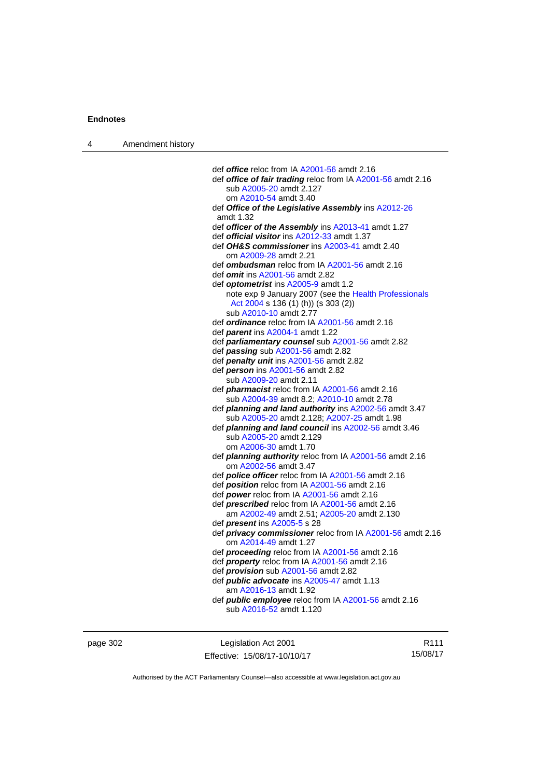| 4 | Amendment history |                                                                                                  |
|---|-------------------|--------------------------------------------------------------------------------------------------|
|   |                   |                                                                                                  |
|   |                   | def office reloc from IA A2001-56 amdt 2.16                                                      |
|   |                   | def office of fair trading reloc from IA A2001-56 amdt 2.16<br>sub A2005-20 amdt 2.127           |
|   |                   |                                                                                                  |
|   |                   | om A2010-54 amdt 3.40                                                                            |
|   |                   | def Office of the Legislative Assembly ins A2012-26<br>amdt 1.32                                 |
|   |                   | def officer of the Assembly ins A2013-41 amdt 1.27                                               |
|   |                   | def <b>official visitor</b> ins A2012-33 amdt 1.37                                               |
|   |                   | def OH&S commissioner ins A2003-41 amdt 2.40                                                     |
|   |                   | om A2009-28 amdt 2.21                                                                            |
|   |                   | def ombudsman reloc from IA A2001-56 amdt 2.16                                                   |
|   |                   | def <i>omit</i> ins A2001-56 amdt 2.82                                                           |
|   |                   | def <b>optometrist</b> ins A2005-9 amdt 1.2                                                      |
|   |                   | note exp 9 January 2007 (see the Health Professionals                                            |
|   |                   | Act 2004 s 136 (1) (h)) (s 303 (2))                                                              |
|   |                   | sub A2010-10 amdt 2.77                                                                           |
|   |                   | def ordinance reloc from IA A2001-56 amdt 2.16                                                   |
|   |                   | def <i>parent</i> ins A2004-1 amdt 1.22                                                          |
|   |                   | def <i>parliamentary counsel</i> sub A2001-56 amdt 2.82                                          |
|   |                   | def passing sub A2001-56 amdt 2.82                                                               |
|   |                   | def <i>penalty unit</i> ins A2001-56 amdt 2.82                                                   |
|   |                   | def <i>person</i> ins A2001-56 amdt 2.82                                                         |
|   |                   | sub A2009-20 amdt 2.11                                                                           |
|   |                   | def <i>pharmacist</i> reloc from IA A2001-56 amdt 2.16                                           |
|   |                   | sub A2004-39 amdt 8.2; A2010-10 amdt 2.78                                                        |
|   |                   | def planning and land authority ins A2002-56 amdt 3.47                                           |
|   |                   | sub A2005-20 amdt 2.128; A2007-25 amdt 1.98                                                      |
|   |                   | def <i>planning and land council</i> ins A2002-56 amdt 3.46                                      |
|   |                   | sub A2005-20 amdt 2.129                                                                          |
|   |                   | om A2006-30 amdt 1.70                                                                            |
|   |                   | def <i>planning authority</i> reloc from IA A2001-56 amdt 2.16                                   |
|   |                   | om A2002-56 amdt 3.47                                                                            |
|   |                   | def <b>police officer</b> reloc from IA A2001-56 amdt 2.16                                       |
|   |                   | def <b>position</b> reloc from IA A2001-56 amdt 2.16                                             |
|   |                   | def power reloc from IA A2001-56 amdt 2.16                                                       |
|   |                   | def <i>prescribed</i> reloc from IA A2001-56 amdt 2.16                                           |
|   |                   | am A2002-49 amdt 2.51; A2005-20 amdt 2.130                                                       |
|   |                   | def <i>present</i> ins A2005-5 s 28                                                              |
|   |                   | def <i>privacy commissioner</i> reloc from IA A2001-56 amdt 2.16                                 |
|   |                   | om A2014-49 amdt 1.27                                                                            |
|   |                   | def <b>proceeding</b> reloc from IA A2001-56 amdt 2.16                                           |
|   |                   | def <i>property</i> reloc from IA A2001-56 amdt 2.16                                             |
|   |                   | def <i>provision</i> sub A2001-56 amdt 2.82<br>def <i>public</i> advocate ins A2005-47 amdt 1.13 |
|   |                   |                                                                                                  |
|   |                   | am A2016-13 amdt 1.92<br>def <i>public</i> employee reloc from IA A2001-56 amdt 2.16             |
|   |                   | sub A2016-52 amdt 1.120                                                                          |
|   |                   |                                                                                                  |
|   |                   |                                                                                                  |
|   |                   |                                                                                                  |

Authorised by the ACT Parliamentary Counsel—also accessible at www.legislation.act.gov.au

Effective: 15/08/17-10/10/17

R111 15/08/17

page 302 Legislation Act 2001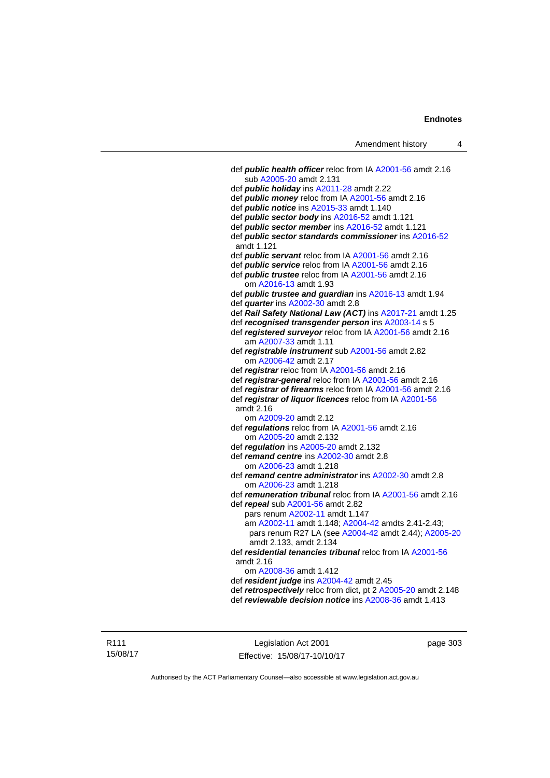| Amendment history |  |
|-------------------|--|
|-------------------|--|

 def *public health officer* reloc from IA [A2001-56](http://www.legislation.act.gov.au/a/2001-56) amdt 2.16 sub [A2005-20](http://www.legislation.act.gov.au/a/2005-20) amdt 2.131 def *public holiday* ins [A2011-28](http://www.legislation.act.gov.au/a/2011-28) amdt 2.22 def *public money* reloc from IA [A2001-56](http://www.legislation.act.gov.au/a/2001-56) amdt 2.16 def *public notice* ins [A2015-33](http://www.legislation.act.gov.au/a/2015-33) amdt 1.140 def *public sector body* ins [A2016-52](http://www.legislation.act.gov.au/a/2016-52/default.asp) amdt 1.121 def *public sector member* ins [A2016-52](http://www.legislation.act.gov.au/a/2016-52/default.asp) amdt 1.121 def *public sector standards commissioner* ins [A2016-52](http://www.legislation.act.gov.au/a/2016-52/default.asp) amdt 1.121 def *public servant* reloc from IA [A2001-56](http://www.legislation.act.gov.au/a/2001-56) amdt 2.16 def *public service* reloc from IA [A2001-56](http://www.legislation.act.gov.au/a/2001-56) amdt 2.16 def *public trustee* reloc from IA [A2001-56](http://www.legislation.act.gov.au/a/2001-56) amdt 2.16 om [A2016-13](http://www.legislation.act.gov.au/a/2016-13) amdt 1.93 def *public trustee and guardian* ins [A2016-13](http://www.legislation.act.gov.au/a/2016-13) amdt 1.94 def *quarter* ins [A2002-30](http://www.legislation.act.gov.au/a/2002-30) amdt 2.8 def *Rail Safety National Law (ACT)* ins [A2017-21](http://www.legislation.act.gov.au/a/2017-21/default.asp) amdt 1.25 def *recognised transgender person* ins [A2003-14](http://www.legislation.act.gov.au/a/2003-14) s 5 def *registered surveyor* reloc from IA [A2001-56](http://www.legislation.act.gov.au/a/2001-56) amdt 2.16 am [A2007-33](http://www.legislation.act.gov.au/a/2007-33) amdt 1.11 def *registrable instrument* sub [A2001-56](http://www.legislation.act.gov.au/a/2001-56) amdt 2.82 om [A2006-42](http://www.legislation.act.gov.au/a/2006-42) amdt 2.17 def *registrar* reloc from IA [A2001-56](http://www.legislation.act.gov.au/a/2001-56) amdt 2.16 def *registrar-general* reloc from IA [A2001-56](http://www.legislation.act.gov.au/a/2001-56) amdt 2.16 def *registrar of firearms* reloc from IA [A2001-56](http://www.legislation.act.gov.au/a/2001-56) amdt 2.16 def *registrar of liquor licences* reloc from IA [A2001-56](http://www.legislation.act.gov.au/a/2001-56) amdt 2.16 om [A2009-20](http://www.legislation.act.gov.au/a/2009-20) amdt 2.12 def *regulations* reloc from IA [A2001-56](http://www.legislation.act.gov.au/a/2001-56) amdt 2.16 om [A2005-20](http://www.legislation.act.gov.au/a/2005-20) amdt 2.132 def *regulation* ins [A2005-20](http://www.legislation.act.gov.au/a/2005-20) amdt 2.132 def *remand centre* ins [A2002-30](http://www.legislation.act.gov.au/a/2002-30) amdt 2.8 om [A2006-23](http://www.legislation.act.gov.au/a/2006-23) amdt 1.218 def *remand centre administrator* ins [A2002-30](http://www.legislation.act.gov.au/a/2002-30) amdt 2.8 om [A2006-23](http://www.legislation.act.gov.au/a/2006-23) amdt 1.218 def *remuneration tribunal* reloc from IA [A2001-56](http://www.legislation.act.gov.au/a/2001-56) amdt 2.16 def *repeal* sub [A2001-56](http://www.legislation.act.gov.au/a/2001-56) amdt 2.82 pars renum [A2002-11](http://www.legislation.act.gov.au/a/2002-11) amdt 1.147 am [A2002-11](http://www.legislation.act.gov.au/a/2002-11) amdt 1.148; [A2004-42](http://www.legislation.act.gov.au/a/2004-42) amdts 2.41-2.43; pars renum R27 LA (see [A2004-42](http://www.legislation.act.gov.au/a/2004-42) amdt 2.44); [A2005-20](http://www.legislation.act.gov.au/a/2005-20) amdt 2.133, amdt 2.134 def *residential tenancies tribunal* reloc from IA [A2001-56](http://www.legislation.act.gov.au/a/2001-56) amdt 2.16 om [A2008-36](http://www.legislation.act.gov.au/a/2008-36) amdt 1.412 def *resident judge* ins [A2004-42](http://www.legislation.act.gov.au/a/2004-42) amdt 2.45 def *retrospectively* reloc from dict, pt 2 [A2005-20](http://www.legislation.act.gov.au/a/2005-20) amdt 2.148 def *reviewable decision notice* ins [A2008-36](http://www.legislation.act.gov.au/a/2008-36) amdt 1.413

R111 15/08/17

Legislation Act 2001 Effective: 15/08/17-10/10/17 page 303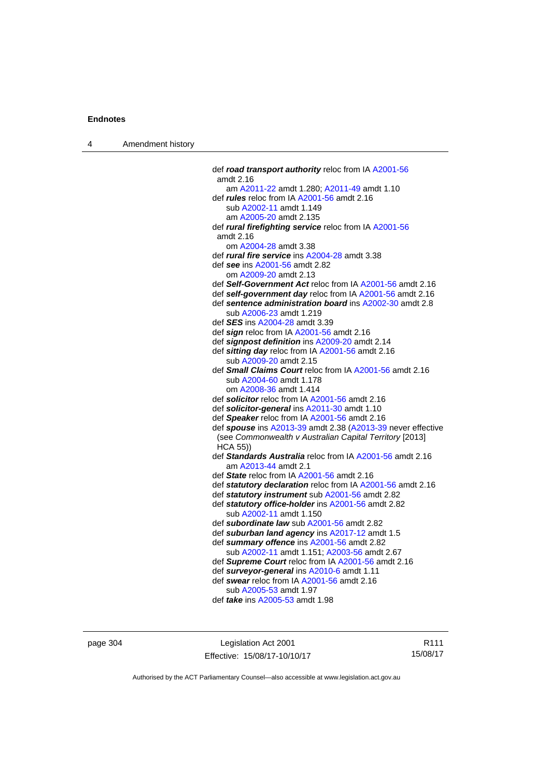| $\overline{4}$ | Amendment history |
|----------------|-------------------|
|----------------|-------------------|

| def road transport authority reloc from IA A2001-56                        |
|----------------------------------------------------------------------------|
| amdt 2.16                                                                  |
| am A2011-22 amdt 1.280; A2011-49 amdt 1.10                                 |
| def <i>rules</i> reloc from IA A2001-56 amdt 2.16                          |
| sub A2002-11 amdt 1.149                                                    |
| am A2005-20 amdt 2.135                                                     |
| def rural firefighting service reloc from IA A2001-56                      |
| amdt 2.16                                                                  |
| om A2004-28 amdt 3.38                                                      |
| def rural fire service ins A2004-28 amdt 3.38                              |
| def see ins A2001-56 amdt 2.82                                             |
| om A2009-20 amdt 2.13                                                      |
| def Self-Government Act reloc from IA A2001-56 amdt 2.16                   |
| def self-government day reloc from IA A2001-56 amdt 2.16                   |
| def sentence administration board ins A2002-30 amdt 2.8                    |
| sub A2006-23 amdt 1.219                                                    |
| def <b>SES</b> ins A2004-28 amdt 3.39                                      |
| def sign reloc from IA A2001-56 amdt 2.16                                  |
| def signpost definition ins A2009-20 amdt 2.14                             |
| def sitting day reloc from IA A2001-56 amdt 2.16                           |
| sub A2009-20 amdt 2.15                                                     |
| def Small Claims Court reloc from IA A2001-56 amdt 2.16                    |
| sub A2004-60 amdt 1.178                                                    |
| om A2008-36 amdt 1.414                                                     |
| def solicitor reloc from IA A2001-56 amdt 2.16                             |
| def solicitor-general ins A2011-30 amdt 1.10                               |
| def Speaker reloc from IA A2001-56 amdt 2.16                               |
| def spouse ins A2013-39 amdt 2.38 (A2013-39 never effective                |
| (see Commonwealth v Australian Capital Territory [2013]<br><b>HCA 55))</b> |
| def Standards Australia reloc from IA A2001-56 amdt 2.16                   |
| am A2013-44 amdt 2.1                                                       |
| def State reloc from IA A2001-56 amdt 2.16                                 |
| def statutory declaration reloc from IA A2001-56 amdt 2.16                 |
| def statutory instrument sub A2001-56 amdt 2.82                            |
| def statutory office-holder ins A2001-56 amdt 2.82                         |
| sub A2002-11 amdt 1.150                                                    |
| def subordinate law sub A2001-56 amdt 2.82                                 |
| def suburban land agency ins A2017-12 amdt 1.5                             |
| def summary offence ins A2001-56 amdt 2.82                                 |
| sub A2002-11 amdt 1.151; A2003-56 amdt 2.67                                |
| def Supreme Court reloc from IA A2001-56 amdt 2.16                         |
| def surveyor-general ins A2010-6 amdt 1.11                                 |
| def swear reloc from IA A2001-56 amdt 2.16                                 |
| sub A2005-53 amdt 1.97                                                     |
| def <i>take</i> ins A2005-53 amdt 1.98                                     |
|                                                                            |

page 304 Legislation Act 2001 Effective: 15/08/17-10/10/17

R111 15/08/17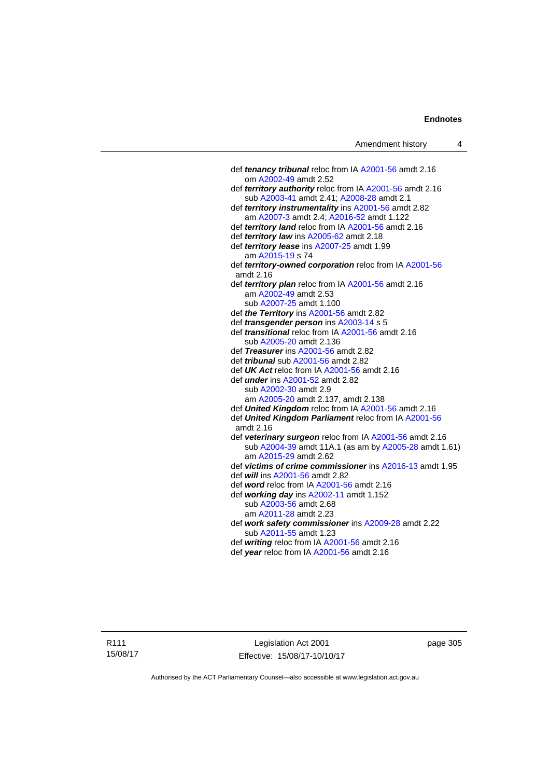| Amendment history |  |  |
|-------------------|--|--|
|-------------------|--|--|

| def tenancy tribunal reloc from IA A2001-56 amdt 2.16      |
|------------------------------------------------------------|
| om A2002-49 amdt 2.52                                      |
| def territory authority reloc from IA A2001-56 amdt 2.16   |
| sub A2003-41 amdt 2.41; A2008-28 amdt 2.1                  |
| def territory instrumentality ins A2001-56 amdt 2.82       |
| am A2007-3 amdt 2.4; A2016-52 amdt 1.122                   |
| def <i>territory land</i> reloc from IA A2001-56 amdt 2.16 |
| def territory law ins A2005-62 amdt 2.18                   |
| def territory lease ins A2007-25 amdt 1.99                 |
| am A2015-19 s 74                                           |
| def territory-owned corporation reloc from IA A2001-56     |
| amdt 2.16                                                  |
| def territory plan reloc from IA A2001-56 amdt 2.16        |
| am A2002-49 amdt 2.53                                      |
| sub A2007-25 amdt 1.100                                    |
| def the Territory ins A2001-56 amdt 2.82                   |
| def <i>transgender person</i> ins A2003-14 s 5             |
| def <i>transitional</i> reloc from IA A2001-56 amdt 2.16   |
| sub A2005-20 amdt 2.136                                    |
| def Treasurer ins A2001-56 amdt 2.82                       |
| def <i>tribunal</i> sub A2001-56 amdt 2.82                 |
| def UK Act reloc from IA A2001-56 amdt 2.16                |
| def <i>under</i> ins A2001-52 amdt 2.82                    |
| sub A2002-30 amdt 2.9                                      |
| am A2005-20 amdt 2.137, amdt 2.138                         |
| def <b>United Kingdom</b> reloc from IA A2001-56 amdt 2.16 |
| def United Kingdom Parliament reloc from IA A2001-56       |
| amdt 2.16                                                  |
| def veterinary surgeon reloc from IA A2001-56 amdt 2.16    |
| sub A2004-39 amdt 11A.1 (as am by A2005-28 amdt 1.61)      |
| am A2015-29 amdt 2.62                                      |
| def victims of crime commissioner ins A2016-13 amdt 1.95   |
| def will ins A2001-56 amdt 2.82                            |
| def word reloc from IA A2001-56 amdt 2.16                  |
| def working day ins $A2002-11$ amdt 1.152                  |
| sub A2003-56 amdt 2.68                                     |
| am A2011-28 amdt 2.23                                      |
| def work safety commissioner ins A2009-28 amdt 2.22        |
| sub A2011-55 amdt 1.23                                     |
| def writing reloc from IA A2001-56 amdt 2.16               |
| def year reloc from IA A2001-56 amdt 2.16                  |
|                                                            |

R111 15/08/17

Legislation Act 2001 Effective: 15/08/17-10/10/17 page 305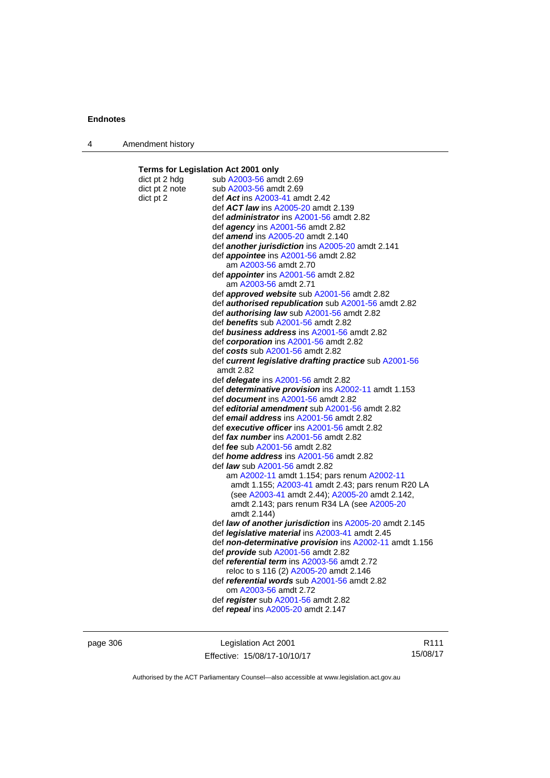| Amendment history |  |
|-------------------|--|
|-------------------|--|

**Terms for Legislation Act 2001 only** 

| dict pt 2 hdg  | sub A2003-56 amdt 2.69                                                                  |
|----------------|-----------------------------------------------------------------------------------------|
| dict pt 2 note | sub A2003-56 amdt 2.69                                                                  |
| dict pt 2      | def Act ins A2003-41 amdt 2.42                                                          |
|                | def ACT law ins A2005-20 amdt 2.139                                                     |
|                | def <i>administrator</i> ins A2001-56 amdt 2.82                                         |
|                | def <i>agency</i> ins A2001-56 amdt 2.82                                                |
|                | def amend ins A2005-20 amdt 2.140                                                       |
|                | def another jurisdiction ins A2005-20 amdt 2.141                                        |
|                | def <i>appointee</i> ins A2001-56 amdt 2.82                                             |
|                | am A2003-56 amdt 2.70                                                                   |
|                | def <i>appointer</i> ins A2001-56 amdt 2.82                                             |
|                | am A2003-56 amdt 2.71                                                                   |
|                | def <b>approved website</b> sub A2001-56 amdt 2.82                                      |
|                | def authorised republication sub A2001-56 amdt 2.82                                     |
|                | def authorising law sub A2001-56 amdt 2.82                                              |
|                | def benefits sub A2001-56 amdt 2.82                                                     |
|                | def business address ins A2001-56 amdt 2.82                                             |
|                | def corporation ins A2001-56 amdt 2.82                                                  |
|                | def costs sub A2001-56 amdt 2.82                                                        |
|                | def current legislative drafting practice sub A2001-56                                  |
|                | amdt 2.82                                                                               |
|                | def <i>delegate</i> ins A2001-56 amdt 2.82                                              |
|                | def determinative provision ins A2002-11 amdt 1.153                                     |
|                | def document ins A2001-56 amdt 2.82                                                     |
|                | def editorial amendment sub A2001-56 amdt 2.82                                          |
|                | def email address ins A2001-56 amdt 2.82                                                |
|                | def executive officer ins A2001-56 amdt 2.82                                            |
|                | def fax number ins A2001-56 amdt 2.82                                                   |
|                | def <i>fee</i> sub A2001-56 amdt 2.82<br>def <i>home address</i> ins A2001-56 amdt 2.82 |
|                | def <i>law</i> sub A2001-56 amdt 2.82                                                   |
|                | am A2002-11 amdt 1.154; pars renum A2002-11                                             |
|                | amdt 1.155; A2003-41 amdt 2.43; pars renum R20 LA                                       |
|                | (see A2003-41 amdt 2.44); A2005-20 amdt 2.142,                                          |
|                | amdt 2.143; pars renum R34 LA (see A2005-20                                             |
|                | amdt 2.144)                                                                             |
|                | def law of another jurisdiction ins A2005-20 amdt 2.145                                 |
|                | def <i>legislative material</i> ins A2003-41 amdt 2.45                                  |
|                | def non-determinative provision ins A2002-11 amdt 1.156                                 |
|                | def <i>provide</i> sub A2001-56 amdt 2.82                                               |
|                | def <i>referential term</i> ins A2003-56 amdt 2.72                                      |
|                | reloc to s 116 (2) A2005-20 amdt 2.146                                                  |
|                | def <i>referential words</i> sub A2001-56 amdt 2.82                                     |
|                | om A2003-56 amdt 2.72                                                                   |
|                | def register sub A2001-56 amdt 2.82                                                     |
|                | def repeal ins A2005-20 amdt 2.147                                                      |
|                |                                                                                         |
|                |                                                                                         |

page 306 Legislation Act 2001 Effective: 15/08/17-10/10/17

R111 15/08/17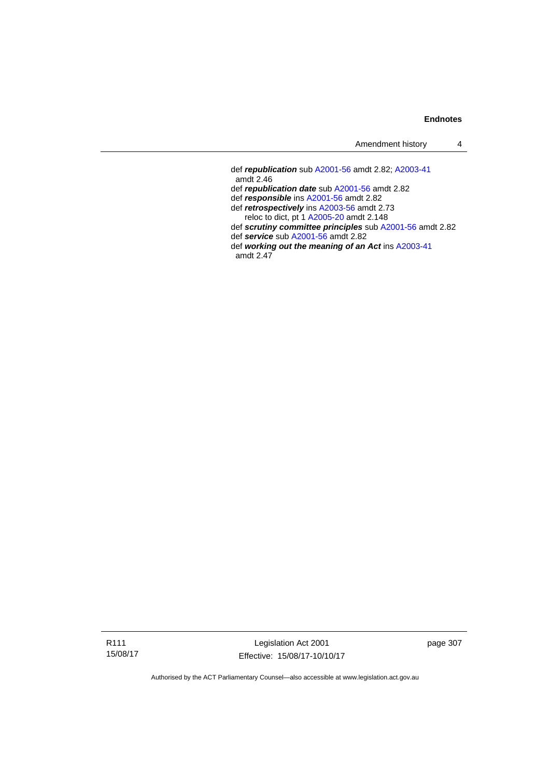| Amendment history |  |
|-------------------|--|
|-------------------|--|

 def *republication* sub [A2001-56](http://www.legislation.act.gov.au/a/2001-56) amdt 2.82; [A2003-41](http://www.legislation.act.gov.au/a/2003-41) amdt 2.46 def *republication date* sub [A2001-56](http://www.legislation.act.gov.au/a/2001-56) amdt 2.82 def *responsible* ins [A2001-56](http://www.legislation.act.gov.au/a/2001-56) amdt 2.82 def *retrospectively* ins [A2003-56](http://www.legislation.act.gov.au/a/2003-56) amdt 2.73 reloc to dict, pt 1 [A2005-20](http://www.legislation.act.gov.au/a/2005-20) amdt 2.148 def *scrutiny committee principles* sub [A2001-56](http://www.legislation.act.gov.au/a/2001-56) amdt 2.82 def *service* sub [A2001-56](http://www.legislation.act.gov.au/a/2001-56) amdt 2.82 def *working out the meaning of an Act* ins [A2003-41](http://www.legislation.act.gov.au/a/2003-41) amdt 2.47

R111 15/08/17

Legislation Act 2001 Effective: 15/08/17-10/10/17 page 307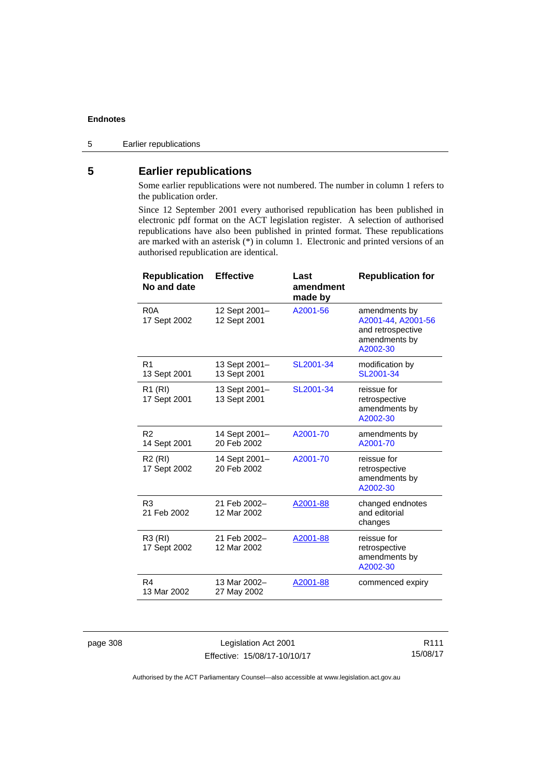## **5 Earlier republications**

Some earlier republications were not numbered. The number in column 1 refers to the publication order.

Since 12 September 2001 every authorised republication has been published in electronic pdf format on the ACT legislation register. A selection of authorised republications have also been published in printed format. These republications are marked with an asterisk (\*) in column 1. Electronic and printed versions of an authorised republication are identical.

| <b>Republication</b><br>No and date | <b>Effective</b>              | Last<br>amendment<br>made by | <b>Republication for</b>                                                              |
|-------------------------------------|-------------------------------|------------------------------|---------------------------------------------------------------------------------------|
| R <sub>0</sub> A<br>17 Sept 2002    | 12 Sept 2001-<br>12 Sept 2001 | A2001-56                     | amendments by<br>A2001-44, A2001-56<br>and retrospective<br>amendments by<br>A2002-30 |
| R <sub>1</sub><br>13 Sept 2001      | 13 Sept 2001-<br>13 Sept 2001 | SL2001-34                    | modification by<br>SL2001-34                                                          |
| R1 (RI)<br>17 Sept 2001             | 13 Sept 2001-<br>13 Sept 2001 | SL2001-34                    | reissue for<br>retrospective<br>amendments by<br>A2002-30                             |
| R <sub>2</sub><br>14 Sept 2001      | 14 Sept 2001-<br>20 Feb 2002  | A2001-70                     | amendments by<br>A2001-70                                                             |
| R <sub>2</sub> (RI)<br>17 Sept 2002 | 14 Sept 2001-<br>20 Feb 2002  | A2001-70                     | reissue for<br>retrospective<br>amendments by<br>A2002-30                             |
| R <sub>3</sub><br>21 Feb 2002       | 21 Feb 2002-<br>12 Mar 2002   | A2001-88                     | changed endnotes<br>and editorial<br>changes                                          |
| R3 (RI)<br>17 Sept 2002             | 21 Feb 2002-<br>12 Mar 2002   | A2001-88                     | reissue for<br>retrospective<br>amendments by<br>A2002-30                             |
| R4<br>13 Mar 2002                   | 13 Mar 2002-<br>27 May 2002   | A2001-88                     | commenced expiry                                                                      |

page 308 Legislation Act 2001 Effective: 15/08/17-10/10/17

R111 15/08/17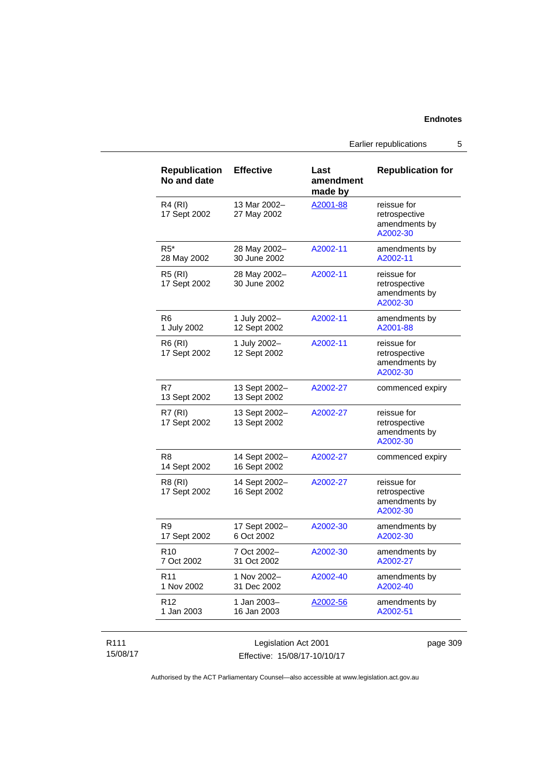Earlier republications 5

| <b>Republication</b><br>No and date | <b>Effective</b>              | Last<br>amendment<br>made by | <b>Republication for</b>                                  |
|-------------------------------------|-------------------------------|------------------------------|-----------------------------------------------------------|
| R4 (RI)<br>17 Sept 2002             | 13 Mar 2002-<br>27 May 2002   | A2001-88                     | reissue for<br>retrospective<br>amendments by<br>A2002-30 |
| $R5^*$<br>28 May 2002               | 28 May 2002-<br>30 June 2002  | A2002-11                     | amendments by<br>A2002-11                                 |
| R5 (RI)<br>17 Sept 2002             | 28 May 2002-<br>30 June 2002  | A2002-11                     | reissue for<br>retrospective<br>amendments by<br>A2002-30 |
| R6<br>1 July 2002                   | 1 July 2002-<br>12 Sept 2002  | A2002-11                     | amendments by<br>A2001-88                                 |
| R6 (RI)<br>17 Sept 2002             | 1 July 2002-<br>12 Sept 2002  | A2002-11                     | reissue for<br>retrospective<br>amendments by<br>A2002-30 |
| R7<br>13 Sept 2002                  | 13 Sept 2002-<br>13 Sept 2002 | A2002-27                     | commenced expiry                                          |
| R7(RI)<br>17 Sept 2002              | 13 Sept 2002-<br>13 Sept 2002 | A2002-27                     | reissue for<br>retrospective<br>amendments by<br>A2002-30 |
| R8<br>14 Sept 2002                  | 14 Sept 2002-<br>16 Sept 2002 | A2002-27                     | commenced expiry                                          |
| R8 (RI)<br>17 Sept 2002             | 14 Sept 2002-<br>16 Sept 2002 | A2002-27                     | reissue for<br>retrospective<br>amendments by<br>A2002-30 |
| R9<br>17 Sept 2002                  | 17 Sept 2002-<br>6 Oct 2002   | A2002-30                     | amendments by<br>A2002-30                                 |
| R <sub>10</sub><br>7 Oct 2002       | 7 Oct 2002-<br>31 Oct 2002    | A2002-30                     | amendments by<br>A2002-27                                 |
| R <sub>11</sub><br>1 Nov 2002       | 1 Nov 2002-<br>31 Dec 2002    | A2002-40                     | amendments by<br>A2002-40                                 |
| R <sub>12</sub><br>1 Jan 2003       | 1 Jan 2003-<br>16 Jan 2003    | A2002-56                     | amendments by<br>A2002-51                                 |

#### R111 15/08/17

Legislation Act 2001 Effective: 15/08/17-10/10/17 page 309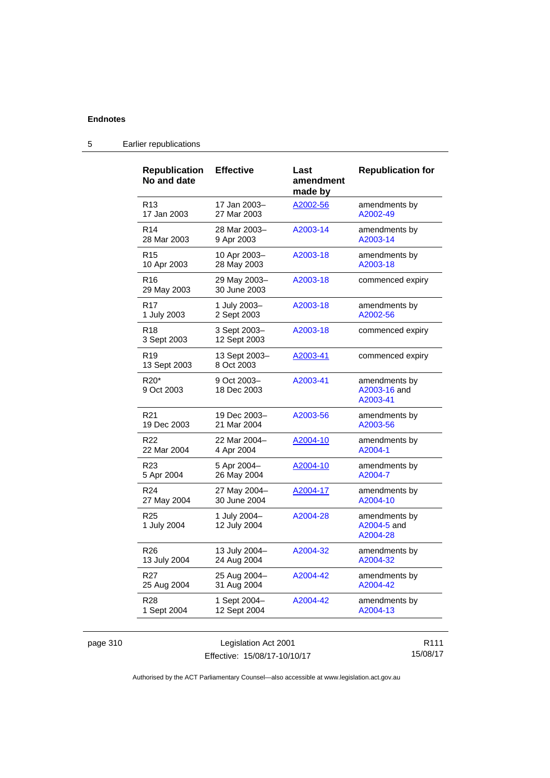| <b>Republication</b><br>No and date | <b>Effective</b>             | Last<br>amendment<br>made by | <b>Republication for</b>                  |
|-------------------------------------|------------------------------|------------------------------|-------------------------------------------|
| R <sub>13</sub>                     | 17 Jan 2003-                 | A2002-56                     | amendments by                             |
| 17 Jan 2003                         | 27 Mar 2003                  |                              | A2002-49                                  |
| R <sub>14</sub>                     | 28 Mar 2003-                 | A2003-14                     | amendments by                             |
| 28 Mar 2003                         | 9 Apr 2003                   |                              | A2003-14                                  |
| R <sub>15</sub>                     | 10 Apr 2003-                 | A2003-18                     | amendments by                             |
| 10 Apr 2003                         | 28 May 2003                  |                              | A2003-18                                  |
| R <sub>16</sub><br>29 May 2003      | 29 May 2003-<br>30 June 2003 | A2003-18                     | commenced expiry                          |
| R <sub>17</sub>                     | 1 July 2003-                 | A2003-18                     | amendments by                             |
| 1 July 2003                         | 2 Sept 2003                  |                              | A2002-56                                  |
| R <sub>18</sub><br>3 Sept 2003      | 3 Sept 2003-<br>12 Sept 2003 | A2003-18                     | commenced expiry                          |
| R <sub>19</sub><br>13 Sept 2003     | 13 Sept 2003–<br>8 Oct 2003  | <u>A2003-41</u>              | commenced expiry                          |
| R20*<br>9 Oct 2003                  | 9 Oct 2003-<br>18 Dec 2003   | A2003-41                     | amendments by<br>A2003-16 and<br>A2003-41 |
| R <sub>21</sub>                     | 19 Dec 2003-                 | A2003-56                     | amendments by                             |
| 19 Dec 2003                         | 21 Mar 2004                  |                              | A2003-56                                  |
| R <sub>22</sub>                     | 22 Mar 2004-                 | A2004-10                     | amendments by                             |
| 22 Mar 2004                         | 4 Apr 2004                   |                              | A2004-1                                   |
| R <sub>23</sub>                     | 5 Apr 2004-                  | A2004-10                     | amendments by                             |
| 5 Apr 2004                          | 26 May 2004                  |                              | A2004-7                                   |
| R <sub>24</sub>                     | 27 May 2004-                 | A2004-17                     | amendments by                             |
| 27 May 2004                         | 30 June 2004                 |                              | A2004-10                                  |
| R <sub>25</sub><br>1 July 2004      | 1 July 2004-<br>12 July 2004 | A2004-28                     | amendments by<br>A2004-5 and<br>A2004-28  |
| R <sub>26</sub>                     | 13 July 2004-                | A2004-32                     | amendments by                             |
| 13 July 2004                        | 24 Aug 2004                  |                              | A2004-32                                  |
| R <sub>27</sub>                     | 25 Aug 2004-                 | A2004-42                     | amendments by                             |
| 25 Aug 2004                         | 31 Aug 2004                  |                              | A2004-42                                  |
| R <sub>28</sub>                     | 1 Sept 2004–                 | A2004-42                     | amendments by                             |
| 1 Sept 2004                         | 12 Sept 2004                 |                              | A2004-13                                  |

# 5 Earlier republications

| page 310 |  |  |
|----------|--|--|
|----------|--|--|

page 1310 Legislation Act 2001 Effective: 15/08/17-10/10/17

R111 15/08/17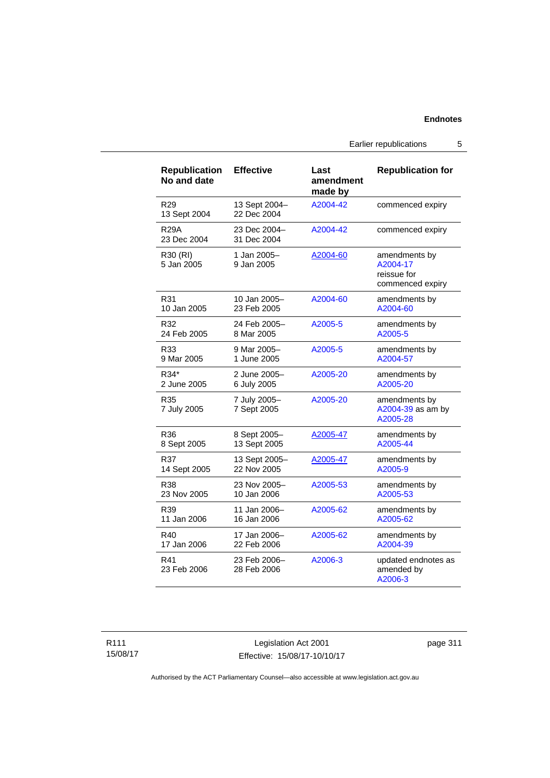Earlier republications 5

| <b>Republication</b><br>No and date | <b>Effective</b>             | Last<br>amendment<br>made by | <b>Republication for</b>                                     |
|-------------------------------------|------------------------------|------------------------------|--------------------------------------------------------------|
| R <sub>29</sub><br>13 Sept 2004     | 13 Sept 2004-<br>22 Dec 2004 | A2004-42                     | commenced expiry                                             |
| <b>R29A</b><br>23 Dec 2004          | 23 Dec 2004-<br>31 Dec 2004  | A2004-42                     | commenced expiry                                             |
| R30 (RI)<br>5 Jan 2005              | 1 Jan 2005-<br>9 Jan 2005    | A2004-60                     | amendments by<br>A2004-17<br>reissue for<br>commenced expiry |
| R31                                 | 10 Jan 2005-                 | A2004-60                     | amendments by                                                |
| 10 Jan 2005                         | 23 Feb 2005                  |                              | A2004-60                                                     |
| R32                                 | 24 Feb 2005-                 | A2005-5                      | amendments by                                                |
| 24 Feb 2005                         | 8 Mar 2005                   |                              | A2005-5                                                      |
| R33                                 | 9 Mar 2005-                  | A2005-5                      | amendments by                                                |
| 9 Mar 2005                          | 1 June 2005                  |                              | A2004-57                                                     |
| R34*                                | 2 June 2005-                 | A2005-20                     | amendments by                                                |
| 2 June 2005                         | 6 July 2005                  |                              | A2005-20                                                     |
| R35<br>7 July 2005                  | 7 July 2005-<br>7 Sept 2005  | A2005-20                     | amendments by<br>A2004-39 as am by<br>A2005-28               |
| R36                                 | 8 Sept 2005-                 | A2005-47                     | amendments by                                                |
| 8 Sept 2005                         | 13 Sept 2005                 |                              | A2005-44                                                     |
| R37                                 | 13 Sept 2005-                | A2005-47                     | amendments by                                                |
| 14 Sept 2005                        | 22 Nov 2005                  |                              | A2005-9                                                      |
| R38                                 | 23 Nov 2005-                 | A2005-53                     | amendments by                                                |
| 23 Nov 2005                         | 10 Jan 2006                  |                              | A2005-53                                                     |
| R39                                 | 11 Jan 2006-                 | A2005-62                     | amendments by                                                |
| 11 Jan 2006                         | 16 Jan 2006                  |                              | A2005-62                                                     |
| R40                                 | 17 Jan 2006-                 | A2005-62                     | amendments by                                                |
| 17 Jan 2006                         | 22 Feb 2006                  |                              | A2004-39                                                     |
| R41<br>23 Feb 2006                  | 23 Feb 2006-<br>28 Feb 2006  | A2006-3                      | updated endnotes as<br>amended by<br>A2006-3                 |

Legislation Act 2001 Effective: 15/08/17-10/10/17 page 311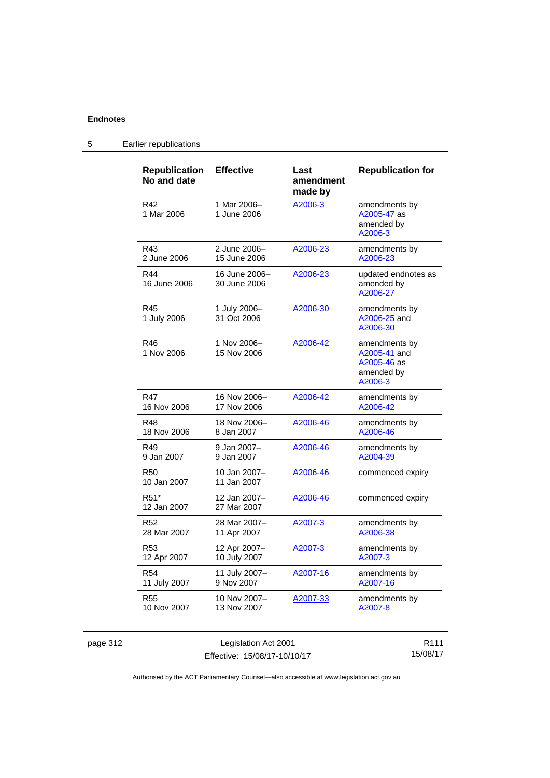| <b>Republication</b><br>No and date | <b>Effective</b>              | Last<br>amendment<br>made by | <b>Republication for</b>                                              |
|-------------------------------------|-------------------------------|------------------------------|-----------------------------------------------------------------------|
| R42<br>1 Mar 2006                   | 1 Mar 2006-<br>1 June 2006    | A2006-3                      | amendments by<br>A2005-47 as<br>amended by<br>A2006-3                 |
| R43                                 | 2 June 2006-                  | A2006-23                     | amendments by                                                         |
| 2 June 2006                         | 15 June 2006                  |                              | A2006-23                                                              |
| R44<br>16 June 2006                 | 16 June 2006-<br>30 June 2006 | A2006-23                     | updated endnotes as<br>amended by<br>A2006-27                         |
| R45<br>1 July 2006                  | 1 July 2006-<br>31 Oct 2006   | A2006-30                     | amendments by<br>A2006-25 and<br>A2006-30                             |
| R46<br>1 Nov 2006                   | 1 Nov 2006-<br>15 Nov 2006    | A2006-42                     | amendments by<br>A2005-41 and<br>A2005-46 as<br>amended by<br>A2006-3 |
| R47                                 | 16 Nov 2006-                  | A2006-42                     | amendments by                                                         |
| 16 Nov 2006                         | 17 Nov 2006                   |                              | A2006-42                                                              |
| R48                                 | 18 Nov 2006-                  | A2006-46                     | amendments by                                                         |
| 18 Nov 2006                         | 8 Jan 2007                    |                              | A2006-46                                                              |
| R49                                 | 9 Jan 2007-                   | A2006-46                     | amendments by                                                         |
| 9 Jan 2007                          | 9 Jan 2007                    |                              | A2004-39                                                              |
| R <sub>50</sub><br>10 Jan 2007      | 10 Jan 2007-<br>11 Jan 2007   | A2006-46                     | commenced expiry                                                      |
| R51*<br>12 Jan 2007                 | 12 Jan 2007-<br>27 Mar 2007   | A2006-46                     | commenced expiry                                                      |
| R <sub>52</sub>                     | 28 Mar 2007-                  | A2007-3                      | amendments by                                                         |
| 28 Mar 2007                         | 11 Apr 2007                   |                              | A2006-38                                                              |
| R <sub>53</sub>                     | 12 Apr 2007-                  | A2007-3                      | amendments by                                                         |
| 12 Apr 2007                         | 10 July 2007                  |                              | A2007-3                                                               |
| <b>R54</b>                          | 11 July 2007-                 | A2007-16                     | amendments by                                                         |
| 11 July 2007                        | 9 Nov 2007                    |                              | A2007-16                                                              |
| R <sub>55</sub>                     | 10 Nov 2007-                  | <u>A2007-33</u>              | amendments by                                                         |
| 10 Nov 2007                         | 13 Nov 2007                   |                              | A2007-8                                                               |

# 5 Earlier republications

page 312 Legislation Act 2001 Effective: 15/08/17-10/10/17

R111 15/08/17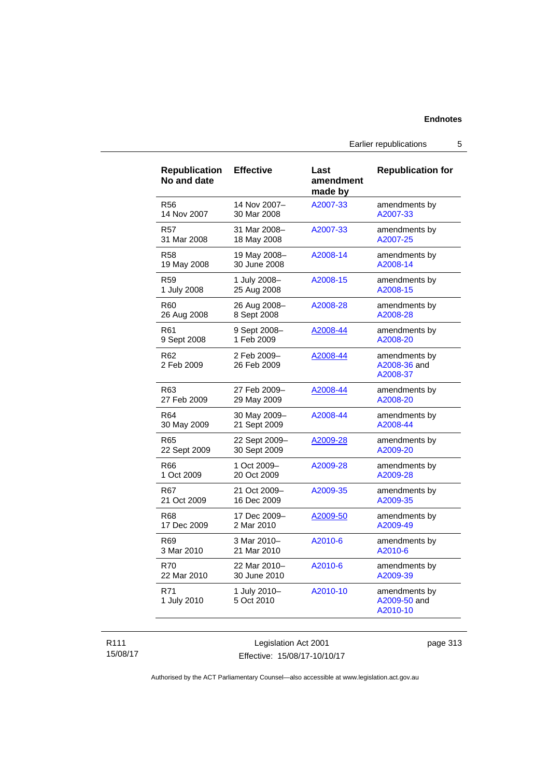Earlier republications 5

| <b>Republication</b><br>No and date | <b>Effective</b>           | Last<br>amendment<br>made by | <b>Republication for</b>                  |
|-------------------------------------|----------------------------|------------------------------|-------------------------------------------|
| <b>R56</b>                          | 14 Nov 2007-               | A2007-33                     | amendments by                             |
| 14 Nov 2007                         | 30 Mar 2008                |                              | A2007-33                                  |
| R57                                 | 31 Mar 2008-               | A2007-33                     | amendments by                             |
| 31 Mar 2008                         | 18 May 2008                |                              | A2007-25                                  |
| R58                                 | 19 May 2008-               | A2008-14                     | amendments by                             |
| 19 May 2008                         | 30 June 2008               |                              | A2008-14                                  |
| R59                                 | 1 July 2008-               | A2008-15                     | amendments by                             |
| 1 July 2008                         | 25 Aug 2008                |                              | A2008-15                                  |
| R <sub>60</sub>                     | 26 Aug 2008-               | A2008-28                     | amendments by                             |
| 26 Aug 2008                         | 8 Sept 2008                |                              | A2008-28                                  |
| R61                                 | 9 Sept 2008-               | A2008-44                     | amendments by                             |
| 9 Sept 2008                         | 1 Feb 2009                 |                              | A2008-20                                  |
| R62<br>2 Feb 2009                   | 2 Feb 2009-<br>26 Feb 2009 | A2008-44                     | amendments by<br>A2008-36 and<br>A2008-37 |
| R63                                 | 27 Feb 2009-               | A2008-44                     | amendments by                             |
| 27 Feb 2009                         | 29 May 2009                |                              | A2008-20                                  |
| R64                                 | 30 May 2009-               | A2008-44                     | amendments by                             |
| 30 May 2009                         | 21 Sept 2009               |                              | A2008-44                                  |
| R65                                 | 22 Sept 2009-              | A2009-28                     | amendments by                             |
| 22 Sept 2009                        | 30 Sept 2009               |                              | A2009-20                                  |
| R66                                 | 1 Oct 2009-                | A2009-28                     | amendments by                             |
| 1 Oct 2009                          | 20 Oct 2009                |                              | A2009-28                                  |
| R67                                 | 21 Oct 2009-               | A2009-35                     | amendments by                             |
| 21 Oct 2009                         | 16 Dec 2009                |                              | A2009-35                                  |
| R68                                 | 17 Dec 2009-               | A2009-50                     | amendments by                             |
| 17 Dec 2009                         | 2 Mar 2010                 |                              | A2009-49                                  |
| R <sub>69</sub>                     | 3 Mar 2010-                | A2010-6                      | amendments by                             |
| 3 Mar 2010                          | 21 Mar 2010                |                              | A2010-6                                   |
| <b>R70</b>                          | 22 Mar 2010-               | A2010-6                      | amendments by                             |
| 22 Mar 2010                         | 30 June 2010               |                              | A2009-39                                  |
| R71<br>1 July 2010                  | 1 July 2010-<br>5 Oct 2010 | A2010-10                     | amendments by<br>A2009-50 and<br>A2010-10 |

### R111 15/08/17

Legislation Act 2001 Effective: 15/08/17-10/10/17 page 313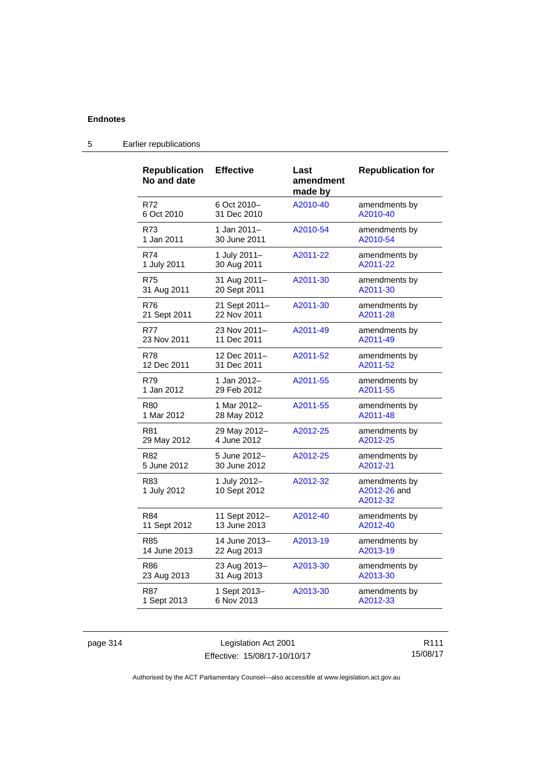| <b>Republication</b><br>No and date | <b>Effective</b>             | Last<br>amendment<br>made by | <b>Republication for</b>                  |
|-------------------------------------|------------------------------|------------------------------|-------------------------------------------|
| R72                                 | 6 Oct 2010-                  | A2010-40                     | amendments by                             |
| 6 Oct 2010                          | 31 Dec 2010                  |                              | A2010-40                                  |
| R73                                 | 1 Jan 2011-                  | A2010-54                     | amendments by                             |
| 1 Jan 2011                          | 30 June 2011                 |                              | A2010-54                                  |
| R74                                 | 1 July 2011-                 | A2011-22                     | amendments by                             |
| 1 July 2011                         | 30 Aug 2011                  |                              | A2011-22                                  |
| R75                                 | 31 Aug 2011-                 | A2011-30                     | amendments by                             |
| 31 Aug 2011                         | 20 Sept 2011                 |                              | A2011-30                                  |
| R76                                 | 21 Sept 2011-                | A2011-30                     | amendments by                             |
| 21 Sept 2011                        | 22 Nov 2011                  |                              | A2011-28                                  |
| R77                                 | 23 Nov 2011-                 | A2011-49                     | amendments by                             |
| 23 Nov 2011                         | 11 Dec 2011                  |                              | A2011-49                                  |
| <b>R78</b>                          | 12 Dec 2011-                 | A2011-52                     | amendments by                             |
| 12 Dec 2011                         | 31 Dec 2011                  |                              | A2011-52                                  |
| R79                                 | 1 Jan 2012–                  | A2011-55                     | amendments by                             |
| 1 Jan 2012                          | 29 Feb 2012                  |                              | A2011-55                                  |
| R80                                 | 1 Mar 2012-                  | A2011-55                     | amendments by                             |
| 1 Mar 2012                          | 28 May 2012                  |                              | A2011-48                                  |
| R81                                 | 29 May 2012-                 | A2012-25                     | amendments by                             |
| 29 May 2012                         | 4 June 2012                  |                              | A2012-25                                  |
| R82                                 | 5 June 2012-                 | A2012-25                     | amendments by                             |
| 5 June 2012                         | 30 June 2012                 |                              | A2012-21                                  |
| R83<br>1 July 2012                  | 1 July 2012-<br>10 Sept 2012 | A2012-32                     | amendments by<br>A2012-26 and<br>A2012-32 |
| R84                                 | 11 Sept 2012-                | A2012-40                     | amendments by                             |
| 11 Sept 2012                        | 13 June 2013                 |                              | A2012-40                                  |
| R85                                 | 14 June 2013–                | A2013-19                     | amendments by                             |
| 14 June 2013                        | 22 Aug 2013                  |                              | A2013-19                                  |
| R86                                 | 23 Aug 2013-                 | A2013-30                     | amendments by                             |
| 23 Aug 2013                         | 31 Aug 2013                  |                              | A2013-30                                  |
| R87                                 | 1 Sept 2013-                 | A2013-30                     | amendments by                             |
| 1 Sept 2013                         | 6 Nov 2013                   |                              | A2012-33                                  |

# 5 Earlier republications

page 314 Legislation Act 2001 Effective: 15/08/17-10/10/17

R111 15/08/17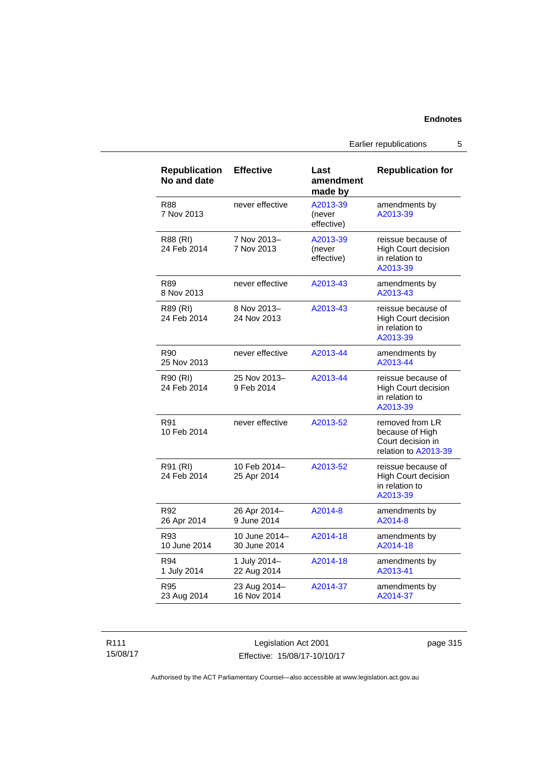Earlier republications 5

| <b>Republication</b><br>No and date | <b>Effective</b>              | Last<br>amendment<br>made by     | <b>Republication for</b>                                                        |
|-------------------------------------|-------------------------------|----------------------------------|---------------------------------------------------------------------------------|
| R88<br>7 Nov 2013                   | never effective               | A2013-39<br>(never<br>effective) | amendments by<br>A2013-39                                                       |
| R88 (RI)<br>24 Feb 2014             | 7 Nov 2013-<br>7 Nov 2013     | A2013-39<br>(never<br>effective) | reissue because of<br>High Court decision<br>in relation to<br>A2013-39         |
| R89<br>8 Nov 2013                   | never effective               | A2013-43                         | amendments by<br>A2013-43                                                       |
| R89 (RI)<br>24 Feb 2014             | 8 Nov 2013-<br>24 Nov 2013    | A2013-43                         | reissue because of<br><b>High Court decision</b><br>in relation to<br>A2013-39  |
| R90<br>25 Nov 2013                  | never effective               | A2013-44                         | amendments by<br>A2013-44                                                       |
| R90 (RI)<br>24 Feb 2014             | 25 Nov 2013-<br>9 Feb 2014    | A2013-44                         | reissue because of<br><b>High Court decision</b><br>in relation to<br>A2013-39  |
| R91<br>10 Feb 2014                  | never effective               | A2013-52                         | removed from LR<br>because of High<br>Court decision in<br>relation to A2013-39 |
| R91 (RI)<br>24 Feb 2014             | 10 Feb 2014-<br>25 Apr 2014   | A2013-52                         | reissue because of<br><b>High Court decision</b><br>in relation to<br>A2013-39  |
| R92<br>26 Apr 2014                  | 26 Apr 2014-<br>9 June 2014   | A2014-8                          | amendments by<br>A2014-8                                                        |
| R93<br>10 June 2014                 | 10 June 2014-<br>30 June 2014 | A2014-18                         | amendments by<br>A2014-18                                                       |
| R94<br>1 July 2014                  | 1 July 2014-<br>22 Aug 2014   | A2014-18                         | amendments by<br>A2013-41                                                       |
| R95<br>23 Aug 2014                  | 23 Aug 2014-<br>16 Nov 2014   | A2014-37                         | amendments by<br>A2014-37                                                       |

R111 15/08/17

Legislation Act 2001 Effective: 15/08/17-10/10/17 page 315